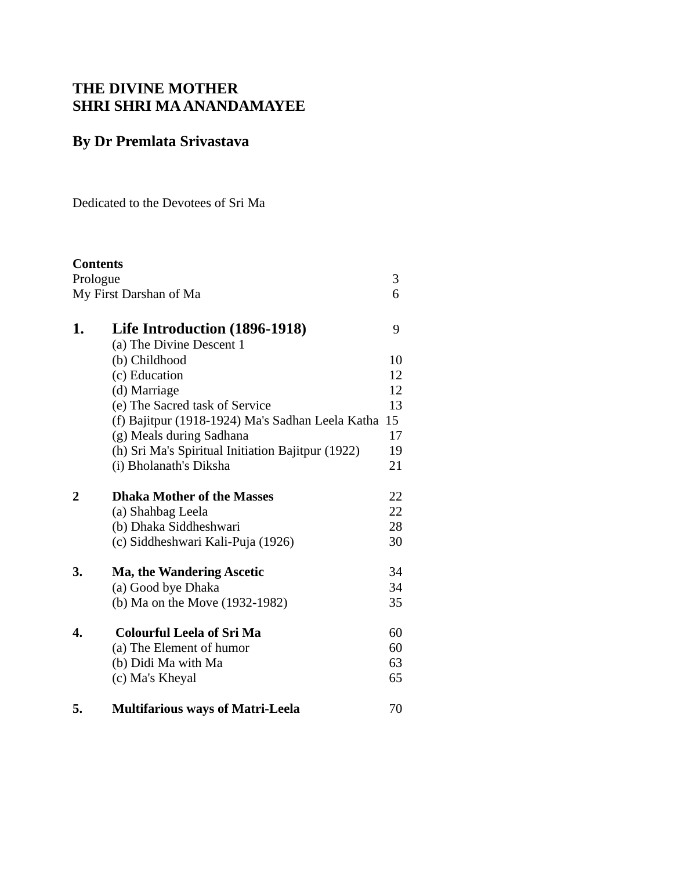# **THE DIVINE MOTHER SHRI SHRI MA ANANDAMAYEE**

# **By Dr Premlata Srivastava**

Dedicated to the Devotees of Sri Ma

| <b>Contents</b> |                                                   |    |
|-----------------|---------------------------------------------------|----|
| Prologue        |                                                   | 3  |
|                 | My First Darshan of Ma                            | 6  |
|                 |                                                   |    |
| 1.              | <b>Life Introduction (1896-1918)</b>              | 9  |
|                 | (a) The Divine Descent 1                          |    |
|                 | (b) Childhood                                     | 10 |
|                 | (c) Education                                     | 12 |
|                 | (d) Marriage                                      | 12 |
|                 | (e) The Sacred task of Service                    | 13 |
|                 | (f) Bajitpur (1918-1924) Ma's Sadhan Leela Katha  | 15 |
|                 | (g) Meals during Sadhana                          | 17 |
|                 | (h) Sri Ma's Spiritual Initiation Bajitpur (1922) | 19 |
|                 | (i) Bholanath's Diksha                            | 21 |
| $\overline{2}$  | <b>Dhaka Mother of the Masses</b>                 | 22 |
|                 | (a) Shahbag Leela                                 | 22 |
|                 | (b) Dhaka Siddheshwari                            | 28 |
|                 | (c) Siddheshwari Kali-Puja (1926)                 | 30 |
| 3.              | <b>Ma, the Wandering Ascetic</b>                  | 34 |
|                 | (a) Good bye Dhaka                                | 34 |
|                 | (b) Ma on the Move (1932-1982)                    | 35 |
| 4.              | <b>Colourful Leela of Sri Ma</b>                  | 60 |
|                 | (a) The Element of humor                          | 60 |
|                 | (b) Didi Ma with Ma                               | 63 |
|                 | (c) Ma's Kheyal                                   | 65 |
| 5.              | <b>Multifarious ways of Matri-Leela</b>           | 70 |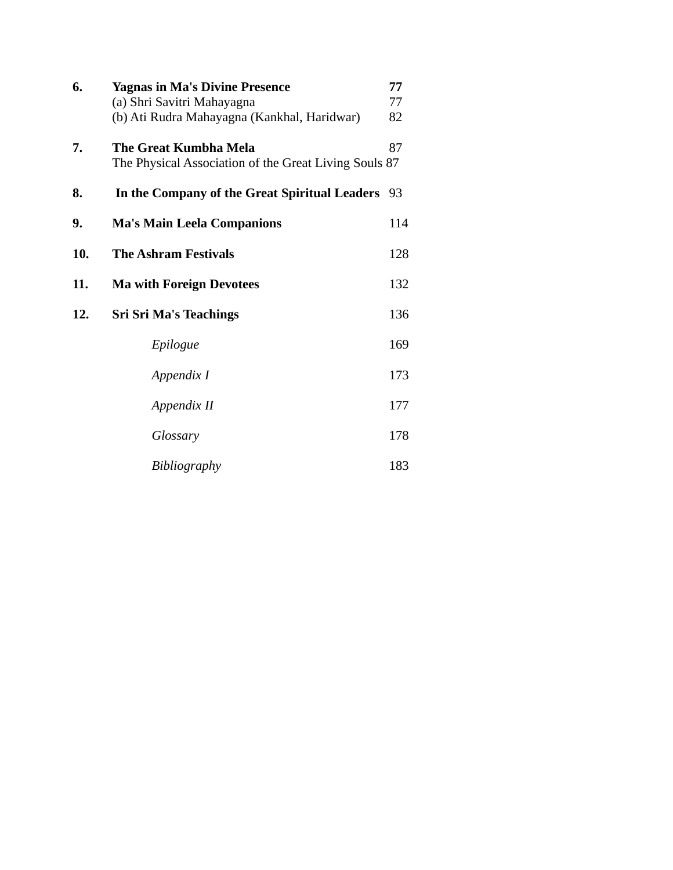| 6.  | <b>Yagnas in Ma's Divine Presence</b><br>(a) Shri Savitri Mahayagna<br>(b) Ati Rudra Mahayagna (Kankhal, Haridwar) | 77<br>77<br>82 |
|-----|--------------------------------------------------------------------------------------------------------------------|----------------|
| 7.  | The Great Kumbha Mela<br>The Physical Association of the Great Living Souls 87                                     | 87             |
| 8.  | In the Company of the Great Spiritual Leaders                                                                      | 93             |
| 9.  | <b>Ma's Main Leela Companions</b>                                                                                  | 114            |
| 10. | <b>The Ashram Festivals</b>                                                                                        | 128            |
| 11. | <b>Ma with Foreign Devotees</b>                                                                                    | 132            |
| 12. | <b>Sri Sri Ma's Teachings</b>                                                                                      | 136            |
|     | Epilogue                                                                                                           | 169            |
|     | Appendix I                                                                                                         | 173            |
|     | Appendix II                                                                                                        | 177            |
|     | Glossary                                                                                                           | 178            |
|     | Bibliography                                                                                                       | 183            |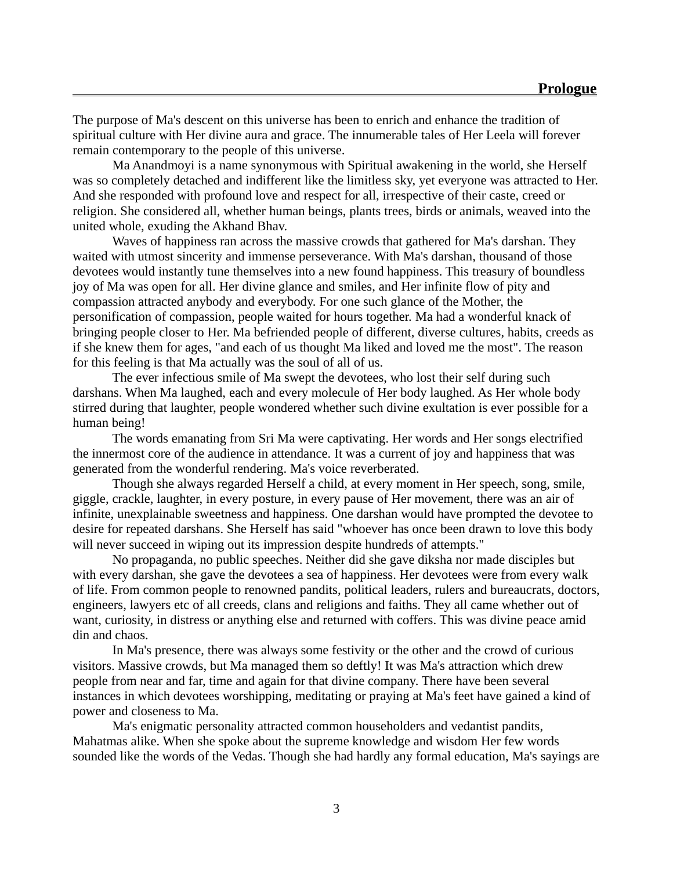The purpose of Ma's descent on this universe has been to enrich and enhance the tradition of spiritual culture with Her divine aura and grace. The innumerable tales of Her Leela will forever remain contemporary to the people of this universe.

Ma Anandmoyi is a name synonymous with Spiritual awakening in the world, she Herself was so completely detached and indifferent like the limitless sky, yet everyone was attracted to Her. And she responded with profound love and respect for all, irrespective of their caste, creed or religion. She considered all, whether human beings, plants trees, birds or animals, weaved into the united whole, exuding the Akhand Bhav.

Waves of happiness ran across the massive crowds that gathered for Ma's darshan. They waited with utmost sincerity and immense perseverance. With Ma's darshan, thousand of those devotees would instantly tune themselves into a new found happiness. This treasury of boundless joy of Ma was open for all. Her divine glance and smiles, and Her infinite flow of pity and compassion attracted anybody and everybody. For one such glance of the Mother, the personification of compassion, people waited for hours together. Ma had a wonderful knack of bringing people closer to Her. Ma befriended people of different, diverse cultures, habits, creeds as if she knew them for ages, "and each of us thought Ma liked and loved me the most". The reason for this feeling is that Ma actually was the soul of all of us.

The ever infectious smile of Ma swept the devotees, who lost their self during such darshans. When Ma laughed, each and every molecule of Her body laughed. As Her whole body stirred during that laughter, people wondered whether such divine exultation is ever possible for a human being!

The words emanating from Sri Ma were captivating. Her words and Her songs electrified the innermost core of the audience in attendance. It was a current of joy and happiness that was generated from the wonderful rendering. Ma's voice reverberated.

Though she always regarded Herself a child, at every moment in Her speech, song, smile, giggle, crackle, laughter, in every posture, in every pause of Her movement, there was an air of infinite, unexplainable sweetness and happiness. One darshan would have prompted the devotee to desire for repeated darshans. She Herself has said "whoever has once been drawn to love this body will never succeed in wiping out its impression despite hundreds of attempts."

No propaganda, no public speeches. Neither did she gave diksha nor made disciples but with every darshan, she gave the devotees a sea of happiness. Her devotees were from every walk of life. From common people to renowned pandits, political leaders, rulers and bureaucrats, doctors, engineers, lawyers etc of all creeds, clans and religions and faiths. They all came whether out of want, curiosity, in distress or anything else and returned with coffers. This was divine peace amid din and chaos.

In Ma's presence, there was always some festivity or the other and the crowd of curious visitors. Massive crowds, but Ma managed them so deftly! It was Ma's attraction which drew people from near and far, time and again for that divine company. There have been several instances in which devotees worshipping, meditating or praying at Ma's feet have gained a kind of power and closeness to Ma.

Ma's enigmatic personality attracted common householders and vedantist pandits, Mahatmas alike. When she spoke about the supreme knowledge and wisdom Her few words sounded like the words of the Vedas. Though she had hardly any formal education, Ma's sayings are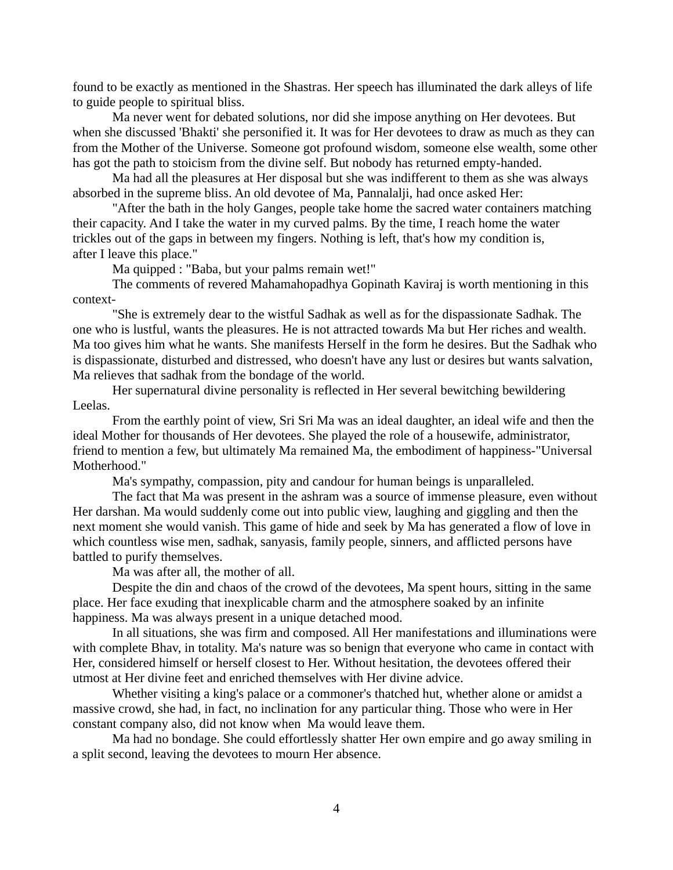found to be exactly as mentioned in the Shastras. Her speech has illuminated the dark alleys of life to guide people to spiritual bliss.

Ma never went for debated solutions, nor did she impose anything on Her devotees. But when she discussed 'Bhakti' she personified it. It was for Her devotees to draw as much as they can from the Mother of the Universe. Someone got profound wisdom, someone else wealth, some other has got the path to stoicism from the divine self. But nobody has returned empty-handed.

Ma had all the pleasures at Her disposal but she was indifferent to them as she was always absorbed in the supreme bliss. An old devotee of Ma, Pannalalji, had once asked Her:

"After the bath in the holy Ganges, people take home the sacred water containers matching their capacity. And I take the water in my curved palms. By the time, I reach home the water trickles out of the gaps in between my fingers. Nothing is left, that's how my condition is, after I leave this place."

Ma quipped : "Baba, but your palms remain wet!"

The comments of revered Mahamahopadhya Gopinath Kaviraj is worth mentioning in this context-

"She is extremely dear to the wistful Sadhak as well as for the dispassionate Sadhak. The one who is lustful, wants the pleasures. He is not attracted towards Ma but Her riches and wealth. Ma too gives him what he wants. She manifests Herself in the form he desires. But the Sadhak who is dispassionate, disturbed and distressed, who doesn't have any lust or desires but wants salvation, Ma relieves that sadhak from the bondage of the world.

Her supernatural divine personality is reflected in Her several bewitching bewildering Leelas.

From the earthly point of view, Sri Sri Ma was an ideal daughter, an ideal wife and then the ideal Mother for thousands of Her devotees. She played the role of a housewife, administrator, friend to mention a few, but ultimately Ma remained Ma, the embodiment of happiness-"Universal Motherhood."

Ma's sympathy, compassion, pity and candour for human beings is unparalleled.

The fact that Ma was present in the ashram was a source of immense pleasure, even without Her darshan. Ma would suddenly come out into public view, laughing and giggling and then the next moment she would vanish. This game of hide and seek by Ma has generated a flow of love in which countless wise men, sadhak, sanyasis, family people, sinners, and afflicted persons have battled to purify themselves.

Ma was after all, the mother of all.

Despite the din and chaos of the crowd of the devotees, Ma spent hours, sitting in the same place. Her face exuding that inexplicable charm and the atmosphere soaked by an infinite happiness. Ma was always present in a unique detached mood.

In all situations, she was firm and composed. All Her manifestations and illuminations were with complete Bhav, in totality. Ma's nature was so benign that everyone who came in contact with Her, considered himself or herself closest to Her. Without hesitation, the devotees offered their utmost at Her divine feet and enriched themselves with Her divine advice.

Whether visiting a king's palace or a commoner's thatched hut, whether alone or amidst a massive crowd, she had, in fact, no inclination for any particular thing. Those who were in Her constant company also, did not know when Ma would leave them.

Ma had no bondage. She could effortlessly shatter Her own empire and go away smiling in a split second, leaving the devotees to mourn Her absence.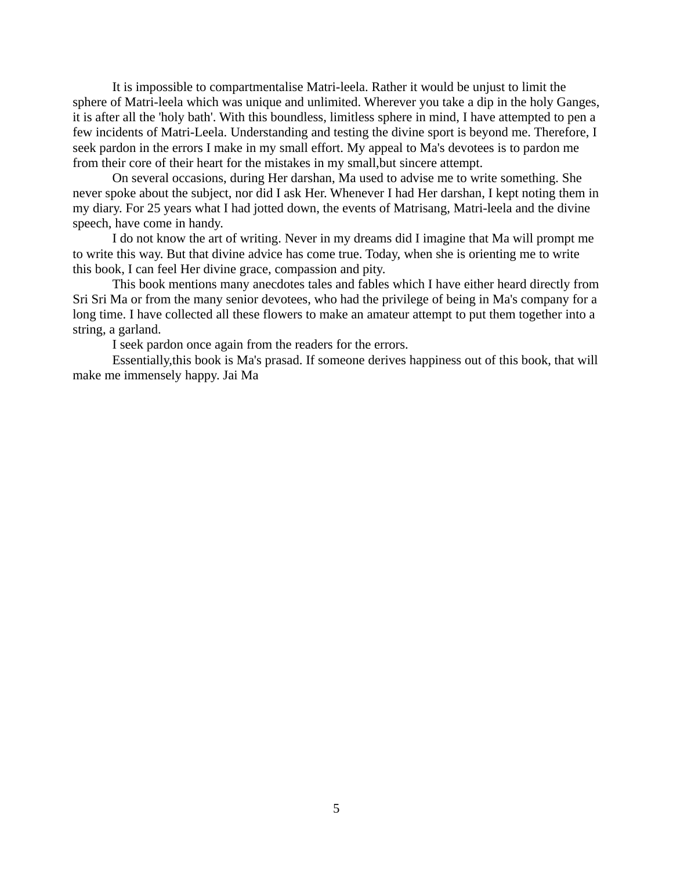It is impossible to compartmentalise Matri-leela. Rather it would be unjust to limit the sphere of Matri-leela which was unique and unlimited. Wherever you take a dip in the holy Ganges, it is after all the 'holy bath'. With this boundless, limitless sphere in mind, I have attempted to pen a few incidents of Matri-Leela. Understanding and testing the divine sport is beyond me. Therefore, I seek pardon in the errors I make in my small effort. My appeal to Ma's devotees is to pardon me from their core of their heart for the mistakes in my small,but sincere attempt.

On several occasions, during Her darshan, Ma used to advise me to write something. She never spoke about the subject, nor did I ask Her. Whenever I had Her darshan, I kept noting them in my diary. For 25 years what I had jotted down, the events of Matrisang, Matri-leela and the divine speech, have come in handy.

I do not know the art of writing. Never in my dreams did I imagine that Ma will prompt me to write this way. But that divine advice has come true. Today, when she is orienting me to write this book, I can feel Her divine grace, compassion and pity.

This book mentions many anecdotes tales and fables which I have either heard directly from Sri Sri Ma or from the many senior devotees, who had the privilege of being in Ma's company for a long time. I have collected all these flowers to make an amateur attempt to put them together into a string, a garland.

I seek pardon once again from the readers for the errors.

Essentially,this book is Ma's prasad. If someone derives happiness out of this book, that will make me immensely happy. Jai Ma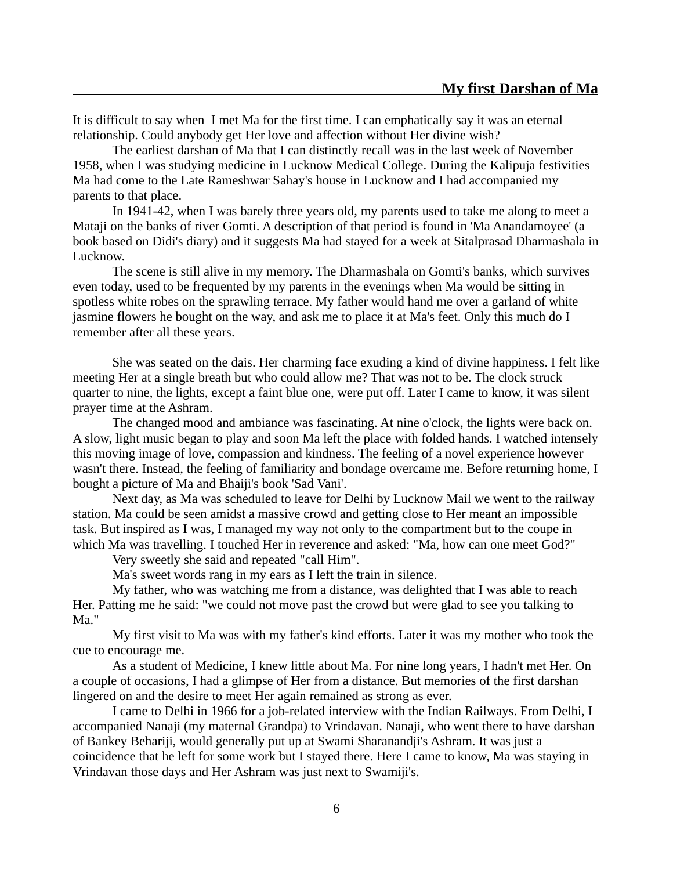It is difficult to say when I met Ma for the first time. I can emphatically say it was an eternal relationship. Could anybody get Her love and affection without Her divine wish?

The earliest darshan of Ma that I can distinctly recall was in the last week of November 1958, when I was studying medicine in Lucknow Medical College. During the Kalipuja festivities Ma had come to the Late Rameshwar Sahay's house in Lucknow and I had accompanied my parents to that place.

In 1941-42, when I was barely three years old, my parents used to take me along to meet a Mataji on the banks of river Gomti. A description of that period is found in 'Ma Anandamoyee' (a book based on Didi's diary) and it suggests Ma had stayed for a week at Sitalprasad Dharmashala in Lucknow.

The scene is still alive in my memory. The Dharmashala on Gomti's banks, which survives even today, used to be frequented by my parents in the evenings when Ma would be sitting in spotless white robes on the sprawling terrace. My father would hand me over a garland of white jasmine flowers he bought on the way, and ask me to place it at Ma's feet. Only this much do I remember after all these years.

She was seated on the dais. Her charming face exuding a kind of divine happiness. I felt like meeting Her at a single breath but who could allow me? That was not to be. The clock struck quarter to nine, the lights, except a faint blue one, were put off. Later I came to know, it was silent prayer time at the Ashram.

The changed mood and ambiance was fascinating. At nine o'clock, the lights were back on. A slow, light music began to play and soon Ma left the place with folded hands. I watched intensely this moving image of love, compassion and kindness. The feeling of a novel experience however wasn't there. Instead, the feeling of familiarity and bondage overcame me. Before returning home, I bought a picture of Ma and Bhaiji's book 'Sad Vani'.

Next day, as Ma was scheduled to leave for Delhi by Lucknow Mail we went to the railway station. Ma could be seen amidst a massive crowd and getting close to Her meant an impossible task. But inspired as I was, I managed my way not only to the compartment but to the coupe in which Ma was travelling. I touched Her in reverence and asked: "Ma, how can one meet God?"

Very sweetly she said and repeated "call Him".

Ma's sweet words rang in my ears as I left the train in silence.

My father, who was watching me from a distance, was delighted that I was able to reach Her. Patting me he said: "we could not move past the crowd but were glad to see you talking to Ma."

My first visit to Ma was with my father's kind efforts. Later it was my mother who took the cue to encourage me.

As a student of Medicine, I knew little about Ma. For nine long years, I hadn't met Her. On a couple of occasions, I had a glimpse of Her from a distance. But memories of the first darshan lingered on and the desire to meet Her again remained as strong as ever.

I came to Delhi in 1966 for a job-related interview with the Indian Railways. From Delhi, I accompanied Nanaji (my maternal Grandpa) to Vrindavan. Nanaji, who went there to have darshan of Bankey Behariji, would generally put up at Swami Sharanandji's Ashram. It was just a coincidence that he left for some work but I stayed there. Here I came to know, Ma was staying in Vrindavan those days and Her Ashram was just next to Swamiji's.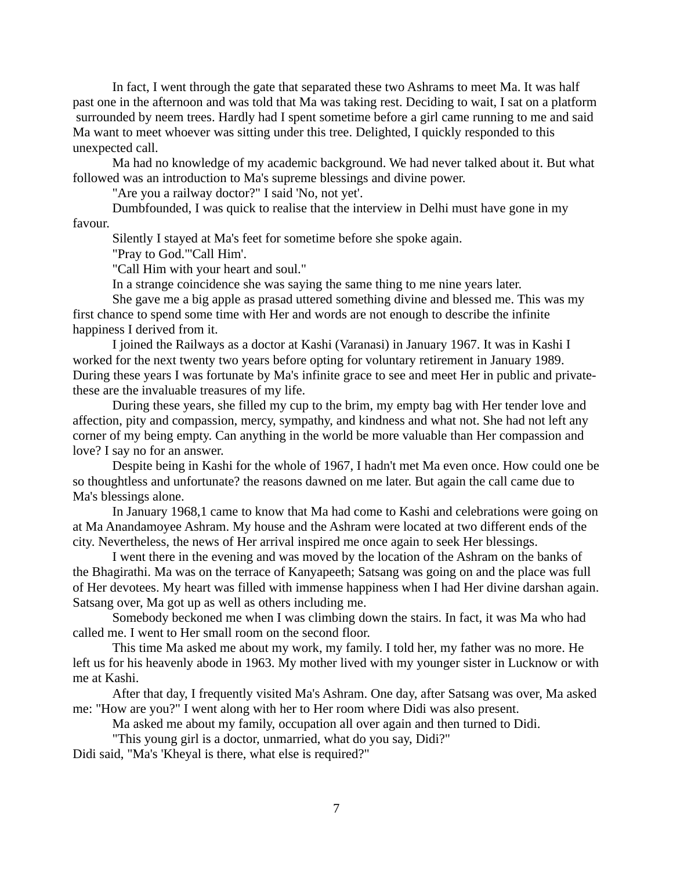In fact, I went through the gate that separated these two Ashrams to meet Ma. It was half past one in the afternoon and was told that Ma was taking rest. Deciding to wait, I sat on a platform surrounded by neem trees. Hardly had I spent sometime before a girl came running to me and said Ma want to meet whoever was sitting under this tree. Delighted, I quickly responded to this unexpected call.

Ma had no knowledge of my academic background. We had never talked about it. But what followed was an introduction to Ma's supreme blessings and divine power.

"Are you a railway doctor?" I said 'No, not yet'.

Dumbfounded, I was quick to realise that the interview in Delhi must have gone in my

favour.

Silently I stayed at Ma's feet for sometime before she spoke again.

"Pray to God."'Call Him'.

"Call Him with your heart and soul."

In a strange coincidence she was saying the same thing to me nine years later.

She gave me a big apple as prasad uttered something divine and blessed me. This was my first chance to spend some time with Her and words are not enough to describe the infinite happiness I derived from it.

I joined the Railways as a doctor at Kashi (Varanasi) in January 1967. It was in Kashi I worked for the next twenty two years before opting for voluntary retirement in January 1989. During these years I was fortunate by Ma's infinite grace to see and meet Her in public and privatethese are the invaluable treasures of my life.

During these years, she filled my cup to the brim, my empty bag with Her tender love and affection, pity and compassion, mercy, sympathy, and kindness and what not. She had not left any corner of my being empty. Can anything in the world be more valuable than Her compassion and love? I say no for an answer.

Despite being in Kashi for the whole of 1967, I hadn't met Ma even once. How could one be so thoughtless and unfortunate? the reasons dawned on me later. But again the call came due to Ma's blessings alone.

In January 1968,1 came to know that Ma had come to Kashi and celebrations were going on at Ma Anandamoyee Ashram. My house and the Ashram were located at two different ends of the city. Nevertheless, the news of Her arrival inspired me once again to seek Her blessings.

I went there in the evening and was moved by the location of the Ashram on the banks of the Bhagirathi. Ma was on the terrace of Kanyapeeth; Satsang was going on and the place was full of Her devotees. My heart was filled with immense happiness when I had Her divine darshan again. Satsang over, Ma got up as well as others including me.

Somebody beckoned me when I was climbing down the stairs. In fact, it was Ma who had called me. I went to Her small room on the second floor.

This time Ma asked me about my work, my family. I told her, my father was no more. He left us for his heavenly abode in 1963. My mother lived with my younger sister in Lucknow or with me at Kashi.

After that day, I frequently visited Ma's Ashram. One day, after Satsang was over, Ma asked me: "How are you?" I went along with her to Her room where Didi was also present.

Ma asked me about my family, occupation all over again and then turned to Didi.

"This young girl is a doctor, unmarried, what do you say, Didi?"

Didi said, "Ma's 'Kheyal is there, what else is required?"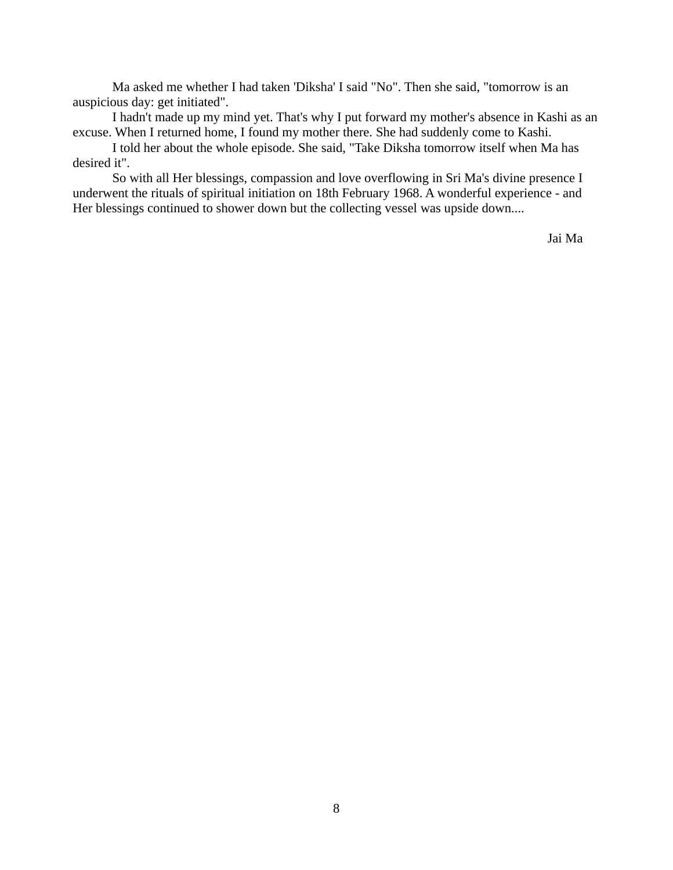Ma asked me whether I had taken 'Diksha' I said "No". Then she said, "tomorrow is an auspicious day: get initiated".

I hadn't made up my mind yet. That's why I put forward my mother's absence in Kashi as an excuse. When I returned home, I found my mother there. She had suddenly come to Kashi.

I told her about the whole episode. She said, "Take Diksha tomorrow itself when Ma has desired it".

So with all Her blessings, compassion and love overflowing in Sri Ma's divine presence I underwent the rituals of spiritual initiation on 18th February 1968. A wonderful experience - and Her blessings continued to shower down but the collecting vessel was upside down....

Jai Ma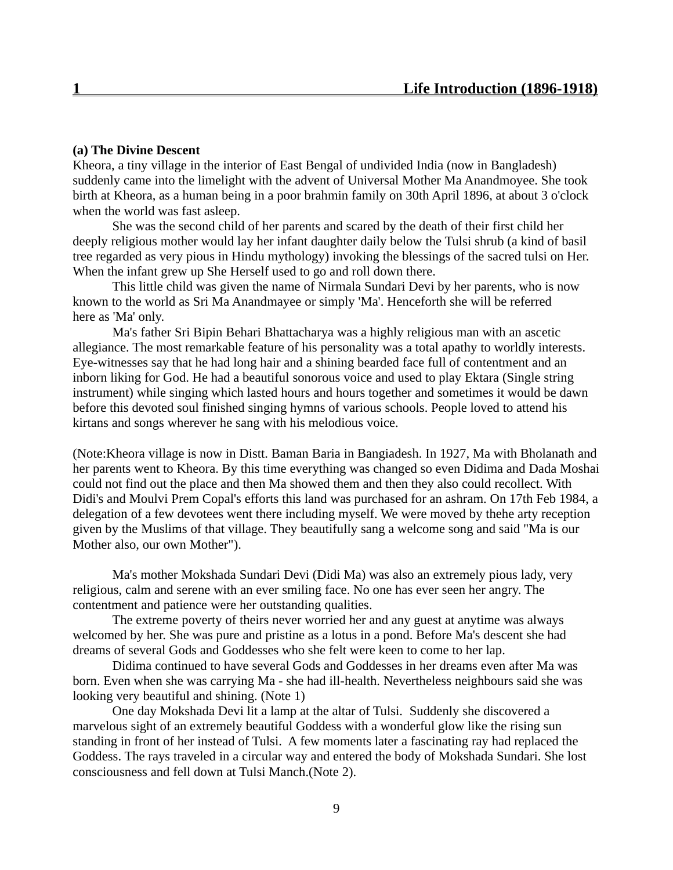# **(a) The Divine Descent**

Kheora, a tiny village in the interior of East Bengal of undivided India (now in Bangladesh) suddenly came into the limelight with the advent of Universal Mother Ma Anandmoyee. She took birth at Kheora, as a human being in a poor brahmin family on 30th April 1896, at about 3 o'clock when the world was fast asleep.

She was the second child of her parents and scared by the death of their first child her deeply religious mother would lay her infant daughter daily below the Tulsi shrub (a kind of basil tree regarded as very pious in Hindu mythology) invoking the blessings of the sacred tulsi on Her. When the infant grew up She Herself used to go and roll down there.

This little child was given the name of Nirmala Sundari Devi by her parents, who is now known to the world as Sri Ma Anandmayee or simply 'Ma'. Henceforth she will be referred here as 'Ma' only.

Ma's father Sri Bipin Behari Bhattacharya was a highly religious man with an ascetic allegiance. The most remarkable feature of his personality was a total apathy to worldly interests. Eye-witnesses say that he had long hair and a shining bearded face full of contentment and an inborn liking for God. He had a beautiful sonorous voice and used to play Ektara (Single string instrument) while singing which lasted hours and hours together and sometimes it would be dawn before this devoted soul finished singing hymns of various schools. People loved to attend his kirtans and songs wherever he sang with his melodious voice.

(Note:Kheora village is now in Distt. Baman Baria in Bangiadesh. In 1927, Ma with Bholanath and her parents went to Kheora. By this time everything was changed so even Didima and Dada Moshai could not find out the place and then Ma showed them and then they also could recollect. With Didi's and Moulvi Prem Copal's efforts this land was purchased for an ashram. On 17th Feb 1984, a delegation of a few devotees went there including myself. We were moved by thehe arty reception given by the Muslims of that village. They beautifully sang a welcome song and said "Ma is our Mother also, our own Mother").

Ma's mother Mokshada Sundari Devi (Didi Ma) was also an extremely pious lady, very religious, calm and serene with an ever smiling face. No one has ever seen her angry. The contentment and patience were her outstanding qualities.

The extreme poverty of theirs never worried her and any guest at anytime was always welcomed by her. She was pure and pristine as a lotus in a pond. Before Ma's descent she had dreams of several Gods and Goddesses who she felt were keen to come to her lap.

Didima continued to have several Gods and Goddesses in her dreams even after Ma was born. Even when she was carrying Ma - she had ill-health. Nevertheless neighbours said she was looking very beautiful and shining. (Note 1)

One day Mokshada Devi lit a lamp at the altar of Tulsi. Suddenly she discovered a marvelous sight of an extremely beautiful Goddess with a wonderful glow like the rising sun standing in front of her instead of Tulsi. A few moments later a fascinating ray had replaced the Goddess. The rays traveled in a circular way and entered the body of Mokshada Sundari. She lost consciousness and fell down at Tulsi Manch.(Note 2).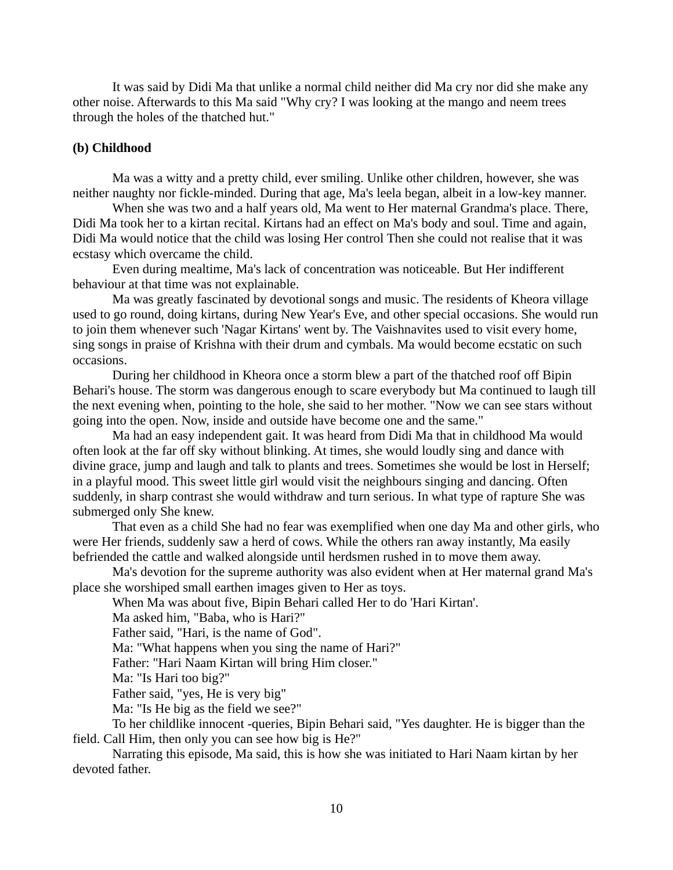It was said by Didi Ma that unlike a normal child neither did Ma cry nor did she make any other noise. Afterwards to this Ma said "Why cry? I was looking at the mango and neem trees through the holes of the thatched hut."

#### **(b) Childhood**

Ma was a witty and a pretty child, ever smiling. Unlike other children, however, she was neither naughty nor fickle-minded. During that age, Ma's leela began, albeit in a low-key manner.

When she was two and a half years old, Ma went to Her maternal Grandma's place. There, Didi Ma took her to a kirtan recital. Kirtans had an effect on Ma's body and soul. Time and again, Didi Ma would notice that the child was losing Her control Then she could not realise that it was ecstasy which overcame the child.

Even during mealtime, Ma's lack of concentration was noticeable. But Her indifferent behaviour at that time was not explainable.

Ma was greatly fascinated by devotional songs and music. The residents of Kheora village used to go round, doing kirtans, during New Year's Eve, and other special occasions. She would run to join them whenever such 'Nagar Kirtans' went by. The Vaishnavites used to visit every home, sing songs in praise of Krishna with their drum and cymbals. Ma would become ecstatic on such occasions.

During her childhood in Kheora once a storm blew a part of the thatched roof off Bipin Behari's house. The storm was dangerous enough to scare everybody but Ma continued to laugh till the next evening when, pointing to the hole, she said to her mother. "Now we can see stars without going into the open. Now, inside and outside have become one and the same."

Ma had an easy independent gait. It was heard from Didi Ma that in childhood Ma would often look at the far off sky without blinking. At times, she would loudly sing and dance with divine grace, jump and laugh and talk to plants and trees. Sometimes she would be lost in Herself; in a playful mood. This sweet little girl would visit the neighbours singing and dancing. Often suddenly, in sharp contrast she would withdraw and turn serious. In what type of rapture She was submerged only She knew.

That even as a child She had no fear was exemplified when one day Ma and other girls, who were Her friends, suddenly saw a herd of cows. While the others ran away instantly, Ma easily befriended the cattle and walked alongside until herdsmen rushed in to move them away.

Ma's devotion for the supreme authority was also evident when at Her maternal grand Ma's place she worshiped small earthen images given to Her as toys.

When Ma was about five, Bipin Behari called Her to do 'Hari Kirtan'.

Ma asked him, "Baba, who is Hari?"

Father said, "Hari, is the name of God".

Ma: "What happens when you sing the name of Hari?"

Father: "Hari Naam Kirtan will bring Him closer."

Ma: "Is Hari too big?"

Father said, "yes, He is very big"

Ma: "Is He big as the field we see?"

To her childlike innocent -queries, Bipin Behari said, "Yes daughter. He is bigger than the field. Call Him, then only you can see how big is He?"

Narrating this episode, Ma said, this is how she was initiated to Hari Naam kirtan by her devoted father.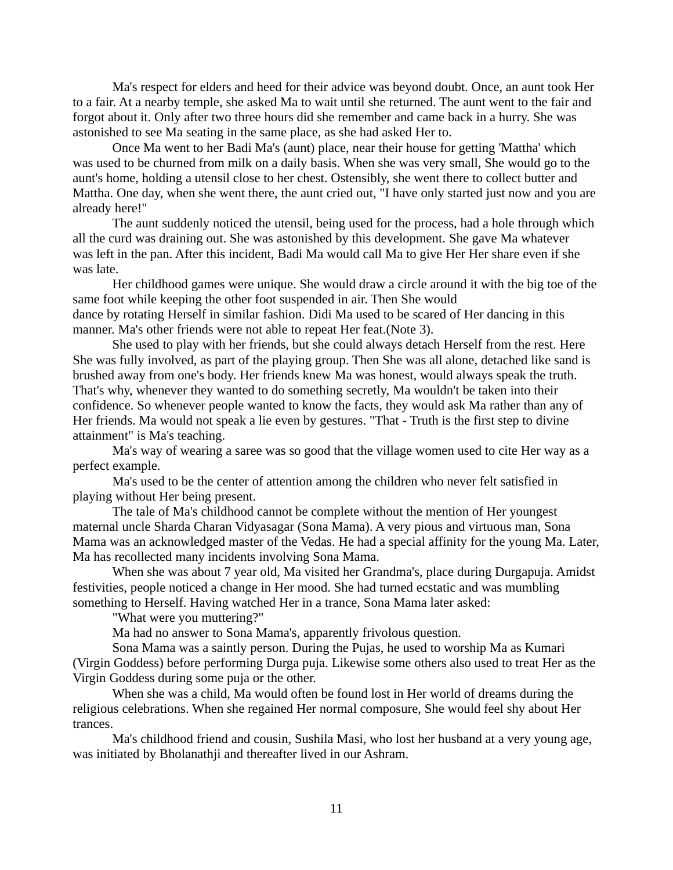Ma's respect for elders and heed for their advice was beyond doubt. Once, an aunt took Her to a fair. At a nearby temple, she asked Ma to wait until she returned. The aunt went to the fair and forgot about it. Only after two three hours did she remember and came back in a hurry. She was astonished to see Ma seating in the same place, as she had asked Her to.

Once Ma went to her Badi Ma's (aunt) place, near their house for getting 'Mattha' which was used to be churned from milk on a daily basis. When she was very small, She would go to the aunt's home, holding a utensil close to her chest. Ostensibly, she went there to collect butter and Mattha. One day, when she went there, the aunt cried out, "I have only started just now and you are already here!"

The aunt suddenly noticed the utensil, being used for the process, had a hole through which all the curd was draining out. She was astonished by this development. She gave Ma whatever was left in the pan. After this incident, Badi Ma would call Ma to give Her Her share even if she was late.

Her childhood games were unique. She would draw a circle around it with the big toe of the same foot while keeping the other foot suspended in air. Then She would dance by rotating Herself in similar fashion. Didi Ma used to be scared of Her dancing in this manner. Ma's other friends were not able to repeat Her feat.(Note 3).

She used to play with her friends, but she could always detach Herself from the rest. Here She was fully involved, as part of the playing group. Then She was all alone, detached like sand is brushed away from one's body. Her friends knew Ma was honest, would always speak the truth. That's why, whenever they wanted to do something secretly, Ma wouldn't be taken into their confidence. So whenever people wanted to know the facts, they would ask Ma rather than any of Her friends. Ma would not speak a lie even by gestures. "That - Truth is the first step to divine attainment" is Ma's teaching.

Ma's way of wearing a saree was so good that the village women used to cite Her way as a perfect example.

Ma's used to be the center of attention among the children who never felt satisfied in playing without Her being present.

The tale of Ma's childhood cannot be complete without the mention of Her youngest maternal uncle Sharda Charan Vidyasagar (Sona Mama). A very pious and virtuous man, Sona Mama was an acknowledged master of the Vedas. He had a special affinity for the young Ma. Later, Ma has recollected many incidents involving Sona Mama.

When she was about 7 year old, Ma visited her Grandma's, place during Durgapuja. Amidst festivities, people noticed a change in Her mood. She had turned ecstatic and was mumbling something to Herself. Having watched Her in a trance, Sona Mama later asked:

"What were you muttering?"

Ma had no answer to Sona Mama's, apparently frivolous question.

Sona Mama was a saintly person. During the Pujas, he used to worship Ma as Kumari (Virgin Goddess) before performing Durga puja. Likewise some others also used to treat Her as the Virgin Goddess during some puja or the other.

When she was a child, Ma would often be found lost in Her world of dreams during the religious celebrations. When she regained Her normal composure, She would feel shy about Her trances.

Ma's childhood friend and cousin, Sushila Masi, who lost her husband at a very young age, was initiated by Bholanathji and thereafter lived in our Ashram.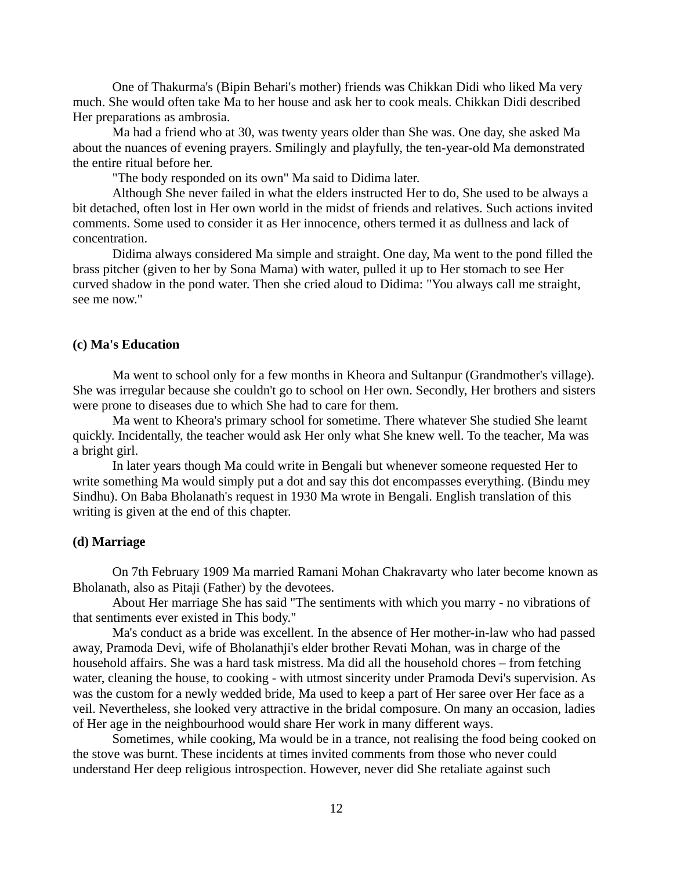One of Thakurma's (Bipin Behari's mother) friends was Chikkan Didi who liked Ma very much. She would often take Ma to her house and ask her to cook meals. Chikkan Didi described Her preparations as ambrosia.

Ma had a friend who at 30, was twenty years older than She was. One day, she asked Ma about the nuances of evening prayers. Smilingly and playfully, the ten-year-old Ma demonstrated the entire ritual before her.

"The body responded on its own" Ma said to Didima later.

Although She never failed in what the elders instructed Her to do, She used to be always a bit detached, often lost in Her own world in the midst of friends and relatives. Such actions invited comments. Some used to consider it as Her innocence, others termed it as dullness and lack of concentration.

Didima always considered Ma simple and straight. One day, Ma went to the pond filled the brass pitcher (given to her by Sona Mama) with water, pulled it up to Her stomach to see Her curved shadow in the pond water. Then she cried aloud to Didima: "You always call me straight, see me now."

# **(c) Ma's Education**

Ma went to school only for a few months in Kheora and Sultanpur (Grandmother's village). She was irregular because she couldn't go to school on Her own. Secondly, Her brothers and sisters were prone to diseases due to which She had to care for them.

Ma went to Kheora's primary school for sometime. There whatever She studied She learnt quickly. Incidentally, the teacher would ask Her only what She knew well. To the teacher, Ma was a bright girl.

In later years though Ma could write in Bengali but whenever someone requested Her to write something Ma would simply put a dot and say this dot encompasses everything. (Bindu mey Sindhu). On Baba Bholanath's request in 1930 Ma wrote in Bengali. English translation of this writing is given at the end of this chapter.

#### **(d) Marriage**

On 7th February 1909 Ma married Ramani Mohan Chakravarty who later become known as Bholanath, also as Pitaji (Father) by the devotees.

About Her marriage She has said "The sentiments with which you marry - no vibrations of that sentiments ever existed in This body."

Ma's conduct as a bride was excellent. In the absence of Her mother-in-law who had passed away, Pramoda Devi, wife of Bholanathji's elder brother Revati Mohan, was in charge of the household affairs. She was a hard task mistress. Ma did all the household chores – from fetching water, cleaning the house, to cooking - with utmost sincerity under Pramoda Devi's supervision. As was the custom for a newly wedded bride, Ma used to keep a part of Her saree over Her face as a veil. Nevertheless, she looked very attractive in the bridal composure. On many an occasion, ladies of Her age in the neighbourhood would share Her work in many different ways.

Sometimes, while cooking, Ma would be in a trance, not realising the food being cooked on the stove was burnt. These incidents at times invited comments from those who never could understand Her deep religious introspection. However, never did She retaliate against such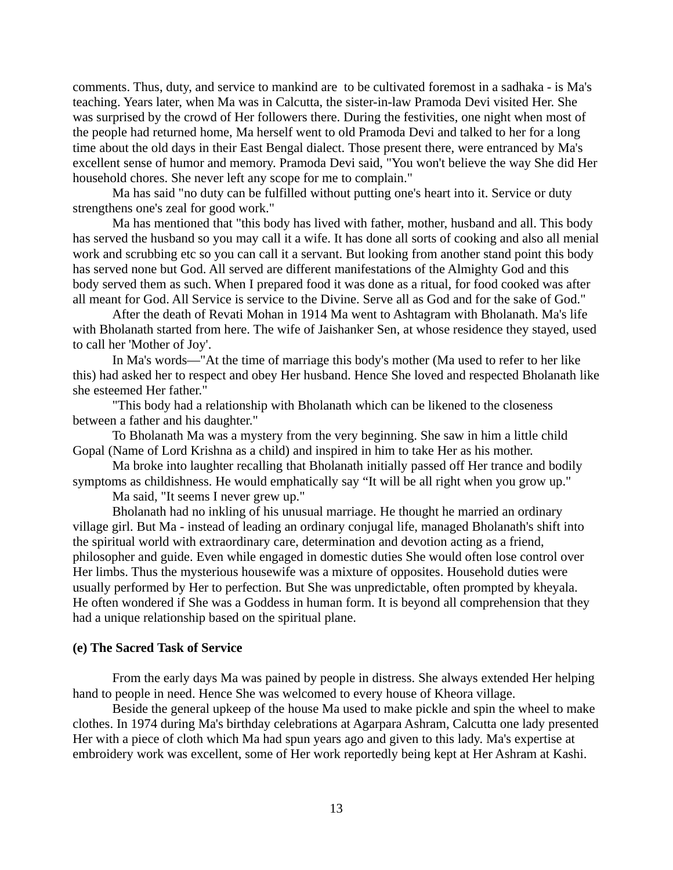comments. Thus, duty, and service to mankind are to be cultivated foremost in a sadhaka - is Ma's teaching. Years later, when Ma was in Calcutta, the sister-in-law Pramoda Devi visited Her. She was surprised by the crowd of Her followers there. During the festivities, one night when most of the people had returned home, Ma herself went to old Pramoda Devi and talked to her for a long time about the old days in their East Bengal dialect. Those present there, were entranced by Ma's excellent sense of humor and memory. Pramoda Devi said, "You won't believe the way She did Her household chores. She never left any scope for me to complain."

Ma has said "no duty can be fulfilled without putting one's heart into it. Service or duty strengthens one's zeal for good work."

Ma has mentioned that "this body has lived with father, mother, husband and all. This body has served the husband so you may call it a wife. It has done all sorts of cooking and also all menial work and scrubbing etc so you can call it a servant. But looking from another stand point this body has served none but God. All served are different manifestations of the Almighty God and this body served them as such. When I prepared food it was done as a ritual, for food cooked was after all meant for God. All Service is service to the Divine. Serve all as God and for the sake of God."

After the death of Revati Mohan in 1914 Ma went to Ashtagram with Bholanath. Ma's life with Bholanath started from here. The wife of Jaishanker Sen, at whose residence they stayed, used to call her 'Mother of Joy'.

In Ma's words—"At the time of marriage this body's mother (Ma used to refer to her like this) had asked her to respect and obey Her husband. Hence She loved and respected Bholanath like she esteemed Her father."

"This body had a relationship with Bholanath which can be likened to the closeness between a father and his daughter."

To Bholanath Ma was a mystery from the very beginning. She saw in him a little child Gopal (Name of Lord Krishna as a child) and inspired in him to take Her as his mother.

Ma broke into laughter recalling that Bholanath initially passed off Her trance and bodily symptoms as childishness. He would emphatically say "It will be all right when you grow up."

Ma said, "It seems I never grew up."

Bholanath had no inkling of his unusual marriage. He thought he married an ordinary village girl. But Ma - instead of leading an ordinary conjugal life, managed Bholanath's shift into the spiritual world with extraordinary care, determination and devotion acting as a friend, philosopher and guide. Even while engaged in domestic duties She would often lose control over Her limbs. Thus the mysterious housewife was a mixture of opposites. Household duties were usually performed by Her to perfection. But She was unpredictable, often prompted by kheyala. He often wondered if She was a Goddess in human form. It is beyond all comprehension that they had a unique relationship based on the spiritual plane.

# **(e) The Sacred Task of Service**

From the early days Ma was pained by people in distress. She always extended Her helping hand to people in need. Hence She was welcomed to every house of Kheora village.

Beside the general upkeep of the house Ma used to make pickle and spin the wheel to make clothes. In 1974 during Ma's birthday celebrations at Agarpara Ashram, Calcutta one lady presented Her with a piece of cloth which Ma had spun years ago and given to this lady. Ma's expertise at embroidery work was excellent, some of Her work reportedly being kept at Her Ashram at Kashi.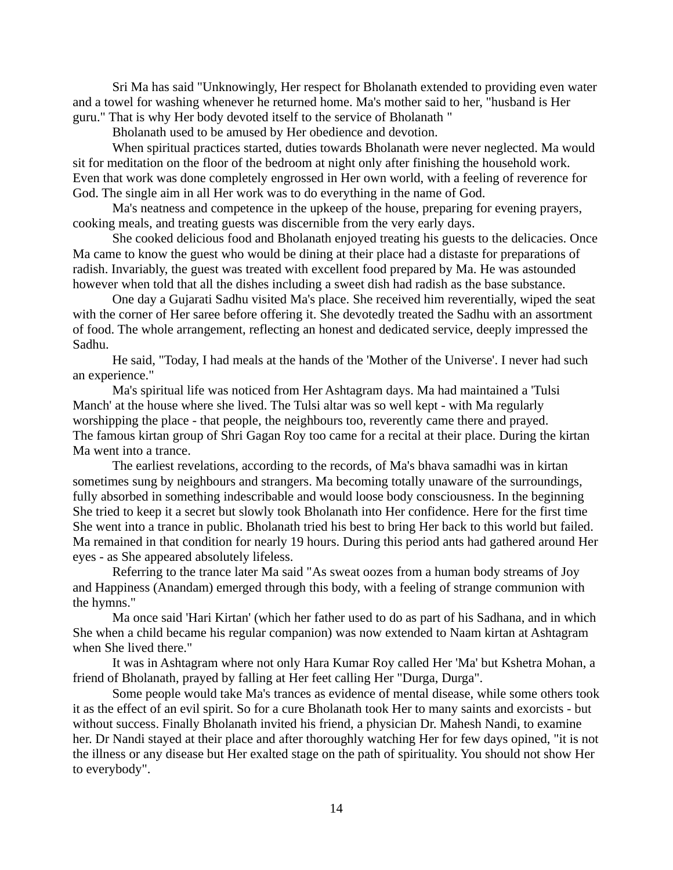Sri Ma has said "Unknowingly, Her respect for Bholanath extended to providing even water and a towel for washing whenever he returned home. Ma's mother said to her, "husband is Her guru." That is why Her body devoted itself to the service of Bholanath "

Bholanath used to be amused by Her obedience and devotion.

When spiritual practices started, duties towards Bholanath were never neglected. Ma would sit for meditation on the floor of the bedroom at night only after finishing the household work. Even that work was done completely engrossed in Her own world, with a feeling of reverence for God. The single aim in all Her work was to do everything in the name of God.

Ma's neatness and competence in the upkeep of the house, preparing for evening prayers, cooking meals, and treating guests was discernible from the very early days.

She cooked delicious food and Bholanath enjoyed treating his guests to the delicacies. Once Ma came to know the guest who would be dining at their place had a distaste for preparations of radish. Invariably, the guest was treated with excellent food prepared by Ma. He was astounded however when told that all the dishes including a sweet dish had radish as the base substance.

One day a Gujarati Sadhu visited Ma's place. She received him reverentially, wiped the seat with the corner of Her saree before offering it. She devotedly treated the Sadhu with an assortment of food. The whole arrangement, reflecting an honest and dedicated service, deeply impressed the Sadhu.

He said, "Today, I had meals at the hands of the 'Mother of the Universe'. I never had such an experience."

Ma's spiritual life was noticed from Her Ashtagram days. Ma had maintained a 'Tulsi Manch' at the house where she lived. The Tulsi altar was so well kept - with Ma regularly worshipping the place - that people, the neighbours too, reverently came there and prayed. The famous kirtan group of Shri Gagan Roy too came for a recital at their place. During the kirtan Ma went into a trance.

The earliest revelations, according to the records, of Ma's bhava samadhi was in kirtan sometimes sung by neighbours and strangers. Ma becoming totally unaware of the surroundings, fully absorbed in something indescribable and would loose body consciousness. In the beginning She tried to keep it a secret but slowly took Bholanath into Her confidence. Here for the first time She went into a trance in public. Bholanath tried his best to bring Her back to this world but failed. Ma remained in that condition for nearly 19 hours. During this period ants had gathered around Her eyes - as She appeared absolutely lifeless.

Referring to the trance later Ma said "As sweat oozes from a human body streams of Joy and Happiness (Anandam) emerged through this body, with a feeling of strange communion with the hymns."

Ma once said 'Hari Kirtan' (which her father used to do as part of his Sadhana, and in which She when a child became his regular companion) was now extended to Naam kirtan at Ashtagram when She lived there."

It was in Ashtagram where not only Hara Kumar Roy called Her 'Ma' but Kshetra Mohan, a friend of Bholanath, prayed by falling at Her feet calling Her "Durga, Durga".

Some people would take Ma's trances as evidence of mental disease, while some others took it as the effect of an evil spirit. So for a cure Bholanath took Her to many saints and exorcists - but without success. Finally Bholanath invited his friend, a physician Dr. Mahesh Nandi, to examine her. Dr Nandi stayed at their place and after thoroughly watching Her for few days opined, "it is not the illness or any disease but Her exalted stage on the path of spirituality. You should not show Her to everybody".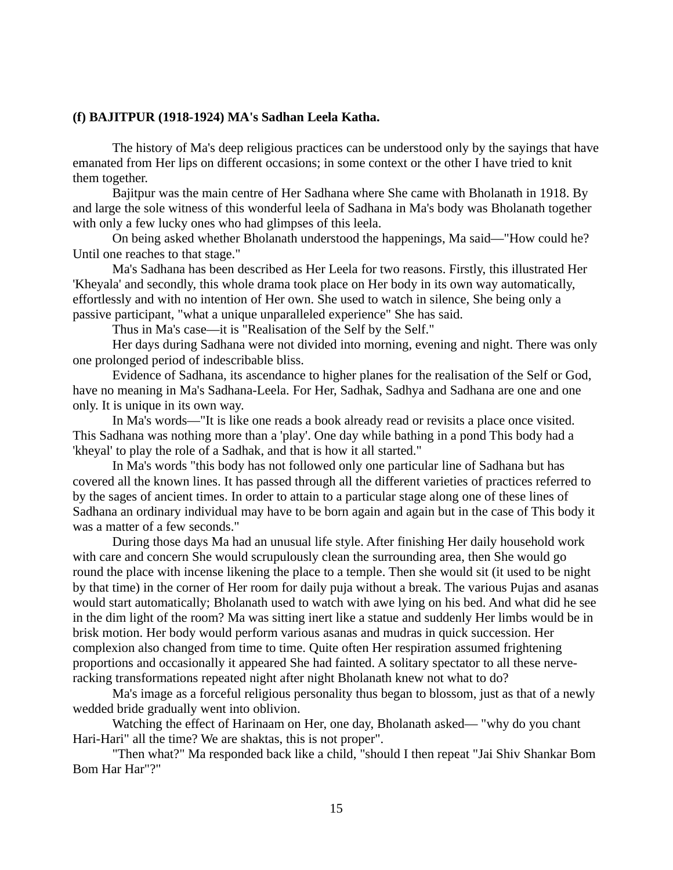# **(f) BAJITPUR (1918-1924) MA's Sadhan Leela Katha.**

The history of Ma's deep religious practices can be understood only by the sayings that have emanated from Her lips on different occasions; in some context or the other I have tried to knit them together.

Bajitpur was the main centre of Her Sadhana where She came with Bholanath in 1918. By and large the sole witness of this wonderful leela of Sadhana in Ma's body was Bholanath together with only a few lucky ones who had glimpses of this leela.

On being asked whether Bholanath understood the happenings, Ma said—"How could he? Until one reaches to that stage."

Ma's Sadhana has been described as Her Leela for two reasons. Firstly, this illustrated Her 'Kheyala' and secondly, this whole drama took place on Her body in its own way automatically, effortlessly and with no intention of Her own. She used to watch in silence, She being only a passive participant, "what a unique unparalleled experience" She has said.

Thus in Ma's case—it is "Realisation of the Self by the Self."

Her days during Sadhana were not divided into morning, evening and night. There was only one prolonged period of indescribable bliss.

Evidence of Sadhana, its ascendance to higher planes for the realisation of the Self or God, have no meaning in Ma's Sadhana-Leela. For Her, Sadhak, Sadhya and Sadhana are one and one only. It is unique in its own way.

In Ma's words—"It is like one reads a book already read or revisits a place once visited. This Sadhana was nothing more than a 'play'. One day while bathing in a pond This body had a 'kheyal' to play the role of a Sadhak, and that is how it all started."

In Ma's words "this body has not followed only one particular line of Sadhana but has covered all the known lines. It has passed through all the different varieties of practices referred to by the sages of ancient times. In order to attain to a particular stage along one of these lines of Sadhana an ordinary individual may have to be born again and again but in the case of This body it was a matter of a few seconds."

During those days Ma had an unusual life style. After finishing Her daily household work with care and concern She would scrupulously clean the surrounding area, then She would go round the place with incense likening the place to a temple. Then she would sit (it used to be night by that time) in the corner of Her room for daily puja without a break. The various Pujas and asanas would start automatically; Bholanath used to watch with awe lying on his bed. And what did he see in the dim light of the room? Ma was sitting inert like a statue and suddenly Her limbs would be in brisk motion. Her body would perform various asanas and mudras in quick succession. Her complexion also changed from time to time. Quite often Her respiration assumed frightening proportions and occasionally it appeared She had fainted. A solitary spectator to all these nerveracking transformations repeated night after night Bholanath knew not what to do?

Ma's image as a forceful religious personality thus began to blossom, just as that of a newly wedded bride gradually went into oblivion.

Watching the effect of Harinaam on Her, one day, Bholanath asked— "why do you chant Hari-Hari" all the time? We are shaktas, this is not proper".

"Then what?" Ma responded back like a child, "should I then repeat "Jai Shiv Shankar Bom Bom Har Har"?"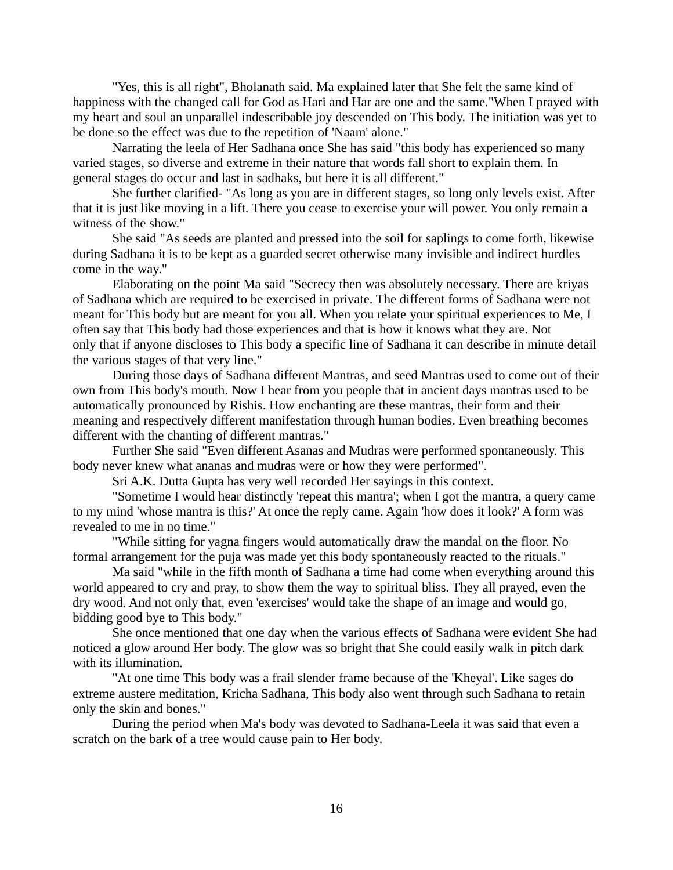"Yes, this is all right", Bholanath said. Ma explained later that She felt the same kind of happiness with the changed call for God as Hari and Har are one and the same."When I prayed with my heart and soul an unparallel indescribable joy descended on This body. The initiation was yet to be done so the effect was due to the repetition of 'Naam' alone."

Narrating the leela of Her Sadhana once She has said "this body has experienced so many varied stages, so diverse and extreme in their nature that words fall short to explain them. In general stages do occur and last in sadhaks, but here it is all different."

She further clarified- "As long as you are in different stages, so long only levels exist. After that it is just like moving in a lift. There you cease to exercise your will power. You only remain a witness of the show."

She said "As seeds are planted and pressed into the soil for saplings to come forth, likewise during Sadhana it is to be kept as a guarded secret otherwise many invisible and indirect hurdles come in the way."

Elaborating on the point Ma said "Secrecy then was absolutely necessary. There are kriyas of Sadhana which are required to be exercised in private. The different forms of Sadhana were not meant for This body but are meant for you all. When you relate your spiritual experiences to Me, I often say that This body had those experiences and that is how it knows what they are. Not only that if anyone discloses to This body a specific line of Sadhana it can describe in minute detail the various stages of that very line."

During those days of Sadhana different Mantras, and seed Mantras used to come out of their own from This body's mouth. Now I hear from you people that in ancient days mantras used to be automatically pronounced by Rishis. How enchanting are these mantras, their form and their meaning and respectively different manifestation through human bodies. Even breathing becomes different with the chanting of different mantras."

Further She said "Even different Asanas and Mudras were performed spontaneously. This body never knew what ananas and mudras were or how they were performed".

Sri A.K. Dutta Gupta has very well recorded Her sayings in this context.

"Sometime I would hear distinctly 'repeat this mantra'; when I got the mantra, a query came to my mind 'whose mantra is this?' At once the reply came. Again 'how does it look?' A form was revealed to me in no time."

"While sitting for yagna fingers would automatically draw the mandal on the floor. No formal arrangement for the puja was made yet this body spontaneously reacted to the rituals."

Ma said "while in the fifth month of Sadhana a time had come when everything around this world appeared to cry and pray, to show them the way to spiritual bliss. They all prayed, even the dry wood. And not only that, even 'exercises' would take the shape of an image and would go, bidding good bye to This body."

She once mentioned that one day when the various effects of Sadhana were evident She had noticed a glow around Her body. The glow was so bright that She could easily walk in pitch dark with its illumination.

"At one time This body was a frail slender frame because of the 'Kheyal'. Like sages do extreme austere meditation, Kricha Sadhana, This body also went through such Sadhana to retain only the skin and bones."

During the period when Ma's body was devoted to Sadhana-Leela it was said that even a scratch on the bark of a tree would cause pain to Her body.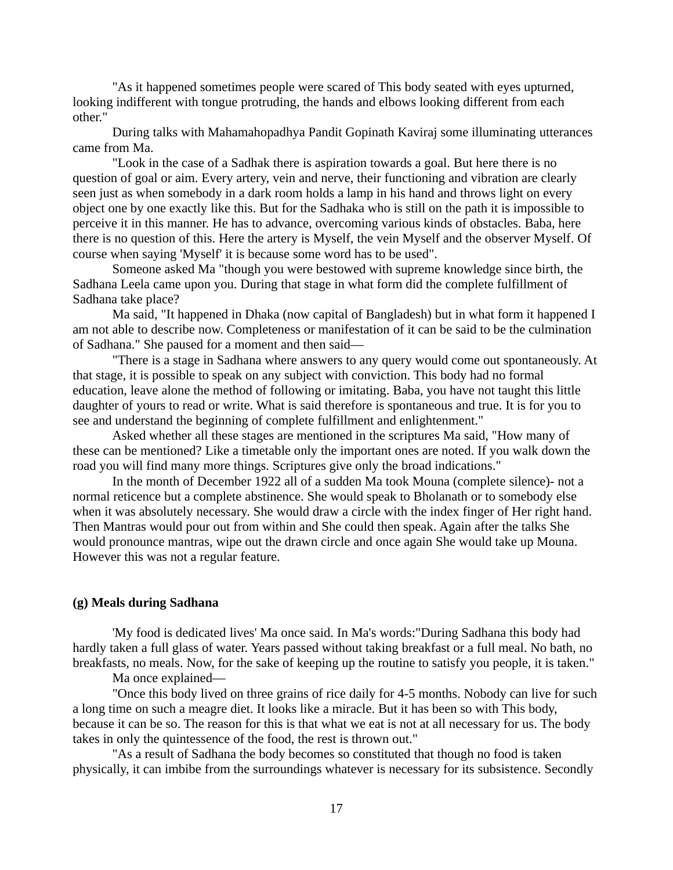"As it happened sometimes people were scared of This body seated with eyes upturned, looking indifferent with tongue protruding, the hands and elbows looking different from each other."

During talks with Mahamahopadhya Pandit Gopinath Kaviraj some illuminating utterances came from Ma.

"Look in the case of a Sadhak there is aspiration towards a goal. But here there is no question of goal or aim. Every artery, vein and nerve, their functioning and vibration are clearly seen just as when somebody in a dark room holds a lamp in his hand and throws light on every object one by one exactly like this. But for the Sadhaka who is still on the path it is impossible to perceive it in this manner. He has to advance, overcoming various kinds of obstacles. Baba, here there is no question of this. Here the artery is Myself, the vein Myself and the observer Myself. Of course when saying 'Myself' it is because some word has to be used".

Someone asked Ma "though you were bestowed with supreme knowledge since birth, the Sadhana Leela came upon you. During that stage in what form did the complete fulfillment of Sadhana take place?

Ma said, "It happened in Dhaka (now capital of Bangladesh) but in what form it happened I am not able to describe now. Completeness or manifestation of it can be said to be the culmination of Sadhana." She paused for a moment and then said—

"There is a stage in Sadhana where answers to any query would come out spontaneously. At that stage, it is possible to speak on any subject with conviction. This body had no formal education, leave alone the method of following or imitating. Baba, you have not taught this little daughter of yours to read or write. What is said therefore is spontaneous and true. It is for you to see and understand the beginning of complete fulfillment and enlightenment."

Asked whether all these stages are mentioned in the scriptures Ma said, "How many of these can be mentioned? Like a timetable only the important ones are noted. If you walk down the road you will find many more things. Scriptures give only the broad indications."

In the month of December 1922 all of a sudden Ma took Mouna (complete silence)- not a normal reticence but a complete abstinence. She would speak to Bholanath or to somebody else when it was absolutely necessary. She would draw a circle with the index finger of Her right hand. Then Mantras would pour out from within and She could then speak. Again after the talks She would pronounce mantras, wipe out the drawn circle and once again She would take up Mouna. However this was not a regular feature.

# **(g) Meals during Sadhana**

'My food is dedicated lives' Ma once said. In Ma's words:"During Sadhana this body had hardly taken a full glass of water. Years passed without taking breakfast or a full meal. No bath, no breakfasts, no meals. Now, for the sake of keeping up the routine to satisfy you people, it is taken."

Ma once explained—

"Once this body lived on three grains of rice daily for 4-5 months. Nobody can live for such a long time on such a meagre diet. It looks like a miracle. But it has been so with This body, because it can be so. The reason for this is that what we eat is not at all necessary for us. The body takes in only the quintessence of the food, the rest is thrown out."

"As a result of Sadhana the body becomes so constituted that though no food is taken physically, it can imbibe from the surroundings whatever is necessary for its subsistence. Secondly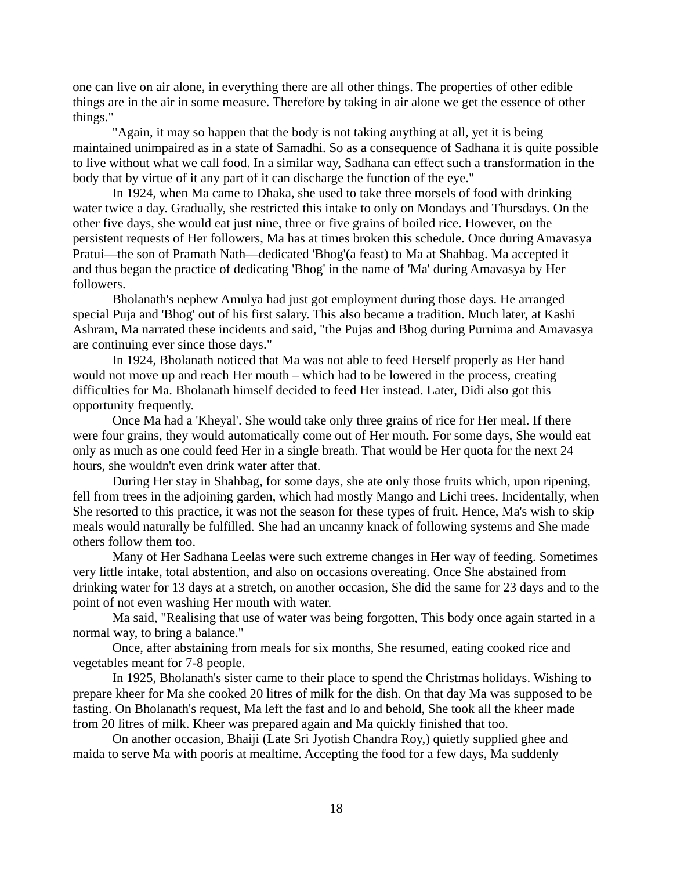one can live on air alone, in everything there are all other things. The properties of other edible things are in the air in some measure. Therefore by taking in air alone we get the essence of other things."

"Again, it may so happen that the body is not taking anything at all, yet it is being maintained unimpaired as in a state of Samadhi. So as a consequence of Sadhana it is quite possible to live without what we call food. In a similar way, Sadhana can effect such a transformation in the body that by virtue of it any part of it can discharge the function of the eye."

In 1924, when Ma came to Dhaka, she used to take three morsels of food with drinking water twice a day. Gradually, she restricted this intake to only on Mondays and Thursdays. On the other five days, she would eat just nine, three or five grains of boiled rice. However, on the persistent requests of Her followers, Ma has at times broken this schedule. Once during Amavasya Pratui—the son of Pramath Nath—dedicated 'Bhog'(a feast) to Ma at Shahbag. Ma accepted it and thus began the practice of dedicating 'Bhog' in the name of 'Ma' during Amavasya by Her followers.

Bholanath's nephew Amulya had just got employment during those days. He arranged special Puja and 'Bhog' out of his first salary. This also became a tradition. Much later, at Kashi Ashram, Ma narrated these incidents and said, "the Pujas and Bhog during Purnima and Amavasya are continuing ever since those days."

In 1924, Bholanath noticed that Ma was not able to feed Herself properly as Her hand would not move up and reach Her mouth – which had to be lowered in the process, creating difficulties for Ma. Bholanath himself decided to feed Her instead. Later, Didi also got this opportunity frequently.

Once Ma had a 'Kheyal'. She would take only three grains of rice for Her meal. If there were four grains, they would automatically come out of Her mouth. For some days, She would eat only as much as one could feed Her in a single breath. That would be Her quota for the next 24 hours, she wouldn't even drink water after that.

During Her stay in Shahbag, for some days, she ate only those fruits which, upon ripening, fell from trees in the adjoining garden, which had mostly Mango and Lichi trees. Incidentally, when She resorted to this practice, it was not the season for these types of fruit. Hence, Ma's wish to skip meals would naturally be fulfilled. She had an uncanny knack of following systems and She made others follow them too.

Many of Her Sadhana Leelas were such extreme changes in Her way of feeding. Sometimes very little intake, total abstention, and also on occasions overeating. Once She abstained from drinking water for 13 days at a stretch, on another occasion, She did the same for 23 days and to the point of not even washing Her mouth with water.

Ma said, "Realising that use of water was being forgotten, This body once again started in a normal way, to bring a balance."

Once, after abstaining from meals for six months, She resumed, eating cooked rice and vegetables meant for 7-8 people.

In 1925, Bholanath's sister came to their place to spend the Christmas holidays. Wishing to prepare kheer for Ma she cooked 20 litres of milk for the dish. On that day Ma was supposed to be fasting. On Bholanath's request, Ma left the fast and lo and behold, She took all the kheer made from 20 litres of milk. Kheer was prepared again and Ma quickly finished that too.

On another occasion, Bhaiji (Late Sri Jyotish Chandra Roy,) quietly supplied ghee and maida to serve Ma with pooris at mealtime. Accepting the food for a few days, Ma suddenly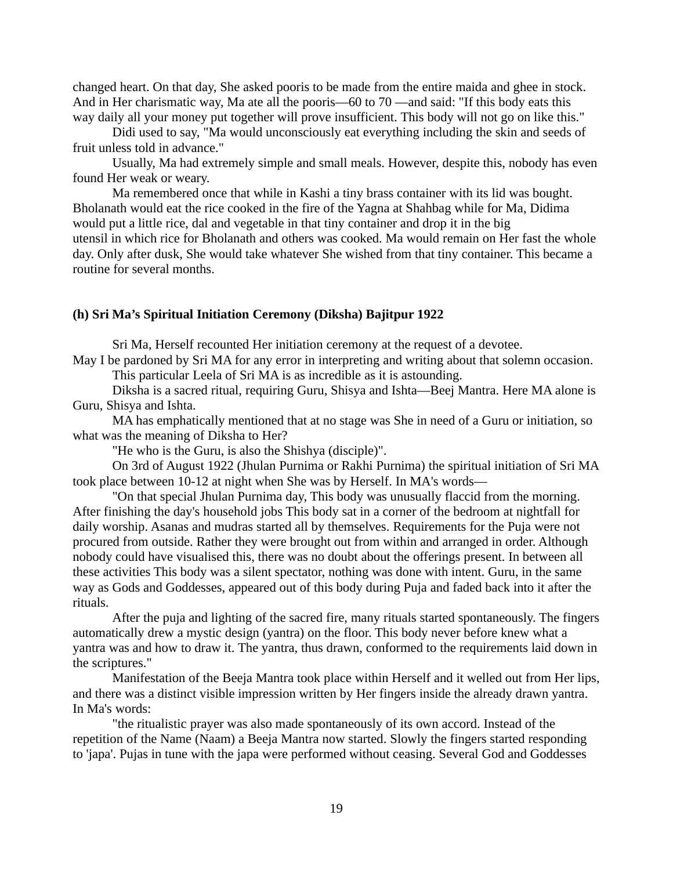changed heart. On that day, She asked pooris to be made from the entire maida and ghee in stock. And in Her charismatic way, Ma ate all the pooris—60 to 70 —and said: "If this body eats this way daily all your money put together will prove insufficient. This body will not go on like this."

Didi used to say, "Ma would unconsciously eat everything including the skin and seeds of fruit unless told in advance."

Usually, Ma had extremely simple and small meals. However, despite this, nobody has even found Her weak or weary.

Ma remembered once that while in Kashi a tiny brass container with its lid was bought. Bholanath would eat the rice cooked in the fire of the Yagna at Shahbag while for Ma, Didima would put a little rice, dal and vegetable in that tiny container and drop it in the big utensil in which rice for Bholanath and others was cooked. Ma would remain on Her fast the whole day. Only after dusk, She would take whatever She wished from that tiny container. This became a routine for several months.

# **(h) Sri Ma's Spiritual Initiation Ceremony (Diksha) Bajitpur 1922**

Sri Ma, Herself recounted Her initiation ceremony at the request of a devotee. May I be pardoned by Sri MA for any error in interpreting and writing about that solemn occasion.

This particular Leela of Sri MA is as incredible as it is astounding.

Diksha is a sacred ritual, requiring Guru, Shisya and Ishta—Beej Mantra. Here MA alone is Guru, Shisya and Ishta.

MA has emphatically mentioned that at no stage was She in need of a Guru or initiation, so what was the meaning of Diksha to Her?

"He who is the Guru, is also the Shishya (disciple)".

On 3rd of August 1922 (Jhulan Purnima or Rakhi Purnima) the spiritual initiation of Sri MA took place between 10-12 at night when She was by Herself. In MA's words—

"On that special Jhulan Purnima day, This body was unusually flaccid from the morning. After finishing the day's household jobs This body sat in a corner of the bedroom at nightfall for daily worship. Asanas and mudras started all by themselves. Requirements for the Puja were not procured from outside. Rather they were brought out from within and arranged in order. Although nobody could have visualised this, there was no doubt about the offerings present. In between all these activities This body was a silent spectator, nothing was done with intent. Guru, in the same way as Gods and Goddesses, appeared out of this body during Puja and faded back into it after the rituals.

After the puja and lighting of the sacred fire, many rituals started spontaneously. The fingers automatically drew a mystic design (yantra) on the floor. This body never before knew what a yantra was and how to draw it. The yantra, thus drawn, conformed to the requirements laid down in the scriptures."

Manifestation of the Beeja Mantra took place within Herself and it welled out from Her lips, and there was a distinct visible impression written by Her fingers inside the already drawn yantra. In Ma's words:

"the ritualistic prayer was also made spontaneously of its own accord. Instead of the repetition of the Name (Naam) a Beeja Mantra now started. Slowly the fingers started responding to 'japa'. Pujas in tune with the japa were performed without ceasing. Several God and Goddesses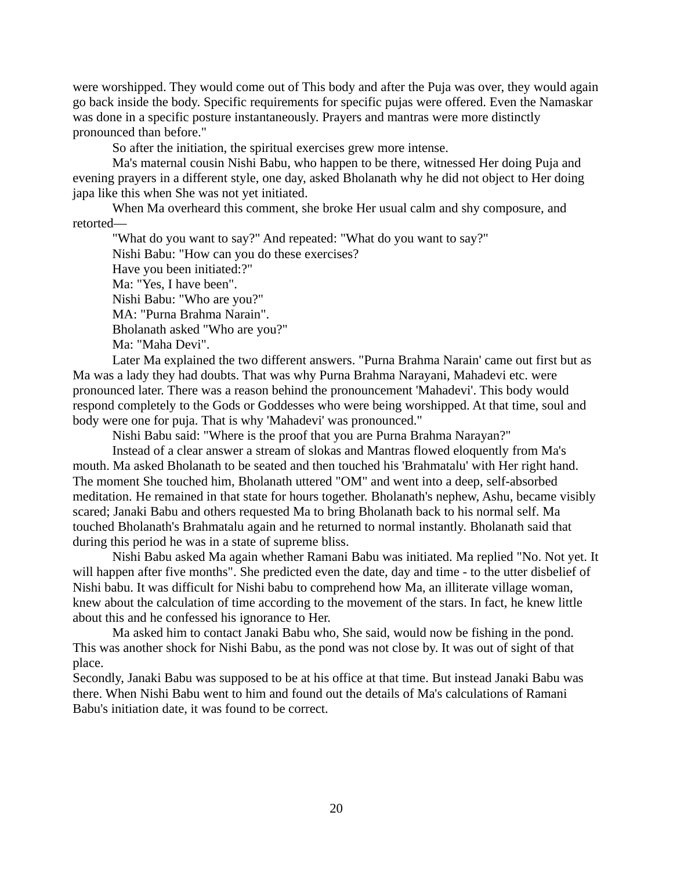were worshipped. They would come out of This body and after the Puja was over, they would again go back inside the body. Specific requirements for specific pujas were offered. Even the Namaskar was done in a specific posture instantaneously. Prayers and mantras were more distinctly pronounced than before."

So after the initiation, the spiritual exercises grew more intense.

Ma's maternal cousin Nishi Babu, who happen to be there, witnessed Her doing Puja and evening prayers in a different style, one day, asked Bholanath why he did not object to Her doing japa like this when She was not yet initiated.

When Ma overheard this comment, she broke Her usual calm and shy composure, and retorted—

"What do you want to say?" And repeated: "What do you want to say?" Nishi Babu: "How can you do these exercises? Have you been initiated:?" Ma: "Yes, I have been". Nishi Babu: "Who are you?" MA: "Purna Brahma Narain". Bholanath asked "Who are you?" Ma: "Maha Devi".

Later Ma explained the two different answers. "Purna Brahma Narain' came out first but as Ma was a lady they had doubts. That was why Purna Brahma Narayani, Mahadevi etc. were pronounced later. There was a reason behind the pronouncement 'Mahadevi'. This body would respond completely to the Gods or Goddesses who were being worshipped. At that time, soul and body were one for puja. That is why 'Mahadevi' was pronounced."

Nishi Babu said: "Where is the proof that you are Purna Brahma Narayan?"

Instead of a clear answer a stream of slokas and Mantras flowed eloquently from Ma's mouth. Ma asked Bholanath to be seated and then touched his 'Brahmatalu' with Her right hand. The moment She touched him, Bholanath uttered "OM" and went into a deep, self-absorbed meditation. He remained in that state for hours together. Bholanath's nephew, Ashu, became visibly scared; Janaki Babu and others requested Ma to bring Bholanath back to his normal self. Ma touched Bholanath's Brahmatalu again and he returned to normal instantly. Bholanath said that during this period he was in a state of supreme bliss.

Nishi Babu asked Ma again whether Ramani Babu was initiated. Ma replied "No. Not yet. It will happen after five months". She predicted even the date, day and time - to the utter disbelief of Nishi babu. It was difficult for Nishi babu to comprehend how Ma, an illiterate village woman, knew about the calculation of time according to the movement of the stars. In fact, he knew little about this and he confessed his ignorance to Her.

Ma asked him to contact Janaki Babu who, She said, would now be fishing in the pond. This was another shock for Nishi Babu, as the pond was not close by. It was out of sight of that place.

Secondly, Janaki Babu was supposed to be at his office at that time. But instead Janaki Babu was there. When Nishi Babu went to him and found out the details of Ma's calculations of Ramani Babu's initiation date, it was found to be correct.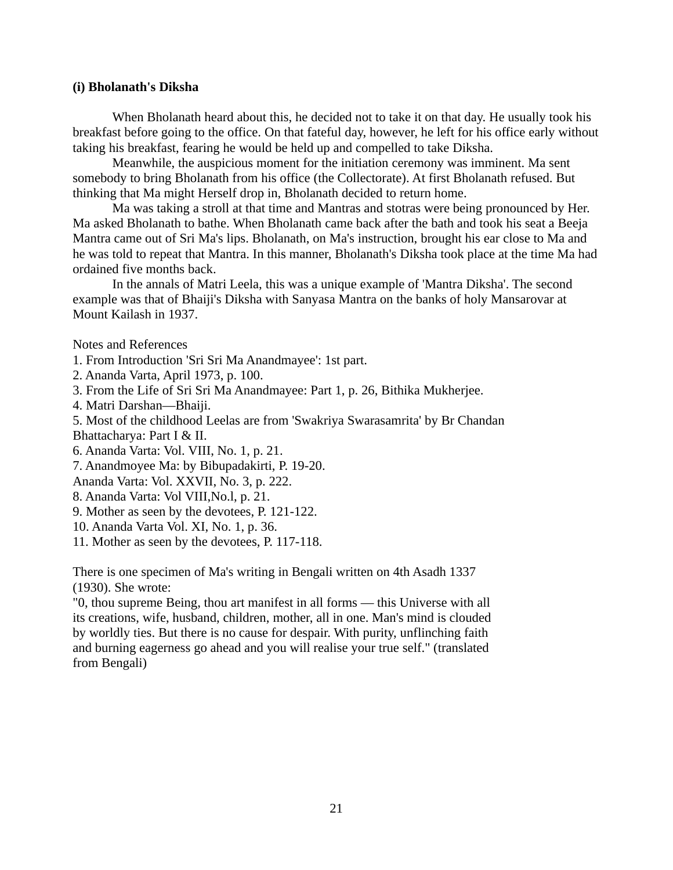# **(i) Bholanath's Diksha**

When Bholanath heard about this, he decided not to take it on that day. He usually took his breakfast before going to the office. On that fateful day, however, he left for his office early without taking his breakfast, fearing he would be held up and compelled to take Diksha.

Meanwhile, the auspicious moment for the initiation ceremony was imminent. Ma sent somebody to bring Bholanath from his office (the Collectorate). At first Bholanath refused. But thinking that Ma might Herself drop in, Bholanath decided to return home.

Ma was taking a stroll at that time and Mantras and stotras were being pronounced by Her. Ma asked Bholanath to bathe. When Bholanath came back after the bath and took his seat a Beeja Mantra came out of Sri Ma's lips. Bholanath, on Ma's instruction, brought his ear close to Ma and he was told to repeat that Mantra. In this manner, Bholanath's Diksha took place at the time Ma had ordained five months back.

In the annals of Matri Leela, this was a unique example of 'Mantra Diksha'. The second example was that of Bhaiji's Diksha with Sanyasa Mantra on the banks of holy Mansarovar at Mount Kailash in 1937.

Notes and References

1. From Introduction 'Sri Sri Ma Anandmayee': 1st part.

2. Ananda Varta, April 1973, p. 100.

3. From the Life of Sri Sri Ma Anandmayee: Part 1, p. 26, Bithika Mukherjee.

4. Matri Darshan—Bhaiji.

5. Most of the childhood Leelas are from 'Swakriya Swarasamrita' by Br Chandan

Bhattacharya: Part I & II.

6. Ananda Varta: Vol. VIII, No. 1, p. 21.

7. Anandmoyee Ma: by Bibupadakirti, P. 19-20.

Ananda Varta: Vol. XXVII, No. 3, p. 222.

- 8. Ananda Varta: Vol VIII,No.l, p. 21.
- 9. Mother as seen by the devotees, P. 121-122.
- 10. Ananda Varta Vol. XI, No. 1, p. 36.
- 11. Mother as seen by the devotees, P. 117-118.

There is one specimen of Ma's writing in Bengali written on 4th Asadh 1337 (1930). She wrote:

"0, thou supreme Being, thou art manifest in all forms — this Universe with all its creations, wife, husband, children, mother, all in one. Man's mind is clouded by worldly ties. But there is no cause for despair. With purity, unflinching faith and burning eagerness go ahead and you will realise your true self." (translated from Bengali)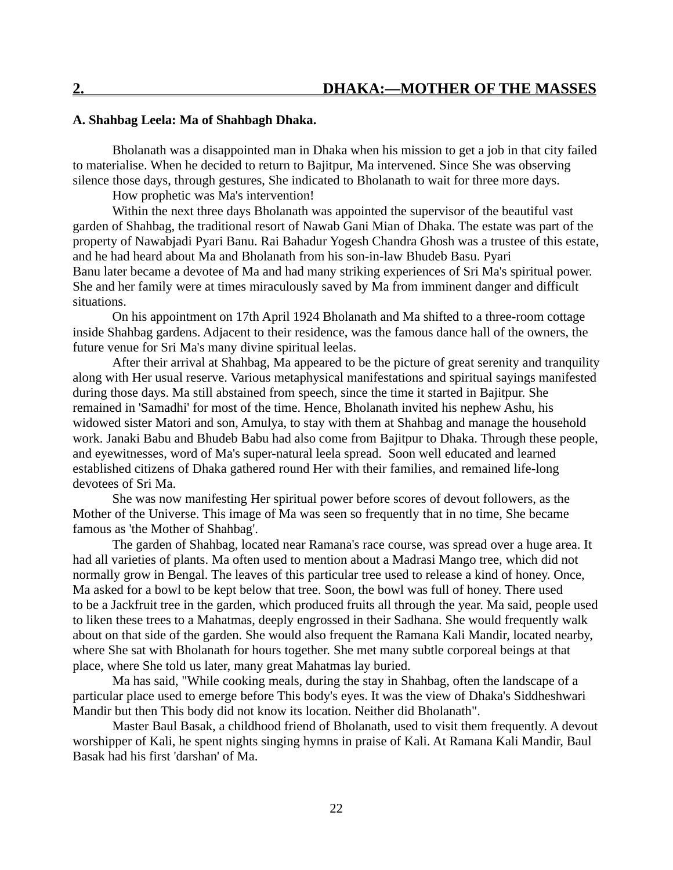# **A. Shahbag Leela: Ma of Shahbagh Dhaka.**

Bholanath was a disappointed man in Dhaka when his mission to get a job in that city failed to materialise. When he decided to return to Bajitpur, Ma intervened. Since She was observing silence those days, through gestures, She indicated to Bholanath to wait for three more days.

How prophetic was Ma's intervention!

Within the next three days Bholanath was appointed the supervisor of the beautiful vast garden of Shahbag, the traditional resort of Nawab Gani Mian of Dhaka. The estate was part of the property of Nawabjadi Pyari Banu. Rai Bahadur Yogesh Chandra Ghosh was a trustee of this estate, and he had heard about Ma and Bholanath from his son-in-law Bhudeb Basu. Pyari Banu later became a devotee of Ma and had many striking experiences of Sri Ma's spiritual power. She and her family were at times miraculously saved by Ma from imminent danger and difficult situations.

On his appointment on 17th April 1924 Bholanath and Ma shifted to a three-room cottage inside Shahbag gardens. Adjacent to their residence, was the famous dance hall of the owners, the future venue for Sri Ma's many divine spiritual leelas.

After their arrival at Shahbag, Ma appeared to be the picture of great serenity and tranquility along with Her usual reserve. Various metaphysical manifestations and spiritual sayings manifested during those days. Ma still abstained from speech, since the time it started in Bajitpur. She remained in 'Samadhi' for most of the time. Hence, Bholanath invited his nephew Ashu, his widowed sister Matori and son, Amulya, to stay with them at Shahbag and manage the household work. Janaki Babu and Bhudeb Babu had also come from Bajitpur to Dhaka. Through these people, and eyewitnesses, word of Ma's super-natural leela spread. Soon well educated and learned established citizens of Dhaka gathered round Her with their families, and remained life-long devotees of Sri Ma.

She was now manifesting Her spiritual power before scores of devout followers, as the Mother of the Universe. This image of Ma was seen so frequently that in no time, She became famous as 'the Mother of Shahbag'.

The garden of Shahbag, located near Ramana's race course, was spread over a huge area. It had all varieties of plants. Ma often used to mention about a Madrasi Mango tree, which did not normally grow in Bengal. The leaves of this particular tree used to release a kind of honey. Once, Ma asked for a bowl to be kept below that tree. Soon, the bowl was full of honey. There used to be a Jackfruit tree in the garden, which produced fruits all through the year. Ma said, people used to liken these trees to a Mahatmas, deeply engrossed in their Sadhana. She would frequently walk about on that side of the garden. She would also frequent the Ramana Kali Mandir, located nearby, where She sat with Bholanath for hours together. She met many subtle corporeal beings at that place, where She told us later, many great Mahatmas lay buried.

Ma has said, "While cooking meals, during the stay in Shahbag, often the landscape of a particular place used to emerge before This body's eyes. It was the view of Dhaka's Siddheshwari Mandir but then This body did not know its location. Neither did Bholanath".

Master Baul Basak, a childhood friend of Bholanath, used to visit them frequently. A devout worshipper of Kali, he spent nights singing hymns in praise of Kali. At Ramana Kali Mandir, Baul Basak had his first 'darshan' of Ma.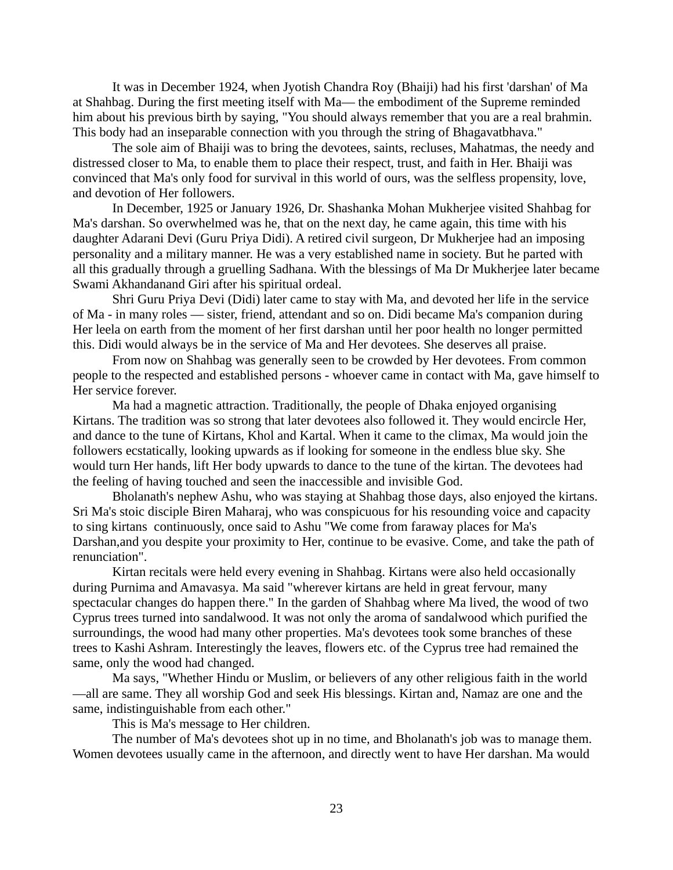It was in December 1924, when Jyotish Chandra Roy (Bhaiji) had his first 'darshan' of Ma at Shahbag. During the first meeting itself with Ma— the embodiment of the Supreme reminded him about his previous birth by saying, "You should always remember that you are a real brahmin. This body had an inseparable connection with you through the string of Bhagavatbhava."

The sole aim of Bhaiji was to bring the devotees, saints, recluses, Mahatmas, the needy and distressed closer to Ma, to enable them to place their respect, trust, and faith in Her. Bhaiji was convinced that Ma's only food for survival in this world of ours, was the selfless propensity, love, and devotion of Her followers.

In December, 1925 or January 1926, Dr. Shashanka Mohan Mukherjee visited Shahbag for Ma's darshan. So overwhelmed was he, that on the next day, he came again, this time with his daughter Adarani Devi (Guru Priya Didi). A retired civil surgeon, Dr Mukherjee had an imposing personality and a military manner. He was a very established name in society. But he parted with all this gradually through a gruelling Sadhana. With the blessings of Ma Dr Mukherjee later became Swami Akhandanand Giri after his spiritual ordeal.

Shri Guru Priya Devi (Didi) later came to stay with Ma, and devoted her life in the service of Ma - in many roles — sister, friend, attendant and so on. Didi became Ma's companion during Her leela on earth from the moment of her first darshan until her poor health no longer permitted this. Didi would always be in the service of Ma and Her devotees. She deserves all praise.

From now on Shahbag was generally seen to be crowded by Her devotees. From common people to the respected and established persons - whoever came in contact with Ma, gave himself to Her service forever.

Ma had a magnetic attraction. Traditionally, the people of Dhaka enjoyed organising Kirtans. The tradition was so strong that later devotees also followed it. They would encircle Her, and dance to the tune of Kirtans, Khol and Kartal. When it came to the climax, Ma would join the followers ecstatically, looking upwards as if looking for someone in the endless blue sky. She would turn Her hands, lift Her body upwards to dance to the tune of the kirtan. The devotees had the feeling of having touched and seen the inaccessible and invisible God.

Bholanath's nephew Ashu, who was staying at Shahbag those days, also enjoyed the kirtans. Sri Ma's stoic disciple Biren Maharaj, who was conspicuous for his resounding voice and capacity to sing kirtans continuously, once said to Ashu "We come from faraway places for Ma's Darshan,and you despite your proximity to Her, continue to be evasive. Come, and take the path of renunciation".

Kirtan recitals were held every evening in Shahbag. Kirtans were also held occasionally during Purnima and Amavasya. Ma said "wherever kirtans are held in great fervour, many spectacular changes do happen there." In the garden of Shahbag where Ma lived, the wood of two Cyprus trees turned into sandalwood. It was not only the aroma of sandalwood which purified the surroundings, the wood had many other properties. Ma's devotees took some branches of these trees to Kashi Ashram. Interestingly the leaves, flowers etc. of the Cyprus tree had remained the same, only the wood had changed.

Ma says, "Whether Hindu or Muslim, or believers of any other religious faith in the world —all are same. They all worship God and seek His blessings. Kirtan and, Namaz are one and the same, indistinguishable from each other."

This is Ma's message to Her children.

The number of Ma's devotees shot up in no time, and Bholanath's job was to manage them. Women devotees usually came in the afternoon, and directly went to have Her darshan. Ma would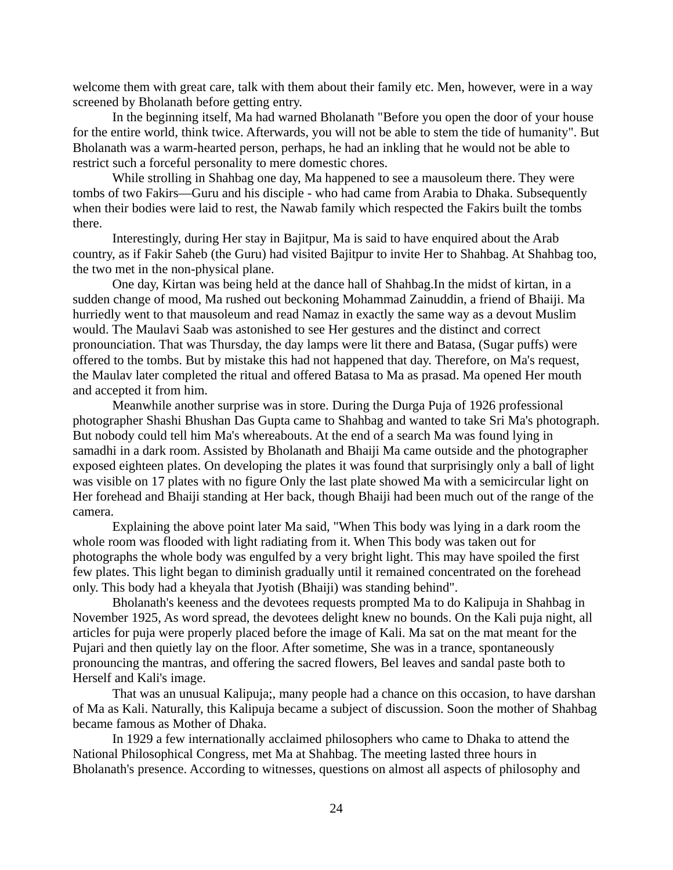welcome them with great care, talk with them about their family etc. Men, however, were in a way screened by Bholanath before getting entry.

In the beginning itself, Ma had warned Bholanath "Before you open the door of your house for the entire world, think twice. Afterwards, you will not be able to stem the tide of humanity". But Bholanath was a warm-hearted person, perhaps, he had an inkling that he would not be able to restrict such a forceful personality to mere domestic chores.

While strolling in Shahbag one day, Ma happened to see a mausoleum there. They were tombs of two Fakirs—Guru and his disciple - who had came from Arabia to Dhaka. Subsequently when their bodies were laid to rest, the Nawab family which respected the Fakirs built the tombs there.

Interestingly, during Her stay in Bajitpur, Ma is said to have enquired about the Arab country, as if Fakir Saheb (the Guru) had visited Bajitpur to invite Her to Shahbag. At Shahbag too, the two met in the non-physical plane.

One day, Kirtan was being held at the dance hall of Shahbag.In the midst of kirtan, in a sudden change of mood, Ma rushed out beckoning Mohammad Zainuddin, a friend of Bhaiji. Ma hurriedly went to that mausoleum and read Namaz in exactly the same way as a devout Muslim would. The Maulavi Saab was astonished to see Her gestures and the distinct and correct pronounciation. That was Thursday, the day lamps were lit there and Batasa, (Sugar puffs) were offered to the tombs. But by mistake this had not happened that day. Therefore, on Ma's request, the Maulav later completed the ritual and offered Batasa to Ma as prasad. Ma opened Her mouth and accepted it from him.

Meanwhile another surprise was in store. During the Durga Puja of 1926 professional photographer Shashi Bhushan Das Gupta came to Shahbag and wanted to take Sri Ma's photograph. But nobody could tell him Ma's whereabouts. At the end of a search Ma was found lying in samadhi in a dark room. Assisted by Bholanath and Bhaiji Ma came outside and the photographer exposed eighteen plates. On developing the plates it was found that surprisingly only a ball of light was visible on 17 plates with no figure Only the last plate showed Ma with a semicircular light on Her forehead and Bhaiji standing at Her back, though Bhaiji had been much out of the range of the camera.

Explaining the above point later Ma said, "When This body was lying in a dark room the whole room was flooded with light radiating from it. When This body was taken out for photographs the whole body was engulfed by a very bright light. This may have spoiled the first few plates. This light began to diminish gradually until it remained concentrated on the forehead only. This body had a kheyala that Jyotish (Bhaiji) was standing behind".

Bholanath's keeness and the devotees requests prompted Ma to do Kalipuja in Shahbag in November 1925, As word spread, the devotees delight knew no bounds. On the Kali puja night, all articles for puja were properly placed before the image of Kali. Ma sat on the mat meant for the Pujari and then quietly lay on the floor. After sometime, She was in a trance, spontaneously pronouncing the mantras, and offering the sacred flowers, Bel leaves and sandal paste both to Herself and Kali's image.

That was an unusual Kalipuja;, many people had a chance on this occasion, to have darshan of Ma as Kali. Naturally, this Kalipuja became a subject of discussion. Soon the mother of Shahbag became famous as Mother of Dhaka.

In 1929 a few internationally acclaimed philosophers who came to Dhaka to attend the National Philosophical Congress, met Ma at Shahbag. The meeting lasted three hours in Bholanath's presence. According to witnesses, questions on almost all aspects of philosophy and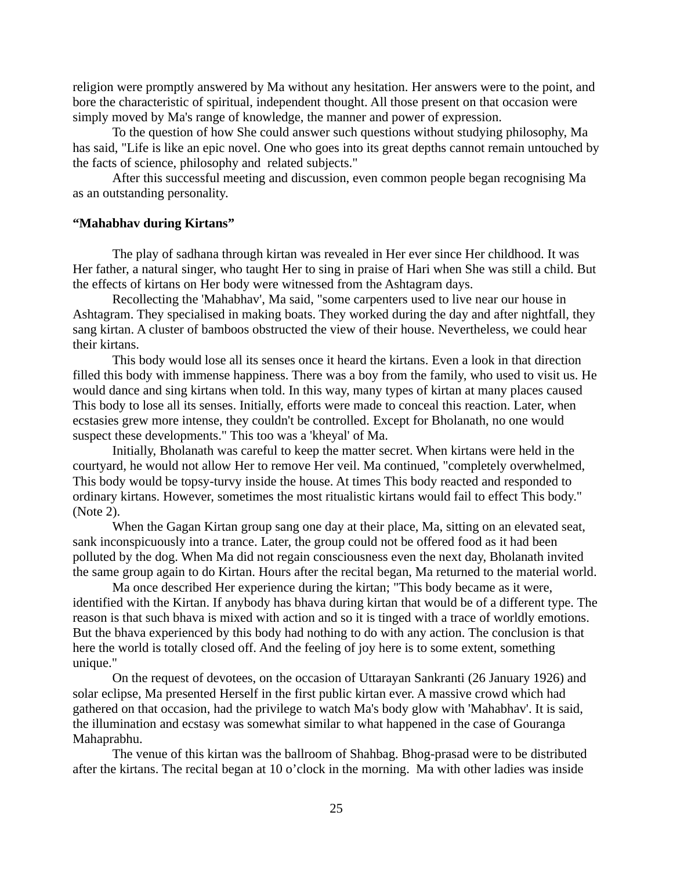religion were promptly answered by Ma without any hesitation. Her answers were to the point, and bore the characteristic of spiritual, independent thought. All those present on that occasion were simply moved by Ma's range of knowledge, the manner and power of expression.

To the question of how She could answer such questions without studying philosophy, Ma has said, "Life is like an epic novel. One who goes into its great depths cannot remain untouched by the facts of science, philosophy and related subjects."

After this successful meeting and discussion, even common people began recognising Ma as an outstanding personality.

#### **"Mahabhav during Kirtans"**

The play of sadhana through kirtan was revealed in Her ever since Her childhood. It was Her father, a natural singer, who taught Her to sing in praise of Hari when She was still a child. But the effects of kirtans on Her body were witnessed from the Ashtagram days.

Recollecting the 'Mahabhav', Ma said, "some carpenters used to live near our house in Ashtagram. They specialised in making boats. They worked during the day and after nightfall, they sang kirtan. A cluster of bamboos obstructed the view of their house. Nevertheless, we could hear their kirtans.

This body would lose all its senses once it heard the kirtans. Even a look in that direction filled this body with immense happiness. There was a boy from the family, who used to visit us. He would dance and sing kirtans when told. In this way, many types of kirtan at many places caused This body to lose all its senses. Initially, efforts were made to conceal this reaction. Later, when ecstasies grew more intense, they couldn't be controlled. Except for Bholanath, no one would suspect these developments." This too was a 'kheyal' of Ma.

Initially, Bholanath was careful to keep the matter secret. When kirtans were held in the courtyard, he would not allow Her to remove Her veil. Ma continued, "completely overwhelmed, This body would be topsy-turvy inside the house. At times This body reacted and responded to ordinary kirtans. However, sometimes the most ritualistic kirtans would fail to effect This body." (Note 2).

When the Gagan Kirtan group sang one day at their place, Ma, sitting on an elevated seat, sank inconspicuously into a trance. Later, the group could not be offered food as it had been polluted by the dog. When Ma did not regain consciousness even the next day, Bholanath invited the same group again to do Kirtan. Hours after the recital began, Ma returned to the material world.

Ma once described Her experience during the kirtan; "This body became as it were, identified with the Kirtan. If anybody has bhava during kirtan that would be of a different type. The reason is that such bhava is mixed with action and so it is tinged with a trace of worldly emotions. But the bhava experienced by this body had nothing to do with any action. The conclusion is that here the world is totally closed off. And the feeling of joy here is to some extent, something unique."

On the request of devotees, on the occasion of Uttarayan Sankranti (26 January 1926) and solar eclipse, Ma presented Herself in the first public kirtan ever. A massive crowd which had gathered on that occasion, had the privilege to watch Ma's body glow with 'Mahabhav'. It is said, the illumination and ecstasy was somewhat similar to what happened in the case of Gouranga Mahaprabhu.

The venue of this kirtan was the ballroom of Shahbag. Bhog-prasad were to be distributed after the kirtans. The recital began at 10 o'clock in the morning. Ma with other ladies was inside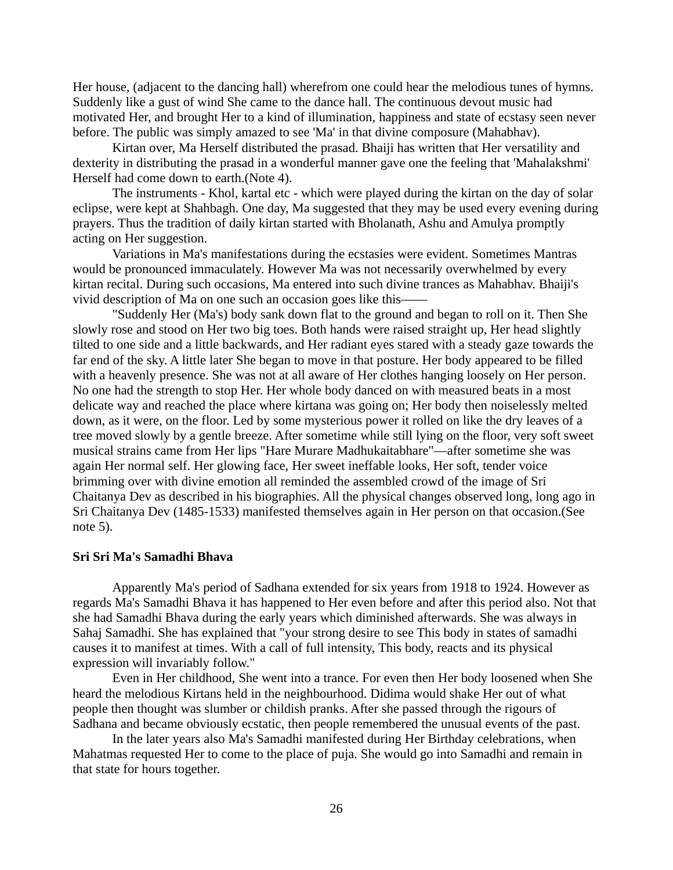Her house, (adjacent to the dancing hall) wherefrom one could hear the melodious tunes of hymns. Suddenly like a gust of wind She came to the dance hall. The continuous devout music had motivated Her, and brought Her to a kind of illumination, happiness and state of ecstasy seen never before. The public was simply amazed to see 'Ma' in that divine composure (Mahabhav).

Kirtan over, Ma Herself distributed the prasad. Bhaiji has written that Her versatility and dexterity in distributing the prasad in a wonderful manner gave one the feeling that 'Mahalakshmi' Herself had come down to earth.(Note 4).

The instruments - Khol, kartal etc - which were played during the kirtan on the day of solar eclipse, were kept at Shahbagh. One day, Ma suggested that they may be used every evening during prayers. Thus the tradition of daily kirtan started with Bholanath, Ashu and Amulya promptly acting on Her suggestion.

Variations in Ma's manifestations during the ecstasies were evident. Sometimes Mantras would be pronounced immaculately. However Ma was not necessarily overwhelmed by every kirtan recital. During such occasions, Ma entered into such divine trances as Mahabhav. Bhaiji's vivid description of Ma on one such an occasion goes like this——

"Suddenly Her (Ma's) body sank down flat to the ground and began to roll on it. Then She slowly rose and stood on Her two big toes. Both hands were raised straight up, Her head slightly tilted to one side and a little backwards, and Her radiant eyes stared with a steady gaze towards the far end of the sky. A little later She began to move in that posture. Her body appeared to be filled with a heavenly presence. She was not at all aware of Her clothes hanging loosely on Her person. No one had the strength to stop Her. Her whole body danced on with measured beats in a most delicate way and reached the place where kirtana was going on; Her body then noiselessly melted down, as it were, on the floor. Led by some mysterious power it rolled on like the dry leaves of a tree moved slowly by a gentle breeze. After sometime while still lying on the floor, very soft sweet musical strains came from Her lips "Hare Murare Madhukaitabhare"—after sometime she was again Her normal self. Her glowing face, Her sweet ineffable looks, Her soft, tender voice brimming over with divine emotion all reminded the assembled crowd of the image of Sri Chaitanya Dev as described in his biographies. All the physical changes observed long, long ago in Sri Chaitanya Dev (1485-1533) manifested themselves again in Her person on that occasion.(See note 5).

# **Sri Sri Ma's Samadhi Bhava**

Apparently Ma's period of Sadhana extended for six years from 1918 to 1924. However as regards Ma's Samadhi Bhava it has happened to Her even before and after this period also. Not that she had Samadhi Bhava during the early years which diminished afterwards. She was always in Sahaj Samadhi. She has explained that "your strong desire to see This body in states of samadhi causes it to manifest at times. With a call of full intensity, This body, reacts and its physical expression will invariably follow."

Even in Her childhood, She went into a trance. For even then Her body loosened when She heard the melodious Kirtans held in the neighbourhood. Didima would shake Her out of what people then thought was slumber or childish pranks. After she passed through the rigours of Sadhana and became obviously ecstatic, then people remembered the unusual events of the past.

In the later years also Ma's Samadhi manifested during Her Birthday celebrations, when Mahatmas requested Her to come to the place of puja. She would go into Samadhi and remain in that state for hours together.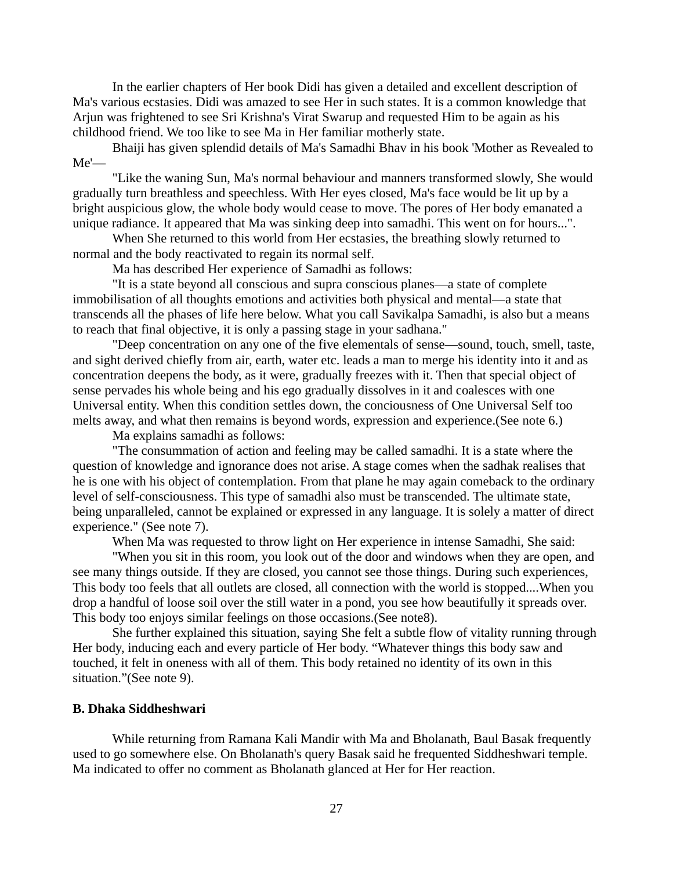In the earlier chapters of Her book Didi has given a detailed and excellent description of Ma's various ecstasies. Didi was amazed to see Her in such states. It is a common knowledge that Arjun was frightened to see Sri Krishna's Virat Swarup and requested Him to be again as his childhood friend. We too like to see Ma in Her familiar motherly state.

Bhaiji has given splendid details of Ma's Samadhi Bhav in his book 'Mother as Revealed to  $Me'$ 

"Like the waning Sun, Ma's normal behaviour and manners transformed slowly, She would gradually turn breathless and speechless. With Her eyes closed, Ma's face would be lit up by a bright auspicious glow, the whole body would cease to move. The pores of Her body emanated a unique radiance. It appeared that Ma was sinking deep into samadhi. This went on for hours...".

When She returned to this world from Her ecstasies, the breathing slowly returned to normal and the body reactivated to regain its normal self.

Ma has described Her experience of Samadhi as follows:

"It is a state beyond all conscious and supra conscious planes—a state of complete immobilisation of all thoughts emotions and activities both physical and mental—a state that transcends all the phases of life here below. What you call Savikalpa Samadhi, is also but a means to reach that final objective, it is only a passing stage in your sadhana."

"Deep concentration on any one of the five elementals of sense—sound, touch, smell, taste, and sight derived chiefly from air, earth, water etc. leads a man to merge his identity into it and as concentration deepens the body, as it were, gradually freezes with it. Then that special object of sense pervades his whole being and his ego gradually dissolves in it and coalesces with one Universal entity. When this condition settles down, the conciousness of One Universal Self too melts away, and what then remains is beyond words, expression and experience.(See note 6.)

Ma explains samadhi as follows:

"The consummation of action and feeling may be called samadhi. It is a state where the question of knowledge and ignorance does not arise. A stage comes when the sadhak realises that he is one with his object of contemplation. From that plane he may again comeback to the ordinary level of self-consciousness. This type of samadhi also must be transcended. The ultimate state, being unparalleled, cannot be explained or expressed in any language. It is solely a matter of direct experience." (See note 7).

When Ma was requested to throw light on Her experience in intense Samadhi, She said:

"When you sit in this room, you look out of the door and windows when they are open, and see many things outside. If they are closed, you cannot see those things. During such experiences, This body too feels that all outlets are closed, all connection with the world is stopped....When you drop a handful of loose soil over the still water in a pond, you see how beautifully it spreads over. This body too enjoys similar feelings on those occasions.(See note8).

She further explained this situation, saying She felt a subtle flow of vitality running through Her body, inducing each and every particle of Her body. "Whatever things this body saw and touched, it felt in oneness with all of them. This body retained no identity of its own in this situation."(See note 9).

# **B. Dhaka Siddheshwari**

While returning from Ramana Kali Mandir with Ma and Bholanath, Baul Basak frequently used to go somewhere else. On Bholanath's query Basak said he frequented Siddheshwari temple. Ma indicated to offer no comment as Bholanath glanced at Her for Her reaction.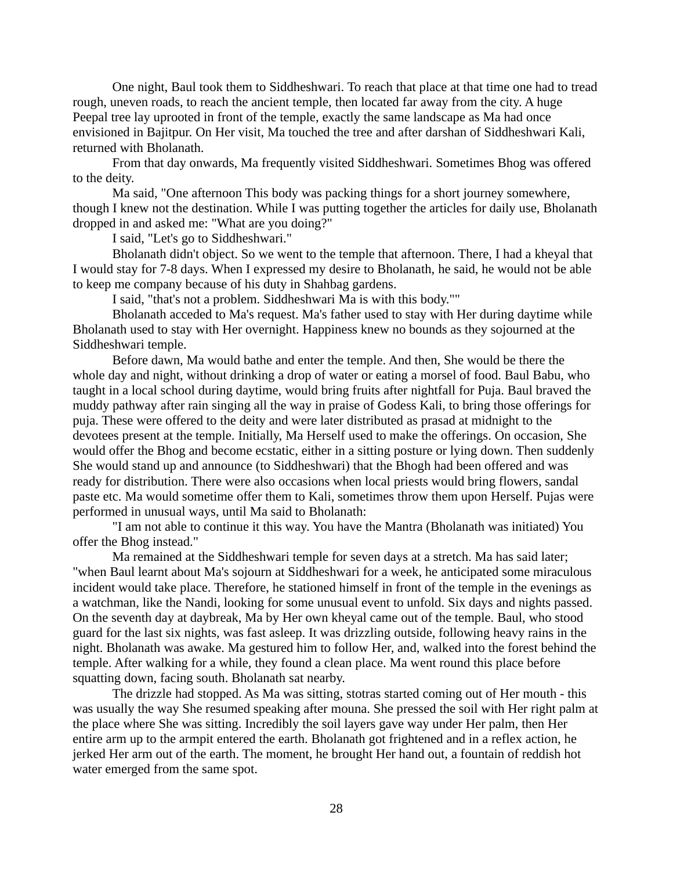One night, Baul took them to Siddheshwari. To reach that place at that time one had to tread rough, uneven roads, to reach the ancient temple, then located far away from the city. A huge Peepal tree lay uprooted in front of the temple, exactly the same landscape as Ma had once envisioned in Bajitpur. On Her visit, Ma touched the tree and after darshan of Siddheshwari Kali, returned with Bholanath.

From that day onwards, Ma frequently visited Siddheshwari. Sometimes Bhog was offered to the deity.

Ma said, "One afternoon This body was packing things for a short journey somewhere, though I knew not the destination. While I was putting together the articles for daily use, Bholanath dropped in and asked me: "What are you doing?"

I said, "Let's go to Siddheshwari."

Bholanath didn't object. So we went to the temple that afternoon. There, I had a kheyal that I would stay for 7-8 days. When I expressed my desire to Bholanath, he said, he would not be able to keep me company because of his duty in Shahbag gardens.

I said, "that's not a problem. Siddheshwari Ma is with this body.""

Bholanath acceded to Ma's request. Ma's father used to stay with Her during daytime while Bholanath used to stay with Her overnight. Happiness knew no bounds as they sojourned at the Siddheshwari temple.

Before dawn, Ma would bathe and enter the temple. And then, She would be there the whole day and night, without drinking a drop of water or eating a morsel of food. Baul Babu, who taught in a local school during daytime, would bring fruits after nightfall for Puja. Baul braved the muddy pathway after rain singing all the way in praise of Godess Kali, to bring those offerings for puja. These were offered to the deity and were later distributed as prasad at midnight to the devotees present at the temple. Initially, Ma Herself used to make the offerings. On occasion, She would offer the Bhog and become ecstatic, either in a sitting posture or lying down. Then suddenly She would stand up and announce (to Siddheshwari) that the Bhogh had been offered and was ready for distribution. There were also occasions when local priests would bring flowers, sandal paste etc. Ma would sometime offer them to Kali, sometimes throw them upon Herself. Pujas were performed in unusual ways, until Ma said to Bholanath:

"I am not able to continue it this way. You have the Mantra (Bholanath was initiated) You offer the Bhog instead."

Ma remained at the Siddheshwari temple for seven days at a stretch. Ma has said later; "when Baul learnt about Ma's sojourn at Siddheshwari for a week, he anticipated some miraculous incident would take place. Therefore, he stationed himself in front of the temple in the evenings as a watchman, like the Nandi, looking for some unusual event to unfold. Six days and nights passed. On the seventh day at daybreak, Ma by Her own kheyal came out of the temple. Baul, who stood guard for the last six nights, was fast asleep. It was drizzling outside, following heavy rains in the night. Bholanath was awake. Ma gestured him to follow Her, and, walked into the forest behind the temple. After walking for a while, they found a clean place. Ma went round this place before squatting down, facing south. Bholanath sat nearby.

The drizzle had stopped. As Ma was sitting, stotras started coming out of Her mouth - this was usually the way She resumed speaking after mouna. She pressed the soil with Her right palm at the place where She was sitting. Incredibly the soil layers gave way under Her palm, then Her entire arm up to the armpit entered the earth. Bholanath got frightened and in a reflex action, he jerked Her arm out of the earth. The moment, he brought Her hand out, a fountain of reddish hot water emerged from the same spot.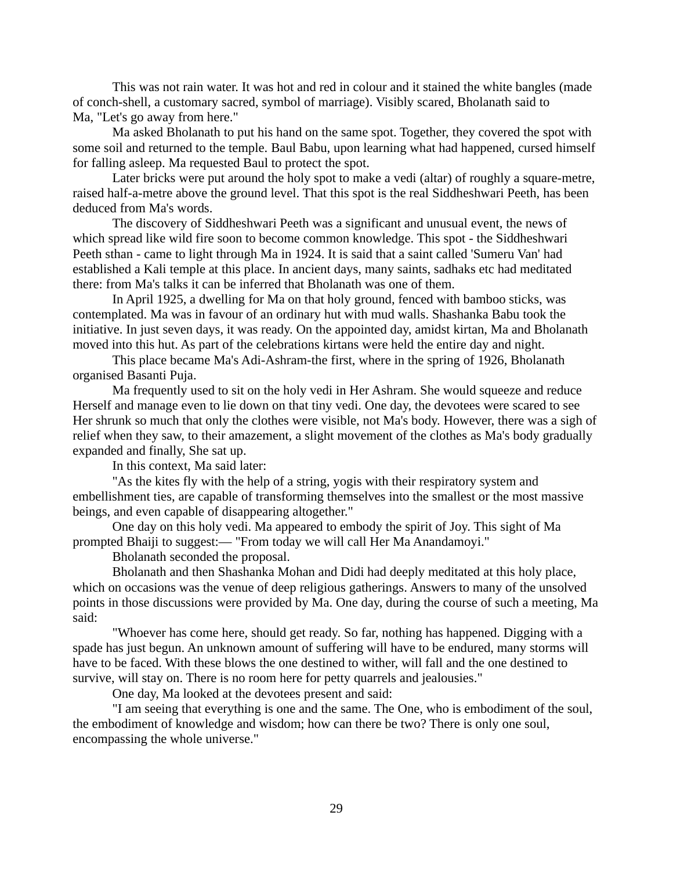This was not rain water. It was hot and red in colour and it stained the white bangles (made of conch-shell, a customary sacred, symbol of marriage). Visibly scared, Bholanath said to Ma, "Let's go away from here."

Ma asked Bholanath to put his hand on the same spot. Together, they covered the spot with some soil and returned to the temple. Baul Babu, upon learning what had happened, cursed himself for falling asleep. Ma requested Baul to protect the spot.

Later bricks were put around the holy spot to make a vedi (altar) of roughly a square-metre, raised half-a-metre above the ground level. That this spot is the real Siddheshwari Peeth, has been deduced from Ma's words.

The discovery of Siddheshwari Peeth was a significant and unusual event, the news of which spread like wild fire soon to become common knowledge. This spot - the Siddheshwari Peeth sthan - came to light through Ma in 1924. It is said that a saint called 'Sumeru Van' had established a Kali temple at this place. In ancient days, many saints, sadhaks etc had meditated there: from Ma's talks it can be inferred that Bholanath was one of them.

In April 1925, a dwelling for Ma on that holy ground, fenced with bamboo sticks, was contemplated. Ma was in favour of an ordinary hut with mud walls. Shashanka Babu took the initiative. In just seven days, it was ready. On the appointed day, amidst kirtan, Ma and Bholanath moved into this hut. As part of the celebrations kirtans were held the entire day and night.

This place became Ma's Adi-Ashram-the first, where in the spring of 1926, Bholanath organised Basanti Puja.

Ma frequently used to sit on the holy vedi in Her Ashram. She would squeeze and reduce Herself and manage even to lie down on that tiny vedi. One day, the devotees were scared to see Her shrunk so much that only the clothes were visible, not Ma's body. However, there was a sigh of relief when they saw, to their amazement, a slight movement of the clothes as Ma's body gradually expanded and finally, She sat up.

In this context, Ma said later:

"As the kites fly with the help of a string, yogis with their respiratory system and embellishment ties, are capable of transforming themselves into the smallest or the most massive beings, and even capable of disappearing altogether."

One day on this holy vedi. Ma appeared to embody the spirit of Joy. This sight of Ma prompted Bhaiji to suggest:— "From today we will call Her Ma Anandamoyi."

Bholanath seconded the proposal.

Bholanath and then Shashanka Mohan and Didi had deeply meditated at this holy place, which on occasions was the venue of deep religious gatherings. Answers to many of the unsolved points in those discussions were provided by Ma. One day, during the course of such a meeting, Ma said:

"Whoever has come here, should get ready. So far, nothing has happened. Digging with a spade has just begun. An unknown amount of suffering will have to be endured, many storms will have to be faced. With these blows the one destined to wither, will fall and the one destined to survive, will stay on. There is no room here for petty quarrels and jealousies."

One day, Ma looked at the devotees present and said:

"I am seeing that everything is one and the same. The One, who is embodiment of the soul, the embodiment of knowledge and wisdom; how can there be two? There is only one soul, encompassing the whole universe."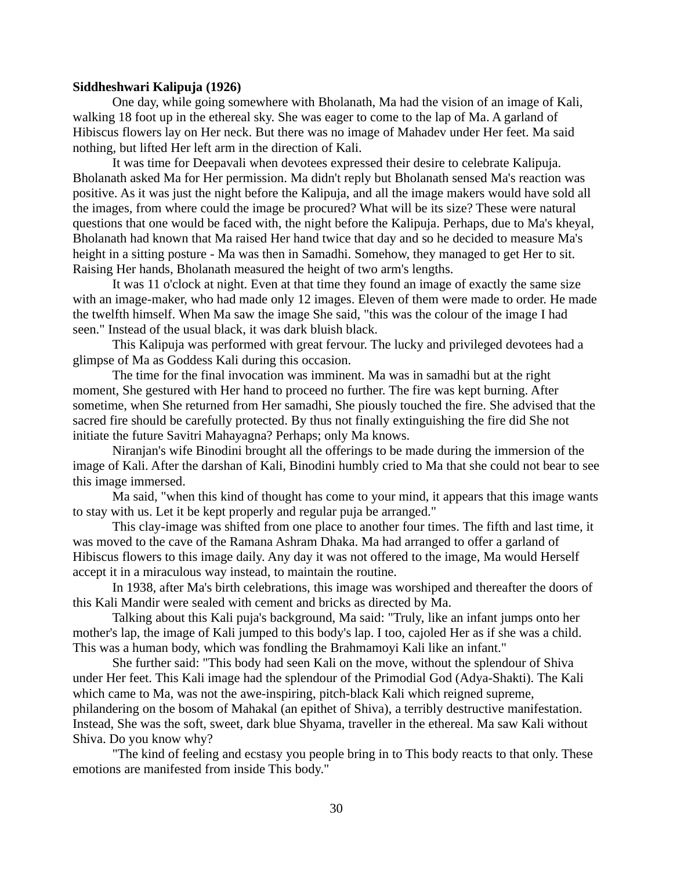### **Siddheshwari Kalipuja (1926)**

One day, while going somewhere with Bholanath, Ma had the vision of an image of Kali, walking 18 foot up in the ethereal sky. She was eager to come to the lap of Ma. A garland of Hibiscus flowers lay on Her neck. But there was no image of Mahadev under Her feet. Ma said nothing, but lifted Her left arm in the direction of Kali.

It was time for Deepavali when devotees expressed their desire to celebrate Kalipuja. Bholanath asked Ma for Her permission. Ma didn't reply but Bholanath sensed Ma's reaction was positive. As it was just the night before the Kalipuja, and all the image makers would have sold all the images, from where could the image be procured? What will be its size? These were natural questions that one would be faced with, the night before the Kalipuja. Perhaps, due to Ma's kheyal, Bholanath had known that Ma raised Her hand twice that day and so he decided to measure Ma's height in a sitting posture - Ma was then in Samadhi. Somehow, they managed to get Her to sit. Raising Her hands, Bholanath measured the height of two arm's lengths.

It was 11 o'clock at night. Even at that time they found an image of exactly the same size with an image-maker, who had made only 12 images. Eleven of them were made to order. He made the twelfth himself. When Ma saw the image She said, "this was the colour of the image I had seen." Instead of the usual black, it was dark bluish black.

This Kalipuja was performed with great fervour. The lucky and privileged devotees had a glimpse of Ma as Goddess Kali during this occasion.

The time for the final invocation was imminent. Ma was in samadhi but at the right moment, She gestured with Her hand to proceed no further. The fire was kept burning. After sometime, when She returned from Her samadhi, She piously touched the fire. She advised that the sacred fire should be carefully protected. By thus not finally extinguishing the fire did She not initiate the future Savitri Mahayagna? Perhaps; only Ma knows.

Niranjan's wife Binodini brought all the offerings to be made during the immersion of the image of Kali. After the darshan of Kali, Binodini humbly cried to Ma that she could not bear to see this image immersed.

Ma said, "when this kind of thought has come to your mind, it appears that this image wants to stay with us. Let it be kept properly and regular puja be arranged."

This clay-image was shifted from one place to another four times. The fifth and last time, it was moved to the cave of the Ramana Ashram Dhaka. Ma had arranged to offer a garland of Hibiscus flowers to this image daily. Any day it was not offered to the image, Ma would Herself accept it in a miraculous way instead, to maintain the routine.

In 1938, after Ma's birth celebrations, this image was worshiped and thereafter the doors of this Kali Mandir were sealed with cement and bricks as directed by Ma.

Talking about this Kali puja's background, Ma said: "Truly, like an infant jumps onto her mother's lap, the image of Kali jumped to this body's lap. I too, cajoled Her as if she was a child. This was a human body, which was fondling the Brahmamoyi Kali like an infant."

She further said: "This body had seen Kali on the move, without the splendour of Shiva under Her feet. This Kali image had the splendour of the Primodial God (Adya-Shakti). The Kali which came to Ma, was not the awe-inspiring, pitch-black Kali which reigned supreme, philandering on the bosom of Mahakal (an epithet of Shiva), a terribly destructive manifestation. Instead, She was the soft, sweet, dark blue Shyama, traveller in the ethereal. Ma saw Kali without Shiva. Do you know why?

"The kind of feeling and ecstasy you people bring in to This body reacts to that only. These emotions are manifested from inside This body."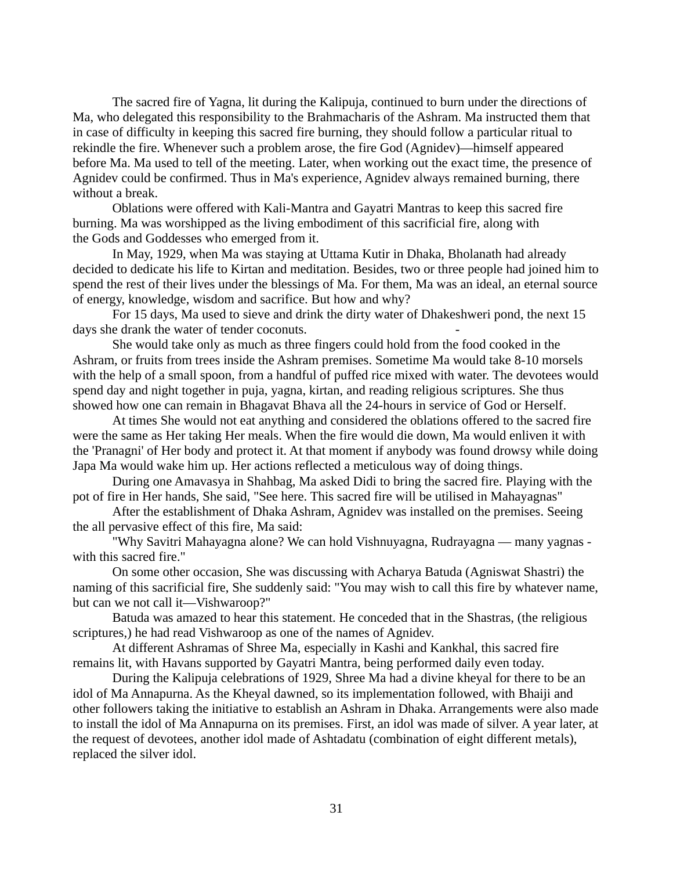The sacred fire of Yagna, lit during the Kalipuja, continued to burn under the directions of Ma, who delegated this responsibility to the Brahmacharis of the Ashram. Ma instructed them that in case of difficulty in keeping this sacred fire burning, they should follow a particular ritual to rekindle the fire. Whenever such a problem arose, the fire God (Agnidev)—himself appeared before Ma. Ma used to tell of the meeting. Later, when working out the exact time, the presence of Agnidev could be confirmed. Thus in Ma's experience, Agnidev always remained burning, there without a break.

Oblations were offered with Kali-Mantra and Gayatri Mantras to keep this sacred fire burning. Ma was worshipped as the living embodiment of this sacrificial fire, along with the Gods and Goddesses who emerged from it.

In May, 1929, when Ma was staying at Uttama Kutir in Dhaka, Bholanath had already decided to dedicate his life to Kirtan and meditation. Besides, two or three people had joined him to spend the rest of their lives under the blessings of Ma. For them, Ma was an ideal, an eternal source of energy, knowledge, wisdom and sacrifice. But how and why?

For 15 days, Ma used to sieve and drink the dirty water of Dhakeshweri pond, the next 15 days she drank the water of tender coconuts.

She would take only as much as three fingers could hold from the food cooked in the Ashram, or fruits from trees inside the Ashram premises. Sometime Ma would take 8-10 morsels with the help of a small spoon, from a handful of puffed rice mixed with water. The devotees would spend day and night together in puja, yagna, kirtan, and reading religious scriptures. She thus showed how one can remain in Bhagavat Bhava all the 24-hours in service of God or Herself.

At times She would not eat anything and considered the oblations offered to the sacred fire were the same as Her taking Her meals. When the fire would die down, Ma would enliven it with the 'Pranagni' of Her body and protect it. At that moment if anybody was found drowsy while doing Japa Ma would wake him up. Her actions reflected a meticulous way of doing things.

During one Amavasya in Shahbag, Ma asked Didi to bring the sacred fire. Playing with the pot of fire in Her hands, She said, "See here. This sacred fire will be utilised in Mahayagnas"

After the establishment of Dhaka Ashram, Agnidev was installed on the premises. Seeing the all pervasive effect of this fire, Ma said:

"Why Savitri Mahayagna alone? We can hold Vishnuyagna, Rudrayagna — many yagnas with this sacred fire."

On some other occasion, She was discussing with Acharya Batuda (Agniswat Shastri) the naming of this sacrificial fire, She suddenly said: "You may wish to call this fire by whatever name, but can we not call it—Vishwaroop?"

Batuda was amazed to hear this statement. He conceded that in the Shastras, (the religious scriptures,) he had read Vishwaroop as one of the names of Agnidev.

At different Ashramas of Shree Ma, especially in Kashi and Kankhal, this sacred fire remains lit, with Havans supported by Gayatri Mantra, being performed daily even today.

During the Kalipuja celebrations of 1929, Shree Ma had a divine kheyal for there to be an idol of Ma Annapurna. As the Kheyal dawned, so its implementation followed, with Bhaiji and other followers taking the initiative to establish an Ashram in Dhaka. Arrangements were also made to install the idol of Ma Annapurna on its premises. First, an idol was made of silver. A year later, at the request of devotees, another idol made of Ashtadatu (combination of eight different metals), replaced the silver idol.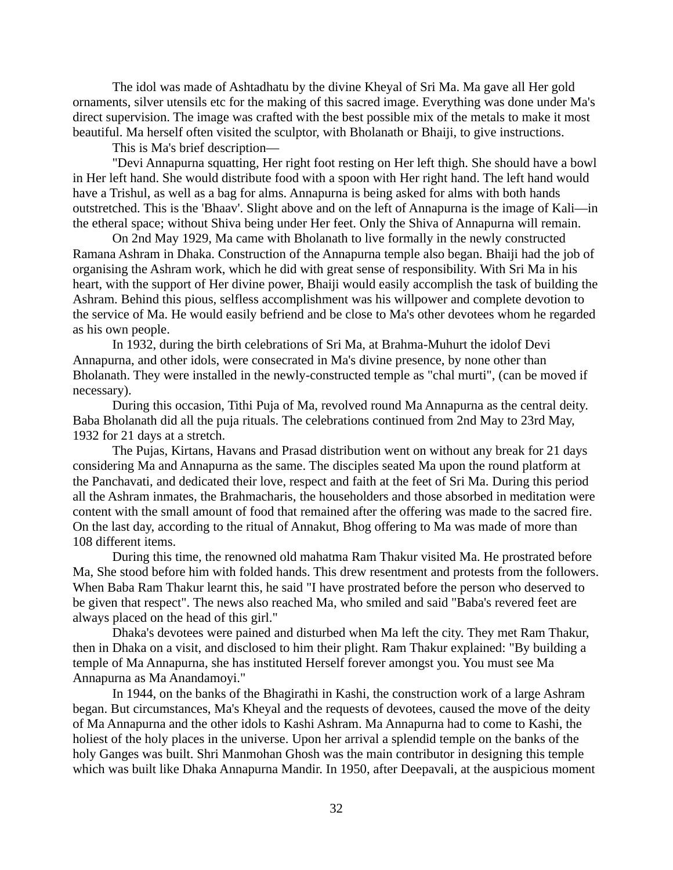The idol was made of Ashtadhatu by the divine Kheyal of Sri Ma. Ma gave all Her gold ornaments, silver utensils etc for the making of this sacred image. Everything was done under Ma's direct supervision. The image was crafted with the best possible mix of the metals to make it most beautiful. Ma herself often visited the sculptor, with Bholanath or Bhaiji, to give instructions.

This is Ma's brief description—

"Devi Annapurna squatting, Her right foot resting on Her left thigh. She should have a bowl in Her left hand. She would distribute food with a spoon with Her right hand. The left hand would have a Trishul, as well as a bag for alms. Annapurna is being asked for alms with both hands outstretched. This is the 'Bhaav'. Slight above and on the left of Annapurna is the image of Kali—in the etheral space; without Shiva being under Her feet. Only the Shiva of Annapurna will remain.

On 2nd May 1929, Ma came with Bholanath to live formally in the newly constructed Ramana Ashram in Dhaka. Construction of the Annapurna temple also began. Bhaiji had the job of organising the Ashram work, which he did with great sense of responsibility. With Sri Ma in his heart, with the support of Her divine power, Bhaiji would easily accomplish the task of building the Ashram. Behind this pious, selfless accomplishment was his willpower and complete devotion to the service of Ma. He would easily befriend and be close to Ma's other devotees whom he regarded as his own people.

In 1932, during the birth celebrations of Sri Ma, at Brahma-Muhurt the idolof Devi Annapurna, and other idols, were consecrated in Ma's divine presence, by none other than Bholanath. They were installed in the newly-constructed temple as "chal murti", (can be moved if necessary).

During this occasion, Tithi Puja of Ma, revolved round Ma Annapurna as the central deity. Baba Bholanath did all the puja rituals. The celebrations continued from 2nd May to 23rd May, 1932 for 21 days at a stretch.

The Pujas, Kirtans, Havans and Prasad distribution went on without any break for 21 days considering Ma and Annapurna as the same. The disciples seated Ma upon the round platform at the Panchavati, and dedicated their love, respect and faith at the feet of Sri Ma. During this period all the Ashram inmates, the Brahmacharis, the householders and those absorbed in meditation were content with the small amount of food that remained after the offering was made to the sacred fire. On the last day, according to the ritual of Annakut, Bhog offering to Ma was made of more than 108 different items.

During this time, the renowned old mahatma Ram Thakur visited Ma. He prostrated before Ma, She stood before him with folded hands. This drew resentment and protests from the followers. When Baba Ram Thakur learnt this, he said "I have prostrated before the person who deserved to be given that respect". The news also reached Ma, who smiled and said "Baba's revered feet are always placed on the head of this girl."

Dhaka's devotees were pained and disturbed when Ma left the city. They met Ram Thakur, then in Dhaka on a visit, and disclosed to him their plight. Ram Thakur explained: "By building a temple of Ma Annapurna, she has instituted Herself forever amongst you. You must see Ma Annapurna as Ma Anandamoyi."

In 1944, on the banks of the Bhagirathi in Kashi, the construction work of a large Ashram began. But circumstances, Ma's Kheyal and the requests of devotees, caused the move of the deity of Ma Annapurna and the other idols to Kashi Ashram. Ma Annapurna had to come to Kashi, the holiest of the holy places in the universe. Upon her arrival a splendid temple on the banks of the holy Ganges was built. Shri Manmohan Ghosh was the main contributor in designing this temple which was built like Dhaka Annapurna Mandir. In 1950, after Deepavali, at the auspicious moment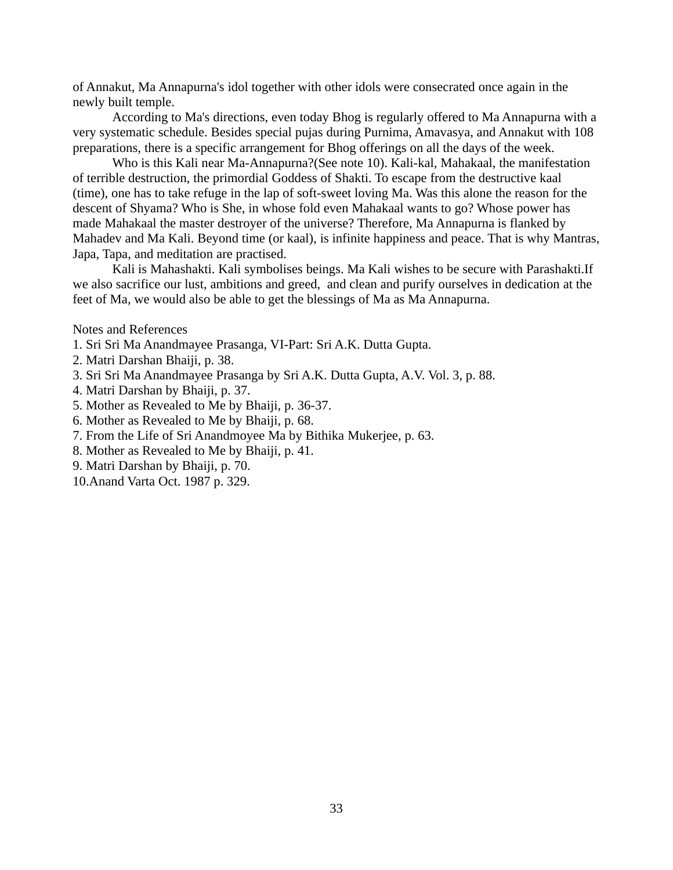of Annakut, Ma Annapurna's idol together with other idols were consecrated once again in the newly built temple.

According to Ma's directions, even today Bhog is regularly offered to Ma Annapurna with a very systematic schedule. Besides special pujas during Purnima, Amavasya, and Annakut with 108 preparations, there is a specific arrangement for Bhog offerings on all the days of the week.

Who is this Kali near Ma-Annapurna?(See note 10). Kali-kal, Mahakaal, the manifestation of terrible destruction, the primordial Goddess of Shakti. To escape from the destructive kaal (time), one has to take refuge in the lap of soft-sweet loving Ma. Was this alone the reason for the descent of Shyama? Who is She, in whose fold even Mahakaal wants to go? Whose power has made Mahakaal the master destroyer of the universe? Therefore, Ma Annapurna is flanked by Mahadev and Ma Kali. Beyond time (or kaal), is infinite happiness and peace. That is why Mantras, Japa, Tapa, and meditation are practised.

Kali is Mahashakti. Kali symbolises beings. Ma Kali wishes to be secure with Parashakti.If we also sacrifice our lust, ambitions and greed, and clean and purify ourselves in dedication at the feet of Ma, we would also be able to get the blessings of Ma as Ma Annapurna.

Notes and References

- 1. Sri Sri Ma Anandmayee Prasanga, VI-Part: Sri A.K. Dutta Gupta.
- 2. Matri Darshan Bhaiji, p. 38.
- 3. Sri Sri Ma Anandmayee Prasanga by Sri A.K. Dutta Gupta, A.V. Vol. 3, p. 88.
- 4. Matri Darshan by Bhaiji, p. 37.
- 5. Mother as Revealed to Me by Bhaiji, p. 36-37.
- 6. Mother as Revealed to Me by Bhaiji, p. 68.
- 7. From the Life of Sri Anandmoyee Ma by Bithika Mukerjee, p. 63.
- 8. Mother as Revealed to Me by Bhaiji, p. 41.
- 9. Matri Darshan by Bhaiji, p. 70.
- 10.Anand Varta Oct. 1987 p. 329.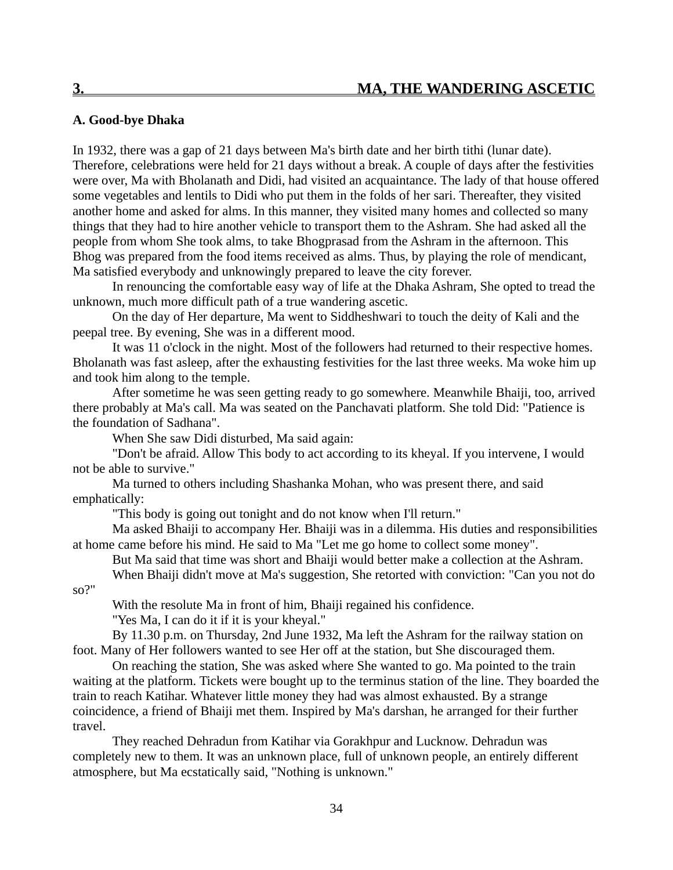# **A. Good-bye Dhaka**

In 1932, there was a gap of 21 days between Ma's birth date and her birth tithi (lunar date). Therefore, celebrations were held for 21 days without a break. A couple of days after the festivities were over, Ma with Bholanath and Didi, had visited an acquaintance. The lady of that house offered some vegetables and lentils to Didi who put them in the folds of her sari. Thereafter, they visited another home and asked for alms. In this manner, they visited many homes and collected so many things that they had to hire another vehicle to transport them to the Ashram. She had asked all the people from whom She took alms, to take Bhogprasad from the Ashram in the afternoon. This Bhog was prepared from the food items received as alms. Thus, by playing the role of mendicant, Ma satisfied everybody and unknowingly prepared to leave the city forever.

In renouncing the comfortable easy way of life at the Dhaka Ashram, She opted to tread the unknown, much more difficult path of a true wandering ascetic.

On the day of Her departure, Ma went to Siddheshwari to touch the deity of Kali and the peepal tree. By evening, She was in a different mood.

It was 11 o'clock in the night. Most of the followers had returned to their respective homes. Bholanath was fast asleep, after the exhausting festivities for the last three weeks. Ma woke him up and took him along to the temple.

After sometime he was seen getting ready to go somewhere. Meanwhile Bhaiji, too, arrived there probably at Ma's call. Ma was seated on the Panchavati platform. She told Did: "Patience is the foundation of Sadhana".

When She saw Didi disturbed, Ma said again:

"Don't be afraid. Allow This body to act according to its kheyal. If you intervene, I would not be able to survive."

Ma turned to others including Shashanka Mohan, who was present there, and said emphatically:

"This body is going out tonight and do not know when I'll return."

Ma asked Bhaiji to accompany Her. Bhaiji was in a dilemma. His duties and responsibilities at home came before his mind. He said to Ma "Let me go home to collect some money".

But Ma said that time was short and Bhaiji would better make a collection at the Ashram. When Bhaiji didn't move at Ma's suggestion, She retorted with conviction: "Can you not do

so?"

With the resolute Ma in front of him, Bhaiji regained his confidence.

"Yes Ma, I can do it if it is your kheyal."

By 11.30 p.m. on Thursday, 2nd June 1932, Ma left the Ashram for the railway station on foot. Many of Her followers wanted to see Her off at the station, but She discouraged them.

On reaching the station, She was asked where She wanted to go. Ma pointed to the train waiting at the platform. Tickets were bought up to the terminus station of the line. They boarded the train to reach Katihar. Whatever little money they had was almost exhausted. By a strange coincidence, a friend of Bhaiji met them. Inspired by Ma's darshan, he arranged for their further travel.

They reached Dehradun from Katihar via Gorakhpur and Lucknow. Dehradun was completely new to them. It was an unknown place, full of unknown people, an entirely different atmosphere, but Ma ecstatically said, "Nothing is unknown."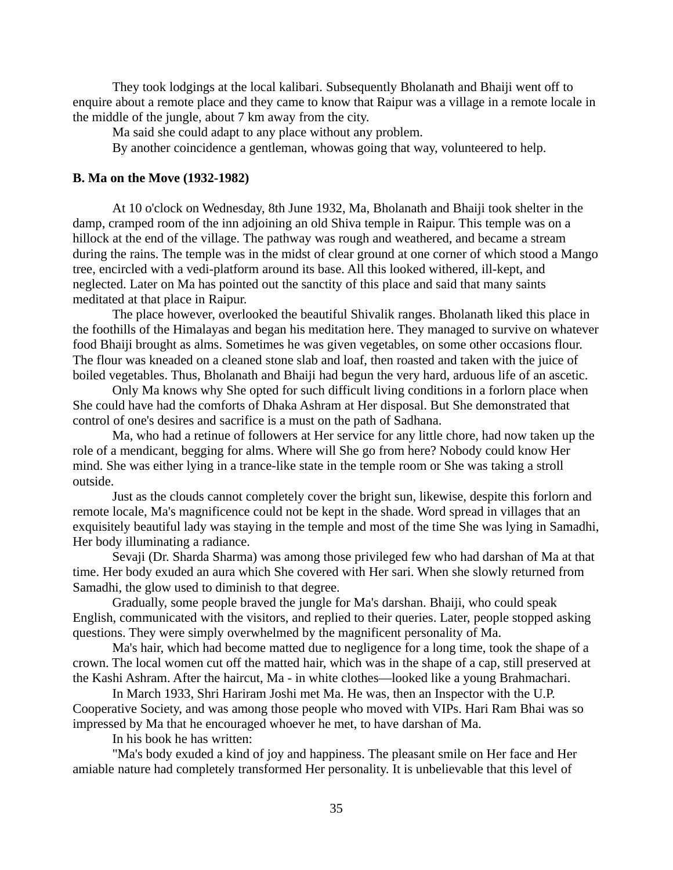They took lodgings at the local kalibari. Subsequently Bholanath and Bhaiji went off to enquire about a remote place and they came to know that Raipur was a village in a remote locale in the middle of the jungle, about 7 km away from the city.

Ma said she could adapt to any place without any problem.

By another coincidence a gentleman, whowas going that way, volunteered to help.

# **B. Ma on the Move (1932-1982)**

At 10 o'clock on Wednesday, 8th June 1932, Ma, Bholanath and Bhaiji took shelter in the damp, cramped room of the inn adjoining an old Shiva temple in Raipur. This temple was on a hillock at the end of the village. The pathway was rough and weathered, and became a stream during the rains. The temple was in the midst of clear ground at one corner of which stood a Mango tree, encircled with a vedi-platform around its base. All this looked withered, ill-kept, and neglected. Later on Ma has pointed out the sanctity of this place and said that many saints meditated at that place in Raipur.

The place however, overlooked the beautiful Shivalik ranges. Bholanath liked this place in the foothills of the Himalayas and began his meditation here. They managed to survive on whatever food Bhaiji brought as alms. Sometimes he was given vegetables, on some other occasions flour. The flour was kneaded on a cleaned stone slab and loaf, then roasted and taken with the juice of boiled vegetables. Thus, Bholanath and Bhaiji had begun the very hard, arduous life of an ascetic.

Only Ma knows why She opted for such difficult living conditions in a forlorn place when She could have had the comforts of Dhaka Ashram at Her disposal. But She demonstrated that control of one's desires and sacrifice is a must on the path of Sadhana.

Ma, who had a retinue of followers at Her service for any little chore, had now taken up the role of a mendicant, begging for alms. Where will She go from here? Nobody could know Her mind. She was either lying in a trance-like state in the temple room or She was taking a stroll outside.

Just as the clouds cannot completely cover the bright sun, likewise, despite this forlorn and remote locale, Ma's magnificence could not be kept in the shade. Word spread in villages that an exquisitely beautiful lady was staying in the temple and most of the time She was lying in Samadhi, Her body illuminating a radiance.

Sevaji (Dr. Sharda Sharma) was among those privileged few who had darshan of Ma at that time. Her body exuded an aura which She covered with Her sari. When she slowly returned from Samadhi, the glow used to diminish to that degree.

Gradually, some people braved the jungle for Ma's darshan. Bhaiji, who could speak English, communicated with the visitors, and replied to their queries. Later, people stopped asking questions. They were simply overwhelmed by the magnificent personality of Ma.

Ma's hair, which had become matted due to negligence for a long time, took the shape of a crown. The local women cut off the matted hair, which was in the shape of a cap, still preserved at the Kashi Ashram. After the haircut, Ma - in white clothes—looked like a young Brahmachari.

In March 1933, Shri Hariram Joshi met Ma. He was, then an Inspector with the U.P. Cooperative Society, and was among those people who moved with VIPs. Hari Ram Bhai was so impressed by Ma that he encouraged whoever he met, to have darshan of Ma.

In his book he has written:

"Ma's body exuded a kind of joy and happiness. The pleasant smile on Her face and Her amiable nature had completely transformed Her personality. It is unbelievable that this level of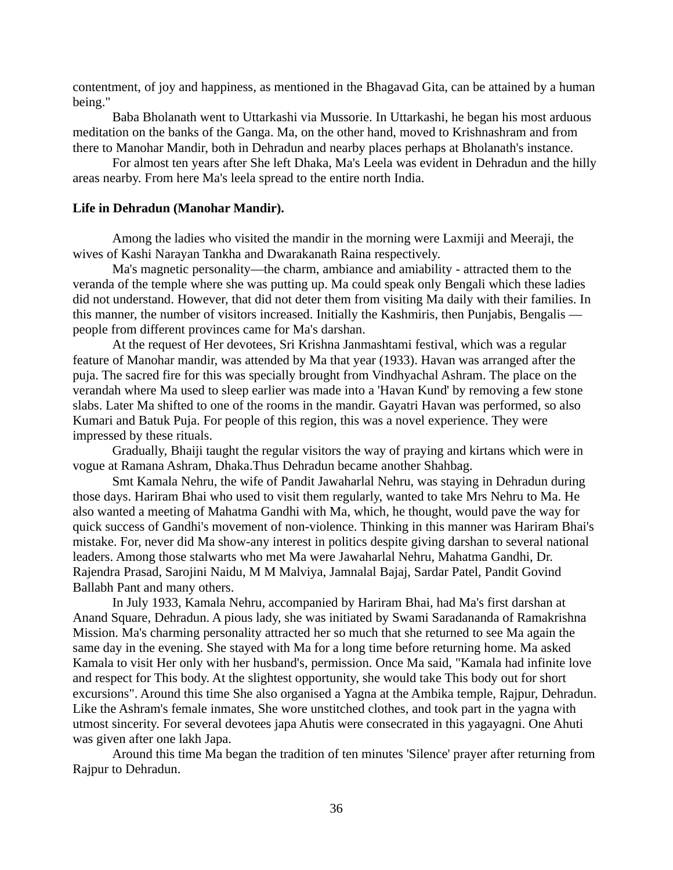contentment, of joy and happiness, as mentioned in the Bhagavad Gita, can be attained by a human being."

Baba Bholanath went to Uttarkashi via Mussorie. In Uttarkashi, he began his most arduous meditation on the banks of the Ganga. Ma, on the other hand, moved to Krishnashram and from there to Manohar Mandir, both in Dehradun and nearby places perhaps at Bholanath's instance.

For almost ten years after She left Dhaka, Ma's Leela was evident in Dehradun and the hilly areas nearby. From here Ma's leela spread to the entire north India.

# **Life in Dehradun (Manohar Mandir).**

Among the ladies who visited the mandir in the morning were Laxmiji and Meeraji, the wives of Kashi Narayan Tankha and Dwarakanath Raina respectively.

Ma's magnetic personality—the charm, ambiance and amiability - attracted them to the veranda of the temple where she was putting up. Ma could speak only Bengali which these ladies did not understand. However, that did not deter them from visiting Ma daily with their families. In this manner, the number of visitors increased. Initially the Kashmiris, then Punjabis, Bengalis people from different provinces came for Ma's darshan.

At the request of Her devotees, Sri Krishna Janmashtami festival, which was a regular feature of Manohar mandir, was attended by Ma that year (1933). Havan was arranged after the puja. The sacred fire for this was specially brought from Vindhyachal Ashram. The place on the verandah where Ma used to sleep earlier was made into a 'Havan Kund' by removing a few stone slabs. Later Ma shifted to one of the rooms in the mandir. Gayatri Havan was performed, so also Kumari and Batuk Puja. For people of this region, this was a novel experience. They were impressed by these rituals.

Gradually, Bhaiji taught the regular visitors the way of praying and kirtans which were in vogue at Ramana Ashram, Dhaka.Thus Dehradun became another Shahbag.

Smt Kamala Nehru, the wife of Pandit Jawaharlal Nehru, was staying in Dehradun during those days. Hariram Bhai who used to visit them regularly, wanted to take Mrs Nehru to Ma. He also wanted a meeting of Mahatma Gandhi with Ma, which, he thought, would pave the way for quick success of Gandhi's movement of non-violence. Thinking in this manner was Hariram Bhai's mistake. For, never did Ma show-any interest in politics despite giving darshan to several national leaders. Among those stalwarts who met Ma were Jawaharlal Nehru, Mahatma Gandhi, Dr. Rajendra Prasad, Sarojini Naidu, M M Malviya, Jamnalal Bajaj, Sardar Patel, Pandit Govind Ballabh Pant and many others.

In July 1933, Kamala Nehru, accompanied by Hariram Bhai, had Ma's first darshan at Anand Square, Dehradun. A pious lady, she was initiated by Swami Saradananda of Ramakrishna Mission. Ma's charming personality attracted her so much that she returned to see Ma again the same day in the evening. She stayed with Ma for a long time before returning home. Ma asked Kamala to visit Her only with her husband's, permission. Once Ma said, "Kamala had infinite love and respect for This body. At the slightest opportunity, she would take This body out for short excursions". Around this time She also organised a Yagna at the Ambika temple, Rajpur, Dehradun. Like the Ashram's female inmates, She wore unstitched clothes, and took part in the yagna with utmost sincerity. For several devotees japa Ahutis were consecrated in this yagayagni. One Ahuti was given after one lakh Japa.

Around this time Ma began the tradition of ten minutes 'Silence' prayer after returning from Rajpur to Dehradun.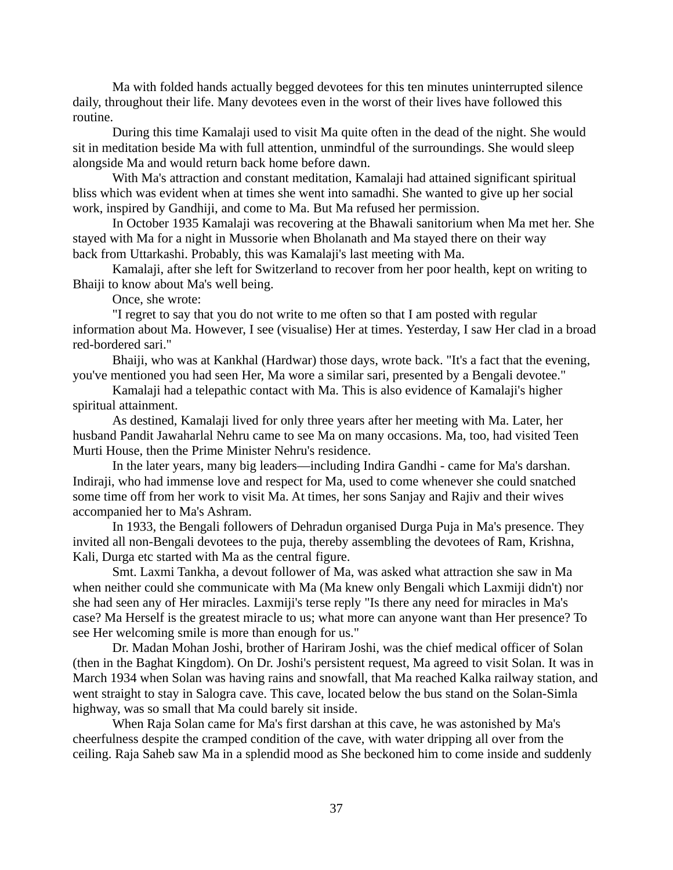Ma with folded hands actually begged devotees for this ten minutes uninterrupted silence daily, throughout their life. Many devotees even in the worst of their lives have followed this routine.

During this time Kamalaji used to visit Ma quite often in the dead of the night. She would sit in meditation beside Ma with full attention, unmindful of the surroundings. She would sleep alongside Ma and would return back home before dawn.

With Ma's attraction and constant meditation, Kamalaji had attained significant spiritual bliss which was evident when at times she went into samadhi. She wanted to give up her social work, inspired by Gandhiji, and come to Ma. But Ma refused her permission.

In October 1935 Kamalaji was recovering at the Bhawali sanitorium when Ma met her. She stayed with Ma for a night in Mussorie when Bholanath and Ma stayed there on their way back from Uttarkashi. Probably, this was Kamalaji's last meeting with Ma.

Kamalaji, after she left for Switzerland to recover from her poor health, kept on writing to Bhaiji to know about Ma's well being.

Once, she wrote:

"I regret to say that you do not write to me often so that I am posted with regular information about Ma. However, I see (visualise) Her at times. Yesterday, I saw Her clad in a broad red-bordered sari."

Bhaiji, who was at Kankhal (Hardwar) those days, wrote back. "It's a fact that the evening, you've mentioned you had seen Her, Ma wore a similar sari, presented by a Bengali devotee."

Kamalaji had a telepathic contact with Ma. This is also evidence of Kamalaji's higher spiritual attainment.

As destined, Kamalaji lived for only three years after her meeting with Ma. Later, her husband Pandit Jawaharlal Nehru came to see Ma on many occasions. Ma, too, had visited Teen Murti House, then the Prime Minister Nehru's residence.

In the later years, many big leaders—including Indira Gandhi - came for Ma's darshan. Indiraji, who had immense love and respect for Ma, used to come whenever she could snatched some time off from her work to visit Ma. At times, her sons Sanjay and Rajiv and their wives accompanied her to Ma's Ashram.

In 1933, the Bengali followers of Dehradun organised Durga Puja in Ma's presence. They invited all non-Bengali devotees to the puja, thereby assembling the devotees of Ram, Krishna, Kali, Durga etc started with Ma as the central figure.

Smt. Laxmi Tankha, a devout follower of Ma, was asked what attraction she saw in Ma when neither could she communicate with Ma (Ma knew only Bengali which Laxmiji didn't) nor she had seen any of Her miracles. Laxmiji's terse reply "Is there any need for miracles in Ma's case? Ma Herself is the greatest miracle to us; what more can anyone want than Her presence? To see Her welcoming smile is more than enough for us."

Dr. Madan Mohan Joshi, brother of Hariram Joshi, was the chief medical officer of Solan (then in the Baghat Kingdom). On Dr. Joshi's persistent request, Ma agreed to visit Solan. It was in March 1934 when Solan was having rains and snowfall, that Ma reached Kalka railway station, and went straight to stay in Salogra cave. This cave, located below the bus stand on the Solan-Simla highway, was so small that Ma could barely sit inside.

When Raja Solan came for Ma's first darshan at this cave, he was astonished by Ma's cheerfulness despite the cramped condition of the cave, with water dripping all over from the ceiling. Raja Saheb saw Ma in a splendid mood as She beckoned him to come inside and suddenly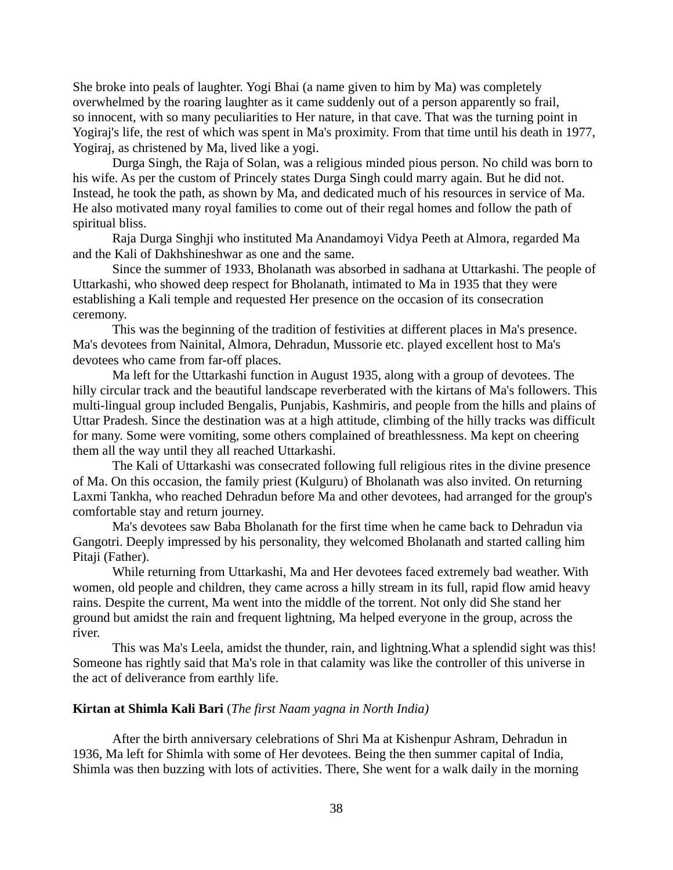She broke into peals of laughter. Yogi Bhai (a name given to him by Ma) was completely overwhelmed by the roaring laughter as it came suddenly out of a person apparently so frail, so innocent, with so many peculiarities to Her nature, in that cave. That was the turning point in Yogiraj's life, the rest of which was spent in Ma's proximity. From that time until his death in 1977, Yogiraj, as christened by Ma, lived like a yogi.

Durga Singh, the Raja of Solan, was a religious minded pious person. No child was born to his wife. As per the custom of Princely states Durga Singh could marry again. But he did not. Instead, he took the path, as shown by Ma, and dedicated much of his resources in service of Ma. He also motivated many royal families to come out of their regal homes and follow the path of spiritual bliss.

Raja Durga Singhji who instituted Ma Anandamoyi Vidya Peeth at Almora, regarded Ma and the Kali of Dakhshineshwar as one and the same.

Since the summer of 1933, Bholanath was absorbed in sadhana at Uttarkashi. The people of Uttarkashi, who showed deep respect for Bholanath, intimated to Ma in 1935 that they were establishing a Kali temple and requested Her presence on the occasion of its consecration ceremony.

This was the beginning of the tradition of festivities at different places in Ma's presence. Ma's devotees from Nainital, Almora, Dehradun, Mussorie etc. played excellent host to Ma's devotees who came from far-off places.

Ma left for the Uttarkashi function in August 1935, along with a group of devotees. The hilly circular track and the beautiful landscape reverberated with the kirtans of Ma's followers. This multi-lingual group included Bengalis, Punjabis, Kashmiris, and people from the hills and plains of Uttar Pradesh. Since the destination was at a high attitude, climbing of the hilly tracks was difficult for many. Some were vomiting, some others complained of breathlessness. Ma kept on cheering them all the way until they all reached Uttarkashi.

The Kali of Uttarkashi was consecrated following full religious rites in the divine presence of Ma. On this occasion, the family priest (Kulguru) of Bholanath was also invited. On returning Laxmi Tankha, who reached Dehradun before Ma and other devotees, had arranged for the group's comfortable stay and return journey.

Ma's devotees saw Baba Bholanath for the first time when he came back to Dehradun via Gangotri. Deeply impressed by his personality, they welcomed Bholanath and started calling him Pitaji (Father).

While returning from Uttarkashi, Ma and Her devotees faced extremely bad weather. With women, old people and children, they came across a hilly stream in its full, rapid flow amid heavy rains. Despite the current, Ma went into the middle of the torrent. Not only did She stand her ground but amidst the rain and frequent lightning, Ma helped everyone in the group, across the river.

This was Ma's Leela, amidst the thunder, rain, and lightning.What a splendid sight was this! Someone has rightly said that Ma's role in that calamity was like the controller of this universe in the act of deliverance from earthly life.

### **Kirtan at Shimla Kali Bari** (*The first Naam yagna in North India)*

After the birth anniversary celebrations of Shri Ma at Kishenpur Ashram, Dehradun in 1936, Ma left for Shimla with some of Her devotees. Being the then summer capital of India, Shimla was then buzzing with lots of activities. There, She went for a walk daily in the morning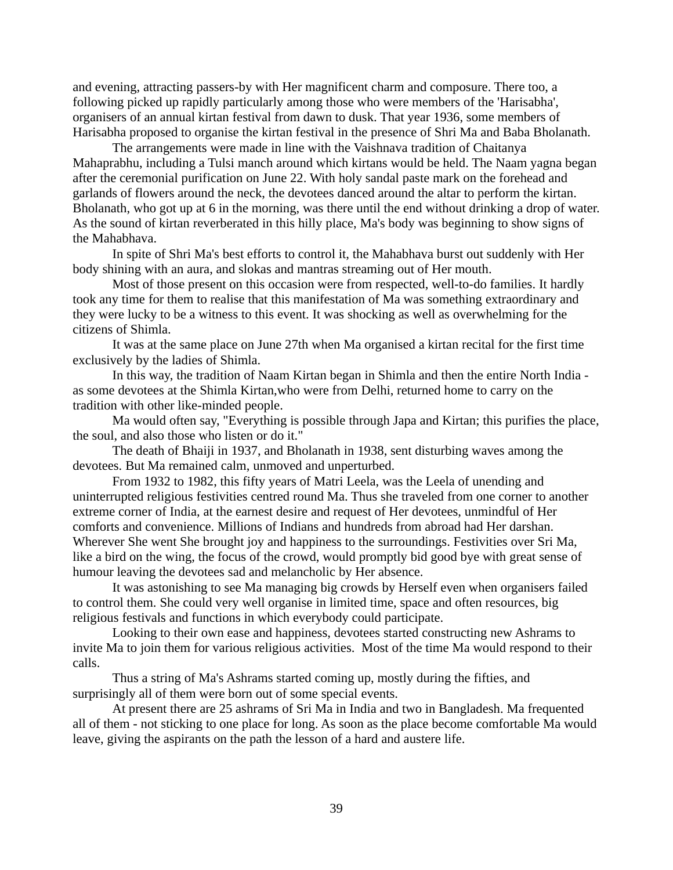and evening, attracting passers-by with Her magnificent charm and composure. There too, a following picked up rapidly particularly among those who were members of the 'Harisabha', organisers of an annual kirtan festival from dawn to dusk. That year 1936, some members of Harisabha proposed to organise the kirtan festival in the presence of Shri Ma and Baba Bholanath.

The arrangements were made in line with the Vaishnava tradition of Chaitanya Mahaprabhu, including a Tulsi manch around which kirtans would be held. The Naam yagna began after the ceremonial purification on June 22. With holy sandal paste mark on the forehead and garlands of flowers around the neck, the devotees danced around the altar to perform the kirtan. Bholanath, who got up at 6 in the morning, was there until the end without drinking a drop of water. As the sound of kirtan reverberated in this hilly place, Ma's body was beginning to show signs of the Mahabhava.

In spite of Shri Ma's best efforts to control it, the Mahabhava burst out suddenly with Her body shining with an aura, and slokas and mantras streaming out of Her mouth.

Most of those present on this occasion were from respected, well-to-do families. It hardly took any time for them to realise that this manifestation of Ma was something extraordinary and they were lucky to be a witness to this event. It was shocking as well as overwhelming for the citizens of Shimla.

It was at the same place on June 27th when Ma organised a kirtan recital for the first time exclusively by the ladies of Shimla.

In this way, the tradition of Naam Kirtan began in Shimla and then the entire North India as some devotees at the Shimla Kirtan,who were from Delhi, returned home to carry on the tradition with other like-minded people.

Ma would often say, "Everything is possible through Japa and Kirtan; this purifies the place, the soul, and also those who listen or do it."

The death of Bhaiji in 1937, and Bholanath in 1938, sent disturbing waves among the devotees. But Ma remained calm, unmoved and unperturbed.

From 1932 to 1982, this fifty years of Matri Leela, was the Leela of unending and uninterrupted religious festivities centred round Ma. Thus she traveled from one corner to another extreme corner of India, at the earnest desire and request of Her devotees, unmindful of Her comforts and convenience. Millions of Indians and hundreds from abroad had Her darshan. Wherever She went She brought joy and happiness to the surroundings. Festivities over Sri Ma, like a bird on the wing, the focus of the crowd, would promptly bid good bye with great sense of humour leaving the devotees sad and melancholic by Her absence.

It was astonishing to see Ma managing big crowds by Herself even when organisers failed to control them. She could very well organise in limited time, space and often resources, big religious festivals and functions in which everybody could participate.

Looking to their own ease and happiness, devotees started constructing new Ashrams to invite Ma to join them for various religious activities. Most of the time Ma would respond to their calls.

Thus a string of Ma's Ashrams started coming up, mostly during the fifties, and surprisingly all of them were born out of some special events.

At present there are 25 ashrams of Sri Ma in India and two in Bangladesh. Ma frequented all of them - not sticking to one place for long. As soon as the place become comfortable Ma would leave, giving the aspirants on the path the lesson of a hard and austere life.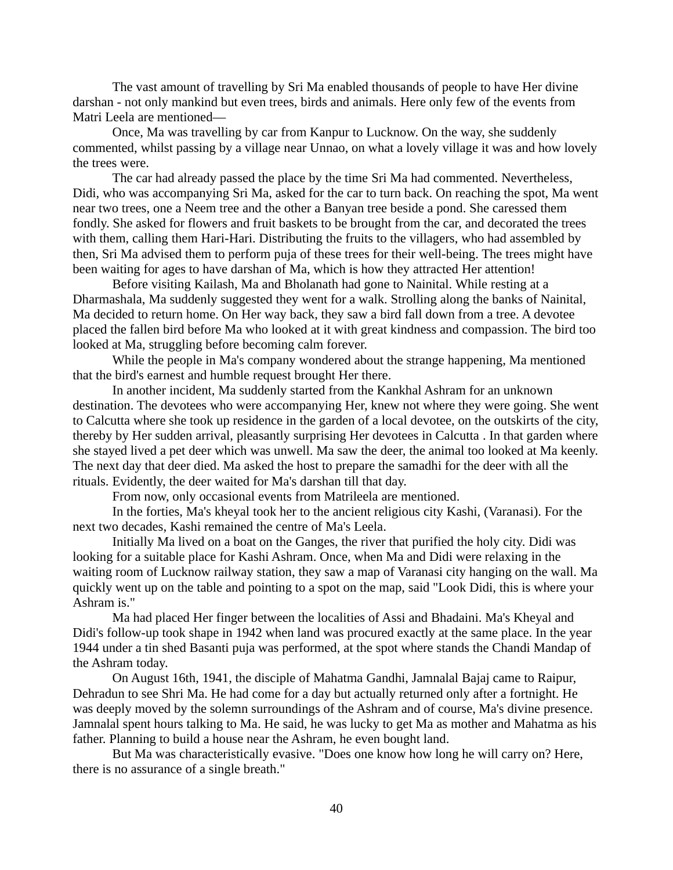The vast amount of travelling by Sri Ma enabled thousands of people to have Her divine darshan - not only mankind but even trees, birds and animals. Here only few of the events from Matri Leela are mentioned—

Once, Ma was travelling by car from Kanpur to Lucknow. On the way, she suddenly commented, whilst passing by a village near Unnao, on what a lovely village it was and how lovely the trees were.

The car had already passed the place by the time Sri Ma had commented. Nevertheless, Didi, who was accompanying Sri Ma, asked for the car to turn back. On reaching the spot, Ma went near two trees, one a Neem tree and the other a Banyan tree beside a pond. She caressed them fondly. She asked for flowers and fruit baskets to be brought from the car, and decorated the trees with them, calling them Hari-Hari. Distributing the fruits to the villagers, who had assembled by then, Sri Ma advised them to perform puja of these trees for their well-being. The trees might have been waiting for ages to have darshan of Ma, which is how they attracted Her attention!

Before visiting Kailash, Ma and Bholanath had gone to Nainital. While resting at a Dharmashala, Ma suddenly suggested they went for a walk. Strolling along the banks of Nainital, Ma decided to return home. On Her way back, they saw a bird fall down from a tree. A devotee placed the fallen bird before Ma who looked at it with great kindness and compassion. The bird too looked at Ma, struggling before becoming calm forever.

While the people in Ma's company wondered about the strange happening, Ma mentioned that the bird's earnest and humble request brought Her there.

In another incident, Ma suddenly started from the Kankhal Ashram for an unknown destination. The devotees who were accompanying Her, knew not where they were going. She went to Calcutta where she took up residence in the garden of a local devotee, on the outskirts of the city, thereby by Her sudden arrival, pleasantly surprising Her devotees in Calcutta . In that garden where she stayed lived a pet deer which was unwell. Ma saw the deer, the animal too looked at Ma keenly. The next day that deer died. Ma asked the host to prepare the samadhi for the deer with all the rituals. Evidently, the deer waited for Ma's darshan till that day.

From now, only occasional events from Matrileela are mentioned.

In the forties, Ma's kheyal took her to the ancient religious city Kashi, (Varanasi). For the next two decades, Kashi remained the centre of Ma's Leela.

Initially Ma lived on a boat on the Ganges, the river that purified the holy city. Didi was looking for a suitable place for Kashi Ashram. Once, when Ma and Didi were relaxing in the waiting room of Lucknow railway station, they saw a map of Varanasi city hanging on the wall. Ma quickly went up on the table and pointing to a spot on the map, said "Look Didi, this is where your Ashram is."

Ma had placed Her finger between the localities of Assi and Bhadaini. Ma's Kheyal and Didi's follow-up took shape in 1942 when land was procured exactly at the same place. In the year 1944 under a tin shed Basanti puja was performed, at the spot where stands the Chandi Mandap of the Ashram today.

On August 16th, 1941, the disciple of Mahatma Gandhi, Jamnalal Bajaj came to Raipur, Dehradun to see Shri Ma. He had come for a day but actually returned only after a fortnight. He was deeply moved by the solemn surroundings of the Ashram and of course, Ma's divine presence. Jamnalal spent hours talking to Ma. He said, he was lucky to get Ma as mother and Mahatma as his father. Planning to build a house near the Ashram, he even bought land.

But Ma was characteristically evasive. "Does one know how long he will carry on? Here, there is no assurance of a single breath."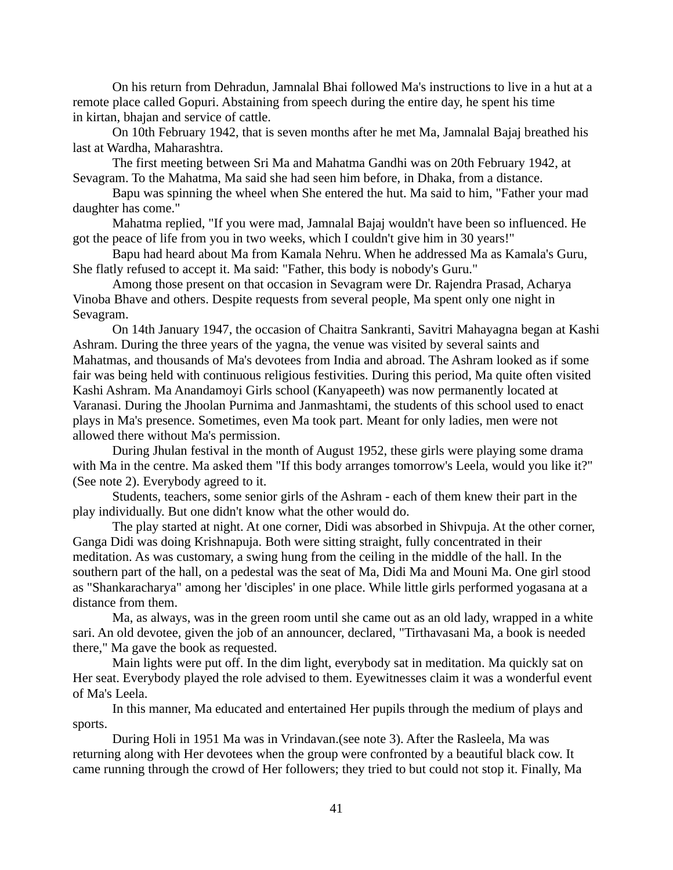On his return from Dehradun, Jamnalal Bhai followed Ma's instructions to live in a hut at a remote place called Gopuri. Abstaining from speech during the entire day, he spent his time in kirtan, bhajan and service of cattle.

On 10th February 1942, that is seven months after he met Ma, Jamnalal Bajaj breathed his last at Wardha, Maharashtra.

The first meeting between Sri Ma and Mahatma Gandhi was on 20th February 1942, at Sevagram. To the Mahatma, Ma said she had seen him before, in Dhaka, from a distance.

Bapu was spinning the wheel when She entered the hut. Ma said to him, "Father your mad daughter has come."

Mahatma replied, "If you were mad, Jamnalal Bajaj wouldn't have been so influenced. He got the peace of life from you in two weeks, which I couldn't give him in 30 years!"

Bapu had heard about Ma from Kamala Nehru. When he addressed Ma as Kamala's Guru, She flatly refused to accept it. Ma said: "Father, this body is nobody's Guru."

Among those present on that occasion in Sevagram were Dr. Rajendra Prasad, Acharya Vinoba Bhave and others. Despite requests from several people, Ma spent only one night in Sevagram.

On 14th January 1947, the occasion of Chaitra Sankranti, Savitri Mahayagna began at Kashi Ashram. During the three years of the yagna, the venue was visited by several saints and Mahatmas, and thousands of Ma's devotees from India and abroad. The Ashram looked as if some fair was being held with continuous religious festivities. During this period, Ma quite often visited Kashi Ashram. Ma Anandamoyi Girls school (Kanyapeeth) was now permanently located at Varanasi. During the Jhoolan Purnima and Janmashtami, the students of this school used to enact plays in Ma's presence. Sometimes, even Ma took part. Meant for only ladies, men were not allowed there without Ma's permission.

During Jhulan festival in the month of August 1952, these girls were playing some drama with Ma in the centre. Ma asked them "If this body arranges tomorrow's Leela, would you like it?" (See note 2). Everybody agreed to it.

Students, teachers, some senior girls of the Ashram - each of them knew their part in the play individually. But one didn't know what the other would do.

The play started at night. At one corner, Didi was absorbed in Shivpuja. At the other corner, Ganga Didi was doing Krishnapuja. Both were sitting straight, fully concentrated in their meditation. As was customary, a swing hung from the ceiling in the middle of the hall. In the southern part of the hall, on a pedestal was the seat of Ma, Didi Ma and Mouni Ma. One girl stood as "Shankaracharya" among her 'disciples' in one place. While little girls performed yogasana at a distance from them.

Ma, as always, was in the green room until she came out as an old lady, wrapped in a white sari. An old devotee, given the job of an announcer, declared, "Tirthavasani Ma, a book is needed there," Ma gave the book as requested.

Main lights were put off. In the dim light, everybody sat in meditation. Ma quickly sat on Her seat. Everybody played the role advised to them. Eyewitnesses claim it was a wonderful event of Ma's Leela.

In this manner, Ma educated and entertained Her pupils through the medium of plays and sports.

During Holi in 1951 Ma was in Vrindavan.(see note 3). After the Rasleela, Ma was returning along with Her devotees when the group were confronted by a beautiful black cow. It came running through the crowd of Her followers; they tried to but could not stop it. Finally, Ma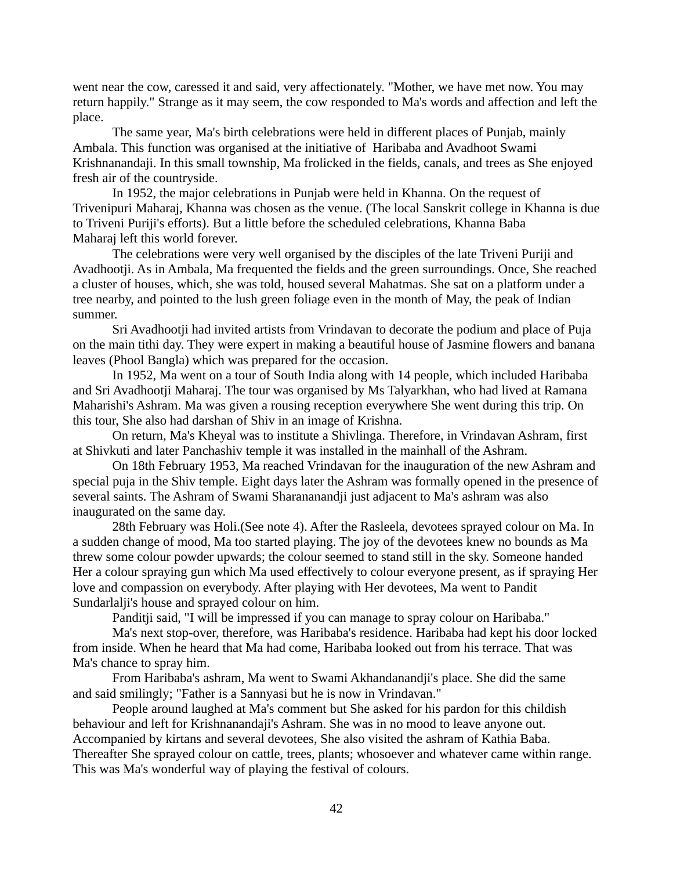went near the cow, caressed it and said, very affectionately. "Mother, we have met now. You may return happily." Strange as it may seem, the cow responded to Ma's words and affection and left the place.

The same year, Ma's birth celebrations were held in different places of Punjab, mainly Ambala. This function was organised at the initiative of Haribaba and Avadhoot Swami Krishnanandaji. In this small township, Ma frolicked in the fields, canals, and trees as She enjoyed fresh air of the countryside.

In 1952, the major celebrations in Punjab were held in Khanna. On the request of Trivenipuri Maharaj, Khanna was chosen as the venue. (The local Sanskrit college in Khanna is due to Triveni Puriji's efforts). But a little before the scheduled celebrations, Khanna Baba Maharaj left this world forever.

The celebrations were very well organised by the disciples of the late Triveni Puriji and Avadhootji. As in Ambala, Ma frequented the fields and the green surroundings. Once, She reached a cluster of houses, which, she was told, housed several Mahatmas. She sat on a platform under a tree nearby, and pointed to the lush green foliage even in the month of May, the peak of Indian summer.

Sri Avadhootji had invited artists from Vrindavan to decorate the podium and place of Puja on the main tithi day. They were expert in making a beautiful house of Jasmine flowers and banana leaves (Phool Bangla) which was prepared for the occasion.

In 1952, Ma went on a tour of South India along with 14 people, which included Haribaba and Sri Avadhootji Maharaj. The tour was organised by Ms Talyarkhan, who had lived at Ramana Maharishi's Ashram. Ma was given a rousing reception everywhere She went during this trip. On this tour, She also had darshan of Shiv in an image of Krishna.

On return, Ma's Kheyal was to institute a Shivlinga. Therefore, in Vrindavan Ashram, first at Shivkuti and later Panchashiv temple it was installed in the mainhall of the Ashram.

On 18th February 1953, Ma reached Vrindavan for the inauguration of the new Ashram and special puja in the Shiv temple. Eight days later the Ashram was formally opened in the presence of several saints. The Ashram of Swami Sharananandji just adjacent to Ma's ashram was also inaugurated on the same day.

28th February was Holi.(See note 4). After the Rasleela, devotees sprayed colour on Ma. In a sudden change of mood, Ma too started playing. The joy of the devotees knew no bounds as Ma threw some colour powder upwards; the colour seemed to stand still in the sky. Someone handed Her a colour spraying gun which Ma used effectively to colour everyone present, as if spraying Her love and compassion on everybody. After playing with Her devotees, Ma went to Pandit Sundarlalji's house and sprayed colour on him.

Panditji said, "I will be impressed if you can manage to spray colour on Haribaba."

Ma's next stop-over, therefore, was Haribaba's residence. Haribaba had kept his door locked from inside. When he heard that Ma had come, Haribaba looked out from his terrace. That was Ma's chance to spray him.

From Haribaba's ashram, Ma went to Swami Akhandanandji's place. She did the same and said smilingly; "Father is a Sannyasi but he is now in Vrindavan."

People around laughed at Ma's comment but She asked for his pardon for this childish behaviour and left for Krishnanandaji's Ashram. She was in no mood to leave anyone out. Accompanied by kirtans and several devotees, She also visited the ashram of Kathia Baba. Thereafter She sprayed colour on cattle, trees, plants; whosoever and whatever came within range. This was Ma's wonderful way of playing the festival of colours.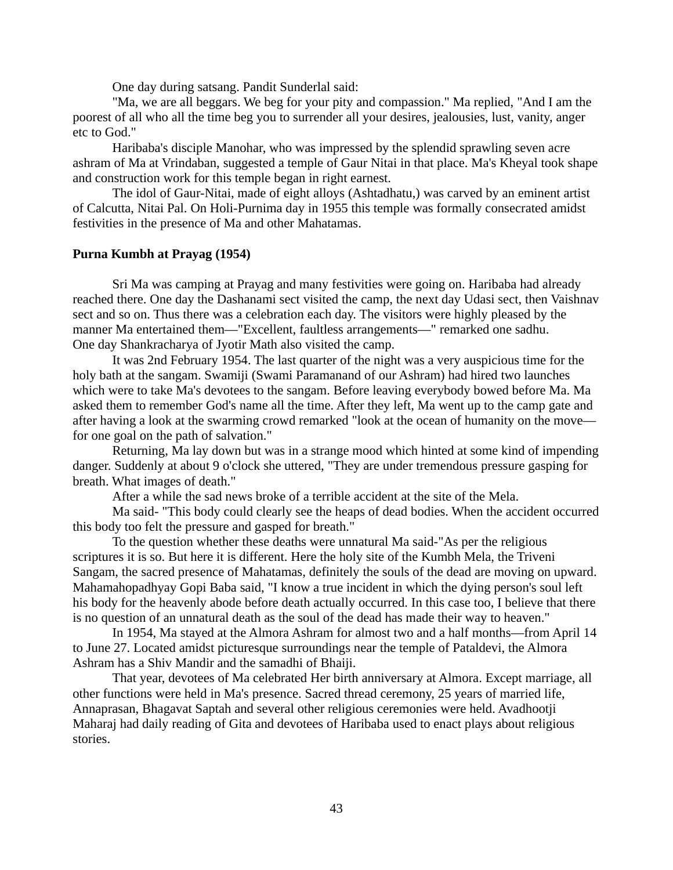One day during satsang. Pandit Sunderlal said:

"Ma, we are all beggars. We beg for your pity and compassion." Ma replied, "And I am the poorest of all who all the time beg you to surrender all your desires, jealousies, lust, vanity, anger etc to God."

Haribaba's disciple Manohar, who was impressed by the splendid sprawling seven acre ashram of Ma at Vrindaban, suggested a temple of Gaur Nitai in that place. Ma's Kheyal took shape and construction work for this temple began in right earnest.

The idol of Gaur-Nitai, made of eight alloys (Ashtadhatu,) was carved by an eminent artist of Calcutta, Nitai Pal. On Holi-Purnima day in 1955 this temple was formally consecrated amidst festivities in the presence of Ma and other Mahatamas.

### **Purna Kumbh at Prayag (1954)**

Sri Ma was camping at Prayag and many festivities were going on. Haribaba had already reached there. One day the Dashanami sect visited the camp, the next day Udasi sect, then Vaishnav sect and so on. Thus there was a celebration each day. The visitors were highly pleased by the manner Ma entertained them—"Excellent, faultless arrangements—" remarked one sadhu. One day Shankracharya of Jyotir Math also visited the camp.

It was 2nd February 1954. The last quarter of the night was a very auspicious time for the holy bath at the sangam. Swamiji (Swami Paramanand of our Ashram) had hired two launches which were to take Ma's devotees to the sangam. Before leaving everybody bowed before Ma. Ma asked them to remember God's name all the time. After they left, Ma went up to the camp gate and after having a look at the swarming crowd remarked "look at the ocean of humanity on the move for one goal on the path of salvation."

Returning, Ma lay down but was in a strange mood which hinted at some kind of impending danger. Suddenly at about 9 o'clock she uttered, "They are under tremendous pressure gasping for breath. What images of death."

After a while the sad news broke of a terrible accident at the site of the Mela.

Ma said- "This body could clearly see the heaps of dead bodies. When the accident occurred this body too felt the pressure and gasped for breath."

To the question whether these deaths were unnatural Ma said-"As per the religious scriptures it is so. But here it is different. Here the holy site of the Kumbh Mela, the Triveni Sangam, the sacred presence of Mahatamas, definitely the souls of the dead are moving on upward. Mahamahopadhyay Gopi Baba said, "I know a true incident in which the dying person's soul left his body for the heavenly abode before death actually occurred. In this case too, I believe that there is no question of an unnatural death as the soul of the dead has made their way to heaven."

In 1954, Ma stayed at the Almora Ashram for almost two and a half months—from April 14 to June 27. Located amidst picturesque surroundings near the temple of Pataldevi, the Almora Ashram has a Shiv Mandir and the samadhi of Bhaiji.

That year, devotees of Ma celebrated Her birth anniversary at Almora. Except marriage, all other functions were held in Ma's presence. Sacred thread ceremony, 25 years of married life, Annaprasan, Bhagavat Saptah and several other religious ceremonies were held. Avadhootji Maharaj had daily reading of Gita and devotees of Haribaba used to enact plays about religious stories.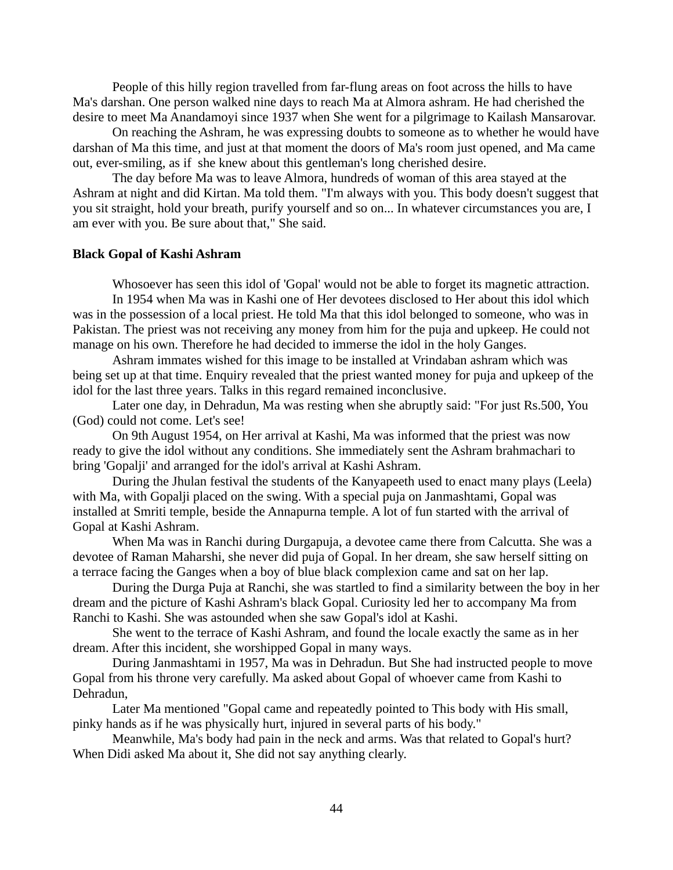People of this hilly region travelled from far-flung areas on foot across the hills to have Ma's darshan. One person walked nine days to reach Ma at Almora ashram. He had cherished the desire to meet Ma Anandamoyi since 1937 when She went for a pilgrimage to Kailash Mansarovar.

On reaching the Ashram, he was expressing doubts to someone as to whether he would have darshan of Ma this time, and just at that moment the doors of Ma's room just opened, and Ma came out, ever-smiling, as if she knew about this gentleman's long cherished desire.

The day before Ma was to leave Almora, hundreds of woman of this area stayed at the Ashram at night and did Kirtan. Ma told them. "I'm always with you. This body doesn't suggest that you sit straight, hold your breath, purify yourself and so on... In whatever circumstances you are, I am ever with you. Be sure about that," She said.

## **Black Gopal of Kashi Ashram**

Whosoever has seen this idol of 'Gopal' would not be able to forget its magnetic attraction.

In 1954 when Ma was in Kashi one of Her devotees disclosed to Her about this idol which was in the possession of a local priest. He told Ma that this idol belonged to someone, who was in Pakistan. The priest was not receiving any money from him for the puja and upkeep. He could not manage on his own. Therefore he had decided to immerse the idol in the holy Ganges.

Ashram immates wished for this image to be installed at Vrindaban ashram which was being set up at that time. Enquiry revealed that the priest wanted money for puja and upkeep of the idol for the last three years. Talks in this regard remained inconclusive.

Later one day, in Dehradun, Ma was resting when she abruptly said: "For just Rs.500, You (God) could not come. Let's see!

On 9th August 1954, on Her arrival at Kashi, Ma was informed that the priest was now ready to give the idol without any conditions. She immediately sent the Ashram brahmachari to bring 'Gopalji' and arranged for the idol's arrival at Kashi Ashram.

During the Jhulan festival the students of the Kanyapeeth used to enact many plays (Leela) with Ma, with Gopalji placed on the swing. With a special puja on Janmashtami, Gopal was installed at Smriti temple, beside the Annapurna temple. A lot of fun started with the arrival of Gopal at Kashi Ashram.

When Ma was in Ranchi during Durgapuja, a devotee came there from Calcutta. She was a devotee of Raman Maharshi, she never did puja of Gopal. In her dream, she saw herself sitting on a terrace facing the Ganges when a boy of blue black complexion came and sat on her lap.

During the Durga Puja at Ranchi, she was startled to find a similarity between the boy in her dream and the picture of Kashi Ashram's black Gopal. Curiosity led her to accompany Ma from Ranchi to Kashi. She was astounded when she saw Gopal's idol at Kashi.

She went to the terrace of Kashi Ashram, and found the locale exactly the same as in her dream. After this incident, she worshipped Gopal in many ways.

During Janmashtami in 1957, Ma was in Dehradun. But She had instructed people to move Gopal from his throne very carefully. Ma asked about Gopal of whoever came from Kashi to Dehradun,

Later Ma mentioned "Gopal came and repeatedly pointed to This body with His small, pinky hands as if he was physically hurt, injured in several parts of his body."

Meanwhile, Ma's body had pain in the neck and arms. Was that related to Gopal's hurt? When Didi asked Ma about it, She did not say anything clearly.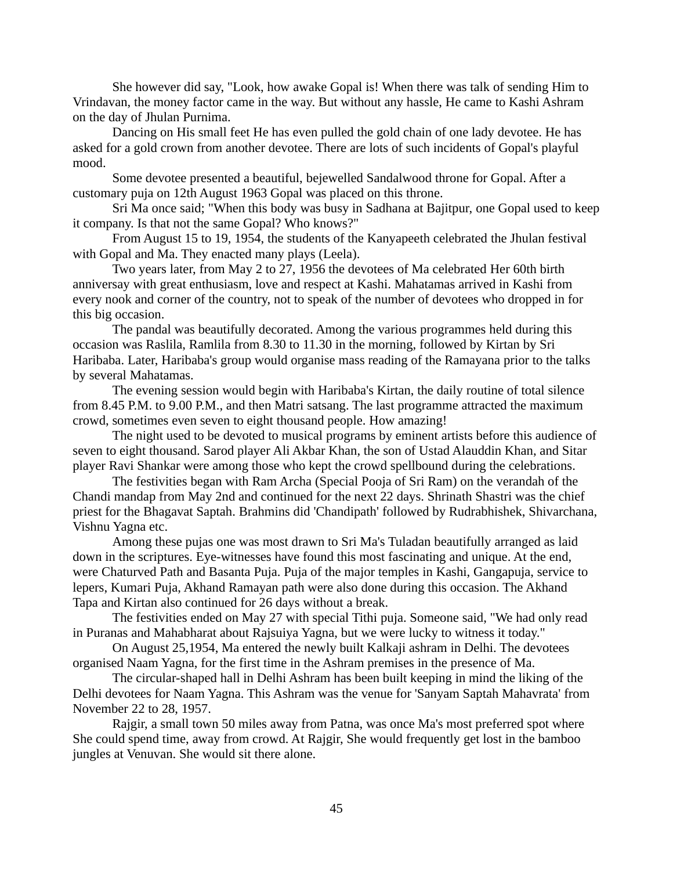She however did say, "Look, how awake Gopal is! When there was talk of sending Him to Vrindavan, the money factor came in the way. But without any hassle, He came to Kashi Ashram on the day of Jhulan Purnima.

Dancing on His small feet He has even pulled the gold chain of one lady devotee. He has asked for a gold crown from another devotee. There are lots of such incidents of Gopal's playful mood.

Some devotee presented a beautiful, bejewelled Sandalwood throne for Gopal. After a customary puja on 12th August 1963 Gopal was placed on this throne.

Sri Ma once said; "When this body was busy in Sadhana at Bajitpur, one Gopal used to keep it company. Is that not the same Gopal? Who knows?"

From August 15 to 19, 1954, the students of the Kanyapeeth celebrated the Jhulan festival with Gopal and Ma. They enacted many plays (Leela).

Two years later, from May 2 to 27, 1956 the devotees of Ma celebrated Her 60th birth anniversay with great enthusiasm, love and respect at Kashi. Mahatamas arrived in Kashi from every nook and corner of the country, not to speak of the number of devotees who dropped in for this big occasion.

The pandal was beautifully decorated. Among the various programmes held during this occasion was Raslila, Ramlila from 8.30 to 11.30 in the morning, followed by Kirtan by Sri Haribaba. Later, Haribaba's group would organise mass reading of the Ramayana prior to the talks by several Mahatamas.

The evening session would begin with Haribaba's Kirtan, the daily routine of total silence from 8.45 P.M. to 9.00 P.M., and then Matri satsang. The last programme attracted the maximum crowd, sometimes even seven to eight thousand people. How amazing!

The night used to be devoted to musical programs by eminent artists before this audience of seven to eight thousand. Sarod player Ali Akbar Khan, the son of Ustad Alauddin Khan, and Sitar player Ravi Shankar were among those who kept the crowd spellbound during the celebrations.

The festivities began with Ram Archa (Special Pooja of Sri Ram) on the verandah of the Chandi mandap from May 2nd and continued for the next 22 days. Shrinath Shastri was the chief priest for the Bhagavat Saptah. Brahmins did 'Chandipath' followed by Rudrabhishek, Shivarchana, Vishnu Yagna etc.

Among these pujas one was most drawn to Sri Ma's Tuladan beautifully arranged as laid down in the scriptures. Eye-witnesses have found this most fascinating and unique. At the end, were Chaturved Path and Basanta Puja. Puja of the major temples in Kashi, Gangapuja, service to lepers, Kumari Puja, Akhand Ramayan path were also done during this occasion. The Akhand Tapa and Kirtan also continued for 26 days without a break.

The festivities ended on May 27 with special Tithi puja. Someone said, "We had only read in Puranas and Mahabharat about Rajsuiya Yagna, but we were lucky to witness it today."

On August 25,1954, Ma entered the newly built Kalkaji ashram in Delhi. The devotees organised Naam Yagna, for the first time in the Ashram premises in the presence of Ma.

The circular-shaped hall in Delhi Ashram has been built keeping in mind the liking of the Delhi devotees for Naam Yagna. This Ashram was the venue for 'Sanyam Saptah Mahavrata' from November 22 to 28, 1957.

Rajgir, a small town 50 miles away from Patna, was once Ma's most preferred spot where She could spend time, away from crowd. At Rajgir, She would frequently get lost in the bamboo jungles at Venuvan. She would sit there alone.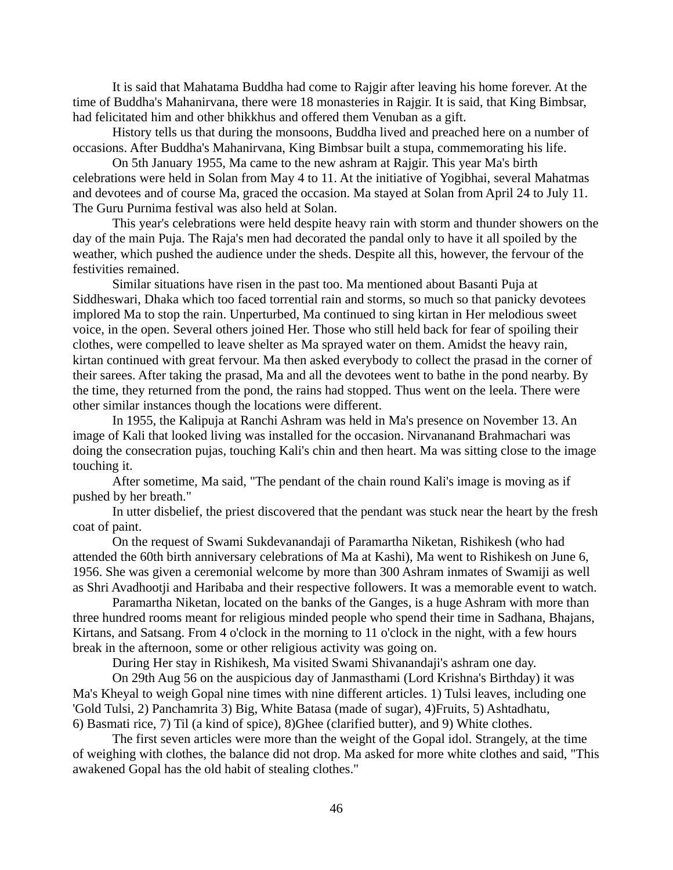It is said that Mahatama Buddha had come to Rajgir after leaving his home forever. At the time of Buddha's Mahanirvana, there were 18 monasteries in Rajgir. It is said, that King Bimbsar, had felicitated him and other bhikkhus and offered them Venuban as a gift.

History tells us that during the monsoons, Buddha lived and preached here on a number of occasions. After Buddha's Mahanirvana, King Bimbsar built a stupa, commemorating his life.

On 5th January 1955, Ma came to the new ashram at Rajgir. This year Ma's birth celebrations were held in Solan from May 4 to 11. At the initiative of Yogibhai, several Mahatmas and devotees and of course Ma, graced the occasion. Ma stayed at Solan from April 24 to July 11. The Guru Purnima festival was also held at Solan.

This year's celebrations were held despite heavy rain with storm and thunder showers on the day of the main Puja. The Raja's men had decorated the pandal only to have it all spoiled by the weather, which pushed the audience under the sheds. Despite all this, however, the fervour of the festivities remained.

Similar situations have risen in the past too. Ma mentioned about Basanti Puja at Siddheswari, Dhaka which too faced torrential rain and storms, so much so that panicky devotees implored Ma to stop the rain. Unperturbed, Ma continued to sing kirtan in Her melodious sweet voice, in the open. Several others joined Her. Those who still held back for fear of spoiling their clothes, were compelled to leave shelter as Ma sprayed water on them. Amidst the heavy rain, kirtan continued with great fervour. Ma then asked everybody to collect the prasad in the corner of their sarees. After taking the prasad, Ma and all the devotees went to bathe in the pond nearby. By the time, they returned from the pond, the rains had stopped. Thus went on the leela. There were other similar instances though the locations were different.

In 1955, the Kalipuja at Ranchi Ashram was held in Ma's presence on November 13. An image of Kali that looked living was installed for the occasion. Nirvananand Brahmachari was doing the consecration pujas, touching Kali's chin and then heart. Ma was sitting close to the image touching it.

After sometime, Ma said, "The pendant of the chain round Kali's image is moving as if pushed by her breath."

In utter disbelief, the priest discovered that the pendant was stuck near the heart by the fresh coat of paint.

On the request of Swami Sukdevanandaji of Paramartha Niketan, Rishikesh (who had attended the 60th birth anniversary celebrations of Ma at Kashi), Ma went to Rishikesh on June 6, 1956. She was given a ceremonial welcome by more than 300 Ashram inmates of Swamiji as well as Shri Avadhootji and Haribaba and their respective followers. It was a memorable event to watch.

Paramartha Niketan, located on the banks of the Ganges, is a huge Ashram with more than three hundred rooms meant for religious minded people who spend their time in Sadhana, Bhajans, Kirtans, and Satsang. From 4 o'clock in the morning to 11 o'clock in the night, with a few hours break in the afternoon, some or other religious activity was going on.

During Her stay in Rishikesh, Ma visited Swami Shivanandaji's ashram one day.

On 29th Aug 56 on the auspicious day of Janmasthami (Lord Krishna's Birthday) it was Ma's Kheyal to weigh Gopal nine times with nine different articles. 1) Tulsi leaves, including one 'Gold Tulsi, 2) Panchamrita 3) Big, White Batasa (made of sugar), 4)Fruits, 5) Ashtadhatu, 6) Basmati rice, 7) Til (a kind of spice), 8)Ghee (clarified butter), and 9) White clothes.

The first seven articles were more than the weight of the Gopal idol. Strangely, at the time of weighing with clothes, the balance did not drop. Ma asked for more white clothes and said, "This awakened Gopal has the old habit of stealing clothes."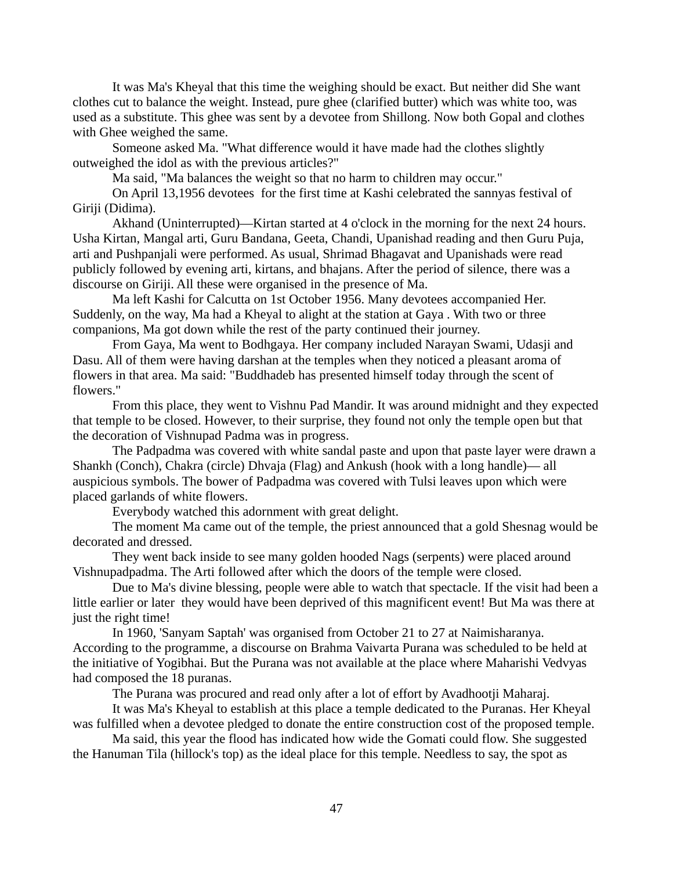It was Ma's Kheyal that this time the weighing should be exact. But neither did She want clothes cut to balance the weight. Instead, pure ghee (clarified butter) which was white too, was used as a substitute. This ghee was sent by a devotee from Shillong. Now both Gopal and clothes with Ghee weighed the same.

Someone asked Ma. "What difference would it have made had the clothes slightly outweighed the idol as with the previous articles?"

Ma said, "Ma balances the weight so that no harm to children may occur."

On April 13,1956 devotees for the first time at Kashi celebrated the sannyas festival of Giriji (Didima).

Akhand (Uninterrupted)—Kirtan started at 4 o'clock in the morning for the next 24 hours. Usha Kirtan, Mangal arti, Guru Bandana, Geeta, Chandi, Upanishad reading and then Guru Puja, arti and Pushpanjali were performed. As usual, Shrimad Bhagavat and Upanishads were read publicly followed by evening arti, kirtans, and bhajans. After the period of silence, there was a discourse on Giriji. All these were organised in the presence of Ma.

Ma left Kashi for Calcutta on 1st October 1956. Many devotees accompanied Her. Suddenly, on the way, Ma had a Kheyal to alight at the station at Gaya . With two or three companions, Ma got down while the rest of the party continued their journey.

From Gaya, Ma went to Bodhgaya. Her company included Narayan Swami, Udasji and Dasu. All of them were having darshan at the temples when they noticed a pleasant aroma of flowers in that area. Ma said: "Buddhadeb has presented himself today through the scent of flowers."

From this place, they went to Vishnu Pad Mandir. It was around midnight and they expected that temple to be closed. However, to their surprise, they found not only the temple open but that the decoration of Vishnupad Padma was in progress.

The Padpadma was covered with white sandal paste and upon that paste layer were drawn a Shankh (Conch), Chakra (circle) Dhvaja (Flag) and Ankush (hook with a long handle)— all auspicious symbols. The bower of Padpadma was covered with Tulsi leaves upon which were placed garlands of white flowers.

Everybody watched this adornment with great delight.

The moment Ma came out of the temple, the priest announced that a gold Shesnag would be decorated and dressed.

They went back inside to see many golden hooded Nags (serpents) were placed around Vishnupadpadma. The Arti followed after which the doors of the temple were closed.

Due to Ma's divine blessing, people were able to watch that spectacle. If the visit had been a little earlier or later they would have been deprived of this magnificent event! But Ma was there at just the right time!

In 1960, 'Sanyam Saptah' was organised from October 21 to 27 at Naimisharanya. According to the programme, a discourse on Brahma Vaivarta Purana was scheduled to be held at the initiative of Yogibhai. But the Purana was not available at the place where Maharishi Vedvyas had composed the 18 puranas.

The Purana was procured and read only after a lot of effort by Avadhootji Maharaj.

It was Ma's Kheyal to establish at this place a temple dedicated to the Puranas. Her Kheyal was fulfilled when a devotee pledged to donate the entire construction cost of the proposed temple.

Ma said, this year the flood has indicated how wide the Gomati could flow. She suggested the Hanuman Tila (hillock's top) as the ideal place for this temple. Needless to say, the spot as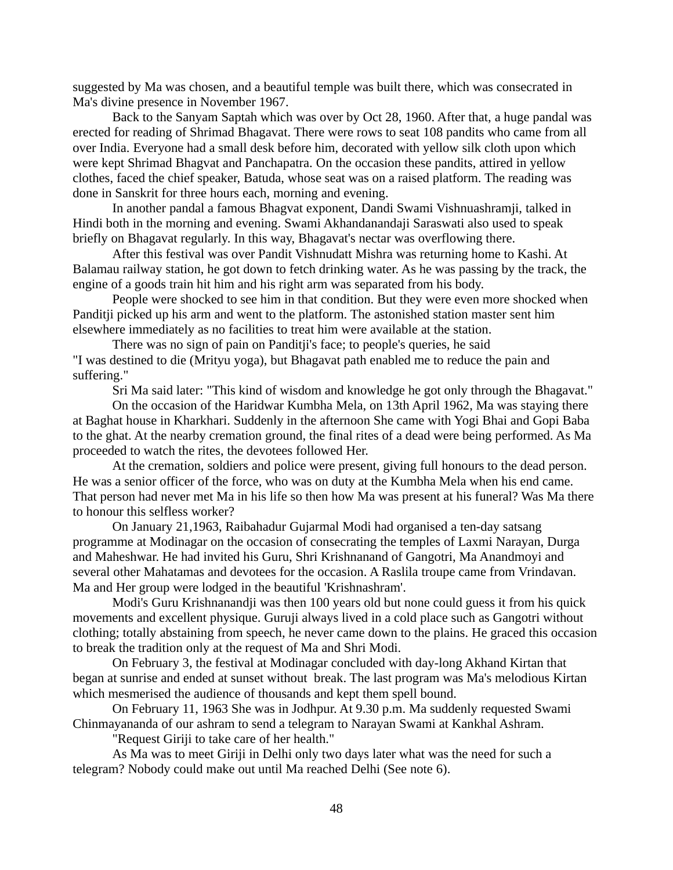suggested by Ma was chosen, and a beautiful temple was built there, which was consecrated in Ma's divine presence in November 1967.

Back to the Sanyam Saptah which was over by Oct 28, 1960. After that, a huge pandal was erected for reading of Shrimad Bhagavat. There were rows to seat 108 pandits who came from all over India. Everyone had a small desk before him, decorated with yellow silk cloth upon which were kept Shrimad Bhagvat and Panchapatra. On the occasion these pandits, attired in yellow clothes, faced the chief speaker, Batuda, whose seat was on a raised platform. The reading was done in Sanskrit for three hours each, morning and evening.

In another pandal a famous Bhagvat exponent, Dandi Swami Vishnuashramji, talked in Hindi both in the morning and evening. Swami Akhandanandaji Saraswati also used to speak briefly on Bhagavat regularly. In this way, Bhagavat's nectar was overflowing there.

After this festival was over Pandit Vishnudatt Mishra was returning home to Kashi. At Balamau railway station, he got down to fetch drinking water. As he was passing by the track, the engine of a goods train hit him and his right arm was separated from his body.

People were shocked to see him in that condition. But they were even more shocked when Panditji picked up his arm and went to the platform. The astonished station master sent him elsewhere immediately as no facilities to treat him were available at the station.

There was no sign of pain on Panditji's face; to people's queries, he said "I was destined to die (Mrityu yoga), but Bhagavat path enabled me to reduce the pain and suffering."

Sri Ma said later: "This kind of wisdom and knowledge he got only through the Bhagavat."

On the occasion of the Haridwar Kumbha Mela, on 13th April 1962, Ma was staying there at Baghat house in Kharkhari. Suddenly in the afternoon She came with Yogi Bhai and Gopi Baba to the ghat. At the nearby cremation ground, the final rites of a dead were being performed. As Ma proceeded to watch the rites, the devotees followed Her.

At the cremation, soldiers and police were present, giving full honours to the dead person. He was a senior officer of the force, who was on duty at the Kumbha Mela when his end came. That person had never met Ma in his life so then how Ma was present at his funeral? Was Ma there to honour this selfless worker?

On January 21,1963, Raibahadur Gujarmal Modi had organised a ten-day satsang programme at Modinagar on the occasion of consecrating the temples of Laxmi Narayan, Durga and Maheshwar. He had invited his Guru, Shri Krishnanand of Gangotri, Ma Anandmoyi and several other Mahatamas and devotees for the occasion. A Raslila troupe came from Vrindavan. Ma and Her group were lodged in the beautiful 'Krishnashram'.

Modi's Guru Krishnanandji was then 100 years old but none could guess it from his quick movements and excellent physique. Guruji always lived in a cold place such as Gangotri without clothing; totally abstaining from speech, he never came down to the plains. He graced this occasion to break the tradition only at the request of Ma and Shri Modi.

On February 3, the festival at Modinagar concluded with day-long Akhand Kirtan that began at sunrise and ended at sunset without break. The last program was Ma's melodious Kirtan which mesmerised the audience of thousands and kept them spell bound.

On February 11, 1963 She was in Jodhpur. At 9.30 p.m. Ma suddenly requested Swami Chinmayananda of our ashram to send a telegram to Narayan Swami at Kankhal Ashram.

"Request Giriji to take care of her health."

As Ma was to meet Giriji in Delhi only two days later what was the need for such a telegram? Nobody could make out until Ma reached Delhi (See note 6).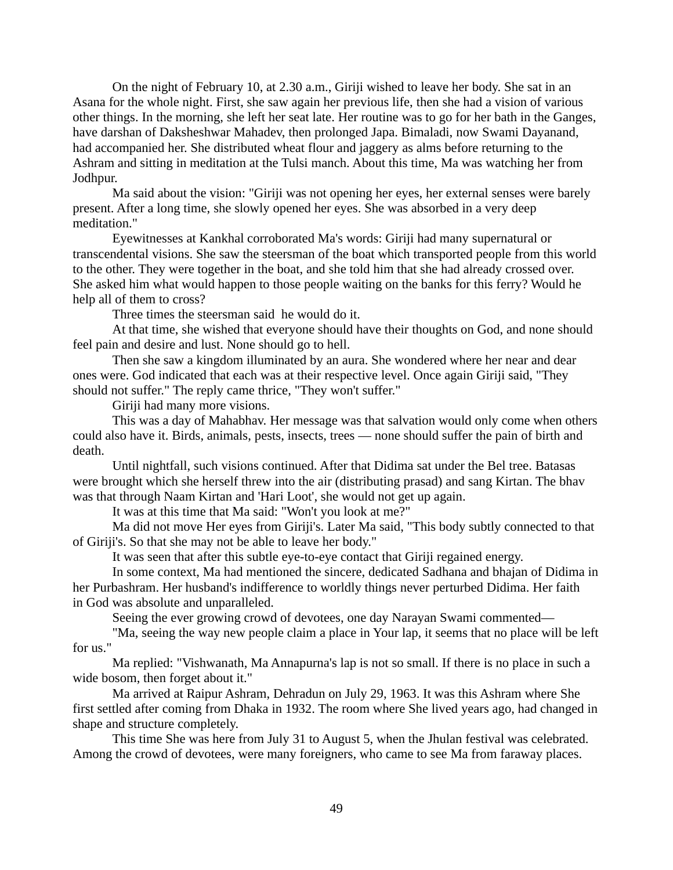On the night of February 10, at 2.30 a.m., Giriji wished to leave her body. She sat in an Asana for the whole night. First, she saw again her previous life, then she had a vision of various other things. In the morning, she left her seat late. Her routine was to go for her bath in the Ganges, have darshan of Daksheshwar Mahadev, then prolonged Japa. Bimaladi, now Swami Dayanand, had accompanied her. She distributed wheat flour and jaggery as alms before returning to the Ashram and sitting in meditation at the Tulsi manch. About this time, Ma was watching her from Jodhpur.

Ma said about the vision: "Giriji was not opening her eyes, her external senses were barely present. After a long time, she slowly opened her eyes. She was absorbed in a very deep meditation."

Eyewitnesses at Kankhal corroborated Ma's words: Giriji had many supernatural or transcendental visions. She saw the steersman of the boat which transported people from this world to the other. They were together in the boat, and she told him that she had already crossed over. She asked him what would happen to those people waiting on the banks for this ferry? Would he help all of them to cross?

Three times the steersman said he would do it.

At that time, she wished that everyone should have their thoughts on God, and none should feel pain and desire and lust. None should go to hell.

Then she saw a kingdom illuminated by an aura. She wondered where her near and dear ones were. God indicated that each was at their respective level. Once again Giriji said, "They should not suffer." The reply came thrice, "They won't suffer."

Giriji had many more visions.

This was a day of Mahabhav. Her message was that salvation would only come when others could also have it. Birds, animals, pests, insects, trees — none should suffer the pain of birth and death.

Until nightfall, such visions continued. After that Didima sat under the Bel tree. Batasas were brought which she herself threw into the air (distributing prasad) and sang Kirtan. The bhav was that through Naam Kirtan and 'Hari Loot', she would not get up again.

It was at this time that Ma said: "Won't you look at me?"

Ma did not move Her eyes from Giriji's. Later Ma said, "This body subtly connected to that of Giriji's. So that she may not be able to leave her body."

It was seen that after this subtle eye-to-eye contact that Giriji regained energy.

In some context, Ma had mentioned the sincere, dedicated Sadhana and bhajan of Didima in her Purbashram. Her husband's indifference to worldly things never perturbed Didima. Her faith in God was absolute and unparalleled.

Seeing the ever growing crowd of devotees, one day Narayan Swami commented—

"Ma, seeing the way new people claim a place in Your lap, it seems that no place will be left for us."

Ma replied: "Vishwanath, Ma Annapurna's lap is not so small. If there is no place in such a wide bosom, then forget about it."

Ma arrived at Raipur Ashram, Dehradun on July 29, 1963. It was this Ashram where She first settled after coming from Dhaka in 1932. The room where She lived years ago, had changed in shape and structure completely.

This time She was here from July 31 to August 5, when the Jhulan festival was celebrated. Among the crowd of devotees, were many foreigners, who came to see Ma from faraway places.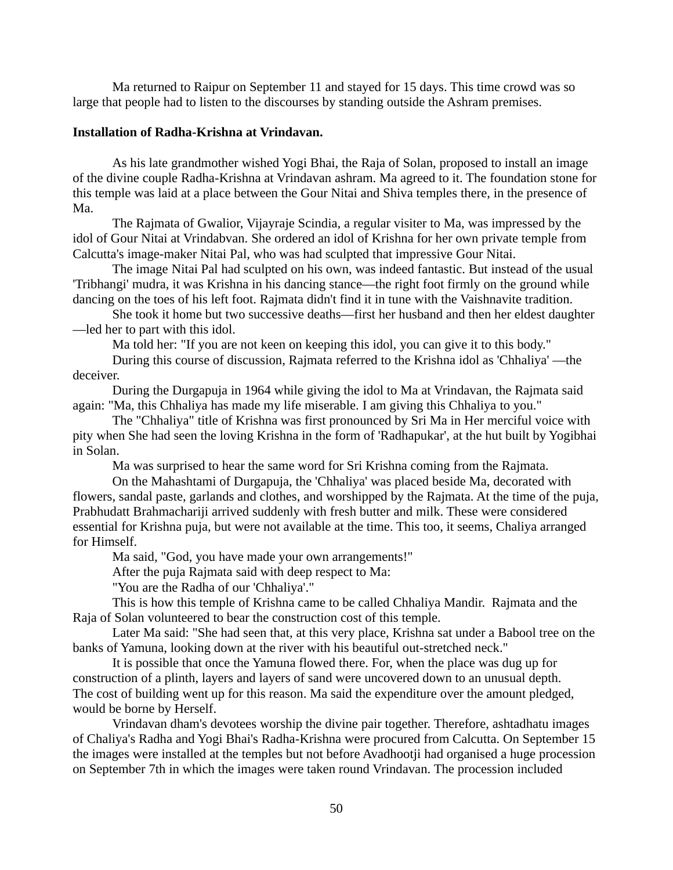Ma returned to Raipur on September 11 and stayed for 15 days. This time crowd was so large that people had to listen to the discourses by standing outside the Ashram premises.

# **Installation of Radha-Krishna at Vrindavan.**

As his late grandmother wished Yogi Bhai, the Raja of Solan, proposed to install an image of the divine couple Radha-Krishna at Vrindavan ashram. Ma agreed to it. The foundation stone for this temple was laid at a place between the Gour Nitai and Shiva temples there, in the presence of Ma.

The Rajmata of Gwalior, Vijayraje Scindia, a regular visiter to Ma, was impressed by the idol of Gour Nitai at Vrindabvan. She ordered an idol of Krishna for her own private temple from Calcutta's image-maker Nitai Pal, who was had sculpted that impressive Gour Nitai.

The image Nitai Pal had sculpted on his own, was indeed fantastic. But instead of the usual 'Tribhangi' mudra, it was Krishna in his dancing stance—the right foot firmly on the ground while dancing on the toes of his left foot. Rajmata didn't find it in tune with the Vaishnavite tradition.

She took it home but two successive deaths—first her husband and then her eldest daughter —led her to part with this idol.

Ma told her: "If you are not keen on keeping this idol, you can give it to this body."

During this course of discussion, Rajmata referred to the Krishna idol as 'Chhaliya' —the deceiver.

During the Durgapuja in 1964 while giving the idol to Ma at Vrindavan, the Rajmata said again: "Ma, this Chhaliya has made my life miserable. I am giving this Chhaliya to you."

The "Chhaliya" title of Krishna was first pronounced by Sri Ma in Her merciful voice with pity when She had seen the loving Krishna in the form of 'Radhapukar', at the hut built by Yogibhai in Solan.

Ma was surprised to hear the same word for Sri Krishna coming from the Rajmata.

On the Mahashtami of Durgapuja, the 'Chhaliya' was placed beside Ma, decorated with flowers, sandal paste, garlands and clothes, and worshipped by the Rajmata. At the time of the puja, Prabhudatt Brahmachariji arrived suddenly with fresh butter and milk. These were considered essential for Krishna puja, but were not available at the time. This too, it seems, Chaliya arranged for Himself.

Ma said, "God, you have made your own arrangements!"

After the puja Rajmata said with deep respect to Ma:

"You are the Radha of our 'Chhaliya'."

This is how this temple of Krishna came to be called Chhaliya Mandir. Rajmata and the Raja of Solan volunteered to bear the construction cost of this temple.

Later Ma said: "She had seen that, at this very place, Krishna sat under a Babool tree on the banks of Yamuna, looking down at the river with his beautiful out-stretched neck."

It is possible that once the Yamuna flowed there. For, when the place was dug up for construction of a plinth, layers and layers of sand were uncovered down to an unusual depth. The cost of building went up for this reason. Ma said the expenditure over the amount pledged, would be borne by Herself.

Vrindavan dham's devotees worship the divine pair together. Therefore, ashtadhatu images of Chaliya's Radha and Yogi Bhai's Radha-Krishna were procured from Calcutta. On September 15 the images were installed at the temples but not before Avadhootji had organised a huge procession on September 7th in which the images were taken round Vrindavan. The procession included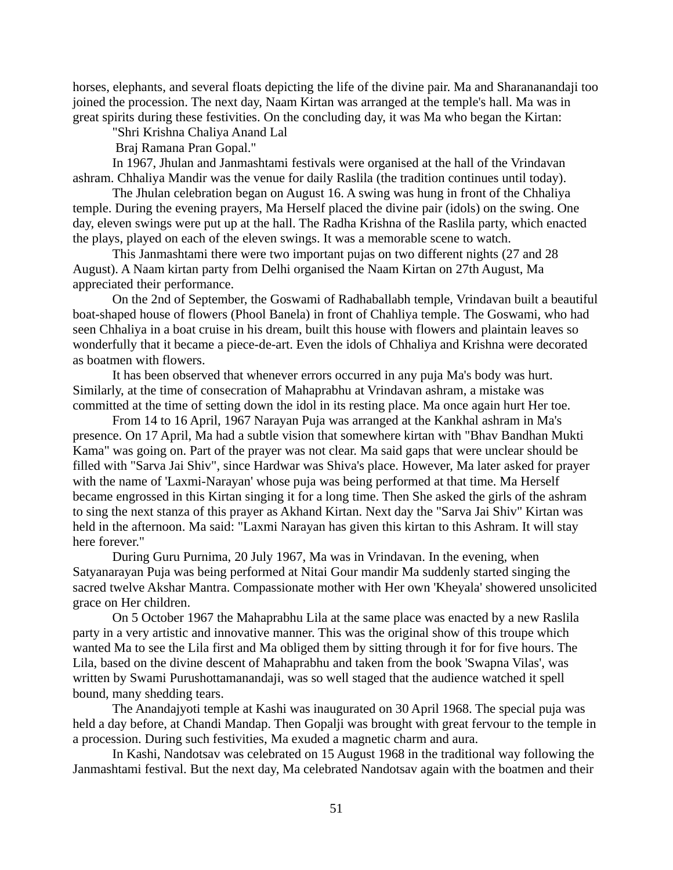horses, elephants, and several floats depicting the life of the divine pair. Ma and Sharananandaji too joined the procession. The next day, Naam Kirtan was arranged at the temple's hall. Ma was in great spirits during these festivities. On the concluding day, it was Ma who began the Kirtan:

"Shri Krishna Chaliya Anand Lal

Braj Ramana Pran Gopal."

In 1967, Jhulan and Janmashtami festivals were organised at the hall of the Vrindavan ashram. Chhaliya Mandir was the venue for daily Raslila (the tradition continues until today).

The Jhulan celebration began on August 16. A swing was hung in front of the Chhaliya temple. During the evening prayers, Ma Herself placed the divine pair (idols) on the swing. One day, eleven swings were put up at the hall. The Radha Krishna of the Raslila party, which enacted the plays, played on each of the eleven swings. It was a memorable scene to watch.

This Janmashtami there were two important pujas on two different nights (27 and 28 August). A Naam kirtan party from Delhi organised the Naam Kirtan on 27th August, Ma appreciated their performance.

On the 2nd of September, the Goswami of Radhaballabh temple, Vrindavan built a beautiful boat-shaped house of flowers (Phool Banela) in front of Chahliya temple. The Goswami, who had seen Chhaliya in a boat cruise in his dream, built this house with flowers and plaintain leaves so wonderfully that it became a piece-de-art. Even the idols of Chhaliya and Krishna were decorated as boatmen with flowers.

It has been observed that whenever errors occurred in any puja Ma's body was hurt. Similarly, at the time of consecration of Mahaprabhu at Vrindavan ashram, a mistake was committed at the time of setting down the idol in its resting place. Ma once again hurt Her toe.

From 14 to 16 April, 1967 Narayan Puja was arranged at the Kankhal ashram in Ma's presence. On 17 April, Ma had a subtle vision that somewhere kirtan with "Bhav Bandhan Mukti Kama" was going on. Part of the prayer was not clear. Ma said gaps that were unclear should be filled with "Sarva Jai Shiv", since Hardwar was Shiva's place. However, Ma later asked for prayer with the name of 'Laxmi-Narayan' whose puja was being performed at that time. Ma Herself became engrossed in this Kirtan singing it for a long time. Then She asked the girls of the ashram to sing the next stanza of this prayer as Akhand Kirtan. Next day the "Sarva Jai Shiv" Kirtan was held in the afternoon. Ma said: "Laxmi Narayan has given this kirtan to this Ashram. It will stay here forever."

During Guru Purnima, 20 July 1967, Ma was in Vrindavan. In the evening, when Satyanarayan Puja was being performed at Nitai Gour mandir Ma suddenly started singing the sacred twelve Akshar Mantra. Compassionate mother with Her own 'Kheyala' showered unsolicited grace on Her children.

On 5 October 1967 the Mahaprabhu Lila at the same place was enacted by a new Raslila party in a very artistic and innovative manner. This was the original show of this troupe which wanted Ma to see the Lila first and Ma obliged them by sitting through it for for five hours. The Lila, based on the divine descent of Mahaprabhu and taken from the book 'Swapna Vilas', was written by Swami Purushottamanandaji, was so well staged that the audience watched it spell bound, many shedding tears.

The Anandajyoti temple at Kashi was inaugurated on 30 April 1968. The special puja was held a day before, at Chandi Mandap. Then Gopalji was brought with great fervour to the temple in a procession. During such festivities, Ma exuded a magnetic charm and aura.

In Kashi, Nandotsav was celebrated on 15 August 1968 in the traditional way following the Janmashtami festival. But the next day, Ma celebrated Nandotsav again with the boatmen and their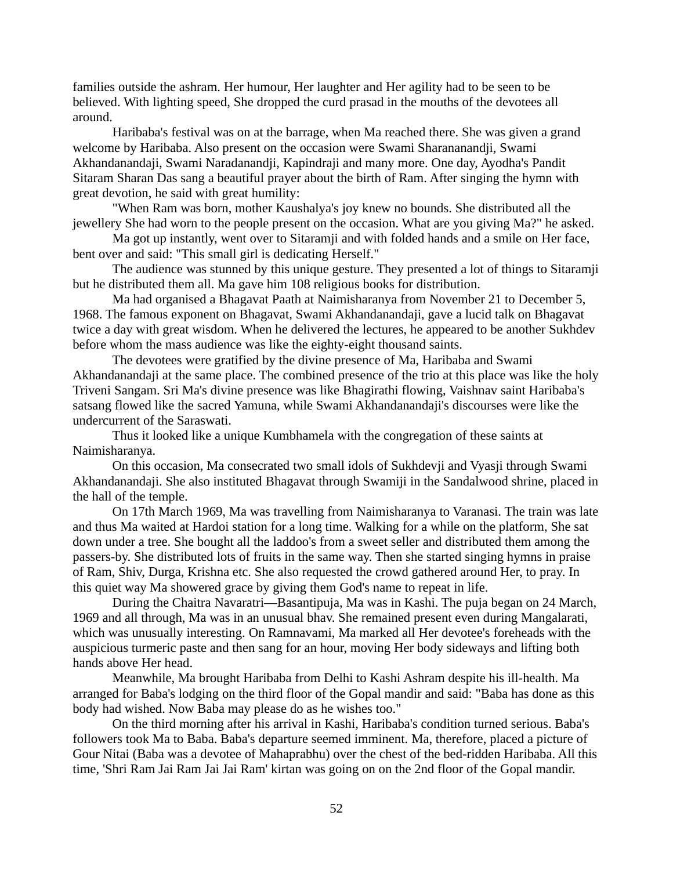families outside the ashram. Her humour, Her laughter and Her agility had to be seen to be believed. With lighting speed, She dropped the curd prasad in the mouths of the devotees all around.

Haribaba's festival was on at the barrage, when Ma reached there. She was given a grand welcome by Haribaba. Also present on the occasion were Swami Sharananandji, Swami Akhandanandaji, Swami Naradanandji, Kapindraji and many more. One day, Ayodha's Pandit Sitaram Sharan Das sang a beautiful prayer about the birth of Ram. After singing the hymn with great devotion, he said with great humility:

"When Ram was born, mother Kaushalya's joy knew no bounds. She distributed all the jewellery She had worn to the people present on the occasion. What are you giving Ma?" he asked.

Ma got up instantly, went over to Sitaramji and with folded hands and a smile on Her face, bent over and said: "This small girl is dedicating Herself."

The audience was stunned by this unique gesture. They presented a lot of things to Sitaramji but he distributed them all. Ma gave him 108 religious books for distribution.

Ma had organised a Bhagavat Paath at Naimisharanya from November 21 to December 5, 1968. The famous exponent on Bhagavat, Swami Akhandanandaji, gave a lucid talk on Bhagavat twice a day with great wisdom. When he delivered the lectures, he appeared to be another Sukhdev before whom the mass audience was like the eighty-eight thousand saints.

The devotees were gratified by the divine presence of Ma, Haribaba and Swami Akhandanandaji at the same place. The combined presence of the trio at this place was like the holy Triveni Sangam. Sri Ma's divine presence was like Bhagirathi flowing, Vaishnav saint Haribaba's satsang flowed like the sacred Yamuna, while Swami Akhandanandaji's discourses were like the undercurrent of the Saraswati.

Thus it looked like a unique Kumbhamela with the congregation of these saints at Naimisharanya.

On this occasion, Ma consecrated two small idols of Sukhdevji and Vyasji through Swami Akhandanandaji. She also instituted Bhagavat through Swamiji in the Sandalwood shrine, placed in the hall of the temple.

On 17th March 1969, Ma was travelling from Naimisharanya to Varanasi. The train was late and thus Ma waited at Hardoi station for a long time. Walking for a while on the platform, She sat down under a tree. She bought all the laddoo's from a sweet seller and distributed them among the passers-by. She distributed lots of fruits in the same way. Then she started singing hymns in praise of Ram, Shiv, Durga, Krishna etc. She also requested the crowd gathered around Her, to pray. In this quiet way Ma showered grace by giving them God's name to repeat in life.

During the Chaitra Navaratri—Basantipuja, Ma was in Kashi. The puja began on 24 March, 1969 and all through, Ma was in an unusual bhav. She remained present even during Mangalarati, which was unusually interesting. On Ramnavami, Ma marked all Her devotee's foreheads with the auspicious turmeric paste and then sang for an hour, moving Her body sideways and lifting both hands above Her head.

Meanwhile, Ma brought Haribaba from Delhi to Kashi Ashram despite his ill-health. Ma arranged for Baba's lodging on the third floor of the Gopal mandir and said: "Baba has done as this body had wished. Now Baba may please do as he wishes too."

On the third morning after his arrival in Kashi, Haribaba's condition turned serious. Baba's followers took Ma to Baba. Baba's departure seemed imminent. Ma, therefore, placed a picture of Gour Nitai (Baba was a devotee of Mahaprabhu) over the chest of the bed-ridden Haribaba. All this time, 'Shri Ram Jai Ram Jai Jai Ram' kirtan was going on on the 2nd floor of the Gopal mandir.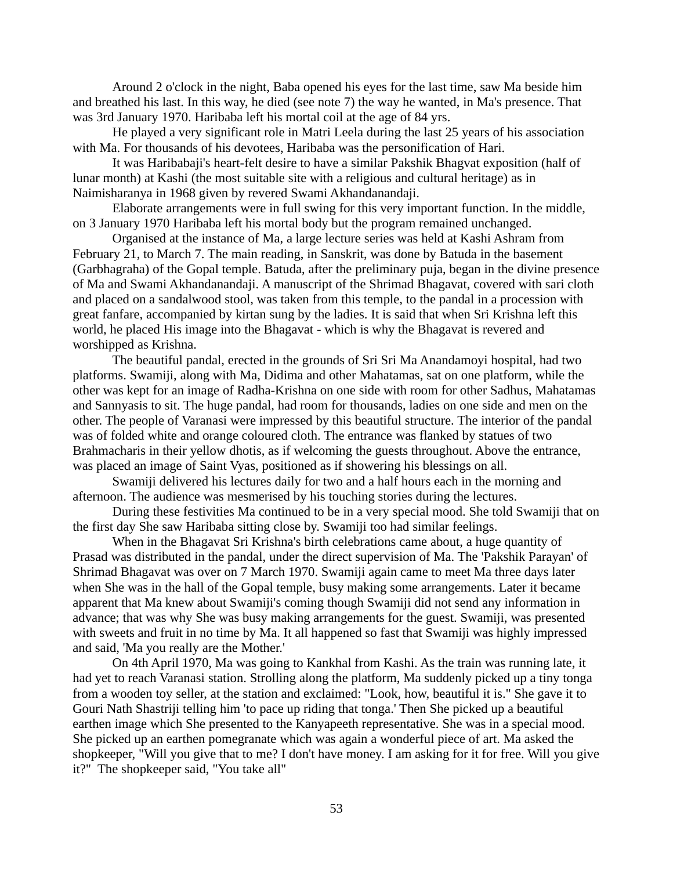Around 2 o'clock in the night, Baba opened his eyes for the last time, saw Ma beside him and breathed his last. In this way, he died (see note 7) the way he wanted, in Ma's presence. That was 3rd January 1970. Haribaba left his mortal coil at the age of 84 yrs.

He played a very significant role in Matri Leela during the last 25 years of his association with Ma. For thousands of his devotees, Haribaba was the personification of Hari.

It was Haribabaji's heart-felt desire to have a similar Pakshik Bhagvat exposition (half of lunar month) at Kashi (the most suitable site with a religious and cultural heritage) as in Naimisharanya in 1968 given by revered Swami Akhandanandaji.

Elaborate arrangements were in full swing for this very important function. In the middle, on 3 January 1970 Haribaba left his mortal body but the program remained unchanged.

Organised at the instance of Ma, a large lecture series was held at Kashi Ashram from February 21, to March 7. The main reading, in Sanskrit, was done by Batuda in the basement (Garbhagraha) of the Gopal temple. Batuda, after the preliminary puja, began in the divine presence of Ma and Swami Akhandanandaji. A manuscript of the Shrimad Bhagavat, covered with sari cloth and placed on a sandalwood stool, was taken from this temple, to the pandal in a procession with great fanfare, accompanied by kirtan sung by the ladies. It is said that when Sri Krishna left this world, he placed His image into the Bhagavat - which is why the Bhagavat is revered and worshipped as Krishna.

The beautiful pandal, erected in the grounds of Sri Sri Ma Anandamoyi hospital, had two platforms. Swamiji, along with Ma, Didima and other Mahatamas, sat on one platform, while the other was kept for an image of Radha-Krishna on one side with room for other Sadhus, Mahatamas and Sannyasis to sit. The huge pandal, had room for thousands, ladies on one side and men on the other. The people of Varanasi were impressed by this beautiful structure. The interior of the pandal was of folded white and orange coloured cloth. The entrance was flanked by statues of two Brahmacharis in their yellow dhotis, as if welcoming the guests throughout. Above the entrance, was placed an image of Saint Vyas, positioned as if showering his blessings on all.

Swamiji delivered his lectures daily for two and a half hours each in the morning and afternoon. The audience was mesmerised by his touching stories during the lectures.

During these festivities Ma continued to be in a very special mood. She told Swamiji that on the first day She saw Haribaba sitting close by. Swamiji too had similar feelings.

When in the Bhagavat Sri Krishna's birth celebrations came about, a huge quantity of Prasad was distributed in the pandal, under the direct supervision of Ma. The 'Pakshik Parayan' of Shrimad Bhagavat was over on 7 March 1970. Swamiji again came to meet Ma three days later when She was in the hall of the Gopal temple, busy making some arrangements. Later it became apparent that Ma knew about Swamiji's coming though Swamiji did not send any information in advance; that was why She was busy making arrangements for the guest. Swamiji, was presented with sweets and fruit in no time by Ma. It all happened so fast that Swamiji was highly impressed and said, 'Ma you really are the Mother.'

On 4th April 1970, Ma was going to Kankhal from Kashi. As the train was running late, it had yet to reach Varanasi station. Strolling along the platform, Ma suddenly picked up a tiny tonga from a wooden toy seller, at the station and exclaimed: "Look, how, beautiful it is." She gave it to Gouri Nath Shastriji telling him 'to pace up riding that tonga.' Then She picked up a beautiful earthen image which She presented to the Kanyapeeth representative. She was in a special mood. She picked up an earthen pomegranate which was again a wonderful piece of art. Ma asked the shopkeeper, "Will you give that to me? I don't have money. I am asking for it for free. Will you give it?" The shopkeeper said, "You take all"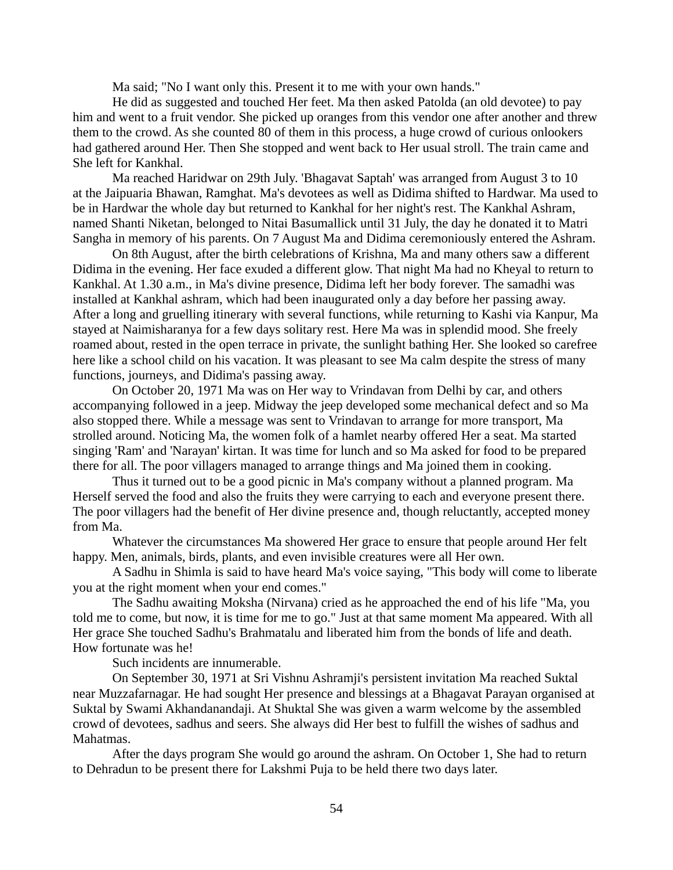Ma said; "No I want only this. Present it to me with your own hands."

He did as suggested and touched Her feet. Ma then asked Patolda (an old devotee) to pay him and went to a fruit vendor. She picked up oranges from this vendor one after another and threw them to the crowd. As she counted 80 of them in this process, a huge crowd of curious onlookers had gathered around Her. Then She stopped and went back to Her usual stroll. The train came and She left for Kankhal.

Ma reached Haridwar on 29th July. 'Bhagavat Saptah' was arranged from August 3 to 10 at the Jaipuaria Bhawan, Ramghat. Ma's devotees as well as Didima shifted to Hardwar. Ma used to be in Hardwar the whole day but returned to Kankhal for her night's rest. The Kankhal Ashram, named Shanti Niketan, belonged to Nitai Basumallick until 31 July, the day he donated it to Matri Sangha in memory of his parents. On 7 August Ma and Didima ceremoniously entered the Ashram.

On 8th August, after the birth celebrations of Krishna, Ma and many others saw a different Didima in the evening. Her face exuded a different glow. That night Ma had no Kheyal to return to Kankhal. At 1.30 a.m., in Ma's divine presence, Didima left her body forever. The samadhi was installed at Kankhal ashram, which had been inaugurated only a day before her passing away. After a long and gruelling itinerary with several functions, while returning to Kashi via Kanpur, Ma stayed at Naimisharanya for a few days solitary rest. Here Ma was in splendid mood. She freely roamed about, rested in the open terrace in private, the sunlight bathing Her. She looked so carefree here like a school child on his vacation. It was pleasant to see Ma calm despite the stress of many functions, journeys, and Didima's passing away.

On October 20, 1971 Ma was on Her way to Vrindavan from Delhi by car, and others accompanying followed in a jeep. Midway the jeep developed some mechanical defect and so Ma also stopped there. While a message was sent to Vrindavan to arrange for more transport, Ma strolled around. Noticing Ma, the women folk of a hamlet nearby offered Her a seat. Ma started singing 'Ram' and 'Narayan' kirtan. It was time for lunch and so Ma asked for food to be prepared there for all. The poor villagers managed to arrange things and Ma joined them in cooking.

Thus it turned out to be a good picnic in Ma's company without a planned program. Ma Herself served the food and also the fruits they were carrying to each and everyone present there. The poor villagers had the benefit of Her divine presence and, though reluctantly, accepted money from Ma.

Whatever the circumstances Ma showered Her grace to ensure that people around Her felt happy. Men, animals, birds, plants, and even invisible creatures were all Her own.

A Sadhu in Shimla is said to have heard Ma's voice saying, "This body will come to liberate you at the right moment when your end comes."

The Sadhu awaiting Moksha (Nirvana) cried as he approached the end of his life "Ma, you told me to come, but now, it is time for me to go." Just at that same moment Ma appeared. With all Her grace She touched Sadhu's Brahmatalu and liberated him from the bonds of life and death. How fortunate was he!

Such incidents are innumerable.

On September 30, 1971 at Sri Vishnu Ashramji's persistent invitation Ma reached Suktal near Muzzafarnagar. He had sought Her presence and blessings at a Bhagavat Parayan organised at Suktal by Swami Akhandanandaji. At Shuktal She was given a warm welcome by the assembled crowd of devotees, sadhus and seers. She always did Her best to fulfill the wishes of sadhus and Mahatmas.

After the days program She would go around the ashram. On October 1, She had to return to Dehradun to be present there for Lakshmi Puja to be held there two days later.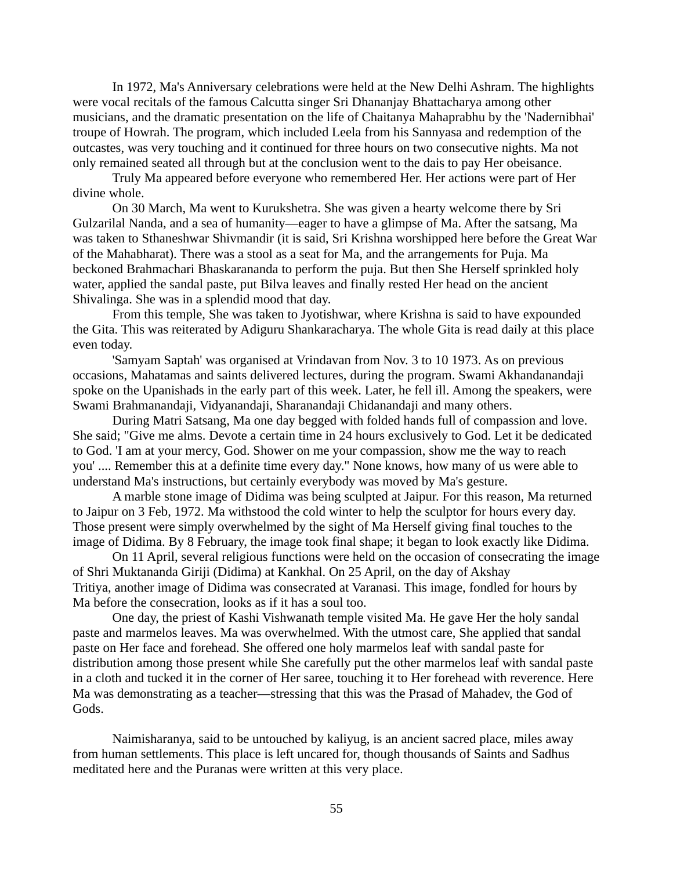In 1972, Ma's Anniversary celebrations were held at the New Delhi Ashram. The highlights were vocal recitals of the famous Calcutta singer Sri Dhananjay Bhattacharya among other musicians, and the dramatic presentation on the life of Chaitanya Mahaprabhu by the 'Nadernibhai' troupe of Howrah. The program, which included Leela from his Sannyasa and redemption of the outcastes, was very touching and it continued for three hours on two consecutive nights. Ma not only remained seated all through but at the conclusion went to the dais to pay Her obeisance.

Truly Ma appeared before everyone who remembered Her. Her actions were part of Her divine whole.

On 30 March, Ma went to Kurukshetra. She was given a hearty welcome there by Sri Gulzarilal Nanda, and a sea of humanity—eager to have a glimpse of Ma. After the satsang, Ma was taken to Sthaneshwar Shivmandir (it is said, Sri Krishna worshipped here before the Great War of the Mahabharat). There was a stool as a seat for Ma, and the arrangements for Puja. Ma beckoned Brahmachari Bhaskarananda to perform the puja. But then She Herself sprinkled holy water, applied the sandal paste, put Bilva leaves and finally rested Her head on the ancient Shivalinga. She was in a splendid mood that day.

From this temple, She was taken to Jyotishwar, where Krishna is said to have expounded the Gita. This was reiterated by Adiguru Shankaracharya. The whole Gita is read daily at this place even today.

'Samyam Saptah' was organised at Vrindavan from Nov. 3 to 10 1973. As on previous occasions, Mahatamas and saints delivered lectures, during the program. Swami Akhandanandaji spoke on the Upanishads in the early part of this week. Later, he fell ill. Among the speakers, were Swami Brahmanandaji, Vidyanandaji, Sharanandaji Chidanandaji and many others.

During Matri Satsang, Ma one day begged with folded hands full of compassion and love. She said; "Give me alms. Devote a certain time in 24 hours exclusively to God. Let it be dedicated to God. 'I am at your mercy, God. Shower on me your compassion, show me the way to reach you' .... Remember this at a definite time every day." None knows, how many of us were able to understand Ma's instructions, but certainly everybody was moved by Ma's gesture.

A marble stone image of Didima was being sculpted at Jaipur. For this reason, Ma returned to Jaipur on 3 Feb, 1972. Ma withstood the cold winter to help the sculptor for hours every day. Those present were simply overwhelmed by the sight of Ma Herself giving final touches to the image of Didima. By 8 February, the image took final shape; it began to look exactly like Didima.

On 11 April, several religious functions were held on the occasion of consecrating the image of Shri Muktananda Giriji (Didima) at Kankhal. On 25 April, on the day of Akshay Tritiya, another image of Didima was consecrated at Varanasi. This image, fondled for hours by Ma before the consecration, looks as if it has a soul too.

One day, the priest of Kashi Vishwanath temple visited Ma. He gave Her the holy sandal paste and marmelos leaves. Ma was overwhelmed. With the utmost care, She applied that sandal paste on Her face and forehead. She offered one holy marmelos leaf with sandal paste for distribution among those present while She carefully put the other marmelos leaf with sandal paste in a cloth and tucked it in the corner of Her saree, touching it to Her forehead with reverence. Here Ma was demonstrating as a teacher—stressing that this was the Prasad of Mahadev, the God of Gods.

Naimisharanya, said to be untouched by kaliyug, is an ancient sacred place, miles away from human settlements. This place is left uncared for, though thousands of Saints and Sadhus meditated here and the Puranas were written at this very place.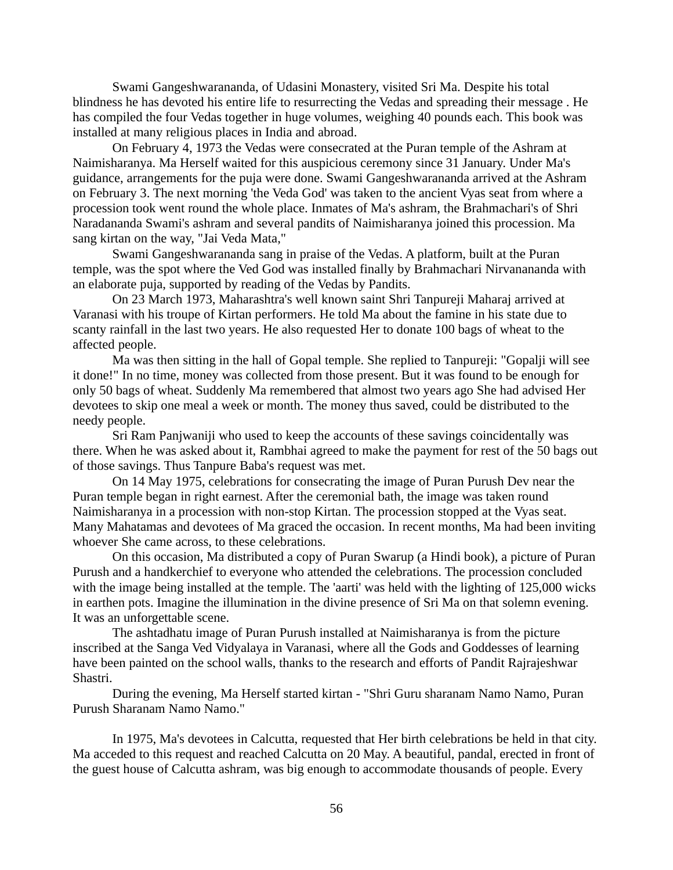Swami Gangeshwarananda, of Udasini Monastery, visited Sri Ma. Despite his total blindness he has devoted his entire life to resurrecting the Vedas and spreading their message . He has compiled the four Vedas together in huge volumes, weighing 40 pounds each. This book was installed at many religious places in India and abroad.

On February 4, 1973 the Vedas were consecrated at the Puran temple of the Ashram at Naimisharanya. Ma Herself waited for this auspicious ceremony since 31 January. Under Ma's guidance, arrangements for the puja were done. Swami Gangeshwarananda arrived at the Ashram on February 3. The next morning 'the Veda God' was taken to the ancient Vyas seat from where a procession took went round the whole place. Inmates of Ma's ashram, the Brahmachari's of Shri Naradananda Swami's ashram and several pandits of Naimisharanya joined this procession. Ma sang kirtan on the way, "Jai Veda Mata,"

Swami Gangeshwarananda sang in praise of the Vedas. A platform, built at the Puran temple, was the spot where the Ved God was installed finally by Brahmachari Nirvanananda with an elaborate puja, supported by reading of the Vedas by Pandits.

On 23 March 1973, Maharashtra's well known saint Shri Tanpureji Maharaj arrived at Varanasi with his troupe of Kirtan performers. He told Ma about the famine in his state due to scanty rainfall in the last two years. He also requested Her to donate 100 bags of wheat to the affected people.

Ma was then sitting in the hall of Gopal temple. She replied to Tanpureji: "Gopalji will see it done!" In no time, money was collected from those present. But it was found to be enough for only 50 bags of wheat. Suddenly Ma remembered that almost two years ago She had advised Her devotees to skip one meal a week or month. The money thus saved, could be distributed to the needy people.

Sri Ram Panjwaniji who used to keep the accounts of these savings coincidentally was there. When he was asked about it, Rambhai agreed to make the payment for rest of the 50 bags out of those savings. Thus Tanpure Baba's request was met.

On 14 May 1975, celebrations for consecrating the image of Puran Purush Dev near the Puran temple began in right earnest. After the ceremonial bath, the image was taken round Naimisharanya in a procession with non-stop Kirtan. The procession stopped at the Vyas seat. Many Mahatamas and devotees of Ma graced the occasion. In recent months, Ma had been inviting whoever She came across, to these celebrations.

On this occasion, Ma distributed a copy of Puran Swarup (a Hindi book), a picture of Puran Purush and a handkerchief to everyone who attended the celebrations. The procession concluded with the image being installed at the temple. The 'aarti' was held with the lighting of 125,000 wicks in earthen pots. Imagine the illumination in the divine presence of Sri Ma on that solemn evening. It was an unforgettable scene.

The ashtadhatu image of Puran Purush installed at Naimisharanya is from the picture inscribed at the Sanga Ved Vidyalaya in Varanasi, where all the Gods and Goddesses of learning have been painted on the school walls, thanks to the research and efforts of Pandit Rajrajeshwar Shastri.

During the evening, Ma Herself started kirtan - "Shri Guru sharanam Namo Namo, Puran Purush Sharanam Namo Namo."

In 1975, Ma's devotees in Calcutta, requested that Her birth celebrations be held in that city. Ma acceded to this request and reached Calcutta on 20 May. A beautiful, pandal, erected in front of the guest house of Calcutta ashram, was big enough to accommodate thousands of people. Every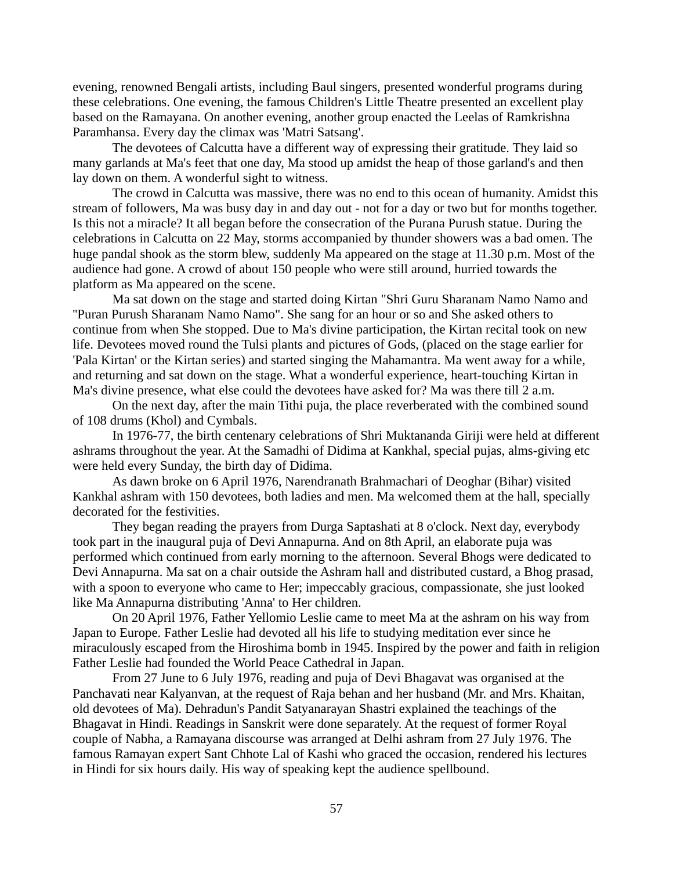evening, renowned Bengali artists, including Baul singers, presented wonderful programs during these celebrations. One evening, the famous Children's Little Theatre presented an excellent play based on the Ramayana. On another evening, another group enacted the Leelas of Ramkrishna Paramhansa. Every day the climax was 'Matri Satsang'.

The devotees of Calcutta have a different way of expressing their gratitude. They laid so many garlands at Ma's feet that one day, Ma stood up amidst the heap of those garland's and then lay down on them. A wonderful sight to witness.

The crowd in Calcutta was massive, there was no end to this ocean of humanity. Amidst this stream of followers, Ma was busy day in and day out - not for a day or two but for months together. Is this not a miracle? It all began before the consecration of the Purana Purush statue. During the celebrations in Calcutta on 22 May, storms accompanied by thunder showers was a bad omen. The huge pandal shook as the storm blew, suddenly Ma appeared on the stage at 11.30 p.m. Most of the audience had gone. A crowd of about 150 people who were still around, hurried towards the platform as Ma appeared on the scene.

Ma sat down on the stage and started doing Kirtan "Shri Guru Sharanam Namo Namo and ''Puran Purush Sharanam Namo Namo". She sang for an hour or so and She asked others to continue from when She stopped. Due to Ma's divine participation, the Kirtan recital took on new life. Devotees moved round the Tulsi plants and pictures of Gods, (placed on the stage earlier for 'Pala Kirtan' or the Kirtan series) and started singing the Mahamantra. Ma went away for a while, and returning and sat down on the stage. What a wonderful experience, heart-touching Kirtan in Ma's divine presence, what else could the devotees have asked for? Ma was there till 2 a.m.

On the next day, after the main Tithi puja, the place reverberated with the combined sound of 108 drums (Khol) and Cymbals.

In 1976-77, the birth centenary celebrations of Shri Muktananda Giriji were held at different ashrams throughout the year. At the Samadhi of Didima at Kankhal, special pujas, alms-giving etc were held every Sunday, the birth day of Didima.

As dawn broke on 6 April 1976, Narendranath Brahmachari of Deoghar (Bihar) visited Kankhal ashram with 150 devotees, both ladies and men. Ma welcomed them at the hall, specially decorated for the festivities.

They began reading the prayers from Durga Saptashati at 8 o'clock. Next day, everybody took part in the inaugural puja of Devi Annapurna. And on 8th April, an elaborate puja was performed which continued from early morning to the afternoon. Several Bhogs were dedicated to Devi Annapurna. Ma sat on a chair outside the Ashram hall and distributed custard, a Bhog prasad, with a spoon to everyone who came to Her; impeccably gracious, compassionate, she just looked like Ma Annapurna distributing 'Anna' to Her children.

On 20 April 1976, Father Yellomio Leslie came to meet Ma at the ashram on his way from Japan to Europe. Father Leslie had devoted all his life to studying meditation ever since he miraculously escaped from the Hiroshima bomb in 1945. Inspired by the power and faith in religion Father Leslie had founded the World Peace Cathedral in Japan.

From 27 June to 6 July 1976, reading and puja of Devi Bhagavat was organised at the Panchavati near Kalyanvan, at the request of Raja behan and her husband (Mr. and Mrs. Khaitan, old devotees of Ma). Dehradun's Pandit Satyanarayan Shastri explained the teachings of the Bhagavat in Hindi. Readings in Sanskrit were done separately. At the request of former Royal couple of Nabha, a Ramayana discourse was arranged at Delhi ashram from 27 July 1976. The famous Ramayan expert Sant Chhote Lal of Kashi who graced the occasion, rendered his lectures in Hindi for six hours daily. His way of speaking kept the audience spellbound.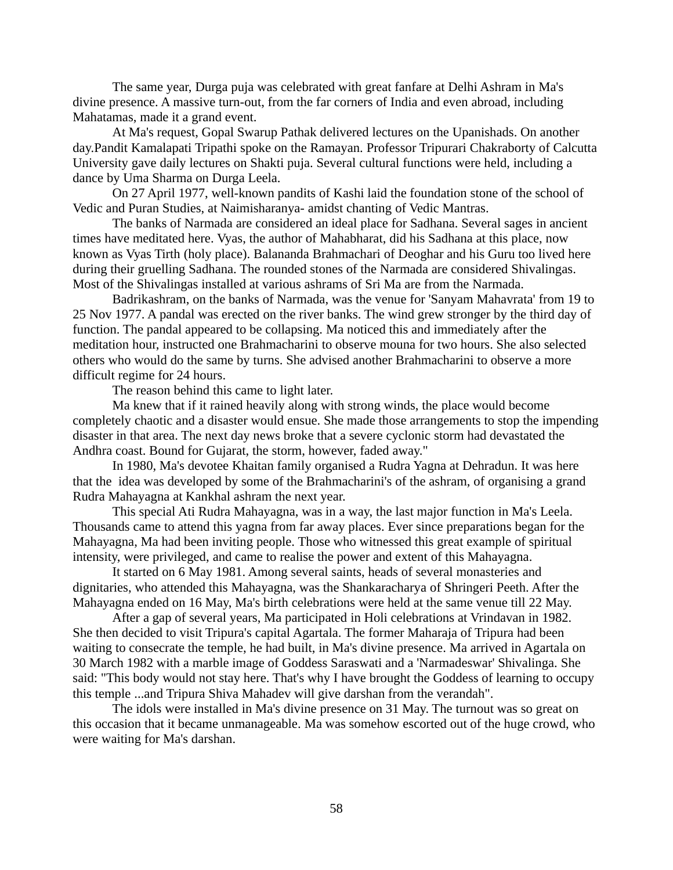The same year, Durga puja was celebrated with great fanfare at Delhi Ashram in Ma's divine presence. A massive turn-out, from the far corners of India and even abroad, including Mahatamas, made it a grand event.

At Ma's request, Gopal Swarup Pathak delivered lectures on the Upanishads. On another day.Pandit Kamalapati Tripathi spoke on the Ramayan. Professor Tripurari Chakraborty of Calcutta University gave daily lectures on Shakti puja. Several cultural functions were held, including a dance by Uma Sharma on Durga Leela.

On 27 April 1977, well-known pandits of Kashi laid the foundation stone of the school of Vedic and Puran Studies, at Naimisharanya- amidst chanting of Vedic Mantras.

The banks of Narmada are considered an ideal place for Sadhana. Several sages in ancient times have meditated here. Vyas, the author of Mahabharat, did his Sadhana at this place, now known as Vyas Tirth (holy place). Balananda Brahmachari of Deoghar and his Guru too lived here during their gruelling Sadhana. The rounded stones of the Narmada are considered Shivalingas. Most of the Shivalingas installed at various ashrams of Sri Ma are from the Narmada.

Badrikashram, on the banks of Narmada, was the venue for 'Sanyam Mahavrata' from 19 to 25 Nov 1977. A pandal was erected on the river banks. The wind grew stronger by the third day of function. The pandal appeared to be collapsing. Ma noticed this and immediately after the meditation hour, instructed one Brahmacharini to observe mouna for two hours. She also selected others who would do the same by turns. She advised another Brahmacharini to observe a more difficult regime for 24 hours.

The reason behind this came to light later.

Ma knew that if it rained heavily along with strong winds, the place would become completely chaotic and a disaster would ensue. She made those arrangements to stop the impending disaster in that area. The next day news broke that a severe cyclonic storm had devastated the Andhra coast. Bound for Gujarat, the storm, however, faded away."

In 1980, Ma's devotee Khaitan family organised a Rudra Yagna at Dehradun. It was here that the idea was developed by some of the Brahmacharini's of the ashram, of organising a grand Rudra Mahayagna at Kankhal ashram the next year.

This special Ati Rudra Mahayagna, was in a way, the last major function in Ma's Leela. Thousands came to attend this yagna from far away places. Ever since preparations began for the Mahayagna, Ma had been inviting people. Those who witnessed this great example of spiritual intensity, were privileged, and came to realise the power and extent of this Mahayagna.

It started on 6 May 1981. Among several saints, heads of several monasteries and dignitaries, who attended this Mahayagna, was the Shankaracharya of Shringeri Peeth. After the Mahayagna ended on 16 May, Ma's birth celebrations were held at the same venue till 22 May.

After a gap of several years, Ma participated in Holi celebrations at Vrindavan in 1982. She then decided to visit Tripura's capital Agartala. The former Maharaja of Tripura had been waiting to consecrate the temple, he had built, in Ma's divine presence. Ma arrived in Agartala on 30 March 1982 with a marble image of Goddess Saraswati and a 'Narmadeswar' Shivalinga. She said: "This body would not stay here. That's why I have brought the Goddess of learning to occupy this temple ...and Tripura Shiva Mahadev will give darshan from the verandah".

The idols were installed in Ma's divine presence on 31 May. The turnout was so great on this occasion that it became unmanageable. Ma was somehow escorted out of the huge crowd, who were waiting for Ma's darshan.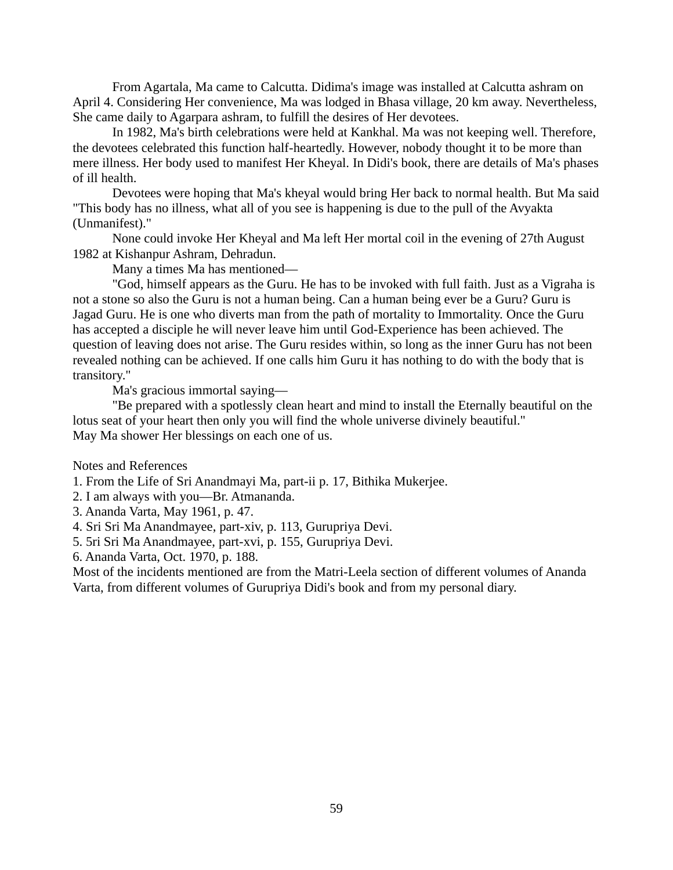From Agartala, Ma came to Calcutta. Didima's image was installed at Calcutta ashram on April 4. Considering Her convenience, Ma was lodged in Bhasa village, 20 km away. Nevertheless, She came daily to Agarpara ashram, to fulfill the desires of Her devotees.

In 1982, Ma's birth celebrations were held at Kankhal. Ma was not keeping well. Therefore, the devotees celebrated this function half-heartedly. However, nobody thought it to be more than mere illness. Her body used to manifest Her Kheyal. In Didi's book, there are details of Ma's phases of ill health.

Devotees were hoping that Ma's kheyal would bring Her back to normal health. But Ma said "This body has no illness, what all of you see is happening is due to the pull of the Avyakta (Unmanifest)."

None could invoke Her Kheyal and Ma left Her mortal coil in the evening of 27th August 1982 at Kishanpur Ashram, Dehradun.

Many a times Ma has mentioned—

"God, himself appears as the Guru. He has to be invoked with full faith. Just as a Vigraha is not a stone so also the Guru is not a human being. Can a human being ever be a Guru? Guru is Jagad Guru. He is one who diverts man from the path of mortality to Immortality. Once the Guru has accepted a disciple he will never leave him until God-Experience has been achieved. The question of leaving does not arise. The Guru resides within, so long as the inner Guru has not been revealed nothing can be achieved. If one calls him Guru it has nothing to do with the body that is transitory."

Ma's gracious immortal saying—

"Be prepared with a spotlessly clean heart and mind to install the Eternally beautiful on the lotus seat of your heart then only you will find the whole universe divinely beautiful." May Ma shower Her blessings on each one of us.

Notes and References

1. From the Life of Sri Anandmayi Ma, part-ii p. 17, Bithika Mukerjee.

2. I am always with you—Br. Atmananda.

3. Ananda Varta, May 1961, p. 47.

4. Sri Sri Ma Anandmayee, part-xiv, p. 113, Gurupriya Devi.

5. 5ri Sri Ma Anandmayee, part-xvi, p. 155, Gurupriya Devi.

6. Ananda Varta, Oct. 1970, p. 188.

Most of the incidents mentioned are from the Matri-Leela section of different volumes of Ananda Varta, from different volumes of Gurupriya Didi's book and from my personal diary.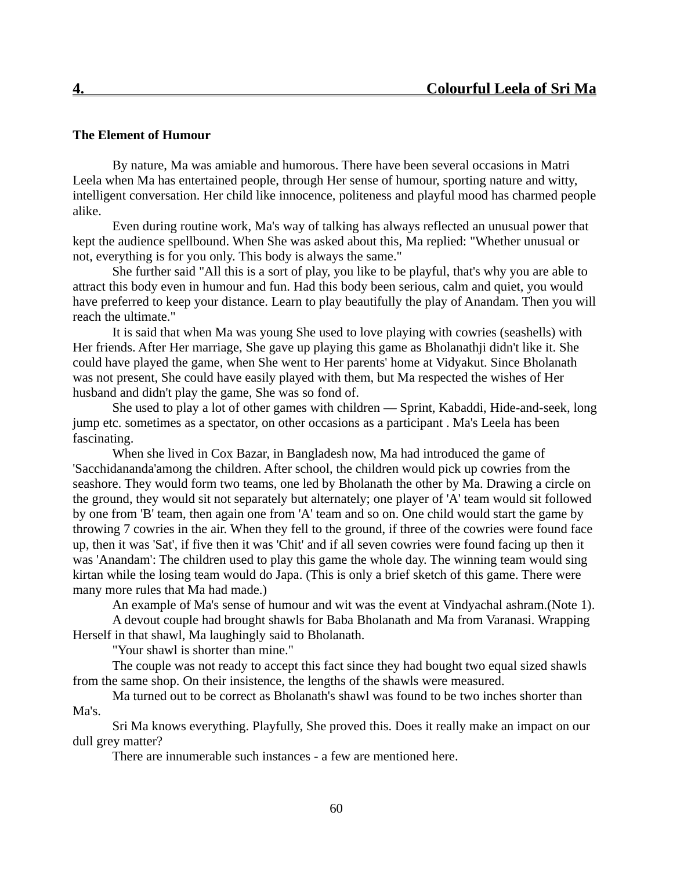# **The Element of Humour**

By nature, Ma was amiable and humorous. There have been several occasions in Matri Leela when Ma has entertained people, through Her sense of humour, sporting nature and witty, intelligent conversation. Her child like innocence, politeness and playful mood has charmed people alike.

Even during routine work, Ma's way of talking has always reflected an unusual power that kept the audience spellbound. When She was asked about this, Ma replied: "Whether unusual or not, everything is for you only. This body is always the same."

She further said "All this is a sort of play, you like to be playful, that's why you are able to attract this body even in humour and fun. Had this body been serious, calm and quiet, you would have preferred to keep your distance. Learn to play beautifully the play of Anandam. Then you will reach the ultimate."

It is said that when Ma was young She used to love playing with cowries (seashells) with Her friends. After Her marriage, She gave up playing this game as Bholanathji didn't like it. She could have played the game, when She went to Her parents' home at Vidyakut. Since Bholanath was not present, She could have easily played with them, but Ma respected the wishes of Her husband and didn't play the game, She was so fond of.

She used to play a lot of other games with children — Sprint, Kabaddi, Hide-and-seek, long jump etc. sometimes as a spectator, on other occasions as a participant . Ma's Leela has been fascinating.

When she lived in Cox Bazar, in Bangladesh now, Ma had introduced the game of 'Sacchidananda'among the children. After school, the children would pick up cowries from the seashore. They would form two teams, one led by Bholanath the other by Ma. Drawing a circle on the ground, they would sit not separately but alternately; one player of 'A' team would sit followed by one from 'B' team, then again one from 'A' team and so on. One child would start the game by throwing 7 cowries in the air. When they fell to the ground, if three of the cowries were found face up, then it was 'Sat', if five then it was 'Chit' and if all seven cowries were found facing up then it was 'Anandam': The children used to play this game the whole day. The winning team would sing kirtan while the losing team would do Japa. (This is only a brief sketch of this game. There were many more rules that Ma had made.)

An example of Ma's sense of humour and wit was the event at Vindyachal ashram.(Note 1).

A devout couple had brought shawls for Baba Bholanath and Ma from Varanasi. Wrapping Herself in that shawl, Ma laughingly said to Bholanath.

"Your shawl is shorter than mine."

The couple was not ready to accept this fact since they had bought two equal sized shawls from the same shop. On their insistence, the lengths of the shawls were measured.

Ma turned out to be correct as Bholanath's shawl was found to be two inches shorter than Ma's.

Sri Ma knows everything. Playfully, She proved this. Does it really make an impact on our dull grey matter?

There are innumerable such instances - a few are mentioned here.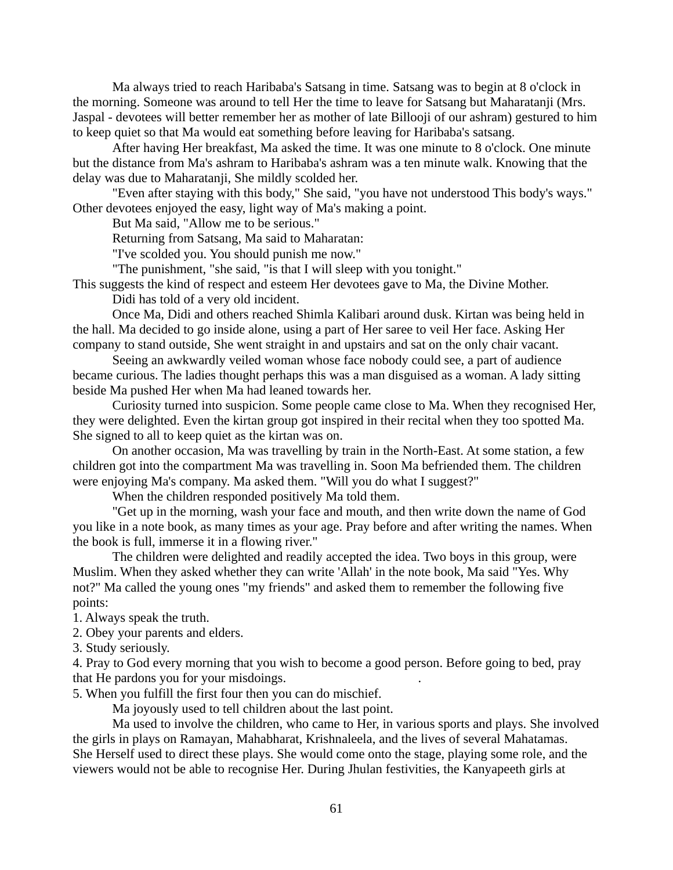Ma always tried to reach Haribaba's Satsang in time. Satsang was to begin at 8 o'clock in the morning. Someone was around to tell Her the time to leave for Satsang but Maharatanji (Mrs. Jaspal - devotees will better remember her as mother of late Billooji of our ashram) gestured to him to keep quiet so that Ma would eat something before leaving for Haribaba's satsang.

After having Her breakfast, Ma asked the time. It was one minute to 8 o'clock. One minute but the distance from Ma's ashram to Haribaba's ashram was a ten minute walk. Knowing that the delay was due to Maharatanji, She mildly scolded her.

"Even after staying with this body," She said, "you have not understood This body's ways." Other devotees enjoyed the easy, light way of Ma's making a point.

But Ma said, "Allow me to be serious."

Returning from Satsang, Ma said to Maharatan:

"I've scolded you. You should punish me now."

"The punishment, "she said, "is that I will sleep with you tonight."

This suggests the kind of respect and esteem Her devotees gave to Ma, the Divine Mother. Didi has told of a very old incident.

Once Ma, Didi and others reached Shimla Kalibari around dusk. Kirtan was being held in the hall. Ma decided to go inside alone, using a part of Her saree to veil Her face. Asking Her company to stand outside, She went straight in and upstairs and sat on the only chair vacant.

Seeing an awkwardly veiled woman whose face nobody could see, a part of audience became curious. The ladies thought perhaps this was a man disguised as a woman. A lady sitting beside Ma pushed Her when Ma had leaned towards her.

Curiosity turned into suspicion. Some people came close to Ma. When they recognised Her, they were delighted. Even the kirtan group got inspired in their recital when they too spotted Ma. She signed to all to keep quiet as the kirtan was on.

On another occasion, Ma was travelling by train in the North-East. At some station, a few children got into the compartment Ma was travelling in. Soon Ma befriended them. The children were enjoying Ma's company. Ma asked them. "Will you do what I suggest?"

When the children responded positively Ma told them.

"Get up in the morning, wash your face and mouth, and then write down the name of God you like in a note book, as many times as your age. Pray before and after writing the names. When the book is full, immerse it in a flowing river."

The children were delighted and readily accepted the idea. Two boys in this group, were Muslim. When they asked whether they can write 'Allah' in the note book, Ma said "Yes. Why not?" Ma called the young ones "my friends" and asked them to remember the following five points:

1. Always speak the truth.

2. Obey your parents and elders.

3. Study seriously.

4. Pray to God every morning that you wish to become a good person. Before going to bed, pray that He pardons you for your misdoings. .

5. When you fulfill the first four then you can do mischief.

Ma joyously used to tell children about the last point.

Ma used to involve the children, who came to Her, in various sports and plays. She involved the girls in plays on Ramayan, Mahabharat, Krishnaleela, and the lives of several Mahatamas. She Herself used to direct these plays. She would come onto the stage, playing some role, and the viewers would not be able to recognise Her. During Jhulan festivities, the Kanyapeeth girls at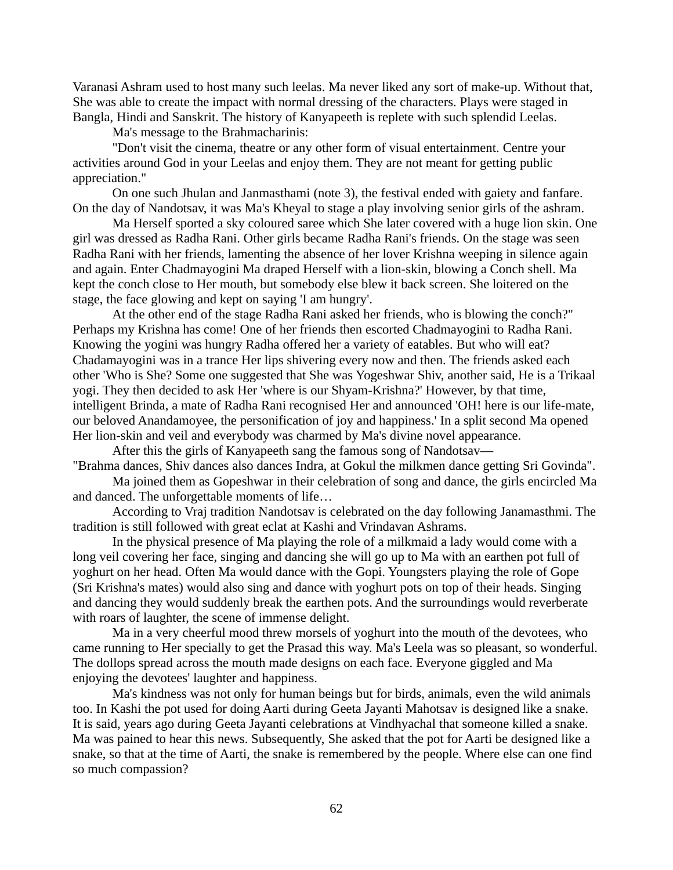Varanasi Ashram used to host many such leelas. Ma never liked any sort of make-up. Without that, She was able to create the impact with normal dressing of the characters. Plays were staged in Bangla, Hindi and Sanskrit. The history of Kanyapeeth is replete with such splendid Leelas.

Ma's message to the Brahmacharinis:

"Don't visit the cinema, theatre or any other form of visual entertainment. Centre your activities around God in your Leelas and enjoy them. They are not meant for getting public appreciation."

On one such Jhulan and Janmasthami (note 3), the festival ended with gaiety and fanfare. On the day of Nandotsav, it was Ma's Kheyal to stage a play involving senior girls of the ashram.

Ma Herself sported a sky coloured saree which She later covered with a huge lion skin. One girl was dressed as Radha Rani. Other girls became Radha Rani's friends. On the stage was seen Radha Rani with her friends, lamenting the absence of her lover Krishna weeping in silence again and again. Enter Chadmayogini Ma draped Herself with a lion-skin, blowing a Conch shell. Ma kept the conch close to Her mouth, but somebody else blew it back screen. She loitered on the stage, the face glowing and kept on saying 'I am hungry'.

At the other end of the stage Radha Rani asked her friends, who is blowing the conch?" Perhaps my Krishna has come! One of her friends then escorted Chadmayogini to Radha Rani. Knowing the yogini was hungry Radha offered her a variety of eatables. But who will eat? Chadamayogini was in a trance Her lips shivering every now and then. The friends asked each other 'Who is She? Some one suggested that She was Yogeshwar Shiv, another said, He is a Trikaal yogi. They then decided to ask Her 'where is our Shyam-Krishna?' However, by that time, intelligent Brinda, a mate of Radha Rani recognised Her and announced 'OH! here is our life-mate, our beloved Anandamoyee, the personification of joy and happiness.' In a split second Ma opened Her lion-skin and veil and everybody was charmed by Ma's divine novel appearance.

After this the girls of Kanyapeeth sang the famous song of Nandotsav— "Brahma dances, Shiv dances also dances Indra, at Gokul the milkmen dance getting Sri Govinda".

Ma joined them as Gopeshwar in their celebration of song and dance, the girls encircled Ma and danced. The unforgettable moments of life…

According to Vraj tradition Nandotsav is celebrated on the day following Janamasthmi. The tradition is still followed with great eclat at Kashi and Vrindavan Ashrams.

In the physical presence of Ma playing the role of a milkmaid a lady would come with a long veil covering her face, singing and dancing she will go up to Ma with an earthen pot full of yoghurt on her head. Often Ma would dance with the Gopi. Youngsters playing the role of Gope (Sri Krishna's mates) would also sing and dance with yoghurt pots on top of their heads. Singing and dancing they would suddenly break the earthen pots. And the surroundings would reverberate with roars of laughter, the scene of immense delight.

Ma in a very cheerful mood threw morsels of yoghurt into the mouth of the devotees, who came running to Her specially to get the Prasad this way. Ma's Leela was so pleasant, so wonderful. The dollops spread across the mouth made designs on each face. Everyone giggled and Ma enjoying the devotees' laughter and happiness.

Ma's kindness was not only for human beings but for birds, animals, even the wild animals too. In Kashi the pot used for doing Aarti during Geeta Jayanti Mahotsav is designed like a snake. It is said, years ago during Geeta Jayanti celebrations at Vindhyachal that someone killed a snake. Ma was pained to hear this news. Subsequently, She asked that the pot for Aarti be designed like a snake, so that at the time of Aarti, the snake is remembered by the people. Where else can one find so much compassion?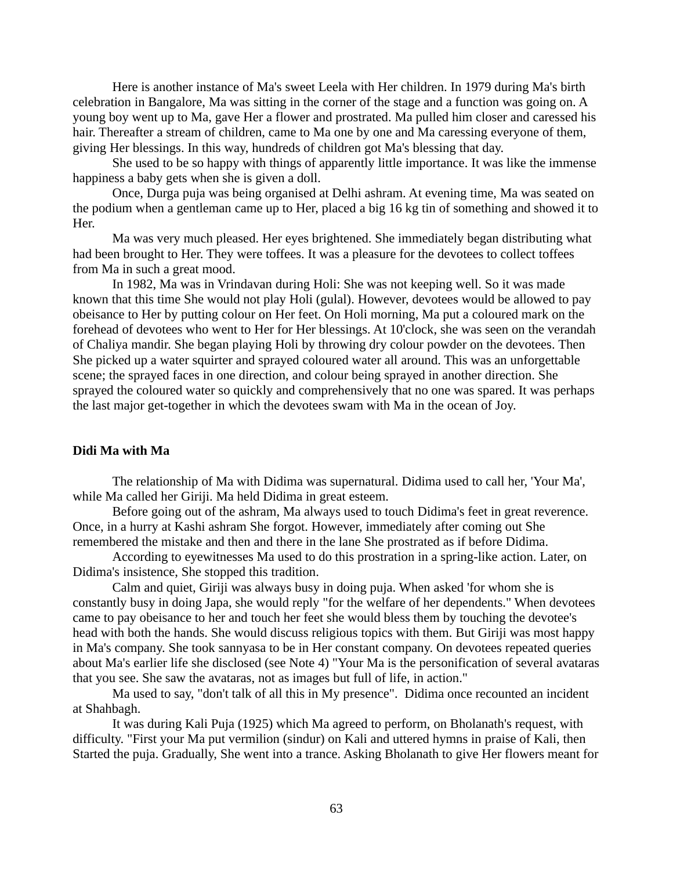Here is another instance of Ma's sweet Leela with Her children. In 1979 during Ma's birth celebration in Bangalore, Ma was sitting in the corner of the stage and a function was going on. A young boy went up to Ma, gave Her a flower and prostrated. Ma pulled him closer and caressed his hair. Thereafter a stream of children, came to Ma one by one and Ma caressing everyone of them, giving Her blessings. In this way, hundreds of children got Ma's blessing that day.

She used to be so happy with things of apparently little importance. It was like the immense happiness a baby gets when she is given a doll.

Once, Durga puja was being organised at Delhi ashram. At evening time, Ma was seated on the podium when a gentleman came up to Her, placed a big 16 kg tin of something and showed it to Her.

Ma was very much pleased. Her eyes brightened. She immediately began distributing what had been brought to Her. They were toffees. It was a pleasure for the devotees to collect toffees from Ma in such a great mood.

In 1982, Ma was in Vrindavan during Holi: She was not keeping well. So it was made known that this time She would not play Holi (gulal). However, devotees would be allowed to pay obeisance to Her by putting colour on Her feet. On Holi morning, Ma put a coloured mark on the forehead of devotees who went to Her for Her blessings. At 10'clock, she was seen on the verandah of Chaliya mandir. She began playing Holi by throwing dry colour powder on the devotees. Then She picked up a water squirter and sprayed coloured water all around. This was an unforgettable scene; the sprayed faces in one direction, and colour being sprayed in another direction. She sprayed the coloured water so quickly and comprehensively that no one was spared. It was perhaps the last major get-together in which the devotees swam with Ma in the ocean of Joy.

#### **Didi Ma with Ma**

The relationship of Ma with Didima was supernatural. Didima used to call her, 'Your Ma', while Ma called her Giriji. Ma held Didima in great esteem.

Before going out of the ashram, Ma always used to touch Didima's feet in great reverence. Once, in a hurry at Kashi ashram She forgot. However, immediately after coming out She remembered the mistake and then and there in the lane She prostrated as if before Didima.

According to eyewitnesses Ma used to do this prostration in a spring-like action. Later, on Didima's insistence, She stopped this tradition.

Calm and quiet, Giriji was always busy in doing puja. When asked 'for whom she is constantly busy in doing Japa, she would reply "for the welfare of her dependents." When devotees came to pay obeisance to her and touch her feet she would bless them by touching the devotee's head with both the hands. She would discuss religious topics with them. But Giriji was most happy in Ma's company. She took sannyasa to be in Her constant company. On devotees repeated queries about Ma's earlier life she disclosed (see Note 4) "Your Ma is the personification of several avataras that you see. She saw the avataras, not as images but full of life, in action."

Ma used to say, "don't talk of all this in My presence". Didima once recounted an incident at Shahbagh.

It was during Kali Puja (1925) which Ma agreed to perform, on Bholanath's request, with difficulty. "First your Ma put vermilion (sindur) on Kali and uttered hymns in praise of Kali, then Started the puja. Gradually, She went into a trance. Asking Bholanath to give Her flowers meant for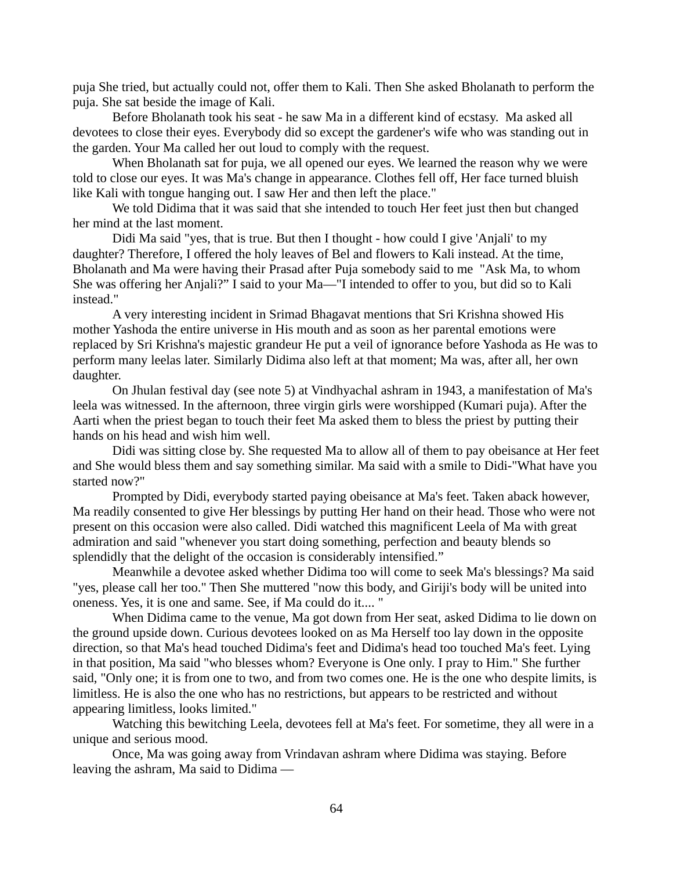puja She tried, but actually could not, offer them to Kali. Then She asked Bholanath to perform the puja. She sat beside the image of Kali.

Before Bholanath took his seat - he saw Ma in a different kind of ecstasy. Ma asked all devotees to close their eyes. Everybody did so except the gardener's wife who was standing out in the garden. Your Ma called her out loud to comply with the request.

When Bholanath sat for puja, we all opened our eyes. We learned the reason why we were told to close our eyes. It was Ma's change in appearance. Clothes fell off, Her face turned bluish like Kali with tongue hanging out. I saw Her and then left the place."

We told Didima that it was said that she intended to touch Her feet just then but changed her mind at the last moment.

Didi Ma said "yes, that is true. But then I thought - how could I give 'Anjali' to my daughter? Therefore, I offered the holy leaves of Bel and flowers to Kali instead. At the time, Bholanath and Ma were having their Prasad after Puja somebody said to me "Ask Ma, to whom She was offering her Anjali?" I said to your Ma—"I intended to offer to you, but did so to Kali instead."

A very interesting incident in Srimad Bhagavat mentions that Sri Krishna showed His mother Yashoda the entire universe in His mouth and as soon as her parental emotions were replaced by Sri Krishna's majestic grandeur He put a veil of ignorance before Yashoda as He was to perform many leelas later. Similarly Didima also left at that moment; Ma was, after all, her own daughter.

On Jhulan festival day (see note 5) at Vindhyachal ashram in 1943, a manifestation of Ma's leela was witnessed. In the afternoon, three virgin girls were worshipped (Kumari puja). After the Aarti when the priest began to touch their feet Ma asked them to bless the priest by putting their hands on his head and wish him well.

Didi was sitting close by. She requested Ma to allow all of them to pay obeisance at Her feet and She would bless them and say something similar. Ma said with a smile to Didi-"What have you started now?"

Prompted by Didi, everybody started paying obeisance at Ma's feet. Taken aback however, Ma readily consented to give Her blessings by putting Her hand on their head. Those who were not present on this occasion were also called. Didi watched this magnificent Leela of Ma with great admiration and said "whenever you start doing something, perfection and beauty blends so splendidly that the delight of the occasion is considerably intensified."

Meanwhile a devotee asked whether Didima too will come to seek Ma's blessings? Ma said "yes, please call her too." Then She muttered "now this body, and Giriji's body will be united into oneness. Yes, it is one and same. See, if Ma could do it.... "

When Didima came to the venue, Ma got down from Her seat, asked Didima to lie down on the ground upside down. Curious devotees looked on as Ma Herself too lay down in the opposite direction, so that Ma's head touched Didima's feet and Didima's head too touched Ma's feet. Lying in that position, Ma said "who blesses whom? Everyone is One only. I pray to Him." She further said, "Only one; it is from one to two, and from two comes one. He is the one who despite limits, is limitless. He is also the one who has no restrictions, but appears to be restricted and without appearing limitless, looks limited."

Watching this bewitching Leela, devotees fell at Ma's feet. For sometime, they all were in a unique and serious mood.

Once, Ma was going away from Vrindavan ashram where Didima was staying. Before leaving the ashram, Ma said to Didima —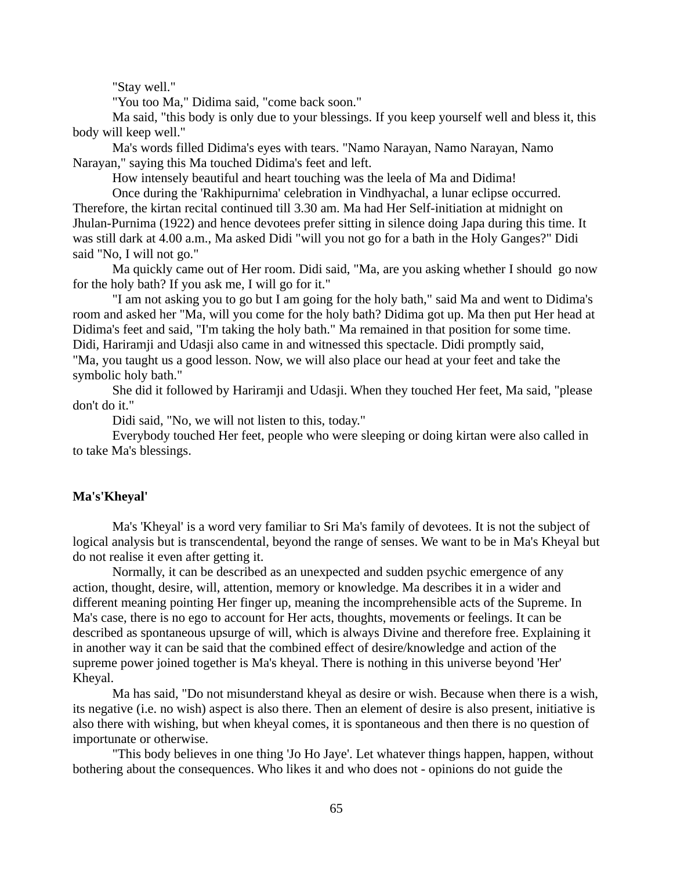"Stay well."

"You too Ma," Didima said, "come back soon."

Ma said, "this body is only due to your blessings. If you keep yourself well and bless it, this body will keep well."

Ma's words filled Didima's eyes with tears. "Namo Narayan, Namo Narayan, Namo Narayan," saying this Ma touched Didima's feet and left.

How intensely beautiful and heart touching was the leela of Ma and Didima!

Once during the 'Rakhipurnima' celebration in Vindhyachal, a lunar eclipse occurred. Therefore, the kirtan recital continued till 3.30 am. Ma had Her Self-initiation at midnight on Jhulan-Purnima (1922) and hence devotees prefer sitting in silence doing Japa during this time. It was still dark at 4.00 a.m., Ma asked Didi "will you not go for a bath in the Holy Ganges?" Didi said "No, I will not go."

Ma quickly came out of Her room. Didi said, "Ma, are you asking whether I should go now for the holy bath? If you ask me, I will go for it."

"I am not asking you to go but I am going for the holy bath," said Ma and went to Didima's room and asked her "Ma, will you come for the holy bath? Didima got up. Ma then put Her head at Didima's feet and said, "I'm taking the holy bath." Ma remained in that position for some time. Didi, Hariramji and Udasji also came in and witnessed this spectacle. Didi promptly said, "Ma, you taught us a good lesson. Now, we will also place our head at your feet and take the symbolic holy bath."

She did it followed by Hariramji and Udasji. When they touched Her feet, Ma said, "please don't do it."

Didi said, "No, we will not listen to this, today."

Everybody touched Her feet, people who were sleeping or doing kirtan were also called in to take Ma's blessings.

## **Ma's'Kheyal'**

Ma's 'Kheyal' is a word very familiar to Sri Ma's family of devotees. It is not the subject of logical analysis but is transcendental, beyond the range of senses. We want to be in Ma's Kheyal but do not realise it even after getting it.

Normally, it can be described as an unexpected and sudden psychic emergence of any action, thought, desire, will, attention, memory or knowledge. Ma describes it in a wider and different meaning pointing Her finger up, meaning the incomprehensible acts of the Supreme. In Ma's case, there is no ego to account for Her acts, thoughts, movements or feelings. It can be described as spontaneous upsurge of will, which is always Divine and therefore free. Explaining it in another way it can be said that the combined effect of desire/knowledge and action of the supreme power joined together is Ma's kheyal. There is nothing in this universe beyond 'Her' Kheyal.

Ma has said, "Do not misunderstand kheyal as desire or wish. Because when there is a wish, its negative (i.e. no wish) aspect is also there. Then an element of desire is also present, initiative is also there with wishing, but when kheyal comes, it is spontaneous and then there is no question of importunate or otherwise.

"This body believes in one thing 'Jo Ho Jaye'. Let whatever things happen, happen, without bothering about the consequences. Who likes it and who does not - opinions do not guide the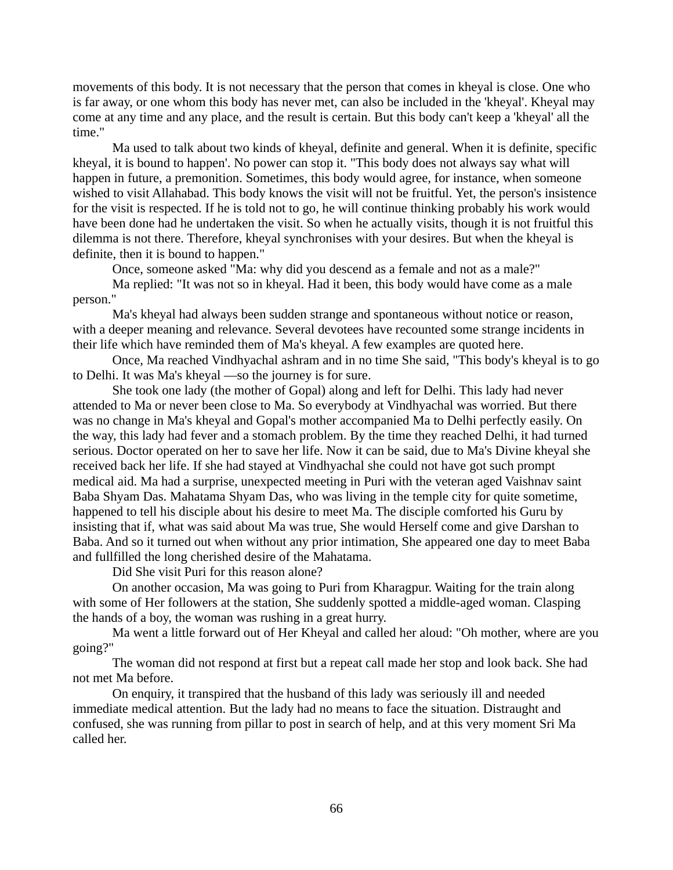movements of this body. It is not necessary that the person that comes in kheyal is close. One who is far away, or one whom this body has never met, can also be included in the 'kheyal'. Kheyal may come at any time and any place, and the result is certain. But this body can't keep a 'kheyal' all the time."

Ma used to talk about two kinds of kheyal, definite and general. When it is definite, specific kheyal, it is bound to happen'. No power can stop it. "This body does not always say what will happen in future, a premonition. Sometimes, this body would agree, for instance, when someone wished to visit Allahabad. This body knows the visit will not be fruitful. Yet, the person's insistence for the visit is respected. If he is told not to go, he will continue thinking probably his work would have been done had he undertaken the visit. So when he actually visits, though it is not fruitful this dilemma is not there. Therefore, kheyal synchronises with your desires. But when the kheyal is definite, then it is bound to happen."

Once, someone asked "Ma: why did you descend as a female and not as a male?"

Ma replied: "It was not so in kheyal. Had it been, this body would have come as a male person."

Ma's kheyal had always been sudden strange and spontaneous without notice or reason, with a deeper meaning and relevance. Several devotees have recounted some strange incidents in their life which have reminded them of Ma's kheyal. A few examples are quoted here.

Once, Ma reached Vindhyachal ashram and in no time She said, "This body's kheyal is to go to Delhi. It was Ma's kheyal —so the journey is for sure.

She took one lady (the mother of Gopal) along and left for Delhi. This lady had never attended to Ma or never been close to Ma. So everybody at Vindhyachal was worried. But there was no change in Ma's kheyal and Gopal's mother accompanied Ma to Delhi perfectly easily. On the way, this lady had fever and a stomach problem. By the time they reached Delhi, it had turned serious. Doctor operated on her to save her life. Now it can be said, due to Ma's Divine kheyal she received back her life. If she had stayed at Vindhyachal she could not have got such prompt medical aid. Ma had a surprise, unexpected meeting in Puri with the veteran aged Vaishnav saint Baba Shyam Das. Mahatama Shyam Das, who was living in the temple city for quite sometime, happened to tell his disciple about his desire to meet Ma. The disciple comforted his Guru by insisting that if, what was said about Ma was true, She would Herself come and give Darshan to Baba. And so it turned out when without any prior intimation, She appeared one day to meet Baba and fullfilled the long cherished desire of the Mahatama.

Did She visit Puri for this reason alone?

On another occasion, Ma was going to Puri from Kharagpur. Waiting for the train along with some of Her followers at the station, She suddenly spotted a middle-aged woman. Clasping the hands of a boy, the woman was rushing in a great hurry.

Ma went a little forward out of Her Kheyal and called her aloud: "Oh mother, where are you going?"

The woman did not respond at first but a repeat call made her stop and look back. She had not met Ma before.

On enquiry, it transpired that the husband of this lady was seriously ill and needed immediate medical attention. But the lady had no means to face the situation. Distraught and confused, she was running from pillar to post in search of help, and at this very moment Sri Ma called her.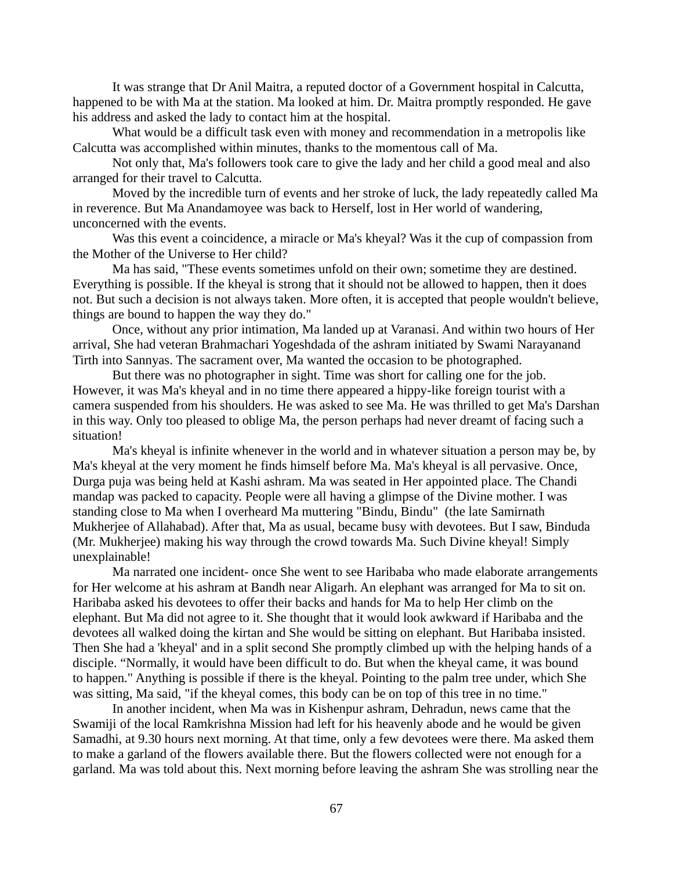It was strange that Dr Anil Maitra, a reputed doctor of a Government hospital in Calcutta, happened to be with Ma at the station. Ma looked at him. Dr. Maitra promptly responded. He gave his address and asked the lady to contact him at the hospital.

What would be a difficult task even with money and recommendation in a metropolis like Calcutta was accomplished within minutes, thanks to the momentous call of Ma.

Not only that, Ma's followers took care to give the lady and her child a good meal and also arranged for their travel to Calcutta.

Moved by the incredible turn of events and her stroke of luck, the lady repeatedly called Ma in reverence. But Ma Anandamoyee was back to Herself, lost in Her world of wandering, unconcerned with the events.

Was this event a coincidence, a miracle or Ma's kheyal? Was it the cup of compassion from the Mother of the Universe to Her child?

Ma has said, "These events sometimes unfold on their own; sometime they are destined. Everything is possible. If the kheyal is strong that it should not be allowed to happen, then it does not. But such a decision is not always taken. More often, it is accepted that people wouldn't believe, things are bound to happen the way they do."

Once, without any prior intimation, Ma landed up at Varanasi. And within two hours of Her arrival, She had veteran Brahmachari Yogeshdada of the ashram initiated by Swami Narayanand Tirth into Sannyas. The sacrament over, Ma wanted the occasion to be photographed.

But there was no photographer in sight. Time was short for calling one for the job. However, it was Ma's kheyal and in no time there appeared a hippy-like foreign tourist with a camera suspended from his shoulders. He was asked to see Ma. He was thrilled to get Ma's Darshan in this way. Only too pleased to oblige Ma, the person perhaps had never dreamt of facing such a situation!

Ma's kheyal is infinite whenever in the world and in whatever situation a person may be, by Ma's kheyal at the very moment he finds himself before Ma. Ma's kheyal is all pervasive. Once, Durga puja was being held at Kashi ashram. Ma was seated in Her appointed place. The Chandi mandap was packed to capacity. People were all having a glimpse of the Divine mother. I was standing close to Ma when I overheard Ma muttering "Bindu, Bindu" (the late Samirnath Mukherjee of Allahabad). After that, Ma as usual, became busy with devotees. But I saw, Binduda (Mr. Mukherjee) making his way through the crowd towards Ma. Such Divine kheyal! Simply unexplainable!

Ma narrated one incident- once She went to see Haribaba who made elaborate arrangements for Her welcome at his ashram at Bandh near Aligarh. An elephant was arranged for Ma to sit on. Haribaba asked his devotees to offer their backs and hands for Ma to help Her climb on the elephant. But Ma did not agree to it. She thought that it would look awkward if Haribaba and the devotees all walked doing the kirtan and She would be sitting on elephant. But Haribaba insisted. Then She had a 'kheyal' and in a split second She promptly climbed up with the helping hands of a disciple. "Normally, it would have been difficult to do. But when the kheyal came, it was bound to happen." Anything is possible if there is the kheyal. Pointing to the palm tree under, which She was sitting, Ma said, "if the kheyal comes, this body can be on top of this tree in no time."

In another incident, when Ma was in Kishenpur ashram, Dehradun, news came that the Swamiji of the local Ramkrishna Mission had left for his heavenly abode and he would be given Samadhi, at 9.30 hours next morning. At that time, only a few devotees were there. Ma asked them to make a garland of the flowers available there. But the flowers collected were not enough for a garland. Ma was told about this. Next morning before leaving the ashram She was strolling near the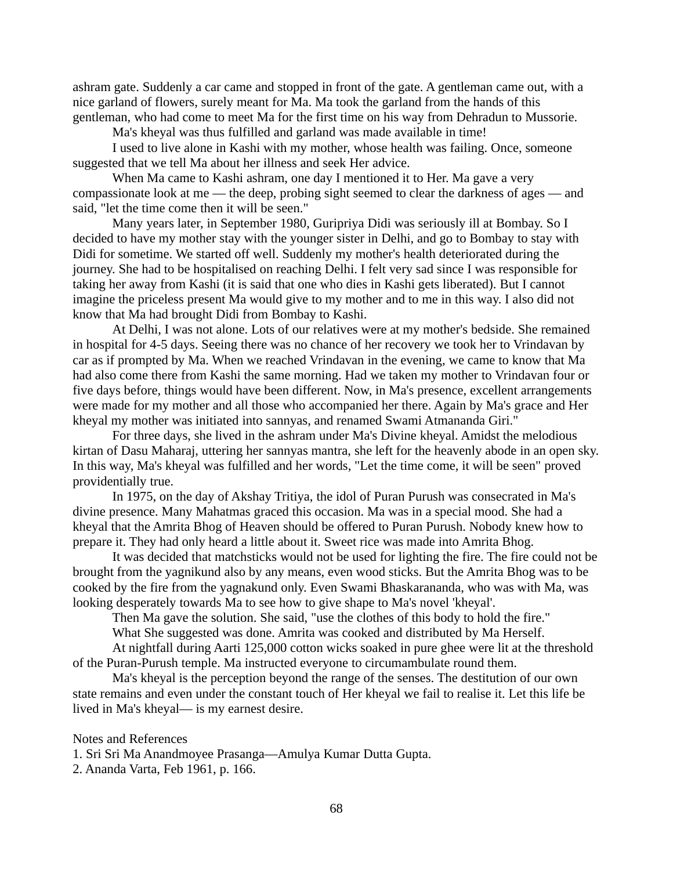ashram gate. Suddenly a car came and stopped in front of the gate. A gentleman came out, with a nice garland of flowers, surely meant for Ma. Ma took the garland from the hands of this gentleman, who had come to meet Ma for the first time on his way from Dehradun to Mussorie.

Ma's kheyal was thus fulfilled and garland was made available in time!

I used to live alone in Kashi with my mother, whose health was failing. Once, someone suggested that we tell Ma about her illness and seek Her advice.

When Ma came to Kashi ashram, one day I mentioned it to Her. Ma gave a very compassionate look at me — the deep, probing sight seemed to clear the darkness of ages — and said, "let the time come then it will be seen."

Many years later, in September 1980, Guripriya Didi was seriously ill at Bombay. So I decided to have my mother stay with the younger sister in Delhi, and go to Bombay to stay with Didi for sometime. We started off well. Suddenly my mother's health deteriorated during the journey. She had to be hospitalised on reaching Delhi. I felt very sad since I was responsible for taking her away from Kashi (it is said that one who dies in Kashi gets liberated). But I cannot imagine the priceless present Ma would give to my mother and to me in this way. I also did not know that Ma had brought Didi from Bombay to Kashi.

At Delhi, I was not alone. Lots of our relatives were at my mother's bedside. She remained in hospital for 4-5 days. Seeing there was no chance of her recovery we took her to Vrindavan by car as if prompted by Ma. When we reached Vrindavan in the evening, we came to know that Ma had also come there from Kashi the same morning. Had we taken my mother to Vrindavan four or five days before, things would have been different. Now, in Ma's presence, excellent arrangements were made for my mother and all those who accompanied her there. Again by Ma's grace and Her kheyal my mother was initiated into sannyas, and renamed Swami Atmananda Giri."

For three days, she lived in the ashram under Ma's Divine kheyal. Amidst the melodious kirtan of Dasu Maharaj, uttering her sannyas mantra, she left for the heavenly abode in an open sky. In this way, Ma's kheyal was fulfilled and her words, "Let the time come, it will be seen" proved providentially true.

In 1975, on the day of Akshay Tritiya, the idol of Puran Purush was consecrated in Ma's divine presence. Many Mahatmas graced this occasion. Ma was in a special mood. She had a kheyal that the Amrita Bhog of Heaven should be offered to Puran Purush. Nobody knew how to prepare it. They had only heard a little about it. Sweet rice was made into Amrita Bhog.

It was decided that matchsticks would not be used for lighting the fire. The fire could not be brought from the yagnikund also by any means, even wood sticks. But the Amrita Bhog was to be cooked by the fire from the yagnakund only. Even Swami Bhaskarananda, who was with Ma, was looking desperately towards Ma to see how to give shape to Ma's novel 'kheyal'.

Then Ma gave the solution. She said, "use the clothes of this body to hold the fire."

What She suggested was done. Amrita was cooked and distributed by Ma Herself.

At nightfall during Aarti 125,000 cotton wicks soaked in pure ghee were lit at the threshold of the Puran-Purush temple. Ma instructed everyone to circumambulate round them.

Ma's kheyal is the perception beyond the range of the senses. The destitution of our own state remains and even under the constant touch of Her kheyal we fail to realise it. Let this life be lived in Ma's kheyal— is my earnest desire.

Notes and References

1. Sri Sri Ma Anandmoyee Prasanga—Amulya Kumar Dutta Gupta.

2. Ananda Varta, Feb 1961, p. 166.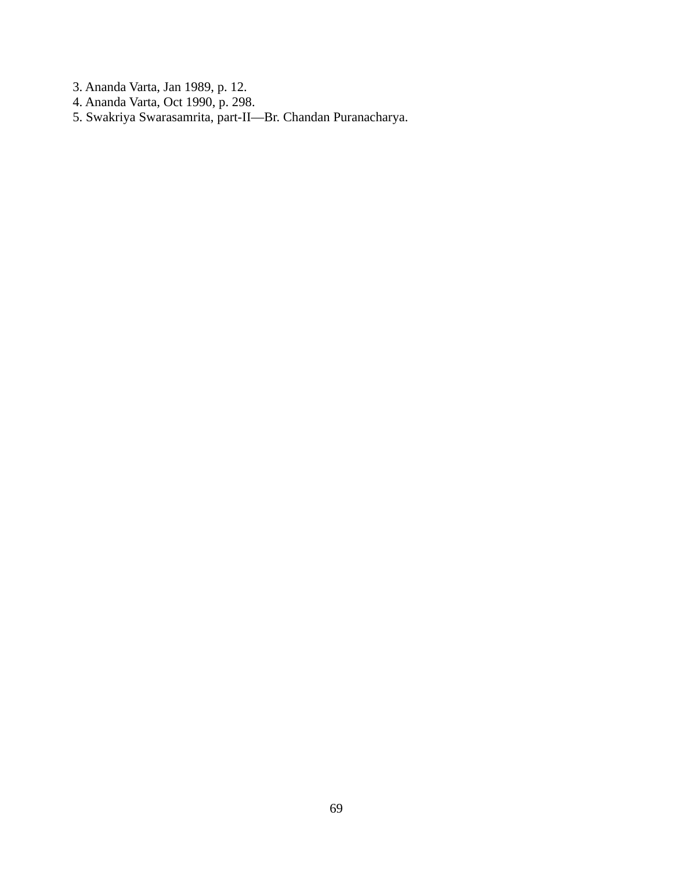- 3. Ananda Varta, Jan 1989, p. 12.
- 4. Ananda Varta, Oct 1990, p. 298.
- 5. Swakriya Swarasamrita, part-II—Br. Chandan Puranacharya.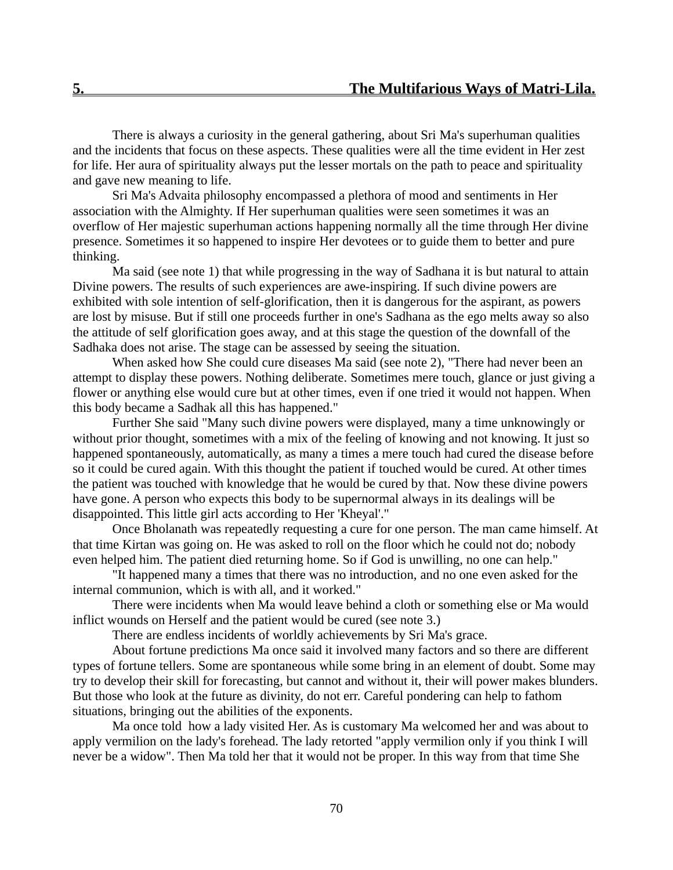There is always a curiosity in the general gathering, about Sri Ma's superhuman qualities and the incidents that focus on these aspects. These qualities were all the time evident in Her zest for life. Her aura of spirituality always put the lesser mortals on the path to peace and spirituality and gave new meaning to life.

Sri Ma's Advaita philosophy encompassed a plethora of mood and sentiments in Her association with the Almighty. If Her superhuman qualities were seen sometimes it was an overflow of Her majestic superhuman actions happening normally all the time through Her divine presence. Sometimes it so happened to inspire Her devotees or to guide them to better and pure thinking.

Ma said (see note 1) that while progressing in the way of Sadhana it is but natural to attain Divine powers. The results of such experiences are awe-inspiring. If such divine powers are exhibited with sole intention of self-glorification, then it is dangerous for the aspirant, as powers are lost by misuse. But if still one proceeds further in one's Sadhana as the ego melts away so also the attitude of self glorification goes away, and at this stage the question of the downfall of the Sadhaka does not arise. The stage can be assessed by seeing the situation.

When asked how She could cure diseases Ma said (see note 2), "There had never been an attempt to display these powers. Nothing deliberate. Sometimes mere touch, glance or just giving a flower or anything else would cure but at other times, even if one tried it would not happen. When this body became a Sadhak all this has happened."

Further She said "Many such divine powers were displayed, many a time unknowingly or without prior thought, sometimes with a mix of the feeling of knowing and not knowing. It just so happened spontaneously, automatically, as many a times a mere touch had cured the disease before so it could be cured again. With this thought the patient if touched would be cured. At other times the patient was touched with knowledge that he would be cured by that. Now these divine powers have gone. A person who expects this body to be supernormal always in its dealings will be disappointed. This little girl acts according to Her 'Kheyal'."

Once Bholanath was repeatedly requesting a cure for one person. The man came himself. At that time Kirtan was going on. He was asked to roll on the floor which he could not do; nobody even helped him. The patient died returning home. So if God is unwilling, no one can help."

"It happened many a times that there was no introduction, and no one even asked for the internal communion, which is with all, and it worked."

There were incidents when Ma would leave behind a cloth or something else or Ma would inflict wounds on Herself and the patient would be cured (see note 3.)

There are endless incidents of worldly achievements by Sri Ma's grace.

About fortune predictions Ma once said it involved many factors and so there are different types of fortune tellers. Some are spontaneous while some bring in an element of doubt. Some may try to develop their skill for forecasting, but cannot and without it, their will power makes blunders. But those who look at the future as divinity, do not err. Careful pondering can help to fathom situations, bringing out the abilities of the exponents.

Ma once told how a lady visited Her. As is customary Ma welcomed her and was about to apply vermilion on the lady's forehead. The lady retorted "apply vermilion only if you think I will never be a widow". Then Ma told her that it would not be proper. In this way from that time She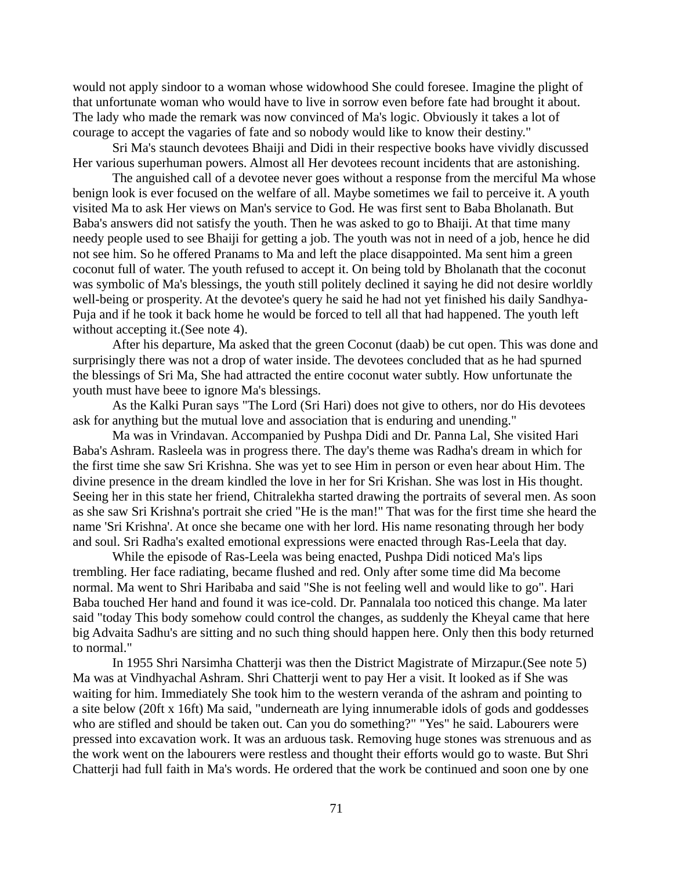would not apply sindoor to a woman whose widowhood She could foresee. Imagine the plight of that unfortunate woman who would have to live in sorrow even before fate had brought it about. The lady who made the remark was now convinced of Ma's logic. Obviously it takes a lot of courage to accept the vagaries of fate and so nobody would like to know their destiny."

Sri Ma's staunch devotees Bhaiji and Didi in their respective books have vividly discussed Her various superhuman powers. Almost all Her devotees recount incidents that are astonishing.

The anguished call of a devotee never goes without a response from the merciful Ma whose benign look is ever focused on the welfare of all. Maybe sometimes we fail to perceive it. A youth visited Ma to ask Her views on Man's service to God. He was first sent to Baba Bholanath. But Baba's answers did not satisfy the youth. Then he was asked to go to Bhaiji. At that time many needy people used to see Bhaiji for getting a job. The youth was not in need of a job, hence he did not see him. So he offered Pranams to Ma and left the place disappointed. Ma sent him a green coconut full of water. The youth refused to accept it. On being told by Bholanath that the coconut was symbolic of Ma's blessings, the youth still politely declined it saying he did not desire worldly well-being or prosperity. At the devotee's query he said he had not yet finished his daily Sandhya-Puja and if he took it back home he would be forced to tell all that had happened. The youth left without accepting it.(See note 4).

After his departure, Ma asked that the green Coconut (daab) be cut open. This was done and surprisingly there was not a drop of water inside. The devotees concluded that as he had spurned the blessings of Sri Ma, She had attracted the entire coconut water subtly. How unfortunate the youth must have beee to ignore Ma's blessings.

As the Kalki Puran says "The Lord (Sri Hari) does not give to others, nor do His devotees ask for anything but the mutual love and association that is enduring and unending."

Ma was in Vrindavan. Accompanied by Pushpa Didi and Dr. Panna Lal, She visited Hari Baba's Ashram. Rasleela was in progress there. The day's theme was Radha's dream in which for the first time she saw Sri Krishna. She was yet to see Him in person or even hear about Him. The divine presence in the dream kindled the love in her for Sri Krishan. She was lost in His thought. Seeing her in this state her friend, Chitralekha started drawing the portraits of several men. As soon as she saw Sri Krishna's portrait she cried "He is the man!" That was for the first time she heard the name 'Sri Krishna'. At once she became one with her lord. His name resonating through her body and soul. Sri Radha's exalted emotional expressions were enacted through Ras-Leela that day.

While the episode of Ras-Leela was being enacted, Pushpa Didi noticed Ma's lips trembling. Her face radiating, became flushed and red. Only after some time did Ma become normal. Ma went to Shri Haribaba and said "She is not feeling well and would like to go". Hari Baba touched Her hand and found it was ice-cold. Dr. Pannalala too noticed this change. Ma later said "today This body somehow could control the changes, as suddenly the Kheyal came that here big Advaita Sadhu's are sitting and no such thing should happen here. Only then this body returned to normal."

In 1955 Shri Narsimha Chatterji was then the District Magistrate of Mirzapur.(See note 5) Ma was at Vindhyachal Ashram. Shri Chatterji went to pay Her a visit. It looked as if She was waiting for him. Immediately She took him to the western veranda of the ashram and pointing to a site below (20ft x 16ft) Ma said, "underneath are lying innumerable idols of gods and goddesses who are stifled and should be taken out. Can you do something?" "Yes" he said. Labourers were pressed into excavation work. It was an arduous task. Removing huge stones was strenuous and as the work went on the labourers were restless and thought their efforts would go to waste. But Shri Chatterji had full faith in Ma's words. He ordered that the work be continued and soon one by one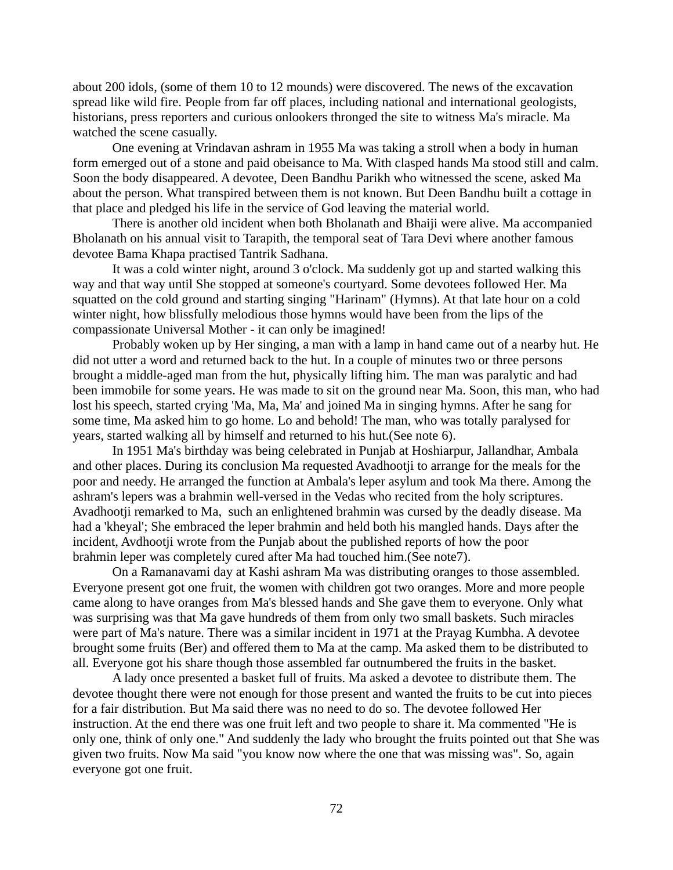about 200 idols, (some of them 10 to 12 mounds) were discovered. The news of the excavation spread like wild fire. People from far off places, including national and international geologists, historians, press reporters and curious onlookers thronged the site to witness Ma's miracle. Ma watched the scene casually.

One evening at Vrindavan ashram in 1955 Ma was taking a stroll when a body in human form emerged out of a stone and paid obeisance to Ma. With clasped hands Ma stood still and calm. Soon the body disappeared. A devotee, Deen Bandhu Parikh who witnessed the scene, asked Ma about the person. What transpired between them is not known. But Deen Bandhu built a cottage in that place and pledged his life in the service of God leaving the material world.

There is another old incident when both Bholanath and Bhaiji were alive. Ma accompanied Bholanath on his annual visit to Tarapith, the temporal seat of Tara Devi where another famous devotee Bama Khapa practised Tantrik Sadhana.

It was a cold winter night, around 3 o'clock. Ma suddenly got up and started walking this way and that way until She stopped at someone's courtyard. Some devotees followed Her. Ma squatted on the cold ground and starting singing "Harinam" (Hymns). At that late hour on a cold winter night, how blissfully melodious those hymns would have been from the lips of the compassionate Universal Mother - it can only be imagined!

Probably woken up by Her singing, a man with a lamp in hand came out of a nearby hut. He did not utter a word and returned back to the hut. In a couple of minutes two or three persons brought a middle-aged man from the hut, physically lifting him. The man was paralytic and had been immobile for some years. He was made to sit on the ground near Ma. Soon, this man, who had lost his speech, started crying 'Ma, Ma, Ma' and joined Ma in singing hymns. After he sang for some time, Ma asked him to go home. Lo and behold! The man, who was totally paralysed for years, started walking all by himself and returned to his hut.(See note 6).

In 1951 Ma's birthday was being celebrated in Punjab at Hoshiarpur, Jallandhar, Ambala and other places. During its conclusion Ma requested Avadhootji to arrange for the meals for the poor and needy. He arranged the function at Ambala's leper asylum and took Ma there. Among the ashram's lepers was a brahmin well-versed in the Vedas who recited from the holy scriptures. Avadhootji remarked to Ma, such an enlightened brahmin was cursed by the deadly disease. Ma had a 'kheyal'; She embraced the leper brahmin and held both his mangled hands. Days after the incident, Avdhootji wrote from the Punjab about the published reports of how the poor brahmin leper was completely cured after Ma had touched him.(See note7).

On a Ramanavami day at Kashi ashram Ma was distributing oranges to those assembled. Everyone present got one fruit, the women with children got two oranges. More and more people came along to have oranges from Ma's blessed hands and She gave them to everyone. Only what was surprising was that Ma gave hundreds of them from only two small baskets. Such miracles were part of Ma's nature. There was a similar incident in 1971 at the Prayag Kumbha. A devotee brought some fruits (Ber) and offered them to Ma at the camp. Ma asked them to be distributed to all. Everyone got his share though those assembled far outnumbered the fruits in the basket.

A lady once presented a basket full of fruits. Ma asked a devotee to distribute them. The devotee thought there were not enough for those present and wanted the fruits to be cut into pieces for a fair distribution. But Ma said there was no need to do so. The devotee followed Her instruction. At the end there was one fruit left and two people to share it. Ma commented "He is only one, think of only one." And suddenly the lady who brought the fruits pointed out that She was given two fruits. Now Ma said "you know now where the one that was missing was". So, again everyone got one fruit.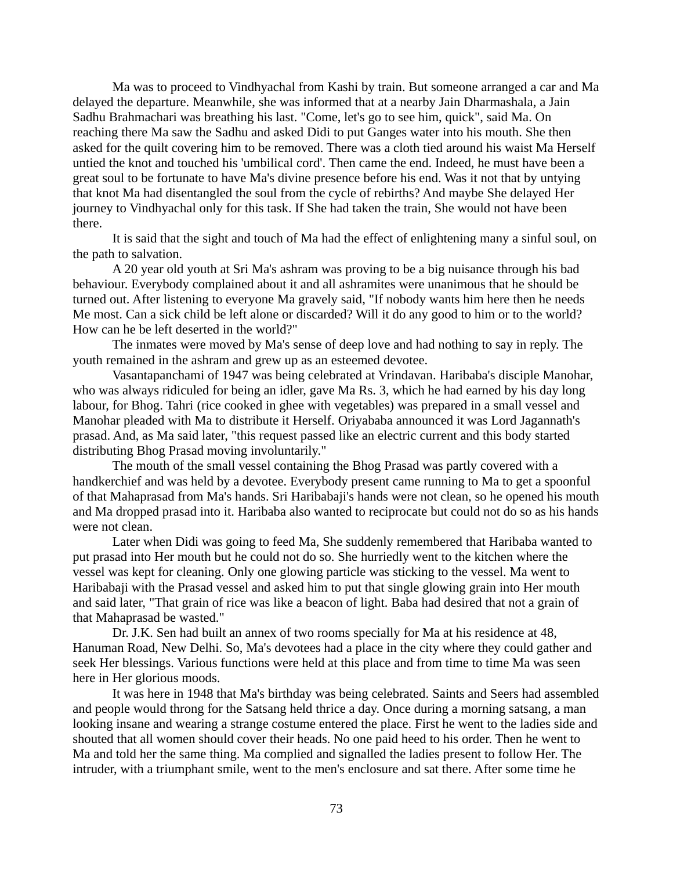Ma was to proceed to Vindhyachal from Kashi by train. But someone arranged a car and Ma delayed the departure. Meanwhile, she was informed that at a nearby Jain Dharmashala, a Jain Sadhu Brahmachari was breathing his last. "Come, let's go to see him, quick", said Ma. On reaching there Ma saw the Sadhu and asked Didi to put Ganges water into his mouth. She then asked for the quilt covering him to be removed. There was a cloth tied around his waist Ma Herself untied the knot and touched his 'umbilical cord'. Then came the end. Indeed, he must have been a great soul to be fortunate to have Ma's divine presence before his end. Was it not that by untying that knot Ma had disentangled the soul from the cycle of rebirths? And maybe She delayed Her journey to Vindhyachal only for this task. If She had taken the train, She would not have been there.

It is said that the sight and touch of Ma had the effect of enlightening many a sinful soul, on the path to salvation.

A 20 year old youth at Sri Ma's ashram was proving to be a big nuisance through his bad behaviour. Everybody complained about it and all ashramites were unanimous that he should be turned out. After listening to everyone Ma gravely said, "If nobody wants him here then he needs Me most. Can a sick child be left alone or discarded? Will it do any good to him or to the world? How can he be left deserted in the world?"

The inmates were moved by Ma's sense of deep love and had nothing to say in reply. The youth remained in the ashram and grew up as an esteemed devotee.

Vasantapanchami of 1947 was being celebrated at Vrindavan. Haribaba's disciple Manohar, who was always ridiculed for being an idler, gave Ma Rs. 3, which he had earned by his day long labour, for Bhog. Tahri (rice cooked in ghee with vegetables) was prepared in a small vessel and Manohar pleaded with Ma to distribute it Herself. Oriyababa announced it was Lord Jagannath's prasad. And, as Ma said later, "this request passed like an electric current and this body started distributing Bhog Prasad moving involuntarily."

The mouth of the small vessel containing the Bhog Prasad was partly covered with a handkerchief and was held by a devotee. Everybody present came running to Ma to get a spoonful of that Mahaprasad from Ma's hands. Sri Haribabaji's hands were not clean, so he opened his mouth and Ma dropped prasad into it. Haribaba also wanted to reciprocate but could not do so as his hands were not clean.

Later when Didi was going to feed Ma, She suddenly remembered that Haribaba wanted to put prasad into Her mouth but he could not do so. She hurriedly went to the kitchen where the vessel was kept for cleaning. Only one glowing particle was sticking to the vessel. Ma went to Haribabaji with the Prasad vessel and asked him to put that single glowing grain into Her mouth and said later, "That grain of rice was like a beacon of light. Baba had desired that not a grain of that Mahaprasad be wasted."

Dr. J.K. Sen had built an annex of two rooms specially for Ma at his residence at 48, Hanuman Road, New Delhi. So, Ma's devotees had a place in the city where they could gather and seek Her blessings. Various functions were held at this place and from time to time Ma was seen here in Her glorious moods.

It was here in 1948 that Ma's birthday was being celebrated. Saints and Seers had assembled and people would throng for the Satsang held thrice a day. Once during a morning satsang, a man looking insane and wearing a strange costume entered the place. First he went to the ladies side and shouted that all women should cover their heads. No one paid heed to his order. Then he went to Ma and told her the same thing. Ma complied and signalled the ladies present to follow Her. The intruder, with a triumphant smile, went to the men's enclosure and sat there. After some time he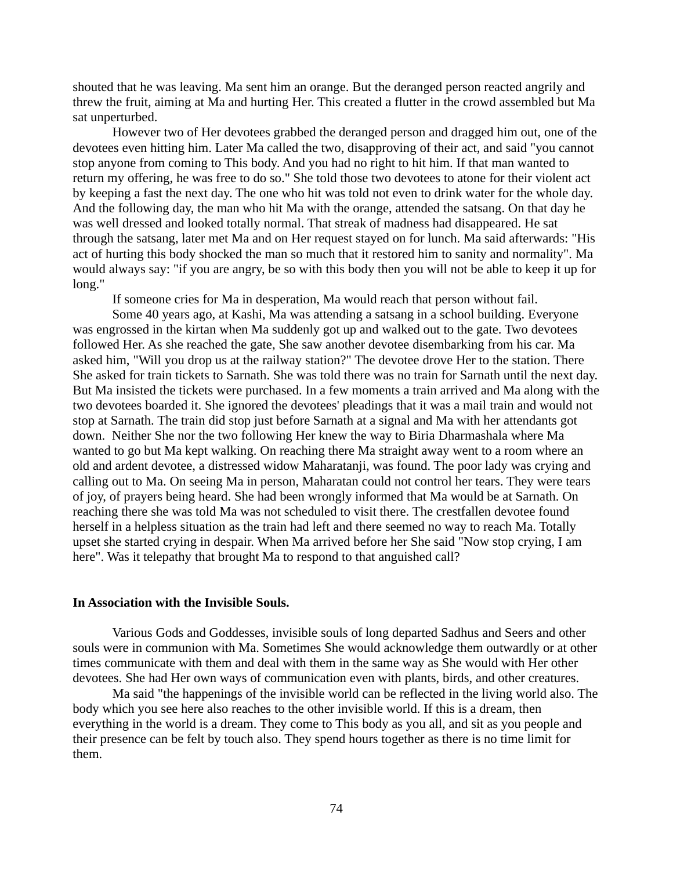shouted that he was leaving. Ma sent him an orange. But the deranged person reacted angrily and threw the fruit, aiming at Ma and hurting Her. This created a flutter in the crowd assembled but Ma sat unperturbed.

However two of Her devotees grabbed the deranged person and dragged him out, one of the devotees even hitting him. Later Ma called the two, disapproving of their act, and said "you cannot stop anyone from coming to This body. And you had no right to hit him. If that man wanted to return my offering, he was free to do so." She told those two devotees to atone for their violent act by keeping a fast the next day. The one who hit was told not even to drink water for the whole day. And the following day, the man who hit Ma with the orange, attended the satsang. On that day he was well dressed and looked totally normal. That streak of madness had disappeared. He sat through the satsang, later met Ma and on Her request stayed on for lunch. Ma said afterwards: "His act of hurting this body shocked the man so much that it restored him to sanity and normality". Ma would always say: "if you are angry, be so with this body then you will not be able to keep it up for long."

If someone cries for Ma in desperation, Ma would reach that person without fail.

Some 40 years ago, at Kashi, Ma was attending a satsang in a school building. Everyone was engrossed in the kirtan when Ma suddenly got up and walked out to the gate. Two devotees followed Her. As she reached the gate, She saw another devotee disembarking from his car. Ma asked him, "Will you drop us at the railway station?" The devotee drove Her to the station. There She asked for train tickets to Sarnath. She was told there was no train for Sarnath until the next day. But Ma insisted the tickets were purchased. In a few moments a train arrived and Ma along with the two devotees boarded it. She ignored the devotees' pleadings that it was a mail train and would not stop at Sarnath. The train did stop just before Sarnath at a signal and Ma with her attendants got down. Neither She nor the two following Her knew the way to Biria Dharmashala where Ma wanted to go but Ma kept walking. On reaching there Ma straight away went to a room where an old and ardent devotee, a distressed widow Maharatanji, was found. The poor lady was crying and calling out to Ma. On seeing Ma in person, Maharatan could not control her tears. They were tears of joy, of prayers being heard. She had been wrongly informed that Ma would be at Sarnath. On reaching there she was told Ma was not scheduled to visit there. The crestfallen devotee found herself in a helpless situation as the train had left and there seemed no way to reach Ma. Totally upset she started crying in despair. When Ma arrived before her She said "Now stop crying, I am here". Was it telepathy that brought Ma to respond to that anguished call?

#### **In Association with the Invisible Souls.**

Various Gods and Goddesses, invisible souls of long departed Sadhus and Seers and other souls were in communion with Ma. Sometimes She would acknowledge them outwardly or at other times communicate with them and deal with them in the same way as She would with Her other devotees. She had Her own ways of communication even with plants, birds, and other creatures.

Ma said "the happenings of the invisible world can be reflected in the living world also. The body which you see here also reaches to the other invisible world. If this is a dream, then everything in the world is a dream. They come to This body as you all, and sit as you people and their presence can be felt by touch also. They spend hours together as there is no time limit for them.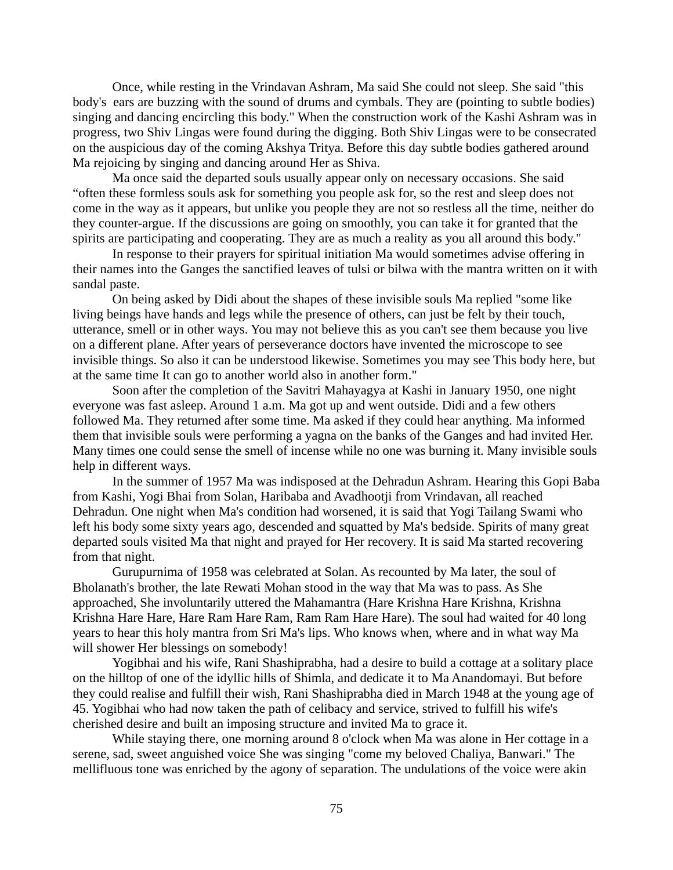Once, while resting in the Vrindavan Ashram, Ma said She could not sleep. She said "this body's ears are buzzing with the sound of drums and cymbals. They are (pointing to subtle bodies) singing and dancing encircling this body." When the construction work of the Kashi Ashram was in progress, two Shiv Lingas were found during the digging. Both Shiv Lingas were to be consecrated on the auspicious day of the coming Akshya Tritya. Before this day subtle bodies gathered around Ma rejoicing by singing and dancing around Her as Shiva.

Ma once said the departed souls usually appear only on necessary occasions. She said "often these formless souls ask for something you people ask for, so the rest and sleep does not come in the way as it appears, but unlike you people they are not so restless all the time, neither do they counter-argue. If the discussions are going on smoothly, you can take it for granted that the spirits are participating and cooperating. They are as much a reality as you all around this body."

In response to their prayers for spiritual initiation Ma would sometimes advise offering in their names into the Ganges the sanctified leaves of tulsi or bilwa with the mantra written on it with sandal paste.

On being asked by Didi about the shapes of these invisible souls Ma replied "some like living beings have hands and legs while the presence of others, can just be felt by their touch, utterance, smell or in other ways. You may not believe this as you can't see them because you live on a different plane. After years of perseverance doctors have invented the microscope to see invisible things. So also it can be understood likewise. Sometimes you may see This body here, but at the same time It can go to another world also in another form."

Soon after the completion of the Savitri Mahayagya at Kashi in January 1950, one night everyone was fast asleep. Around 1 a.m. Ma got up and went outside. Didi and a few others followed Ma. They returned after some time. Ma asked if they could hear anything. Ma informed them that invisible souls were performing a yagna on the banks of the Ganges and had invited Her. Many times one could sense the smell of incense while no one was burning it. Many invisible souls help in different ways.

In the summer of 1957 Ma was indisposed at the Dehradun Ashram. Hearing this Gopi Baba from Kashi, Yogi Bhai from Solan, Haribaba and Avadhootji from Vrindavan, all reached Dehradun. One night when Ma's condition had worsened, it is said that Yogi Tailang Swami who left his body some sixty years ago, descended and squatted by Ma's bedside. Spirits of many great departed souls visited Ma that night and prayed for Her recovery. It is said Ma started recovering from that night.

Gurupurnima of 1958 was celebrated at Solan. As recounted by Ma later, the soul of Bholanath's brother, the late Rewati Mohan stood in the way that Ma was to pass. As She approached, She involuntarily uttered the Mahamantra (Hare Krishna Hare Krishna, Krishna Krishna Hare Hare, Hare Ram Hare Ram, Ram Ram Hare Hare). The soul had waited for 40 long years to hear this holy mantra from Sri Ma's lips. Who knows when, where and in what way Ma will shower Her blessings on somebody!

Yogibhai and his wife, Rani Shashiprabha, had a desire to build a cottage at a solitary place on the hilltop of one of the idyllic hills of Shimla, and dedicate it to Ma Anandomayi. But before they could realise and fulfill their wish, Rani Shashiprabha died in March 1948 at the young age of 45. Yogibhai who had now taken the path of celibacy and service, strived to fulfill his wife's cherished desire and built an imposing structure and invited Ma to grace it.

While staying there, one morning around 8 o'clock when Ma was alone in Her cottage in a serene, sad, sweet anguished voice She was singing "come my beloved Chaliya, Banwari." The mellifluous tone was enriched by the agony of separation. The undulations of the voice were akin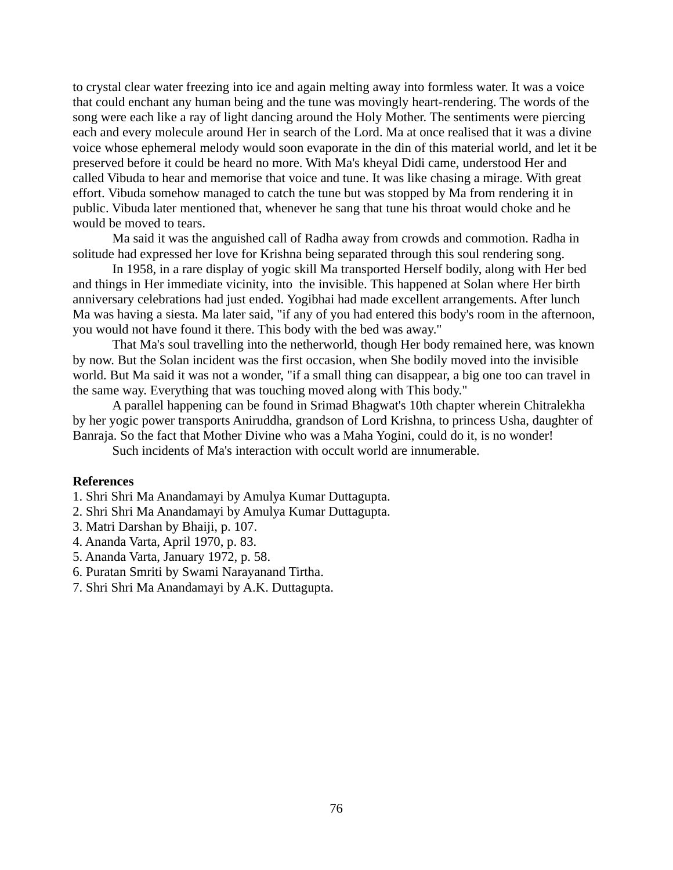to crystal clear water freezing into ice and again melting away into formless water. It was a voice that could enchant any human being and the tune was movingly heart-rendering. The words of the song were each like a ray of light dancing around the Holy Mother. The sentiments were piercing each and every molecule around Her in search of the Lord. Ma at once realised that it was a divine voice whose ephemeral melody would soon evaporate in the din of this material world, and let it be preserved before it could be heard no more. With Ma's kheyal Didi came, understood Her and called Vibuda to hear and memorise that voice and tune. It was like chasing a mirage. With great effort. Vibuda somehow managed to catch the tune but was stopped by Ma from rendering it in public. Vibuda later mentioned that, whenever he sang that tune his throat would choke and he would be moved to tears.

Ma said it was the anguished call of Radha away from crowds and commotion. Radha in solitude had expressed her love for Krishna being separated through this soul rendering song.

In 1958, in a rare display of yogic skill Ma transported Herself bodily, along with Her bed and things in Her immediate vicinity, into the invisible. This happened at Solan where Her birth anniversary celebrations had just ended. Yogibhai had made excellent arrangements. After lunch Ma was having a siesta. Ma later said, "if any of you had entered this body's room in the afternoon, you would not have found it there. This body with the bed was away."

That Ma's soul travelling into the netherworld, though Her body remained here, was known by now. But the Solan incident was the first occasion, when She bodily moved into the invisible world. But Ma said it was not a wonder, "if a small thing can disappear, a big one too can travel in the same way. Everything that was touching moved along with This body."

A parallel happening can be found in Srimad Bhagwat's 10th chapter wherein Chitralekha by her yogic power transports Aniruddha, grandson of Lord Krishna, to princess Usha, daughter of Banraja. So the fact that Mother Divine who was a Maha Yogini, could do it, is no wonder!

Such incidents of Ma's interaction with occult world are innumerable.

## **References**

1. Shri Shri Ma Anandamayi by Amulya Kumar Duttagupta.

- 2. Shri Shri Ma Anandamayi by Amulya Kumar Duttagupta.
- 3. Matri Darshan by Bhaiji, p. 107.
- 4. Ananda Varta, April 1970, p. 83.
- 5. Ananda Varta, January 1972, p. 58.
- 6. Puratan Smriti by Swami Narayanand Tirtha.
- 7. Shri Shri Ma Anandamayi by A.K. Duttagupta.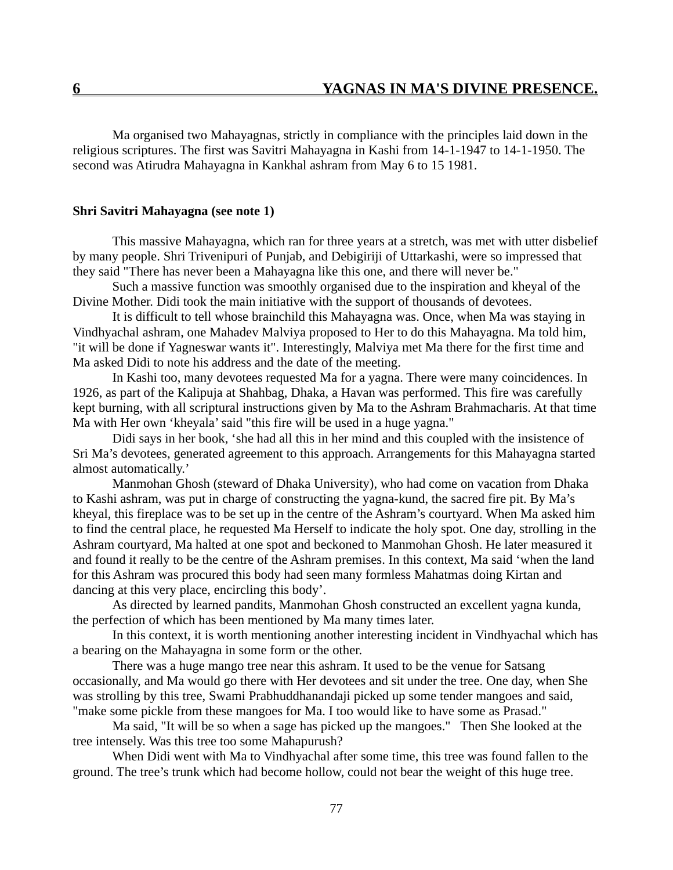Ma organised two Mahayagnas, strictly in compliance with the principles laid down in the religious scriptures. The first was Savitri Mahayagna in Kashi from 14-1-1947 to 14-1-1950. The second was Atirudra Mahayagna in Kankhal ashram from May 6 to 15 1981.

## **Shri Savitri Mahayagna (see note 1)**

This massive Mahayagna, which ran for three years at a stretch, was met with utter disbelief by many people. Shri Trivenipuri of Punjab, and Debigiriji of Uttarkashi, were so impressed that they said "There has never been a Mahayagna like this one, and there will never be."

Such a massive function was smoothly organised due to the inspiration and kheyal of the Divine Mother. Didi took the main initiative with the support of thousands of devotees.

It is difficult to tell whose brainchild this Mahayagna was. Once, when Ma was staying in Vindhyachal ashram, one Mahadev Malviya proposed to Her to do this Mahayagna. Ma told him, "it will be done if Yagneswar wants it". Interestingly, Malviya met Ma there for the first time and Ma asked Didi to note his address and the date of the meeting.

In Kashi too, many devotees requested Ma for a yagna. There were many coincidences. In 1926, as part of the Kalipuja at Shahbag, Dhaka, a Havan was performed. This fire was carefully kept burning, with all scriptural instructions given by Ma to the Ashram Brahmacharis. At that time Ma with Her own 'kheyala' said "this fire will be used in a huge yagna."

Didi says in her book, 'she had all this in her mind and this coupled with the insistence of Sri Ma's devotees, generated agreement to this approach. Arrangements for this Mahayagna started almost automatically.'

Manmohan Ghosh (steward of Dhaka University), who had come on vacation from Dhaka to Kashi ashram, was put in charge of constructing the yagna-kund, the sacred fire pit. By Ma's kheyal, this fireplace was to be set up in the centre of the Ashram's courtyard. When Ma asked him to find the central place, he requested Ma Herself to indicate the holy spot. One day, strolling in the Ashram courtyard, Ma halted at one spot and beckoned to Manmohan Ghosh. He later measured it and found it really to be the centre of the Ashram premises. In this context, Ma said 'when the land for this Ashram was procured this body had seen many formless Mahatmas doing Kirtan and dancing at this very place, encircling this body'.

As directed by learned pandits, Manmohan Ghosh constructed an excellent yagna kunda, the perfection of which has been mentioned by Ma many times later.

In this context, it is worth mentioning another interesting incident in Vindhyachal which has a bearing on the Mahayagna in some form or the other.

There was a huge mango tree near this ashram. It used to be the venue for Satsang occasionally, and Ma would go there with Her devotees and sit under the tree. One day, when She was strolling by this tree, Swami Prabhuddhanandaji picked up some tender mangoes and said, "make some pickle from these mangoes for Ma. I too would like to have some as Prasad."

Ma said, "It will be so when a sage has picked up the mangoes." Then She looked at the tree intensely. Was this tree too some Mahapurush?

When Didi went with Ma to Vindhyachal after some time, this tree was found fallen to the ground. The tree's trunk which had become hollow, could not bear the weight of this huge tree.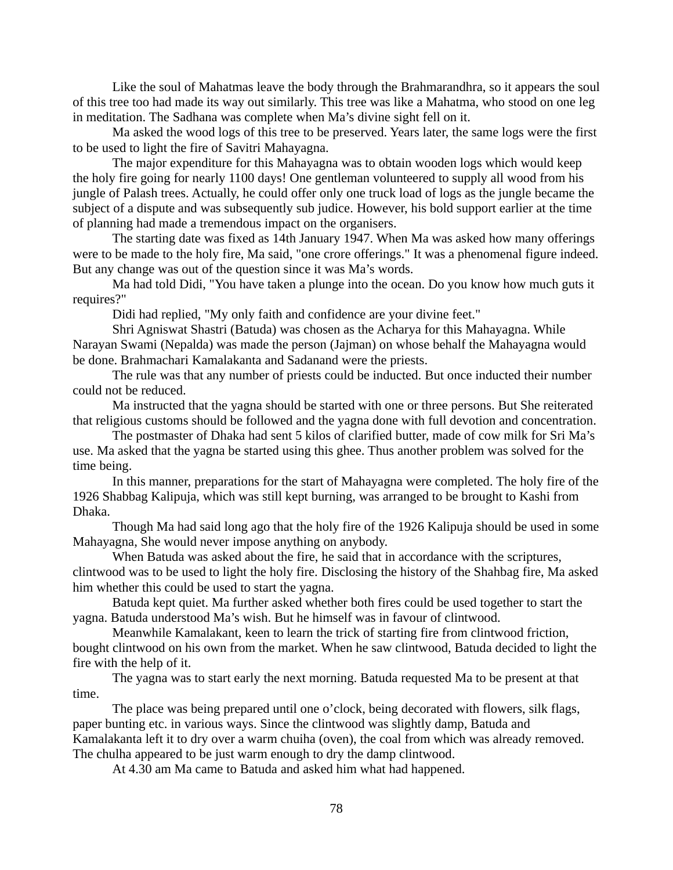Like the soul of Mahatmas leave the body through the Brahmarandhra, so it appears the soul of this tree too had made its way out similarly. This tree was like a Mahatma, who stood on one leg in meditation. The Sadhana was complete when Ma's divine sight fell on it.

Ma asked the wood logs of this tree to be preserved. Years later, the same logs were the first to be used to light the fire of Savitri Mahayagna.

The major expenditure for this Mahayagna was to obtain wooden logs which would keep the holy fire going for nearly 1100 days! One gentleman volunteered to supply all wood from his jungle of Palash trees. Actually, he could offer only one truck load of logs as the jungle became the subject of a dispute and was subsequently sub judice. However, his bold support earlier at the time of planning had made a tremendous impact on the organisers.

The starting date was fixed as 14th January 1947. When Ma was asked how many offerings were to be made to the holy fire, Ma said, "one crore offerings." It was a phenomenal figure indeed. But any change was out of the question since it was Ma's words.

Ma had told Didi, "You have taken a plunge into the ocean. Do you know how much guts it requires?"

Didi had replied, "My only faith and confidence are your divine feet."

Shri Agniswat Shastri (Batuda) was chosen as the Acharya for this Mahayagna. While Narayan Swami (Nepalda) was made the person (Jajman) on whose behalf the Mahayagna would be done. Brahmachari Kamalakanta and Sadanand were the priests.

The rule was that any number of priests could be inducted. But once inducted their number could not be reduced.

Ma instructed that the yagna should be started with one or three persons. But She reiterated that religious customs should be followed and the yagna done with full devotion and concentration.

The postmaster of Dhaka had sent 5 kilos of clarified butter, made of cow milk for Sri Ma's use. Ma asked that the yagna be started using this ghee. Thus another problem was solved for the time being.

In this manner, preparations for the start of Mahayagna were completed. The holy fire of the 1926 Shabbag Kalipuja, which was still kept burning, was arranged to be brought to Kashi from Dhaka.

Though Ma had said long ago that the holy fire of the 1926 Kalipuja should be used in some Mahayagna, She would never impose anything on anybody.

When Batuda was asked about the fire, he said that in accordance with the scriptures, clintwood was to be used to light the holy fire. Disclosing the history of the Shahbag fire, Ma asked him whether this could be used to start the yagna.

Batuda kept quiet. Ma further asked whether both fires could be used together to start the yagna. Batuda understood Ma's wish. But he himself was in favour of clintwood.

Meanwhile Kamalakant, keen to learn the trick of starting fire from clintwood friction, bought clintwood on his own from the market. When he saw clintwood, Batuda decided to light the fire with the help of it.

The yagna was to start early the next morning. Batuda requested Ma to be present at that time.

The place was being prepared until one o'clock, being decorated with flowers, silk flags, paper bunting etc. in various ways. Since the clintwood was slightly damp, Batuda and Kamalakanta left it to dry over a warm chuiha (oven), the coal from which was already removed. The chulha appeared to be just warm enough to dry the damp clintwood.

At 4.30 am Ma came to Batuda and asked him what had happened.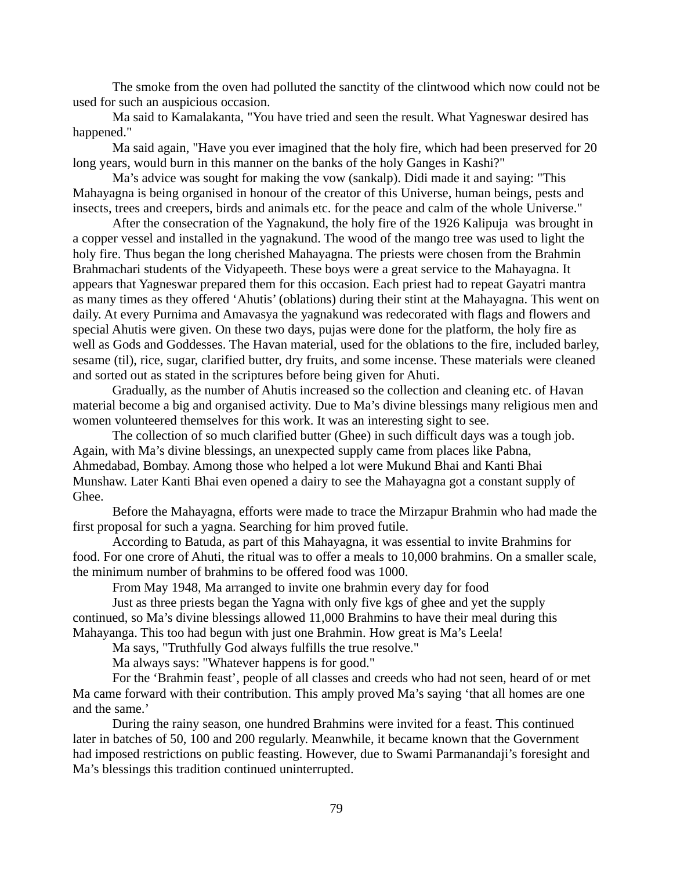The smoke from the oven had polluted the sanctity of the clintwood which now could not be used for such an auspicious occasion.

Ma said to Kamalakanta, "You have tried and seen the result. What Yagneswar desired has happened."

Ma said again, "Have you ever imagined that the holy fire, which had been preserved for 20 long years, would burn in this manner on the banks of the holy Ganges in Kashi?"

Ma's advice was sought for making the vow (sankalp). Didi made it and saying: "This Mahayagna is being organised in honour of the creator of this Universe, human beings, pests and insects, trees and creepers, birds and animals etc. for the peace and calm of the whole Universe."

After the consecration of the Yagnakund, the holy fire of the 1926 Kalipuja was brought in a copper vessel and installed in the yagnakund. The wood of the mango tree was used to light the holy fire. Thus began the long cherished Mahayagna. The priests were chosen from the Brahmin Brahmachari students of the Vidyapeeth. These boys were a great service to the Mahayagna. It appears that Yagneswar prepared them for this occasion. Each priest had to repeat Gayatri mantra as many times as they offered 'Ahutis' (oblations) during their stint at the Mahayagna. This went on daily. At every Purnima and Amavasya the yagnakund was redecorated with flags and flowers and special Ahutis were given. On these two days, pujas were done for the platform, the holy fire as well as Gods and Goddesses. The Havan material, used for the oblations to the fire, included barley, sesame (til), rice, sugar, clarified butter, dry fruits, and some incense. These materials were cleaned and sorted out as stated in the scriptures before being given for Ahuti.

Gradually, as the number of Ahutis increased so the collection and cleaning etc. of Havan material become a big and organised activity. Due to Ma's divine blessings many religious men and women volunteered themselves for this work. It was an interesting sight to see.

The collection of so much clarified butter (Ghee) in such difficult days was a tough job. Again, with Ma's divine blessings, an unexpected supply came from places like Pabna, Ahmedabad, Bombay. Among those who helped a lot were Mukund Bhai and Kanti Bhai Munshaw. Later Kanti Bhai even opened a dairy to see the Mahayagna got a constant supply of Ghee.

Before the Mahayagna, efforts were made to trace the Mirzapur Brahmin who had made the first proposal for such a yagna. Searching for him proved futile.

According to Batuda, as part of this Mahayagna, it was essential to invite Brahmins for food. For one crore of Ahuti, the ritual was to offer a meals to 10,000 brahmins. On a smaller scale, the minimum number of brahmins to be offered food was 1000.

From May 1948, Ma arranged to invite one brahmin every day for food

Just as three priests began the Yagna with only five kgs of ghee and yet the supply continued, so Ma's divine blessings allowed 11,000 Brahmins to have their meal during this Mahayanga. This too had begun with just one Brahmin. How great is Ma's Leela!

Ma says, "Truthfully God always fulfills the true resolve."

Ma always says: "Whatever happens is for good."

For the 'Brahmin feast', people of all classes and creeds who had not seen, heard of or met Ma came forward with their contribution. This amply proved Ma's saying 'that all homes are one and the same.'

During the rainy season, one hundred Brahmins were invited for a feast. This continued later in batches of 50, 100 and 200 regularly. Meanwhile, it became known that the Government had imposed restrictions on public feasting. However, due to Swami Parmanandaji's foresight and Ma's blessings this tradition continued uninterrupted.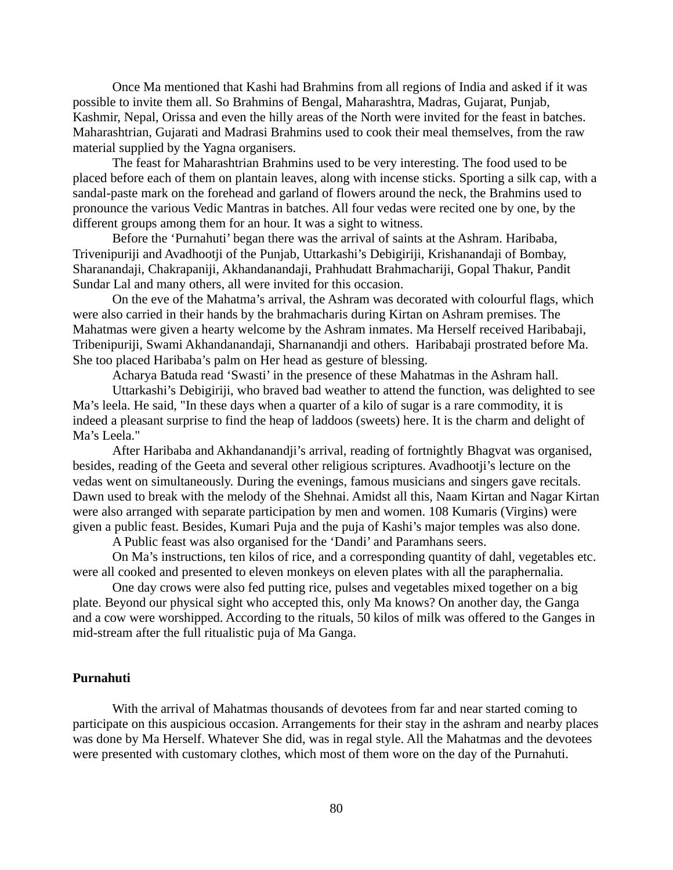Once Ma mentioned that Kashi had Brahmins from all regions of India and asked if it was possible to invite them all. So Brahmins of Bengal, Maharashtra, Madras, Gujarat, Punjab, Kashmir, Nepal, Orissa and even the hilly areas of the North were invited for the feast in batches. Maharashtrian, Gujarati and Madrasi Brahmins used to cook their meal themselves, from the raw material supplied by the Yagna organisers.

The feast for Maharashtrian Brahmins used to be very interesting. The food used to be placed before each of them on plantain leaves, along with incense sticks. Sporting a silk cap, with a sandal-paste mark on the forehead and garland of flowers around the neck, the Brahmins used to pronounce the various Vedic Mantras in batches. All four vedas were recited one by one, by the different groups among them for an hour. It was a sight to witness.

Before the 'Purnahuti' began there was the arrival of saints at the Ashram. Haribaba, Trivenipuriji and Avadhootji of the Punjab, Uttarkashi's Debigiriji, Krishanandaji of Bombay, Sharanandaji, Chakrapaniji, Akhandanandaji, Prahhudatt Brahmachariji, Gopal Thakur, Pandit Sundar Lal and many others, all were invited for this occasion.

On the eve of the Mahatma's arrival, the Ashram was decorated with colourful flags, which were also carried in their hands by the brahmacharis during Kirtan on Ashram premises. The Mahatmas were given a hearty welcome by the Ashram inmates. Ma Herself received Haribabaji, Tribenipuriji, Swami Akhandanandaji, Sharnanandji and others. Haribabaji prostrated before Ma. She too placed Haribaba's palm on Her head as gesture of blessing.

Acharya Batuda read 'Swasti' in the presence of these Mahatmas in the Ashram hall.

Uttarkashi's Debigiriji, who braved bad weather to attend the function, was delighted to see Ma's leela. He said, "In these days when a quarter of a kilo of sugar is a rare commodity, it is indeed a pleasant surprise to find the heap of laddoos (sweets) here. It is the charm and delight of Ma's Leela."

After Haribaba and Akhandanandji's arrival, reading of fortnightly Bhagvat was organised, besides, reading of the Geeta and several other religious scriptures. Avadhootji's lecture on the vedas went on simultaneously. During the evenings, famous musicians and singers gave recitals. Dawn used to break with the melody of the Shehnai. Amidst all this, Naam Kirtan and Nagar Kirtan were also arranged with separate participation by men and women. 108 Kumaris (Virgins) were given a public feast. Besides, Kumari Puja and the puja of Kashi's major temples was also done.

A Public feast was also organised for the 'Dandi' and Paramhans seers.

On Ma's instructions, ten kilos of rice, and a corresponding quantity of dahl, vegetables etc. were all cooked and presented to eleven monkeys on eleven plates with all the paraphernalia.

One day crows were also fed putting rice, pulses and vegetables mixed together on a big plate. Beyond our physical sight who accepted this, only Ma knows? On another day, the Ganga and a cow were worshipped. According to the rituals, 50 kilos of milk was offered to the Ganges in mid-stream after the full ritualistic puja of Ma Ganga.

# **Purnahuti**

With the arrival of Mahatmas thousands of devotees from far and near started coming to participate on this auspicious occasion. Arrangements for their stay in the ashram and nearby places was done by Ma Herself. Whatever She did, was in regal style. All the Mahatmas and the devotees were presented with customary clothes, which most of them wore on the day of the Purnahuti.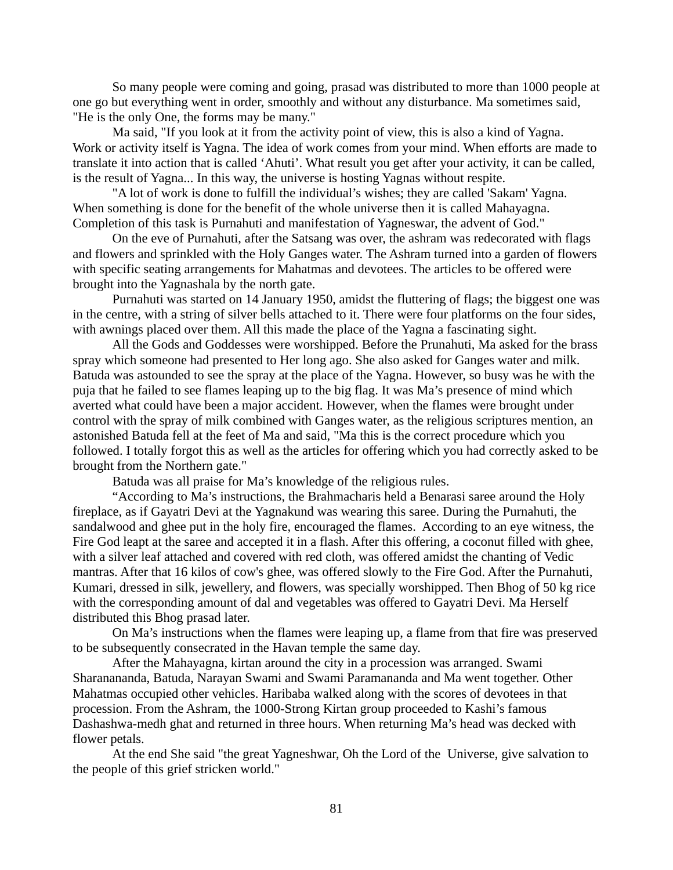So many people were coming and going, prasad was distributed to more than 1000 people at one go but everything went in order, smoothly and without any disturbance. Ma sometimes said, "He is the only One, the forms may be many."

Ma said, "If you look at it from the activity point of view, this is also a kind of Yagna. Work or activity itself is Yagna. The idea of work comes from your mind. When efforts are made to translate it into action that is called 'Ahuti'. What result you get after your activity, it can be called, is the result of Yagna... In this way, the universe is hosting Yagnas without respite.

"A lot of work is done to fulfill the individual's wishes; they are called 'Sakam' Yagna. When something is done for the benefit of the whole universe then it is called Mahayagna. Completion of this task is Purnahuti and manifestation of Yagneswar, the advent of God."

On the eve of Purnahuti, after the Satsang was over, the ashram was redecorated with flags and flowers and sprinkled with the Holy Ganges water. The Ashram turned into a garden of flowers with specific seating arrangements for Mahatmas and devotees. The articles to be offered were brought into the Yagnashala by the north gate.

Purnahuti was started on 14 January 1950, amidst the fluttering of flags; the biggest one was in the centre, with a string of silver bells attached to it. There were four platforms on the four sides, with awnings placed over them. All this made the place of the Yagna a fascinating sight.

All the Gods and Goddesses were worshipped. Before the Prunahuti, Ma asked for the brass spray which someone had presented to Her long ago. She also asked for Ganges water and milk. Batuda was astounded to see the spray at the place of the Yagna. However, so busy was he with the puja that he failed to see flames leaping up to the big flag. It was Ma's presence of mind which averted what could have been a major accident. However, when the flames were brought under control with the spray of milk combined with Ganges water, as the religious scriptures mention, an astonished Batuda fell at the feet of Ma and said, "Ma this is the correct procedure which you followed. I totally forgot this as well as the articles for offering which you had correctly asked to be brought from the Northern gate."

Batuda was all praise for Ma's knowledge of the religious rules.

"According to Ma's instructions, the Brahmacharis held a Benarasi saree around the Holy fireplace, as if Gayatri Devi at the Yagnakund was wearing this saree. During the Purnahuti, the sandalwood and ghee put in the holy fire, encouraged the flames. According to an eye witness, the Fire God leapt at the saree and accepted it in a flash. After this offering, a coconut filled with ghee, with a silver leaf attached and covered with red cloth, was offered amidst the chanting of Vedic mantras. After that 16 kilos of cow's ghee, was offered slowly to the Fire God. After the Purnahuti, Kumari, dressed in silk, jewellery, and flowers, was specially worshipped. Then Bhog of 50 kg rice with the corresponding amount of dal and vegetables was offered to Gayatri Devi. Ma Herself distributed this Bhog prasad later.

On Ma's instructions when the flames were leaping up, a flame from that fire was preserved to be subsequently consecrated in the Havan temple the same day.

After the Mahayagna, kirtan around the city in a procession was arranged. Swami Sharanananda, Batuda, Narayan Swami and Swami Paramananda and Ma went together. Other Mahatmas occupied other vehicles. Haribaba walked along with the scores of devotees in that procession. From the Ashram, the 1000-Strong Kirtan group proceeded to Kashi's famous Dashashwa-medh ghat and returned in three hours. When returning Ma's head was decked with flower petals.

At the end She said "the great Yagneshwar, Oh the Lord of the Universe, give salvation to the people of this grief stricken world."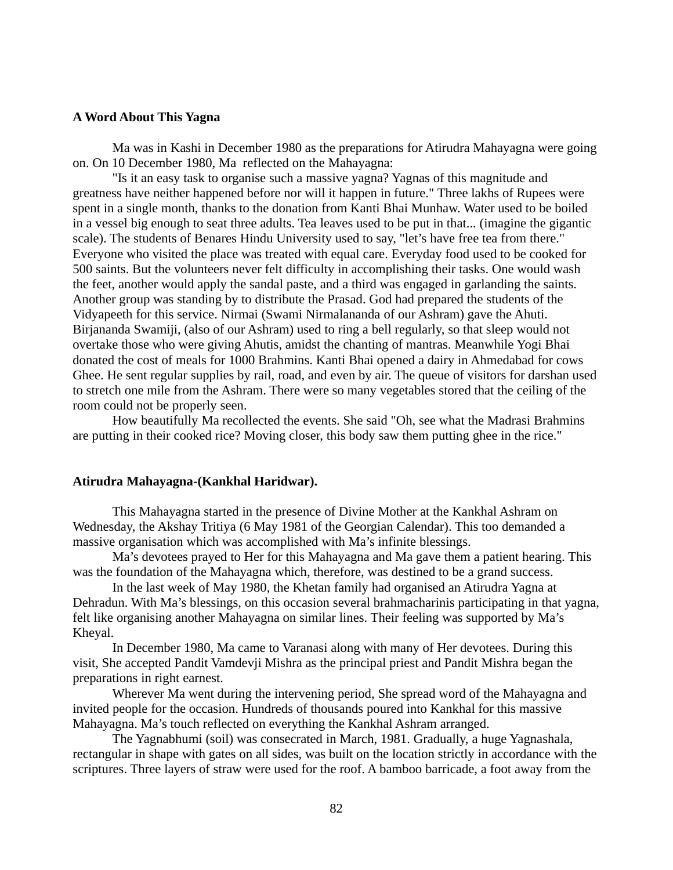## **A Word About This Yagna**

Ma was in Kashi in December 1980 as the preparations for Atirudra Mahayagna were going on. On 10 December 1980, Ma reflected on the Mahayagna:

"Is it an easy task to organise such a massive yagna? Yagnas of this magnitude and greatness have neither happened before nor will it happen in future." Three lakhs of Rupees were spent in a single month, thanks to the donation from Kanti Bhai Munhaw. Water used to be boiled in a vessel big enough to seat three adults. Tea leaves used to be put in that... (imagine the gigantic scale). The students of Benares Hindu University used to say, "let's have free tea from there." Everyone who visited the place was treated with equal care. Everyday food used to be cooked for 500 saints. But the volunteers never felt difficulty in accomplishing their tasks. One would wash the feet, another would apply the sandal paste, and a third was engaged in garlanding the saints. Another group was standing by to distribute the Prasad. God had prepared the students of the Vidyapeeth for this service. Nirmai (Swami Nirmalananda of our Ashram) gave the Ahuti. Birjananda Swamiji, (also of our Ashram) used to ring a bell regularly, so that sleep would not overtake those who were giving Ahutis, amidst the chanting of mantras. Meanwhile Yogi Bhai donated the cost of meals for 1000 Brahmins. Kanti Bhai opened a dairy in Ahmedabad for cows Ghee. He sent regular supplies by rail, road, and even by air. The queue of visitors for darshan used to stretch one mile from the Ashram. There were so many vegetables stored that the ceiling of the room could not be properly seen.

How beautifully Ma recollected the events. She said "Oh, see what the Madrasi Brahmins are putting in their cooked rice? Moving closer, this body saw them putting ghee in the rice."

#### **Atirudra Mahayagna-(Kankhal Haridwar).**

This Mahayagna started in the presence of Divine Mother at the Kankhal Ashram on Wednesday, the Akshay Tritiya (6 May 1981 of the Georgian Calendar). This too demanded a massive organisation which was accomplished with Ma's infinite blessings.

Ma's devotees prayed to Her for this Mahayagna and Ma gave them a patient hearing. This was the foundation of the Mahayagna which, therefore, was destined to be a grand success.

In the last week of May 1980, the Khetan family had organised an Atirudra Yagna at Dehradun. With Ma's blessings, on this occasion several brahmacharinis participating in that yagna, felt like organising another Mahayagna on similar lines. Their feeling was supported by Ma's Kheyal.

In December 1980, Ma came to Varanasi along with many of Her devotees. During this visit, She accepted Pandit Vamdevji Mishra as the principal priest and Pandit Mishra began the preparations in right earnest.

Wherever Ma went during the intervening period, She spread word of the Mahayagna and invited people for the occasion. Hundreds of thousands poured into Kankhal for this massive Mahayagna. Ma's touch reflected on everything the Kankhal Ashram arranged.

The Yagnabhumi (soil) was consecrated in March, 1981. Gradually, a huge Yagnashala, rectangular in shape with gates on all sides, was built on the location strictly in accordance with the scriptures. Three layers of straw were used for the roof. A bamboo barricade, a foot away from the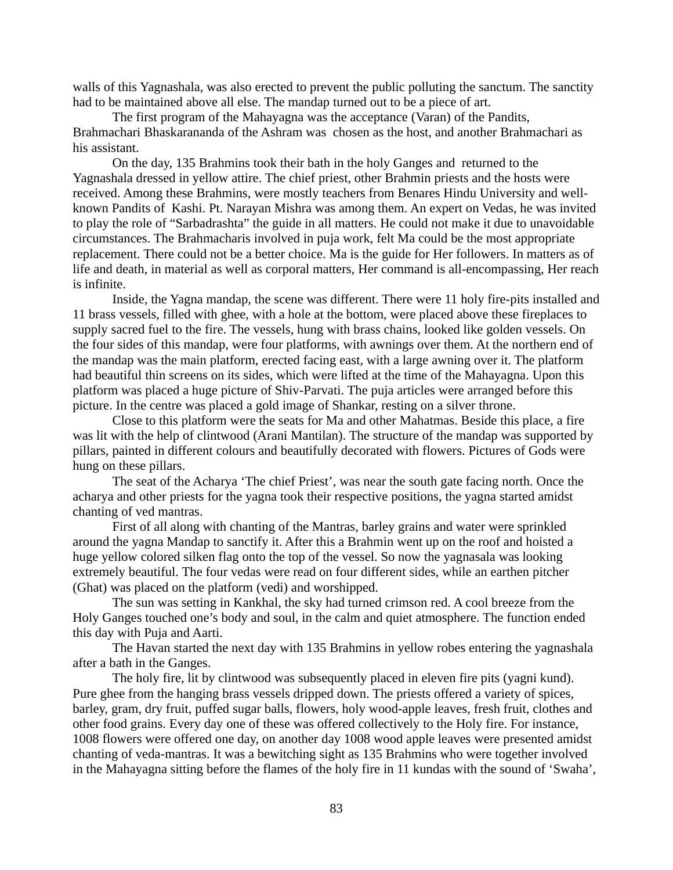walls of this Yagnashala, was also erected to prevent the public polluting the sanctum. The sanctity had to be maintained above all else. The mandap turned out to be a piece of art.

The first program of the Mahayagna was the acceptance (Varan) of the Pandits, Brahmachari Bhaskarananda of the Ashram was chosen as the host, and another Brahmachari as his assistant.

On the day, 135 Brahmins took their bath in the holy Ganges and returned to the Yagnashala dressed in yellow attire. The chief priest, other Brahmin priests and the hosts were received. Among these Brahmins, were mostly teachers from Benares Hindu University and wellknown Pandits of Kashi. Pt. Narayan Mishra was among them. An expert on Vedas, he was invited to play the role of "Sarbadrashta" the guide in all matters. He could not make it due to unavoidable circumstances. The Brahmacharis involved in puja work, felt Ma could be the most appropriate replacement. There could not be a better choice. Ma is the guide for Her followers. In matters as of life and death, in material as well as corporal matters, Her command is all-encompassing, Her reach is infinite.

Inside, the Yagna mandap, the scene was different. There were 11 holy fire-pits installed and 11 brass vessels, filled with ghee, with a hole at the bottom, were placed above these fireplaces to supply sacred fuel to the fire. The vessels, hung with brass chains, looked like golden vessels. On the four sides of this mandap, were four platforms, with awnings over them. At the northern end of the mandap was the main platform, erected facing east, with a large awning over it. The platform had beautiful thin screens on its sides, which were lifted at the time of the Mahayagna. Upon this platform was placed a huge picture of Shiv-Parvati. The puja articles were arranged before this picture. In the centre was placed a gold image of Shankar, resting on a silver throne.

Close to this platform were the seats for Ma and other Mahatmas. Beside this place, a fire was lit with the help of clintwood (Arani Mantilan). The structure of the mandap was supported by pillars, painted in different colours and beautifully decorated with flowers. Pictures of Gods were hung on these pillars.

The seat of the Acharya 'The chief Priest', was near the south gate facing north. Once the acharya and other priests for the yagna took their respective positions, the yagna started amidst chanting of ved mantras.

First of all along with chanting of the Mantras, barley grains and water were sprinkled around the yagna Mandap to sanctify it. After this a Brahmin went up on the roof and hoisted a huge yellow colored silken flag onto the top of the vessel. So now the yagnasala was looking extremely beautiful. The four vedas were read on four different sides, while an earthen pitcher (Ghat) was placed on the platform (vedi) and worshipped.

The sun was setting in Kankhal, the sky had turned crimson red. A cool breeze from the Holy Ganges touched one's body and soul, in the calm and quiet atmosphere. The function ended this day with Puja and Aarti.

The Havan started the next day with 135 Brahmins in yellow robes entering the yagnashala after a bath in the Ganges.

The holy fire, lit by clintwood was subsequently placed in eleven fire pits (yagni kund). Pure ghee from the hanging brass vessels dripped down. The priests offered a variety of spices, barley, gram, dry fruit, puffed sugar balls, flowers, holy wood-apple leaves, fresh fruit, clothes and other food grains. Every day one of these was offered collectively to the Holy fire. For instance, 1008 flowers were offered one day, on another day 1008 wood apple leaves were presented amidst chanting of veda-mantras. It was a bewitching sight as 135 Brahmins who were together involved in the Mahayagna sitting before the flames of the holy fire in 11 kundas with the sound of 'Swaha',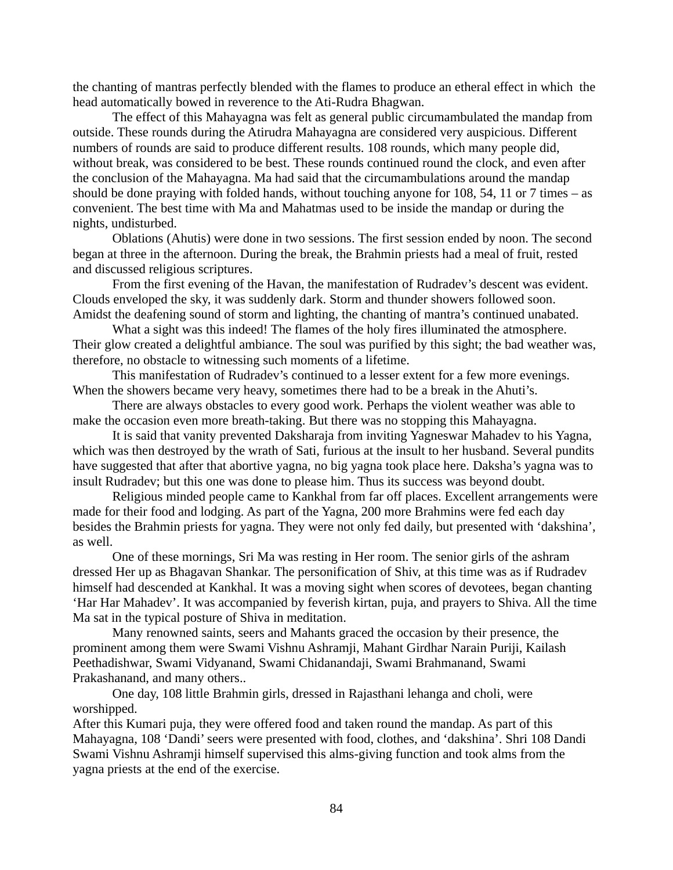the chanting of mantras perfectly blended with the flames to produce an etheral effect in which the head automatically bowed in reverence to the Ati-Rudra Bhagwan.

The effect of this Mahayagna was felt as general public circumambulated the mandap from outside. These rounds during the Atirudra Mahayagna are considered very auspicious. Different numbers of rounds are said to produce different results. 108 rounds, which many people did, without break, was considered to be best. These rounds continued round the clock, and even after the conclusion of the Mahayagna. Ma had said that the circumambulations around the mandap should be done praying with folded hands, without touching anyone for 108, 54, 11 or 7 times – as convenient. The best time with Ma and Mahatmas used to be inside the mandap or during the nights, undisturbed.

Oblations (Ahutis) were done in two sessions. The first session ended by noon. The second began at three in the afternoon. During the break, the Brahmin priests had a meal of fruit, rested and discussed religious scriptures.

From the first evening of the Havan, the manifestation of Rudradev's descent was evident. Clouds enveloped the sky, it was suddenly dark. Storm and thunder showers followed soon. Amidst the deafening sound of storm and lighting, the chanting of mantra's continued unabated.

What a sight was this indeed! The flames of the holy fires illuminated the atmosphere. Their glow created a delightful ambiance. The soul was purified by this sight; the bad weather was, therefore, no obstacle to witnessing such moments of a lifetime.

This manifestation of Rudradev's continued to a lesser extent for a few more evenings. When the showers became very heavy, sometimes there had to be a break in the Ahuti's.

There are always obstacles to every good work. Perhaps the violent weather was able to make the occasion even more breath-taking. But there was no stopping this Mahayagna.

It is said that vanity prevented Daksharaja from inviting Yagneswar Mahadev to his Yagna, which was then destroyed by the wrath of Sati, furious at the insult to her husband. Several pundits have suggested that after that abortive yagna, no big yagna took place here. Daksha's yagna was to insult Rudradev; but this one was done to please him. Thus its success was beyond doubt.

Religious minded people came to Kankhal from far off places. Excellent arrangements were made for their food and lodging. As part of the Yagna, 200 more Brahmins were fed each day besides the Brahmin priests for yagna. They were not only fed daily, but presented with 'dakshina', as well.

One of these mornings, Sri Ma was resting in Her room. The senior girls of the ashram dressed Her up as Bhagavan Shankar. The personification of Shiv, at this time was as if Rudradev himself had descended at Kankhal. It was a moving sight when scores of devotees, began chanting 'Har Har Mahadev'. It was accompanied by feverish kirtan, puja, and prayers to Shiva. All the time Ma sat in the typical posture of Shiva in meditation.

Many renowned saints, seers and Mahants graced the occasion by their presence, the prominent among them were Swami Vishnu Ashramji, Mahant Girdhar Narain Puriji, Kailash Peethadishwar, Swami Vidyanand, Swami Chidanandaji, Swami Brahmanand, Swami Prakashanand, and many others..

One day, 108 little Brahmin girls, dressed in Rajasthani lehanga and choli, were worshipped.

After this Kumari puja, they were offered food and taken round the mandap. As part of this Mahayagna, 108 'Dandi' seers were presented with food, clothes, and 'dakshina'. Shri 108 Dandi Swami Vishnu Ashramji himself supervised this alms-giving function and took alms from the yagna priests at the end of the exercise.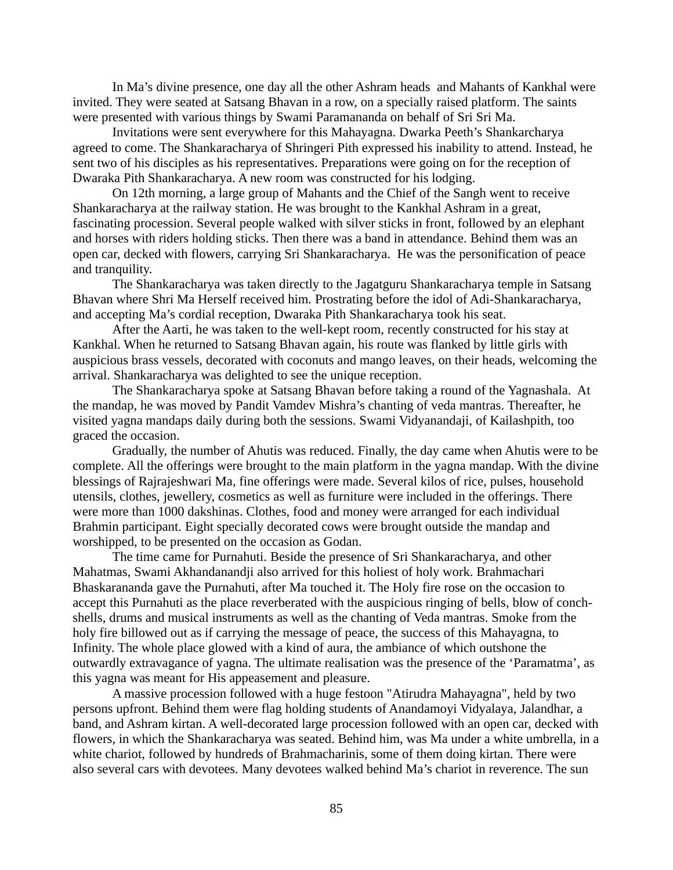In Ma's divine presence, one day all the other Ashram heads and Mahants of Kankhal were invited. They were seated at Satsang Bhavan in a row, on a specially raised platform. The saints were presented with various things by Swami Paramananda on behalf of Sri Sri Ma.

Invitations were sent everywhere for this Mahayagna. Dwarka Peeth's Shankarcharya agreed to come. The Shankaracharya of Shringeri Pith expressed his inability to attend. Instead, he sent two of his disciples as his representatives. Preparations were going on for the reception of Dwaraka Pith Shankaracharya. A new room was constructed for his lodging.

On 12th morning, a large group of Mahants and the Chief of the Sangh went to receive Shankaracharya at the railway station. He was brought to the Kankhal Ashram in a great, fascinating procession. Several people walked with silver sticks in front, followed by an elephant and horses with riders holding sticks. Then there was a band in attendance. Behind them was an open car, decked with flowers, carrying Sri Shankaracharya. He was the personification of peace and tranquility.

The Shankaracharya was taken directly to the Jagatguru Shankaracharya temple in Satsang Bhavan where Shri Ma Herself received him. Prostrating before the idol of Adi-Shankaracharya, and accepting Ma's cordial reception, Dwaraka Pith Shankaracharya took his seat.

After the Aarti, he was taken to the well-kept room, recently constructed for his stay at Kankhal. When he returned to Satsang Bhavan again, his route was flanked by little girls with auspicious brass vessels, decorated with coconuts and mango leaves, on their heads, welcoming the arrival. Shankaracharya was delighted to see the unique reception.

The Shankaracharya spoke at Satsang Bhavan before taking a round of the Yagnashala. At the mandap, he was moved by Pandit Vamdev Mishra's chanting of veda mantras. Thereafter, he visited yagna mandaps daily during both the sessions. Swami Vidyanandaji, of Kailashpith, too graced the occasion.

Gradually, the number of Ahutis was reduced. Finally, the day came when Ahutis were to be complete. All the offerings were brought to the main platform in the yagna mandap. With the divine blessings of Rajrajeshwari Ma, fine offerings were made. Several kilos of rice, pulses, household utensils, clothes, jewellery, cosmetics as well as furniture were included in the offerings. There were more than 1000 dakshinas. Clothes, food and money were arranged for each individual Brahmin participant. Eight specially decorated cows were brought outside the mandap and worshipped, to be presented on the occasion as Godan.

The time came for Purnahuti. Beside the presence of Sri Shankaracharya, and other Mahatmas, Swami Akhandanandji also arrived for this holiest of holy work. Brahmachari Bhaskarananda gave the Purnahuti, after Ma touched it. The Holy fire rose on the occasion to accept this Purnahuti as the place reverberated with the auspicious ringing of bells, blow of conchshells, drums and musical instruments as well as the chanting of Veda mantras. Smoke from the holy fire billowed out as if carrying the message of peace, the success of this Mahayagna, to Infinity. The whole place glowed with a kind of aura, the ambiance of which outshone the outwardly extravagance of yagna. The ultimate realisation was the presence of the 'Paramatma', as this yagna was meant for His appeasement and pleasure.

A massive procession followed with a huge festoon "Atirudra Mahayagna", held by two persons upfront. Behind them were flag holding students of Anandamoyi Vidyalaya, Jalandhar, a band, and Ashram kirtan. A well-decorated large procession followed with an open car, decked with flowers, in which the Shankaracharya was seated. Behind him, was Ma under a white umbrella, in a white chariot, followed by hundreds of Brahmacharinis, some of them doing kirtan. There were also several cars with devotees. Many devotees walked behind Ma's chariot in reverence. The sun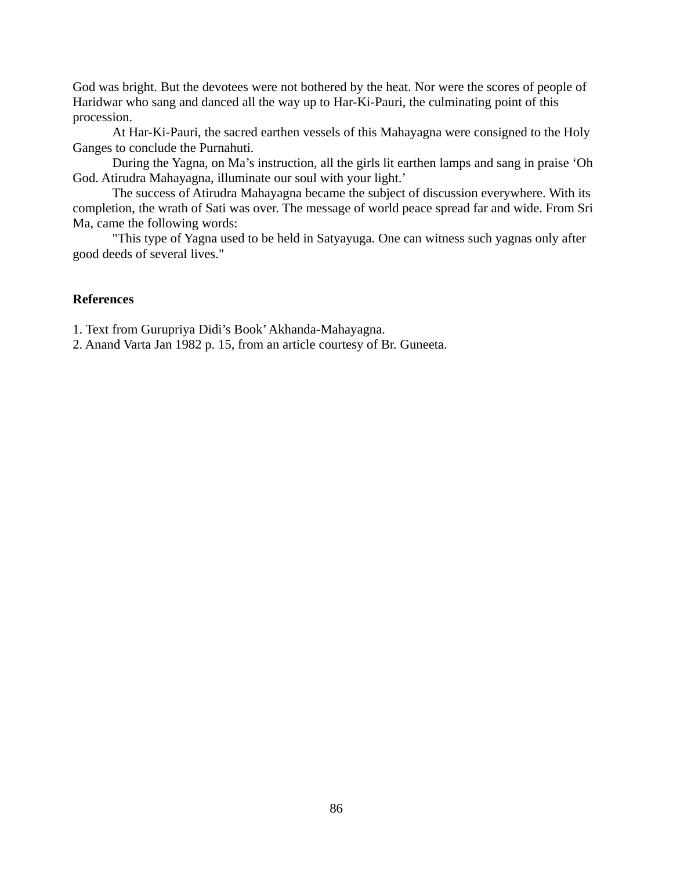God was bright. But the devotees were not bothered by the heat. Nor were the scores of people of Haridwar who sang and danced all the way up to Har-Ki-Pauri, the culminating point of this procession.

At Har-Ki-Pauri, the sacred earthen vessels of this Mahayagna were consigned to the Holy Ganges to conclude the Purnahuti.

During the Yagna, on Ma's instruction, all the girls lit earthen lamps and sang in praise 'Oh God. Atirudra Mahayagna, illuminate our soul with your light.'

The success of Atirudra Mahayagna became the subject of discussion everywhere. With its completion, the wrath of Sati was over. The message of world peace spread far and wide. From Sri Ma, came the following words:

"This type of Yagna used to be held in Satyayuga. One can witness such yagnas only after good deeds of several lives."

# **References**

1. Text from Gurupriya Didi's Book' Akhanda-Mahayagna.

2. Anand Varta Jan 1982 p. 15, from an article courtesy of Br. Guneeta.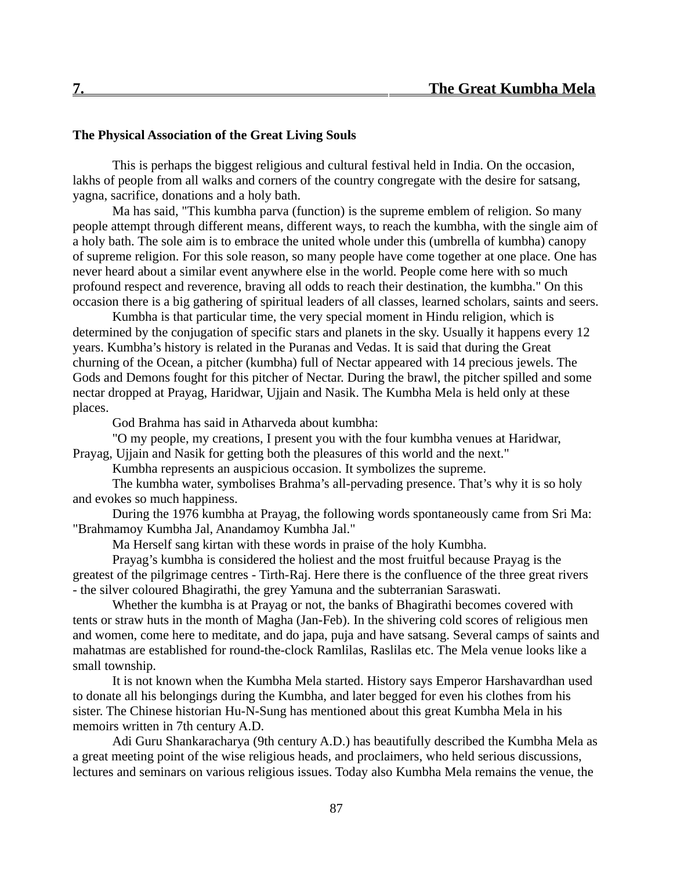## **The Physical Association of the Great Living Souls**

This is perhaps the biggest religious and cultural festival held in India. On the occasion, lakhs of people from all walks and corners of the country congregate with the desire for satsang, yagna, sacrifice, donations and a holy bath.

Ma has said, "This kumbha parva (function) is the supreme emblem of religion. So many people attempt through different means, different ways, to reach the kumbha, with the single aim of a holy bath. The sole aim is to embrace the united whole under this (umbrella of kumbha) canopy of supreme religion. For this sole reason, so many people have come together at one place. One has never heard about a similar event anywhere else in the world. People come here with so much profound respect and reverence, braving all odds to reach their destination, the kumbha." On this occasion there is a big gathering of spiritual leaders of all classes, learned scholars, saints and seers.

Kumbha is that particular time, the very special moment in Hindu religion, which is determined by the conjugation of specific stars and planets in the sky. Usually it happens every 12 years. Kumbha's history is related in the Puranas and Vedas. It is said that during the Great churning of the Ocean, a pitcher (kumbha) full of Nectar appeared with 14 precious jewels. The Gods and Demons fought for this pitcher of Nectar. During the brawl, the pitcher spilled and some nectar dropped at Prayag, Haridwar, Ujjain and Nasik. The Kumbha Mela is held only at these places.

God Brahma has said in Atharveda about kumbha:

"O my people, my creations, I present you with the four kumbha venues at Haridwar, Prayag, Ujjain and Nasik for getting both the pleasures of this world and the next."

Kumbha represents an auspicious occasion. It symbolizes the supreme.

The kumbha water, symbolises Brahma's all-pervading presence. That's why it is so holy and evokes so much happiness.

During the 1976 kumbha at Prayag, the following words spontaneously came from Sri Ma: "Brahmamoy Kumbha Jal, Anandamoy Kumbha Jal."

Ma Herself sang kirtan with these words in praise of the holy Kumbha.

Prayag's kumbha is considered the holiest and the most fruitful because Prayag is the greatest of the pilgrimage centres - Tirth-Raj. Here there is the confluence of the three great rivers - the silver coloured Bhagirathi, the grey Yamuna and the subterranian Saraswati.

Whether the kumbha is at Prayag or not, the banks of Bhagirathi becomes covered with tents or straw huts in the month of Magha (Jan-Feb). In the shivering cold scores of religious men and women, come here to meditate, and do japa, puja and have satsang. Several camps of saints and mahatmas are established for round-the-clock Ramlilas, Raslilas etc. The Mela venue looks like a small township.

It is not known when the Kumbha Mela started. History says Emperor Harshavardhan used to donate all his belongings during the Kumbha, and later begged for even his clothes from his sister. The Chinese historian Hu-N-Sung has mentioned about this great Kumbha Mela in his memoirs written in 7th century A.D.

Adi Guru Shankaracharya (9th century A.D.) has beautifully described the Kumbha Mela as a great meeting point of the wise religious heads, and proclaimers, who held serious discussions, lectures and seminars on various religious issues. Today also Kumbha Mela remains the venue, the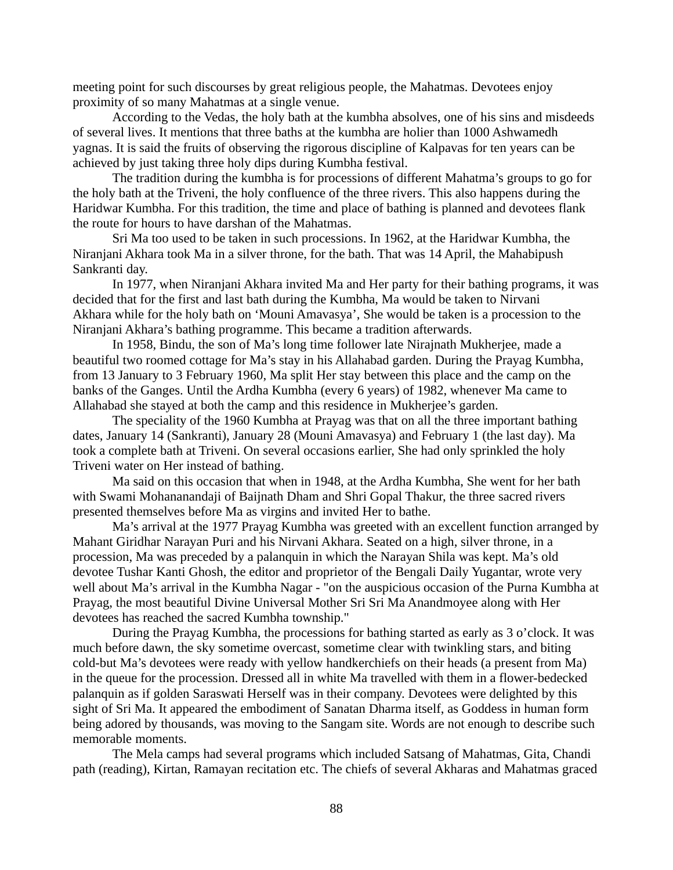meeting point for such discourses by great religious people, the Mahatmas. Devotees enjoy proximity of so many Mahatmas at a single venue.

According to the Vedas, the holy bath at the kumbha absolves, one of his sins and misdeeds of several lives. It mentions that three baths at the kumbha are holier than 1000 Ashwamedh yagnas. It is said the fruits of observing the rigorous discipline of Kalpavas for ten years can be achieved by just taking three holy dips during Kumbha festival.

The tradition during the kumbha is for processions of different Mahatma's groups to go for the holy bath at the Triveni, the holy confluence of the three rivers. This also happens during the Haridwar Kumbha. For this tradition, the time and place of bathing is planned and devotees flank the route for hours to have darshan of the Mahatmas.

Sri Ma too used to be taken in such processions. In 1962, at the Haridwar Kumbha, the Niranjani Akhara took Ma in a silver throne, for the bath. That was 14 April, the Mahabipush Sankranti day.

In 1977, when Niranjani Akhara invited Ma and Her party for their bathing programs, it was decided that for the first and last bath during the Kumbha, Ma would be taken to Nirvani Akhara while for the holy bath on 'Mouni Amavasya', She would be taken is a procession to the Niranjani Akhara's bathing programme. This became a tradition afterwards.

In 1958, Bindu, the son of Ma's long time follower late Nirajnath Mukherjee, made a beautiful two roomed cottage for Ma's stay in his Allahabad garden. During the Prayag Kumbha, from 13 January to 3 February 1960, Ma split Her stay between this place and the camp on the banks of the Ganges. Until the Ardha Kumbha (every 6 years) of 1982, whenever Ma came to Allahabad she stayed at both the camp and this residence in Mukherjee's garden.

The speciality of the 1960 Kumbha at Prayag was that on all the three important bathing dates, January 14 (Sankranti), January 28 (Mouni Amavasya) and February 1 (the last day). Ma took a complete bath at Triveni. On several occasions earlier, She had only sprinkled the holy Triveni water on Her instead of bathing.

Ma said on this occasion that when in 1948, at the Ardha Kumbha, She went for her bath with Swami Mohananandaji of Baijnath Dham and Shri Gopal Thakur, the three sacred rivers presented themselves before Ma as virgins and invited Her to bathe.

Ma's arrival at the 1977 Prayag Kumbha was greeted with an excellent function arranged by Mahant Giridhar Narayan Puri and his Nirvani Akhara. Seated on a high, silver throne, in a procession, Ma was preceded by a palanquin in which the Narayan Shila was kept. Ma's old devotee Tushar Kanti Ghosh, the editor and proprietor of the Bengali Daily Yugantar, wrote very well about Ma's arrival in the Kumbha Nagar - "on the auspicious occasion of the Purna Kumbha at Prayag, the most beautiful Divine Universal Mother Sri Sri Ma Anandmoyee along with Her devotees has reached the sacred Kumbha township."

During the Prayag Kumbha, the processions for bathing started as early as 3 o'clock. It was much before dawn, the sky sometime overcast, sometime clear with twinkling stars, and biting cold-but Ma's devotees were ready with yellow handkerchiefs on their heads (a present from Ma) in the queue for the procession. Dressed all in white Ma travelled with them in a flower-bedecked palanquin as if golden Saraswati Herself was in their company. Devotees were delighted by this sight of Sri Ma. It appeared the embodiment of Sanatan Dharma itself, as Goddess in human form being adored by thousands, was moving to the Sangam site. Words are not enough to describe such memorable moments.

The Mela camps had several programs which included Satsang of Mahatmas, Gita, Chandi path (reading), Kirtan, Ramayan recitation etc. The chiefs of several Akharas and Mahatmas graced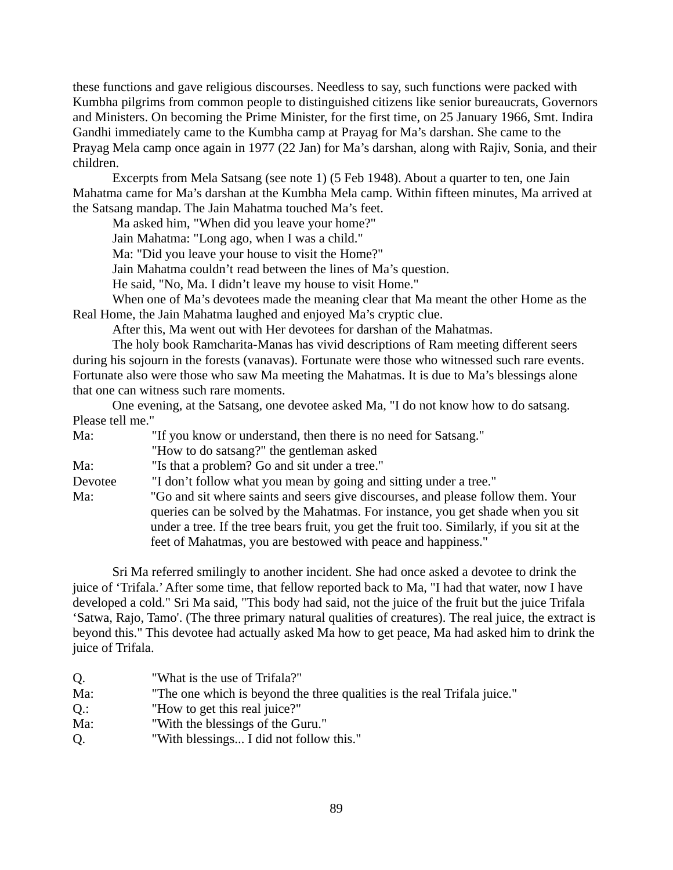these functions and gave religious discourses. Needless to say, such functions were packed with Kumbha pilgrims from common people to distinguished citizens like senior bureaucrats, Governors and Ministers. On becoming the Prime Minister, for the first time, on 25 January 1966, Smt. Indira Gandhi immediately came to the Kumbha camp at Prayag for Ma's darshan. She came to the Prayag Mela camp once again in 1977 (22 Jan) for Ma's darshan, along with Rajiv, Sonia, and their children.

Excerpts from Mela Satsang (see note 1) (5 Feb 1948). About a quarter to ten, one Jain Mahatma came for Ma's darshan at the Kumbha Mela camp. Within fifteen minutes, Ma arrived at the Satsang mandap. The Jain Mahatma touched Ma's feet.

Ma asked him, "When did you leave your home?"

Jain Mahatma: "Long ago, when I was a child."

Ma: "Did you leave your house to visit the Home?"

Jain Mahatma couldn't read between the lines of Ma's question.

He said, "No, Ma. I didn't leave my house to visit Home."

When one of Ma's devotees made the meaning clear that Ma meant the other Home as the Real Home, the Jain Mahatma laughed and enjoyed Ma's cryptic clue.

After this, Ma went out with Her devotees for darshan of the Mahatmas.

The holy book Ramcharita-Manas has vivid descriptions of Ram meeting different seers during his sojourn in the forests (vanavas). Fortunate were those who witnessed such rare events. Fortunate also were those who saw Ma meeting the Mahatmas. It is due to Ma's blessings alone that one can witness such rare moments.

One evening, at the Satsang, one devotee asked Ma, "I do not know how to do satsang. Please tell me."

| Ma:     | "If you know or understand, then there is no need for Satsang."                            |
|---------|--------------------------------------------------------------------------------------------|
|         | "How to do satsang?" the gentleman asked                                                   |
| Ma:     | "Is that a problem? Go and sit under a tree."                                              |
| Devotee | "I don't follow what you mean by going and sitting under a tree."                          |
| Ma:     | "Go and sit where saints and seers give discourses, and please follow them. Your           |
|         | queries can be solved by the Mahatmas. For instance, you get shade when you sit            |
|         | under a tree. If the tree bears fruit, you get the fruit too. Similarly, if you sit at the |
|         | feet of Mahatmas, you are bestowed with peace and happiness."                              |

Sri Ma referred smilingly to another incident. She had once asked a devotee to drink the juice of 'Trifala.' After some time, that fellow reported back to Ma, "I had that water, now I have developed a cold." Sri Ma said, "This body had said, not the juice of the fruit but the juice Trifala 'Satwa, Rajo, Tamo'. (The three primary natural qualities of creatures). The real juice, the extract is beyond this." This devotee had actually asked Ma how to get peace, Ma had asked him to drink the juice of Trifala.

| Q.     | "What is the use of Trifala?"                                            |
|--------|--------------------------------------------------------------------------|
| Ma:    | "The one which is beyond the three qualities is the real Trifala juice." |
| $Q$ .: | "How to get this real juice?"                                            |
| Ma:    | "With the blessings of the Guru."                                        |
| Q.     | "With blessings I did not follow this."                                  |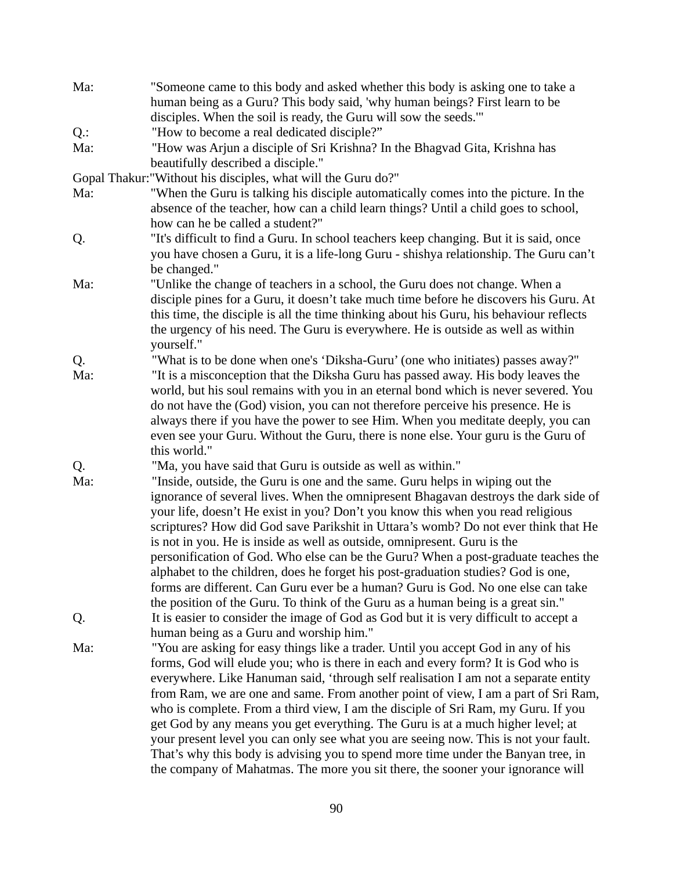| Ma:    | "Someone came to this body and asked whether this body is asking one to take a                                                                                        |
|--------|-----------------------------------------------------------------------------------------------------------------------------------------------------------------------|
|        | human being as a Guru? This body said, 'why human beings? First learn to be                                                                                           |
|        | disciples. When the soil is ready, the Guru will sow the seeds."                                                                                                      |
| $Q$ .: | "How to become a real dedicated disciple?"                                                                                                                            |
| Ma:    | "How was Arjun a disciple of Sri Krishna? In the Bhagvad Gita, Krishna has                                                                                            |
|        | beautifully described a disciple."                                                                                                                                    |
|        | Gopal Thakur:"Without his disciples, what will the Guru do?"                                                                                                          |
| Ma:    | "When the Guru is talking his disciple automatically comes into the picture. In the                                                                                   |
|        | absence of the teacher, how can a child learn things? Until a child goes to school,                                                                                   |
|        | how can he be called a student?"                                                                                                                                      |
| Q.     | "It's difficult to find a Guru. In school teachers keep changing. But it is said, once                                                                                |
|        | you have chosen a Guru, it is a life-long Guru - shishya relationship. The Guru can't                                                                                 |
|        | be changed."                                                                                                                                                          |
| Ma:    |                                                                                                                                                                       |
|        | "Unlike the change of teachers in a school, the Guru does not change. When a<br>disciple pines for a Guru, it doesn't take much time before he discovers his Guru. At |
|        |                                                                                                                                                                       |
|        | this time, the disciple is all the time thinking about his Guru, his behaviour reflects                                                                               |
|        | the urgency of his need. The Guru is everywhere. He is outside as well as within                                                                                      |
|        | yourself."                                                                                                                                                            |
| Q.     | "What is to be done when one's 'Diksha-Guru' (one who initiates) passes away?"                                                                                        |
| Ma:    | "It is a misconception that the Diksha Guru has passed away. His body leaves the                                                                                      |
|        | world, but his soul remains with you in an eternal bond which is never severed. You                                                                                   |
|        | do not have the (God) vision, you can not therefore perceive his presence. He is                                                                                      |
|        | always there if you have the power to see Him. When you meditate deeply, you can                                                                                      |
|        | even see your Guru. Without the Guru, there is none else. Your guru is the Guru of                                                                                    |
|        | this world."                                                                                                                                                          |
| Q.     | "Ma, you have said that Guru is outside as well as within."                                                                                                           |
| Ma:    | "Inside, outside, the Guru is one and the same. Guru helps in wiping out the                                                                                          |
|        | ignorance of several lives. When the omnipresent Bhagavan destroys the dark side of                                                                                   |
|        | your life, doesn't He exist in you? Don't you know this when you read religious                                                                                       |
|        | scriptures? How did God save Parikshit in Uttara's womb? Do not ever think that He                                                                                    |
|        | is not in you. He is inside as well as outside, omnipresent. Guru is the                                                                                              |
|        | personification of God. Who else can be the Guru? When a post-graduate teaches the                                                                                    |
|        | alphabet to the children, does he forget his post-graduation studies? God is one                                                                                      |
|        | forms are different. Can Guru ever be a human? Guru is God. No one else can take                                                                                      |
|        | the position of the Guru. To think of the Guru as a human being is a great sin."                                                                                      |
| Q.     | It is easier to consider the image of God as God but it is very difficult to accept a                                                                                 |
|        | human being as a Guru and worship him."                                                                                                                               |
| Ma:    | "You are asking for easy things like a trader. Until you accept God in any of his                                                                                     |
|        | forms, God will elude you; who is there in each and every form? It is God who is                                                                                      |
|        | everywhere. Like Hanuman said, 'through self realisation I am not a separate entity                                                                                   |
|        | from Ram, we are one and same. From another point of view, I am a part of Sri Ram,                                                                                    |
|        | who is complete. From a third view, I am the disciple of Sri Ram, my Guru. If you                                                                                     |
|        | get God by any means you get everything. The Guru is at a much higher level; at                                                                                       |
|        | your present level you can only see what you are seeing now. This is not your fault.                                                                                  |
|        | That's why this body is advising you to spend more time under the Banyan tree, in                                                                                     |
|        | the company of Mahatmas. The more you sit there, the sooner your ignorance will                                                                                       |
|        |                                                                                                                                                                       |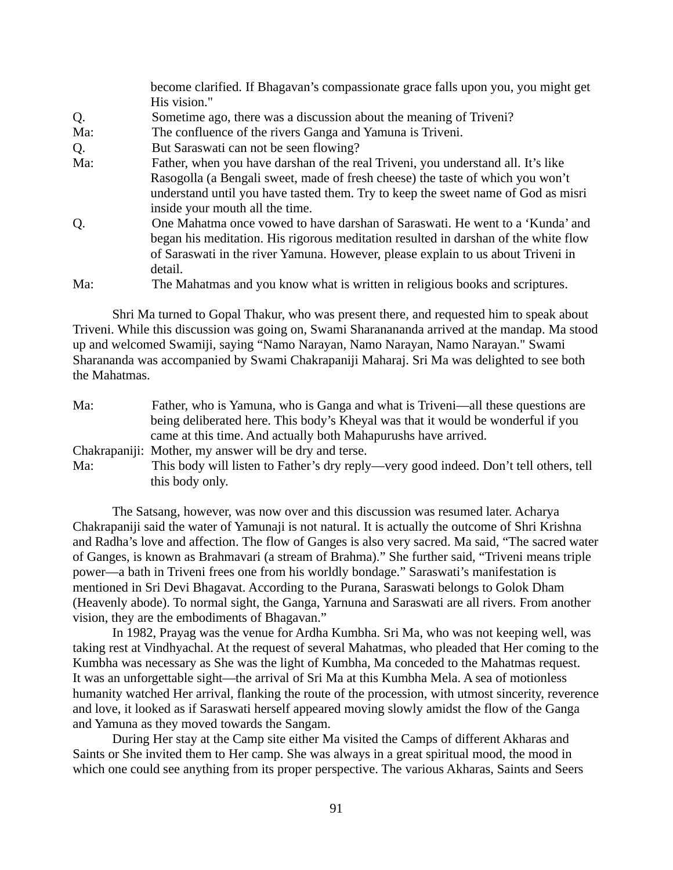|     | become clarified. If Bhagavan's compassionate grace falls upon you, you might get   |
|-----|-------------------------------------------------------------------------------------|
|     | His vision."                                                                        |
| Q.  | Sometime ago, there was a discussion about the meaning of Triveni?                  |
| Ma: | The confluence of the rivers Ganga and Yamuna is Triveni.                           |
| Q.  | But Saraswati can not be seen flowing?                                              |
| Ma: | Father, when you have darshan of the real Triveni, you understand all. It's like    |
|     | Rasogolla (a Bengali sweet, made of fresh cheese) the taste of which you won't      |
|     | understand until you have tasted them. Try to keep the sweet name of God as misri   |
|     | inside your mouth all the time.                                                     |
| Q.  | One Mahatma once vowed to have darshan of Saraswati. He went to a 'Kunda' and       |
|     | began his meditation. His rigorous meditation resulted in darshan of the white flow |
|     | of Saraswati in the river Yamuna. However, please explain to us about Triveni in    |
|     | detail.                                                                             |
| Ma: | The Mahatmas and you know what is written in religious books and scriptures.        |

Shri Ma turned to Gopal Thakur, who was present there, and requested him to speak about Triveni. While this discussion was going on, Swami Sharanananda arrived at the mandap. Ma stood up and welcomed Swamiji, saying "Namo Narayan, Namo Narayan, Namo Narayan." Swami Sharananda was accompanied by Swami Chakrapaniji Maharaj. Sri Ma was delighted to see both the Mahatmas.

| Ma: | Father, who is Yamuna, who is Ganga and what is Triveni—all these questions are       |
|-----|---------------------------------------------------------------------------------------|
|     | being deliberated here. This body's Kheyal was that it would be wonderful if you      |
|     | came at this time. And actually both Mahapurushs have arrived.                        |
|     | Chakrapaniji: Mother, my answer will be dry and terse.                                |
| Ma: | This body will listen to Father's dry reply—very good indeed. Don't tell others, tell |
|     | this body only.                                                                       |

The Satsang, however, was now over and this discussion was resumed later. Acharya Chakrapaniji said the water of Yamunaji is not natural. It is actually the outcome of Shri Krishna and Radha's love and affection. The flow of Ganges is also very sacred. Ma said, "The sacred water of Ganges, is known as Brahmavari (a stream of Brahma)." She further said, "Triveni means triple power—a bath in Triveni frees one from his worldly bondage." Saraswati's manifestation is mentioned in Sri Devi Bhagavat. According to the Purana, Saraswati belongs to Golok Dham (Heavenly abode). To normal sight, the Ganga, Yarnuna and Saraswati are all rivers. From another vision, they are the embodiments of Bhagavan."

In 1982, Prayag was the venue for Ardha Kumbha. Sri Ma, who was not keeping well, was taking rest at Vindhyachal. At the request of several Mahatmas, who pleaded that Her coming to the Kumbha was necessary as She was the light of Kumbha, Ma conceded to the Mahatmas request. It was an unforgettable sight—the arrival of Sri Ma at this Kumbha Mela. A sea of motionless humanity watched Her arrival, flanking the route of the procession, with utmost sincerity, reverence and love, it looked as if Saraswati herself appeared moving slowly amidst the flow of the Ganga and Yamuna as they moved towards the Sangam.

During Her stay at the Camp site either Ma visited the Camps of different Akharas and Saints or She invited them to Her camp. She was always in a great spiritual mood, the mood in which one could see anything from its proper perspective. The various Akharas, Saints and Seers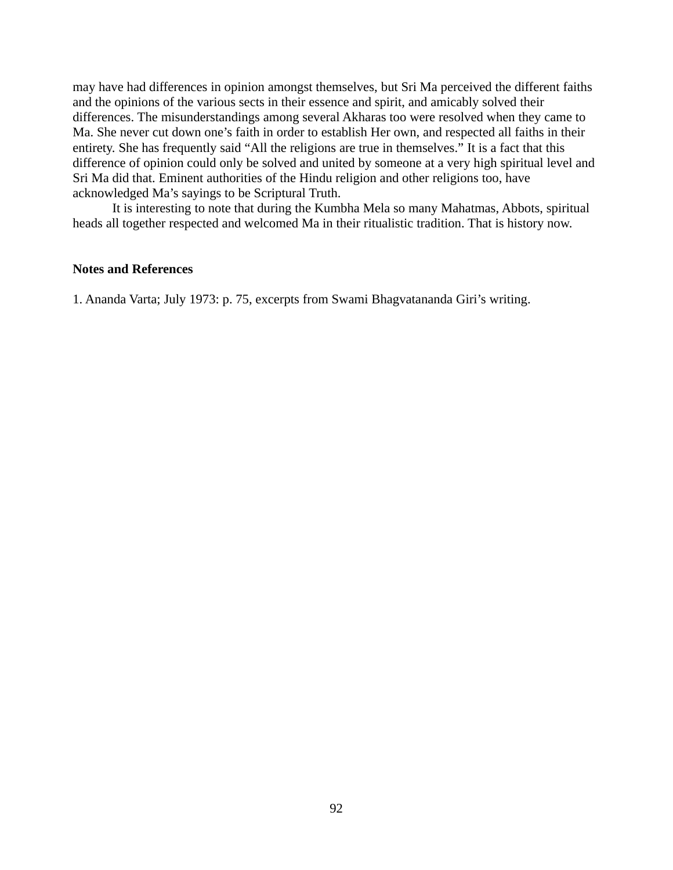may have had differences in opinion amongst themselves, but Sri Ma perceived the different faiths and the opinions of the various sects in their essence and spirit, and amicably solved their differences. The misunderstandings among several Akharas too were resolved when they came to Ma. She never cut down one's faith in order to establish Her own, and respected all faiths in their entirety. She has frequently said "All the religions are true in themselves." It is a fact that this difference of opinion could only be solved and united by someone at a very high spiritual level and Sri Ma did that. Eminent authorities of the Hindu religion and other religions too, have acknowledged Ma's sayings to be Scriptural Truth.

It is interesting to note that during the Kumbha Mela so many Mahatmas, Abbots, spiritual heads all together respected and welcomed Ma in their ritualistic tradition. That is history now.

## **Notes and References**

1. Ananda Varta; July 1973: p. 75, excerpts from Swami Bhagvatananda Giri's writing.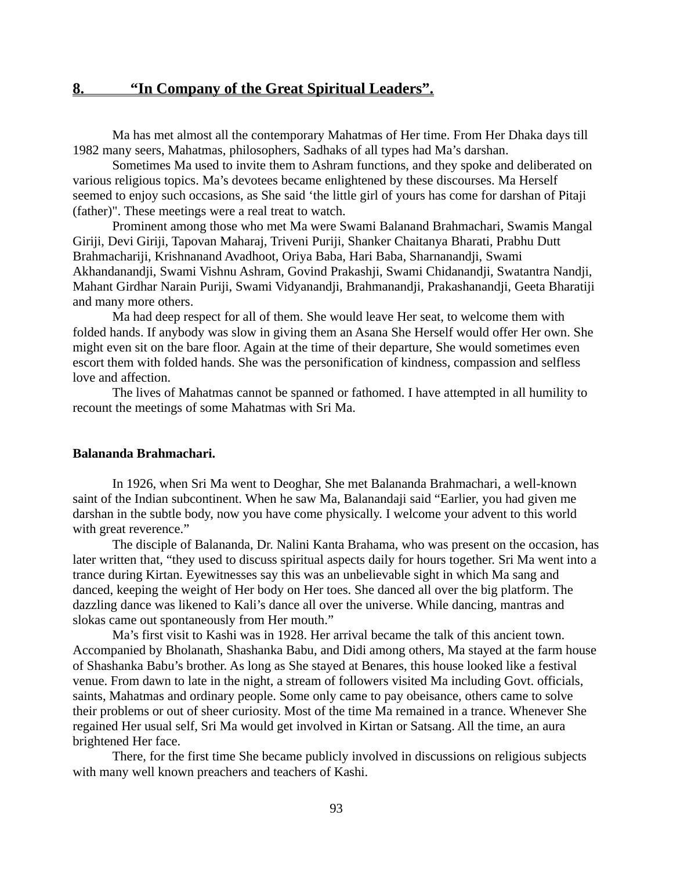Ma has met almost all the contemporary Mahatmas of Her time. From Her Dhaka days till 1982 many seers, Mahatmas, philosophers, Sadhaks of all types had Ma's darshan.

Sometimes Ma used to invite them to Ashram functions, and they spoke and deliberated on various religious topics. Ma's devotees became enlightened by these discourses. Ma Herself seemed to enjoy such occasions, as She said 'the little girl of yours has come for darshan of Pitaji (father)". These meetings were a real treat to watch.

Prominent among those who met Ma were Swami Balanand Brahmachari, Swamis Mangal Giriji, Devi Giriji, Tapovan Maharaj, Triveni Puriji, Shanker Chaitanya Bharati, Prabhu Dutt Brahmachariji, Krishnanand Avadhoot, Oriya Baba, Hari Baba, Sharnanandji, Swami Akhandanandji, Swami Vishnu Ashram, Govind Prakashji, Swami Chidanandji, Swatantra Nandji, Mahant Girdhar Narain Puriji, Swami Vidyanandji, Brahmanandji, Prakashanandji, Geeta Bharatiji and many more others.

Ma had deep respect for all of them. She would leave Her seat, to welcome them with folded hands. If anybody was slow in giving them an Asana She Herself would offer Her own. She might even sit on the bare floor. Again at the time of their departure, She would sometimes even escort them with folded hands. She was the personification of kindness, compassion and selfless love and affection.

The lives of Mahatmas cannot be spanned or fathomed. I have attempted in all humility to recount the meetings of some Mahatmas with Sri Ma.

#### **Balananda Brahmachari.**

In 1926, when Sri Ma went to Deoghar, She met Balananda Brahmachari, a well-known saint of the Indian subcontinent. When he saw Ma, Balanandaji said "Earlier, you had given me darshan in the subtle body, now you have come physically. I welcome your advent to this world with great reverence."

The disciple of Balananda, Dr. Nalini Kanta Brahama, who was present on the occasion, has later written that, "they used to discuss spiritual aspects daily for hours together. Sri Ma went into a trance during Kirtan. Eyewitnesses say this was an unbelievable sight in which Ma sang and danced, keeping the weight of Her body on Her toes. She danced all over the big platform. The dazzling dance was likened to Kali's dance all over the universe. While dancing, mantras and slokas came out spontaneously from Her mouth."

Ma's first visit to Kashi was in 1928. Her arrival became the talk of this ancient town. Accompanied by Bholanath, Shashanka Babu, and Didi among others, Ma stayed at the farm house of Shashanka Babu's brother. As long as She stayed at Benares, this house looked like a festival venue. From dawn to late in the night, a stream of followers visited Ma including Govt. officials, saints, Mahatmas and ordinary people. Some only came to pay obeisance, others came to solve their problems or out of sheer curiosity. Most of the time Ma remained in a trance. Whenever She regained Her usual self, Sri Ma would get involved in Kirtan or Satsang. All the time, an aura brightened Her face.

There, for the first time She became publicly involved in discussions on religious subjects with many well known preachers and teachers of Kashi.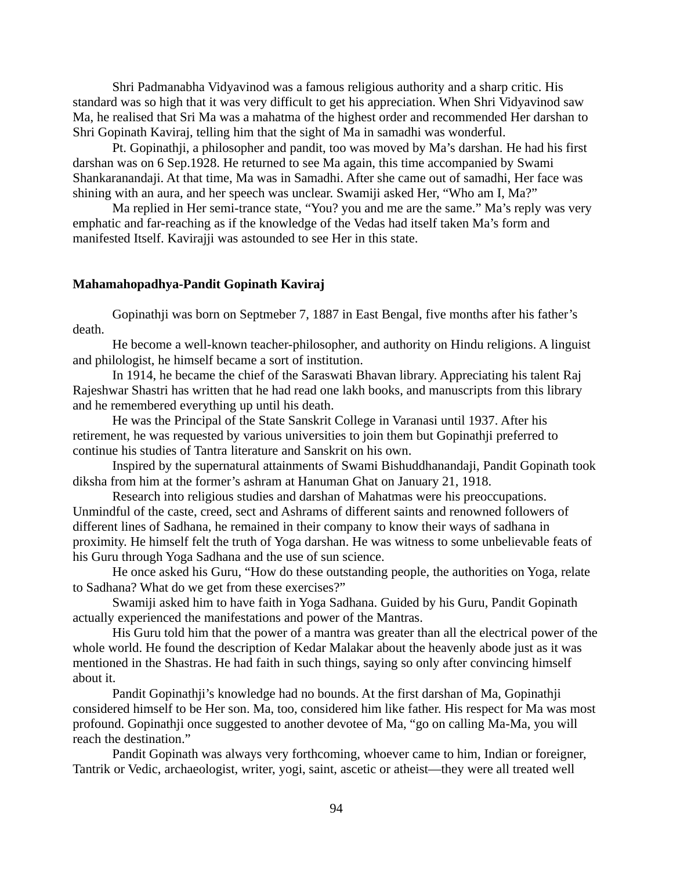Shri Padmanabha Vidyavinod was a famous religious authority and a sharp critic. His standard was so high that it was very difficult to get his appreciation. When Shri Vidyavinod saw Ma, he realised that Sri Ma was a mahatma of the highest order and recommended Her darshan to Shri Gopinath Kaviraj, telling him that the sight of Ma in samadhi was wonderful.

Pt. Gopinathji, a philosopher and pandit, too was moved by Ma's darshan. He had his first darshan was on 6 Sep.1928. He returned to see Ma again, this time accompanied by Swami Shankaranandaji. At that time, Ma was in Samadhi. After she came out of samadhi, Her face was shining with an aura, and her speech was unclear. Swamiji asked Her, "Who am I, Ma?"

Ma replied in Her semi-trance state, "You? you and me are the same." Ma's reply was very emphatic and far-reaching as if the knowledge of the Vedas had itself taken Ma's form and manifested Itself. Kavirajji was astounded to see Her in this state.

### **Mahamahopadhya-Pandit Gopinath Kaviraj**

Gopinathji was born on Septmeber 7, 1887 in East Bengal, five months after his father's death.

He become a well-known teacher-philosopher, and authority on Hindu religions. A linguist and philologist, he himself became a sort of institution.

In 1914, he became the chief of the Saraswati Bhavan library. Appreciating his talent Raj Rajeshwar Shastri has written that he had read one lakh books, and manuscripts from this library and he remembered everything up until his death.

He was the Principal of the State Sanskrit College in Varanasi until 1937. After his retirement, he was requested by various universities to join them but Gopinathji preferred to continue his studies of Tantra literature and Sanskrit on his own.

Inspired by the supernatural attainments of Swami Bishuddhanandaji, Pandit Gopinath took diksha from him at the former's ashram at Hanuman Ghat on January 21, 1918.

Research into religious studies and darshan of Mahatmas were his preoccupations. Unmindful of the caste, creed, sect and Ashrams of different saints and renowned followers of different lines of Sadhana, he remained in their company to know their ways of sadhana in proximity. He himself felt the truth of Yoga darshan. He was witness to some unbelievable feats of his Guru through Yoga Sadhana and the use of sun science.

He once asked his Guru, "How do these outstanding people, the authorities on Yoga, relate to Sadhana? What do we get from these exercises?"

Swamiji asked him to have faith in Yoga Sadhana. Guided by his Guru, Pandit Gopinath actually experienced the manifestations and power of the Mantras.

His Guru told him that the power of a mantra was greater than all the electrical power of the whole world. He found the description of Kedar Malakar about the heavenly abode just as it was mentioned in the Shastras. He had faith in such things, saying so only after convincing himself about it.

Pandit Gopinathji's knowledge had no bounds. At the first darshan of Ma, Gopinathji considered himself to be Her son. Ma, too, considered him like father. His respect for Ma was most profound. Gopinathji once suggested to another devotee of Ma, "go on calling Ma-Ma, you will reach the destination."

Pandit Gopinath was always very forthcoming, whoever came to him, Indian or foreigner, Tantrik or Vedic, archaeologist, writer, yogi, saint, ascetic or atheist—they were all treated well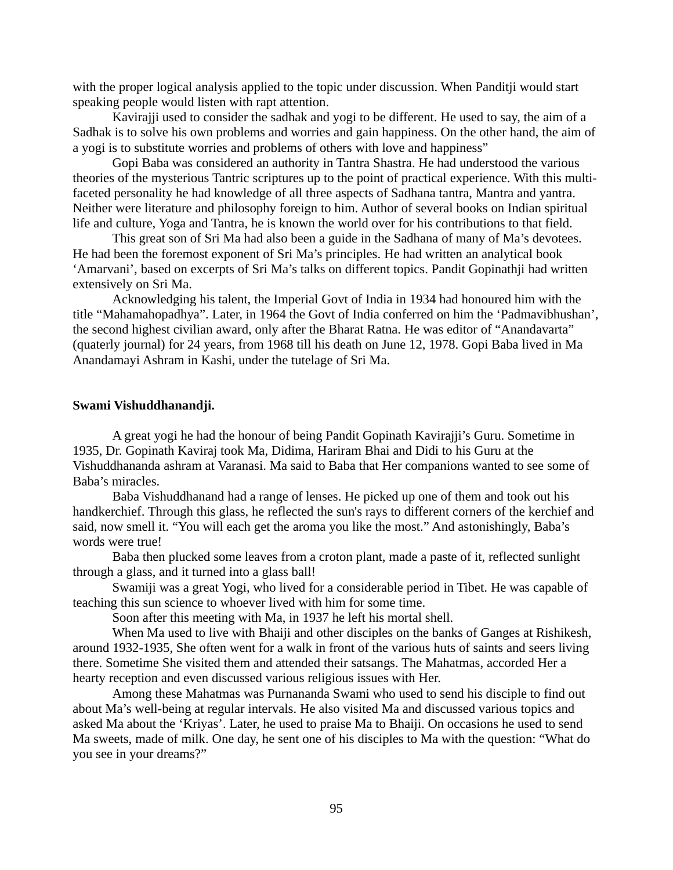with the proper logical analysis applied to the topic under discussion. When Panditji would start speaking people would listen with rapt attention.

Kavirajji used to consider the sadhak and yogi to be different. He used to say, the aim of a Sadhak is to solve his own problems and worries and gain happiness. On the other hand, the aim of a yogi is to substitute worries and problems of others with love and happiness"

Gopi Baba was considered an authority in Tantra Shastra. He had understood the various theories of the mysterious Tantric scriptures up to the point of practical experience. With this multifaceted personality he had knowledge of all three aspects of Sadhana tantra, Mantra and yantra. Neither were literature and philosophy foreign to him. Author of several books on Indian spiritual life and culture, Yoga and Tantra, he is known the world over for his contributions to that field.

This great son of Sri Ma had also been a guide in the Sadhana of many of Ma's devotees. He had been the foremost exponent of Sri Ma's principles. He had written an analytical book 'Amarvani', based on excerpts of Sri Ma's talks on different topics. Pandit Gopinathji had written extensively on Sri Ma.

Acknowledging his talent, the Imperial Govt of India in 1934 had honoured him with the title "Mahamahopadhya". Later, in 1964 the Govt of India conferred on him the 'Padmavibhushan', the second highest civilian award, only after the Bharat Ratna. He was editor of "Anandavarta" (quaterly journal) for 24 years, from 1968 till his death on June 12, 1978. Gopi Baba lived in Ma Anandamayi Ashram in Kashi, under the tutelage of Sri Ma.

### **Swami Vishuddhanandji.**

A great yogi he had the honour of being Pandit Gopinath Kavirajji's Guru. Sometime in 1935, Dr. Gopinath Kaviraj took Ma, Didima, Hariram Bhai and Didi to his Guru at the Vishuddhananda ashram at Varanasi. Ma said to Baba that Her companions wanted to see some of Baba's miracles.

Baba Vishuddhanand had a range of lenses. He picked up one of them and took out his handkerchief. Through this glass, he reflected the sun's rays to different corners of the kerchief and said, now smell it. "You will each get the aroma you like the most." And astonishingly, Baba's words were true!

Baba then plucked some leaves from a croton plant, made a paste of it, reflected sunlight through a glass, and it turned into a glass ball!

Swamiji was a great Yogi, who lived for a considerable period in Tibet. He was capable of teaching this sun science to whoever lived with him for some time.

Soon after this meeting with Ma, in 1937 he left his mortal shell.

When Ma used to live with Bhaiji and other disciples on the banks of Ganges at Rishikesh, around 1932-1935, She often went for a walk in front of the various huts of saints and seers living there. Sometime She visited them and attended their satsangs. The Mahatmas, accorded Her a hearty reception and even discussed various religious issues with Her.

Among these Mahatmas was Purnananda Swami who used to send his disciple to find out about Ma's well-being at regular intervals. He also visited Ma and discussed various topics and asked Ma about the 'Kriyas'. Later, he used to praise Ma to Bhaiji. On occasions he used to send Ma sweets, made of milk. One day, he sent one of his disciples to Ma with the question: "What do you see in your dreams?"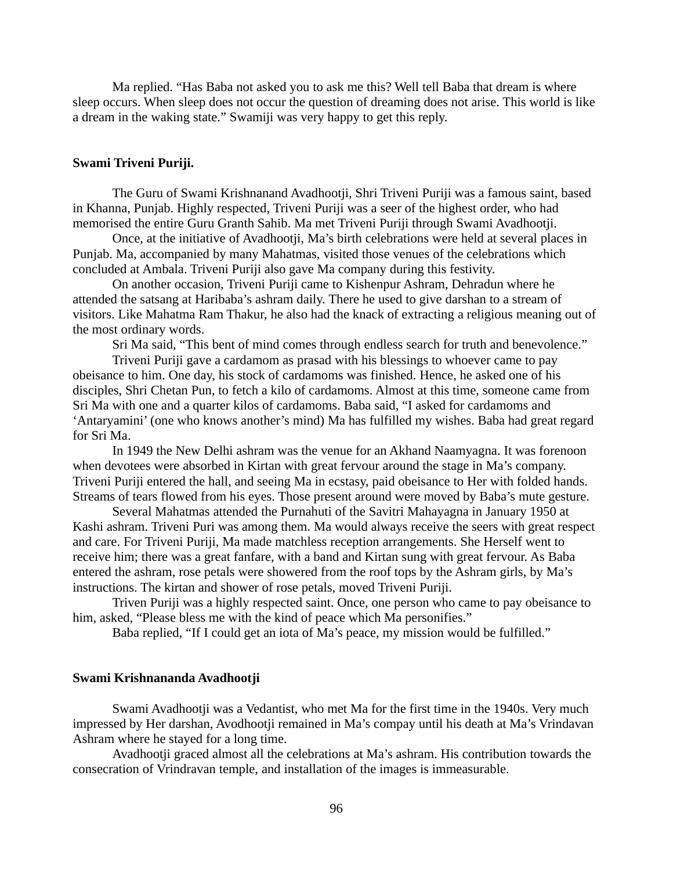Ma replied. "Has Baba not asked you to ask me this? Well tell Baba that dream is where sleep occurs. When sleep does not occur the question of dreaming does not arise. This world is like a dream in the waking state." Swamiji was very happy to get this reply.

## **Swami Triveni Puriji.**

The Guru of Swami Krishnanand Avadhootji, Shri Triveni Puriji was a famous saint, based in Khanna, Punjab. Highly respected, Triveni Puriji was a seer of the highest order, who had memorised the entire Guru Granth Sahib. Ma met Triveni Puriji through Swami Avadhootji.

Once, at the initiative of Avadhootji, Ma's birth celebrations were held at several places in Punjab. Ma, accompanied by many Mahatmas, visited those venues of the celebrations which concluded at Ambala. Triveni Puriji also gave Ma company during this festivity.

On another occasion, Triveni Puriji came to Kishenpur Ashram, Dehradun where he attended the satsang at Haribaba's ashram daily. There he used to give darshan to a stream of visitors. Like Mahatma Ram Thakur, he also had the knack of extracting a religious meaning out of the most ordinary words.

Sri Ma said, "This bent of mind comes through endless search for truth and benevolence."

Triveni Puriji gave a cardamom as prasad with his blessings to whoever came to pay obeisance to him. One day, his stock of cardamoms was finished. Hence, he asked one of his disciples, Shri Chetan Pun, to fetch a kilo of cardamoms. Almost at this time, someone came from Sri Ma with one and a quarter kilos of cardamoms. Baba said, "I asked for cardamoms and 'Antaryamini' (one who knows another's mind) Ma has fulfilled my wishes. Baba had great regard for Sri Ma.

In 1949 the New Delhi ashram was the venue for an Akhand Naamyagna. It was forenoon when devotees were absorbed in Kirtan with great fervour around the stage in Ma's company. Triveni Puriji entered the hall, and seeing Ma in ecstasy, paid obeisance to Her with folded hands. Streams of tears flowed from his eyes. Those present around were moved by Baba's mute gesture.

Several Mahatmas attended the Purnahuti of the Savitri Mahayagna in January 1950 at Kashi ashram. Triveni Puri was among them. Ma would always receive the seers with great respect and care. For Triveni Puriji, Ma made matchless reception arrangements. She Herself went to receive him; there was a great fanfare, with a band and Kirtan sung with great fervour. As Baba entered the ashram, rose petals were showered from the roof tops by the Ashram girls, by Ma's instructions. The kirtan and shower of rose petals, moved Triveni Puriji.

Triven Puriji was a highly respected saint. Once, one person who came to pay obeisance to him, asked, "Please bless me with the kind of peace which Ma personifies."

Baba replied, "If I could get an iota of Ma's peace, my mission would be fulfilled."

### **Swami Krishnananda Avadhootji**

Swami Avadhootji was a Vedantist, who met Ma for the first time in the 1940s. Very much impressed by Her darshan, Avodhootji remained in Ma's compay until his death at Ma's Vrindavan Ashram where he stayed for a long time.

Avadhootji graced almost all the celebrations at Ma's ashram. His contribution towards the consecration of Vrindravan temple, and installation of the images is immeasurable.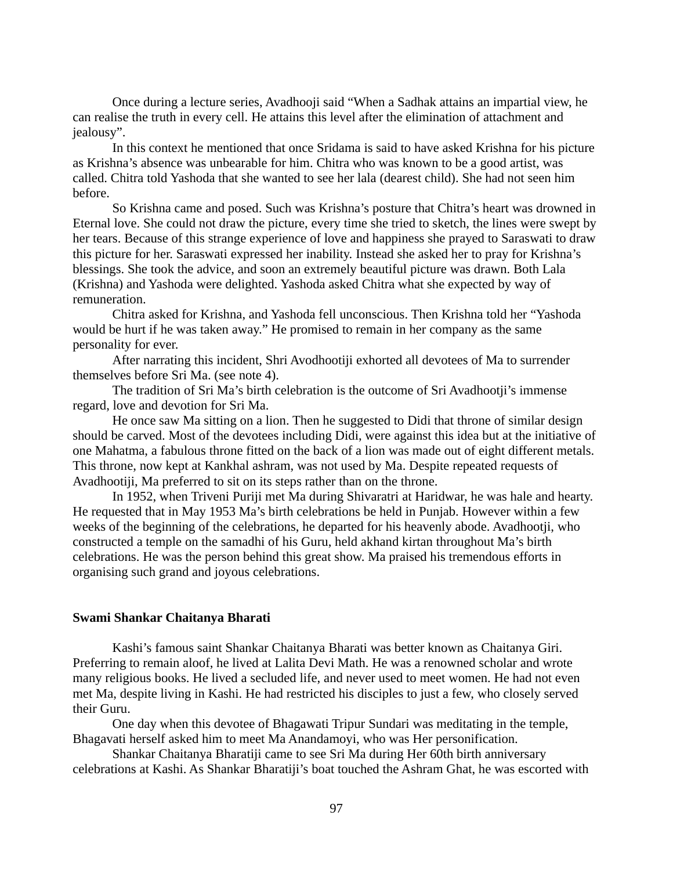Once during a lecture series, Avadhooji said "When a Sadhak attains an impartial view, he can realise the truth in every cell. He attains this level after the elimination of attachment and jealousy".

In this context he mentioned that once Sridama is said to have asked Krishna for his picture as Krishna's absence was unbearable for him. Chitra who was known to be a good artist, was called. Chitra told Yashoda that she wanted to see her lala (dearest child). She had not seen him before.

So Krishna came and posed. Such was Krishna's posture that Chitra's heart was drowned in Eternal love. She could not draw the picture, every time she tried to sketch, the lines were swept by her tears. Because of this strange experience of love and happiness she prayed to Saraswati to draw this picture for her. Saraswati expressed her inability. Instead she asked her to pray for Krishna's blessings. She took the advice, and soon an extremely beautiful picture was drawn. Both Lala (Krishna) and Yashoda were delighted. Yashoda asked Chitra what she expected by way of remuneration.

Chitra asked for Krishna, and Yashoda fell unconscious. Then Krishna told her "Yashoda would be hurt if he was taken away." He promised to remain in her company as the same personality for ever.

After narrating this incident, Shri Avodhootiji exhorted all devotees of Ma to surrender themselves before Sri Ma. (see note 4).

The tradition of Sri Ma's birth celebration is the outcome of Sri Avadhootji's immense regard, love and devotion for Sri Ma.

He once saw Ma sitting on a lion. Then he suggested to Didi that throne of similar design should be carved. Most of the devotees including Didi, were against this idea but at the initiative of one Mahatma, a fabulous throne fitted on the back of a lion was made out of eight different metals. This throne, now kept at Kankhal ashram, was not used by Ma. Despite repeated requests of Avadhootiji, Ma preferred to sit on its steps rather than on the throne.

In 1952, when Triveni Puriji met Ma during Shivaratri at Haridwar, he was hale and hearty. He requested that in May 1953 Ma's birth celebrations be held in Punjab. However within a few weeks of the beginning of the celebrations, he departed for his heavenly abode. Avadhootji, who constructed a temple on the samadhi of his Guru, held akhand kirtan throughout Ma's birth celebrations. He was the person behind this great show. Ma praised his tremendous efforts in organising such grand and joyous celebrations.

#### **Swami Shankar Chaitanya Bharati**

Kashi's famous saint Shankar Chaitanya Bharati was better known as Chaitanya Giri. Preferring to remain aloof, he lived at Lalita Devi Math. He was a renowned scholar and wrote many religious books. He lived a secluded life, and never used to meet women. He had not even met Ma, despite living in Kashi. He had restricted his disciples to just a few, who closely served their Guru.

One day when this devotee of Bhagawati Tripur Sundari was meditating in the temple, Bhagavati herself asked him to meet Ma Anandamoyi, who was Her personification.

Shankar Chaitanya Bharatiji came to see Sri Ma during Her 60th birth anniversary celebrations at Kashi. As Shankar Bharatiji's boat touched the Ashram Ghat, he was escorted with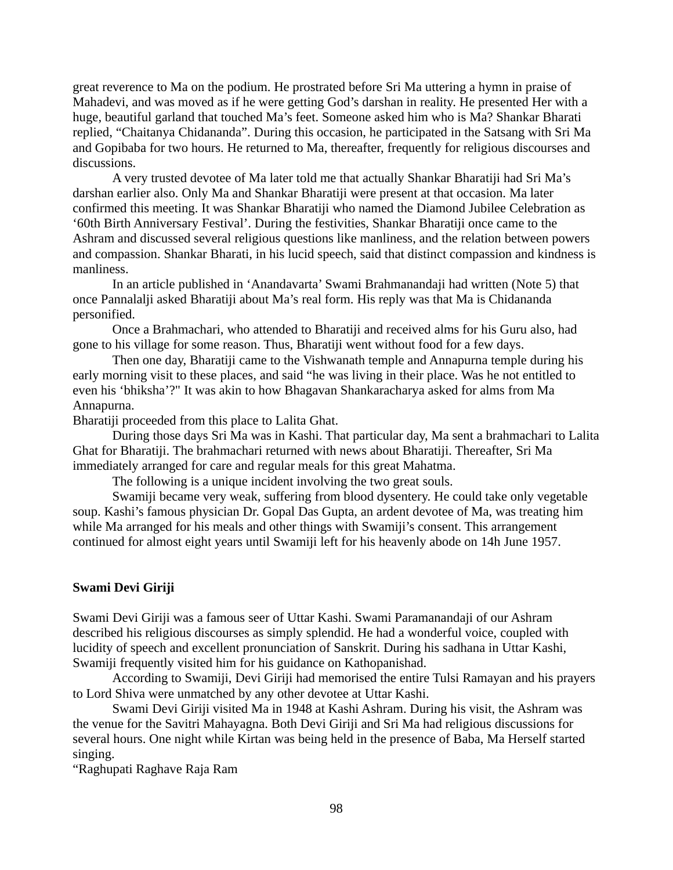great reverence to Ma on the podium. He prostrated before Sri Ma uttering a hymn in praise of Mahadevi, and was moved as if he were getting God's darshan in reality. He presented Her with a huge, beautiful garland that touched Ma's feet. Someone asked him who is Ma? Shankar Bharati replied, "Chaitanya Chidananda". During this occasion, he participated in the Satsang with Sri Ma and Gopibaba for two hours. He returned to Ma, thereafter, frequently for religious discourses and discussions.

A very trusted devotee of Ma later told me that actually Shankar Bharatiji had Sri Ma's darshan earlier also. Only Ma and Shankar Bharatiji were present at that occasion. Ma later confirmed this meeting. It was Shankar Bharatiji who named the Diamond Jubilee Celebration as '60th Birth Anniversary Festival'. During the festivities, Shankar Bharatiji once came to the Ashram and discussed several religious questions like manliness, and the relation between powers and compassion. Shankar Bharati, in his lucid speech, said that distinct compassion and kindness is manliness.

In an article published in 'Anandavarta' Swami Brahmanandaji had written (Note 5) that once Pannalalji asked Bharatiji about Ma's real form. His reply was that Ma is Chidananda personified.

Once a Brahmachari, who attended to Bharatiji and received alms for his Guru also, had gone to his village for some reason. Thus, Bharatiji went without food for a few days.

Then one day, Bharatiji came to the Vishwanath temple and Annapurna temple during his early morning visit to these places, and said "he was living in their place. Was he not entitled to even his 'bhiksha'?" It was akin to how Bhagavan Shankaracharya asked for alms from Ma Annapurna.

Bharatiji proceeded from this place to Lalita Ghat.

During those days Sri Ma was in Kashi. That particular day, Ma sent a brahmachari to Lalita Ghat for Bharatiji. The brahmachari returned with news about Bharatiji. Thereafter, Sri Ma immediately arranged for care and regular meals for this great Mahatma.

The following is a unique incident involving the two great souls.

Swamiji became very weak, suffering from blood dysentery. He could take only vegetable soup. Kashi's famous physician Dr. Gopal Das Gupta, an ardent devotee of Ma, was treating him while Ma arranged for his meals and other things with Swamiji's consent. This arrangement continued for almost eight years until Swamiji left for his heavenly abode on 14h June 1957.

## **Swami Devi Giriji**

Swami Devi Giriji was a famous seer of Uttar Kashi. Swami Paramanandaji of our Ashram described his religious discourses as simply splendid. He had a wonderful voice, coupled with lucidity of speech and excellent pronunciation of Sanskrit. During his sadhana in Uttar Kashi, Swamiji frequently visited him for his guidance on Kathopanishad.

According to Swamiji, Devi Giriji had memorised the entire Tulsi Ramayan and his prayers to Lord Shiva were unmatched by any other devotee at Uttar Kashi.

Swami Devi Giriji visited Ma in 1948 at Kashi Ashram. During his visit, the Ashram was the venue for the Savitri Mahayagna. Both Devi Giriji and Sri Ma had religious discussions for several hours. One night while Kirtan was being held in the presence of Baba, Ma Herself started singing.

"Raghupati Raghave Raja Ram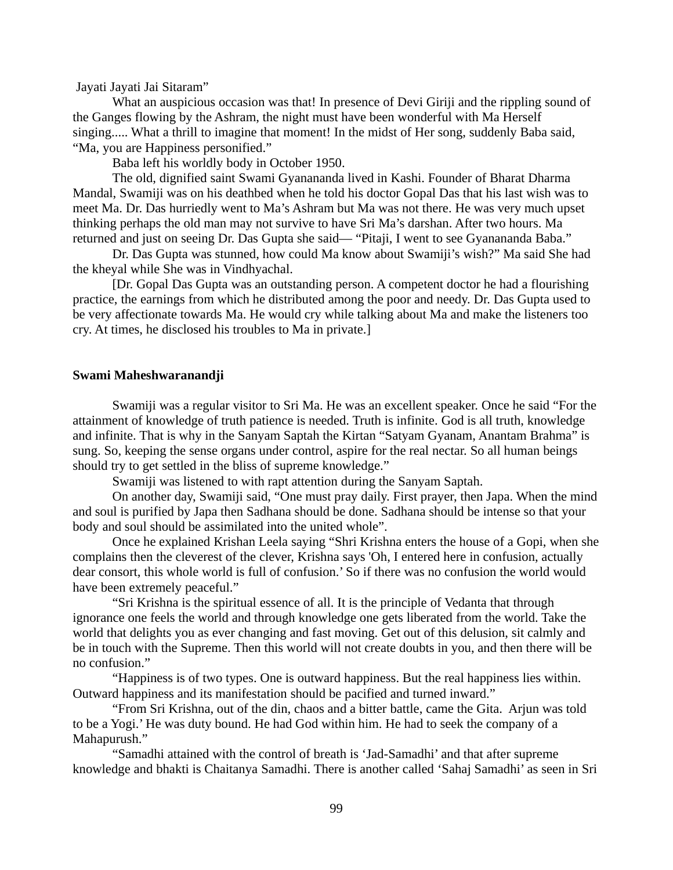Jayati Jayati Jai Sitaram"

What an auspicious occasion was that! In presence of Devi Giriji and the rippling sound of the Ganges flowing by the Ashram, the night must have been wonderful with Ma Herself singing..... What a thrill to imagine that moment! In the midst of Her song, suddenly Baba said, "Ma, you are Happiness personified."

Baba left his worldly body in October 1950.

The old, dignified saint Swami Gyanananda lived in Kashi. Founder of Bharat Dharma Mandal, Swamiji was on his deathbed when he told his doctor Gopal Das that his last wish was to meet Ma. Dr. Das hurriedly went to Ma's Ashram but Ma was not there. He was very much upset thinking perhaps the old man may not survive to have Sri Ma's darshan. After two hours. Ma returned and just on seeing Dr. Das Gupta she said— "Pitaji, I went to see Gyanananda Baba."

Dr. Das Gupta was stunned, how could Ma know about Swamiji's wish?" Ma said She had the kheyal while She was in Vindhyachal.

[Dr. Gopal Das Gupta was an outstanding person. A competent doctor he had a flourishing practice, the earnings from which he distributed among the poor and needy. Dr. Das Gupta used to be very affectionate towards Ma. He would cry while talking about Ma and make the listeners too cry. At times, he disclosed his troubles to Ma in private.]

#### **Swami Maheshwaranandji**

Swamiji was a regular visitor to Sri Ma. He was an excellent speaker. Once he said "For the attainment of knowledge of truth patience is needed. Truth is infinite. God is all truth, knowledge and infinite. That is why in the Sanyam Saptah the Kirtan "Satyam Gyanam, Anantam Brahma" is sung. So, keeping the sense organs under control, aspire for the real nectar. So all human beings should try to get settled in the bliss of supreme knowledge."

Swamiji was listened to with rapt attention during the Sanyam Saptah.

On another day, Swamiji said, "One must pray daily. First prayer, then Japa. When the mind and soul is purified by Japa then Sadhana should be done. Sadhana should be intense so that your body and soul should be assimilated into the united whole".

Once he explained Krishan Leela saying "Shri Krishna enters the house of a Gopi, when she complains then the cleverest of the clever, Krishna says 'Oh, I entered here in confusion, actually dear consort, this whole world is full of confusion.' So if there was no confusion the world would have been extremely peaceful."

"Sri Krishna is the spiritual essence of all. It is the principle of Vedanta that through ignorance one feels the world and through knowledge one gets liberated from the world. Take the world that delights you as ever changing and fast moving. Get out of this delusion, sit calmly and be in touch with the Supreme. Then this world will not create doubts in you, and then there will be no confusion."

"Happiness is of two types. One is outward happiness. But the real happiness lies within. Outward happiness and its manifestation should be pacified and turned inward."

"From Sri Krishna, out of the din, chaos and a bitter battle, came the Gita. Arjun was told to be a Yogi.' He was duty bound. He had God within him. He had to seek the company of a Mahapurush."

"Samadhi attained with the control of breath is 'Jad-Samadhi' and that after supreme knowledge and bhakti is Chaitanya Samadhi. There is another called 'Sahaj Samadhi' as seen in Sri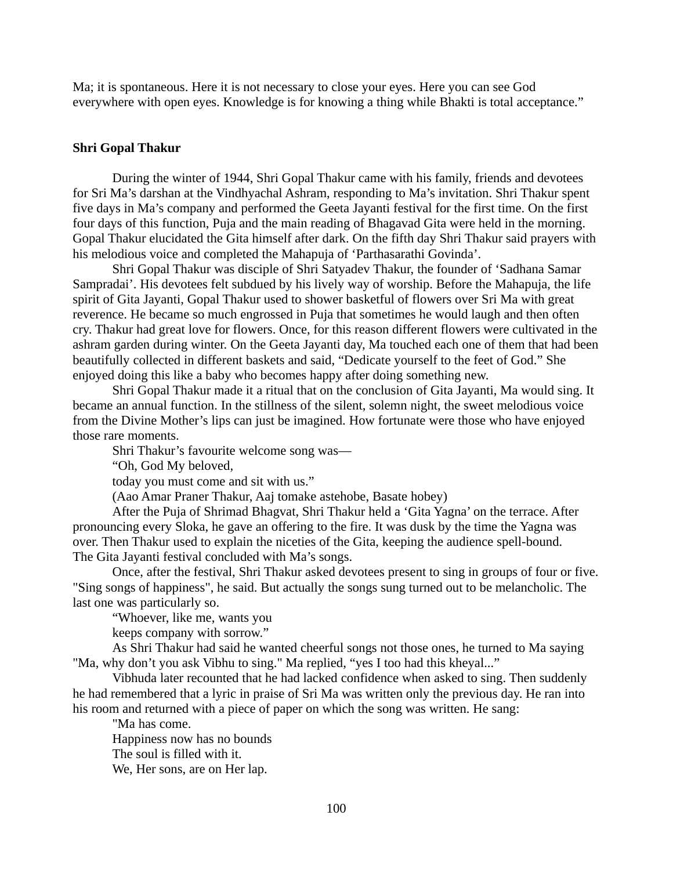Ma; it is spontaneous. Here it is not necessary to close your eyes. Here you can see God everywhere with open eyes. Knowledge is for knowing a thing while Bhakti is total acceptance."

#### **Shri Gopal Thakur**

During the winter of 1944, Shri Gopal Thakur came with his family, friends and devotees for Sri Ma's darshan at the Vindhyachal Ashram, responding to Ma's invitation. Shri Thakur spent five days in Ma's company and performed the Geeta Jayanti festival for the first time. On the first four days of this function, Puja and the main reading of Bhagavad Gita were held in the morning. Gopal Thakur elucidated the Gita himself after dark. On the fifth day Shri Thakur said prayers with his melodious voice and completed the Mahapuja of 'Parthasarathi Govinda'.

Shri Gopal Thakur was disciple of Shri Satyadev Thakur, the founder of 'Sadhana Samar Sampradai'. His devotees felt subdued by his lively way of worship. Before the Mahapuja, the life spirit of Gita Jayanti, Gopal Thakur used to shower basketful of flowers over Sri Ma with great reverence. He became so much engrossed in Puja that sometimes he would laugh and then often cry. Thakur had great love for flowers. Once, for this reason different flowers were cultivated in the ashram garden during winter. On the Geeta Jayanti day, Ma touched each one of them that had been beautifully collected in different baskets and said, "Dedicate yourself to the feet of God." She enjoyed doing this like a baby who becomes happy after doing something new.

Shri Gopal Thakur made it a ritual that on the conclusion of Gita Jayanti, Ma would sing. It became an annual function. In the stillness of the silent, solemn night, the sweet melodious voice from the Divine Mother's lips can just be imagined. How fortunate were those who have enjoyed those rare moments.

Shri Thakur's favourite welcome song was—

"Oh, God My beloved,

today you must come and sit with us."

(Aao Amar Praner Thakur, Aaj tomake astehobe, Basate hobey)

After the Puja of Shrimad Bhagvat, Shri Thakur held a 'Gita Yagna' on the terrace. After pronouncing every Sloka, he gave an offering to the fire. It was dusk by the time the Yagna was over. Then Thakur used to explain the niceties of the Gita, keeping the audience spell-bound. The Gita Jayanti festival concluded with Ma's songs.

Once, after the festival, Shri Thakur asked devotees present to sing in groups of four or five. "Sing songs of happiness", he said. But actually the songs sung turned out to be melancholic. The last one was particularly so.

"Whoever, like me, wants you

keeps company with sorrow."

As Shri Thakur had said he wanted cheerful songs not those ones, he turned to Ma saying "Ma, why don't you ask Vibhu to sing." Ma replied, "yes I too had this kheyal..."

Vibhuda later recounted that he had lacked confidence when asked to sing. Then suddenly he had remembered that a lyric in praise of Sri Ma was written only the previous day. He ran into his room and returned with a piece of paper on which the song was written. He sang:

"Ma has come. Happiness now has no bounds The soul is filled with it. We, Her sons, are on Her lap.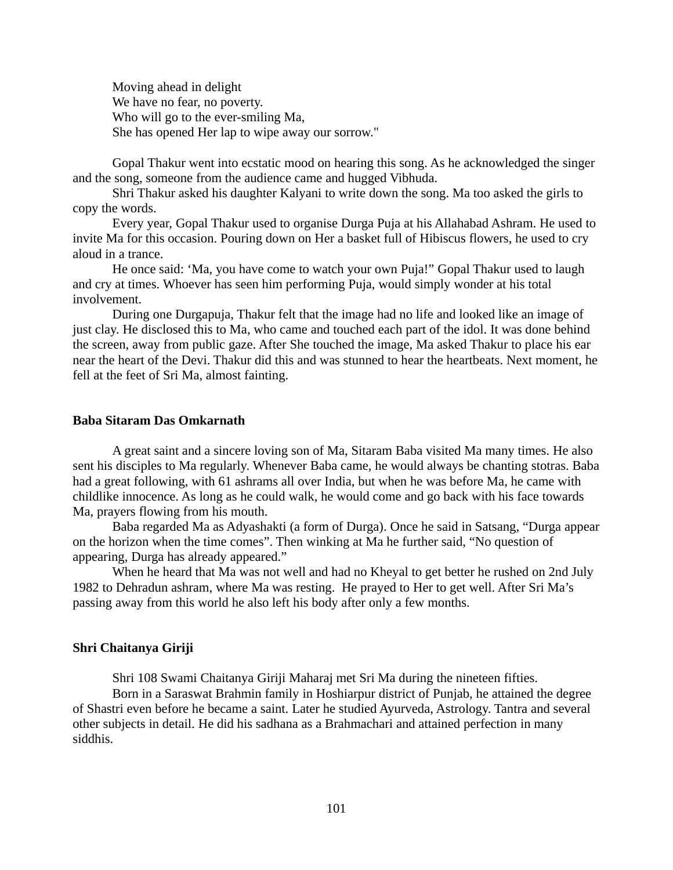Moving ahead in delight We have no fear, no poverty. Who will go to the ever-smiling Ma, She has opened Her lap to wipe away our sorrow."

Gopal Thakur went into ecstatic mood on hearing this song. As he acknowledged the singer and the song, someone from the audience came and hugged Vibhuda.

Shri Thakur asked his daughter Kalyani to write down the song. Ma too asked the girls to copy the words.

Every year, Gopal Thakur used to organise Durga Puja at his Allahabad Ashram. He used to invite Ma for this occasion. Pouring down on Her a basket full of Hibiscus flowers, he used to cry aloud in a trance.

He once said: 'Ma, you have come to watch your own Puja!" Gopal Thakur used to laugh and cry at times. Whoever has seen him performing Puja, would simply wonder at his total involvement.

During one Durgapuja, Thakur felt that the image had no life and looked like an image of just clay. He disclosed this to Ma, who came and touched each part of the idol. It was done behind the screen, away from public gaze. After She touched the image, Ma asked Thakur to place his ear near the heart of the Devi. Thakur did this and was stunned to hear the heartbeats. Next moment, he fell at the feet of Sri Ma, almost fainting.

### **Baba Sitaram Das Omkarnath**

A great saint and a sincere loving son of Ma, Sitaram Baba visited Ma many times. He also sent his disciples to Ma regularly. Whenever Baba came, he would always be chanting stotras. Baba had a great following, with 61 ashrams all over India, but when he was before Ma, he came with childlike innocence. As long as he could walk, he would come and go back with his face towards Ma, prayers flowing from his mouth.

Baba regarded Ma as Adyashakti (a form of Durga). Once he said in Satsang, "Durga appear on the horizon when the time comes". Then winking at Ma he further said, "No question of appearing, Durga has already appeared."

When he heard that Ma was not well and had no Kheyal to get better he rushed on 2nd July 1982 to Dehradun ashram, where Ma was resting. He prayed to Her to get well. After Sri Ma's passing away from this world he also left his body after only a few months.

### **Shri Chaitanya Giriji**

Shri 108 Swami Chaitanya Giriji Maharaj met Sri Ma during the nineteen fifties.

Born in a Saraswat Brahmin family in Hoshiarpur district of Punjab, he attained the degree of Shastri even before he became a saint. Later he studied Ayurveda, Astrology. Tantra and several other subjects in detail. He did his sadhana as a Brahmachari and attained perfection in many siddhis.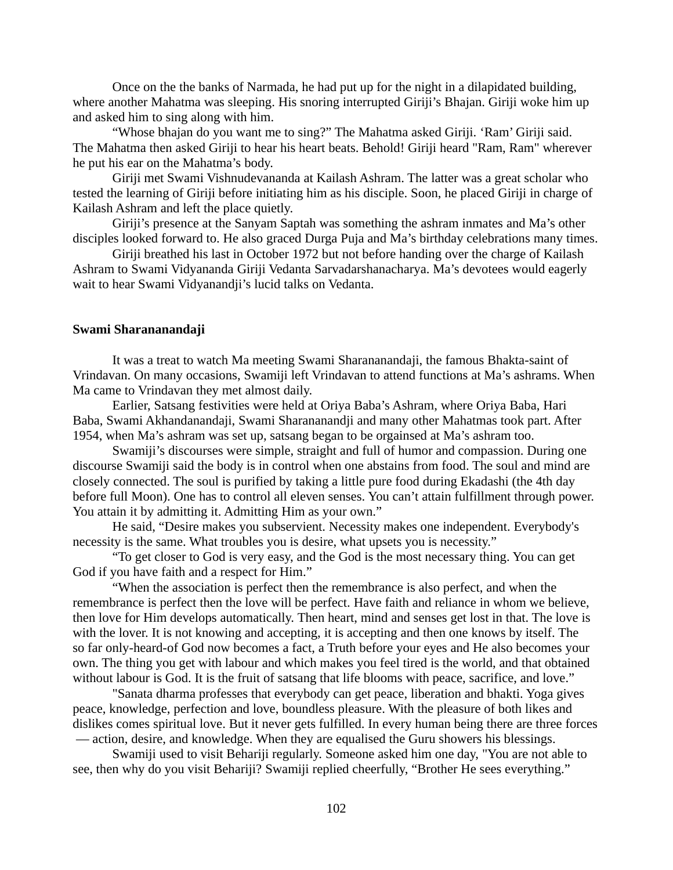Once on the the banks of Narmada, he had put up for the night in a dilapidated building, where another Mahatma was sleeping. His snoring interrupted Giriji's Bhajan. Giriji woke him up and asked him to sing along with him.

"Whose bhajan do you want me to sing?" The Mahatma asked Giriji. 'Ram' Giriji said. The Mahatma then asked Giriji to hear his heart beats. Behold! Giriji heard "Ram, Ram" wherever he put his ear on the Mahatma's body.

Giriji met Swami Vishnudevananda at Kailash Ashram. The latter was a great scholar who tested the learning of Giriji before initiating him as his disciple. Soon, he placed Giriji in charge of Kailash Ashram and left the place quietly.

Giriji's presence at the Sanyam Saptah was something the ashram inmates and Ma's other disciples looked forward to. He also graced Durga Puja and Ma's birthday celebrations many times.

Giriji breathed his last in October 1972 but not before handing over the charge of Kailash Ashram to Swami Vidyananda Giriji Vedanta Sarvadarshanacharya. Ma's devotees would eagerly wait to hear Swami Vidyanandji's lucid talks on Vedanta.

### **Swami Sharananandaji**

It was a treat to watch Ma meeting Swami Sharananandaji, the famous Bhakta-saint of Vrindavan. On many occasions, Swamiji left Vrindavan to attend functions at Ma's ashrams. When Ma came to Vrindavan they met almost daily.

Earlier, Satsang festivities were held at Oriya Baba's Ashram, where Oriya Baba, Hari Baba, Swami Akhandanandaji, Swami Sharananandji and many other Mahatmas took part. After 1954, when Ma's ashram was set up, satsang began to be orgainsed at Ma's ashram too.

Swamiji's discourses were simple, straight and full of humor and compassion. During one discourse Swamiji said the body is in control when one abstains from food. The soul and mind are closely connected. The soul is purified by taking a little pure food during Ekadashi (the 4th day before full Moon). One has to control all eleven senses. You can't attain fulfillment through power. You attain it by admitting it. Admitting Him as your own."

He said, "Desire makes you subservient. Necessity makes one independent. Everybody's necessity is the same. What troubles you is desire, what upsets you is necessity."

"To get closer to God is very easy, and the God is the most necessary thing. You can get God if you have faith and a respect for Him."

"When the association is perfect then the remembrance is also perfect, and when the remembrance is perfect then the love will be perfect. Have faith and reliance in whom we believe, then love for Him develops automatically. Then heart, mind and senses get lost in that. The love is with the lover. It is not knowing and accepting, it is accepting and then one knows by itself. The so far only-heard-of God now becomes a fact, a Truth before your eyes and He also becomes your own. The thing you get with labour and which makes you feel tired is the world, and that obtained without labour is God. It is the fruit of satsang that life blooms with peace, sacrifice, and love."

"Sanata dharma professes that everybody can get peace, liberation and bhakti. Yoga gives peace, knowledge, perfection and love, boundless pleasure. With the pleasure of both likes and dislikes comes spiritual love. But it never gets fulfilled. In every human being there are three forces — action, desire, and knowledge. When they are equalised the Guru showers his blessings.

Swamiji used to visit Behariji regularly. Someone asked him one day, "You are not able to see, then why do you visit Behariji? Swamiji replied cheerfully, "Brother He sees everything."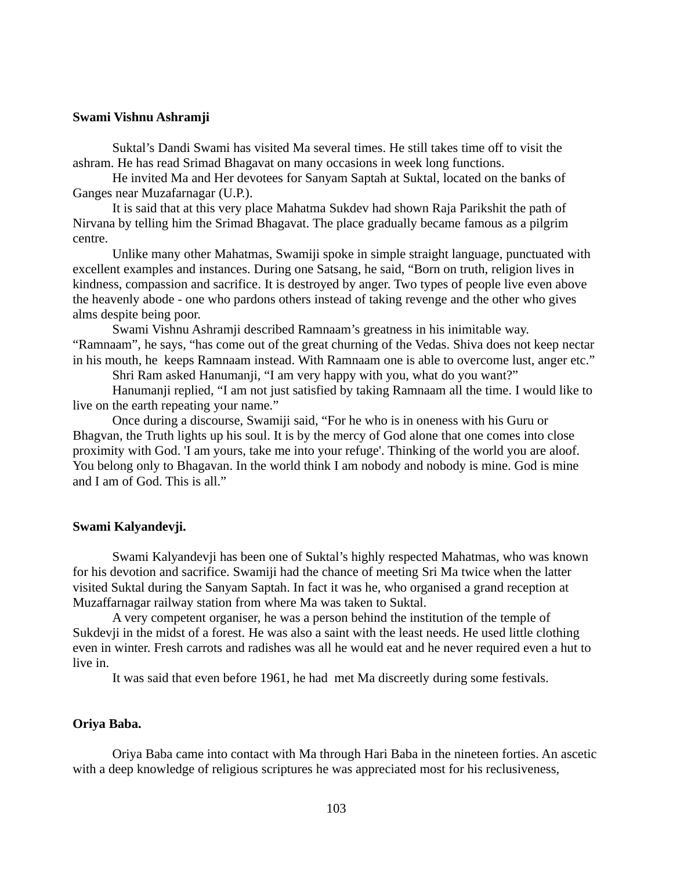## **Swami Vishnu Ashramji**

Suktal's Dandi Swami has visited Ma several times. He still takes time off to visit the ashram. He has read Srimad Bhagavat on many occasions in week long functions.

He invited Ma and Her devotees for Sanyam Saptah at Suktal, located on the banks of Ganges near Muzafarnagar (U.P.).

It is said that at this very place Mahatma Sukdev had shown Raja Parikshit the path of Nirvana by telling him the Srimad Bhagavat. The place gradually became famous as a pilgrim centre.

Unlike many other Mahatmas, Swamiji spoke in simple straight language, punctuated with excellent examples and instances. During one Satsang, he said, "Born on truth, religion lives in kindness, compassion and sacrifice. It is destroyed by anger. Two types of people live even above the heavenly abode - one who pardons others instead of taking revenge and the other who gives alms despite being poor.

Swami Vishnu Ashramji described Ramnaam's greatness in his inimitable way. "Ramnaam", he says, "has come out of the great churning of the Vedas. Shiva does not keep nectar in his mouth, he keeps Ramnaam instead. With Ramnaam one is able to overcome lust, anger etc."

Shri Ram asked Hanumanji, "I am very happy with you, what do you want?"

Hanumanji replied, "I am not just satisfied by taking Ramnaam all the time. I would like to live on the earth repeating your name."

Once during a discourse, Swamiji said, "For he who is in oneness with his Guru or Bhagvan, the Truth lights up his soul. It is by the mercy of God alone that one comes into close proximity with God. 'I am yours, take me into your refuge'. Thinking of the world you are aloof. You belong only to Bhagavan. In the world think I am nobody and nobody is mine. God is mine and I am of God. This is all."

### **Swami Kalyandevji.**

Swami Kalyandevji has been one of Suktal's highly respected Mahatmas, who was known for his devotion and sacrifice. Swamiji had the chance of meeting Sri Ma twice when the latter visited Suktal during the Sanyam Saptah. In fact it was he, who organised a grand reception at Muzaffarnagar railway station from where Ma was taken to Suktal.

A very competent organiser, he was a person behind the institution of the temple of Sukdevji in the midst of a forest. He was also a saint with the least needs. He used little clothing even in winter. Fresh carrots and radishes was all he would eat and he never required even a hut to live in.

It was said that even before 1961, he had met Ma discreetly during some festivals.

### **Oriya Baba.**

Oriya Baba came into contact with Ma through Hari Baba in the nineteen forties. An ascetic with a deep knowledge of religious scriptures he was appreciated most for his reclusiveness,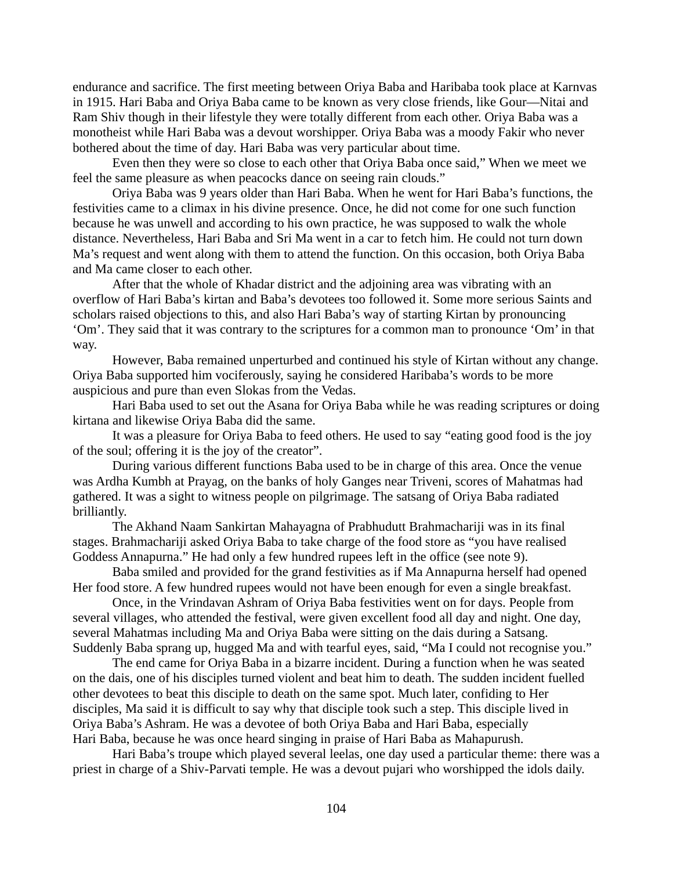endurance and sacrifice. The first meeting between Oriya Baba and Haribaba took place at Karnvas in 1915. Hari Baba and Oriya Baba came to be known as very close friends, like Gour—Nitai and Ram Shiv though in their lifestyle they were totally different from each other. Oriya Baba was a monotheist while Hari Baba was a devout worshipper. Oriya Baba was a moody Fakir who never bothered about the time of day. Hari Baba was very particular about time.

Even then they were so close to each other that Oriya Baba once said," When we meet we feel the same pleasure as when peacocks dance on seeing rain clouds."

Oriya Baba was 9 years older than Hari Baba. When he went for Hari Baba's functions, the festivities came to a climax in his divine presence. Once, he did not come for one such function because he was unwell and according to his own practice, he was supposed to walk the whole distance. Nevertheless, Hari Baba and Sri Ma went in a car to fetch him. He could not turn down Ma's request and went along with them to attend the function. On this occasion, both Oriya Baba and Ma came closer to each other.

After that the whole of Khadar district and the adjoining area was vibrating with an overflow of Hari Baba's kirtan and Baba's devotees too followed it. Some more serious Saints and scholars raised objections to this, and also Hari Baba's way of starting Kirtan by pronouncing 'Om'. They said that it was contrary to the scriptures for a common man to pronounce 'Om' in that way.

However, Baba remained unperturbed and continued his style of Kirtan without any change. Oriya Baba supported him vociferously, saying he considered Haribaba's words to be more auspicious and pure than even Slokas from the Vedas.

Hari Baba used to set out the Asana for Oriya Baba while he was reading scriptures or doing kirtana and likewise Oriya Baba did the same.

It was a pleasure for Oriya Baba to feed others. He used to say "eating good food is the joy of the soul; offering it is the joy of the creator".

During various different functions Baba used to be in charge of this area. Once the venue was Ardha Kumbh at Prayag, on the banks of holy Ganges near Triveni, scores of Mahatmas had gathered. It was a sight to witness people on pilgrimage. The satsang of Oriya Baba radiated brilliantly.

The Akhand Naam Sankirtan Mahayagna of Prabhudutt Brahmachariji was in its final stages. Brahmachariji asked Oriya Baba to take charge of the food store as "you have realised Goddess Annapurna." He had only a few hundred rupees left in the office (see note 9).

Baba smiled and provided for the grand festivities as if Ma Annapurna herself had opened Her food store. A few hundred rupees would not have been enough for even a single breakfast.

Once, in the Vrindavan Ashram of Oriya Baba festivities went on for days. People from several villages, who attended the festival, were given excellent food all day and night. One day, several Mahatmas including Ma and Oriya Baba were sitting on the dais during a Satsang. Suddenly Baba sprang up, hugged Ma and with tearful eyes, said, "Ma I could not recognise you."

The end came for Oriya Baba in a bizarre incident. During a function when he was seated on the dais, one of his disciples turned violent and beat him to death. The sudden incident fuelled other devotees to beat this disciple to death on the same spot. Much later, confiding to Her disciples, Ma said it is difficult to say why that disciple took such a step. This disciple lived in Oriya Baba's Ashram. He was a devotee of both Oriya Baba and Hari Baba, especially Hari Baba, because he was once heard singing in praise of Hari Baba as Mahapurush.

Hari Baba's troupe which played several leelas, one day used a particular theme: there was a priest in charge of a Shiv-Parvati temple. He was a devout pujari who worshipped the idols daily.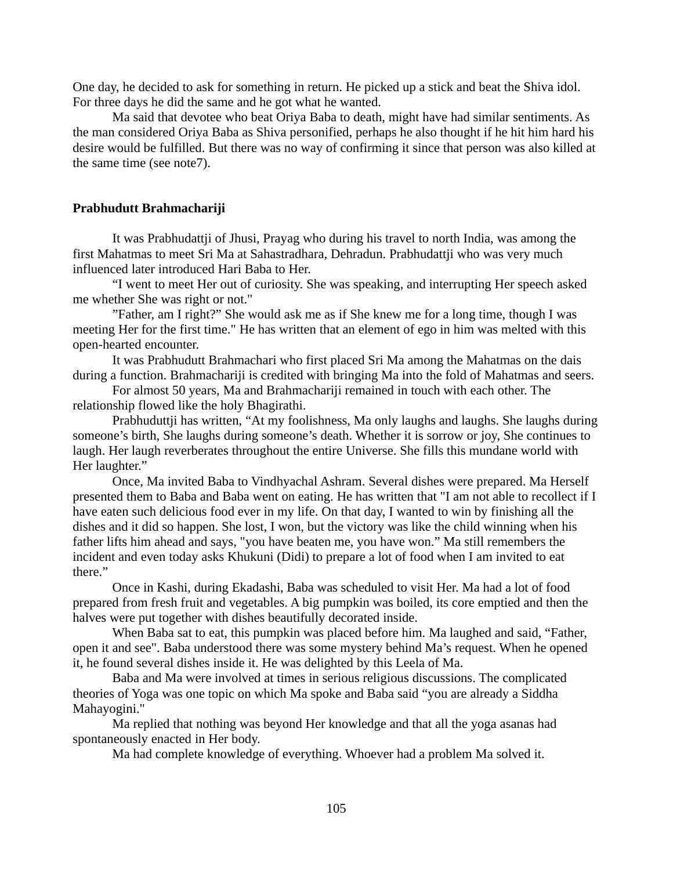One day, he decided to ask for something in return. He picked up a stick and beat the Shiva idol. For three days he did the same and he got what he wanted.

Ma said that devotee who beat Oriya Baba to death, might have had similar sentiments. As the man considered Oriya Baba as Shiva personified, perhaps he also thought if he hit him hard his desire would be fulfilled. But there was no way of confirming it since that person was also killed at the same time (see note7).

## **Prabhudutt Brahmachariji**

It was Prabhudattji of Jhusi, Prayag who during his travel to north India, was among the first Mahatmas to meet Sri Ma at Sahastradhara, Dehradun. Prabhudattji who was very much influenced later introduced Hari Baba to Her.

"I went to meet Her out of curiosity. She was speaking, and interrupting Her speech asked me whether She was right or not."

"Father, am I right?" She would ask me as if She knew me for a long time, though I was meeting Her for the first time." He has written that an element of ego in him was melted with this open-hearted encounter.

It was Prabhudutt Brahmachari who first placed Sri Ma among the Mahatmas on the dais during a function. Brahmachariji is credited with bringing Ma into the fold of Mahatmas and seers.

For almost 50 years, Ma and Brahmachariji remained in touch with each other. The relationship flowed like the holy Bhagirathi.

Prabhuduttji has written, "At my foolishness, Ma only laughs and laughs. She laughs during someone's birth, She laughs during someone's death. Whether it is sorrow or joy, She continues to laugh. Her laugh reverberates throughout the entire Universe. She fills this mundane world with Her laughter."

Once, Ma invited Baba to Vindhyachal Ashram. Several dishes were prepared. Ma Herself presented them to Baba and Baba went on eating. He has written that "I am not able to recollect if I have eaten such delicious food ever in my life. On that day, I wanted to win by finishing all the dishes and it did so happen. She lost, I won, but the victory was like the child winning when his father lifts him ahead and says, "you have beaten me, you have won." Ma still remembers the incident and even today asks Khukuni (Didi) to prepare a lot of food when I am invited to eat there."

Once in Kashi, during Ekadashi, Baba was scheduled to visit Her. Ma had a lot of food prepared from fresh fruit and vegetables. A big pumpkin was boiled, its core emptied and then the halves were put together with dishes beautifully decorated inside.

When Baba sat to eat, this pumpkin was placed before him. Ma laughed and said, "Father, open it and see". Baba understood there was some mystery behind Ma's request. When he opened it, he found several dishes inside it. He was delighted by this Leela of Ma.

Baba and Ma were involved at times in serious religious discussions. The complicated theories of Yoga was one topic on which Ma spoke and Baba said "you are already a Siddha Mahayogini."

Ma replied that nothing was beyond Her knowledge and that all the yoga asanas had spontaneously enacted in Her body.

Ma had complete knowledge of everything. Whoever had a problem Ma solved it.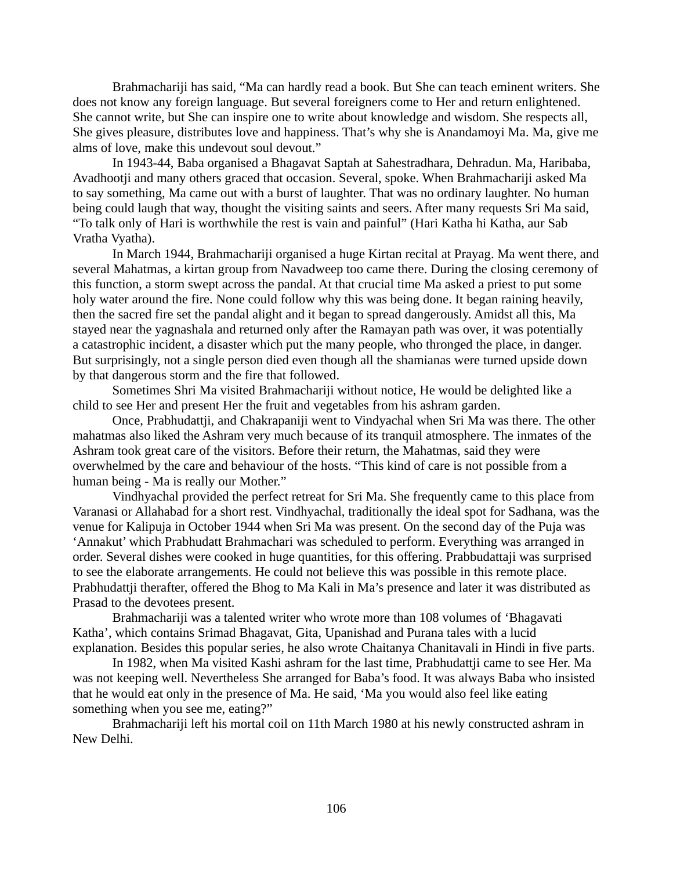Brahmachariji has said, "Ma can hardly read a book. But She can teach eminent writers. She does not know any foreign language. But several foreigners come to Her and return enlightened. She cannot write, but She can inspire one to write about knowledge and wisdom. She respects all, She gives pleasure, distributes love and happiness. That's why she is Anandamoyi Ma. Ma, give me alms of love, make this undevout soul devout."

In 1943-44, Baba organised a Bhagavat Saptah at Sahestradhara, Dehradun. Ma, Haribaba, Avadhootji and many others graced that occasion. Several, spoke. When Brahmachariji asked Ma to say something, Ma came out with a burst of laughter. That was no ordinary laughter. No human being could laugh that way, thought the visiting saints and seers. After many requests Sri Ma said, "To talk only of Hari is worthwhile the rest is vain and painful" (Hari Katha hi Katha, aur Sab Vratha Vyatha).

In March 1944, Brahmachariji organised a huge Kirtan recital at Prayag. Ma went there, and several Mahatmas, a kirtan group from Navadweep too came there. During the closing ceremony of this function, a storm swept across the pandal. At that crucial time Ma asked a priest to put some holy water around the fire. None could follow why this was being done. It began raining heavily, then the sacred fire set the pandal alight and it began to spread dangerously. Amidst all this, Ma stayed near the yagnashala and returned only after the Ramayan path was over, it was potentially a catastrophic incident, a disaster which put the many people, who thronged the place, in danger. But surprisingly, not a single person died even though all the shamianas were turned upside down by that dangerous storm and the fire that followed.

Sometimes Shri Ma visited Brahmachariji without notice, He would be delighted like a child to see Her and present Her the fruit and vegetables from his ashram garden.

Once, Prabhudattji, and Chakrapaniji went to Vindyachal when Sri Ma was there. The other mahatmas also liked the Ashram very much because of its tranquil atmosphere. The inmates of the Ashram took great care of the visitors. Before their return, the Mahatmas, said they were overwhelmed by the care and behaviour of the hosts. "This kind of care is not possible from a human being - Ma is really our Mother."

Vindhyachal provided the perfect retreat for Sri Ma. She frequently came to this place from Varanasi or Allahabad for a short rest. Vindhyachal, traditionally the ideal spot for Sadhana, was the venue for Kalipuja in October 1944 when Sri Ma was present. On the second day of the Puja was 'Annakut' which Prabhudatt Brahmachari was scheduled to perform. Everything was arranged in order. Several dishes were cooked in huge quantities, for this offering. Prabbudattaji was surprised to see the elaborate arrangements. He could not believe this was possible in this remote place. Prabhudattji therafter, offered the Bhog to Ma Kali in Ma's presence and later it was distributed as Prasad to the devotees present.

Brahmachariji was a talented writer who wrote more than 108 volumes of 'Bhagavati Katha', which contains Srimad Bhagavat, Gita, Upanishad and Purana tales with a lucid explanation. Besides this popular series, he also wrote Chaitanya Chanitavali in Hindi in five parts.

In 1982, when Ma visited Kashi ashram for the last time, Prabhudattji came to see Her. Ma was not keeping well. Nevertheless She arranged for Baba's food. It was always Baba who insisted that he would eat only in the presence of Ma. He said, 'Ma you would also feel like eating something when you see me, eating?"

Brahmachariji left his mortal coil on 11th March 1980 at his newly constructed ashram in New Delhi.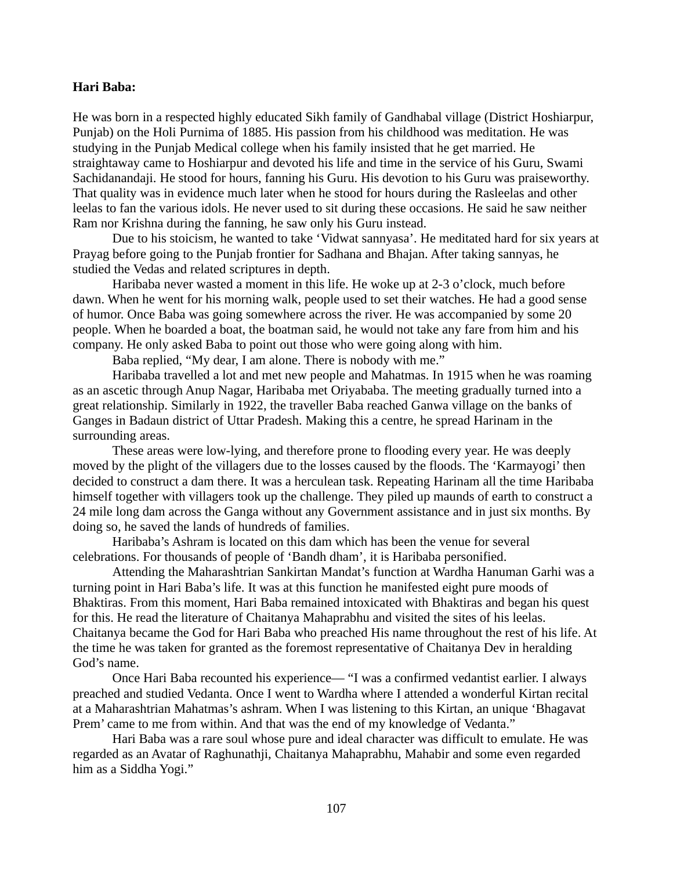# **Hari Baba:**

He was born in a respected highly educated Sikh family of Gandhabal village (District Hoshiarpur, Punjab) on the Holi Purnima of 1885. His passion from his childhood was meditation. He was studying in the Punjab Medical college when his family insisted that he get married. He straightaway came to Hoshiarpur and devoted his life and time in the service of his Guru, Swami Sachidanandaji. He stood for hours, fanning his Guru. His devotion to his Guru was praiseworthy. That quality was in evidence much later when he stood for hours during the Rasleelas and other leelas to fan the various idols. He never used to sit during these occasions. He said he saw neither Ram nor Krishna during the fanning, he saw only his Guru instead.

Due to his stoicism, he wanted to take 'Vidwat sannyasa'. He meditated hard for six years at Prayag before going to the Punjab frontier for Sadhana and Bhajan. After taking sannyas, he studied the Vedas and related scriptures in depth.

Haribaba never wasted a moment in this life. He woke up at 2-3 o'clock, much before dawn. When he went for his morning walk, people used to set their watches. He had a good sense of humor. Once Baba was going somewhere across the river. He was accompanied by some 20 people. When he boarded a boat, the boatman said, he would not take any fare from him and his company. He only asked Baba to point out those who were going along with him.

Baba replied, "My dear, I am alone. There is nobody with me."

Haribaba travelled a lot and met new people and Mahatmas. In 1915 when he was roaming as an ascetic through Anup Nagar, Haribaba met Oriyababa. The meeting gradually turned into a great relationship. Similarly in 1922, the traveller Baba reached Ganwa village on the banks of Ganges in Badaun district of Uttar Pradesh. Making this a centre, he spread Harinam in the surrounding areas.

These areas were low-lying, and therefore prone to flooding every year. He was deeply moved by the plight of the villagers due to the losses caused by the floods. The 'Karmayogi' then decided to construct a dam there. It was a herculean task. Repeating Harinam all the time Haribaba himself together with villagers took up the challenge. They piled up maunds of earth to construct a 24 mile long dam across the Ganga without any Government assistance and in just six months. By doing so, he saved the lands of hundreds of families.

Haribaba's Ashram is located on this dam which has been the venue for several celebrations. For thousands of people of 'Bandh dham', it is Haribaba personified.

Attending the Maharashtrian Sankirtan Mandat's function at Wardha Hanuman Garhi was a turning point in Hari Baba's life. It was at this function he manifested eight pure moods of Bhaktiras. From this moment, Hari Baba remained intoxicated with Bhaktiras and began his quest for this. He read the literature of Chaitanya Mahaprabhu and visited the sites of his leelas. Chaitanya became the God for Hari Baba who preached His name throughout the rest of his life. At the time he was taken for granted as the foremost representative of Chaitanya Dev in heralding God's name.

Once Hari Baba recounted his experience— "I was a confirmed vedantist earlier. I always preached and studied Vedanta. Once I went to Wardha where I attended a wonderful Kirtan recital at a Maharashtrian Mahatmas's ashram. When I was listening to this Kirtan, an unique 'Bhagavat Prem' came to me from within. And that was the end of my knowledge of Vedanta."

Hari Baba was a rare soul whose pure and ideal character was difficult to emulate. He was regarded as an Avatar of Raghunathji, Chaitanya Mahaprabhu, Mahabir and some even regarded him as a Siddha Yogi."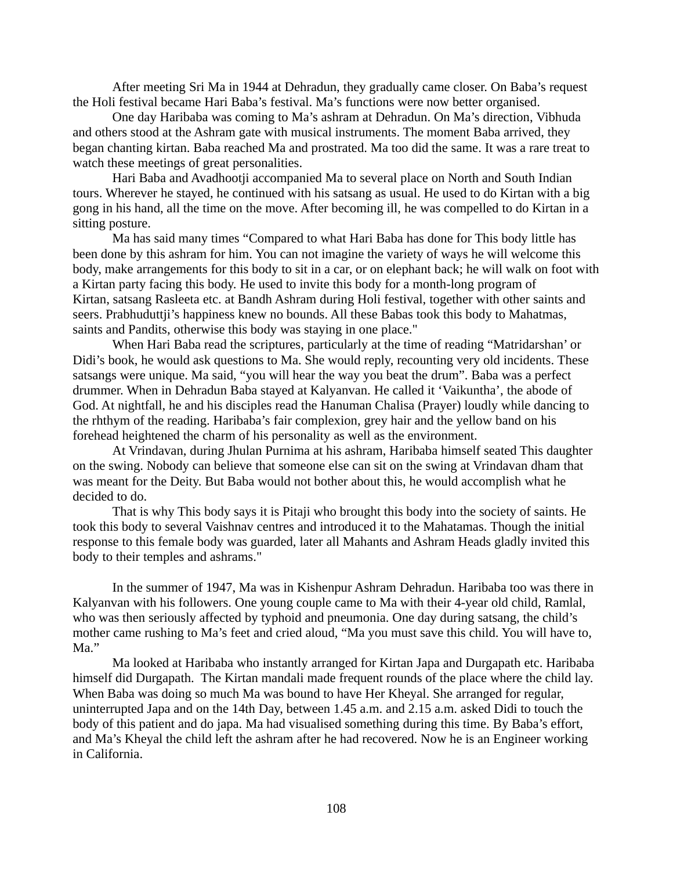After meeting Sri Ma in 1944 at Dehradun, they gradually came closer. On Baba's request the Holi festival became Hari Baba's festival. Ma's functions were now better organised.

One day Haribaba was coming to Ma's ashram at Dehradun. On Ma's direction, Vibhuda and others stood at the Ashram gate with musical instruments. The moment Baba arrived, they began chanting kirtan. Baba reached Ma and prostrated. Ma too did the same. It was a rare treat to watch these meetings of great personalities.

Hari Baba and Avadhootji accompanied Ma to several place on North and South Indian tours. Wherever he stayed, he continued with his satsang as usual. He used to do Kirtan with a big gong in his hand, all the time on the move. After becoming ill, he was compelled to do Kirtan in a sitting posture.

Ma has said many times "Compared to what Hari Baba has done for This body little has been done by this ashram for him. You can not imagine the variety of ways he will welcome this body, make arrangements for this body to sit in a car, or on elephant back; he will walk on foot with a Kirtan party facing this body. He used to invite this body for a month-long program of Kirtan, satsang Rasleeta etc. at Bandh Ashram during Holi festival, together with other saints and seers. Prabhuduttji's happiness knew no bounds. All these Babas took this body to Mahatmas, saints and Pandits, otherwise this body was staying in one place."

When Hari Baba read the scriptures, particularly at the time of reading "Matridarshan' or Didi's book, he would ask questions to Ma. She would reply, recounting very old incidents. These satsangs were unique. Ma said, "you will hear the way you beat the drum". Baba was a perfect drummer. When in Dehradun Baba stayed at Kalyanvan. He called it 'Vaikuntha', the abode of God. At nightfall, he and his disciples read the Hanuman Chalisa (Prayer) loudly while dancing to the rhthym of the reading. Haribaba's fair complexion, grey hair and the yellow band on his forehead heightened the charm of his personality as well as the environment.

At Vrindavan, during Jhulan Purnima at his ashram, Haribaba himself seated This daughter on the swing. Nobody can believe that someone else can sit on the swing at Vrindavan dham that was meant for the Deity. But Baba would not bother about this, he would accomplish what he decided to do.

That is why This body says it is Pitaji who brought this body into the society of saints. He took this body to several Vaishnav centres and introduced it to the Mahatamas. Though the initial response to this female body was guarded, later all Mahants and Ashram Heads gladly invited this body to their temples and ashrams."

In the summer of 1947, Ma was in Kishenpur Ashram Dehradun. Haribaba too was there in Kalyanvan with his followers. One young couple came to Ma with their 4-year old child, Ramlal, who was then seriously affected by typhoid and pneumonia. One day during satsang, the child's mother came rushing to Ma's feet and cried aloud, "Ma you must save this child. You will have to, Ma."

Ma looked at Haribaba who instantly arranged for Kirtan Japa and Durgapath etc. Haribaba himself did Durgapath. The Kirtan mandali made frequent rounds of the place where the child lay. When Baba was doing so much Ma was bound to have Her Kheyal. She arranged for regular, uninterrupted Japa and on the 14th Day, between 1.45 a.m. and 2.15 a.m. asked Didi to touch the body of this patient and do japa. Ma had visualised something during this time. By Baba's effort, and Ma's Kheyal the child left the ashram after he had recovered. Now he is an Engineer working in California.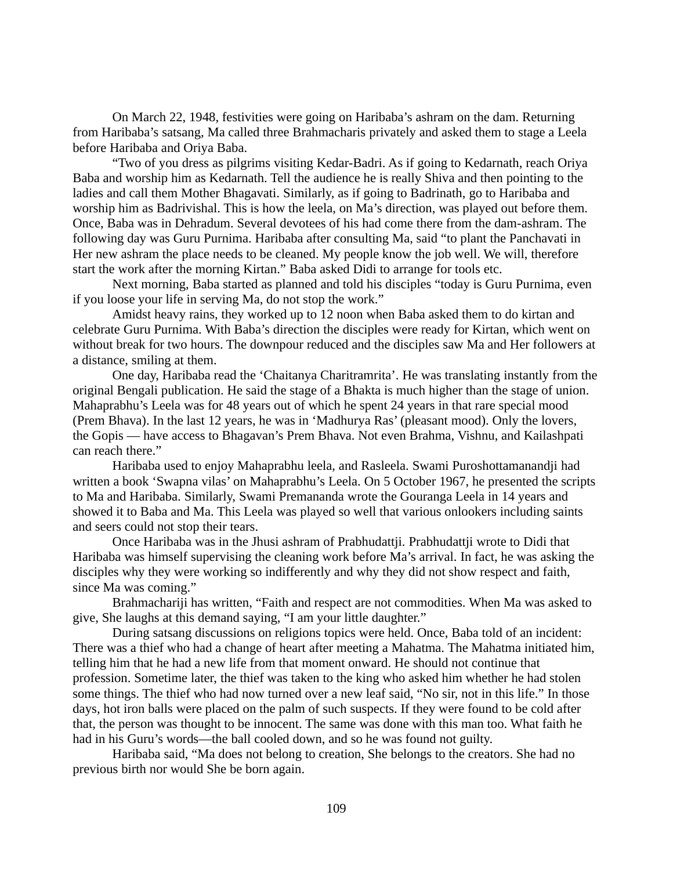On March 22, 1948, festivities were going on Haribaba's ashram on the dam. Returning from Haribaba's satsang, Ma called three Brahmacharis privately and asked them to stage a Leela before Haribaba and Oriya Baba.

"Two of you dress as pilgrims visiting Kedar-Badri. As if going to Kedarnath, reach Oriya Baba and worship him as Kedarnath. Tell the audience he is really Shiva and then pointing to the ladies and call them Mother Bhagavati. Similarly, as if going to Badrinath, go to Haribaba and worship him as Badrivishal. This is how the leela, on Ma's direction, was played out before them. Once, Baba was in Dehradum. Several devotees of his had come there from the dam-ashram. The following day was Guru Purnima. Haribaba after consulting Ma, said "to plant the Panchavati in Her new ashram the place needs to be cleaned. My people know the job well. We will, therefore start the work after the morning Kirtan." Baba asked Didi to arrange for tools etc.

Next morning, Baba started as planned and told his disciples "today is Guru Purnima, even if you loose your life in serving Ma, do not stop the work."

Amidst heavy rains, they worked up to 12 noon when Baba asked them to do kirtan and celebrate Guru Purnima. With Baba's direction the disciples were ready for Kirtan, which went on without break for two hours. The downpour reduced and the disciples saw Ma and Her followers at a distance, smiling at them.

One day, Haribaba read the 'Chaitanya Charitramrita'. He was translating instantly from the original Bengali publication. He said the stage of a Bhakta is much higher than the stage of union. Mahaprabhu's Leela was for 48 years out of which he spent 24 years in that rare special mood (Prem Bhava). In the last 12 years, he was in 'Madhurya Ras' (pleasant mood). Only the lovers, the Gopis — have access to Bhagavan's Prem Bhava. Not even Brahma, Vishnu, and Kailashpati can reach there."

Haribaba used to enjoy Mahaprabhu leela, and Rasleela. Swami Puroshottamanandji had written a book 'Swapna vilas' on Mahaprabhu's Leela. On 5 October 1967, he presented the scripts to Ma and Haribaba. Similarly, Swami Premananda wrote the Gouranga Leela in 14 years and showed it to Baba and Ma. This Leela was played so well that various onlookers including saints and seers could not stop their tears.

Once Haribaba was in the Jhusi ashram of Prabhudattji. Prabhudattji wrote to Didi that Haribaba was himself supervising the cleaning work before Ma's arrival. In fact, he was asking the disciples why they were working so indifferently and why they did not show respect and faith, since Ma was coming."

Brahmachariji has written, "Faith and respect are not commodities. When Ma was asked to give, She laughs at this demand saying, "I am your little daughter."

During satsang discussions on religions topics were held. Once, Baba told of an incident: There was a thief who had a change of heart after meeting a Mahatma. The Mahatma initiated him, telling him that he had a new life from that moment onward. He should not continue that profession. Sometime later, the thief was taken to the king who asked him whether he had stolen some things. The thief who had now turned over a new leaf said, "No sir, not in this life." In those days, hot iron balls were placed on the palm of such suspects. If they were found to be cold after that, the person was thought to be innocent. The same was done with this man too. What faith he had in his Guru's words—the ball cooled down, and so he was found not guilty.

Haribaba said, "Ma does not belong to creation, She belongs to the creators. She had no previous birth nor would She be born again.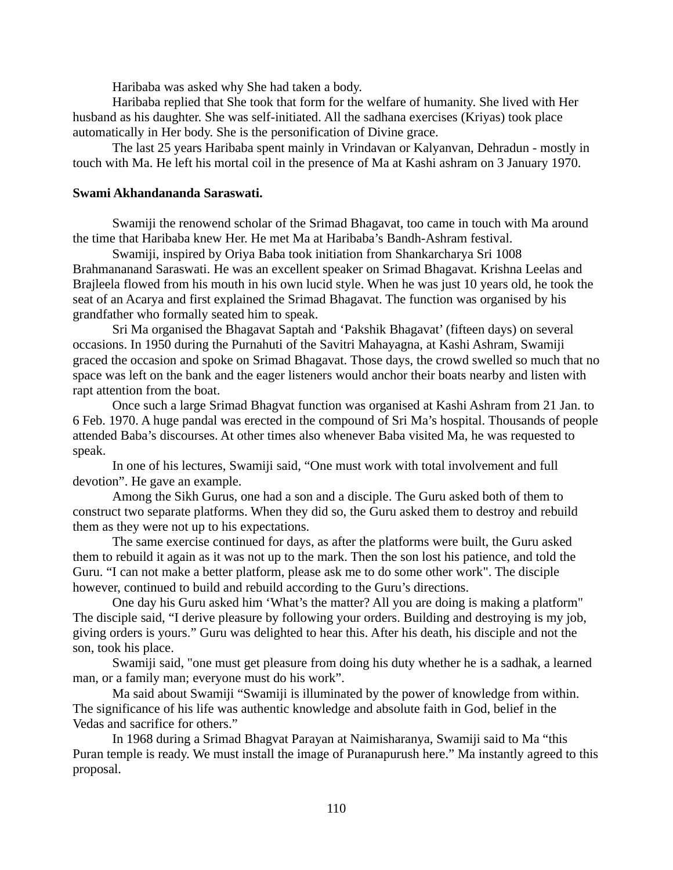Haribaba was asked why She had taken a body.

Haribaba replied that She took that form for the welfare of humanity. She lived with Her husband as his daughter. She was self-initiated. All the sadhana exercises (Kriyas) took place automatically in Her body. She is the personification of Divine grace.

The last 25 years Haribaba spent mainly in Vrindavan or Kalyanvan, Dehradun - mostly in touch with Ma. He left his mortal coil in the presence of Ma at Kashi ashram on 3 January 1970.

# **Swami Akhandananda Saraswati.**

Swamiji the renowend scholar of the Srimad Bhagavat, too came in touch with Ma around the time that Haribaba knew Her. He met Ma at Haribaba's Bandh-Ashram festival.

Swamiji, inspired by Oriya Baba took initiation from Shankarcharya Sri 1008 Brahmananand Saraswati. He was an excellent speaker on Srimad Bhagavat. Krishna Leelas and Brajleela flowed from his mouth in his own lucid style. When he was just 10 years old, he took the seat of an Acarya and first explained the Srimad Bhagavat. The function was organised by his grandfather who formally seated him to speak.

Sri Ma organised the Bhagavat Saptah and 'Pakshik Bhagavat' (fifteen days) on several occasions. In 1950 during the Purnahuti of the Savitri Mahayagna, at Kashi Ashram, Swamiji graced the occasion and spoke on Srimad Bhagavat. Those days, the crowd swelled so much that no space was left on the bank and the eager listeners would anchor their boats nearby and listen with rapt attention from the boat.

Once such a large Srimad Bhagvat function was organised at Kashi Ashram from 21 Jan. to 6 Feb. 1970. A huge pandal was erected in the compound of Sri Ma's hospital. Thousands of people attended Baba's discourses. At other times also whenever Baba visited Ma, he was requested to speak.

In one of his lectures, Swamiji said, "One must work with total involvement and full devotion". He gave an example.

Among the Sikh Gurus, one had a son and a disciple. The Guru asked both of them to construct two separate platforms. When they did so, the Guru asked them to destroy and rebuild them as they were not up to his expectations.

The same exercise continued for days, as after the platforms were built, the Guru asked them to rebuild it again as it was not up to the mark. Then the son lost his patience, and told the Guru. "I can not make a better platform, please ask me to do some other work". The disciple however, continued to build and rebuild according to the Guru's directions.

One day his Guru asked him 'What's the matter? All you are doing is making a platform" The disciple said, "I derive pleasure by following your orders. Building and destroying is my job, giving orders is yours." Guru was delighted to hear this. After his death, his disciple and not the son, took his place.

Swamiji said, "one must get pleasure from doing his duty whether he is a sadhak, a learned man, or a family man; everyone must do his work".

Ma said about Swamiji "Swamiji is illuminated by the power of knowledge from within. The significance of his life was authentic knowledge and absolute faith in God, belief in the Vedas and sacrifice for others."

In 1968 during a Srimad Bhagvat Parayan at Naimisharanya, Swamiji said to Ma "this Puran temple is ready. We must install the image of Puranapurush here." Ma instantly agreed to this proposal.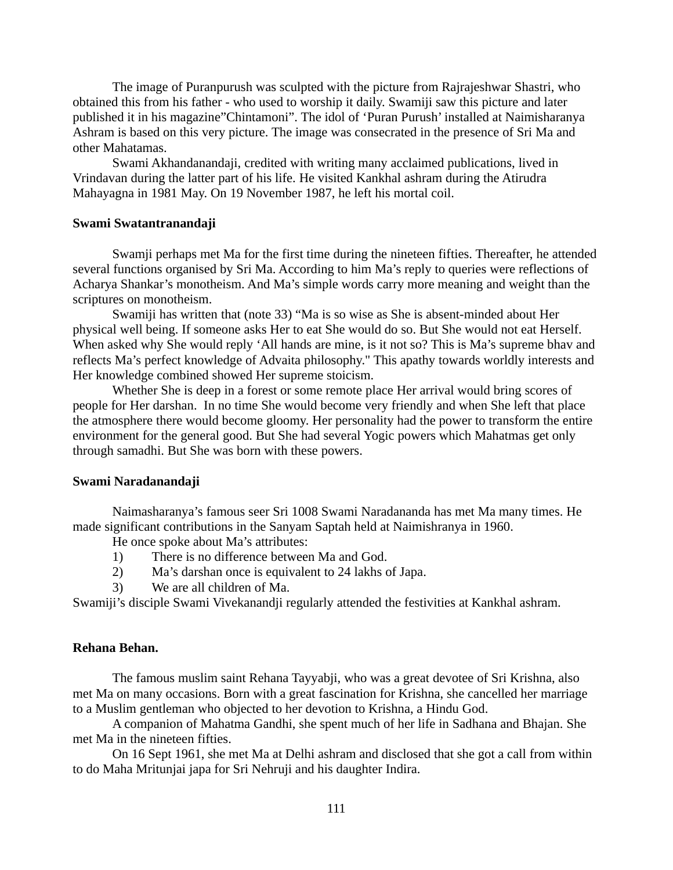The image of Puranpurush was sculpted with the picture from Rajrajeshwar Shastri, who obtained this from his father - who used to worship it daily. Swamiji saw this picture and later published it in his magazine"Chintamoni". The idol of 'Puran Purush' installed at Naimisharanya Ashram is based on this very picture. The image was consecrated in the presence of Sri Ma and other Mahatamas.

Swami Akhandanandaji, credited with writing many acclaimed publications, lived in Vrindavan during the latter part of his life. He visited Kankhal ashram during the Atirudra Mahayagna in 1981 May. On 19 November 1987, he left his mortal coil.

# **Swami Swatantranandaji**

Swamji perhaps met Ma for the first time during the nineteen fifties. Thereafter, he attended several functions organised by Sri Ma. According to him Ma's reply to queries were reflections of Acharya Shankar's monotheism. And Ma's simple words carry more meaning and weight than the scriptures on monotheism.

Swamiji has written that (note 33) "Ma is so wise as She is absent-minded about Her physical well being. If someone asks Her to eat She would do so. But She would not eat Herself. When asked why She would reply 'All hands are mine, is it not so? This is Ma's supreme bhav and reflects Ma's perfect knowledge of Advaita philosophy." This apathy towards worldly interests and Her knowledge combined showed Her supreme stoicism.

Whether She is deep in a forest or some remote place Her arrival would bring scores of people for Her darshan. In no time She would become very friendly and when She left that place the atmosphere there would become gloomy. Her personality had the power to transform the entire environment for the general good. But She had several Yogic powers which Mahatmas get only through samadhi. But She was born with these powers.

# **Swami Naradanandaji**

Naimasharanya's famous seer Sri 1008 Swami Naradananda has met Ma many times. He made significant contributions in the Sanyam Saptah held at Naimishranya in 1960.

He once spoke about Ma's attributes:

- 1) There is no difference between Ma and God.
- 2) Ma's darshan once is equivalent to 24 lakhs of Japa.
- 3) We are all children of Ma.

Swamiji's disciple Swami Vivekanandji regularly attended the festivities at Kankhal ashram.

# **Rehana Behan.**

The famous muslim saint Rehana Tayyabji, who was a great devotee of Sri Krishna, also met Ma on many occasions. Born with a great fascination for Krishna, she cancelled her marriage to a Muslim gentleman who objected to her devotion to Krishna, a Hindu God.

A companion of Mahatma Gandhi, she spent much of her life in Sadhana and Bhajan. She met Ma in the nineteen fifties.

On 16 Sept 1961, she met Ma at Delhi ashram and disclosed that she got a call from within to do Maha Mritunjai japa for Sri Nehruji and his daughter Indira.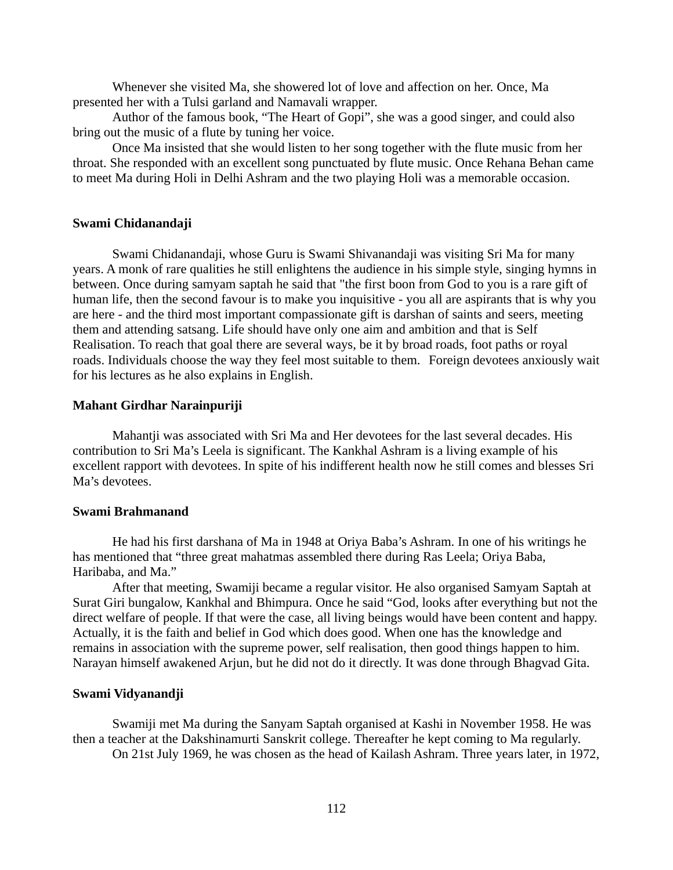Whenever she visited Ma, she showered lot of love and affection on her. Once, Ma presented her with a Tulsi garland and Namavali wrapper.

Author of the famous book, "The Heart of Gopi", she was a good singer, and could also bring out the music of a flute by tuning her voice.

Once Ma insisted that she would listen to her song together with the flute music from her throat. She responded with an excellent song punctuated by flute music. Once Rehana Behan came to meet Ma during Holi in Delhi Ashram and the two playing Holi was a memorable occasion.

#### **Swami Chidanandaji**

Swami Chidanandaji, whose Guru is Swami Shivanandaji was visiting Sri Ma for many years. A monk of rare qualities he still enlightens the audience in his simple style, singing hymns in between. Once during samyam saptah he said that "the first boon from God to you is a rare gift of human life, then the second favour is to make you inquisitive - you all are aspirants that is why you are here - and the third most important compassionate gift is darshan of saints and seers, meeting them and attending satsang. Life should have only one aim and ambition and that is Self Realisation. To reach that goal there are several ways, be it by broad roads, foot paths or royal roads. Individuals choose the way they feel most suitable to them. Foreign devotees anxiously wait for his lectures as he also explains in English.

#### **Mahant Girdhar Narainpuriji**

Mahantji was associated with Sri Ma and Her devotees for the last several decades. His contribution to Sri Ma's Leela is significant. The Kankhal Ashram is a living example of his excellent rapport with devotees. In spite of his indifferent health now he still comes and blesses Sri Ma's devotees.

#### **Swami Brahmanand**

He had his first darshana of Ma in 1948 at Oriya Baba's Ashram. In one of his writings he has mentioned that "three great mahatmas assembled there during Ras Leela; Oriya Baba, Haribaba, and Ma."

After that meeting, Swamiji became a regular visitor. He also organised Samyam Saptah at Surat Giri bungalow, Kankhal and Bhimpura. Once he said "God, looks after everything but not the direct welfare of people. If that were the case, all living beings would have been content and happy. Actually, it is the faith and belief in God which does good. When one has the knowledge and remains in association with the supreme power, self realisation, then good things happen to him. Narayan himself awakened Arjun, but he did not do it directly. It was done through Bhagvad Gita.

#### **Swami Vidyanandji**

Swamiji met Ma during the Sanyam Saptah organised at Kashi in November 1958. He was then a teacher at the Dakshinamurti Sanskrit college. Thereafter he kept coming to Ma regularly. On 21st July 1969, he was chosen as the head of Kailash Ashram. Three years later, in 1972,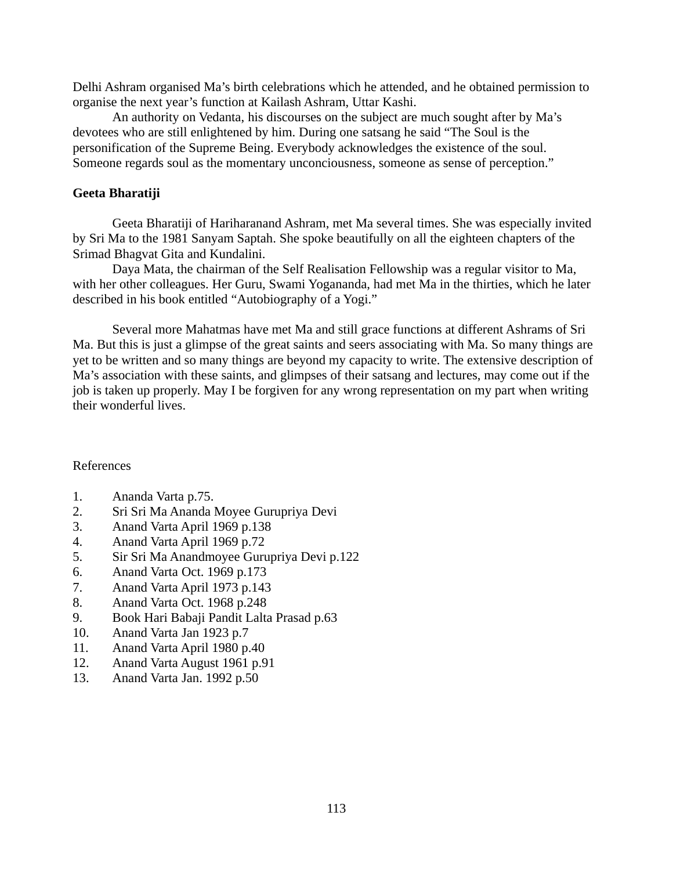Delhi Ashram organised Ma's birth celebrations which he attended, and he obtained permission to organise the next year's function at Kailash Ashram, Uttar Kashi.

An authority on Vedanta, his discourses on the subject are much sought after by Ma's devotees who are still enlightened by him. During one satsang he said "The Soul is the personification of the Supreme Being. Everybody acknowledges the existence of the soul. Someone regards soul as the momentary unconciousness, someone as sense of perception."

# **Geeta Bharatiji**

Geeta Bharatiji of Hariharanand Ashram, met Ma several times. She was especially invited by Sri Ma to the 1981 Sanyam Saptah. She spoke beautifully on all the eighteen chapters of the Srimad Bhagvat Gita and Kundalini.

Daya Mata, the chairman of the Self Realisation Fellowship was a regular visitor to Ma, with her other colleagues. Her Guru, Swami Yogananda, had met Ma in the thirties, which he later described in his book entitled "Autobiography of a Yogi."

Several more Mahatmas have met Ma and still grace functions at different Ashrams of Sri Ma. But this is just a glimpse of the great saints and seers associating with Ma. So many things are yet to be written and so many things are beyond my capacity to write. The extensive description of Ma's association with these saints, and glimpses of their satsang and lectures, may come out if the job is taken up properly. May I be forgiven for any wrong representation on my part when writing their wonderful lives.

# References

- 1. Ananda Varta p.75.
- 2. Sri Sri Ma Ananda Moyee Gurupriya Devi
- 3. Anand Varta April 1969 p.138
- 4. Anand Varta April 1969 p.72
- 5. Sir Sri Ma Anandmoyee Gurupriya Devi p.122
- 6. Anand Varta Oct. 1969 p.173
- 7. Anand Varta April 1973 p.143
- 8. Anand Varta Oct. 1968 p.248
- 9. Book Hari Babaji Pandit Lalta Prasad p.63
- 10. Anand Varta Jan 1923 p.7
- 11. Anand Varta April 1980 p.40
- 12. Anand Varta August 1961 p.91
- 13. Anand Varta Jan. 1992 p.50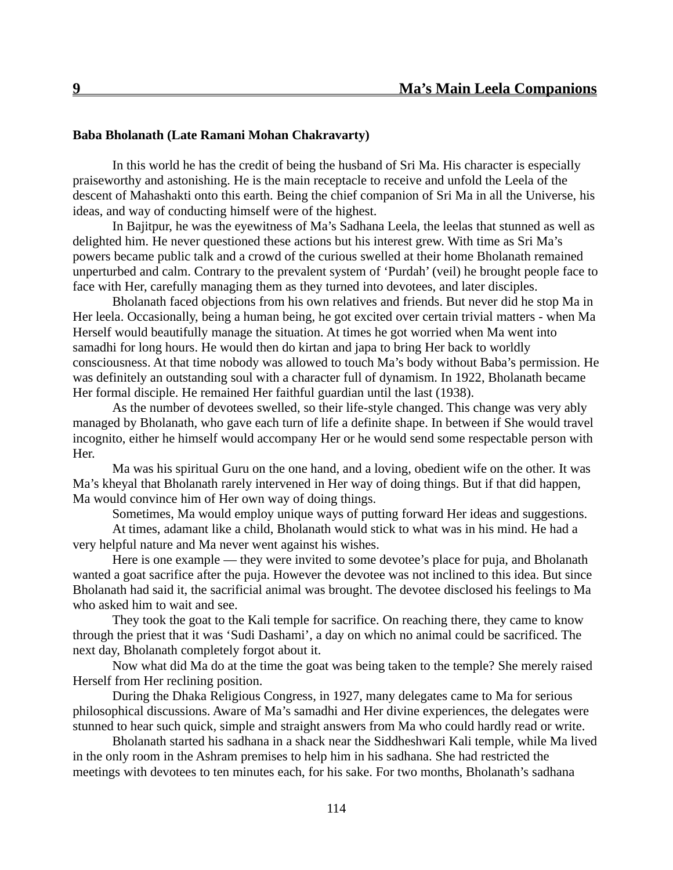# **Baba Bholanath (Late Ramani Mohan Chakravarty)**

In this world he has the credit of being the husband of Sri Ma. His character is especially praiseworthy and astonishing. He is the main receptacle to receive and unfold the Leela of the descent of Mahashakti onto this earth. Being the chief companion of Sri Ma in all the Universe, his ideas, and way of conducting himself were of the highest.

In Bajitpur, he was the eyewitness of Ma's Sadhana Leela, the leelas that stunned as well as delighted him. He never questioned these actions but his interest grew. With time as Sri Ma's powers became public talk and a crowd of the curious swelled at their home Bholanath remained unperturbed and calm. Contrary to the prevalent system of 'Purdah' (veil) he brought people face to face with Her, carefully managing them as they turned into devotees, and later disciples.

Bholanath faced objections from his own relatives and friends. But never did he stop Ma in Her leela. Occasionally, being a human being, he got excited over certain trivial matters - when Ma Herself would beautifully manage the situation. At times he got worried when Ma went into samadhi for long hours. He would then do kirtan and japa to bring Her back to worldly consciousness. At that time nobody was allowed to touch Ma's body without Baba's permission. He was definitely an outstanding soul with a character full of dynamism. In 1922, Bholanath became Her formal disciple. He remained Her faithful guardian until the last (1938).

As the number of devotees swelled, so their life-style changed. This change was very ably managed by Bholanath, who gave each turn of life a definite shape. In between if She would travel incognito, either he himself would accompany Her or he would send some respectable person with Her.

Ma was his spiritual Guru on the one hand, and a loving, obedient wife on the other. It was Ma's kheyal that Bholanath rarely intervened in Her way of doing things. But if that did happen, Ma would convince him of Her own way of doing things.

Sometimes, Ma would employ unique ways of putting forward Her ideas and suggestions.

At times, adamant like a child, Bholanath would stick to what was in his mind. He had a very helpful nature and Ma never went against his wishes.

Here is one example — they were invited to some devotee's place for puja, and Bholanath wanted a goat sacrifice after the puja. However the devotee was not inclined to this idea. But since Bholanath had said it, the sacrificial animal was brought. The devotee disclosed his feelings to Ma who asked him to wait and see.

They took the goat to the Kali temple for sacrifice. On reaching there, they came to know through the priest that it was 'Sudi Dashami', a day on which no animal could be sacrificed. The next day, Bholanath completely forgot about it.

Now what did Ma do at the time the goat was being taken to the temple? She merely raised Herself from Her reclining position.

During the Dhaka Religious Congress, in 1927, many delegates came to Ma for serious philosophical discussions. Aware of Ma's samadhi and Her divine experiences, the delegates were stunned to hear such quick, simple and straight answers from Ma who could hardly read or write.

Bholanath started his sadhana in a shack near the Siddheshwari Kali temple, while Ma lived in the only room in the Ashram premises to help him in his sadhana. She had restricted the meetings with devotees to ten minutes each, for his sake. For two months, Bholanath's sadhana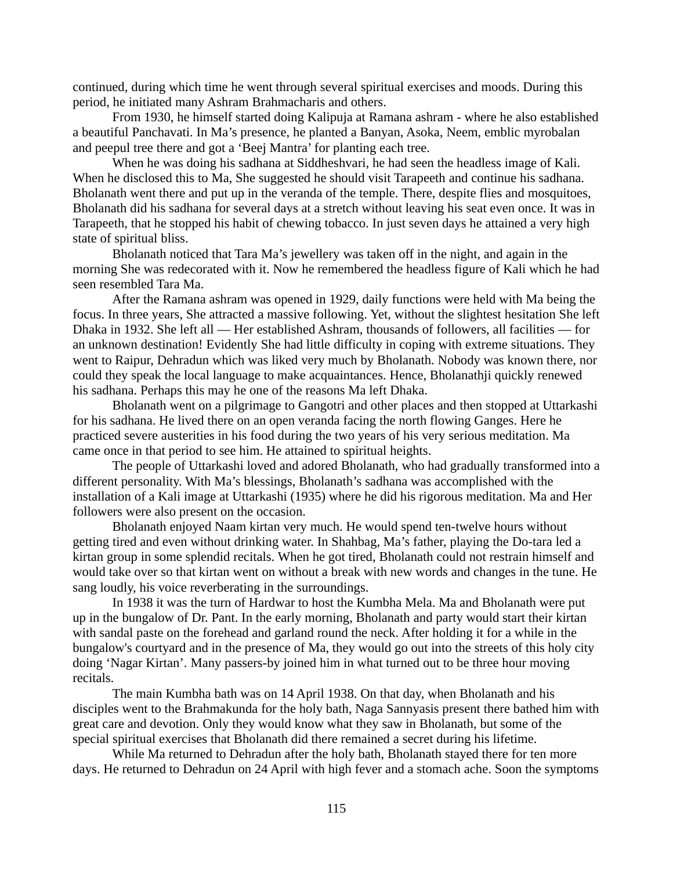continued, during which time he went through several spiritual exercises and moods. During this period, he initiated many Ashram Brahmacharis and others.

From 1930, he himself started doing Kalipuja at Ramana ashram - where he also established a beautiful Panchavati. In Ma's presence, he planted a Banyan, Asoka, Neem, emblic myrobalan and peepul tree there and got a 'Beej Mantra' for planting each tree.

When he was doing his sadhana at Siddheshvari, he had seen the headless image of Kali. When he disclosed this to Ma, She suggested he should visit Tarapeeth and continue his sadhana. Bholanath went there and put up in the veranda of the temple. There, despite flies and mosquitoes, Bholanath did his sadhana for several days at a stretch without leaving his seat even once. It was in Tarapeeth, that he stopped his habit of chewing tobacco. In just seven days he attained a very high state of spiritual bliss.

Bholanath noticed that Tara Ma's jewellery was taken off in the night, and again in the morning She was redecorated with it. Now he remembered the headless figure of Kali which he had seen resembled Tara Ma.

After the Ramana ashram was opened in 1929, daily functions were held with Ma being the focus. In three years, She attracted a massive following. Yet, without the slightest hesitation She left Dhaka in 1932. She left all — Her established Ashram, thousands of followers, all facilities — for an unknown destination! Evidently She had little difficulty in coping with extreme situations. They went to Raipur, Dehradun which was liked very much by Bholanath. Nobody was known there, nor could they speak the local language to make acquaintances. Hence, Bholanathji quickly renewed his sadhana. Perhaps this may he one of the reasons Ma left Dhaka.

Bholanath went on a pilgrimage to Gangotri and other places and then stopped at Uttarkashi for his sadhana. He lived there on an open veranda facing the north flowing Ganges. Here he practiced severe austerities in his food during the two years of his very serious meditation. Ma came once in that period to see him. He attained to spiritual heights.

The people of Uttarkashi loved and adored Bholanath, who had gradually transformed into a different personality. With Ma's blessings, Bholanath's sadhana was accomplished with the installation of a Kali image at Uttarkashi (1935) where he did his rigorous meditation. Ma and Her followers were also present on the occasion.

Bholanath enjoyed Naam kirtan very much. He would spend ten-twelve hours without getting tired and even without drinking water. In Shahbag, Ma's father, playing the Do-tara led a kirtan group in some splendid recitals. When he got tired, Bholanath could not restrain himself and would take over so that kirtan went on without a break with new words and changes in the tune. He sang loudly, his voice reverberating in the surroundings.

In 1938 it was the turn of Hardwar to host the Kumbha Mela. Ma and Bholanath were put up in the bungalow of Dr. Pant. In the early morning, Bholanath and party would start their kirtan with sandal paste on the forehead and garland round the neck. After holding it for a while in the bungalow's courtyard and in the presence of Ma, they would go out into the streets of this holy city doing 'Nagar Kirtan'. Many passers-by joined him in what turned out to be three hour moving recitals.

The main Kumbha bath was on 14 April 1938. On that day, when Bholanath and his disciples went to the Brahmakunda for the holy bath, Naga Sannyasis present there bathed him with great care and devotion. Only they would know what they saw in Bholanath, but some of the special spiritual exercises that Bholanath did there remained a secret during his lifetime.

While Ma returned to Dehradun after the holy bath, Bholanath stayed there for ten more days. He returned to Dehradun on 24 April with high fever and a stomach ache. Soon the symptoms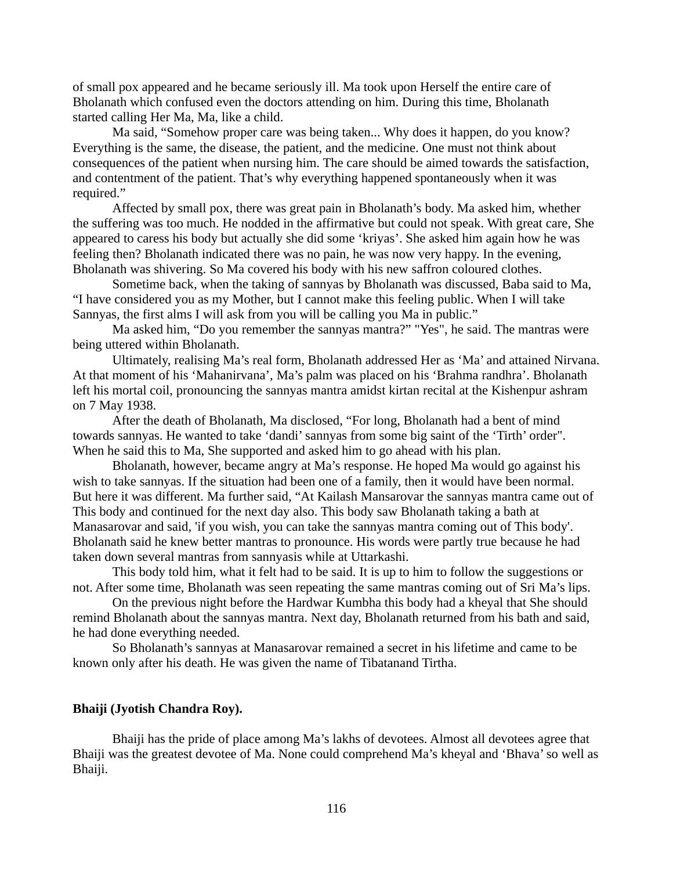of small pox appeared and he became seriously ill. Ma took upon Herself the entire care of Bholanath which confused even the doctors attending on him. During this time, Bholanath started calling Her Ma, Ma, like a child.

Ma said, "Somehow proper care was being taken... Why does it happen, do you know? Everything is the same, the disease, the patient, and the medicine. One must not think about consequences of the patient when nursing him. The care should be aimed towards the satisfaction, and contentment of the patient. That's why everything happened spontaneously when it was required."

Affected by small pox, there was great pain in Bholanath's body. Ma asked him, whether the suffering was too much. He nodded in the affirmative but could not speak. With great care, She appeared to caress his body but actually she did some 'kriyas'. She asked him again how he was feeling then? Bholanath indicated there was no pain, he was now very happy. In the evening, Bholanath was shivering. So Ma covered his body with his new saffron coloured clothes.

Sometime back, when the taking of sannyas by Bholanath was discussed, Baba said to Ma, "I have considered you as my Mother, but I cannot make this feeling public. When I will take Sannyas, the first alms I will ask from you will be calling you Ma in public."

Ma asked him, "Do you remember the sannyas mantra?" "Yes", he said. The mantras were being uttered within Bholanath.

Ultimately, realising Ma's real form, Bholanath addressed Her as 'Ma' and attained Nirvana. At that moment of his 'Mahanirvana', Ma's palm was placed on his 'Brahma randhra'. Bholanath left his mortal coil, pronouncing the sannyas mantra amidst kirtan recital at the Kishenpur ashram on 7 May 1938.

After the death of Bholanath, Ma disclosed, "For long, Bholanath had a bent of mind towards sannyas. He wanted to take 'dandi' sannyas from some big saint of the 'Tirth' order". When he said this to Ma, She supported and asked him to go ahead with his plan.

Bholanath, however, became angry at Ma's response. He hoped Ma would go against his wish to take sannyas. If the situation had been one of a family, then it would have been normal. But here it was different. Ma further said, "At Kailash Mansarovar the sannyas mantra came out of This body and continued for the next day also. This body saw Bholanath taking a bath at Manasarovar and said, 'if you wish, you can take the sannyas mantra coming out of This body'. Bholanath said he knew better mantras to pronounce. His words were partly true because he had taken down several mantras from sannyasis while at Uttarkashi.

This body told him, what it felt had to be said. It is up to him to follow the suggestions or not. After some time, Bholanath was seen repeating the same mantras coming out of Sri Ma's lips.

On the previous night before the Hardwar Kumbha this body had a kheyal that She should remind Bholanath about the sannyas mantra. Next day, Bholanath returned from his bath and said, he had done everything needed.

So Bholanath's sannyas at Manasarovar remained a secret in his lifetime and came to be known only after his death. He was given the name of Tibatanand Tirtha.

# **Bhaiji (Jyotish Chandra Roy).**

Bhaiji has the pride of place among Ma's lakhs of devotees. Almost all devotees agree that Bhaiji was the greatest devotee of Ma. None could comprehend Ma's kheyal and 'Bhava' so well as Bhaiji.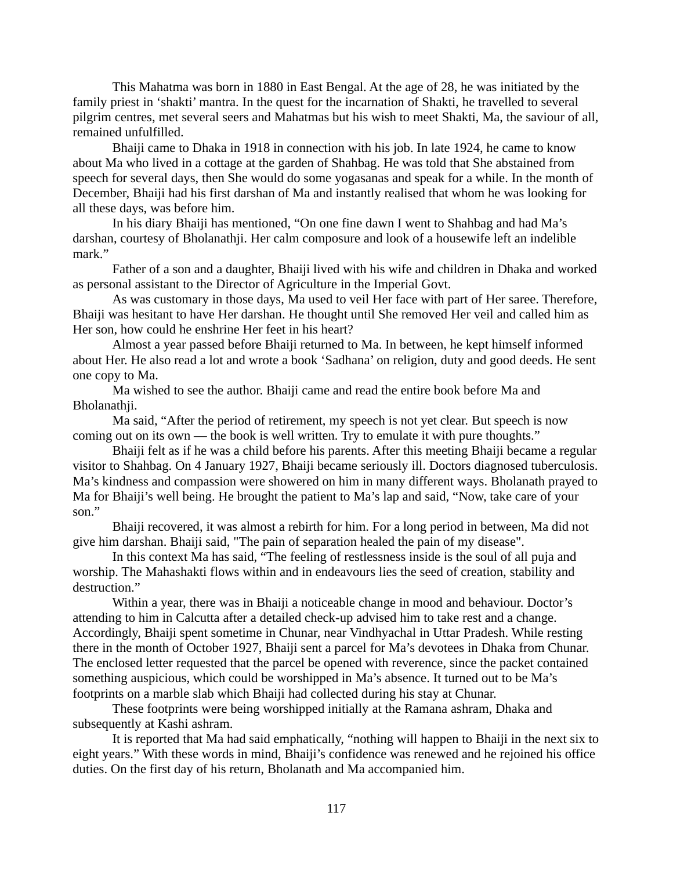This Mahatma was born in 1880 in East Bengal. At the age of 28, he was initiated by the family priest in 'shakti' mantra. In the quest for the incarnation of Shakti, he travelled to several pilgrim centres, met several seers and Mahatmas but his wish to meet Shakti, Ma, the saviour of all, remained unfulfilled.

Bhaiji came to Dhaka in 1918 in connection with his job. In late 1924, he came to know about Ma who lived in a cottage at the garden of Shahbag. He was told that She abstained from speech for several days, then She would do some yogasanas and speak for a while. In the month of December, Bhaiji had his first darshan of Ma and instantly realised that whom he was looking for all these days, was before him.

In his diary Bhaiji has mentioned, "On one fine dawn I went to Shahbag and had Ma's darshan, courtesy of Bholanathji. Her calm composure and look of a housewife left an indelible mark."

Father of a son and a daughter, Bhaiji lived with his wife and children in Dhaka and worked as personal assistant to the Director of Agriculture in the Imperial Govt.

As was customary in those days, Ma used to veil Her face with part of Her saree. Therefore, Bhaiji was hesitant to have Her darshan. He thought until She removed Her veil and called him as Her son, how could he enshrine Her feet in his heart?

Almost a year passed before Bhaiji returned to Ma. In between, he kept himself informed about Her. He also read a lot and wrote a book 'Sadhana' on religion, duty and good deeds. He sent one copy to Ma.

Ma wished to see the author. Bhaiji came and read the entire book before Ma and Bholanathji.

Ma said, "After the period of retirement, my speech is not yet clear. But speech is now coming out on its own — the book is well written. Try to emulate it with pure thoughts."

Bhaiji felt as if he was a child before his parents. After this meeting Bhaiji became a regular visitor to Shahbag. On 4 January 1927, Bhaiji became seriously ill. Doctors diagnosed tuberculosis. Ma's kindness and compassion were showered on him in many different ways. Bholanath prayed to Ma for Bhaiji's well being. He brought the patient to Ma's lap and said, "Now, take care of your son."

Bhaiji recovered, it was almost a rebirth for him. For a long period in between, Ma did not give him darshan. Bhaiji said, "The pain of separation healed the pain of my disease".

In this context Ma has said, "The feeling of restlessness inside is the soul of all puja and worship. The Mahashakti flows within and in endeavours lies the seed of creation, stability and destruction."

Within a year, there was in Bhaiji a noticeable change in mood and behaviour. Doctor's attending to him in Calcutta after a detailed check-up advised him to take rest and a change. Accordingly, Bhaiji spent sometime in Chunar, near Vindhyachal in Uttar Pradesh. While resting there in the month of October 1927, Bhaiji sent a parcel for Ma's devotees in Dhaka from Chunar. The enclosed letter requested that the parcel be opened with reverence, since the packet contained something auspicious, which could be worshipped in Ma's absence. It turned out to be Ma's footprints on a marble slab which Bhaiji had collected during his stay at Chunar.

These footprints were being worshipped initially at the Ramana ashram, Dhaka and subsequently at Kashi ashram.

It is reported that Ma had said emphatically, "nothing will happen to Bhaiji in the next six to eight years." With these words in mind, Bhaiji's confidence was renewed and he rejoined his office duties. On the first day of his return, Bholanath and Ma accompanied him.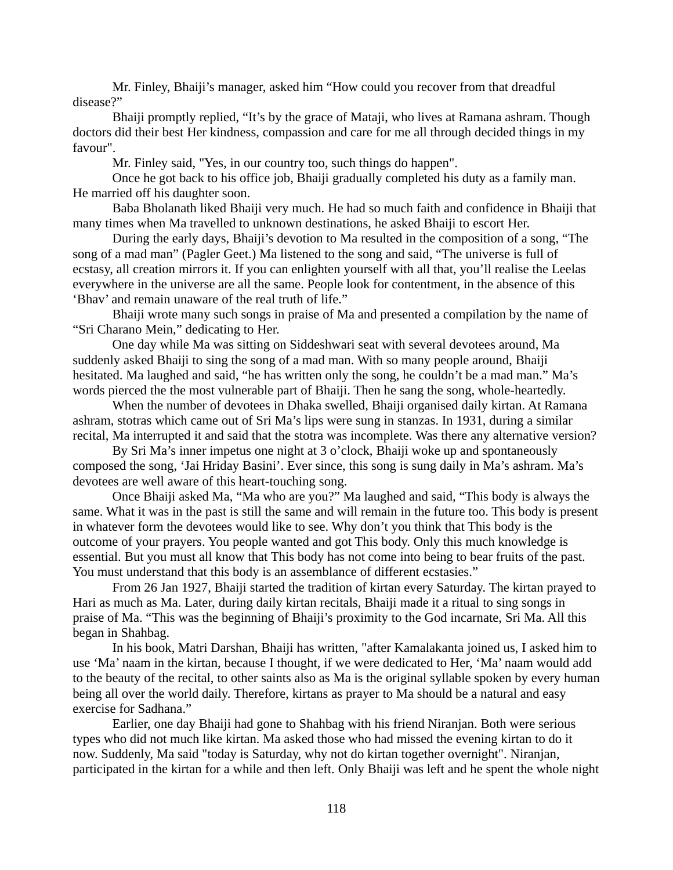Mr. Finley, Bhaiji's manager, asked him "How could you recover from that dreadful disease?"

Bhaiji promptly replied, "It's by the grace of Mataji, who lives at Ramana ashram. Though doctors did their best Her kindness, compassion and care for me all through decided things in my favour".

Mr. Finley said, "Yes, in our country too, such things do happen".

Once he got back to his office job, Bhaiji gradually completed his duty as a family man. He married off his daughter soon.

Baba Bholanath liked Bhaiji very much. He had so much faith and confidence in Bhaiji that many times when Ma travelled to unknown destinations, he asked Bhaiji to escort Her.

During the early days, Bhaiji's devotion to Ma resulted in the composition of a song, "The song of a mad man" (Pagler Geet.) Ma listened to the song and said, "The universe is full of ecstasy, all creation mirrors it. If you can enlighten yourself with all that, you'll realise the Leelas everywhere in the universe are all the same. People look for contentment, in the absence of this 'Bhav' and remain unaware of the real truth of life."

Bhaiji wrote many such songs in praise of Ma and presented a compilation by the name of "Sri Charano Mein," dedicating to Her.

One day while Ma was sitting on Siddeshwari seat with several devotees around, Ma suddenly asked Bhaiji to sing the song of a mad man. With so many people around, Bhaiji hesitated. Ma laughed and said, "he has written only the song, he couldn't be a mad man." Ma's words pierced the the most vulnerable part of Bhaiji. Then he sang the song, whole-heartedly.

When the number of devotees in Dhaka swelled, Bhaiji organised daily kirtan. At Ramana ashram, stotras which came out of Sri Ma's lips were sung in stanzas. In 1931, during a similar recital, Ma interrupted it and said that the stotra was incomplete. Was there any alternative version?

By Sri Ma's inner impetus one night at 3 o'clock, Bhaiji woke up and spontaneously composed the song, 'Jai Hriday Basini'. Ever since, this song is sung daily in Ma's ashram. Ma's devotees are well aware of this heart-touching song.

Once Bhaiji asked Ma, "Ma who are you?" Ma laughed and said, "This body is always the same. What it was in the past is still the same and will remain in the future too. This body is present in whatever form the devotees would like to see. Why don't you think that This body is the outcome of your prayers. You people wanted and got This body. Only this much knowledge is essential. But you must all know that This body has not come into being to bear fruits of the past. You must understand that this body is an assemblance of different ecstasies."

From 26 Jan 1927, Bhaiji started the tradition of kirtan every Saturday. The kirtan prayed to Hari as much as Ma. Later, during daily kirtan recitals, Bhaiji made it a ritual to sing songs in praise of Ma. "This was the beginning of Bhaiji's proximity to the God incarnate, Sri Ma. All this began in Shahbag.

In his book, Matri Darshan, Bhaiji has written, "after Kamalakanta joined us, I asked him to use 'Ma' naam in the kirtan, because I thought, if we were dedicated to Her, 'Ma' naam would add to the beauty of the recital, to other saints also as Ma is the original syllable spoken by every human being all over the world daily. Therefore, kirtans as prayer to Ma should be a natural and easy exercise for Sadhana."

Earlier, one day Bhaiji had gone to Shahbag with his friend Niranjan. Both were serious types who did not much like kirtan. Ma asked those who had missed the evening kirtan to do it now. Suddenly, Ma said "today is Saturday, why not do kirtan together overnight". Niranjan, participated in the kirtan for a while and then left. Only Bhaiji was left and he spent the whole night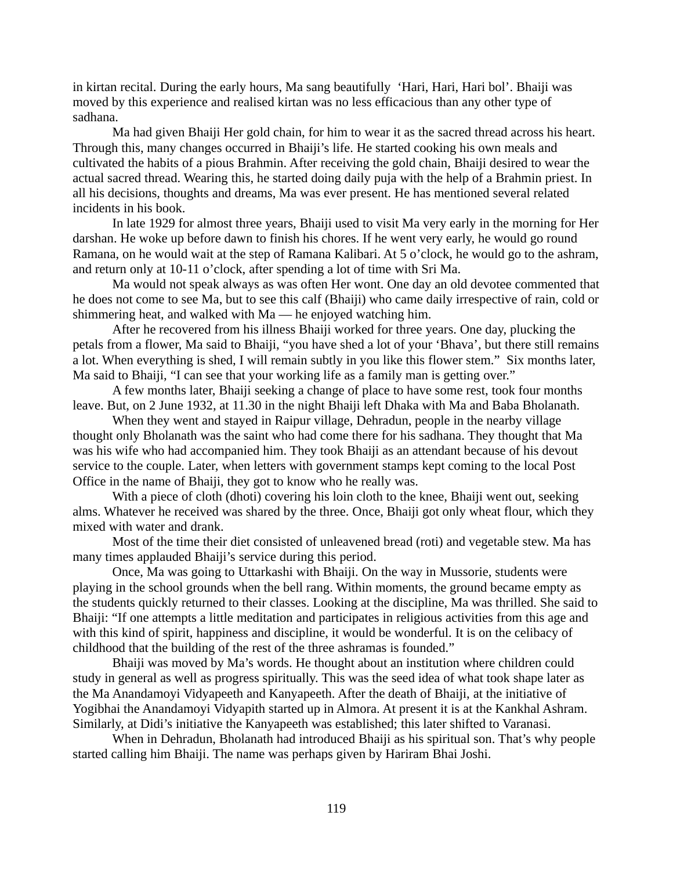in kirtan recital. During the early hours, Ma sang beautifully 'Hari, Hari, Hari bol'. Bhaiji was moved by this experience and realised kirtan was no less efficacious than any other type of sadhana.

Ma had given Bhaiji Her gold chain, for him to wear it as the sacred thread across his heart. Through this, many changes occurred in Bhaiji's life. He started cooking his own meals and cultivated the habits of a pious Brahmin. After receiving the gold chain, Bhaiji desired to wear the actual sacred thread. Wearing this, he started doing daily puja with the help of a Brahmin priest. In all his decisions, thoughts and dreams, Ma was ever present. He has mentioned several related incidents in his book.

In late 1929 for almost three years, Bhaiji used to visit Ma very early in the morning for Her darshan. He woke up before dawn to finish his chores. If he went very early, he would go round Ramana, on he would wait at the step of Ramana Kalibari. At 5 o'clock, he would go to the ashram, and return only at 10-11 o'clock, after spending a lot of time with Sri Ma.

Ma would not speak always as was often Her wont. One day an old devotee commented that he does not come to see Ma, but to see this calf (Bhaiji) who came daily irrespective of rain, cold or shimmering heat, and walked with Ma — he enjoyed watching him.

After he recovered from his illness Bhaiji worked for three years. One day, plucking the petals from a flower, Ma said to Bhaiji, "you have shed a lot of your 'Bhava', but there still remains a lot. When everything is shed, I will remain subtly in you like this flower stem." Six months later, Ma said to Bhaiji, "I can see that your working life as a family man is getting over."

A few months later, Bhaiji seeking a change of place to have some rest, took four months leave. But, on 2 June 1932, at 11.30 in the night Bhaiji left Dhaka with Ma and Baba Bholanath.

When they went and stayed in Raipur village, Dehradun, people in the nearby village thought only Bholanath was the saint who had come there for his sadhana. They thought that Ma was his wife who had accompanied him. They took Bhaiji as an attendant because of his devout service to the couple. Later, when letters with government stamps kept coming to the local Post Office in the name of Bhaiji, they got to know who he really was.

With a piece of cloth (dhoti) covering his loin cloth to the knee, Bhaiji went out, seeking alms. Whatever he received was shared by the three. Once, Bhaiji got only wheat flour, which they mixed with water and drank.

Most of the time their diet consisted of unleavened bread (roti) and vegetable stew. Ma has many times applauded Bhaiji's service during this period.

Once, Ma was going to Uttarkashi with Bhaiji. On the way in Mussorie, students were playing in the school grounds when the bell rang. Within moments, the ground became empty as the students quickly returned to their classes. Looking at the discipline, Ma was thrilled. She said to Bhaiji: "If one attempts a little meditation and participates in religious activities from this age and with this kind of spirit, happiness and discipline, it would be wonderful. It is on the celibacy of childhood that the building of the rest of the three ashramas is founded."

Bhaiji was moved by Ma's words. He thought about an institution where children could study in general as well as progress spiritually. This was the seed idea of what took shape later as the Ma Anandamoyi Vidyapeeth and Kanyapeeth. After the death of Bhaiji, at the initiative of Yogibhai the Anandamoyi Vidyapith started up in Almora. At present it is at the Kankhal Ashram. Similarly, at Didi's initiative the Kanyapeeth was established; this later shifted to Varanasi.

When in Dehradun, Bholanath had introduced Bhaiji as his spiritual son. That's why people started calling him Bhaiji. The name was perhaps given by Hariram Bhai Joshi.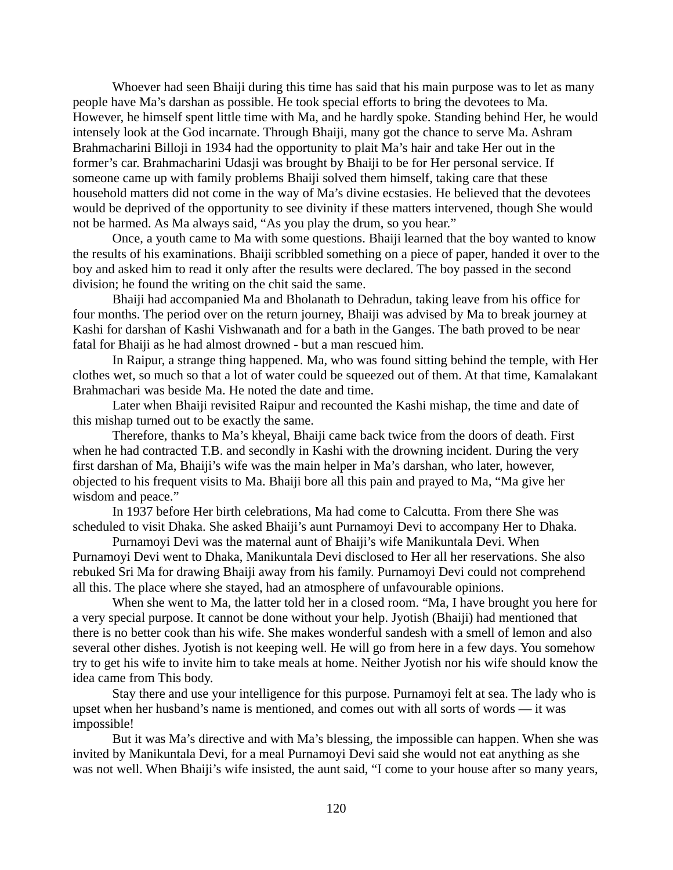Whoever had seen Bhaiji during this time has said that his main purpose was to let as many people have Ma's darshan as possible. He took special efforts to bring the devotees to Ma. However, he himself spent little time with Ma, and he hardly spoke. Standing behind Her, he would intensely look at the God incarnate. Through Bhaiji, many got the chance to serve Ma. Ashram Brahmacharini Billoji in 1934 had the opportunity to plait Ma's hair and take Her out in the former's car. Brahmacharini Udasji was brought by Bhaiji to be for Her personal service. If someone came up with family problems Bhaiji solved them himself, taking care that these household matters did not come in the way of Ma's divine ecstasies. He believed that the devotees would be deprived of the opportunity to see divinity if these matters intervened, though She would not be harmed. As Ma always said, "As you play the drum, so you hear."

Once, a youth came to Ma with some questions. Bhaiji learned that the boy wanted to know the results of his examinations. Bhaiji scribbled something on a piece of paper, handed it over to the boy and asked him to read it only after the results were declared. The boy passed in the second division; he found the writing on the chit said the same.

Bhaiji had accompanied Ma and Bholanath to Dehradun, taking leave from his office for four months. The period over on the return journey, Bhaiji was advised by Ma to break journey at Kashi for darshan of Kashi Vishwanath and for a bath in the Ganges. The bath proved to be near fatal for Bhaiji as he had almost drowned - but a man rescued him.

In Raipur, a strange thing happened. Ma, who was found sitting behind the temple, with Her clothes wet, so much so that a lot of water could be squeezed out of them. At that time, Kamalakant Brahmachari was beside Ma. He noted the date and time.

Later when Bhaiji revisited Raipur and recounted the Kashi mishap, the time and date of this mishap turned out to be exactly the same.

Therefore, thanks to Ma's kheyal, Bhaiji came back twice from the doors of death. First when he had contracted T.B. and secondly in Kashi with the drowning incident. During the very first darshan of Ma, Bhaiji's wife was the main helper in Ma's darshan, who later, however, objected to his frequent visits to Ma. Bhaiji bore all this pain and prayed to Ma, "Ma give her wisdom and peace."

In 1937 before Her birth celebrations, Ma had come to Calcutta. From there She was scheduled to visit Dhaka. She asked Bhaiji's aunt Purnamoyi Devi to accompany Her to Dhaka.

Purnamoyi Devi was the maternal aunt of Bhaiji's wife Manikuntala Devi. When Purnamoyi Devi went to Dhaka, Manikuntala Devi disclosed to Her all her reservations. She also rebuked Sri Ma for drawing Bhaiji away from his family. Purnamoyi Devi could not comprehend all this. The place where she stayed, had an atmosphere of unfavourable opinions.

When she went to Ma, the latter told her in a closed room. "Ma, I have brought you here for a very special purpose. It cannot be done without your help. Jyotish (Bhaiji) had mentioned that there is no better cook than his wife. She makes wonderful sandesh with a smell of lemon and also several other dishes. Jyotish is not keeping well. He will go from here in a few days. You somehow try to get his wife to invite him to take meals at home. Neither Jyotish nor his wife should know the idea came from This body.

Stay there and use your intelligence for this purpose. Purnamoyi felt at sea. The lady who is upset when her husband's name is mentioned, and comes out with all sorts of words — it was impossible!

But it was Ma's directive and with Ma's blessing, the impossible can happen. When she was invited by Manikuntala Devi, for a meal Purnamoyi Devi said she would not eat anything as she was not well. When Bhaiji's wife insisted, the aunt said, "I come to your house after so many years,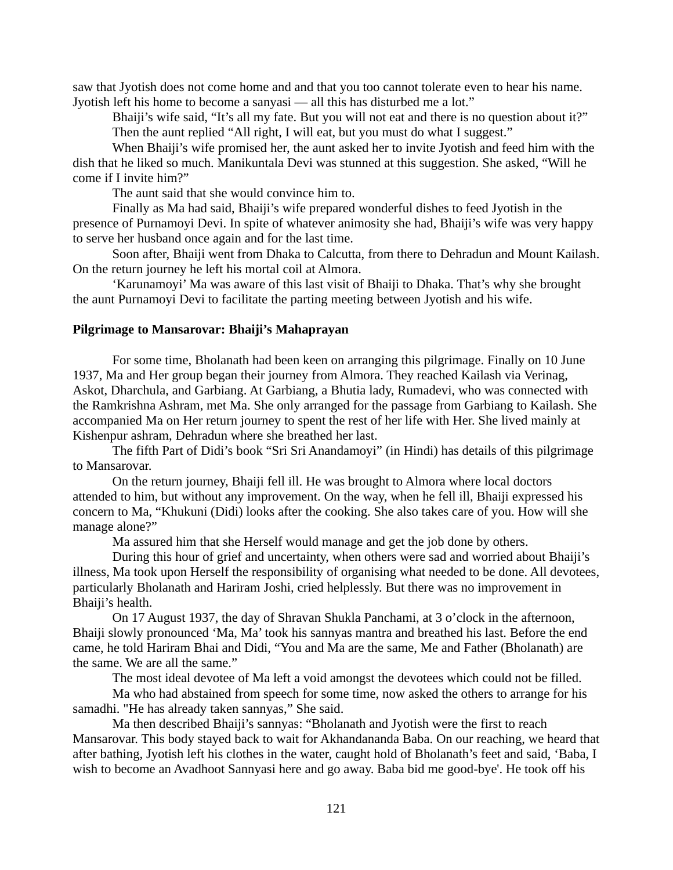saw that Jyotish does not come home and and that you too cannot tolerate even to hear his name. Jyotish left his home to become a sanyasi — all this has disturbed me a lot."

Bhaiji's wife said, "It's all my fate. But you will not eat and there is no question about it?" Then the aunt replied "All right, I will eat, but you must do what I suggest."

When Bhaiji's wife promised her, the aunt asked her to invite Jyotish and feed him with the dish that he liked so much. Manikuntala Devi was stunned at this suggestion. She asked, "Will he come if I invite him?"

The aunt said that she would convince him to.

Finally as Ma had said, Bhaiji's wife prepared wonderful dishes to feed Jyotish in the presence of Purnamoyi Devi. In spite of whatever animosity she had, Bhaiji's wife was very happy to serve her husband once again and for the last time.

Soon after, Bhaiji went from Dhaka to Calcutta, from there to Dehradun and Mount Kailash. On the return journey he left his mortal coil at Almora.

'Karunamoyi' Ma was aware of this last visit of Bhaiji to Dhaka. That's why she brought the aunt Purnamoyi Devi to facilitate the parting meeting between Jyotish and his wife.

# **Pilgrimage to Mansarovar: Bhaiji's Mahaprayan**

For some time, Bholanath had been keen on arranging this pilgrimage. Finally on 10 June 1937, Ma and Her group began their journey from Almora. They reached Kailash via Verinag, Askot, Dharchula, and Garbiang. At Garbiang, a Bhutia lady, Rumadevi, who was connected with the Ramkrishna Ashram, met Ma. She only arranged for the passage from Garbiang to Kailash. She accompanied Ma on Her return journey to spent the rest of her life with Her. She lived mainly at Kishenpur ashram, Dehradun where she breathed her last.

The fifth Part of Didi's book "Sri Sri Anandamoyi" (in Hindi) has details of this pilgrimage to Mansarovar.

On the return journey, Bhaiji fell ill. He was brought to Almora where local doctors attended to him, but without any improvement. On the way, when he fell ill, Bhaiji expressed his concern to Ma, "Khukuni (Didi) looks after the cooking. She also takes care of you. How will she manage alone?"

Ma assured him that she Herself would manage and get the job done by others.

During this hour of grief and uncertainty, when others were sad and worried about Bhaiji's illness, Ma took upon Herself the responsibility of organising what needed to be done. All devotees, particularly Bholanath and Hariram Joshi, cried helplessly. But there was no improvement in Bhaiji's health.

On 17 August 1937, the day of Shravan Shukla Panchami, at 3 o'clock in the afternoon, Bhaiji slowly pronounced 'Ma, Ma' took his sannyas mantra and breathed his last. Before the end came, he told Hariram Bhai and Didi, "You and Ma are the same, Me and Father (Bholanath) are the same. We are all the same."

The most ideal devotee of Ma left a void amongst the devotees which could not be filled.

Ma who had abstained from speech for some time, now asked the others to arrange for his samadhi. "He has already taken sannyas," She said.

Ma then described Bhaiji's sannyas: "Bholanath and Jyotish were the first to reach Mansarovar. This body stayed back to wait for Akhandananda Baba. On our reaching, we heard that after bathing, Jyotish left his clothes in the water, caught hold of Bholanath's feet and said, 'Baba, I wish to become an Avadhoot Sannyasi here and go away. Baba bid me good-bye'. He took off his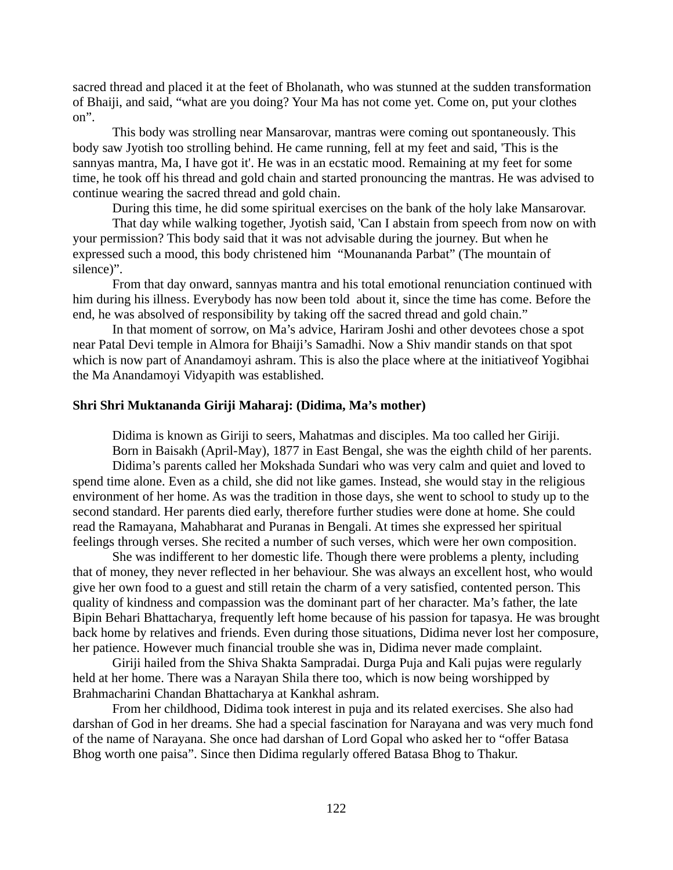sacred thread and placed it at the feet of Bholanath, who was stunned at the sudden transformation of Bhaiji, and said, "what are you doing? Your Ma has not come yet. Come on, put your clothes on".

This body was strolling near Mansarovar, mantras were coming out spontaneously. This body saw Jyotish too strolling behind. He came running, fell at my feet and said, 'This is the sannyas mantra, Ma, I have got it'. He was in an ecstatic mood. Remaining at my feet for some time, he took off his thread and gold chain and started pronouncing the mantras. He was advised to continue wearing the sacred thread and gold chain.

During this time, he did some spiritual exercises on the bank of the holy lake Mansarovar.

That day while walking together, Jyotish said, 'Can I abstain from speech from now on with your permission? This body said that it was not advisable during the journey. But when he expressed such a mood, this body christened him "Mounananda Parbat" (The mountain of silence)".

From that day onward, sannyas mantra and his total emotional renunciation continued with him during his illness. Everybody has now been told about it, since the time has come. Before the end, he was absolved of responsibility by taking off the sacred thread and gold chain."

In that moment of sorrow, on Ma's advice, Hariram Joshi and other devotees chose a spot near Patal Devi temple in Almora for Bhaiji's Samadhi. Now a Shiv mandir stands on that spot which is now part of Anandamoyi ashram. This is also the place where at the initiativeof Yogibhai the Ma Anandamoyi Vidyapith was established.

# **Shri Shri Muktananda Giriji Maharaj: (Didima, Ma's mother)**

Didima is known as Giriji to seers, Mahatmas and disciples. Ma too called her Giriji. Born in Baisakh (April-May), 1877 in East Bengal, she was the eighth child of her parents. Didima's parents called her Mokshada Sundari who was very calm and quiet and loved to spend time alone. Even as a child, she did not like games. Instead, she would stay in the religious environment of her home. As was the tradition in those days, she went to school to study up to the second standard. Her parents died early, therefore further studies were done at home. She could read the Ramayana, Mahabharat and Puranas in Bengali. At times she expressed her spiritual feelings through verses. She recited a number of such verses, which were her own composition.

She was indifferent to her domestic life. Though there were problems a plenty, including that of money, they never reflected in her behaviour. She was always an excellent host, who would give her own food to a guest and still retain the charm of a very satisfied, contented person. This quality of kindness and compassion was the dominant part of her character. Ma's father, the late Bipin Behari Bhattacharya, frequently left home because of his passion for tapasya. He was brought back home by relatives and friends. Even during those situations, Didima never lost her composure, her patience. However much financial trouble she was in, Didima never made complaint.

Giriji hailed from the Shiva Shakta Sampradai. Durga Puja and Kali pujas were regularly held at her home. There was a Narayan Shila there too, which is now being worshipped by Brahmacharini Chandan Bhattacharya at Kankhal ashram.

From her childhood, Didima took interest in puja and its related exercises. She also had darshan of God in her dreams. She had a special fascination for Narayana and was very much fond of the name of Narayana. She once had darshan of Lord Gopal who asked her to "offer Batasa Bhog worth one paisa". Since then Didima regularly offered Batasa Bhog to Thakur.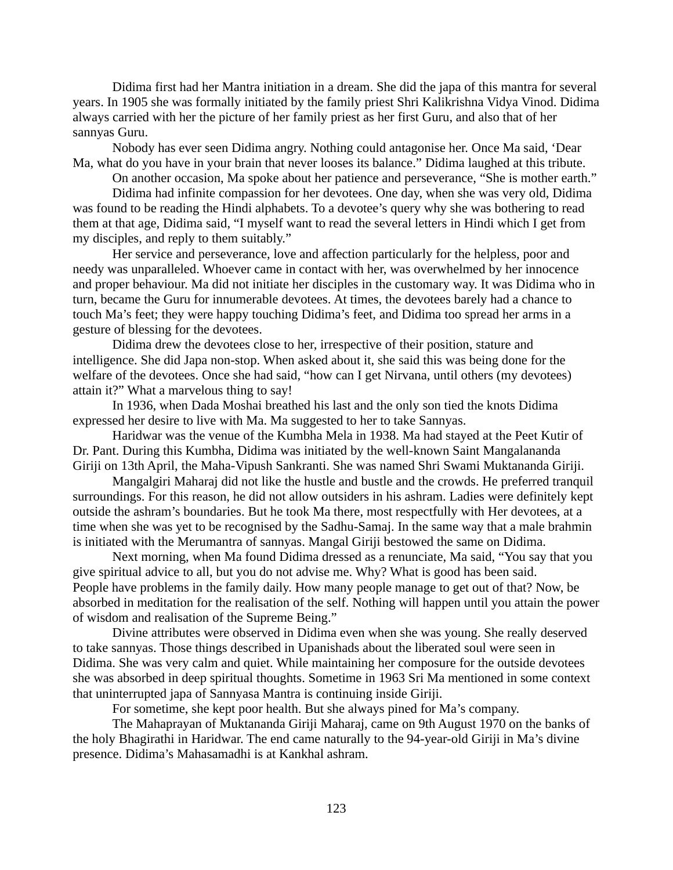Didima first had her Mantra initiation in a dream. She did the japa of this mantra for several years. In 1905 she was formally initiated by the family priest Shri Kalikrishna Vidya Vinod. Didima always carried with her the picture of her family priest as her first Guru, and also that of her sannyas Guru.

Nobody has ever seen Didima angry. Nothing could antagonise her. Once Ma said, 'Dear Ma, what do you have in your brain that never looses its balance." Didima laughed at this tribute.

On another occasion, Ma spoke about her patience and perseverance, "She is mother earth."

Didima had infinite compassion for her devotees. One day, when she was very old, Didima was found to be reading the Hindi alphabets. To a devotee's query why she was bothering to read them at that age, Didima said, "I myself want to read the several letters in Hindi which I get from my disciples, and reply to them suitably."

Her service and perseverance, love and affection particularly for the helpless, poor and needy was unparalleled. Whoever came in contact with her, was overwhelmed by her innocence and proper behaviour. Ma did not initiate her disciples in the customary way. It was Didima who in turn, became the Guru for innumerable devotees. At times, the devotees barely had a chance to touch Ma's feet; they were happy touching Didima's feet, and Didima too spread her arms in a gesture of blessing for the devotees.

Didima drew the devotees close to her, irrespective of their position, stature and intelligence. She did Japa non-stop. When asked about it, she said this was being done for the welfare of the devotees. Once she had said, "how can I get Nirvana, until others (my devotees) attain it?" What a marvelous thing to say!

In 1936, when Dada Moshai breathed his last and the only son tied the knots Didima expressed her desire to live with Ma. Ma suggested to her to take Sannyas.

Haridwar was the venue of the Kumbha Mela in 1938. Ma had stayed at the Peet Kutir of Dr. Pant. During this Kumbha, Didima was initiated by the well-known Saint Mangalananda Giriji on 13th April, the Maha-Vipush Sankranti. She was named Shri Swami Muktananda Giriji.

Mangalgiri Maharaj did not like the hustle and bustle and the crowds. He preferred tranquil surroundings. For this reason, he did not allow outsiders in his ashram. Ladies were definitely kept outside the ashram's boundaries. But he took Ma there, most respectfully with Her devotees, at a time when she was yet to be recognised by the Sadhu-Samaj. In the same way that a male brahmin is initiated with the Merumantra of sannyas. Mangal Giriji bestowed the same on Didima.

Next morning, when Ma found Didima dressed as a renunciate, Ma said, "You say that you give spiritual advice to all, but you do not advise me. Why? What is good has been said. People have problems in the family daily. How many people manage to get out of that? Now, be absorbed in meditation for the realisation of the self. Nothing will happen until you attain the power of wisdom and realisation of the Supreme Being."

Divine attributes were observed in Didima even when she was young. She really deserved to take sannyas. Those things described in Upanishads about the liberated soul were seen in Didima. She was very calm and quiet. While maintaining her composure for the outside devotees she was absorbed in deep spiritual thoughts. Sometime in 1963 Sri Ma mentioned in some context that uninterrupted japa of Sannyasa Mantra is continuing inside Giriji.

For sometime, she kept poor health. But she always pined for Ma's company.

The Mahaprayan of Muktananda Giriji Maharaj, came on 9th August 1970 on the banks of the holy Bhagirathi in Haridwar. The end came naturally to the 94-year-old Giriji in Ma's divine presence. Didima's Mahasamadhi is at Kankhal ashram.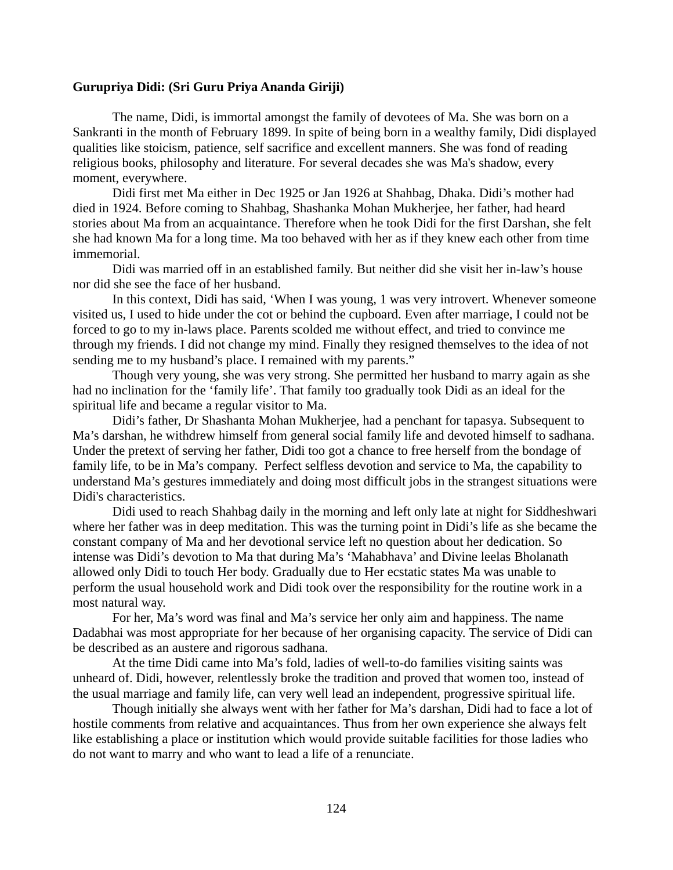# **Gurupriya Didi: (Sri Guru Priya Ananda Giriji)**

The name, Didi, is immortal amongst the family of devotees of Ma. She was born on a Sankranti in the month of February 1899. In spite of being born in a wealthy family, Didi displayed qualities like stoicism, patience, self sacrifice and excellent manners. She was fond of reading religious books, philosophy and literature. For several decades she was Ma's shadow, every moment, everywhere.

Didi first met Ma either in Dec 1925 or Jan 1926 at Shahbag, Dhaka. Didi's mother had died in 1924. Before coming to Shahbag, Shashanka Mohan Mukherjee, her father, had heard stories about Ma from an acquaintance. Therefore when he took Didi for the first Darshan, she felt she had known Ma for a long time. Ma too behaved with her as if they knew each other from time immemorial.

Didi was married off in an established family. But neither did she visit her in-law's house nor did she see the face of her husband.

In this context, Didi has said, 'When I was young, 1 was very introvert. Whenever someone visited us, I used to hide under the cot or behind the cupboard. Even after marriage, I could not be forced to go to my in-laws place. Parents scolded me without effect, and tried to convince me through my friends. I did not change my mind. Finally they resigned themselves to the idea of not sending me to my husband's place. I remained with my parents."

Though very young, she was very strong. She permitted her husband to marry again as she had no inclination for the 'family life'. That family too gradually took Didi as an ideal for the spiritual life and became a regular visitor to Ma.

Didi's father, Dr Shashanta Mohan Mukherjee, had a penchant for tapasya. Subsequent to Ma's darshan, he withdrew himself from general social family life and devoted himself to sadhana. Under the pretext of serving her father, Didi too got a chance to free herself from the bondage of family life, to be in Ma's company. Perfect selfless devotion and service to Ma, the capability to understand Ma's gestures immediately and doing most difficult jobs in the strangest situations were Didi's characteristics.

Didi used to reach Shahbag daily in the morning and left only late at night for Siddheshwari where her father was in deep meditation. This was the turning point in Didi's life as she became the constant company of Ma and her devotional service left no question about her dedication. So intense was Didi's devotion to Ma that during Ma's 'Mahabhava' and Divine leelas Bholanath allowed only Didi to touch Her body. Gradually due to Her ecstatic states Ma was unable to perform the usual household work and Didi took over the responsibility for the routine work in a most natural way.

For her, Ma's word was final and Ma's service her only aim and happiness. The name Dadabhai was most appropriate for her because of her organising capacity. The service of Didi can be described as an austere and rigorous sadhana.

At the time Didi came into Ma's fold, ladies of well-to-do families visiting saints was unheard of. Didi, however, relentlessly broke the tradition and proved that women too, instead of the usual marriage and family life, can very well lead an independent, progressive spiritual life.

Though initially she always went with her father for Ma's darshan, Didi had to face a lot of hostile comments from relative and acquaintances. Thus from her own experience she always felt like establishing a place or institution which would provide suitable facilities for those ladies who do not want to marry and who want to lead a life of a renunciate.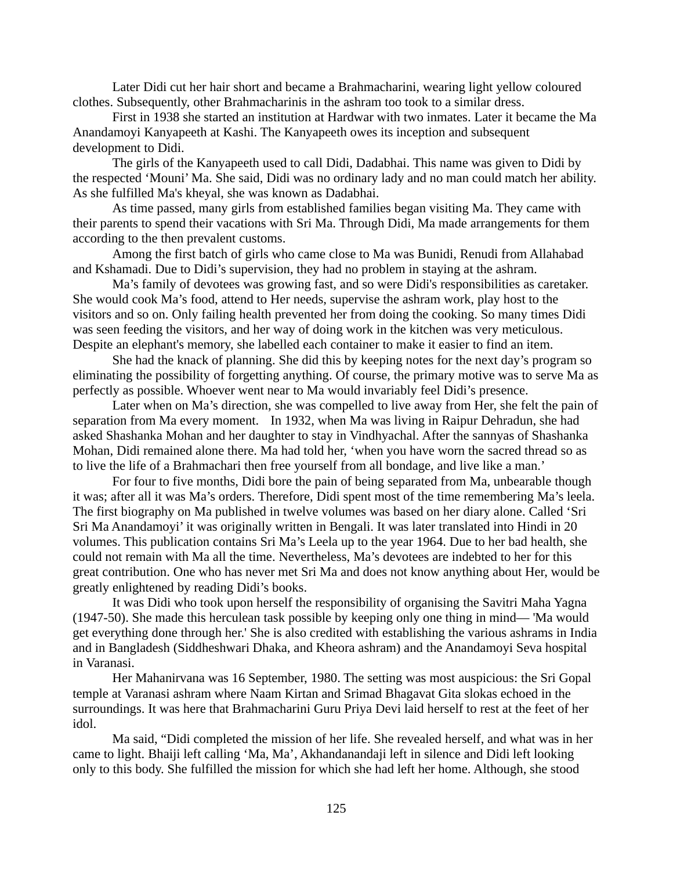Later Didi cut her hair short and became a Brahmacharini, wearing light yellow coloured clothes. Subsequently, other Brahmacharinis in the ashram too took to a similar dress.

First in 1938 she started an institution at Hardwar with two inmates. Later it became the Ma Anandamoyi Kanyapeeth at Kashi. The Kanyapeeth owes its inception and subsequent development to Didi.

The girls of the Kanyapeeth used to call Didi, Dadabhai. This name was given to Didi by the respected 'Mouni' Ma. She said, Didi was no ordinary lady and no man could match her ability. As she fulfilled Ma's kheyal, she was known as Dadabhai.

As time passed, many girls from established families began visiting Ma. They came with their parents to spend their vacations with Sri Ma. Through Didi, Ma made arrangements for them according to the then prevalent customs.

Among the first batch of girls who came close to Ma was Bunidi, Renudi from Allahabad and Kshamadi. Due to Didi's supervision, they had no problem in staying at the ashram.

Ma's family of devotees was growing fast, and so were Didi's responsibilities as caretaker. She would cook Ma's food, attend to Her needs, supervise the ashram work, play host to the visitors and so on. Only failing health prevented her from doing the cooking. So many times Didi was seen feeding the visitors, and her way of doing work in the kitchen was very meticulous. Despite an elephant's memory, she labelled each container to make it easier to find an item.

She had the knack of planning. She did this by keeping notes for the next day's program so eliminating the possibility of forgetting anything. Of course, the primary motive was to serve Ma as perfectly as possible. Whoever went near to Ma would invariably feel Didi's presence.

Later when on Ma's direction, she was compelled to live away from Her, she felt the pain of separation from Ma every moment. In 1932, when Ma was living in Raipur Dehradun, she had asked Shashanka Mohan and her daughter to stay in Vindhyachal. After the sannyas of Shashanka Mohan, Didi remained alone there. Ma had told her, 'when you have worn the sacred thread so as to live the life of a Brahmachari then free yourself from all bondage, and live like a man.'

For four to five months, Didi bore the pain of being separated from Ma, unbearable though it was; after all it was Ma's orders. Therefore, Didi spent most of the time remembering Ma's leela. The first biography on Ma published in twelve volumes was based on her diary alone. Called 'Sri Sri Ma Anandamoyi' it was originally written in Bengali. It was later translated into Hindi in 20 volumes. This publication contains Sri Ma's Leela up to the year 1964. Due to her bad health, she could not remain with Ma all the time. Nevertheless, Ma's devotees are indebted to her for this great contribution. One who has never met Sri Ma and does not know anything about Her, would be greatly enlightened by reading Didi's books.

It was Didi who took upon herself the responsibility of organising the Savitri Maha Yagna (1947-50). She made this herculean task possible by keeping only one thing in mind— 'Ma would get everything done through her.' She is also credited with establishing the various ashrams in India and in Bangladesh (Siddheshwari Dhaka, and Kheora ashram) and the Anandamoyi Seva hospital in Varanasi.

Her Mahanirvana was 16 September, 1980. The setting was most auspicious: the Sri Gopal temple at Varanasi ashram where Naam Kirtan and Srimad Bhagavat Gita slokas echoed in the surroundings. It was here that Brahmacharini Guru Priya Devi laid herself to rest at the feet of her idol.

Ma said, "Didi completed the mission of her life. She revealed herself, and what was in her came to light. Bhaiji left calling 'Ma, Ma', Akhandanandaji left in silence and Didi left looking only to this body. She fulfilled the mission for which she had left her home. Although, she stood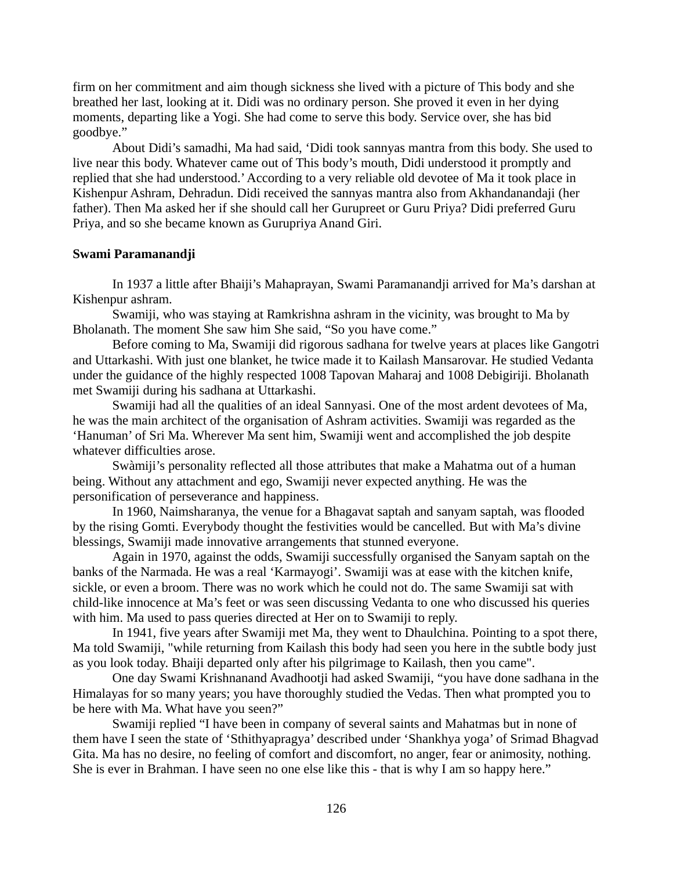firm on her commitment and aim though sickness she lived with a picture of This body and she breathed her last, looking at it. Didi was no ordinary person. She proved it even in her dying moments, departing like a Yogi. She had come to serve this body. Service over, she has bid goodbye."

About Didi's samadhi, Ma had said, 'Didi took sannyas mantra from this body. She used to live near this body. Whatever came out of This body's mouth, Didi understood it promptly and replied that she had understood.' According to a very reliable old devotee of Ma it took place in Kishenpur Ashram, Dehradun. Didi received the sannyas mantra also from Akhandanandaji (her father). Then Ma asked her if she should call her Gurupreet or Guru Priya? Didi preferred Guru Priya, and so she became known as Gurupriya Anand Giri.

# **Swami Paramanandji**

In 1937 a little after Bhaiji's Mahaprayan, Swami Paramanandji arrived for Ma's darshan at Kishenpur ashram.

Swamiji, who was staying at Ramkrishna ashram in the vicinity, was brought to Ma by Bholanath. The moment She saw him She said, "So you have come."

Before coming to Ma, Swamiji did rigorous sadhana for twelve years at places like Gangotri and Uttarkashi. With just one blanket, he twice made it to Kailash Mansarovar. He studied Vedanta under the guidance of the highly respected 1008 Tapovan Maharaj and 1008 Debigiriji. Bholanath met Swamiji during his sadhana at Uttarkashi.

Swamiji had all the qualities of an ideal Sannyasi. One of the most ardent devotees of Ma, he was the main architect of the organisation of Ashram activities. Swamiji was regarded as the 'Hanuman' of Sri Ma. Wherever Ma sent him, Swamiji went and accomplished the job despite whatever difficulties arose.

Swàmiji's personality reflected all those attributes that make a Mahatma out of a human being. Without any attachment and ego, Swamiji never expected anything. He was the personification of perseverance and happiness.

In 1960, Naimsharanya, the venue for a Bhagavat saptah and sanyam saptah, was flooded by the rising Gomti. Everybody thought the festivities would be cancelled. But with Ma's divine blessings, Swamiji made innovative arrangements that stunned everyone.

Again in 1970, against the odds, Swamiji successfully organised the Sanyam saptah on the banks of the Narmada. He was a real 'Karmayogi'. Swamiji was at ease with the kitchen knife, sickle, or even a broom. There was no work which he could not do. The same Swamiji sat with child-like innocence at Ma's feet or was seen discussing Vedanta to one who discussed his queries with him. Ma used to pass queries directed at Her on to Swamiji to reply.

In 1941, five years after Swamiji met Ma, they went to Dhaulchina. Pointing to a spot there, Ma told Swamiji, "while returning from Kailash this body had seen you here in the subtle body just as you look today. Bhaiji departed only after his pilgrimage to Kailash, then you came".

One day Swami Krishnanand Avadhootji had asked Swamiji, "you have done sadhana in the Himalayas for so many years; you have thoroughly studied the Vedas. Then what prompted you to be here with Ma. What have you seen?"

Swamiji replied "I have been in company of several saints and Mahatmas but in none of them have I seen the state of 'Sthithyapragya' described under 'Shankhya yoga' of Srimad Bhagvad Gita. Ma has no desire, no feeling of comfort and discomfort, no anger, fear or animosity, nothing. She is ever in Brahman. I have seen no one else like this - that is why I am so happy here."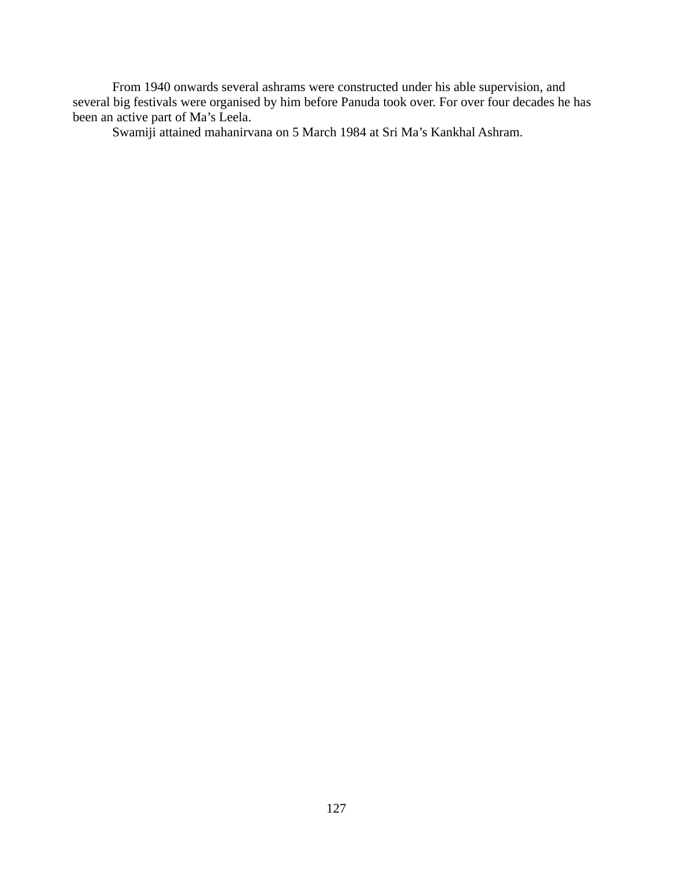From 1940 onwards several ashrams were constructed under his able supervision, and several big festivals were organised by him before Panuda took over. For over four decades he has been an active part of Ma's Leela.

Swamiji attained mahanirvana on 5 March 1984 at Sri Ma's Kankhal Ashram.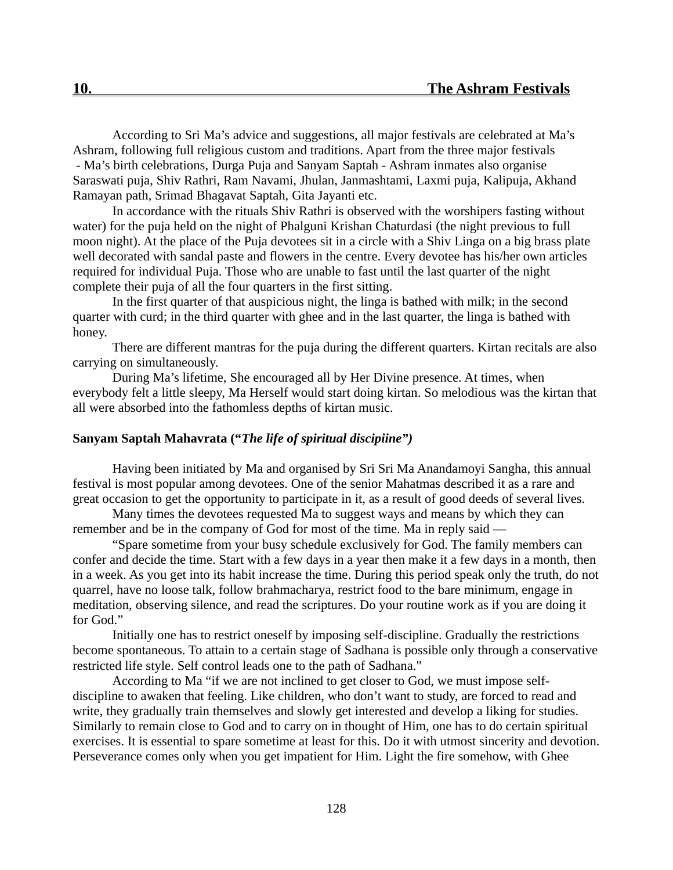According to Sri Ma's advice and suggestions, all major festivals are celebrated at Ma's Ashram, following full religious custom and traditions. Apart from the three major festivals - Ma's birth celebrations, Durga Puja and Sanyam Saptah - Ashram inmates also organise Saraswati puja, Shiv Rathri, Ram Navami, Jhulan, Janmashtami, Laxmi puja, Kalipuja, Akhand Ramayan path, Srimad Bhagavat Saptah, Gita Jayanti etc.

In accordance with the rituals Shiv Rathri is observed with the worshipers fasting without water) for the puja held on the night of Phalguni Krishan Chaturdasi (the night previous to full moon night). At the place of the Puja devotees sit in a circle with a Shiv Linga on a big brass plate well decorated with sandal paste and flowers in the centre. Every devotee has his/her own articles required for individual Puja. Those who are unable to fast until the last quarter of the night complete their puja of all the four quarters in the first sitting.

In the first quarter of that auspicious night, the linga is bathed with milk; in the second quarter with curd; in the third quarter with ghee and in the last quarter, the linga is bathed with honey.

There are different mantras for the puja during the different quarters. Kirtan recitals are also carrying on simultaneously.

During Ma's lifetime, She encouraged all by Her Divine presence. At times, when everybody felt a little sleepy, Ma Herself would start doing kirtan. So melodious was the kirtan that all were absorbed into the fathomless depths of kirtan music.

# **Sanyam Saptah Mahavrata ("***The life of spiritual discipiine")*

Having been initiated by Ma and organised by Sri Sri Ma Anandamoyi Sangha, this annual festival is most popular among devotees. One of the senior Mahatmas described it as a rare and great occasion to get the opportunity to participate in it, as a result of good deeds of several lives.

Many times the devotees requested Ma to suggest ways and means by which they can remember and be in the company of God for most of the time. Ma in reply said —

"Spare sometime from your busy schedule exclusively for God. The family members can confer and decide the time. Start with a few days in a year then make it a few days in a month, then in a week. As you get into its habit increase the time. During this period speak only the truth, do not quarrel, have no loose talk, follow brahmacharya, restrict food to the bare minimum, engage in meditation, observing silence, and read the scriptures. Do your routine work as if you are doing it for God."

Initially one has to restrict oneself by imposing self-discipline. Gradually the restrictions become spontaneous. To attain to a certain stage of Sadhana is possible only through a conservative restricted life style. Self control leads one to the path of Sadhana."

According to Ma "if we are not inclined to get closer to God, we must impose selfdiscipline to awaken that feeling. Like children, who don't want to study, are forced to read and write, they gradually train themselves and slowly get interested and develop a liking for studies. Similarly to remain close to God and to carry on in thought of Him, one has to do certain spiritual exercises. It is essential to spare sometime at least for this. Do it with utmost sincerity and devotion. Perseverance comes only when you get impatient for Him. Light the fire somehow, with Ghee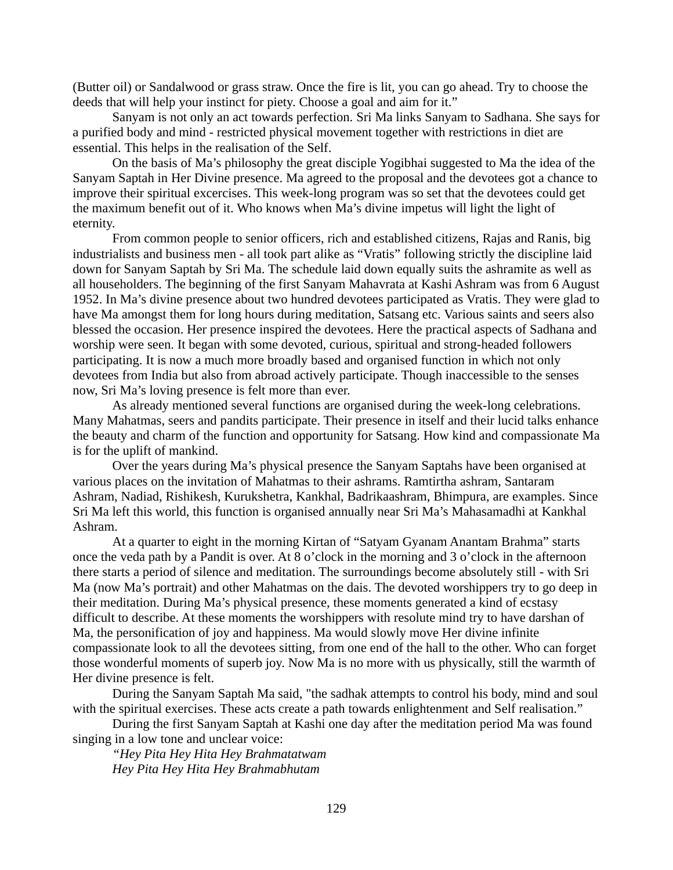(Butter oil) or Sandalwood or grass straw. Once the fire is lit, you can go ahead. Try to choose the deeds that will help your instinct for piety. Choose a goal and aim for it."

Sanyam is not only an act towards perfection. Sri Ma links Sanyam to Sadhana. She says for a purified body and mind - restricted physical movement together with restrictions in diet are essential. This helps in the realisation of the Self.

On the basis of Ma's philosophy the great disciple Yogibhai suggested to Ma the idea of the Sanyam Saptah in Her Divine presence. Ma agreed to the proposal and the devotees got a chance to improve their spiritual excercises. This week-long program was so set that the devotees could get the maximum benefit out of it. Who knows when Ma's divine impetus will light the light of eternity.

From common people to senior officers, rich and established citizens, Rajas and Ranis, big industrialists and business men - all took part alike as "Vratis" following strictly the discipline laid down for Sanyam Saptah by Sri Ma. The schedule laid down equally suits the ashramite as well as all householders. The beginning of the first Sanyam Mahavrata at Kashi Ashram was from 6 August 1952. In Ma's divine presence about two hundred devotees participated as Vratis. They were glad to have Ma amongst them for long hours during meditation, Satsang etc. Various saints and seers also blessed the occasion. Her presence inspired the devotees. Here the practical aspects of Sadhana and worship were seen. It began with some devoted, curious, spiritual and strong-headed followers participating. It is now a much more broadly based and organised function in which not only devotees from India but also from abroad actively participate. Though inaccessible to the senses now, Sri Ma's loving presence is felt more than ever.

As already mentioned several functions are organised during the week-long celebrations. Many Mahatmas, seers and pandits participate. Their presence in itself and their lucid talks enhance the beauty and charm of the function and opportunity for Satsang. How kind and compassionate Ma is for the uplift of mankind.

Over the years during Ma's physical presence the Sanyam Saptahs have been organised at various places on the invitation of Mahatmas to their ashrams. Ramtirtha ashram, Santaram Ashram, Nadiad, Rishikesh, Kurukshetra, Kankhal, Badrikaashram, Bhimpura, are examples. Since Sri Ma left this world, this function is organised annually near Sri Ma's Mahasamadhi at Kankhal Ashram.

At a quarter to eight in the morning Kirtan of "Satyam Gyanam Anantam Brahma" starts once the veda path by a Pandit is over. At 8 o'clock in the morning and 3 o'clock in the afternoon there starts a period of silence and meditation. The surroundings become absolutely still - with Sri Ma (now Ma's portrait) and other Mahatmas on the dais. The devoted worshippers try to go deep in their meditation. During Ma's physical presence, these moments generated a kind of ecstasy difficult to describe. At these moments the worshippers with resolute mind try to have darshan of Ma, the personification of joy and happiness. Ma would slowly move Her divine infinite compassionate look to all the devotees sitting, from one end of the hall to the other. Who can forget those wonderful moments of superb joy. Now Ma is no more with us physically, still the warmth of Her divine presence is felt.

During the Sanyam Saptah Ma said, "the sadhak attempts to control his body, mind and soul with the spiritual exercises. These acts create a path towards enlightenment and Self realisation."

During the first Sanyam Saptah at Kashi one day after the meditation period Ma was found singing in a low tone and unclear voice:

*"Hey Pita Hey Hita Hey Brahmatatwam Hey Pita Hey Hita Hey Brahmabhutam*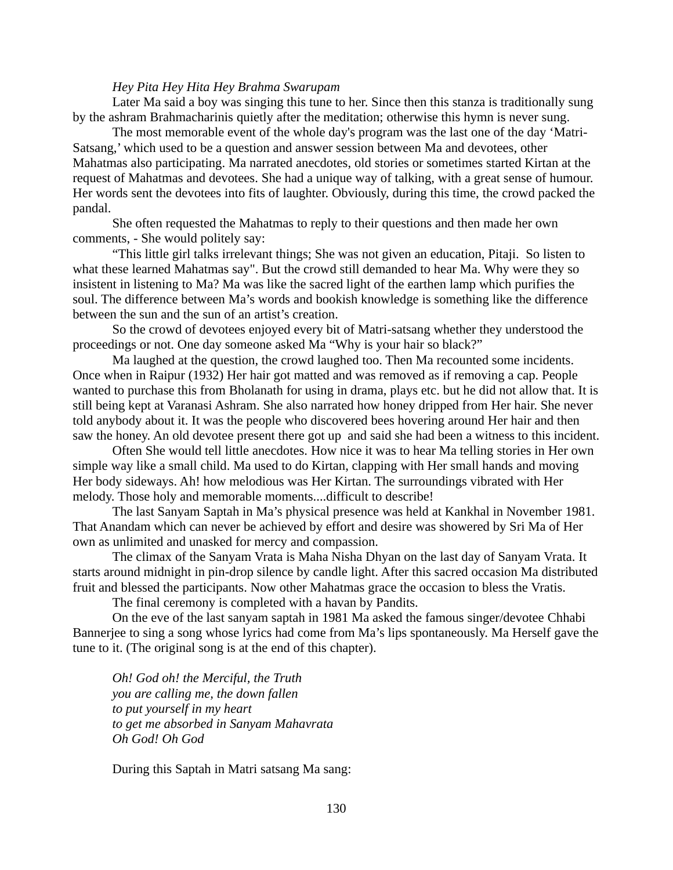#### *Hey Pita Hey Hita Hey Brahma Swarupam*

Later Ma said a boy was singing this tune to her. Since then this stanza is traditionally sung by the ashram Brahmacharinis quietly after the meditation; otherwise this hymn is never sung.

The most memorable event of the whole day's program was the last one of the day 'Matri-Satsang,' which used to be a question and answer session between Ma and devotees, other Mahatmas also participating. Ma narrated anecdotes, old stories or sometimes started Kirtan at the request of Mahatmas and devotees. She had a unique way of talking, with a great sense of humour. Her words sent the devotees into fits of laughter. Obviously, during this time, the crowd packed the pandal.

She often requested the Mahatmas to reply to their questions and then made her own comments, - She would politely say:

"This little girl talks irrelevant things; She was not given an education, Pitaji. So listen to what these learned Mahatmas say". But the crowd still demanded to hear Ma. Why were they so insistent in listening to Ma? Ma was like the sacred light of the earthen lamp which purifies the soul. The difference between Ma's words and bookish knowledge is something like the difference between the sun and the sun of an artist's creation.

So the crowd of devotees enjoyed every bit of Matri-satsang whether they understood the proceedings or not. One day someone asked Ma "Why is your hair so black?"

Ma laughed at the question, the crowd laughed too. Then Ma recounted some incidents. Once when in Raipur (1932) Her hair got matted and was removed as if removing a cap. People wanted to purchase this from Bholanath for using in drama, plays etc. but he did not allow that. It is still being kept at Varanasi Ashram. She also narrated how honey dripped from Her hair. She never told anybody about it. It was the people who discovered bees hovering around Her hair and then saw the honey. An old devotee present there got up and said she had been a witness to this incident.

Often She would tell little anecdotes. How nice it was to hear Ma telling stories in Her own simple way like a small child. Ma used to do Kirtan, clapping with Her small hands and moving Her body sideways. Ah! how melodious was Her Kirtan. The surroundings vibrated with Her melody. Those holy and memorable moments....difficult to describe!

The last Sanyam Saptah in Ma's physical presence was held at Kankhal in November 1981. That Anandam which can never be achieved by effort and desire was showered by Sri Ma of Her own as unlimited and unasked for mercy and compassion.

The climax of the Sanyam Vrata is Maha Nisha Dhyan on the last day of Sanyam Vrata. It starts around midnight in pin-drop silence by candle light. After this sacred occasion Ma distributed fruit and blessed the participants. Now other Mahatmas grace the occasion to bless the Vratis.

The final ceremony is completed with a havan by Pandits.

On the eve of the last sanyam saptah in 1981 Ma asked the famous singer/devotee Chhabi Bannerjee to sing a song whose lyrics had come from Ma's lips spontaneously. Ma Herself gave the tune to it. (The original song is at the end of this chapter).

*Oh! God oh! the Merciful, the Truth you are calling me, the down fallen to put yourself in my heart to get me absorbed in Sanyam Mahavrata Oh God! Oh God*

During this Saptah in Matri satsang Ma sang: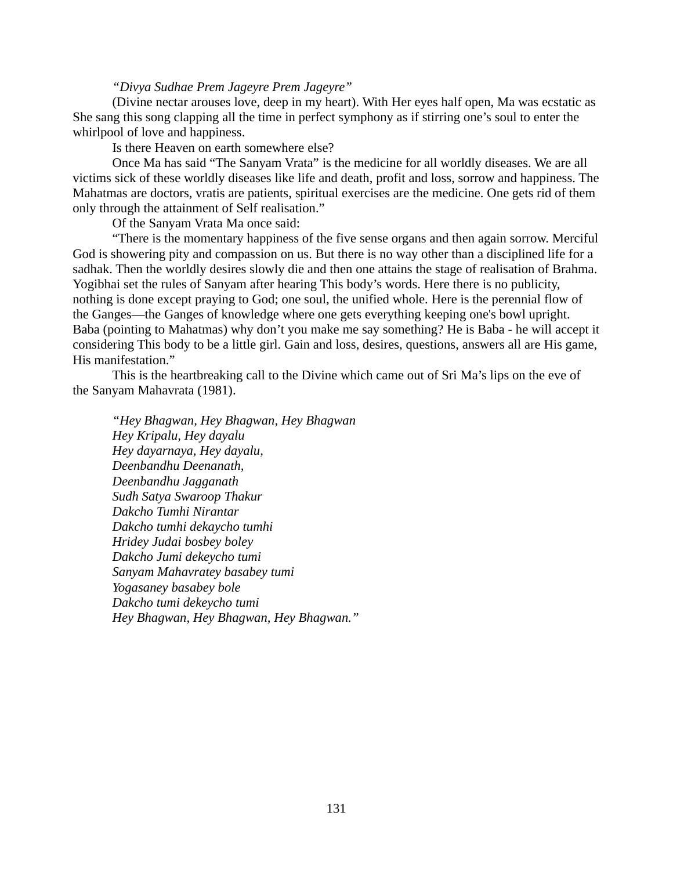#### *"Divya Sudhae Prem Jageyre Prem Jageyre"*

(Divine nectar arouses love, deep in my heart). With Her eyes half open, Ma was ecstatic as She sang this song clapping all the time in perfect symphony as if stirring one's soul to enter the whirlpool of love and happiness.

Is there Heaven on earth somewhere else?

Once Ma has said "The Sanyam Vrata" is the medicine for all worldly diseases. We are all victims sick of these worldly diseases like life and death, profit and loss, sorrow and happiness. The Mahatmas are doctors, vratis are patients, spiritual exercises are the medicine. One gets rid of them only through the attainment of Self realisation."

Of the Sanyam Vrata Ma once said:

"There is the momentary happiness of the five sense organs and then again sorrow. Merciful God is showering pity and compassion on us. But there is no way other than a disciplined life for a sadhak. Then the worldly desires slowly die and then one attains the stage of realisation of Brahma. Yogibhai set the rules of Sanyam after hearing This body's words. Here there is no publicity, nothing is done except praying to God; one soul, the unified whole. Here is the perennial flow of the Ganges—the Ganges of knowledge where one gets everything keeping one's bowl upright. Baba (pointing to Mahatmas) why don't you make me say something? He is Baba - he will accept it considering This body to be a little girl. Gain and loss, desires, questions, answers all are His game, His manifestation."

This is the heartbreaking call to the Divine which came out of Sri Ma's lips on the eve of the Sanyam Mahavrata (1981).

*"Hey Bhagwan, Hey Bhagwan, Hey Bhagwan Hey Kripalu, Hey dayalu Hey dayarnaya, Hey dayalu, Deenbandhu Deenanath, Deenbandhu Jagganath Sudh Satya Swaroop Thakur Dakcho Tumhi Nirantar Dakcho tumhi dekaycho tumhi Hridey Judai bosbey boley Dakcho Jumi dekeycho tumi Sanyam Mahavratey basabey tumi Yogasaney basabey bole Dakcho tumi dekeycho tumi Hey Bhagwan, Hey Bhagwan, Hey Bhagwan."*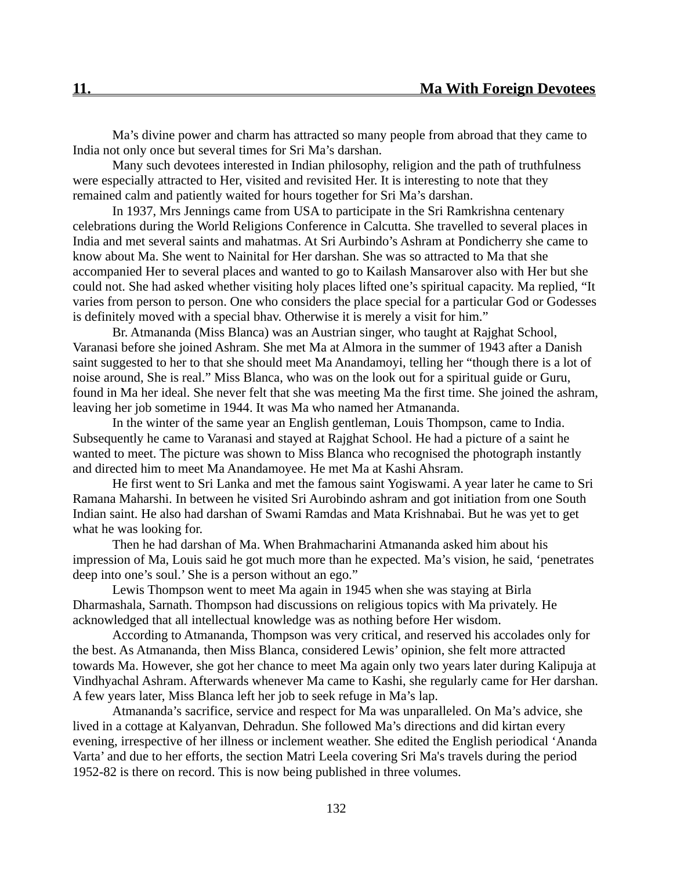Ma's divine power and charm has attracted so many people from abroad that they came to India not only once but several times for Sri Ma's darshan.

Many such devotees interested in Indian philosophy, religion and the path of truthfulness were especially attracted to Her, visited and revisited Her. It is interesting to note that they remained calm and patiently waited for hours together for Sri Ma's darshan.

In 1937, Mrs Jennings came from USA to participate in the Sri Ramkrishna centenary celebrations during the World Religions Conference in Calcutta. She travelled to several places in India and met several saints and mahatmas. At Sri Aurbindo's Ashram at Pondicherry she came to know about Ma. She went to Nainital for Her darshan. She was so attracted to Ma that she accompanied Her to several places and wanted to go to Kailash Mansarover also with Her but she could not. She had asked whether visiting holy places lifted one's spiritual capacity. Ma replied, "It varies from person to person. One who considers the place special for a particular God or Godesses is definitely moved with a special bhav. Otherwise it is merely a visit for him."

Br. Atmananda (Miss Blanca) was an Austrian singer, who taught at Rajghat School, Varanasi before she joined Ashram. She met Ma at Almora in the summer of 1943 after a Danish saint suggested to her to that she should meet Ma Anandamoyi, telling her "though there is a lot of noise around, She is real." Miss Blanca, who was on the look out for a spiritual guide or Guru, found in Ma her ideal. She never felt that she was meeting Ma the first time. She joined the ashram, leaving her job sometime in 1944. It was Ma who named her Atmananda.

In the winter of the same year an English gentleman, Louis Thompson, came to India. Subsequently he came to Varanasi and stayed at Rajghat School. He had a picture of a saint he wanted to meet. The picture was shown to Miss Blanca who recognised the photograph instantly and directed him to meet Ma Anandamoyee. He met Ma at Kashi Ahsram.

He first went to Sri Lanka and met the famous saint Yogiswami. A year later he came to Sri Ramana Maharshi. In between he visited Sri Aurobindo ashram and got initiation from one South Indian saint. He also had darshan of Swami Ramdas and Mata Krishnabai. But he was yet to get what he was looking for.

Then he had darshan of Ma. When Brahmacharini Atmananda asked him about his impression of Ma, Louis said he got much more than he expected. Ma's vision, he said, 'penetrates deep into one's soul.' She is a person without an ego."

Lewis Thompson went to meet Ma again in 1945 when she was staying at Birla Dharmashala, Sarnath. Thompson had discussions on religious topics with Ma privately. He acknowledged that all intellectual knowledge was as nothing before Her wisdom.

According to Atmananda, Thompson was very critical, and reserved his accolades only for the best. As Atmananda, then Miss Blanca, considered Lewis' opinion, she felt more attracted towards Ma. However, she got her chance to meet Ma again only two years later during Kalipuja at Vindhyachal Ashram. Afterwards whenever Ma came to Kashi, she regularly came for Her darshan. A few years later, Miss Blanca left her job to seek refuge in Ma's lap.

Atmananda's sacrifice, service and respect for Ma was unparalleled. On Ma's advice, she lived in a cottage at Kalyanvan, Dehradun. She followed Ma's directions and did kirtan every evening, irrespective of her illness or inclement weather. She edited the English periodical 'Ananda Varta' and due to her efforts, the section Matri Leela covering Sri Ma's travels during the period 1952-82 is there on record. This is now being published in three volumes.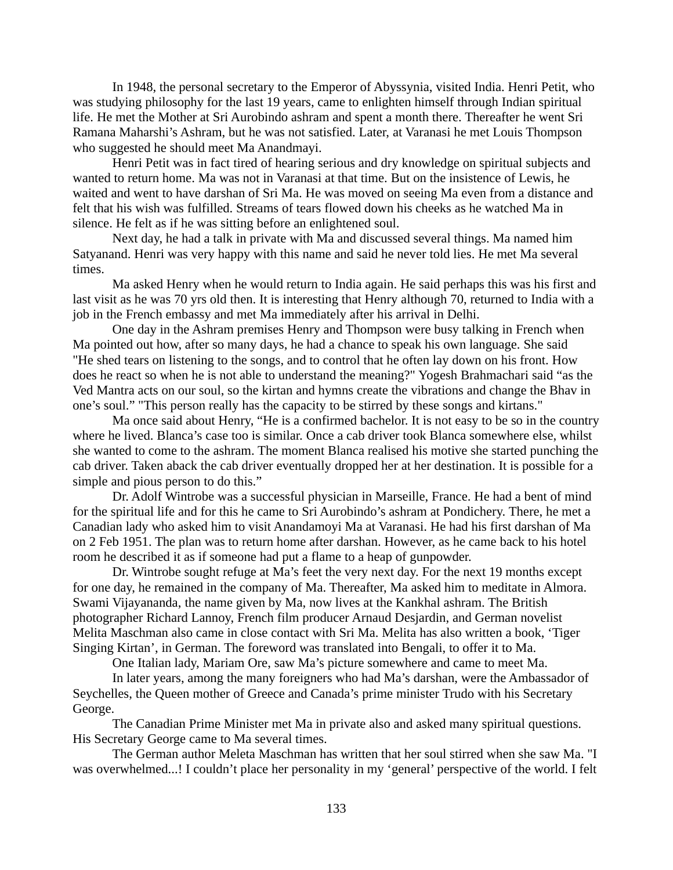In 1948, the personal secretary to the Emperor of Abyssynia, visited India. Henri Petit, who was studying philosophy for the last 19 years, came to enlighten himself through Indian spiritual life. He met the Mother at Sri Aurobindo ashram and spent a month there. Thereafter he went Sri Ramana Maharshi's Ashram, but he was not satisfied. Later, at Varanasi he met Louis Thompson who suggested he should meet Ma Anandmayi.

Henri Petit was in fact tired of hearing serious and dry knowledge on spiritual subjects and wanted to return home. Ma was not in Varanasi at that time. But on the insistence of Lewis, he waited and went to have darshan of Sri Ma. He was moved on seeing Ma even from a distance and felt that his wish was fulfilled. Streams of tears flowed down his cheeks as he watched Ma in silence. He felt as if he was sitting before an enlightened soul.

Next day, he had a talk in private with Ma and discussed several things. Ma named him Satyanand. Henri was very happy with this name and said he never told lies. He met Ma several times.

Ma asked Henry when he would return to India again. He said perhaps this was his first and last visit as he was 70 yrs old then. It is interesting that Henry although 70, returned to India with a job in the French embassy and met Ma immediately after his arrival in Delhi.

One day in the Ashram premises Henry and Thompson were busy talking in French when Ma pointed out how, after so many days, he had a chance to speak his own language. She said "He shed tears on listening to the songs, and to control that he often lay down on his front. How does he react so when he is not able to understand the meaning?" Yogesh Brahmachari said "as the Ved Mantra acts on our soul, so the kirtan and hymns create the vibrations and change the Bhav in one's soul." "This person really has the capacity to be stirred by these songs and kirtans."

Ma once said about Henry, "He is a confirmed bachelor. It is not easy to be so in the country where he lived. Blanca's case too is similar. Once a cab driver took Blanca somewhere else, whilst she wanted to come to the ashram. The moment Blanca realised his motive she started punching the cab driver. Taken aback the cab driver eventually dropped her at her destination. It is possible for a simple and pious person to do this."

Dr. Adolf Wintrobe was a successful physician in Marseille, France. He had a bent of mind for the spiritual life and for this he came to Sri Aurobindo's ashram at Pondichery. There, he met a Canadian lady who asked him to visit Anandamoyi Ma at Varanasi. He had his first darshan of Ma on 2 Feb 1951. The plan was to return home after darshan. However, as he came back to his hotel room he described it as if someone had put a flame to a heap of gunpowder.

Dr. Wintrobe sought refuge at Ma's feet the very next day. For the next 19 months except for one day, he remained in the company of Ma. Thereafter, Ma asked him to meditate in Almora. Swami Vijayananda, the name given by Ma, now lives at the Kankhal ashram. The British photographer Richard Lannoy, French film producer Arnaud Desjardin, and German novelist Melita Maschman also came in close contact with Sri Ma. Melita has also written a book, 'Tiger Singing Kirtan', in German. The foreword was translated into Bengali, to offer it to Ma.

One Italian lady, Mariam Ore, saw Ma's picture somewhere and came to meet Ma.

In later years, among the many foreigners who had Ma's darshan, were the Ambassador of Seychelles, the Queen mother of Greece and Canada's prime minister Trudo with his Secretary George.

The Canadian Prime Minister met Ma in private also and asked many spiritual questions. His Secretary George came to Ma several times.

The German author Meleta Maschman has written that her soul stirred when she saw Ma. "I was overwhelmed...! I couldn't place her personality in my 'general' perspective of the world. I felt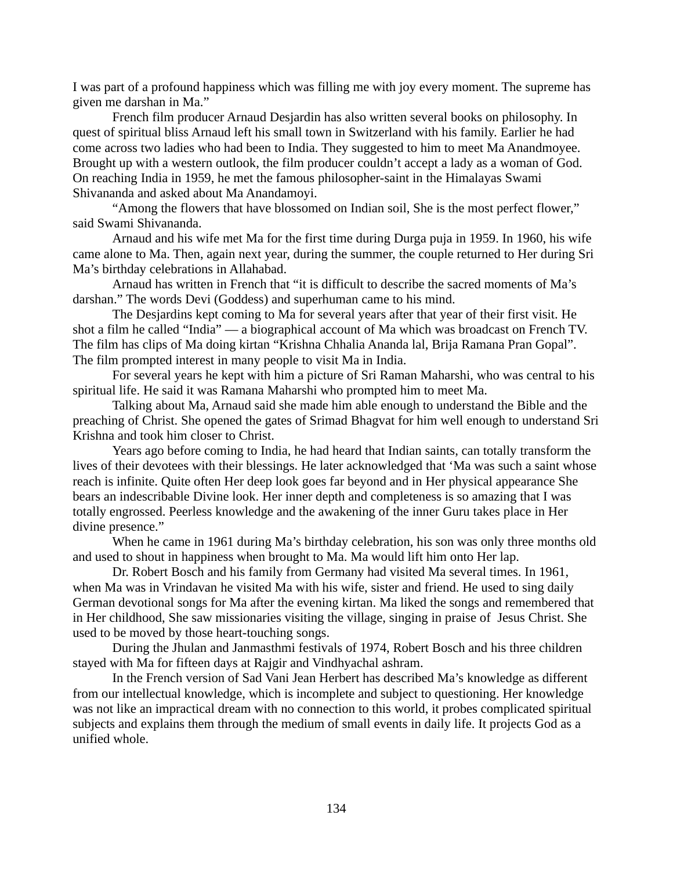I was part of a profound happiness which was filling me with joy every moment. The supreme has given me darshan in Ma."

French film producer Arnaud Desjardin has also written several books on philosophy. In quest of spiritual bliss Arnaud left his small town in Switzerland with his family. Earlier he had come across two ladies who had been to India. They suggested to him to meet Ma Anandmoyee. Brought up with a western outlook, the film producer couldn't accept a lady as a woman of God. On reaching India in 1959, he met the famous philosopher-saint in the Himalayas Swami Shivananda and asked about Ma Anandamoyi.

"Among the flowers that have blossomed on Indian soil, She is the most perfect flower," said Swami Shivananda.

Arnaud and his wife met Ma for the first time during Durga puja in 1959. In 1960, his wife came alone to Ma. Then, again next year, during the summer, the couple returned to Her during Sri Ma's birthday celebrations in Allahabad.

Arnaud has written in French that "it is difficult to describe the sacred moments of Ma's darshan." The words Devi (Goddess) and superhuman came to his mind.

The Desjardins kept coming to Ma for several years after that year of their first visit. He shot a film he called "India" — a biographical account of Ma which was broadcast on French TV. The film has clips of Ma doing kirtan "Krishna Chhalia Ananda lal, Brija Ramana Pran Gopal". The film prompted interest in many people to visit Ma in India.

For several years he kept with him a picture of Sri Raman Maharshi, who was central to his spiritual life. He said it was Ramana Maharshi who prompted him to meet Ma.

Talking about Ma, Arnaud said she made him able enough to understand the Bible and the preaching of Christ. She opened the gates of Srimad Bhagvat for him well enough to understand Sri Krishna and took him closer to Christ.

Years ago before coming to India, he had heard that Indian saints, can totally transform the lives of their devotees with their blessings. He later acknowledged that 'Ma was such a saint whose reach is infinite. Quite often Her deep look goes far beyond and in Her physical appearance She bears an indescribable Divine look. Her inner depth and completeness is so amazing that I was totally engrossed. Peerless knowledge and the awakening of the inner Guru takes place in Her divine presence."

When he came in 1961 during Ma's birthday celebration, his son was only three months old and used to shout in happiness when brought to Ma. Ma would lift him onto Her lap.

Dr. Robert Bosch and his family from Germany had visited Ma several times. In 1961, when Ma was in Vrindavan he visited Ma with his wife, sister and friend. He used to sing daily German devotional songs for Ma after the evening kirtan. Ma liked the songs and remembered that in Her childhood, She saw missionaries visiting the village, singing in praise of Jesus Christ. She used to be moved by those heart-touching songs.

During the Jhulan and Janmasthmi festivals of 1974, Robert Bosch and his three children stayed with Ma for fifteen days at Rajgir and Vindhyachal ashram.

In the French version of Sad Vani Jean Herbert has described Ma's knowledge as different from our intellectual knowledge, which is incomplete and subject to questioning. Her knowledge was not like an impractical dream with no connection to this world, it probes complicated spiritual subjects and explains them through the medium of small events in daily life. It projects God as a unified whole.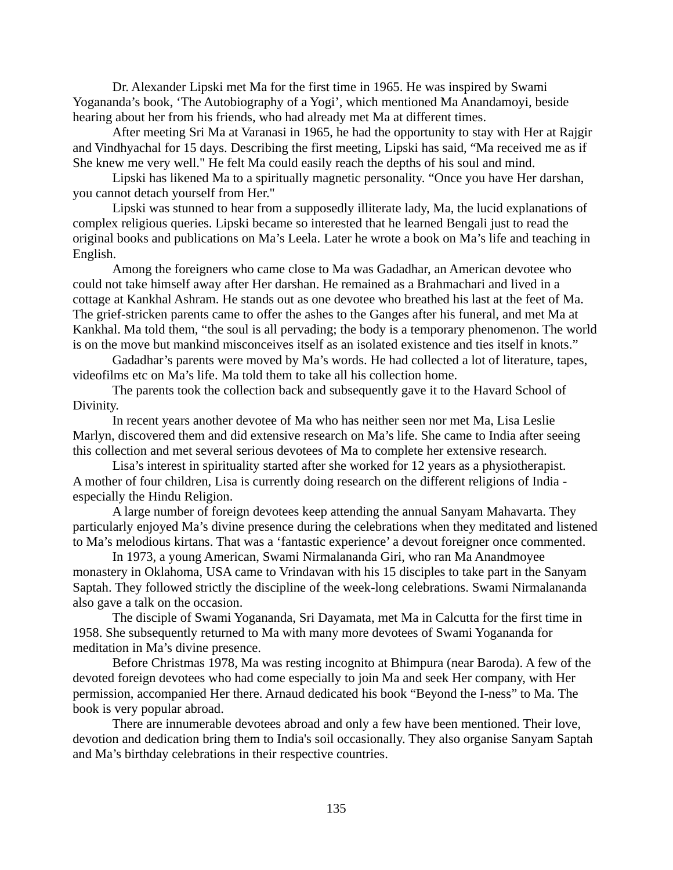Dr. Alexander Lipski met Ma for the first time in 1965. He was inspired by Swami Yogananda's book, 'The Autobiography of a Yogi', which mentioned Ma Anandamoyi, beside hearing about her from his friends, who had already met Ma at different times.

After meeting Sri Ma at Varanasi in 1965, he had the opportunity to stay with Her at Rajgir and Vindhyachal for 15 days. Describing the first meeting, Lipski has said, "Ma received me as if She knew me very well." He felt Ma could easily reach the depths of his soul and mind.

Lipski has likened Ma to a spiritually magnetic personality. "Once you have Her darshan, you cannot detach yourself from Her."

Lipski was stunned to hear from a supposedly illiterate lady, Ma, the lucid explanations of complex religious queries. Lipski became so interested that he learned Bengali just to read the original books and publications on Ma's Leela. Later he wrote a book on Ma's life and teaching in English.

Among the foreigners who came close to Ma was Gadadhar, an American devotee who could not take himself away after Her darshan. He remained as a Brahmachari and lived in a cottage at Kankhal Ashram. He stands out as one devotee who breathed his last at the feet of Ma. The grief-stricken parents came to offer the ashes to the Ganges after his funeral, and met Ma at Kankhal. Ma told them, "the soul is all pervading; the body is a temporary phenomenon. The world is on the move but mankind misconceives itself as an isolated existence and ties itself in knots."

Gadadhar's parents were moved by Ma's words. He had collected a lot of literature, tapes, videofilms etc on Ma's life. Ma told them to take all his collection home.

The parents took the collection back and subsequently gave it to the Havard School of Divinity.

In recent years another devotee of Ma who has neither seen nor met Ma, Lisa Leslie Marlyn, discovered them and did extensive research on Ma's life. She came to India after seeing this collection and met several serious devotees of Ma to complete her extensive research.

Lisa's interest in spirituality started after she worked for 12 years as a physiotherapist. A mother of four children, Lisa is currently doing research on the different religions of India especially the Hindu Religion.

A large number of foreign devotees keep attending the annual Sanyam Mahavarta. They particularly enjoyed Ma's divine presence during the celebrations when they meditated and listened to Ma's melodious kirtans. That was a 'fantastic experience' a devout foreigner once commented.

In 1973, a young American, Swami Nirmalananda Giri, who ran Ma Anandmoyee monastery in Oklahoma, USA came to Vrindavan with his 15 disciples to take part in the Sanyam Saptah. They followed strictly the discipline of the week-long celebrations. Swami Nirmalananda also gave a talk on the occasion.

The disciple of Swami Yogananda, Sri Dayamata, met Ma in Calcutta for the first time in 1958. She subsequently returned to Ma with many more devotees of Swami Yogananda for meditation in Ma's divine presence.

Before Christmas 1978, Ma was resting incognito at Bhimpura (near Baroda). A few of the devoted foreign devotees who had come especially to join Ma and seek Her company, with Her permission, accompanied Her there. Arnaud dedicated his book "Beyond the I-ness" to Ma. The book is very popular abroad.

There are innumerable devotees abroad and only a few have been mentioned. Their love, devotion and dedication bring them to India's soil occasionally. They also organise Sanyam Saptah and Ma's birthday celebrations in their respective countries.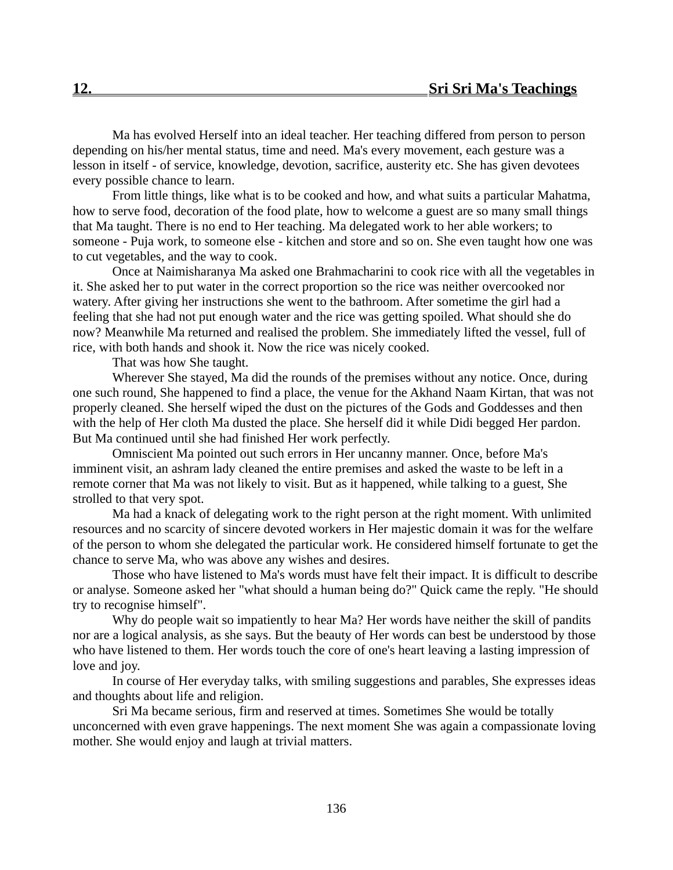Ma has evolved Herself into an ideal teacher. Her teaching differed from person to person depending on his/her mental status, time and need. Ma's every movement, each gesture was a lesson in itself - of service, knowledge, devotion, sacrifice, austerity etc. She has given devotees every possible chance to learn.

From little things, like what is to be cooked and how, and what suits a particular Mahatma, how to serve food, decoration of the food plate, how to welcome a guest are so many small things that Ma taught. There is no end to Her teaching. Ma delegated work to her able workers; to someone - Puja work, to someone else - kitchen and store and so on. She even taught how one was to cut vegetables, and the way to cook.

Once at Naimisharanya Ma asked one Brahmacharini to cook rice with all the vegetables in it. She asked her to put water in the correct proportion so the rice was neither overcooked nor watery. After giving her instructions she went to the bathroom. After sometime the girl had a feeling that she had not put enough water and the rice was getting spoiled. What should she do now? Meanwhile Ma returned and realised the problem. She immediately lifted the vessel, full of rice, with both hands and shook it. Now the rice was nicely cooked.

That was how She taught.

Wherever She stayed, Ma did the rounds of the premises without any notice. Once, during one such round, She happened to find a place, the venue for the Akhand Naam Kirtan, that was not properly cleaned. She herself wiped the dust on the pictures of the Gods and Goddesses and then with the help of Her cloth Ma dusted the place. She herself did it while Didi begged Her pardon. But Ma continued until she had finished Her work perfectly.

Omniscient Ma pointed out such errors in Her uncanny manner. Once, before Ma's imminent visit, an ashram lady cleaned the entire premises and asked the waste to be left in a remote corner that Ma was not likely to visit. But as it happened, while talking to a guest, She strolled to that very spot.

Ma had a knack of delegating work to the right person at the right moment. With unlimited resources and no scarcity of sincere devoted workers in Her majestic domain it was for the welfare of the person to whom she delegated the particular work. He considered himself fortunate to get the chance to serve Ma, who was above any wishes and desires.

Those who have listened to Ma's words must have felt their impact. It is difficult to describe or analyse. Someone asked her "what should a human being do?" Quick came the reply. "He should try to recognise himself".

Why do people wait so impatiently to hear Ma? Her words have neither the skill of pandits nor are a logical analysis, as she says. But the beauty of Her words can best be understood by those who have listened to them. Her words touch the core of one's heart leaving a lasting impression of love and joy.

In course of Her everyday talks, with smiling suggestions and parables, She expresses ideas and thoughts about life and religion.

Sri Ma became serious, firm and reserved at times. Sometimes She would be totally unconcerned with even grave happenings. The next moment She was again a compassionate loving mother. She would enjoy and laugh at trivial matters.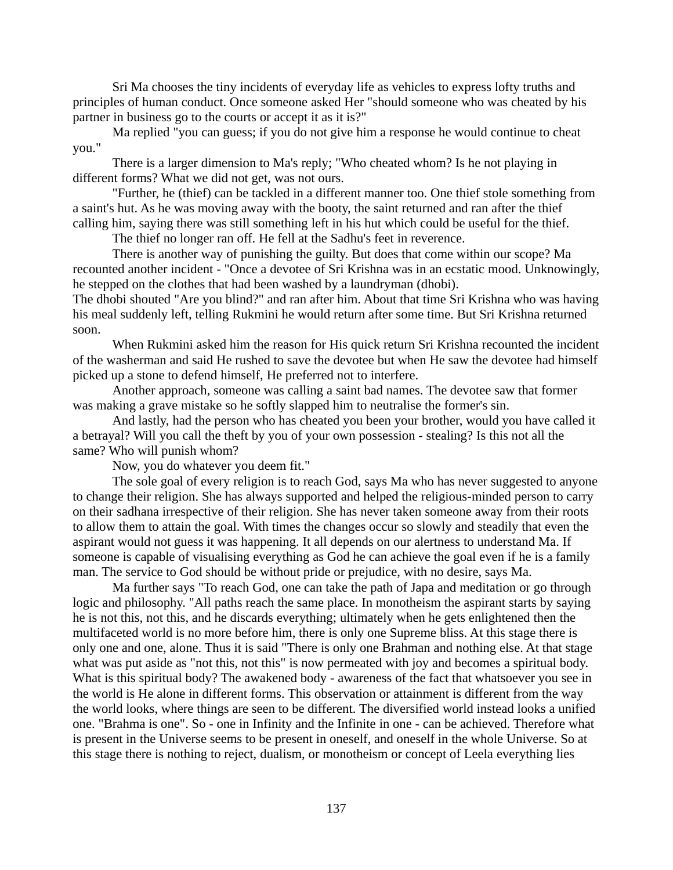Sri Ma chooses the tiny incidents of everyday life as vehicles to express lofty truths and principles of human conduct. Once someone asked Her "should someone who was cheated by his partner in business go to the courts or accept it as it is?"

Ma replied "you can guess; if you do not give him a response he would continue to cheat you."

There is a larger dimension to Ma's reply; "Who cheated whom? Is he not playing in different forms? What we did not get, was not ours.

"Further, he (thief) can be tackled in a different manner too. One thief stole something from a saint's hut. As he was moving away with the booty, the saint returned and ran after the thief calling him, saying there was still something left in his hut which could be useful for the thief.

The thief no longer ran off. He fell at the Sadhu's feet in reverence.

There is another way of punishing the guilty. But does that come within our scope? Ma recounted another incident - "Once a devotee of Sri Krishna was in an ecstatic mood. Unknowingly, he stepped on the clothes that had been washed by a laundryman (dhobi).

The dhobi shouted "Are you blind?" and ran after him. About that time Sri Krishna who was having his meal suddenly left, telling Rukmini he would return after some time. But Sri Krishna returned soon.

When Rukmini asked him the reason for His quick return Sri Krishna recounted the incident of the washerman and said He rushed to save the devotee but when He saw the devotee had himself picked up a stone to defend himself, He preferred not to interfere.

Another approach, someone was calling a saint bad names. The devotee saw that former was making a grave mistake so he softly slapped him to neutralise the former's sin.

And lastly, had the person who has cheated you been your brother, would you have called it a betrayal? Will you call the theft by you of your own possession - stealing? Is this not all the same? Who will punish whom?

Now, you do whatever you deem fit."

The sole goal of every religion is to reach God, says Ma who has never suggested to anyone to change their religion. She has always supported and helped the religious-minded person to carry on their sadhana irrespective of their religion. She has never taken someone away from their roots to allow them to attain the goal. With times the changes occur so slowly and steadily that even the aspirant would not guess it was happening. It all depends on our alertness to understand Ma. If someone is capable of visualising everything as God he can achieve the goal even if he is a family man. The service to God should be without pride or prejudice, with no desire, says Ma.

Ma further says "To reach God, one can take the path of Japa and meditation or go through logic and philosophy. "All paths reach the same place. In monotheism the aspirant starts by saying he is not this, not this, and he discards everything; ultimately when he gets enlightened then the multifaceted world is no more before him, there is only one Supreme bliss. At this stage there is only one and one, alone. Thus it is said "There is only one Brahman and nothing else. At that stage what was put aside as "not this, not this" is now permeated with joy and becomes a spiritual body. What is this spiritual body? The awakened body - awareness of the fact that whatsoever you see in the world is He alone in different forms. This observation or attainment is different from the way the world looks, where things are seen to be different. The diversified world instead looks a unified one. "Brahma is one". So - one in Infinity and the Infinite in one - can be achieved. Therefore what is present in the Universe seems to be present in oneself, and oneself in the whole Universe. So at this stage there is nothing to reject, dualism, or monotheism or concept of Leela everything lies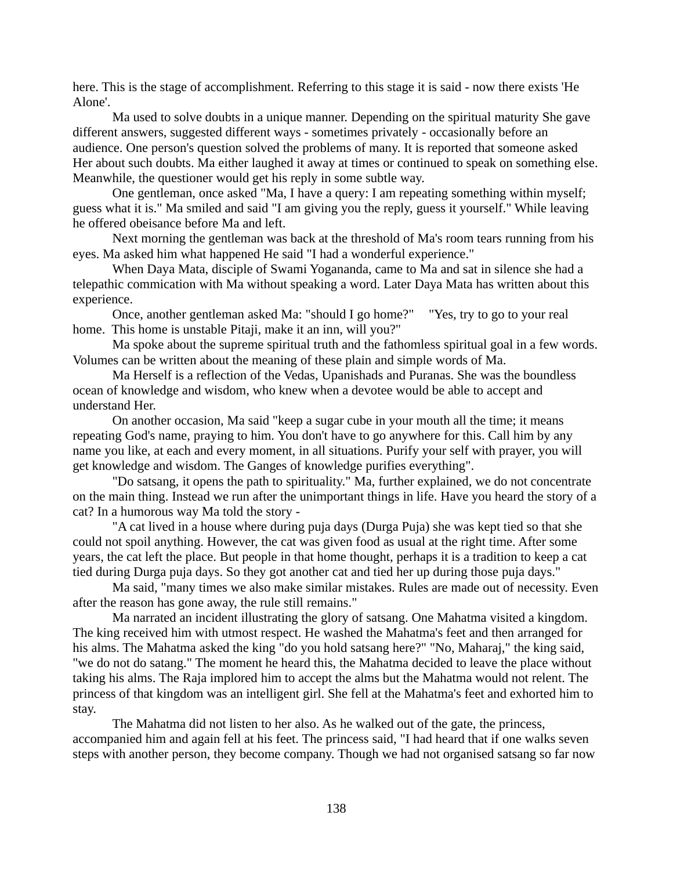here. This is the stage of accomplishment. Referring to this stage it is said - now there exists 'He Alone'.

Ma used to solve doubts in a unique manner. Depending on the spiritual maturity She gave different answers, suggested different ways - sometimes privately - occasionally before an audience. One person's question solved the problems of many. It is reported that someone asked Her about such doubts. Ma either laughed it away at times or continued to speak on something else. Meanwhile, the questioner would get his reply in some subtle way.

One gentleman, once asked "Ma, I have a query: I am repeating something within myself; guess what it is." Ma smiled and said "I am giving you the reply, guess it yourself." While leaving he offered obeisance before Ma and left.

Next morning the gentleman was back at the threshold of Ma's room tears running from his eyes. Ma asked him what happened He said "I had a wonderful experience."

When Daya Mata, disciple of Swami Yogananda, came to Ma and sat in silence she had a telepathic commication with Ma without speaking a word. Later Daya Mata has written about this experience.

Once, another gentleman asked Ma: "should I go home?" "Yes, try to go to your real home. This home is unstable Pitaji, make it an inn, will you?"

Ma spoke about the supreme spiritual truth and the fathomless spiritual goal in a few words. Volumes can be written about the meaning of these plain and simple words of Ma.

Ma Herself is a reflection of the Vedas, Upanishads and Puranas. She was the boundless ocean of knowledge and wisdom, who knew when a devotee would be able to accept and understand Her.

On another occasion, Ma said "keep a sugar cube in your mouth all the time; it means repeating God's name, praying to him. You don't have to go anywhere for this. Call him by any name you like, at each and every moment, in all situations. Purify your self with prayer, you will get knowledge and wisdom. The Ganges of knowledge purifies everything".

"Do satsang, it opens the path to spirituality." Ma, further explained, we do not concentrate on the main thing. Instead we run after the unimportant things in life. Have you heard the story of a cat? In a humorous way Ma told the story -

"A cat lived in a house where during puja days (Durga Puja) she was kept tied so that she could not spoil anything. However, the cat was given food as usual at the right time. After some years, the cat left the place. But people in that home thought, perhaps it is a tradition to keep a cat tied during Durga puja days. So they got another cat and tied her up during those puja days."

Ma said, "many times we also make similar mistakes. Rules are made out of necessity. Even after the reason has gone away, the rule still remains."

Ma narrated an incident illustrating the glory of satsang. One Mahatma visited a kingdom. The king received him with utmost respect. He washed the Mahatma's feet and then arranged for his alms. The Mahatma asked the king "do you hold satsang here?" "No, Maharaj," the king said, "we do not do satang." The moment he heard this, the Mahatma decided to leave the place without taking his alms. The Raja implored him to accept the alms but the Mahatma would not relent. The princess of that kingdom was an intelligent girl. She fell at the Mahatma's feet and exhorted him to stay.

The Mahatma did not listen to her also. As he walked out of the gate, the princess, accompanied him and again fell at his feet. The princess said, "I had heard that if one walks seven steps with another person, they become company. Though we had not organised satsang so far now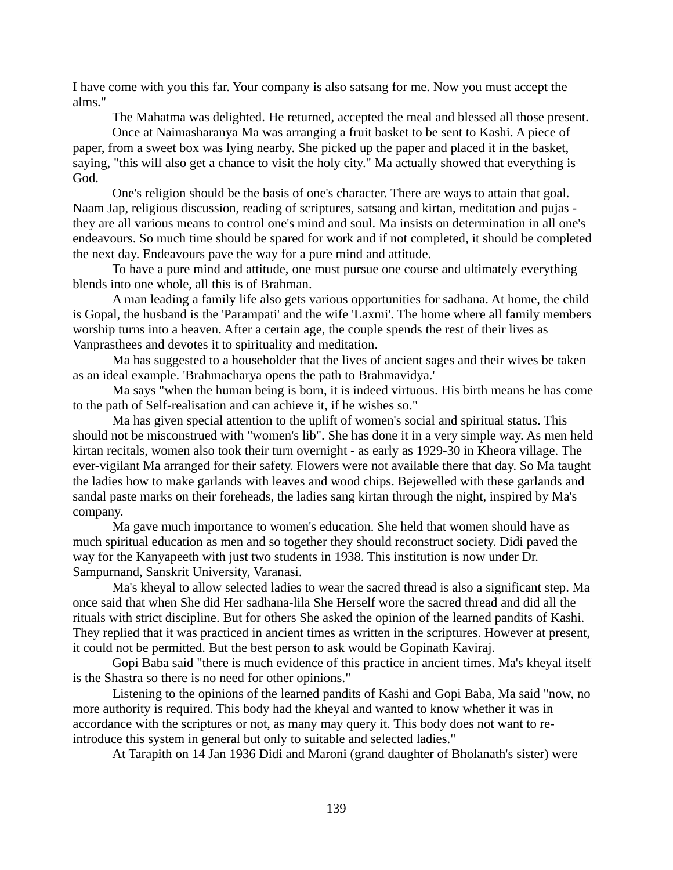I have come with you this far. Your company is also satsang for me. Now you must accept the alms."

The Mahatma was delighted. He returned, accepted the meal and blessed all those present. Once at Naimasharanya Ma was arranging a fruit basket to be sent to Kashi. A piece of paper, from a sweet box was lying nearby. She picked up the paper and placed it in the basket, saying, "this will also get a chance to visit the holy city." Ma actually showed that everything is God.

One's religion should be the basis of one's character. There are ways to attain that goal. Naam Jap, religious discussion, reading of scriptures, satsang and kirtan, meditation and pujas they are all various means to control one's mind and soul. Ma insists on determination in all one's endeavours. So much time should be spared for work and if not completed, it should be completed the next day. Endeavours pave the way for a pure mind and attitude.

To have a pure mind and attitude, one must pursue one course and ultimately everything blends into one whole, all this is of Brahman.

A man leading a family life also gets various opportunities for sadhana. At home, the child is Gopal, the husband is the 'Parampati' and the wife 'Laxmi'. The home where all family members worship turns into a heaven. After a certain age, the couple spends the rest of their lives as Vanprasthees and devotes it to spirituality and meditation.

Ma has suggested to a householder that the lives of ancient sages and their wives be taken as an ideal example. 'Brahmacharya opens the path to Brahmavidya.'

Ma says "when the human being is born, it is indeed virtuous. His birth means he has come to the path of Self-realisation and can achieve it, if he wishes so."

Ma has given special attention to the uplift of women's social and spiritual status. This should not be misconstrued with "women's lib". She has done it in a very simple way. As men held kirtan recitals, women also took their turn overnight - as early as 1929-30 in Kheora village. The ever-vigilant Ma arranged for their safety. Flowers were not available there that day. So Ma taught the ladies how to make garlands with leaves and wood chips. Bejewelled with these garlands and sandal paste marks on their foreheads, the ladies sang kirtan through the night, inspired by Ma's company.

Ma gave much importance to women's education. She held that women should have as much spiritual education as men and so together they should reconstruct society. Didi paved the way for the Kanyapeeth with just two students in 1938. This institution is now under Dr. Sampurnand, Sanskrit University, Varanasi.

Ma's kheyal to allow selected ladies to wear the sacred thread is also a significant step. Ma once said that when She did Her sadhana-lila She Herself wore the sacred thread and did all the rituals with strict discipline. But for others She asked the opinion of the learned pandits of Kashi. They replied that it was practiced in ancient times as written in the scriptures. However at present, it could not be permitted. But the best person to ask would be Gopinath Kaviraj.

Gopi Baba said "there is much evidence of this practice in ancient times. Ma's kheyal itself is the Shastra so there is no need for other opinions."

Listening to the opinions of the learned pandits of Kashi and Gopi Baba, Ma said "now, no more authority is required. This body had the kheyal and wanted to know whether it was in accordance with the scriptures or not, as many may query it. This body does not want to reintroduce this system in general but only to suitable and selected ladies."

At Tarapith on 14 Jan 1936 Didi and Maroni (grand daughter of Bholanath's sister) were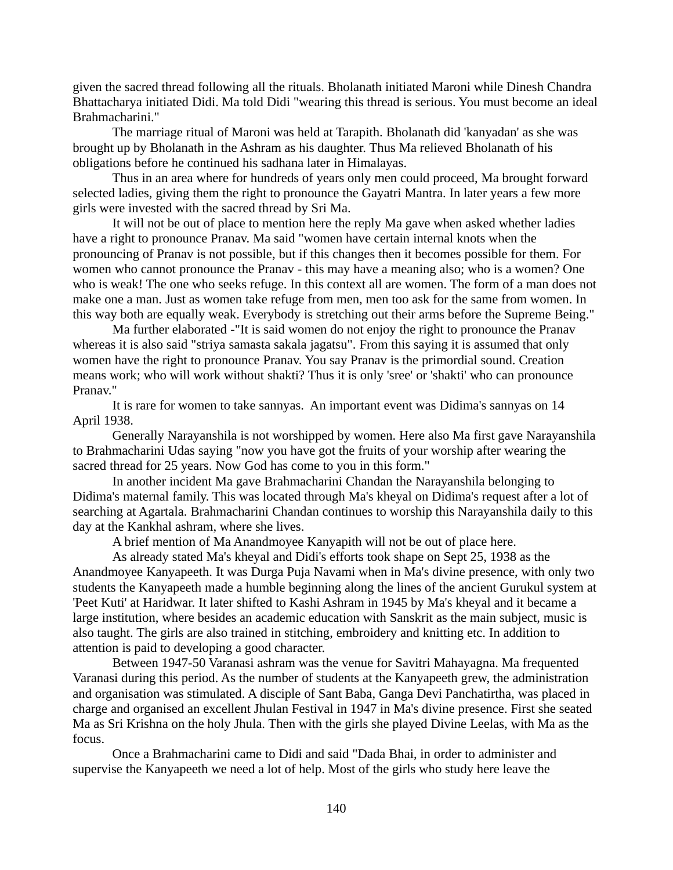given the sacred thread following all the rituals. Bholanath initiated Maroni while Dinesh Chandra Bhattacharya initiated Didi. Ma told Didi "wearing this thread is serious. You must become an ideal Brahmacharini."

The marriage ritual of Maroni was held at Tarapith. Bholanath did 'kanyadan' as she was brought up by Bholanath in the Ashram as his daughter. Thus Ma relieved Bholanath of his obligations before he continued his sadhana later in Himalayas.

Thus in an area where for hundreds of years only men could proceed, Ma brought forward selected ladies, giving them the right to pronounce the Gayatri Mantra. In later years a few more girls were invested with the sacred thread by Sri Ma.

It will not be out of place to mention here the reply Ma gave when asked whether ladies have a right to pronounce Pranav. Ma said "women have certain internal knots when the pronouncing of Pranav is not possible, but if this changes then it becomes possible for them. For women who cannot pronounce the Pranav - this may have a meaning also; who is a women? One who is weak! The one who seeks refuge. In this context all are women. The form of a man does not make one a man. Just as women take refuge from men, men too ask for the same from women. In this way both are equally weak. Everybody is stretching out their arms before the Supreme Being."

Ma further elaborated -"It is said women do not enjoy the right to pronounce the Pranav whereas it is also said "striya samasta sakala jagatsu". From this saying it is assumed that only women have the right to pronounce Pranav. You say Pranav is the primordial sound. Creation means work; who will work without shakti? Thus it is only 'sree' or 'shakti' who can pronounce Pranav."

It is rare for women to take sannyas. An important event was Didima's sannyas on 14 April 1938.

Generally Narayanshila is not worshipped by women. Here also Ma first gave Narayanshila to Brahmacharini Udas saying "now you have got the fruits of your worship after wearing the sacred thread for 25 years. Now God has come to you in this form."

In another incident Ma gave Brahmacharini Chandan the Narayanshila belonging to Didima's maternal family. This was located through Ma's kheyal on Didima's request after a lot of searching at Agartala. Brahmacharini Chandan continues to worship this Narayanshila daily to this day at the Kankhal ashram, where she lives.

A brief mention of Ma Anandmoyee Kanyapith will not be out of place here.

As already stated Ma's kheyal and Didi's efforts took shape on Sept 25, 1938 as the Anandmoyee Kanyapeeth. It was Durga Puja Navami when in Ma's divine presence, with only two students the Kanyapeeth made a humble beginning along the lines of the ancient Gurukul system at 'Peet Kuti' at Haridwar. It later shifted to Kashi Ashram in 1945 by Ma's kheyal and it became a large institution, where besides an academic education with Sanskrit as the main subject, music is also taught. The girls are also trained in stitching, embroidery and knitting etc. In addition to attention is paid to developing a good character.

Between 1947-50 Varanasi ashram was the venue for Savitri Mahayagna. Ma frequented Varanasi during this period. As the number of students at the Kanyapeeth grew, the administration and organisation was stimulated. A disciple of Sant Baba, Ganga Devi Panchatirtha, was placed in charge and organised an excellent Jhulan Festival in 1947 in Ma's divine presence. First she seated Ma as Sri Krishna on the holy Jhula. Then with the girls she played Divine Leelas, with Ma as the focus.

Once a Brahmacharini came to Didi and said "Dada Bhai, in order to administer and supervise the Kanyapeeth we need a lot of help. Most of the girls who study here leave the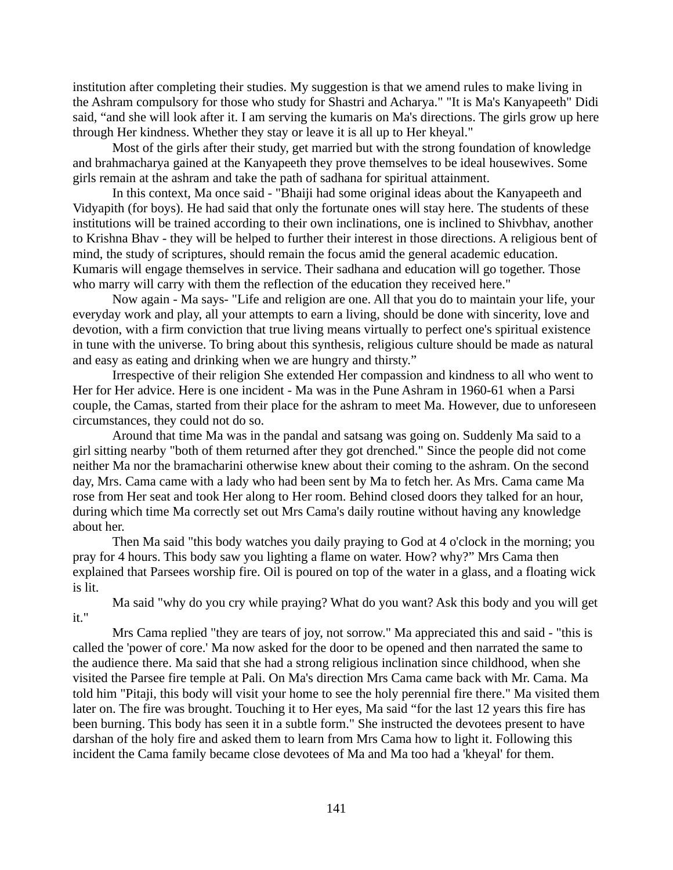institution after completing their studies. My suggestion is that we amend rules to make living in the Ashram compulsory for those who study for Shastri and Acharya." "It is Ma's Kanyapeeth" Didi said, "and she will look after it. I am serving the kumaris on Ma's directions. The girls grow up here through Her kindness. Whether they stay or leave it is all up to Her kheyal."

Most of the girls after their study, get married but with the strong foundation of knowledge and brahmacharya gained at the Kanyapeeth they prove themselves to be ideal housewives. Some girls remain at the ashram and take the path of sadhana for spiritual attainment.

In this context, Ma once said - "Bhaiji had some original ideas about the Kanyapeeth and Vidyapith (for boys). He had said that only the fortunate ones will stay here. The students of these institutions will be trained according to their own inclinations, one is inclined to Shivbhav, another to Krishna Bhav - they will be helped to further their interest in those directions. A religious bent of mind, the study of scriptures, should remain the focus amid the general academic education. Kumaris will engage themselves in service. Their sadhana and education will go together. Those who marry will carry with them the reflection of the education they received here."

Now again - Ma says- "Life and religion are one. All that you do to maintain your life, your everyday work and play, all your attempts to earn a living, should be done with sincerity, love and devotion, with a firm conviction that true living means virtually to perfect one's spiritual existence in tune with the universe. To bring about this synthesis, religious culture should be made as natural and easy as eating and drinking when we are hungry and thirsty."

Irrespective of their religion She extended Her compassion and kindness to all who went to Her for Her advice. Here is one incident - Ma was in the Pune Ashram in 1960-61 when a Parsi couple, the Camas, started from their place for the ashram to meet Ma. However, due to unforeseen circumstances, they could not do so.

Around that time Ma was in the pandal and satsang was going on. Suddenly Ma said to a girl sitting nearby "both of them returned after they got drenched." Since the people did not come neither Ma nor the bramacharini otherwise knew about their coming to the ashram. On the second day, Mrs. Cama came with a lady who had been sent by Ma to fetch her. As Mrs. Cama came Ma rose from Her seat and took Her along to Her room. Behind closed doors they talked for an hour, during which time Ma correctly set out Mrs Cama's daily routine without having any knowledge about her.

Then Ma said "this body watches you daily praying to God at 4 o'clock in the morning; you pray for 4 hours. This body saw you lighting a flame on water. How? why?" Mrs Cama then explained that Parsees worship fire. Oil is poured on top of the water in a glass, and a floating wick is lit.

Ma said "why do you cry while praying? What do you want? Ask this body and you will get it."

Mrs Cama replied "they are tears of joy, not sorrow." Ma appreciated this and said - "this is called the 'power of core.' Ma now asked for the door to be opened and then narrated the same to the audience there. Ma said that she had a strong religious inclination since childhood, when she visited the Parsee fire temple at Pali. On Ma's direction Mrs Cama came back with Mr. Cama. Ma told him "Pitaji, this body will visit your home to see the holy perennial fire there." Ma visited them later on. The fire was brought. Touching it to Her eyes, Ma said "for the last 12 years this fire has been burning. This body has seen it in a subtle form." She instructed the devotees present to have darshan of the holy fire and asked them to learn from Mrs Cama how to light it. Following this incident the Cama family became close devotees of Ma and Ma too had a 'kheyal' for them.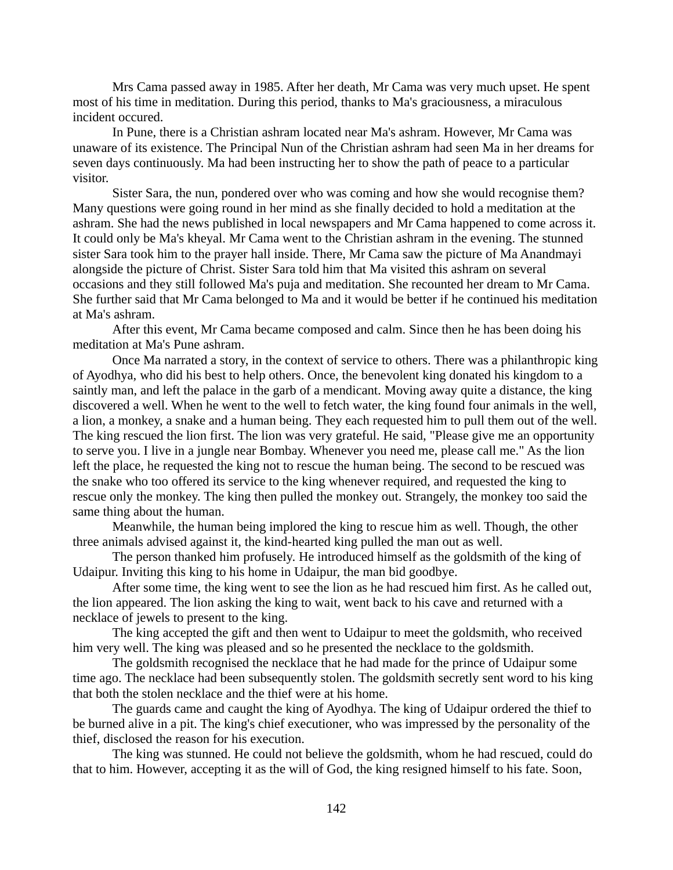Mrs Cama passed away in 1985. After her death, Mr Cama was very much upset. He spent most of his time in meditation. During this period, thanks to Ma's graciousness, a miraculous incident occured.

In Pune, there is a Christian ashram located near Ma's ashram. However, Mr Cama was unaware of its existence. The Principal Nun of the Christian ashram had seen Ma in her dreams for seven days continuously. Ma had been instructing her to show the path of peace to a particular visitor.

Sister Sara, the nun, pondered over who was coming and how she would recognise them? Many questions were going round in her mind as she finally decided to hold a meditation at the ashram. She had the news published in local newspapers and Mr Cama happened to come across it. It could only be Ma's kheyal. Mr Cama went to the Christian ashram in the evening. The stunned sister Sara took him to the prayer hall inside. There, Mr Cama saw the picture of Ma Anandmayi alongside the picture of Christ. Sister Sara told him that Ma visited this ashram on several occasions and they still followed Ma's puja and meditation. She recounted her dream to Mr Cama. She further said that Mr Cama belonged to Ma and it would be better if he continued his meditation at Ma's ashram.

After this event, Mr Cama became composed and calm. Since then he has been doing his meditation at Ma's Pune ashram.

Once Ma narrated a story, in the context of service to others. There was a philanthropic king of Ayodhya, who did his best to help others. Once, the benevolent king donated his kingdom to a saintly man, and left the palace in the garb of a mendicant. Moving away quite a distance, the king discovered a well. When he went to the well to fetch water, the king found four animals in the well, a lion, a monkey, a snake and a human being. They each requested him to pull them out of the well. The king rescued the lion first. The lion was very grateful. He said, "Please give me an opportunity to serve you. I live in a jungle near Bombay. Whenever you need me, please call me." As the lion left the place, he requested the king not to rescue the human being. The second to be rescued was the snake who too offered its service to the king whenever required, and requested the king to rescue only the monkey. The king then pulled the monkey out. Strangely, the monkey too said the same thing about the human.

Meanwhile, the human being implored the king to rescue him as well. Though, the other three animals advised against it, the kind-hearted king pulled the man out as well.

The person thanked him profusely. He introduced himself as the goldsmith of the king of Udaipur. Inviting this king to his home in Udaipur, the man bid goodbye.

After some time, the king went to see the lion as he had rescued him first. As he called out, the lion appeared. The lion asking the king to wait, went back to his cave and returned with a necklace of jewels to present to the king.

The king accepted the gift and then went to Udaipur to meet the goldsmith, who received him very well. The king was pleased and so he presented the necklace to the goldsmith.

The goldsmith recognised the necklace that he had made for the prince of Udaipur some time ago. The necklace had been subsequently stolen. The goldsmith secretly sent word to his king that both the stolen necklace and the thief were at his home.

The guards came and caught the king of Ayodhya. The king of Udaipur ordered the thief to be burned alive in a pit. The king's chief executioner, who was impressed by the personality of the thief, disclosed the reason for his execution.

The king was stunned. He could not believe the goldsmith, whom he had rescued, could do that to him. However, accepting it as the will of God, the king resigned himself to his fate. Soon,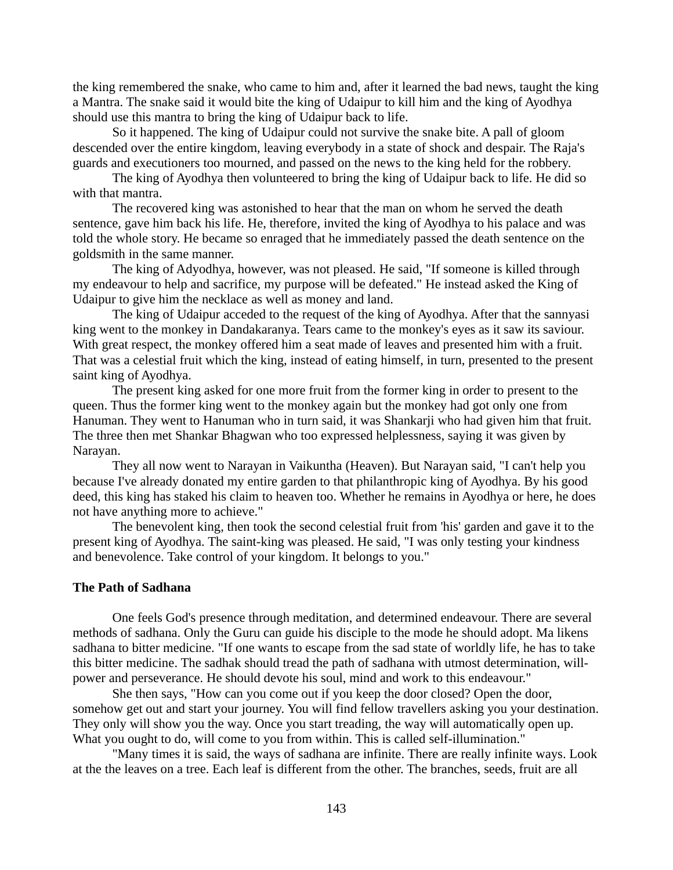the king remembered the snake, who came to him and, after it learned the bad news, taught the king a Mantra. The snake said it would bite the king of Udaipur to kill him and the king of Ayodhya should use this mantra to bring the king of Udaipur back to life.

So it happened. The king of Udaipur could not survive the snake bite. A pall of gloom descended over the entire kingdom, leaving everybody in a state of shock and despair. The Raja's guards and executioners too mourned, and passed on the news to the king held for the robbery.

The king of Ayodhya then volunteered to bring the king of Udaipur back to life. He did so with that mantra.

The recovered king was astonished to hear that the man on whom he served the death sentence, gave him back his life. He, therefore, invited the king of Ayodhya to his palace and was told the whole story. He became so enraged that he immediately passed the death sentence on the goldsmith in the same manner.

The king of Adyodhya, however, was not pleased. He said, "If someone is killed through my endeavour to help and sacrifice, my purpose will be defeated." He instead asked the King of Udaipur to give him the necklace as well as money and land.

The king of Udaipur acceded to the request of the king of Ayodhya. After that the sannyasi king went to the monkey in Dandakaranya. Tears came to the monkey's eyes as it saw its saviour. With great respect, the monkey offered him a seat made of leaves and presented him with a fruit. That was a celestial fruit which the king, instead of eating himself, in turn, presented to the present saint king of Ayodhya.

The present king asked for one more fruit from the former king in order to present to the queen. Thus the former king went to the monkey again but the monkey had got only one from Hanuman. They went to Hanuman who in turn said, it was Shankarji who had given him that fruit. The three then met Shankar Bhagwan who too expressed helplessness, saying it was given by Narayan.

They all now went to Narayan in Vaikuntha (Heaven). But Narayan said, "I can't help you because I've already donated my entire garden to that philanthropic king of Ayodhya. By his good deed, this king has staked his claim to heaven too. Whether he remains in Ayodhya or here, he does not have anything more to achieve."

The benevolent king, then took the second celestial fruit from 'his' garden and gave it to the present king of Ayodhya. The saint-king was pleased. He said, "I was only testing your kindness and benevolence. Take control of your kingdom. It belongs to you."

# **The Path of Sadhana**

One feels God's presence through meditation, and determined endeavour. There are several methods of sadhana. Only the Guru can guide his disciple to the mode he should adopt. Ma likens sadhana to bitter medicine. "If one wants to escape from the sad state of worldly life, he has to take this bitter medicine. The sadhak should tread the path of sadhana with utmost determination, willpower and perseverance. He should devote his soul, mind and work to this endeavour."

She then says, "How can you come out if you keep the door closed? Open the door, somehow get out and start your journey. You will find fellow travellers asking you your destination. They only will show you the way. Once you start treading, the way will automatically open up. What you ought to do, will come to you from within. This is called self-illumination."

"Many times it is said, the ways of sadhana are infinite. There are really infinite ways. Look at the the leaves on a tree. Each leaf is different from the other. The branches, seeds, fruit are all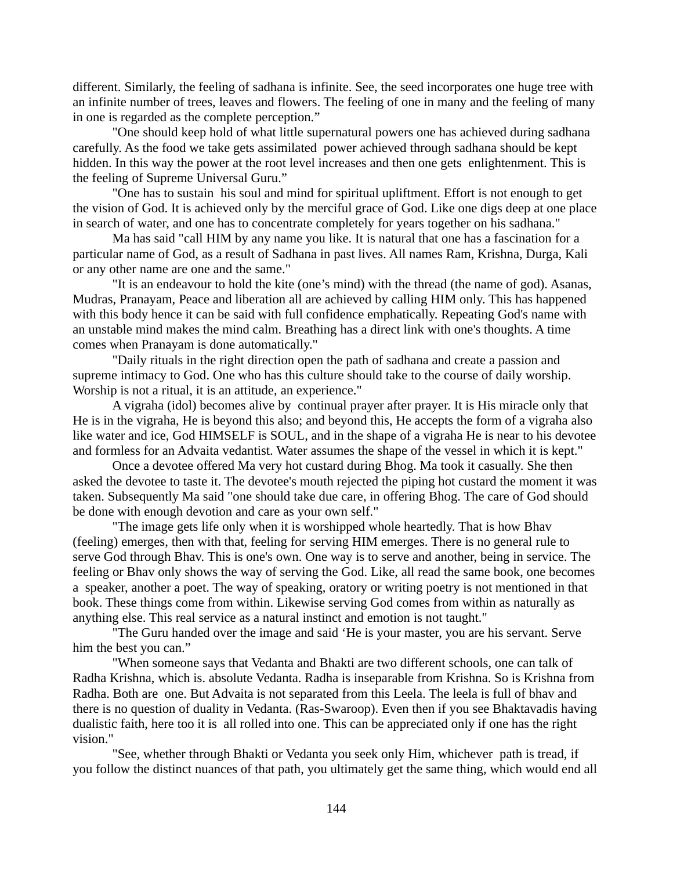different. Similarly, the feeling of sadhana is infinite. See, the seed incorporates one huge tree with an infinite number of trees, leaves and flowers. The feeling of one in many and the feeling of many in one is regarded as the complete perception."

"One should keep hold of what little supernatural powers one has achieved during sadhana carefully. As the food we take gets assimilated power achieved through sadhana should be kept hidden. In this way the power at the root level increases and then one gets enlightenment. This is the feeling of Supreme Universal Guru."

"One has to sustain his soul and mind for spiritual upliftment. Effort is not enough to get the vision of God. It is achieved only by the merciful grace of God. Like one digs deep at one place in search of water, and one has to concentrate completely for years together on his sadhana."

Ma has said "call HIM by any name you like. It is natural that one has a fascination for a particular name of God, as a result of Sadhana in past lives. All names Ram, Krishna, Durga, Kali or any other name are one and the same."

"It is an endeavour to hold the kite (one's mind) with the thread (the name of god). Asanas, Mudras, Pranayam, Peace and liberation all are achieved by calling HIM only. This has happened with this body hence it can be said with full confidence emphatically. Repeating God's name with an unstable mind makes the mind calm. Breathing has a direct link with one's thoughts. A time comes when Pranayam is done automatically."

"Daily rituals in the right direction open the path of sadhana and create a passion and supreme intimacy to God. One who has this culture should take to the course of daily worship. Worship is not a ritual, it is an attitude, an experience."

A vigraha (idol) becomes alive by continual prayer after prayer. It is His miracle only that He is in the vigraha, He is beyond this also; and beyond this, He accepts the form of a vigraha also like water and ice, God HIMSELF is SOUL, and in the shape of a vigraha He is near to his devotee and formless for an Advaita vedantist. Water assumes the shape of the vessel in which it is kept."

Once a devotee offered Ma very hot custard during Bhog. Ma took it casually. She then asked the devotee to taste it. The devotee's mouth rejected the piping hot custard the moment it was taken. Subsequently Ma said "one should take due care, in offering Bhog. The care of God should be done with enough devotion and care as your own self."

"The image gets life only when it is worshipped whole heartedly. That is how Bhav (feeling) emerges, then with that, feeling for serving HIM emerges. There is no general rule to serve God through Bhav. This is one's own. One way is to serve and another, being in service. The feeling or Bhav only shows the way of serving the God. Like, all read the same book, one becomes a speaker, another a poet. The way of speaking, oratory or writing poetry is not mentioned in that book. These things come from within. Likewise serving God comes from within as naturally as anything else. This real service as a natural instinct and emotion is not taught."

"The Guru handed over the image and said 'He is your master, you are his servant. Serve him the best you can."

"When someone says that Vedanta and Bhakti are two different schools, one can talk of Radha Krishna, which is. absolute Vedanta. Radha is inseparable from Krishna. So is Krishna from Radha. Both are one. But Advaita is not separated from this Leela. The leela is full of bhav and there is no question of duality in Vedanta. (Ras-Swaroop). Even then if you see Bhaktavadis having dualistic faith, here too it is all rolled into one. This can be appreciated only if one has the right vision."

"See, whether through Bhakti or Vedanta you seek only Him, whichever path is tread, if you follow the distinct nuances of that path, you ultimately get the same thing, which would end all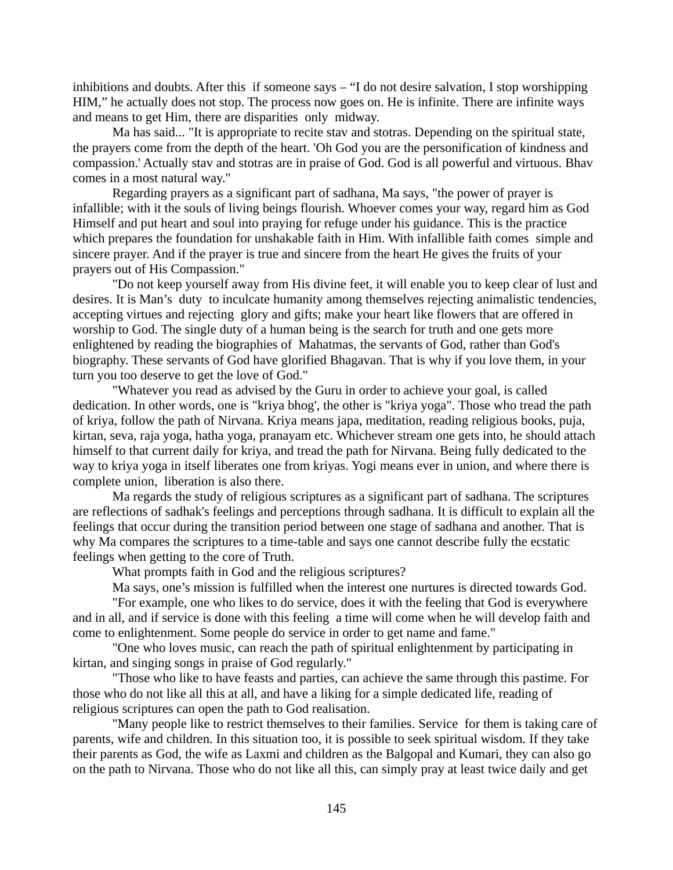inhibitions and doubts. After this if someone says – "I do not desire salvation, I stop worshipping HIM," he actually does not stop. The process now goes on. He is infinite. There are infinite ways and means to get Him, there are disparities only midway.

Ma has said... "It is appropriate to recite stav and stotras. Depending on the spiritual state, the prayers come from the depth of the heart. 'Oh God you are the personification of kindness and compassion.' Actually stav and stotras are in praise of God. God is all powerful and virtuous. Bhav comes in a most natural way."

Regarding prayers as a significant part of sadhana, Ma says, "the power of prayer is infallible; with it the souls of living beings flourish. Whoever comes your way, regard him as God Himself and put heart and soul into praying for refuge under his guidance. This is the practice which prepares the foundation for unshakable faith in Him. With infallible faith comes simple and sincere prayer. And if the prayer is true and sincere from the heart He gives the fruits of your prayers out of His Compassion."

"Do not keep yourself away from His divine feet, it will enable you to keep clear of lust and desires. It is Man's duty to inculcate humanity among themselves rejecting animalistic tendencies, accepting virtues and rejecting glory and gifts; make your heart like flowers that are offered in worship to God. The single duty of a human being is the search for truth and one gets more enlightened by reading the biographies of Mahatmas, the servants of God, rather than God's biography. These servants of God have glorified Bhagavan. That is why if you love them, in your turn you too deserve to get the love of God."

"Whatever you read as advised by the Guru in order to achieve your goal, is called dedication. In other words, one is "kriya bhog', the other is "kriya yoga". Those who tread the path of kriya, follow the path of Nirvana. Kriya means japa, meditation, reading religious books, puja, kirtan, seva, raja yoga, hatha yoga, pranayam etc. Whichever stream one gets into, he should attach himself to that current daily for kriya, and tread the path for Nirvana. Being fully dedicated to the way to kriya yoga in itself liberates one from kriyas. Yogi means ever in union, and where there is complete union, liberation is also there.

Ma regards the study of religious scriptures as a significant part of sadhana. The scriptures are reflections of sadhak's feelings and perceptions through sadhana. It is difficult to explain all the feelings that occur during the transition period between one stage of sadhana and another. That is why Ma compares the scriptures to a time-table and says one cannot describe fully the ecstatic feelings when getting to the core of Truth.

What prompts faith in God and the religious scriptures?

Ma says, one's mission is fulfilled when the interest one nurtures is directed towards God.

"For example, one who likes to do service, does it with the feeling that God is everywhere and in all, and if service is done with this feeling a time will come when he will develop faith and come to enlightenment. Some people do service in order to get name and fame."

"One who loves music, can reach the path of spiritual enlightenment by participating in kirtan, and singing songs in praise of God regularly."

"Those who like to have feasts and parties, can achieve the same through this pastime. For those who do not like all this at all, and have a liking for a simple dedicated life, reading of religious scriptures can open the path to God realisation.

"Many people like to restrict themselves to their families. Service for them is taking care of parents, wife and children. In this situation too, it is possible to seek spiritual wisdom. If they take their parents as God, the wife as Laxmi and children as the Balgopal and Kumari, they can also go on the path to Nirvana. Those who do not like all this, can simply pray at least twice daily and get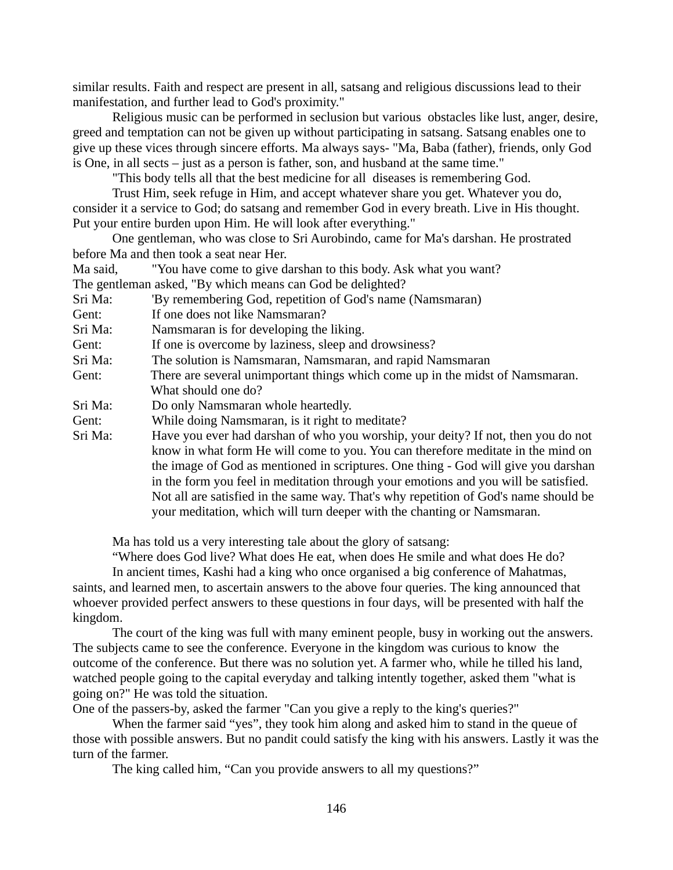similar results. Faith and respect are present in all, satsang and religious discussions lead to their manifestation, and further lead to God's proximity."

Religious music can be performed in seclusion but various obstacles like lust, anger, desire, greed and temptation can not be given up without participating in satsang. Satsang enables one to give up these vices through sincere efforts. Ma always says- "Ma, Baba (father), friends, only God is One, in all sects – just as a person is father, son, and husband at the same time."

"This body tells all that the best medicine for all diseases is remembering God.

Trust Him, seek refuge in Him, and accept whatever share you get. Whatever you do, consider it a service to God; do satsang and remember God in every breath. Live in His thought. Put your entire burden upon Him. He will look after everything."

One gentleman, who was close to Sri Aurobindo, came for Ma's darshan. He prostrated before Ma and then took a seat near Her.

Ma said, "You have come to give darshan to this body. Ask what you want? The gentleman asked, "By which means can God be delighted?

| Sri Ma: | 'By remembering God, repetition of God's name (Namsmaran)                            |
|---------|--------------------------------------------------------------------------------------|
| Gent:   | If one does not like Namsmaran?                                                      |
| Sri Ma: | Namsmaran is for developing the liking.                                              |
| Gent:   | If one is overcome by laziness, sleep and drowsiness?                                |
| Sri Ma: | The solution is Namsmaran, Namsmaran, and rapid Namsmaran                            |
| Gent:   | There are several unimportant things which come up in the midst of Namsmaran.        |
|         | What should one do?                                                                  |
| Sri Ma: | Do only Namsmaran whole heartedly.                                                   |
| Gent:   | While doing Namsmaran, is it right to meditate?                                      |
| Sri Ma: | Have you ever had darshan of who you worship, your deity? If not, then you do not    |
|         | know in what form He will come to you. You can therefore meditate in the mind on     |
|         | the image of God as mentioned in scriptures. One thing - God will give you darshan   |
|         | in the form you feel in meditation through your emotions and you will be satisfied.  |
|         | Not all are satisfied in the same way. That's why repetition of God's name should be |
|         | your meditation, which will turn deeper with the chanting or Namsmaran.              |
|         |                                                                                      |

Ma has told us a very interesting tale about the glory of satsang:

"Where does God live? What does He eat, when does He smile and what does He do?

In ancient times, Kashi had a king who once organised a big conference of Mahatmas, saints, and learned men, to ascertain answers to the above four queries. The king announced that whoever provided perfect answers to these questions in four days, will be presented with half the kingdom.

The court of the king was full with many eminent people, busy in working out the answers. The subjects came to see the conference. Everyone in the kingdom was curious to know the outcome of the conference. But there was no solution yet. A farmer who, while he tilled his land, watched people going to the capital everyday and talking intently together, asked them "what is going on?" He was told the situation.

One of the passers-by, asked the farmer "Can you give a reply to the king's queries?"

When the farmer said "yes", they took him along and asked him to stand in the queue of those with possible answers. But no pandit could satisfy the king with his answers. Lastly it was the turn of the farmer.

The king called him, "Can you provide answers to all my questions?"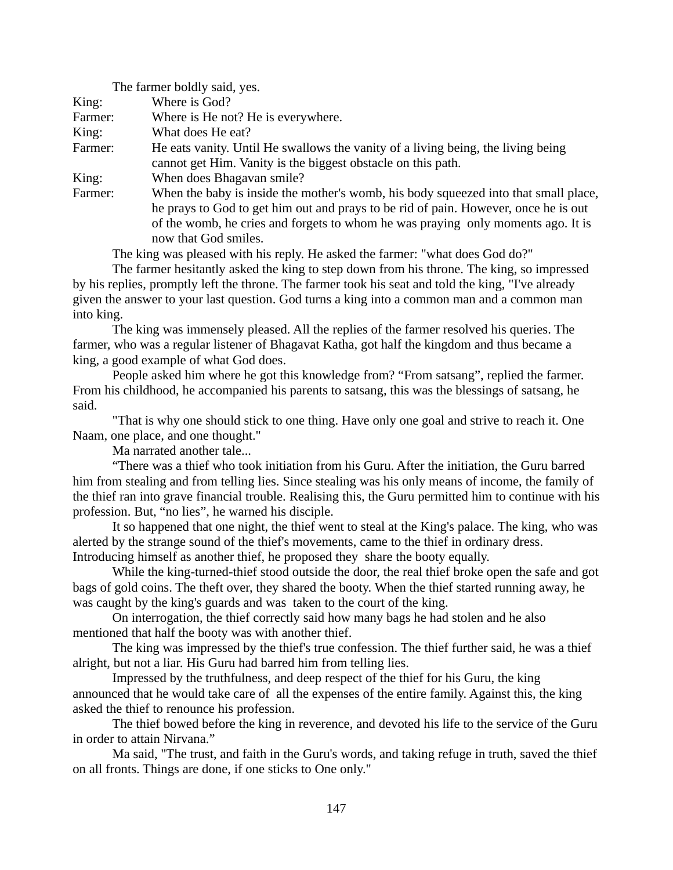|         | The farmer boldly said, yes.                                                        |
|---------|-------------------------------------------------------------------------------------|
| King:   | Where is God?                                                                       |
| Farmer: | Where is He not? He is everywhere.                                                  |
| King:   | What does He eat?                                                                   |
| Farmer: | He eats vanity. Until He swallows the vanity of a living being, the living being    |
|         | cannot get Him. Vanity is the biggest obstacle on this path.                        |
| King:   | When does Bhagavan smile?                                                           |
| Farmer: | When the baby is inside the mother's womb, his body squeezed into that small place, |
|         | he prays to God to get him out and prays to be rid of pain. However, once he is out |
|         | of the womb, he cries and forgets to whom he was praying only moments ago. It is    |
|         | now that God smiles.                                                                |
|         | The king was pleased with his reply. He asked the farmer: "what does God do?"       |

The king was pleased with his reply. He asked the farmer: "what does God do?"

The farmer hesitantly asked the king to step down from his throne. The king, so impressed by his replies, promptly left the throne. The farmer took his seat and told the king, "I've already given the answer to your last question. God turns a king into a common man and a common man into king.

The king was immensely pleased. All the replies of the farmer resolved his queries. The farmer, who was a regular listener of Bhagavat Katha, got half the kingdom and thus became a king, a good example of what God does.

People asked him where he got this knowledge from? "From satsang", replied the farmer. From his childhood, he accompanied his parents to satsang, this was the blessings of satsang, he said.

"That is why one should stick to one thing. Have only one goal and strive to reach it. One Naam, one place, and one thought."

Ma narrated another tale...

"There was a thief who took initiation from his Guru. After the initiation, the Guru barred him from stealing and from telling lies. Since stealing was his only means of income, the family of the thief ran into grave financial trouble. Realising this, the Guru permitted him to continue with his profession. But, "no lies", he warned his disciple.

It so happened that one night, the thief went to steal at the King's palace. The king, who was alerted by the strange sound of the thief's movements, came to the thief in ordinary dress. Introducing himself as another thief, he proposed they share the booty equally.

While the king-turned-thief stood outside the door, the real thief broke open the safe and got bags of gold coins. The theft over, they shared the booty. When the thief started running away, he was caught by the king's guards and was taken to the court of the king.

On interrogation, the thief correctly said how many bags he had stolen and he also mentioned that half the booty was with another thief.

The king was impressed by the thief's true confession. The thief further said, he was a thief alright, but not a liar. His Guru had barred him from telling lies.

Impressed by the truthfulness, and deep respect of the thief for his Guru, the king announced that he would take care of all the expenses of the entire family. Against this, the king asked the thief to renounce his profession.

The thief bowed before the king in reverence, and devoted his life to the service of the Guru in order to attain Nirvana."

Ma said, "The trust, and faith in the Guru's words, and taking refuge in truth, saved the thief on all fronts. Things are done, if one sticks to One only."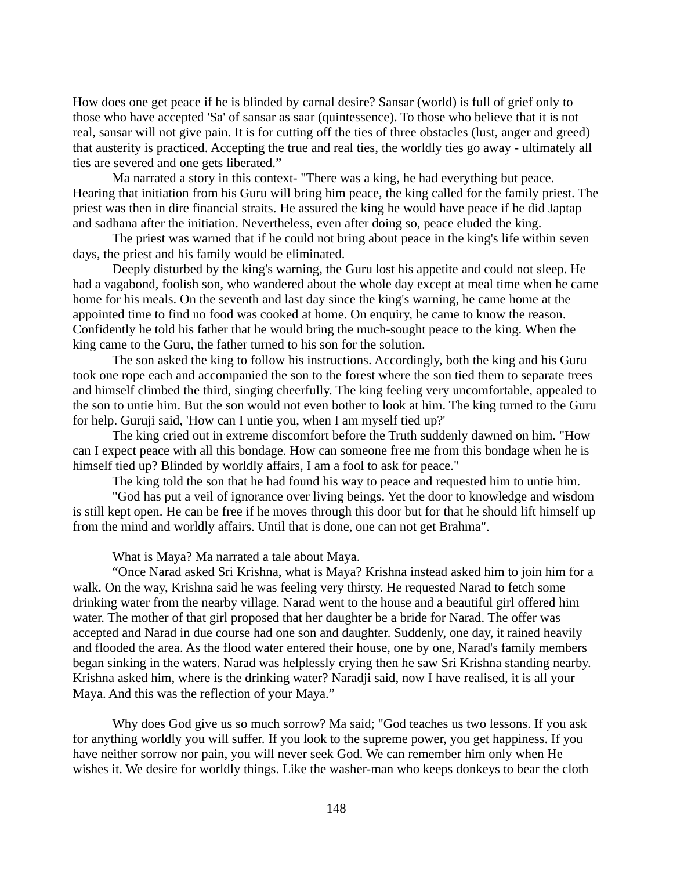How does one get peace if he is blinded by carnal desire? Sansar (world) is full of grief only to those who have accepted 'Sa' of sansar as saar (quintessence). To those who believe that it is not real, sansar will not give pain. It is for cutting off the ties of three obstacles (lust, anger and greed) that austerity is practiced. Accepting the true and real ties, the worldly ties go away - ultimately all ties are severed and one gets liberated."

Ma narrated a story in this context- "There was a king, he had everything but peace. Hearing that initiation from his Guru will bring him peace, the king called for the family priest. The priest was then in dire financial straits. He assured the king he would have peace if he did Japtap and sadhana after the initiation. Nevertheless, even after doing so, peace eluded the king.

The priest was warned that if he could not bring about peace in the king's life within seven days, the priest and his family would be eliminated.

Deeply disturbed by the king's warning, the Guru lost his appetite and could not sleep. He had a vagabond, foolish son, who wandered about the whole day except at meal time when he came home for his meals. On the seventh and last day since the king's warning, he came home at the appointed time to find no food was cooked at home. On enquiry, he came to know the reason. Confidently he told his father that he would bring the much-sought peace to the king. When the king came to the Guru, the father turned to his son for the solution.

The son asked the king to follow his instructions. Accordingly, both the king and his Guru took one rope each and accompanied the son to the forest where the son tied them to separate trees and himself climbed the third, singing cheerfully. The king feeling very uncomfortable, appealed to the son to untie him. But the son would not even bother to look at him. The king turned to the Guru for help. Guruji said, 'How can I untie you, when I am myself tied up?'

The king cried out in extreme discomfort before the Truth suddenly dawned on him. "How can I expect peace with all this bondage. How can someone free me from this bondage when he is himself tied up? Blinded by worldly affairs, I am a fool to ask for peace."

The king told the son that he had found his way to peace and requested him to untie him.

"God has put a veil of ignorance over living beings. Yet the door to knowledge and wisdom is still kept open. He can be free if he moves through this door but for that he should lift himself up from the mind and worldly affairs. Until that is done, one can not get Brahma".

What is Maya? Ma narrated a tale about Maya.

"Once Narad asked Sri Krishna, what is Maya? Krishna instead asked him to join him for a walk. On the way, Krishna said he was feeling very thirsty. He requested Narad to fetch some drinking water from the nearby village. Narad went to the house and a beautiful girl offered him water. The mother of that girl proposed that her daughter be a bride for Narad. The offer was accepted and Narad in due course had one son and daughter. Suddenly, one day, it rained heavily and flooded the area. As the flood water entered their house, one by one, Narad's family members began sinking in the waters. Narad was helplessly crying then he saw Sri Krishna standing nearby. Krishna asked him, where is the drinking water? Naradji said, now I have realised, it is all your Maya. And this was the reflection of your Maya."

Why does God give us so much sorrow? Ma said; "God teaches us two lessons. If you ask for anything worldly you will suffer. If you look to the supreme power, you get happiness. If you have neither sorrow nor pain, you will never seek God. We can remember him only when He wishes it. We desire for worldly things. Like the washer-man who keeps donkeys to bear the cloth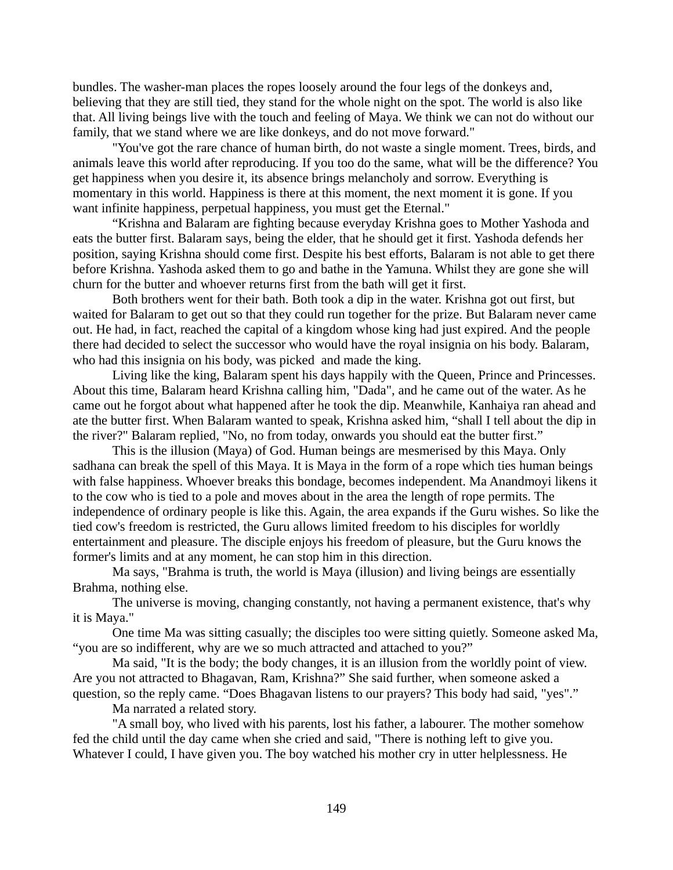bundles. The washer-man places the ropes loosely around the four legs of the donkeys and, believing that they are still tied, they stand for the whole night on the spot. The world is also like that. All living beings live with the touch and feeling of Maya. We think we can not do without our family, that we stand where we are like donkeys, and do not move forward."

"You've got the rare chance of human birth, do not waste a single moment. Trees, birds, and animals leave this world after reproducing. If you too do the same, what will be the difference? You get happiness when you desire it, its absence brings melancholy and sorrow. Everything is momentary in this world. Happiness is there at this moment, the next moment it is gone. If you want infinite happiness, perpetual happiness, you must get the Eternal."

"Krishna and Balaram are fighting because everyday Krishna goes to Mother Yashoda and eats the butter first. Balaram says, being the elder, that he should get it first. Yashoda defends her position, saying Krishna should come first. Despite his best efforts, Balaram is not able to get there before Krishna. Yashoda asked them to go and bathe in the Yamuna. Whilst they are gone she will churn for the butter and whoever returns first from the bath will get it first.

Both brothers went for their bath. Both took a dip in the water. Krishna got out first, but waited for Balaram to get out so that they could run together for the prize. But Balaram never came out. He had, in fact, reached the capital of a kingdom whose king had just expired. And the people there had decided to select the successor who would have the royal insignia on his body. Balaram, who had this insignia on his body, was picked and made the king.

Living like the king, Balaram spent his days happily with the Queen, Prince and Princesses. About this time, Balaram heard Krishna calling him, "Dada", and he came out of the water. As he came out he forgot about what happened after he took the dip. Meanwhile, Kanhaiya ran ahead and ate the butter first. When Balaram wanted to speak, Krishna asked him, "shall I tell about the dip in the river?" Balaram replied, "No, no from today, onwards you should eat the butter first."

This is the illusion (Maya) of God. Human beings are mesmerised by this Maya. Only sadhana can break the spell of this Maya. It is Maya in the form of a rope which ties human beings with false happiness. Whoever breaks this bondage, becomes independent. Ma Anandmoyi likens it to the cow who is tied to a pole and moves about in the area the length of rope permits. The independence of ordinary people is like this. Again, the area expands if the Guru wishes. So like the tied cow's freedom is restricted, the Guru allows limited freedom to his disciples for worldly entertainment and pleasure. The disciple enjoys his freedom of pleasure, but the Guru knows the former's limits and at any moment, he can stop him in this direction.

Ma says, "Brahma is truth, the world is Maya (illusion) and living beings are essentially Brahma, nothing else.

The universe is moving, changing constantly, not having a permanent existence, that's why it is Maya."

One time Ma was sitting casually; the disciples too were sitting quietly. Someone asked Ma, "you are so indifferent, why are we so much attracted and attached to you?"

Ma said, "It is the body; the body changes, it is an illusion from the worldly point of view. Are you not attracted to Bhagavan, Ram, Krishna?" She said further, when someone asked a question, so the reply came. "Does Bhagavan listens to our prayers? This body had said, "yes"."

Ma narrated a related story.

"A small boy, who lived with his parents, lost his father, a labourer. The mother somehow fed the child until the day came when she cried and said, "There is nothing left to give you. Whatever I could, I have given you. The boy watched his mother cry in utter helplessness. He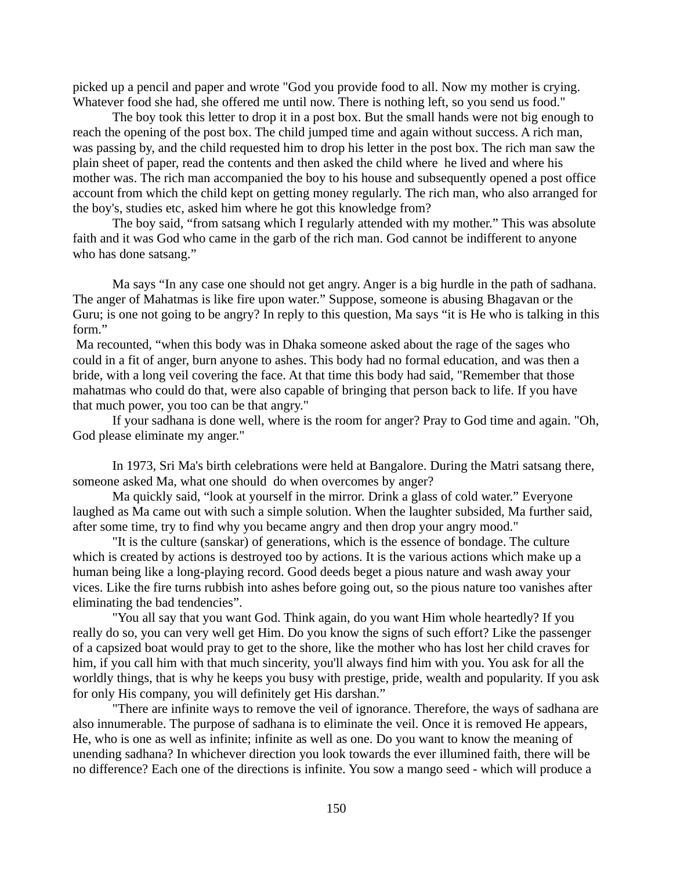picked up a pencil and paper and wrote "God you provide food to all. Now my mother is crying. Whatever food she had, she offered me until now. There is nothing left, so you send us food."

The boy took this letter to drop it in a post box. But the small hands were not big enough to reach the opening of the post box. The child jumped time and again without success. A rich man, was passing by, and the child requested him to drop his letter in the post box. The rich man saw the plain sheet of paper, read the contents and then asked the child where he lived and where his mother was. The rich man accompanied the boy to his house and subsequently opened a post office account from which the child kept on getting money regularly. The rich man, who also arranged for the boy's, studies etc, asked him where he got this knowledge from?

The boy said, "from satsang which I regularly attended with my mother." This was absolute faith and it was God who came in the garb of the rich man. God cannot be indifferent to anyone who has done satsang."

Ma says "In any case one should not get angry. Anger is a big hurdle in the path of sadhana. The anger of Mahatmas is like fire upon water." Suppose, someone is abusing Bhagavan or the Guru; is one not going to be angry? In reply to this question, Ma says "it is He who is talking in this form."

Ma recounted, "when this body was in Dhaka someone asked about the rage of the sages who could in a fit of anger, burn anyone to ashes. This body had no formal education, and was then a bride, with a long veil covering the face. At that time this body had said, "Remember that those mahatmas who could do that, were also capable of bringing that person back to life. If you have that much power, you too can be that angry."

If your sadhana is done well, where is the room for anger? Pray to God time and again. "Oh, God please eliminate my anger."

In 1973, Sri Ma's birth celebrations were held at Bangalore. During the Matri satsang there, someone asked Ma, what one should do when overcomes by anger?

Ma quickly said, "look at yourself in the mirror. Drink a glass of cold water." Everyone laughed as Ma came out with such a simple solution. When the laughter subsided, Ma further said, after some time, try to find why you became angry and then drop your angry mood."

"It is the culture (sanskar) of generations, which is the essence of bondage. The culture which is created by actions is destroyed too by actions. It is the various actions which make up a human being like a long-playing record. Good deeds beget a pious nature and wash away your vices. Like the fire turns rubbish into ashes before going out, so the pious nature too vanishes after eliminating the bad tendencies".

"You all say that you want God. Think again, do you want Him whole heartedly? If you really do so, you can very well get Him. Do you know the signs of such effort? Like the passenger of a capsized boat would pray to get to the shore, like the mother who has lost her child craves for him, if you call him with that much sincerity, you'll always find him with you. You ask for all the worldly things, that is why he keeps you busy with prestige, pride, wealth and popularity. If you ask for only His company, you will definitely get His darshan."

"There are infinite ways to remove the veil of ignorance. Therefore, the ways of sadhana are also innumerable. The purpose of sadhana is to eliminate the veil. Once it is removed He appears, He, who is one as well as infinite; infinite as well as one. Do you want to know the meaning of unending sadhana? In whichever direction you look towards the ever illumined faith, there will be no difference? Each one of the directions is infinite. You sow a mango seed - which will produce a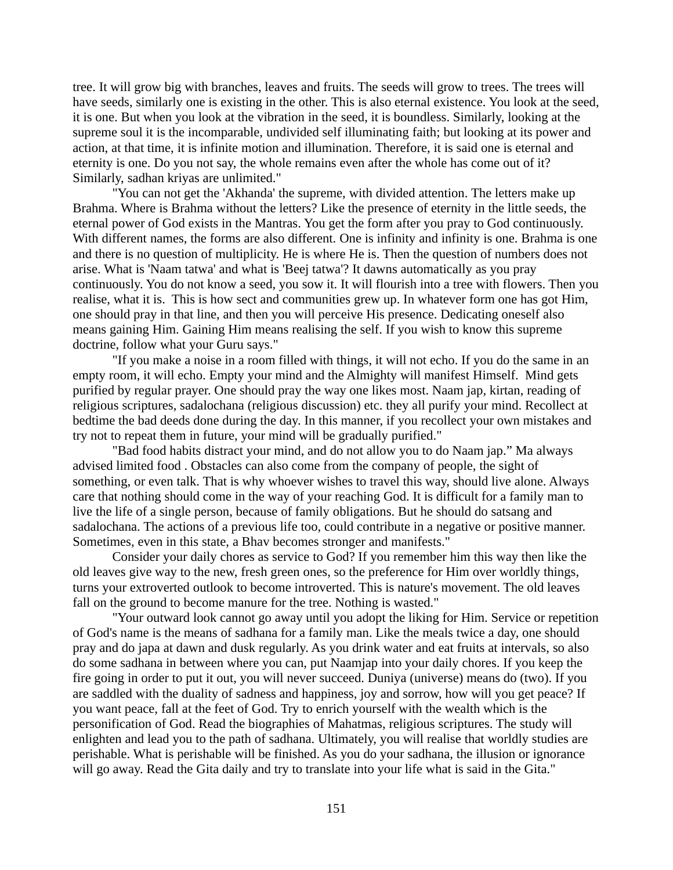tree. It will grow big with branches, leaves and fruits. The seeds will grow to trees. The trees will have seeds, similarly one is existing in the other. This is also eternal existence. You look at the seed, it is one. But when you look at the vibration in the seed, it is boundless. Similarly, looking at the supreme soul it is the incomparable, undivided self illuminating faith; but looking at its power and action, at that time, it is infinite motion and illumination. Therefore, it is said one is eternal and eternity is one. Do you not say, the whole remains even after the whole has come out of it? Similarly, sadhan kriyas are unlimited."

"You can not get the 'Akhanda' the supreme, with divided attention. The letters make up Brahma. Where is Brahma without the letters? Like the presence of eternity in the little seeds, the eternal power of God exists in the Mantras. You get the form after you pray to God continuously. With different names, the forms are also different. One is infinity and infinity is one. Brahma is one and there is no question of multiplicity. He is where He is. Then the question of numbers does not arise. What is 'Naam tatwa' and what is 'Beej tatwa'? It dawns automatically as you pray continuously. You do not know a seed, you sow it. It will flourish into a tree with flowers. Then you realise, what it is. This is how sect and communities grew up. In whatever form one has got Him, one should pray in that line, and then you will perceive His presence. Dedicating oneself also means gaining Him. Gaining Him means realising the self. If you wish to know this supreme doctrine, follow what your Guru says."

"If you make a noise in a room filled with things, it will not echo. If you do the same in an empty room, it will echo. Empty your mind and the Almighty will manifest Himself. Mind gets purified by regular prayer. One should pray the way one likes most. Naam jap, kirtan, reading of religious scriptures, sadalochana (religious discussion) etc. they all purify your mind. Recollect at bedtime the bad deeds done during the day. In this manner, if you recollect your own mistakes and try not to repeat them in future, your mind will be gradually purified."

"Bad food habits distract your mind, and do not allow you to do Naam jap." Ma always advised limited food . Obstacles can also come from the company of people, the sight of something, or even talk. That is why whoever wishes to travel this way, should live alone. Always care that nothing should come in the way of your reaching God. It is difficult for a family man to live the life of a single person, because of family obligations. But he should do satsang and sadalochana. The actions of a previous life too, could contribute in a negative or positive manner. Sometimes, even in this state, a Bhav becomes stronger and manifests."

Consider your daily chores as service to God? If you remember him this way then like the old leaves give way to the new, fresh green ones, so the preference for Him over worldly things, turns your extroverted outlook to become introverted. This is nature's movement. The old leaves fall on the ground to become manure for the tree. Nothing is wasted."

"Your outward look cannot go away until you adopt the liking for Him. Service or repetition of God's name is the means of sadhana for a family man. Like the meals twice a day, one should pray and do japa at dawn and dusk regularly. As you drink water and eat fruits at intervals, so also do some sadhana in between where you can, put Naamjap into your daily chores. If you keep the fire going in order to put it out, you will never succeed. Duniya (universe) means do (two). If you are saddled with the duality of sadness and happiness, joy and sorrow, how will you get peace? If you want peace, fall at the feet of God. Try to enrich yourself with the wealth which is the personification of God. Read the biographies of Mahatmas, religious scriptures. The study will enlighten and lead you to the path of sadhana. Ultimately, you will realise that worldly studies are perishable. What is perishable will be finished. As you do your sadhana, the illusion or ignorance will go away. Read the Gita daily and try to translate into your life what is said in the Gita."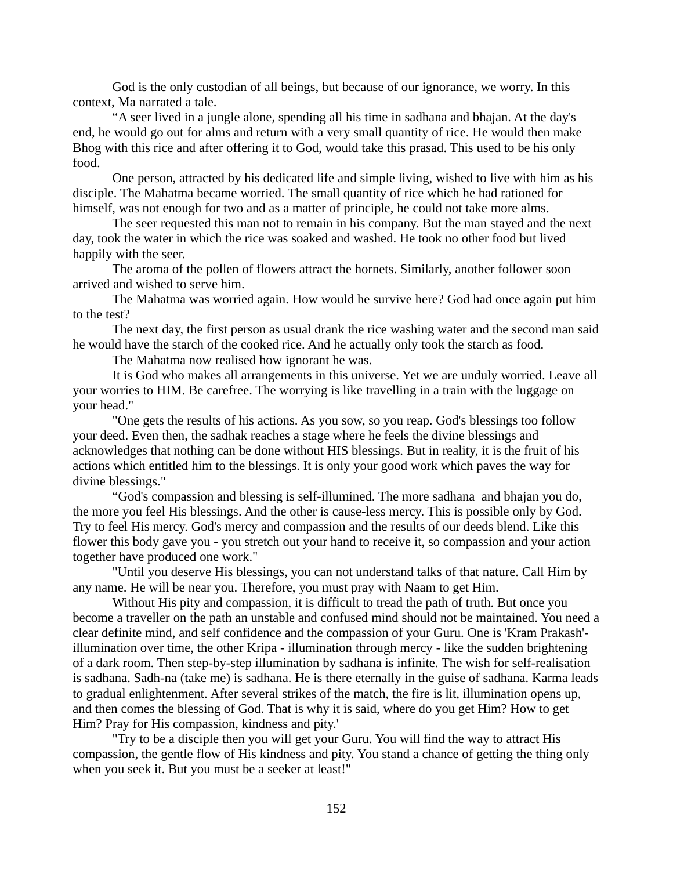God is the only custodian of all beings, but because of our ignorance, we worry. In this context, Ma narrated a tale.

"A seer lived in a jungle alone, spending all his time in sadhana and bhajan. At the day's end, he would go out for alms and return with a very small quantity of rice. He would then make Bhog with this rice and after offering it to God, would take this prasad. This used to be his only food.

One person, attracted by his dedicated life and simple living, wished to live with him as his disciple. The Mahatma became worried. The small quantity of rice which he had rationed for himself, was not enough for two and as a matter of principle, he could not take more alms.

The seer requested this man not to remain in his company. But the man stayed and the next day, took the water in which the rice was soaked and washed. He took no other food but lived happily with the seer.

The aroma of the pollen of flowers attract the hornets. Similarly, another follower soon arrived and wished to serve him.

The Mahatma was worried again. How would he survive here? God had once again put him to the test?

The next day, the first person as usual drank the rice washing water and the second man said he would have the starch of the cooked rice. And he actually only took the starch as food.

The Mahatma now realised how ignorant he was.

It is God who makes all arrangements in this universe. Yet we are unduly worried. Leave all your worries to HIM. Be carefree. The worrying is like travelling in a train with the luggage on your head."

"One gets the results of his actions. As you sow, so you reap. God's blessings too follow your deed. Even then, the sadhak reaches a stage where he feels the divine blessings and acknowledges that nothing can be done without HIS blessings. But in reality, it is the fruit of his actions which entitled him to the blessings. It is only your good work which paves the way for divine blessings."

"God's compassion and blessing is self-illumined. The more sadhana and bhajan you do, the more you feel His blessings. And the other is cause-less mercy. This is possible only by God. Try to feel His mercy. God's mercy and compassion and the results of our deeds blend. Like this flower this body gave you - you stretch out your hand to receive it, so compassion and your action together have produced one work."

"Until you deserve His blessings, you can not understand talks of that nature. Call Him by any name. He will be near you. Therefore, you must pray with Naam to get Him.

Without His pity and compassion, it is difficult to tread the path of truth. But once you become a traveller on the path an unstable and confused mind should not be maintained. You need a clear definite mind, and self confidence and the compassion of your Guru. One is 'Kram Prakash' illumination over time, the other Kripa - illumination through mercy - like the sudden brightening of a dark room. Then step-by-step illumination by sadhana is infinite. The wish for self-realisation is sadhana. Sadh-na (take me) is sadhana. He is there eternally in the guise of sadhana. Karma leads to gradual enlightenment. After several strikes of the match, the fire is lit, illumination opens up, and then comes the blessing of God. That is why it is said, where do you get Him? How to get Him? Pray for His compassion, kindness and pity.'

"Try to be a disciple then you will get your Guru. You will find the way to attract His compassion, the gentle flow of His kindness and pity. You stand a chance of getting the thing only when you seek it. But you must be a seeker at least!"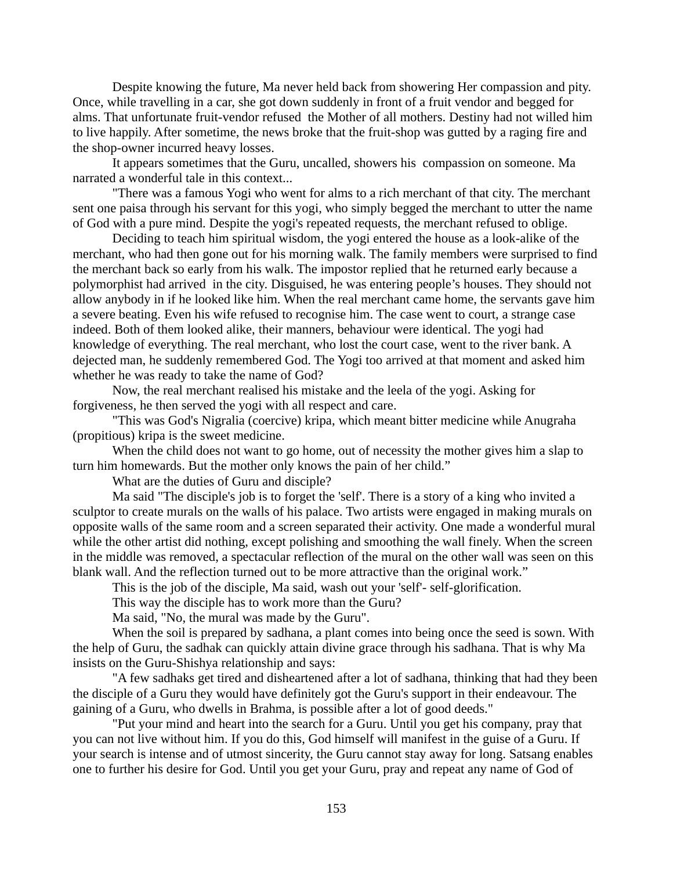Despite knowing the future, Ma never held back from showering Her compassion and pity. Once, while travelling in a car, she got down suddenly in front of a fruit vendor and begged for alms. That unfortunate fruit-vendor refused the Mother of all mothers. Destiny had not willed him to live happily. After sometime, the news broke that the fruit-shop was gutted by a raging fire and the shop-owner incurred heavy losses.

It appears sometimes that the Guru, uncalled, showers his compassion on someone. Ma narrated a wonderful tale in this context...

"There was a famous Yogi who went for alms to a rich merchant of that city. The merchant sent one paisa through his servant for this yogi, who simply begged the merchant to utter the name of God with a pure mind. Despite the yogi's repeated requests, the merchant refused to oblige.

Deciding to teach him spiritual wisdom, the yogi entered the house as a look-alike of the merchant, who had then gone out for his morning walk. The family members were surprised to find the merchant back so early from his walk. The impostor replied that he returned early because a polymorphist had arrived in the city. Disguised, he was entering people's houses. They should not allow anybody in if he looked like him. When the real merchant came home, the servants gave him a severe beating. Even his wife refused to recognise him. The case went to court, a strange case indeed. Both of them looked alike, their manners, behaviour were identical. The yogi had knowledge of everything. The real merchant, who lost the court case, went to the river bank. A dejected man, he suddenly remembered God. The Yogi too arrived at that moment and asked him whether he was ready to take the name of God?

Now, the real merchant realised his mistake and the leela of the yogi. Asking for forgiveness, he then served the yogi with all respect and care.

"This was God's Nigralia (coercive) kripa, which meant bitter medicine while Anugraha (propitious) kripa is the sweet medicine.

When the child does not want to go home, out of necessity the mother gives him a slap to turn him homewards. But the mother only knows the pain of her child."

What are the duties of Guru and disciple?

Ma said "The disciple's job is to forget the 'self'. There is a story of a king who invited a sculptor to create murals on the walls of his palace. Two artists were engaged in making murals on opposite walls of the same room and a screen separated their activity. One made a wonderful mural while the other artist did nothing, except polishing and smoothing the wall finely. When the screen in the middle was removed, a spectacular reflection of the mural on the other wall was seen on this blank wall. And the reflection turned out to be more attractive than the original work."

This is the job of the disciple, Ma said, wash out your 'self'- self-glorification.

This way the disciple has to work more than the Guru?

Ma said, "No, the mural was made by the Guru".

When the soil is prepared by sadhana, a plant comes into being once the seed is sown. With the help of Guru, the sadhak can quickly attain divine grace through his sadhana. That is why Ma insists on the Guru-Shishya relationship and says:

"A few sadhaks get tired and disheartened after a lot of sadhana, thinking that had they been the disciple of a Guru they would have definitely got the Guru's support in their endeavour. The gaining of a Guru, who dwells in Brahma, is possible after a lot of good deeds."

"Put your mind and heart into the search for a Guru. Until you get his company, pray that you can not live without him. If you do this, God himself will manifest in the guise of a Guru. If your search is intense and of utmost sincerity, the Guru cannot stay away for long. Satsang enables one to further his desire for God. Until you get your Guru, pray and repeat any name of God of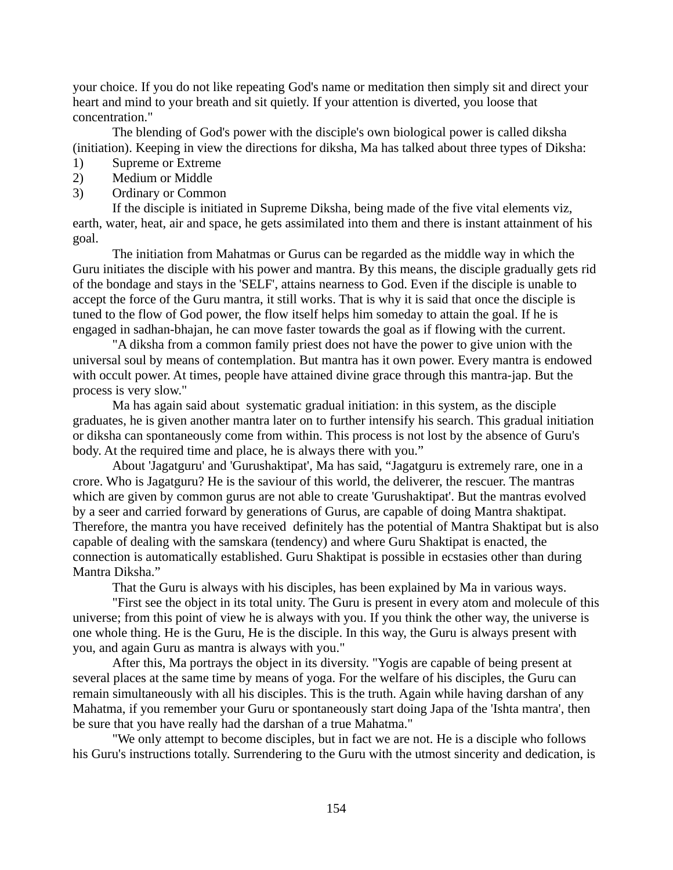your choice. If you do not like repeating God's name or meditation then simply sit and direct your heart and mind to your breath and sit quietly. If your attention is diverted, you loose that concentration."

The blending of God's power with the disciple's own biological power is called diksha (initiation). Keeping in view the directions for diksha, Ma has talked about three types of Diksha:

- 1) Supreme or Extreme
- 2) Medium or Middle
- 3) Ordinary or Common

If the disciple is initiated in Supreme Diksha, being made of the five vital elements viz, earth, water, heat, air and space, he gets assimilated into them and there is instant attainment of his goal.

The initiation from Mahatmas or Gurus can be regarded as the middle way in which the Guru initiates the disciple with his power and mantra. By this means, the disciple gradually gets rid of the bondage and stays in the 'SELF', attains nearness to God. Even if the disciple is unable to accept the force of the Guru mantra, it still works. That is why it is said that once the disciple is tuned to the flow of God power, the flow itself helps him someday to attain the goal. If he is engaged in sadhan-bhajan, he can move faster towards the goal as if flowing with the current.

"A diksha from a common family priest does not have the power to give union with the universal soul by means of contemplation. But mantra has it own power. Every mantra is endowed with occult power. At times, people have attained divine grace through this mantra-jap. But the process is very slow."

Ma has again said about systematic gradual initiation: in this system, as the disciple graduates, he is given another mantra later on to further intensify his search. This gradual initiation or diksha can spontaneously come from within. This process is not lost by the absence of Guru's body. At the required time and place, he is always there with you."

About 'Jagatguru' and 'Gurushaktipat', Ma has said, "Jagatguru is extremely rare, one in a crore. Who is Jagatguru? He is the saviour of this world, the deliverer, the rescuer. The mantras which are given by common gurus are not able to create 'Gurushaktipat'. But the mantras evolved by a seer and carried forward by generations of Gurus, are capable of doing Mantra shaktipat. Therefore, the mantra you have received definitely has the potential of Mantra Shaktipat but is also capable of dealing with the samskara (tendency) and where Guru Shaktipat is enacted, the connection is automatically established. Guru Shaktipat is possible in ecstasies other than during Mantra Diksha."

That the Guru is always with his disciples, has been explained by Ma in various ways.

"First see the object in its total unity. The Guru is present in every atom and molecule of this universe; from this point of view he is always with you. If you think the other way, the universe is one whole thing. He is the Guru, He is the disciple. In this way, the Guru is always present with you, and again Guru as mantra is always with you."

After this, Ma portrays the object in its diversity. "Yogis are capable of being present at several places at the same time by means of yoga. For the welfare of his disciples, the Guru can remain simultaneously with all his disciples. This is the truth. Again while having darshan of any Mahatma, if you remember your Guru or spontaneously start doing Japa of the 'Ishta mantra', then be sure that you have really had the darshan of a true Mahatma."

"We only attempt to become disciples, but in fact we are not. He is a disciple who follows his Guru's instructions totally. Surrendering to the Guru with the utmost sincerity and dedication, is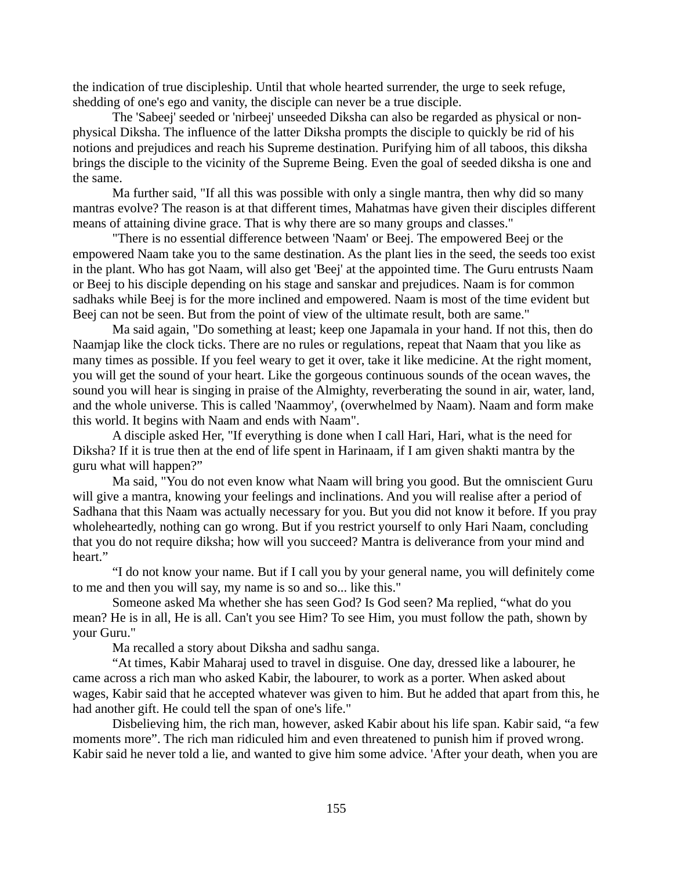the indication of true discipleship. Until that whole hearted surrender, the urge to seek refuge, shedding of one's ego and vanity, the disciple can never be a true disciple.

The 'Sabeej' seeded or 'nirbeej' unseeded Diksha can also be regarded as physical or nonphysical Diksha. The influence of the latter Diksha prompts the disciple to quickly be rid of his notions and prejudices and reach his Supreme destination. Purifying him of all taboos, this diksha brings the disciple to the vicinity of the Supreme Being. Even the goal of seeded diksha is one and the same.

Ma further said, "If all this was possible with only a single mantra, then why did so many mantras evolve? The reason is at that different times, Mahatmas have given their disciples different means of attaining divine grace. That is why there are so many groups and classes."

"There is no essential difference between 'Naam' or Beej. The empowered Beej or the empowered Naam take you to the same destination. As the plant lies in the seed, the seeds too exist in the plant. Who has got Naam, will also get 'Beej' at the appointed time. The Guru entrusts Naam or Beej to his disciple depending on his stage and sanskar and prejudices. Naam is for common sadhaks while Beej is for the more inclined and empowered. Naam is most of the time evident but Beej can not be seen. But from the point of view of the ultimate result, both are same."

Ma said again, "Do something at least; keep one Japamala in your hand. If not this, then do Naamjap like the clock ticks. There are no rules or regulations, repeat that Naam that you like as many times as possible. If you feel weary to get it over, take it like medicine. At the right moment, you will get the sound of your heart. Like the gorgeous continuous sounds of the ocean waves, the sound you will hear is singing in praise of the Almighty, reverberating the sound in air, water, land, and the whole universe. This is called 'Naammoy', (overwhelmed by Naam). Naam and form make this world. It begins with Naam and ends with Naam".

A disciple asked Her, "If everything is done when I call Hari, Hari, what is the need for Diksha? If it is true then at the end of life spent in Harinaam, if I am given shakti mantra by the guru what will happen?"

Ma said, "You do not even know what Naam will bring you good. But the omniscient Guru will give a mantra, knowing your feelings and inclinations. And you will realise after a period of Sadhana that this Naam was actually necessary for you. But you did not know it before. If you pray wholeheartedly, nothing can go wrong. But if you restrict yourself to only Hari Naam, concluding that you do not require diksha; how will you succeed? Mantra is deliverance from your mind and heart."

"I do not know your name. But if I call you by your general name, you will definitely come to me and then you will say, my name is so and so... like this."

Someone asked Ma whether she has seen God? Is God seen? Ma replied, "what do you mean? He is in all, He is all. Can't you see Him? To see Him, you must follow the path, shown by your Guru."

Ma recalled a story about Diksha and sadhu sanga.

"At times, Kabir Maharaj used to travel in disguise. One day, dressed like a labourer, he came across a rich man who asked Kabir, the labourer, to work as a porter. When asked about wages, Kabir said that he accepted whatever was given to him. But he added that apart from this, he had another gift. He could tell the span of one's life."

Disbelieving him, the rich man, however, asked Kabir about his life span. Kabir said, "a few moments more". The rich man ridiculed him and even threatened to punish him if proved wrong. Kabir said he never told a lie, and wanted to give him some advice. 'After your death, when you are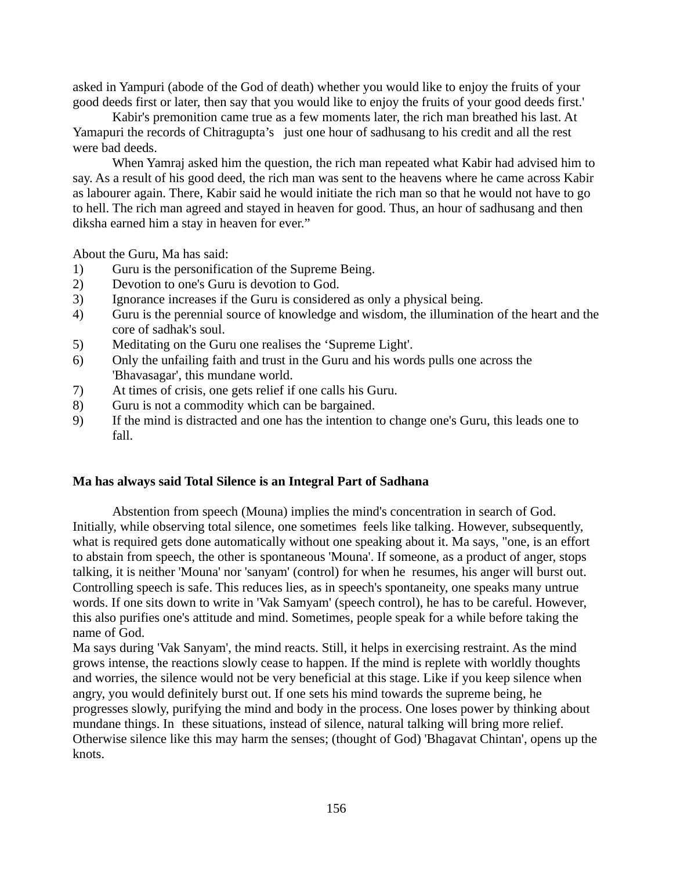asked in Yampuri (abode of the God of death) whether you would like to enjoy the fruits of your good deeds first or later, then say that you would like to enjoy the fruits of your good deeds first.'

Kabir's premonition came true as a few moments later, the rich man breathed his last. At Yamapuri the records of Chitragupta's just one hour of sadhusang to his credit and all the rest were bad deeds.

When Yamraj asked him the question, the rich man repeated what Kabir had advised him to say. As a result of his good deed, the rich man was sent to the heavens where he came across Kabir as labourer again. There, Kabir said he would initiate the rich man so that he would not have to go to hell. The rich man agreed and stayed in heaven for good. Thus, an hour of sadhusang and then diksha earned him a stay in heaven for ever."

About the Guru, Ma has said:

- 1) Guru is the personification of the Supreme Being.
- 2) Devotion to one's Guru is devotion to God.
- 3) Ignorance increases if the Guru is considered as only a physical being.
- 4) Guru is the perennial source of knowledge and wisdom, the illumination of the heart and the core of sadhak's soul.
- 5) Meditating on the Guru one realises the 'Supreme Light'.
- 6) Only the unfailing faith and trust in the Guru and his words pulls one across the 'Bhavasagar', this mundane world.
- 7) At times of crisis, one gets relief if one calls his Guru.
- 8) Guru is not a commodity which can be bargained.
- 9) If the mind is distracted and one has the intention to change one's Guru, this leads one to fall.

#### **Ma has always said Total Silence is an Integral Part of Sadhana**

Abstention from speech (Mouna) implies the mind's concentration in search of God. Initially, while observing total silence, one sometimes feels like talking. However, subsequently, what is required gets done automatically without one speaking about it. Ma says, "one, is an effort to abstain from speech, the other is spontaneous 'Mouna'. If someone, as a product of anger, stops talking, it is neither 'Mouna' nor 'sanyam' (control) for when he resumes, his anger will burst out. Controlling speech is safe. This reduces lies, as in speech's spontaneity, one speaks many untrue words. If one sits down to write in 'Vak Samyam' (speech control), he has to be careful. However, this also purifies one's attitude and mind. Sometimes, people speak for a while before taking the name of God.

Ma says during 'Vak Sanyam', the mind reacts. Still, it helps in exercising restraint. As the mind grows intense, the reactions slowly cease to happen. If the mind is replete with worldly thoughts and worries, the silence would not be very beneficial at this stage. Like if you keep silence when angry, you would definitely burst out. If one sets his mind towards the supreme being, he progresses slowly, purifying the mind and body in the process. One loses power by thinking about mundane things. In these situations, instead of silence, natural talking will bring more relief. Otherwise silence like this may harm the senses; (thought of God) 'Bhagavat Chintan', opens up the knots.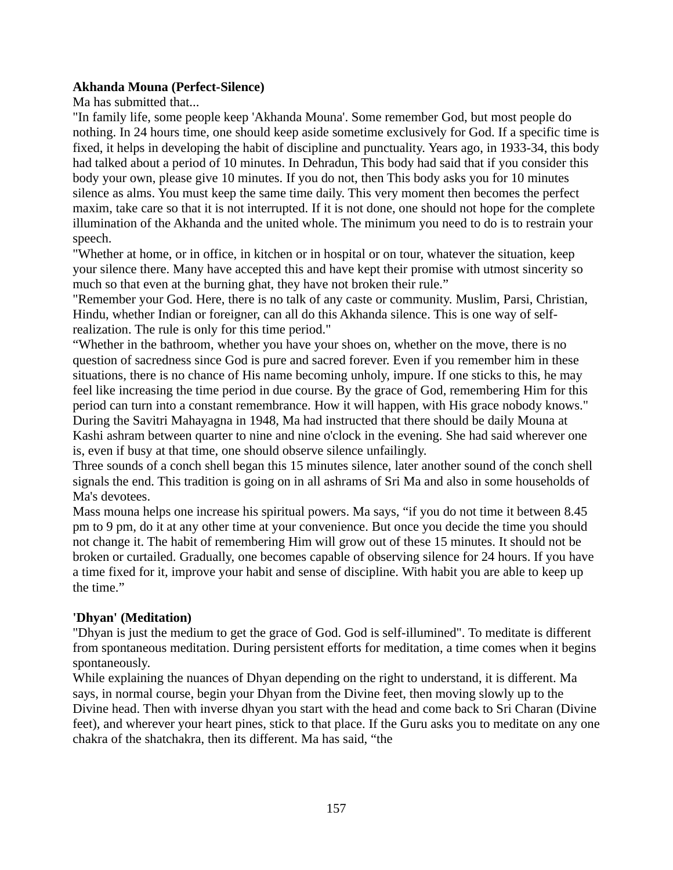### **Akhanda Mouna (Perfect-Silence)**

Ma has submitted that...

"In family life, some people keep 'Akhanda Mouna'. Some remember God, but most people do nothing. In 24 hours time, one should keep aside sometime exclusively for God. If a specific time is fixed, it helps in developing the habit of discipline and punctuality. Years ago, in 1933-34, this body had talked about a period of 10 minutes. In Dehradun, This body had said that if you consider this body your own, please give 10 minutes. If you do not, then This body asks you for 10 minutes silence as alms. You must keep the same time daily. This very moment then becomes the perfect maxim, take care so that it is not interrupted. If it is not done, one should not hope for the complete illumination of the Akhanda and the united whole. The minimum you need to do is to restrain your speech.

"Whether at home, or in office, in kitchen or in hospital or on tour, whatever the situation, keep your silence there. Many have accepted this and have kept their promise with utmost sincerity so much so that even at the burning ghat, they have not broken their rule."

"Remember your God. Here, there is no talk of any caste or community. Muslim, Parsi, Christian, Hindu, whether Indian or foreigner, can all do this Akhanda silence. This is one way of selfrealization. The rule is only for this time period."

"Whether in the bathroom, whether you have your shoes on, whether on the move, there is no question of sacredness since God is pure and sacred forever. Even if you remember him in these situations, there is no chance of His name becoming unholy, impure. If one sticks to this, he may feel like increasing the time period in due course. By the grace of God, remembering Him for this period can turn into a constant remembrance. How it will happen, with His grace nobody knows." During the Savitri Mahayagna in 1948, Ma had instructed that there should be daily Mouna at Kashi ashram between quarter to nine and nine o'clock in the evening. She had said wherever one is, even if busy at that time, one should observe silence unfailingly.

Three sounds of a conch shell began this 15 minutes silence, later another sound of the conch shell signals the end. This tradition is going on in all ashrams of Sri Ma and also in some households of Ma's devotees.

Mass mouna helps one increase his spiritual powers. Ma says, "if you do not time it between 8.45 pm to 9 pm, do it at any other time at your convenience. But once you decide the time you should not change it. The habit of remembering Him will grow out of these 15 minutes. It should not be broken or curtailed. Gradually, one becomes capable of observing silence for 24 hours. If you have a time fixed for it, improve your habit and sense of discipline. With habit you are able to keep up the time."

## **'Dhyan' (Meditation)**

"Dhyan is just the medium to get the grace of God. God is self-illumined". To meditate is different from spontaneous meditation. During persistent efforts for meditation, a time comes when it begins spontaneously.

While explaining the nuances of Dhyan depending on the right to understand, it is different. Ma says, in normal course, begin your Dhyan from the Divine feet, then moving slowly up to the Divine head. Then with inverse dhyan you start with the head and come back to Sri Charan (Divine feet), and wherever your heart pines, stick to that place. If the Guru asks you to meditate on any one chakra of the shatchakra, then its different. Ma has said, "the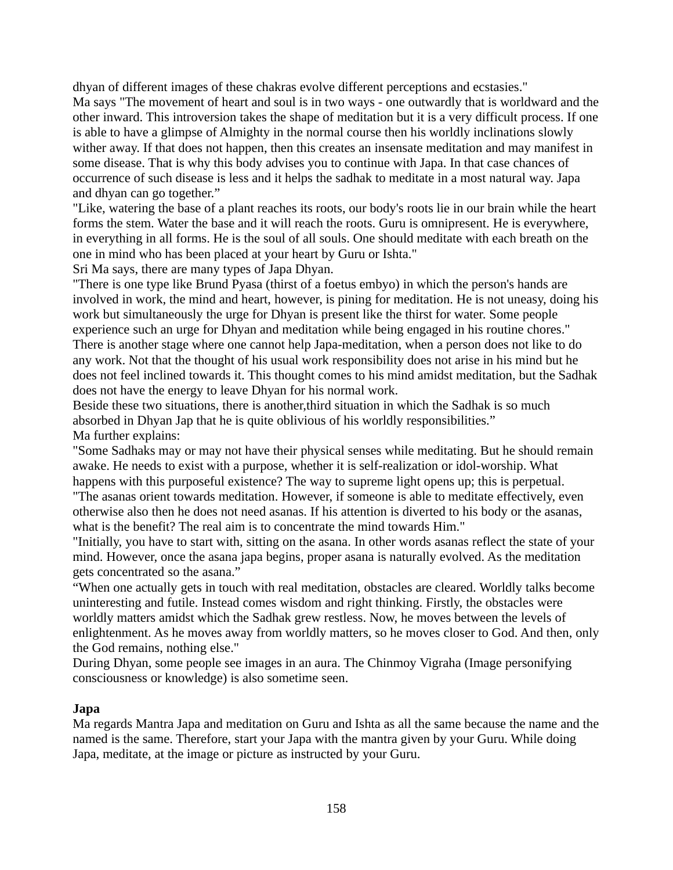dhyan of different images of these chakras evolve different perceptions and ecstasies." Ma says "The movement of heart and soul is in two ways - one outwardly that is worldward and the other inward. This introversion takes the shape of meditation but it is a very difficult process. If one is able to have a glimpse of Almighty in the normal course then his worldly inclinations slowly wither away. If that does not happen, then this creates an insensate meditation and may manifest in some disease. That is why this body advises you to continue with Japa. In that case chances of occurrence of such disease is less and it helps the sadhak to meditate in a most natural way. Japa and dhyan can go together."

"Like, watering the base of a plant reaches its roots, our body's roots lie in our brain while the heart forms the stem. Water the base and it will reach the roots. Guru is omnipresent. He is everywhere, in everything in all forms. He is the soul of all souls. One should meditate with each breath on the one in mind who has been placed at your heart by Guru or Ishta."

Sri Ma says, there are many types of Japa Dhyan.

"There is one type like Brund Pyasa (thirst of a foetus embyo) in which the person's hands are involved in work, the mind and heart, however, is pining for meditation. He is not uneasy, doing his work but simultaneously the urge for Dhyan is present like the thirst for water. Some people experience such an urge for Dhyan and meditation while being engaged in his routine chores." There is another stage where one cannot help Japa-meditation, when a person does not like to do any work. Not that the thought of his usual work responsibility does not arise in his mind but he does not feel inclined towards it. This thought comes to his mind amidst meditation, but the Sadhak does not have the energy to leave Dhyan for his normal work.

Beside these two situations, there is another,third situation in which the Sadhak is so much absorbed in Dhyan Jap that he is quite oblivious of his worldly responsibilities." Ma further explains:

"Some Sadhaks may or may not have their physical senses while meditating. But he should remain awake. He needs to exist with a purpose, whether it is self-realization or idol-worship. What happens with this purposeful existence? The way to supreme light opens up; this is perpetual. "The asanas orient towards meditation. However, if someone is able to meditate effectively, even otherwise also then he does not need asanas. If his attention is diverted to his body or the asanas,

what is the benefit? The real aim is to concentrate the mind towards Him."

"Initially, you have to start with, sitting on the asana. In other words asanas reflect the state of your mind. However, once the asana japa begins, proper asana is naturally evolved. As the meditation gets concentrated so the asana."

"When one actually gets in touch with real meditation, obstacles are cleared. Worldly talks become uninteresting and futile. Instead comes wisdom and right thinking. Firstly, the obstacles were worldly matters amidst which the Sadhak grew restless. Now, he moves between the levels of enlightenment. As he moves away from worldly matters, so he moves closer to God. And then, only the God remains, nothing else."

During Dhyan, some people see images in an aura. The Chinmoy Vigraha (Image personifying consciousness or knowledge) is also sometime seen.

### **Japa**

Ma regards Mantra Japa and meditation on Guru and Ishta as all the same because the name and the named is the same. Therefore, start your Japa with the mantra given by your Guru. While doing Japa, meditate, at the image or picture as instructed by your Guru.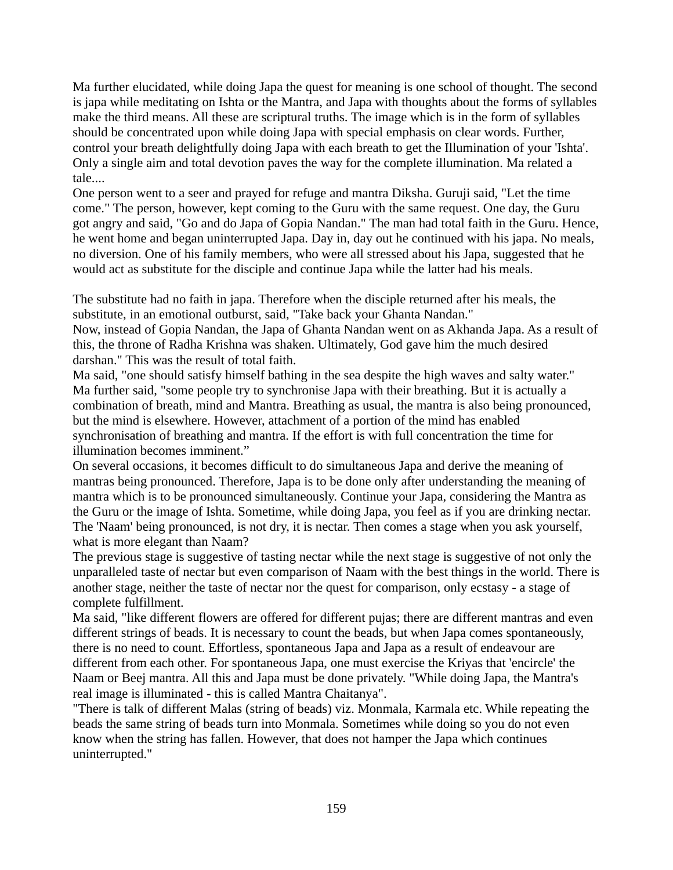Ma further elucidated, while doing Japa the quest for meaning is one school of thought. The second is japa while meditating on Ishta or the Mantra, and Japa with thoughts about the forms of syllables make the third means. All these are scriptural truths. The image which is in the form of syllables should be concentrated upon while doing Japa with special emphasis on clear words. Further, control your breath delightfully doing Japa with each breath to get the Illumination of your 'Ishta'. Only a single aim and total devotion paves the way for the complete illumination. Ma related a tale....

One person went to a seer and prayed for refuge and mantra Diksha. Guruji said, "Let the time come." The person, however, kept coming to the Guru with the same request. One day, the Guru got angry and said, "Go and do Japa of Gopia Nandan." The man had total faith in the Guru. Hence, he went home and began uninterrupted Japa. Day in, day out he continued with his japa. No meals, no diversion. One of his family members, who were all stressed about his Japa, suggested that he would act as substitute for the disciple and continue Japa while the latter had his meals.

The substitute had no faith in japa. Therefore when the disciple returned after his meals, the substitute, in an emotional outburst, said, "Take back your Ghanta Nandan."

Now, instead of Gopia Nandan, the Japa of Ghanta Nandan went on as Akhanda Japa. As a result of this, the throne of Radha Krishna was shaken. Ultimately, God gave him the much desired darshan." This was the result of total faith.

Ma said, "one should satisfy himself bathing in the sea despite the high waves and salty water." Ma further said, "some people try to synchronise Japa with their breathing. But it is actually a combination of breath, mind and Mantra. Breathing as usual, the mantra is also being pronounced, but the mind is elsewhere. However, attachment of a portion of the mind has enabled synchronisation of breathing and mantra. If the effort is with full concentration the time for illumination becomes imminent."

On several occasions, it becomes difficult to do simultaneous Japa and derive the meaning of mantras being pronounced. Therefore, Japa is to be done only after understanding the meaning of mantra which is to be pronounced simultaneously. Continue your Japa, considering the Mantra as the Guru or the image of Ishta. Sometime, while doing Japa, you feel as if you are drinking nectar. The 'Naam' being pronounced, is not dry, it is nectar. Then comes a stage when you ask yourself, what is more elegant than Naam?

The previous stage is suggestive of tasting nectar while the next stage is suggestive of not only the unparalleled taste of nectar but even comparison of Naam with the best things in the world. There is another stage, neither the taste of nectar nor the quest for comparison, only ecstasy - a stage of complete fulfillment.

Ma said, "like different flowers are offered for different pujas; there are different mantras and even different strings of beads. It is necessary to count the beads, but when Japa comes spontaneously, there is no need to count. Effortless, spontaneous Japa and Japa as a result of endeavour are different from each other. For spontaneous Japa, one must exercise the Kriyas that 'encircle' the Naam or Beej mantra. All this and Japa must be done privately. "While doing Japa, the Mantra's real image is illuminated - this is called Mantra Chaitanya".

"There is talk of different Malas (string of beads) viz. Monmala, Karmala etc. While repeating the beads the same string of beads turn into Monmala. Sometimes while doing so you do not even know when the string has fallen. However, that does not hamper the Japa which continues uninterrupted."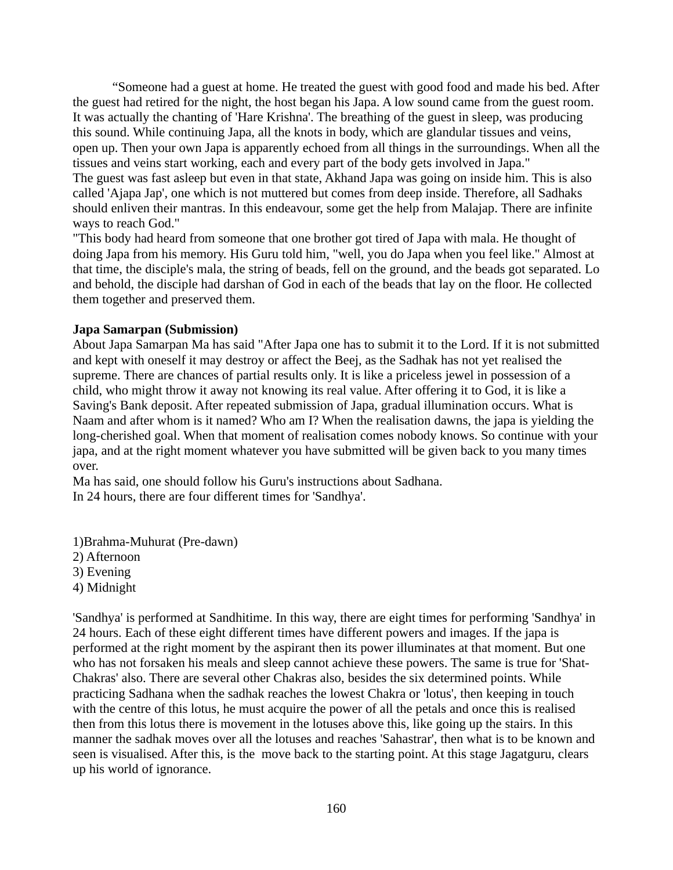"Someone had a guest at home. He treated the guest with good food and made his bed. After the guest had retired for the night, the host began his Japa. A low sound came from the guest room. It was actually the chanting of 'Hare Krishna'. The breathing of the guest in sleep, was producing this sound. While continuing Japa, all the knots in body, which are glandular tissues and veins, open up. Then your own Japa is apparently echoed from all things in the surroundings. When all the tissues and veins start working, each and every part of the body gets involved in Japa." The guest was fast asleep but even in that state, Akhand Japa was going on inside him. This is also called 'Ajapa Jap', one which is not muttered but comes from deep inside. Therefore, all Sadhaks should enliven their mantras. In this endeavour, some get the help from Malajap. There are infinite ways to reach God."

"This body had heard from someone that one brother got tired of Japa with mala. He thought of doing Japa from his memory. His Guru told him, "well, you do Japa when you feel like." Almost at that time, the disciple's mala, the string of beads, fell on the ground, and the beads got separated. Lo and behold, the disciple had darshan of God in each of the beads that lay on the floor. He collected them together and preserved them.

#### **Japa Samarpan (Submission)**

About Japa Samarpan Ma has said "After Japa one has to submit it to the Lord. If it is not submitted and kept with oneself it may destroy or affect the Beej, as the Sadhak has not yet realised the supreme. There are chances of partial results only. It is like a priceless jewel in possession of a child, who might throw it away not knowing its real value. After offering it to God, it is like a Saving's Bank deposit. After repeated submission of Japa, gradual illumination occurs. What is Naam and after whom is it named? Who am I? When the realisation dawns, the japa is yielding the long-cherished goal. When that moment of realisation comes nobody knows. So continue with your japa, and at the right moment whatever you have submitted will be given back to you many times over.

Ma has said, one should follow his Guru's instructions about Sadhana. In 24 hours, there are four different times for 'Sandhya'.

1)Brahma-Muhurat (Pre-dawn)

- 2) Afternoon
- 3) Evening
- 4) Midnight

'Sandhya' is performed at Sandhitime. In this way, there are eight times for performing 'Sandhya' in 24 hours. Each of these eight different times have different powers and images. If the japa is performed at the right moment by the aspirant then its power illuminates at that moment. But one who has not forsaken his meals and sleep cannot achieve these powers. The same is true for 'Shat-Chakras' also. There are several other Chakras also, besides the six determined points. While practicing Sadhana when the sadhak reaches the lowest Chakra or 'lotus', then keeping in touch with the centre of this lotus, he must acquire the power of all the petals and once this is realised then from this lotus there is movement in the lotuses above this, like going up the stairs. In this manner the sadhak moves over all the lotuses and reaches 'Sahastrar', then what is to be known and seen is visualised. After this, is the move back to the starting point. At this stage Jagatguru, clears up his world of ignorance.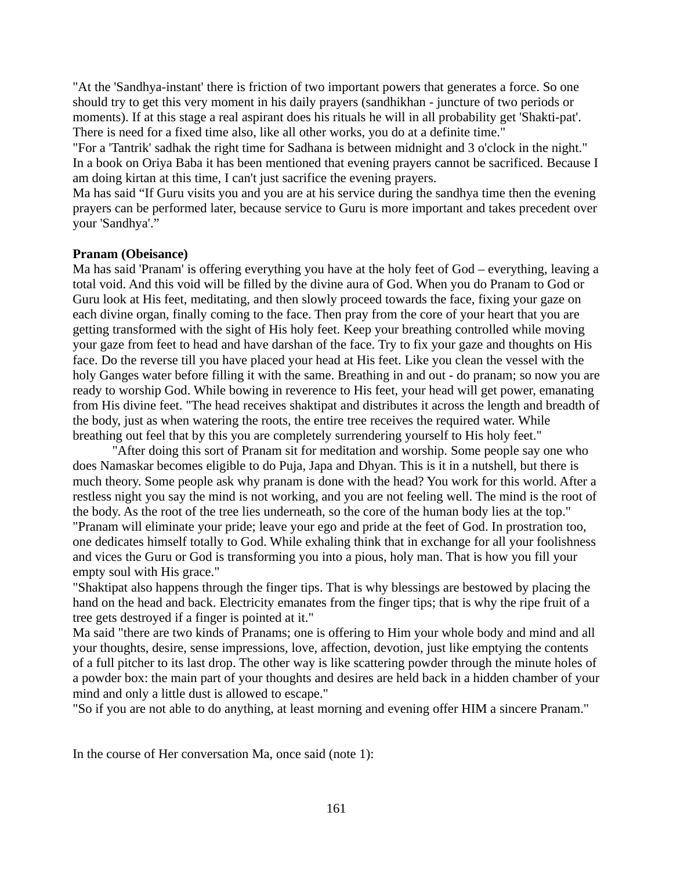"At the 'Sandhya-instant' there is friction of two important powers that generates a force. So one should try to get this very moment in his daily prayers (sandhikhan - juncture of two periods or moments). If at this stage a real aspirant does his rituals he will in all probability get 'Shakti-pat'. There is need for a fixed time also, like all other works, you do at a definite time."

"For a 'Tantrik' sadhak the right time for Sadhana is between midnight and 3 o'clock in the night." In a book on Oriya Baba it has been mentioned that evening prayers cannot be sacrificed. Because I am doing kirtan at this time, I can't just sacrifice the evening prayers.

Ma has said "If Guru visits you and you are at his service during the sandhya time then the evening prayers can be performed later, because service to Guru is more important and takes precedent over your 'Sandhya'."

#### **Pranam (Obeisance)**

Ma has said 'Pranam' is offering everything you have at the holy feet of God – everything, leaving a total void. And this void will be filled by the divine aura of God. When you do Pranam to God or Guru look at His feet, meditating, and then slowly proceed towards the face, fixing your gaze on each divine organ, finally coming to the face. Then pray from the core of your heart that you are getting transformed with the sight of His holy feet. Keep your breathing controlled while moving your gaze from feet to head and have darshan of the face. Try to fix your gaze and thoughts on His face. Do the reverse till you have placed your head at His feet. Like you clean the vessel with the holy Ganges water before filling it with the same. Breathing in and out - do pranam; so now you are ready to worship God. While bowing in reverence to His feet, your head will get power, emanating from His divine feet. "The head receives shaktipat and distributes it across the length and breadth of the body, just as when watering the roots, the entire tree receives the required water. While breathing out feel that by this you are completely surrendering yourself to His holy feet."

"After doing this sort of Pranam sit for meditation and worship. Some people say one who does Namaskar becomes eligible to do Puja, Japa and Dhyan. This is it in a nutshell, but there is much theory. Some people ask why pranam is done with the head? You work for this world. After a restless night you say the mind is not working, and you are not feeling well. The mind is the root of the body. As the root of the tree lies underneath, so the core of the human body lies at the top." "Pranam will eliminate your pride; leave your ego and pride at the feet of God. In prostration too, one dedicates himself totally to God. While exhaling think that in exchange for all your foolishness and vices the Guru or God is transforming you into a pious, holy man. That is how you fill your empty soul with His grace."

"Shaktipat also happens through the finger tips. That is why blessings are bestowed by placing the hand on the head and back. Electricity emanates from the finger tips; that is why the ripe fruit of a tree gets destroyed if a finger is pointed at it."

Ma said "there are two kinds of Pranams; one is offering to Him your whole body and mind and all your thoughts, desire, sense impressions, love, affection, devotion, just like emptying the contents of a full pitcher to its last drop. The other way is like scattering powder through the minute holes of a powder box: the main part of your thoughts and desires are held back in a hidden chamber of your mind and only a little dust is allowed to escape."

"So if you are not able to do anything, at least morning and evening offer HIM a sincere Pranam."

In the course of Her conversation Ma, once said (note 1):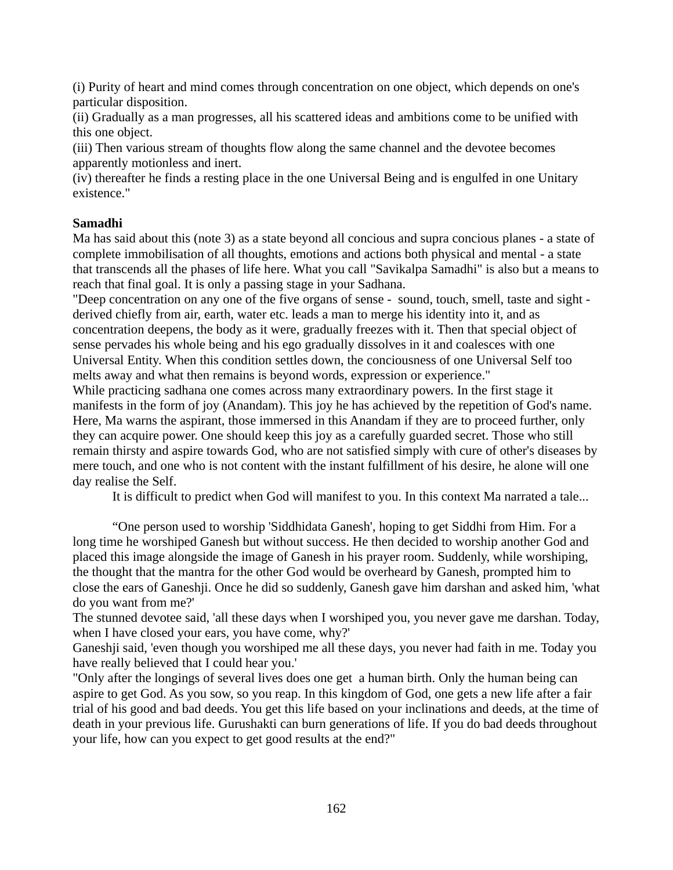(i) Purity of heart and mind comes through concentration on one object, which depends on one's particular disposition.

(ii) Gradually as a man progresses, all his scattered ideas and ambitions come to be unified with this one object.

(iii) Then various stream of thoughts flow along the same channel and the devotee becomes apparently motionless and inert.

(iv) thereafter he finds a resting place in the one Universal Being and is engulfed in one Unitary existence."

## **Samadhi**

Ma has said about this (note 3) as a state beyond all concious and supra concious planes - a state of complete immobilisation of all thoughts, emotions and actions both physical and mental - a state that transcends all the phases of life here. What you call "Savikalpa Samadhi" is also but a means to reach that final goal. It is only a passing stage in your Sadhana.

"Deep concentration on any one of the five organs of sense - sound, touch, smell, taste and sight derived chiefly from air, earth, water etc. leads a man to merge his identity into it, and as concentration deepens, the body as it were, gradually freezes with it. Then that special object of sense pervades his whole being and his ego gradually dissolves in it and coalesces with one Universal Entity. When this condition settles down, the conciousness of one Universal Self too melts away and what then remains is beyond words, expression or experience."

While practicing sadhana one comes across many extraordinary powers. In the first stage it manifests in the form of joy (Anandam). This joy he has achieved by the repetition of God's name. Here, Ma warns the aspirant, those immersed in this Anandam if they are to proceed further, only they can acquire power. One should keep this joy as a carefully guarded secret. Those who still remain thirsty and aspire towards God, who are not satisfied simply with cure of other's diseases by mere touch, and one who is not content with the instant fulfillment of his desire, he alone will one day realise the Self.

It is difficult to predict when God will manifest to you. In this context Ma narrated a tale...

"One person used to worship 'Siddhidata Ganesh', hoping to get Siddhi from Him. For a long time he worshiped Ganesh but without success. He then decided to worship another God and placed this image alongside the image of Ganesh in his prayer room. Suddenly, while worshiping, the thought that the mantra for the other God would be overheard by Ganesh, prompted him to close the ears of Ganeshji. Once he did so suddenly, Ganesh gave him darshan and asked him, 'what do you want from me?'

The stunned devotee said, 'all these days when I worshiped you, you never gave me darshan. Today, when I have closed your ears, you have come, why?'

Ganeshji said, 'even though you worshiped me all these days, you never had faith in me. Today you have really believed that I could hear you.'

"Only after the longings of several lives does one get a human birth. Only the human being can aspire to get God. As you sow, so you reap. In this kingdom of God, one gets a new life after a fair trial of his good and bad deeds. You get this life based on your inclinations and deeds, at the time of death in your previous life. Gurushakti can burn generations of life. If you do bad deeds throughout your life, how can you expect to get good results at the end?"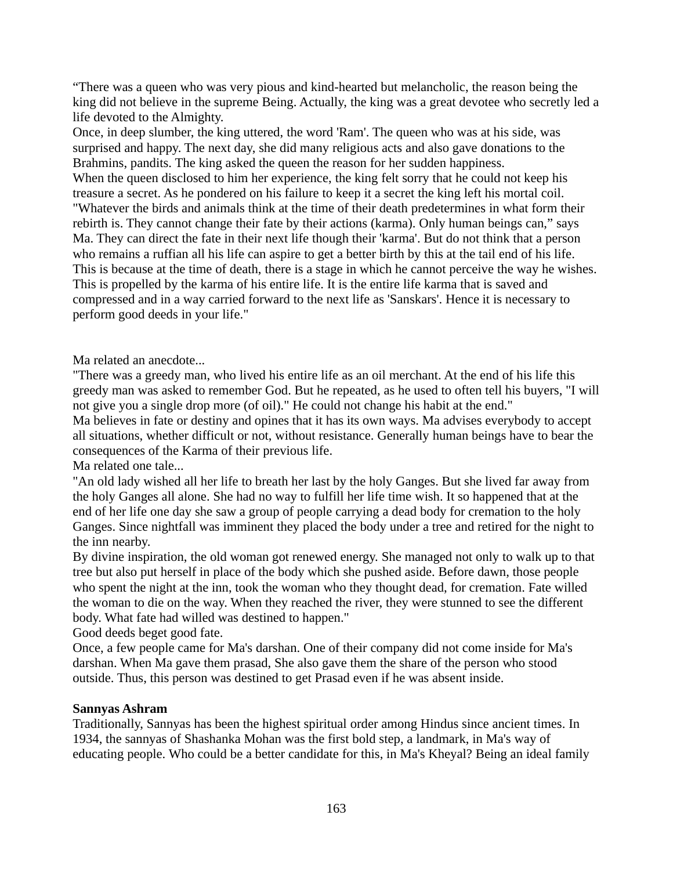"There was a queen who was very pious and kind-hearted but melancholic, the reason being the king did not believe in the supreme Being. Actually, the king was a great devotee who secretly led a life devoted to the Almighty.

Once, in deep slumber, the king uttered, the word 'Ram'. The queen who was at his side, was surprised and happy. The next day, she did many religious acts and also gave donations to the Brahmins, pandits. The king asked the queen the reason for her sudden happiness.

When the queen disclosed to him her experience, the king felt sorry that he could not keep his treasure a secret. As he pondered on his failure to keep it a secret the king left his mortal coil. "Whatever the birds and animals think at the time of their death predetermines in what form their rebirth is. They cannot change their fate by their actions (karma). Only human beings can," says Ma. They can direct the fate in their next life though their 'karma'. But do not think that a person who remains a ruffian all his life can aspire to get a better birth by this at the tail end of his life. This is because at the time of death, there is a stage in which he cannot perceive the way he wishes. This is propelled by the karma of his entire life. It is the entire life karma that is saved and compressed and in a way carried forward to the next life as 'Sanskars'. Hence it is necessary to perform good deeds in your life."

Ma related an anecdote...

"There was a greedy man, who lived his entire life as an oil merchant. At the end of his life this greedy man was asked to remember God. But he repeated, as he used to often tell his buyers, "I will not give you a single drop more (of oil)." He could not change his habit at the end."

Ma believes in fate or destiny and opines that it has its own ways. Ma advises everybody to accept all situations, whether difficult or not, without resistance. Generally human beings have to bear the consequences of the Karma of their previous life.

Ma related one tale...

"An old lady wished all her life to breath her last by the holy Ganges. But she lived far away from the holy Ganges all alone. She had no way to fulfill her life time wish. It so happened that at the end of her life one day she saw a group of people carrying a dead body for cremation to the holy Ganges. Since nightfall was imminent they placed the body under a tree and retired for the night to the inn nearby.

By divine inspiration, the old woman got renewed energy. She managed not only to walk up to that tree but also put herself in place of the body which she pushed aside. Before dawn, those people who spent the night at the inn, took the woman who they thought dead, for cremation. Fate willed the woman to die on the way. When they reached the river, they were stunned to see the different body. What fate had willed was destined to happen."

Good deeds beget good fate.

Once, a few people came for Ma's darshan. One of their company did not come inside for Ma's darshan. When Ma gave them prasad, She also gave them the share of the person who stood outside. Thus, this person was destined to get Prasad even if he was absent inside.

### **Sannyas Ashram**

Traditionally, Sannyas has been the highest spiritual order among Hindus since ancient times. In 1934, the sannyas of Shashanka Mohan was the first bold step, a landmark, in Ma's way of educating people. Who could be a better candidate for this, in Ma's Kheyal? Being an ideal family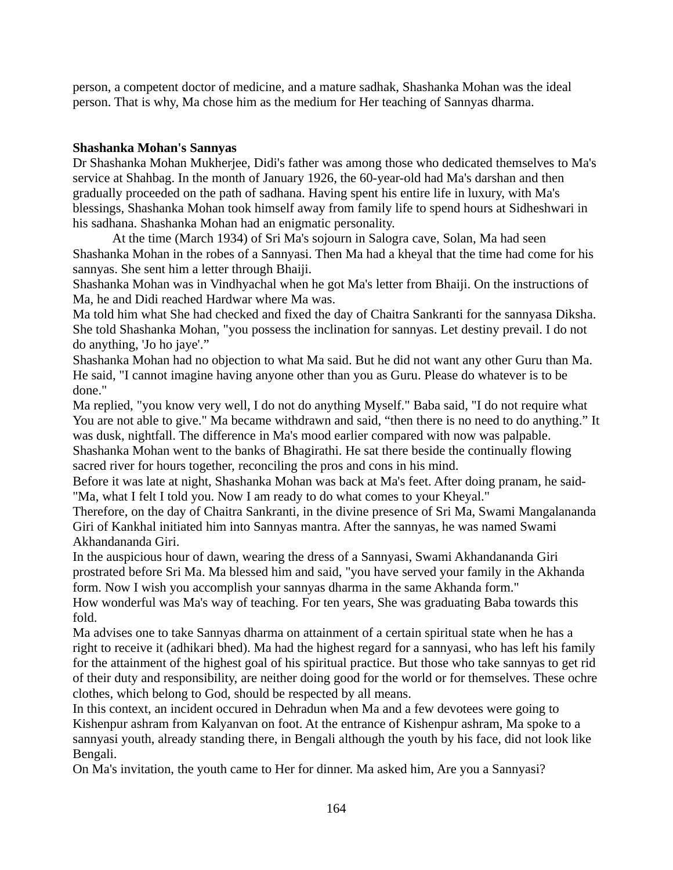person, a competent doctor of medicine, and a mature sadhak, Shashanka Mohan was the ideal person. That is why, Ma chose him as the medium for Her teaching of Sannyas dharma.

#### **Shashanka Mohan's Sannyas**

Dr Shashanka Mohan Mukherjee, Didi's father was among those who dedicated themselves to Ma's service at Shahbag. In the month of January 1926, the 60-year-old had Ma's darshan and then gradually proceeded on the path of sadhana. Having spent his entire life in luxury, with Ma's blessings, Shashanka Mohan took himself away from family life to spend hours at Sidheshwari in his sadhana. Shashanka Mohan had an enigmatic personality.

At the time (March 1934) of Sri Ma's sojourn in Salogra cave, Solan, Ma had seen Shashanka Mohan in the robes of a Sannyasi. Then Ma had a kheyal that the time had come for his sannyas. She sent him a letter through Bhaiji.

Shashanka Mohan was in Vindhyachal when he got Ma's letter from Bhaiji. On the instructions of Ma, he and Didi reached Hardwar where Ma was.

Ma told him what She had checked and fixed the day of Chaitra Sankranti for the sannyasa Diksha. She told Shashanka Mohan, "you possess the inclination for sannyas. Let destiny prevail. I do not do anything, 'Jo ho jaye'."

Shashanka Mohan had no objection to what Ma said. But he did not want any other Guru than Ma. He said, "I cannot imagine having anyone other than you as Guru. Please do whatever is to be done."

Ma replied, "you know very well, I do not do anything Myself." Baba said, "I do not require what You are not able to give." Ma became withdrawn and said, "then there is no need to do anything." It was dusk, nightfall. The difference in Ma's mood earlier compared with now was palpable. Shashanka Mohan went to the banks of Bhagirathi. He sat there beside the continually flowing sacred river for hours together, reconciling the pros and cons in his mind.

Before it was late at night, Shashanka Mohan was back at Ma's feet. After doing pranam, he said- "Ma, what I felt I told you. Now I am ready to do what comes to your Kheyal."

Therefore, on the day of Chaitra Sankranti, in the divine presence of Sri Ma, Swami Mangalananda Giri of Kankhal initiated him into Sannyas mantra. After the sannyas, he was named Swami Akhandananda Giri.

In the auspicious hour of dawn, wearing the dress of a Sannyasi, Swami Akhandananda Giri prostrated before Sri Ma. Ma blessed him and said, "you have served your family in the Akhanda form. Now I wish you accomplish your sannyas dharma in the same Akhanda form."

How wonderful was Ma's way of teaching. For ten years, She was graduating Baba towards this fold.

Ma advises one to take Sannyas dharma on attainment of a certain spiritual state when he has a right to receive it (adhikari bhed). Ma had the highest regard for a sannyasi, who has left his family for the attainment of the highest goal of his spiritual practice. But those who take sannyas to get rid of their duty and responsibility, are neither doing good for the world or for themselves. These ochre clothes, which belong to God, should be respected by all means.

In this context, an incident occured in Dehradun when Ma and a few devotees were going to Kishenpur ashram from Kalyanvan on foot. At the entrance of Kishenpur ashram, Ma spoke to a sannyasi youth, already standing there, in Bengali although the youth by his face, did not look like Bengali.

On Ma's invitation, the youth came to Her for dinner. Ma asked him, Are you a Sannyasi?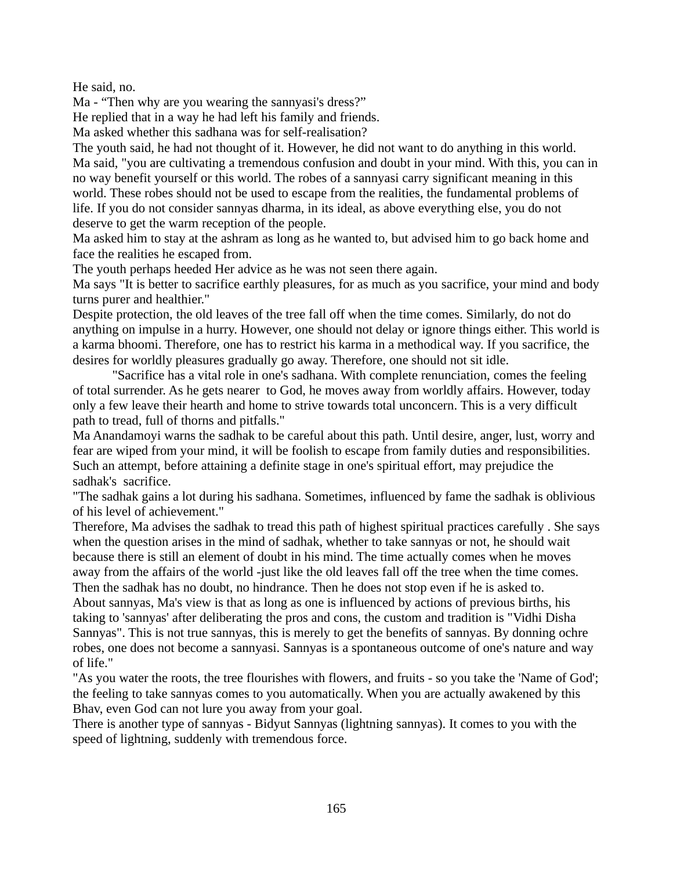He said, no.

Ma - "Then why are you wearing the sannyasi's dress?"

He replied that in a way he had left his family and friends.

Ma asked whether this sadhana was for self-realisation?

The youth said, he had not thought of it. However, he did not want to do anything in this world. Ma said, "you are cultivating a tremendous confusion and doubt in your mind. With this, you can in no way benefit yourself or this world. The robes of a sannyasi carry significant meaning in this world. These robes should not be used to escape from the realities, the fundamental problems of life. If you do not consider sannyas dharma, in its ideal, as above everything else, you do not deserve to get the warm reception of the people.

Ma asked him to stay at the ashram as long as he wanted to, but advised him to go back home and face the realities he escaped from.

The youth perhaps heeded Her advice as he was not seen there again.

Ma says "It is better to sacrifice earthly pleasures, for as much as you sacrifice, your mind and body turns purer and healthier."

Despite protection, the old leaves of the tree fall off when the time comes. Similarly, do not do anything on impulse in a hurry. However, one should not delay or ignore things either. This world is a karma bhoomi. Therefore, one has to restrict his karma in a methodical way. If you sacrifice, the desires for worldly pleasures gradually go away. Therefore, one should not sit idle.

"Sacrifice has a vital role in one's sadhana. With complete renunciation, comes the feeling of total surrender. As he gets nearer to God, he moves away from worldly affairs. However, today only a few leave their hearth and home to strive towards total unconcern. This is a very difficult path to tread, full of thorns and pitfalls."

Ma Anandamoyi warns the sadhak to be careful about this path. Until desire, anger, lust, worry and fear are wiped from your mind, it will be foolish to escape from family duties and responsibilities. Such an attempt, before attaining a definite stage in one's spiritual effort, may prejudice the sadhak's sacrifice.

"The sadhak gains a lot during his sadhana. Sometimes, influenced by fame the sadhak is oblivious of his level of achievement."

Therefore, Ma advises the sadhak to tread this path of highest spiritual practices carefully . She says when the question arises in the mind of sadhak, whether to take sannyas or not, he should wait because there is still an element of doubt in his mind. The time actually comes when he moves away from the affairs of the world -just like the old leaves fall off the tree when the time comes. Then the sadhak has no doubt, no hindrance. Then he does not stop even if he is asked to.

About sannyas, Ma's view is that as long as one is influenced by actions of previous births, his taking to 'sannyas' after deliberating the pros and cons, the custom and tradition is "Vidhi Disha Sannyas". This is not true sannyas, this is merely to get the benefits of sannyas. By donning ochre robes, one does not become a sannyasi. Sannyas is a spontaneous outcome of one's nature and way of life."

"As you water the roots, the tree flourishes with flowers, and fruits - so you take the 'Name of God'; the feeling to take sannyas comes to you automatically. When you are actually awakened by this Bhav, even God can not lure you away from your goal.

There is another type of sannyas - Bidyut Sannyas (lightning sannyas). It comes to you with the speed of lightning, suddenly with tremendous force.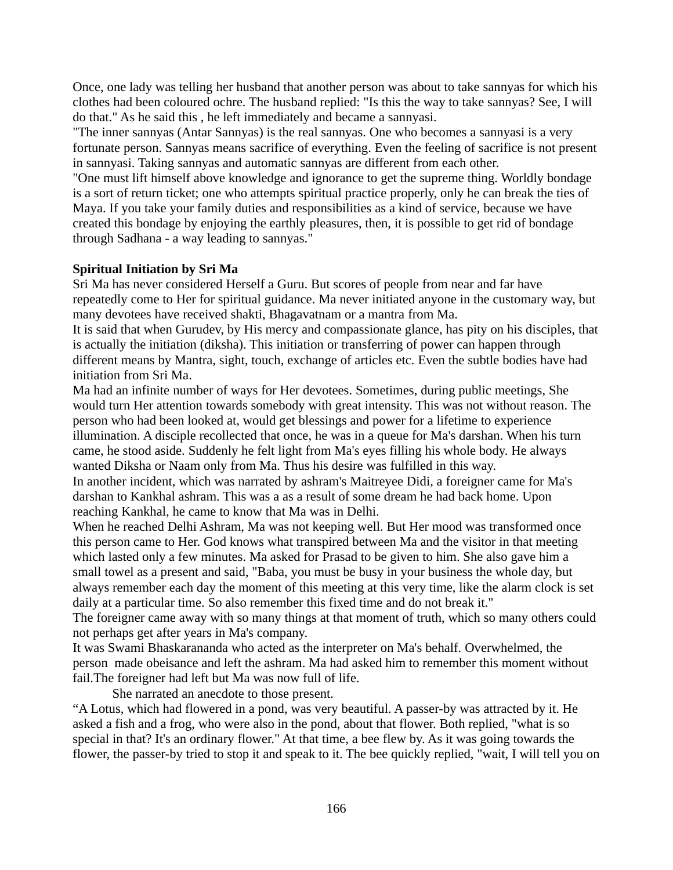Once, one lady was telling her husband that another person was about to take sannyas for which his clothes had been coloured ochre. The husband replied: "Is this the way to take sannyas? See, I will do that." As he said this , he left immediately and became a sannyasi.

"The inner sannyas (Antar Sannyas) is the real sannyas. One who becomes a sannyasi is a very fortunate person. Sannyas means sacrifice of everything. Even the feeling of sacrifice is not present in sannyasi. Taking sannyas and automatic sannyas are different from each other.

"One must lift himself above knowledge and ignorance to get the supreme thing. Worldly bondage is a sort of return ticket; one who attempts spiritual practice properly, only he can break the ties of Maya. If you take your family duties and responsibilities as a kind of service, because we have created this bondage by enjoying the earthly pleasures, then, it is possible to get rid of bondage through Sadhana - a way leading to sannyas."

## **Spiritual Initiation by Sri Ma**

Sri Ma has never considered Herself a Guru. But scores of people from near and far have repeatedly come to Her for spiritual guidance. Ma never initiated anyone in the customary way, but many devotees have received shakti, Bhagavatnam or a mantra from Ma.

It is said that when Gurudev, by His mercy and compassionate glance, has pity on his disciples, that is actually the initiation (diksha). This initiation or transferring of power can happen through different means by Mantra, sight, touch, exchange of articles etc. Even the subtle bodies have had initiation from Sri Ma.

Ma had an infinite number of ways for Her devotees. Sometimes, during public meetings, She would turn Her attention towards somebody with great intensity. This was not without reason. The person who had been looked at, would get blessings and power for a lifetime to experience illumination. A disciple recollected that once, he was in a queue for Ma's darshan. When his turn came, he stood aside. Suddenly he felt light from Ma's eyes filling his whole body. He always wanted Diksha or Naam only from Ma. Thus his desire was fulfilled in this way. In another incident, which was narrated by ashram's Maitreyee Didi, a foreigner came for Ma's darshan to Kankhal ashram. This was a as a result of some dream he had back home. Upon

reaching Kankhal, he came to know that Ma was in Delhi.

When he reached Delhi Ashram, Ma was not keeping well. But Her mood was transformed once this person came to Her. God knows what transpired between Ma and the visitor in that meeting which lasted only a few minutes. Ma asked for Prasad to be given to him. She also gave him a small towel as a present and said, "Baba, you must be busy in your business the whole day, but always remember each day the moment of this meeting at this very time, like the alarm clock is set daily at a particular time. So also remember this fixed time and do not break it."

The foreigner came away with so many things at that moment of truth, which so many others could not perhaps get after years in Ma's company.

It was Swami Bhaskarananda who acted as the interpreter on Ma's behalf. Overwhelmed, the person made obeisance and left the ashram. Ma had asked him to remember this moment without fail.The foreigner had left but Ma was now full of life.

She narrated an anecdote to those present.

"A Lotus, which had flowered in a pond, was very beautiful. A passer-by was attracted by it. He asked a fish and a frog, who were also in the pond, about that flower. Both replied, "what is so special in that? It's an ordinary flower." At that time, a bee flew by. As it was going towards the flower, the passer-by tried to stop it and speak to it. The bee quickly replied, "wait, I will tell you on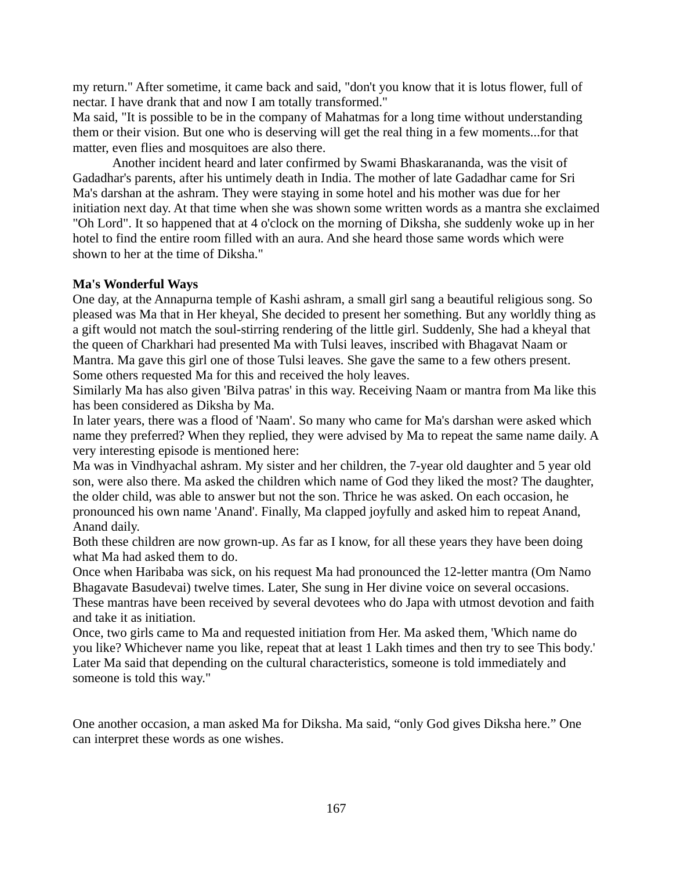my return." After sometime, it came back and said, "don't you know that it is lotus flower, full of nectar. I have drank that and now I am totally transformed."

Ma said, "It is possible to be in the company of Mahatmas for a long time without understanding them or their vision. But one who is deserving will get the real thing in a few moments...for that matter, even flies and mosquitoes are also there.

Another incident heard and later confirmed by Swami Bhaskarananda, was the visit of Gadadhar's parents, after his untimely death in India. The mother of late Gadadhar came for Sri Ma's darshan at the ashram. They were staying in some hotel and his mother was due for her initiation next day. At that time when she was shown some written words as a mantra she exclaimed "Oh Lord". It so happened that at 4 o'clock on the morning of Diksha, she suddenly woke up in her hotel to find the entire room filled with an aura. And she heard those same words which were shown to her at the time of Diksha."

#### **Ma's Wonderful Ways**

One day, at the Annapurna temple of Kashi ashram, a small girl sang a beautiful religious song. So pleased was Ma that in Her kheyal, She decided to present her something. But any worldly thing as a gift would not match the soul-stirring rendering of the little girl. Suddenly, She had a kheyal that the queen of Charkhari had presented Ma with Tulsi leaves, inscribed with Bhagavat Naam or Mantra. Ma gave this girl one of those Tulsi leaves. She gave the same to a few others present. Some others requested Ma for this and received the holy leaves.

Similarly Ma has also given 'Bilva patras' in this way. Receiving Naam or mantra from Ma like this has been considered as Diksha by Ma.

In later years, there was a flood of 'Naam'. So many who came for Ma's darshan were asked which name they preferred? When they replied, they were advised by Ma to repeat the same name daily. A very interesting episode is mentioned here:

Ma was in Vindhyachal ashram. My sister and her children, the 7-year old daughter and 5 year old son, were also there. Ma asked the children which name of God they liked the most? The daughter, the older child, was able to answer but not the son. Thrice he was asked. On each occasion, he pronounced his own name 'Anand'. Finally, Ma clapped joyfully and asked him to repeat Anand, Anand daily.

Both these children are now grown-up. As far as I know, for all these years they have been doing what Ma had asked them to do.

Once when Haribaba was sick, on his request Ma had pronounced the 12-letter mantra (Om Namo Bhagavate Basudevai) twelve times. Later, She sung in Her divine voice on several occasions. These mantras have been received by several devotees who do Japa with utmost devotion and faith and take it as initiation.

Once, two girls came to Ma and requested initiation from Her. Ma asked them, 'Which name do you like? Whichever name you like, repeat that at least 1 Lakh times and then try to see This body.' Later Ma said that depending on the cultural characteristics, someone is told immediately and someone is told this way."

One another occasion, a man asked Ma for Diksha. Ma said, "only God gives Diksha here." One can interpret these words as one wishes.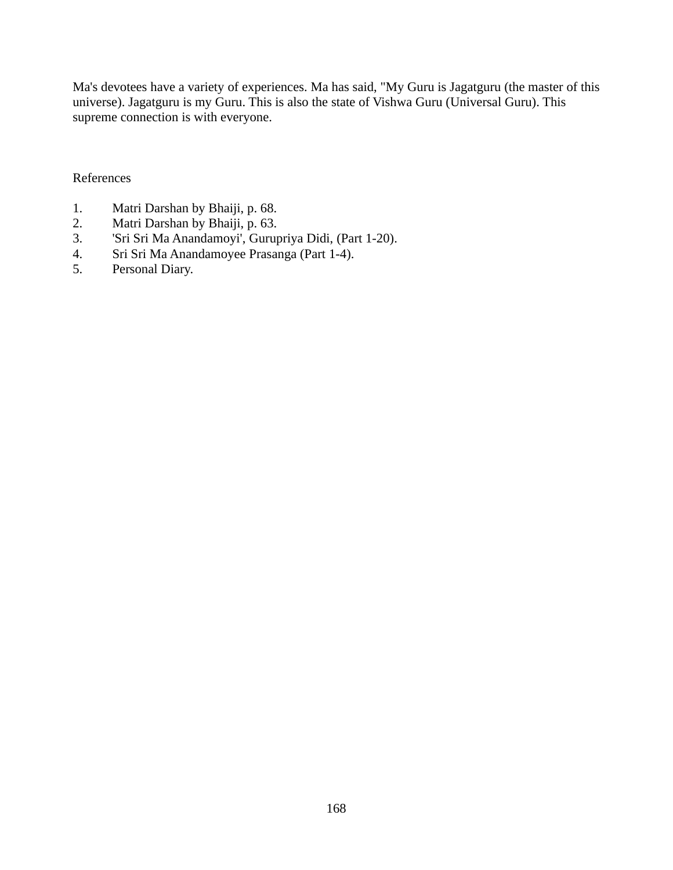Ma's devotees have a variety of experiences. Ma has said, "My Guru is Jagatguru (the master of this universe). Jagatguru is my Guru. This is also the state of Vishwa Guru (Universal Guru). This supreme connection is with everyone.

#### References

- 1. Matri Darshan by Bhaiji, p. 68.
- 2. Matri Darshan by Bhaiji, p. 63.
- 3. 'Sri Sri Ma Anandamoyi', Gurupriya Didi, (Part 1-20).
- 4. Sri Sri Ma Anandamoyee Prasanga (Part 1-4).
- 5. Personal Diary.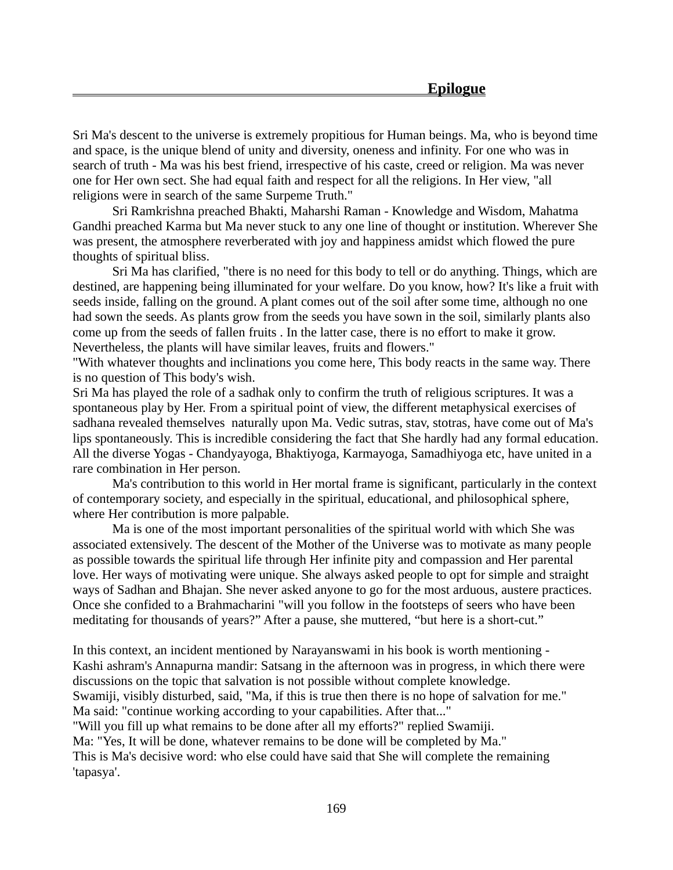Sri Ma's descent to the universe is extremely propitious for Human beings. Ma, who is beyond time and space, is the unique blend of unity and diversity, oneness and infinity. For one who was in search of truth - Ma was his best friend, irrespective of his caste, creed or religion. Ma was never one for Her own sect. She had equal faith and respect for all the religions. In Her view, "all religions were in search of the same Surpeme Truth."

Sri Ramkrishna preached Bhakti, Maharshi Raman - Knowledge and Wisdom, Mahatma Gandhi preached Karma but Ma never stuck to any one line of thought or institution. Wherever She was present, the atmosphere reverberated with joy and happiness amidst which flowed the pure thoughts of spiritual bliss.

Sri Ma has clarified, "there is no need for this body to tell or do anything. Things, which are destined, are happening being illuminated for your welfare. Do you know, how? It's like a fruit with seeds inside, falling on the ground. A plant comes out of the soil after some time, although no one had sown the seeds. As plants grow from the seeds you have sown in the soil, similarly plants also come up from the seeds of fallen fruits . In the latter case, there is no effort to make it grow. Nevertheless, the plants will have similar leaves, fruits and flowers."

"With whatever thoughts and inclinations you come here, This body reacts in the same way. There is no question of This body's wish.

Sri Ma has played the role of a sadhak only to confirm the truth of religious scriptures. It was a spontaneous play by Her. From a spiritual point of view, the different metaphysical exercises of sadhana revealed themselves naturally upon Ma. Vedic sutras, stav, stotras, have come out of Ma's lips spontaneously. This is incredible considering the fact that She hardly had any formal education. All the diverse Yogas - Chandyayoga, Bhaktiyoga, Karmayoga, Samadhiyoga etc, have united in a rare combination in Her person.

Ma's contribution to this world in Her mortal frame is significant, particularly in the context of contemporary society, and especially in the spiritual, educational, and philosophical sphere, where Her contribution is more palpable.

Ma is one of the most important personalities of the spiritual world with which She was associated extensively. The descent of the Mother of the Universe was to motivate as many people as possible towards the spiritual life through Her infinite pity and compassion and Her parental love. Her ways of motivating were unique. She always asked people to opt for simple and straight ways of Sadhan and Bhajan. She never asked anyone to go for the most arduous, austere practices. Once she confided to a Brahmacharini "will you follow in the footsteps of seers who have been meditating for thousands of years?" After a pause, she muttered, "but here is a short-cut."

In this context, an incident mentioned by Narayanswami in his book is worth mentioning - Kashi ashram's Annapurna mandir: Satsang in the afternoon was in progress, in which there were discussions on the topic that salvation is not possible without complete knowledge. Swamiji, visibly disturbed, said, "Ma, if this is true then there is no hope of salvation for me." Ma said: "continue working according to your capabilities. After that..." "Will you fill up what remains to be done after all my efforts?" replied Swamiji. Ma: "Yes, It will be done, whatever remains to be done will be completed by Ma." This is Ma's decisive word: who else could have said that She will complete the remaining 'tapasya'.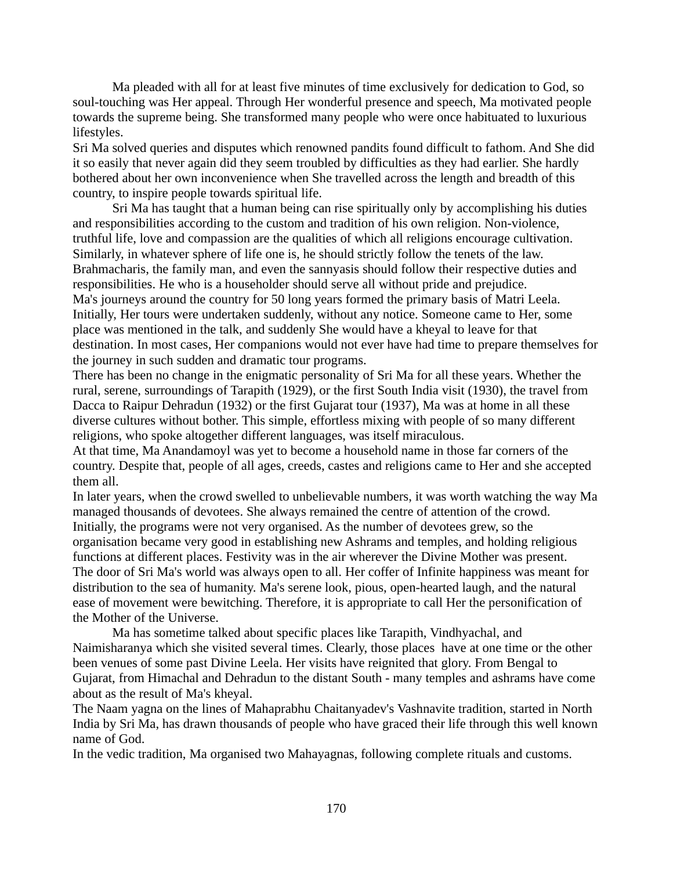Ma pleaded with all for at least five minutes of time exclusively for dedication to God, so soul-touching was Her appeal. Through Her wonderful presence and speech, Ma motivated people towards the supreme being. She transformed many people who were once habituated to luxurious lifestyles.

Sri Ma solved queries and disputes which renowned pandits found difficult to fathom. And She did it so easily that never again did they seem troubled by difficulties as they had earlier. She hardly bothered about her own inconvenience when She travelled across the length and breadth of this country, to inspire people towards spiritual life.

Sri Ma has taught that a human being can rise spiritually only by accomplishing his duties and responsibilities according to the custom and tradition of his own religion. Non-violence, truthful life, love and compassion are the qualities of which all religions encourage cultivation. Similarly, in whatever sphere of life one is, he should strictly follow the tenets of the law. Brahmacharis, the family man, and even the sannyasis should follow their respective duties and responsibilities. He who is a householder should serve all without pride and prejudice. Ma's journeys around the country for 50 long years formed the primary basis of Matri Leela. Initially, Her tours were undertaken suddenly, without any notice. Someone came to Her, some place was mentioned in the talk, and suddenly She would have a kheyal to leave for that destination. In most cases, Her companions would not ever have had time to prepare themselves for the journey in such sudden and dramatic tour programs.

There has been no change in the enigmatic personality of Sri Ma for all these years. Whether the rural, serene, surroundings of Tarapith (1929), or the first South India visit (1930), the travel from Dacca to Raipur Dehradun (1932) or the first Gujarat tour (1937), Ma was at home in all these diverse cultures without bother. This simple, effortless mixing with people of so many different religions, who spoke altogether different languages, was itself miraculous.

At that time, Ma Anandamoyl was yet to become a household name in those far corners of the country. Despite that, people of all ages, creeds, castes and religions came to Her and she accepted them all.

In later years, when the crowd swelled to unbelievable numbers, it was worth watching the way Ma managed thousands of devotees. She always remained the centre of attention of the crowd. Initially, the programs were not very organised. As the number of devotees grew, so the organisation became very good in establishing new Ashrams and temples, and holding religious functions at different places. Festivity was in the air wherever the Divine Mother was present. The door of Sri Ma's world was always open to all. Her coffer of Infinite happiness was meant for distribution to the sea of humanity. Ma's serene look, pious, open-hearted laugh, and the natural ease of movement were bewitching. Therefore, it is appropriate to call Her the personification of the Mother of the Universe.

Ma has sometime talked about specific places like Tarapith, Vindhyachal, and Naimisharanya which she visited several times. Clearly, those places have at one time or the other been venues of some past Divine Leela. Her visits have reignited that glory. From Bengal to Gujarat, from Himachal and Dehradun to the distant South - many temples and ashrams have come about as the result of Ma's kheyal.

The Naam yagna on the lines of Mahaprabhu Chaitanyadev's Vashnavite tradition, started in North India by Sri Ma, has drawn thousands of people who have graced their life through this well known name of God.

In the vedic tradition, Ma organised two Mahayagnas, following complete rituals and customs.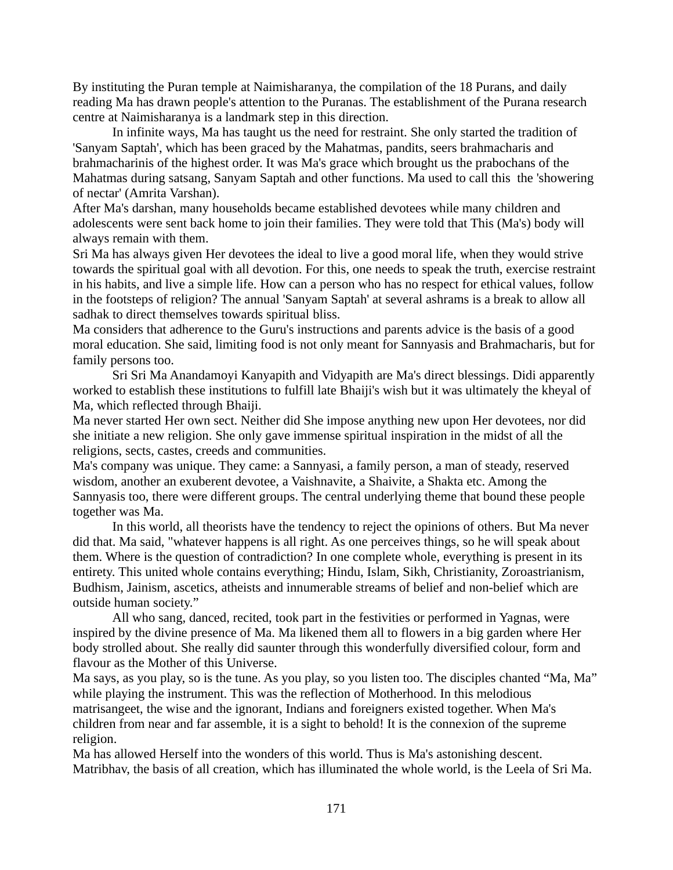By instituting the Puran temple at Naimisharanya, the compilation of the 18 Purans, and daily reading Ma has drawn people's attention to the Puranas. The establishment of the Purana research centre at Naimisharanya is a landmark step in this direction.

In infinite ways, Ma has taught us the need for restraint. She only started the tradition of 'Sanyam Saptah', which has been graced by the Mahatmas, pandits, seers brahmacharis and brahmacharinis of the highest order. It was Ma's grace which brought us the prabochans of the Mahatmas during satsang, Sanyam Saptah and other functions. Ma used to call this the 'showering of nectar' (Amrita Varshan).

After Ma's darshan, many households became established devotees while many children and adolescents were sent back home to join their families. They were told that This (Ma's) body will always remain with them.

Sri Ma has always given Her devotees the ideal to live a good moral life, when they would strive towards the spiritual goal with all devotion. For this, one needs to speak the truth, exercise restraint in his habits, and live a simple life. How can a person who has no respect for ethical values, follow in the footsteps of religion? The annual 'Sanyam Saptah' at several ashrams is a break to allow all sadhak to direct themselves towards spiritual bliss.

Ma considers that adherence to the Guru's instructions and parents advice is the basis of a good moral education. She said, limiting food is not only meant for Sannyasis and Brahmacharis, but for family persons too.

Sri Sri Ma Anandamoyi Kanyapith and Vidyapith are Ma's direct blessings. Didi apparently worked to establish these institutions to fulfill late Bhaiji's wish but it was ultimately the kheyal of Ma, which reflected through Bhaiji.

Ma never started Her own sect. Neither did She impose anything new upon Her devotees, nor did she initiate a new religion. She only gave immense spiritual inspiration in the midst of all the religions, sects, castes, creeds and communities.

Ma's company was unique. They came: a Sannyasi, a family person, a man of steady, reserved wisdom, another an exuberent devotee, a Vaishnavite, a Shaivite, a Shakta etc. Among the Sannyasis too, there were different groups. The central underlying theme that bound these people together was Ma.

In this world, all theorists have the tendency to reject the opinions of others. But Ma never did that. Ma said, "whatever happens is all right. As one perceives things, so he will speak about them. Where is the question of contradiction? In one complete whole, everything is present in its entirety. This united whole contains everything; Hindu, Islam, Sikh, Christianity, Zoroastrianism, Budhism, Jainism, ascetics, atheists and innumerable streams of belief and non-belief which are outside human society."

All who sang, danced, recited, took part in the festivities or performed in Yagnas, were inspired by the divine presence of Ma. Ma likened them all to flowers in a big garden where Her body strolled about. She really did saunter through this wonderfully diversified colour, form and flavour as the Mother of this Universe.

Ma says, as you play, so is the tune. As you play, so you listen too. The disciples chanted "Ma, Ma" while playing the instrument. This was the reflection of Motherhood. In this melodious matrisangeet, the wise and the ignorant, Indians and foreigners existed together. When Ma's children from near and far assemble, it is a sight to behold! It is the connexion of the supreme religion.

Ma has allowed Herself into the wonders of this world. Thus is Ma's astonishing descent. Matribhav, the basis of all creation, which has illuminated the whole world, is the Leela of Sri Ma.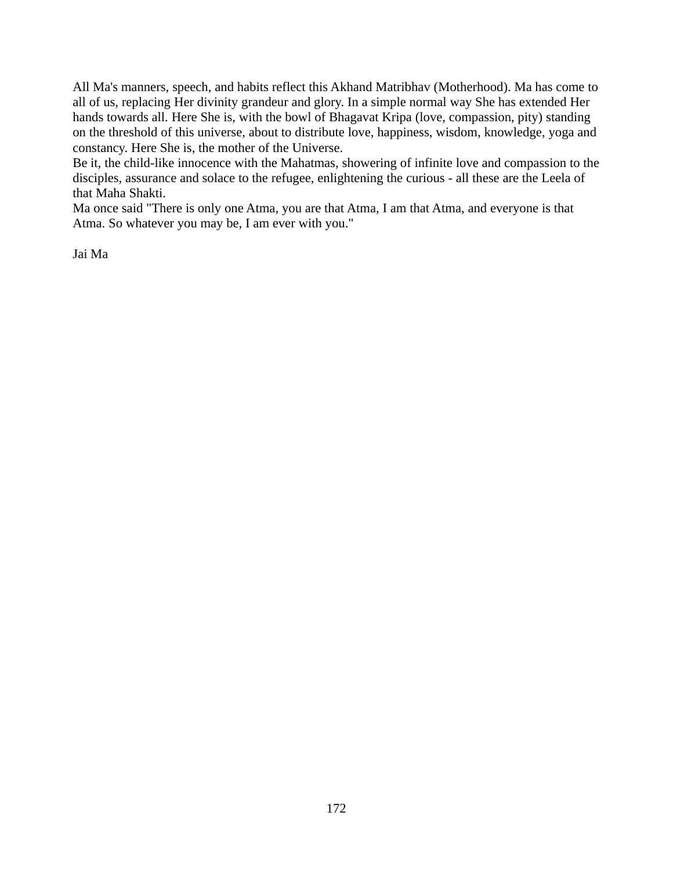All Ma's manners, speech, and habits reflect this Akhand Matribhav (Motherhood). Ma has come to all of us, replacing Her divinity grandeur and glory. In a simple normal way She has extended Her hands towards all. Here She is, with the bowl of Bhagavat Kripa (love, compassion, pity) standing on the threshold of this universe, about to distribute love, happiness, wisdom, knowledge, yoga and constancy. Here She is, the mother of the Universe.

Be it, the child-like innocence with the Mahatmas, showering of infinite love and compassion to the disciples, assurance and solace to the refugee, enlightening the curious - all these are the Leela of that Maha Shakti.

Ma once said "There is only one Atma, you are that Atma, I am that Atma, and everyone is that Atma. So whatever you may be, I am ever with you."

Jai Ma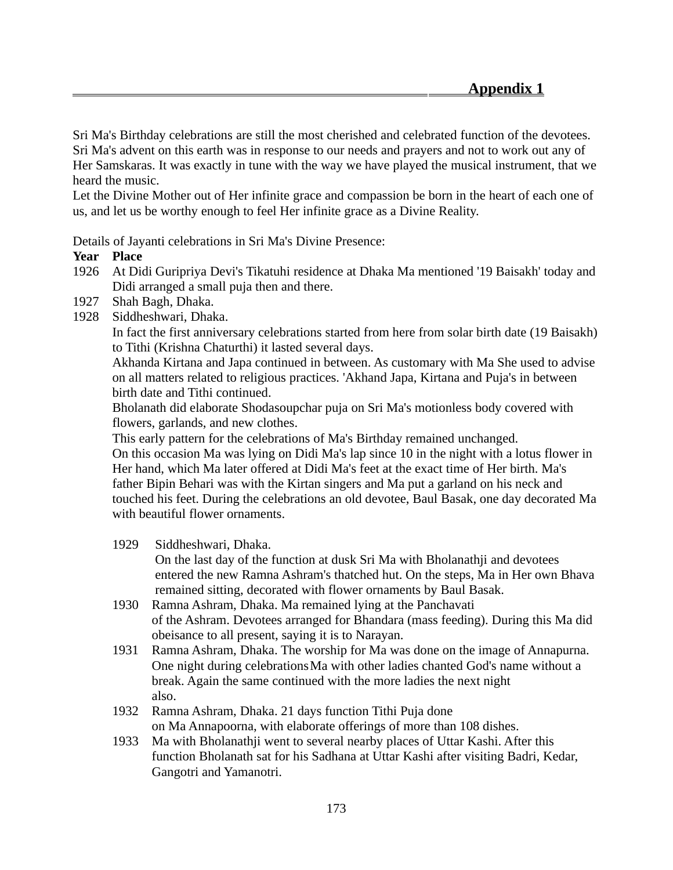Sri Ma's Birthday celebrations are still the most cherished and celebrated function of the devotees. Sri Ma's advent on this earth was in response to our needs and prayers and not to work out any of Her Samskaras. It was exactly in tune with the way we have played the musical instrument, that we heard the music.

Let the Divine Mother out of Her infinite grace and compassion be born in the heart of each one of us, and let us be worthy enough to feel Her infinite grace as a Divine Reality.

Details of Jayanti celebrations in Sri Ma's Divine Presence:

### **Year Place**

- 1926 At Didi Guripriya Devi's Tikatuhi residence at Dhaka Ma mentioned '19 Baisakh' today and Didi arranged a small puja then and there.
- 1927 Shah Bagh, Dhaka.
- 1928 Siddheshwari, Dhaka.

In fact the first anniversary celebrations started from here from solar birth date (19 Baisakh) to Tithi (Krishna Chaturthi) it lasted several days.

Akhanda Kirtana and Japa continued in between. As customary with Ma She used to advise on all matters related to religious practices. 'Akhand Japa, Kirtana and Puja's in between birth date and Tithi continued.

Bholanath did elaborate Shodasoupchar puja on Sri Ma's motionless body covered with flowers, garlands, and new clothes.

This early pattern for the celebrations of Ma's Birthday remained unchanged.

On this occasion Ma was lying on Didi Ma's lap since 10 in the night with a lotus flower in Her hand, which Ma later offered at Didi Ma's feet at the exact time of Her birth. Ma's father Bipin Behari was with the Kirtan singers and Ma put a garland on his neck and touched his feet. During the celebrations an old devotee, Baul Basak, one day decorated Ma with beautiful flower ornaments.

1929 Siddheshwari, Dhaka.

 On the last day of the function at dusk Sri Ma with Bholanathji and devotees entered the new Ramna Ashram's thatched hut. On the steps, Ma in Her own Bhava remained sitting, decorated with flower ornaments by Baul Basak.

- 1930 Ramna Ashram, Dhaka. Ma remained lying at the Panchavati of the Ashram. Devotees arranged for Bhandara (mass feeding). During this Ma did obeisance to all present, saying it is to Narayan.
- 1931 Ramna Ashram, Dhaka. The worship for Ma was done on the image of Annapurna. One night during celebrationsMa with other ladies chanted God's name without a break. Again the same continued with the more ladies the next night also.
- 1932 Ramna Ashram, Dhaka. 21 days function Tithi Puja done on Ma Annapoorna, with elaborate offerings of more than 108 dishes.
- 1933 Ma with Bholanathji went to several nearby places of Uttar Kashi. After this function Bholanath sat for his Sadhana at Uttar Kashi after visiting Badri, Kedar, Gangotri and Yamanotri.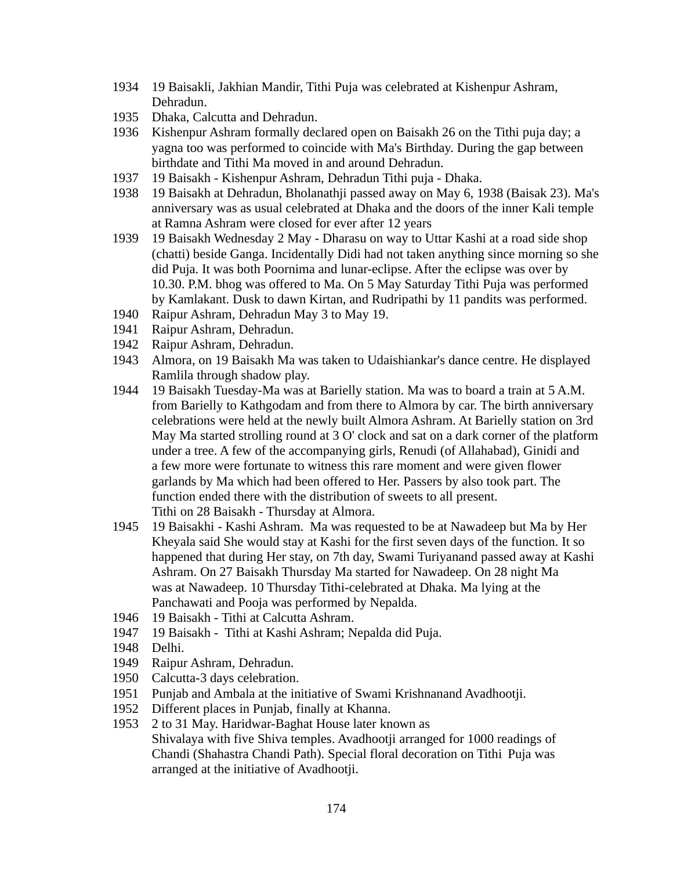- 1934 19 Baisakli, Jakhian Mandir, Tithi Puja was celebrated at Kishenpur Ashram, Dehradun.
- 1935 Dhaka, Calcutta and Dehradun.
- 1936 Kishenpur Ashram formally declared open on Baisakh 26 on the Tithi puja day; a yagna too was performed to coincide with Ma's Birthday. During the gap between birthdate and Tithi Ma moved in and around Dehradun.
- 1937 19 Baisakh Kishenpur Ashram, Dehradun Tithi puja Dhaka.
- 1938 19 Baisakh at Dehradun, Bholanathji passed away on May 6, 1938 (Baisak 23). Ma's anniversary was as usual celebrated at Dhaka and the doors of the inner Kali temple at Ramna Ashram were closed for ever after 12 years
- 1939 19 Baisakh Wednesday 2 May Dharasu on way to Uttar Kashi at a road side shop (chatti) beside Ganga. Incidentally Didi had not taken anything since morning so she did Puja. It was both Poornima and lunar-eclipse. After the eclipse was over by 10.30. P.M. bhog was offered to Ma. On 5 May Saturday Tithi Puja was performed by Kamlakant. Dusk to dawn Kirtan, and Rudripathi by 11 pandits was performed.
- 1940 Raipur Ashram, Dehradun May 3 to May 19.
- 1941 Raipur Ashram, Dehradun.
- 1942 Raipur Ashram, Dehradun.
- 1943 Almora, on 19 Baisakh Ma was taken to Udaishiankar's dance centre. He displayed Ramlila through shadow play.
- 1944 19 Baisakh Tuesday-Ma was at Barielly station. Ma was to board a train at 5 A.M. from Barielly to Kathgodam and from there to Almora by car. The birth anniversary celebrations were held at the newly built Almora Ashram. At Barielly station on 3rd May Ma started strolling round at 3 O' clock and sat on a dark corner of the platform under a tree. A few of the accompanying girls, Renudi (of Allahabad), Ginidi and a few more were fortunate to witness this rare moment and were given flower garlands by Ma which had been offered to Her. Passers by also took part. The function ended there with the distribution of sweets to all present. Tithi on 28 Baisakh - Thursday at Almora.
- 1945 19 Baisakhi Kashi Ashram. Ma was requested to be at Nawadeep but Ma by Her Kheyala said She would stay at Kashi for the first seven days of the function. It so happened that during Her stay, on 7th day, Swami Turiyanand passed away at Kashi Ashram. On 27 Baisakh Thursday Ma started for Nawadeep. On 28 night Ma was at Nawadeep. 10 Thursday Tithi-celebrated at Dhaka. Ma lying at the Panchawati and Pooja was performed by Nepalda.
- 1946 19 Baisakh Tithi at Calcutta Ashram.
- 1947 19 Baisakh Tithi at Kashi Ashram; Nepalda did Puja.
- 1948 Delhi.
- 1949 Raipur Ashram, Dehradun.
- 1950 Calcutta-3 days celebration.
- 1951 Punjab and Ambala at the initiative of Swami Krishnanand Avadhootji.
- 1952 Different places in Punjab, finally at Khanna.
- 1953 2 to 31 May. Haridwar-Baghat House later known as Shivalaya with five Shiva temples. Avadhootji arranged for 1000 readings of Chandi (Shahastra Chandi Path). Special floral decoration on Tithi Puja was arranged at the initiative of Avadhootji.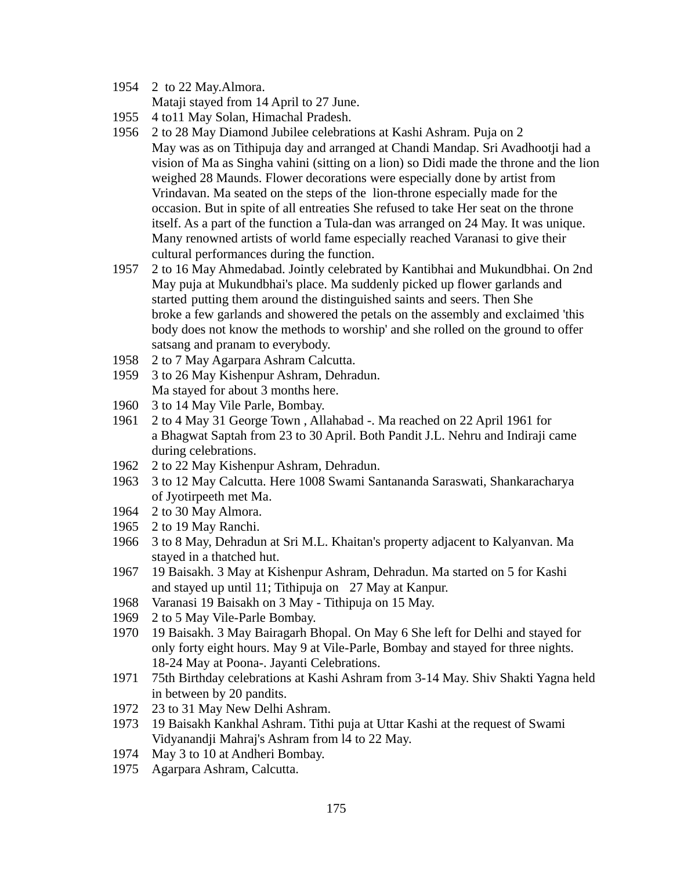1954 2 to 22 May.Almora.

Mataji stayed from 14 April to 27 June.

- 1955 4 to11 May Solan, Himachal Pradesh.
- 1956 2 to 28 May Diamond Jubilee celebrations at Kashi Ashram. Puja on 2 May was as on Tithipuja day and arranged at Chandi Mandap. Sri Avadhootji had a vision of Ma as Singha vahini (sitting on a lion) so Didi made the throne and the lion weighed 28 Maunds. Flower decorations were especially done by artist from Vrindavan. Ma seated on the steps of the lion-throne especially made for the occasion. But in spite of all entreaties She refused to take Her seat on the throne itself. As a part of the function a Tula-dan was arranged on 24 May. It was unique. Many renowned artists of world fame especially reached Varanasi to give their cultural performances during the function.
- 1957 2 to 16 May Ahmedabad. Jointly celebrated by Kantibhai and Mukundbhai. On 2nd May puja at Mukundbhai's place. Ma suddenly picked up flower garlands and started putting them around the distinguished saints and seers. Then She broke a few garlands and showered the petals on the assembly and exclaimed 'this body does not know the methods to worship' and she rolled on the ground to offer satsang and pranam to everybody.
- 1958 2 to 7 May Agarpara Ashram Calcutta.
- 1959 3 to 26 May Kishenpur Ashram, Dehradun. Ma stayed for about 3 months here.
- 1960 3 to 14 May Vile Parle, Bombay.
- 1961 2 to 4 May 31 George Town , Allahabad -. Ma reached on 22 April 1961 for a Bhagwat Saptah from 23 to 30 April. Both Pandit J.L. Nehru and Indiraji came during celebrations.
- 1962 2 to 22 May Kishenpur Ashram, Dehradun.
- 1963 3 to 12 May Calcutta. Here 1008 Swami Santananda Saraswati, Shankaracharya of Jyotirpeeth met Ma.
- 1964 2 to 30 May Almora.
- 1965 2 to 19 May Ranchi.
- 1966 3 to 8 May, Dehradun at Sri M.L. Khaitan's property adjacent to Kalyanvan. Ma stayed in a thatched hut.
- 1967 19 Baisakh. 3 May at Kishenpur Ashram, Dehradun. Ma started on 5 for Kashi and stayed up until 11; Tithipuja on 27 May at Kanpur.
- 1968 Varanasi 19 Baisakh on 3 May Tithipuja on 15 May.
- 1969 2 to 5 May Vile-Parle Bombay.
- 1970 19 Baisakh. 3 May Bairagarh Bhopal. On May 6 She left for Delhi and stayed for only forty eight hours. May 9 at Vile-Parle, Bombay and stayed for three nights. 18-24 May at Poona-. Jayanti Celebrations.
- 1971 75th Birthday celebrations at Kashi Ashram from 3-14 May. Shiv Shakti Yagna held in between by 20 pandits.
- 1972 23 to 31 May New Delhi Ashram.
- 1973 19 Baisakh Kankhal Ashram. Tithi puja at Uttar Kashi at the request of Swami Vidyanandji Mahraj's Ashram from l4 to 22 May.
- 1974 May 3 to 10 at Andheri Bombay.
- 1975 Agarpara Ashram, Calcutta.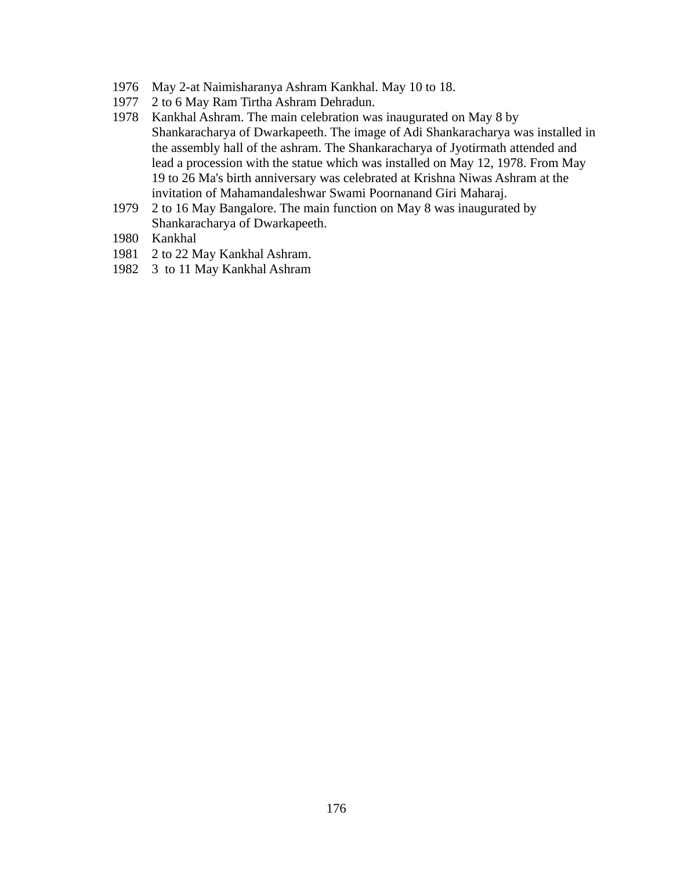- 1976 May 2-at Naimisharanya Ashram Kankhal. May 10 to 18.
- 1977 2 to 6 May Ram Tirtha Ashram Dehradun.
- 1978 Kankhal Ashram. The main celebration was inaugurated on May 8 by Shankaracharya of Dwarkapeeth. The image of Adi Shankaracharya was installed in the assembly hall of the ashram. The Shankaracharya of Jyotirmath attended and lead a procession with the statue which was installed on May 12, 1978. From May 19 to 26 Ma's birth anniversary was celebrated at Krishna Niwas Ashram at the invitation of Mahamandaleshwar Swami Poornanand Giri Maharaj.
- 1979 2 to 16 May Bangalore. The main function on May 8 was inaugurated by Shankaracharya of Dwarkapeeth.
- 1980 Kankhal
- 1981 2 to 22 May Kankhal Ashram.
- 1982 3 to 11 May Kankhal Ashram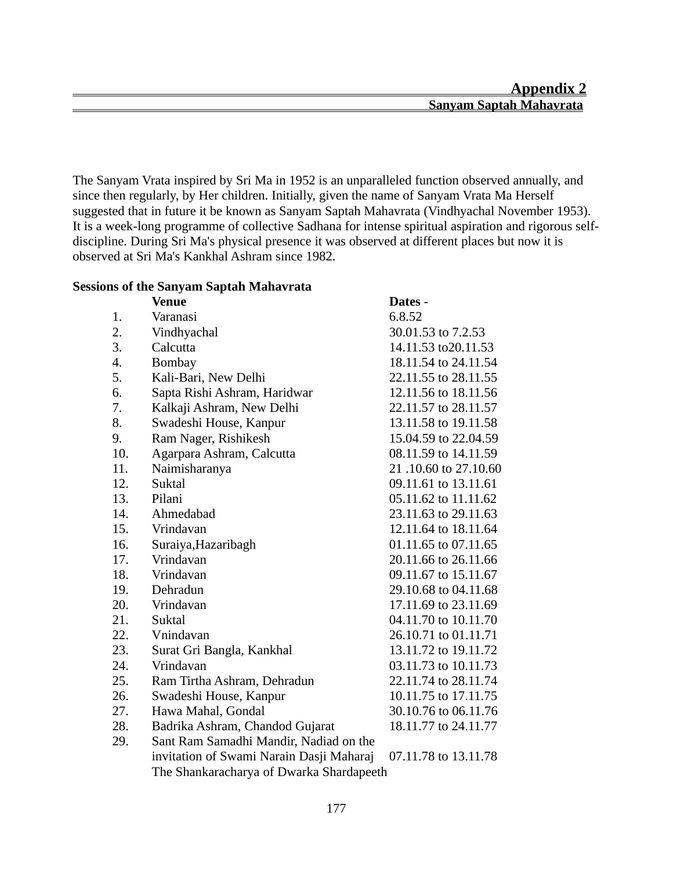The Sanyam Vrata inspired by Sri Ma in 1952 is an unparalleled function observed annually, and since then regularly, by Her children. Initially, given the name of Sanyam Vrata Ma Herself suggested that in future it be known as Sanyam Saptah Mahavrata (Vindhyachal November 1953). It is a week-long programme of collective Sadhana for intense spiritual aspiration and rigorous selfdiscipline. During Sri Ma's physical presence it was observed at different places but now it is observed at Sri Ma's Kankhal Ashram since 1982.

| <b>Sessions of the Sanyam Saptah Mahavrata</b> |
|------------------------------------------------|
|------------------------------------------------|

|     | <b>Venue</b>                             | Dates -              |
|-----|------------------------------------------|----------------------|
| 1.  | Varanasi                                 | 6.8.52               |
| 2.  | Vindhyachal                              | 30.01.53 to 7.2.53   |
| 3.  | Calcutta                                 | 14.11.53 to 20.11.53 |
| 4.  | Bombay                                   | 18.11.54 to 24.11.54 |
| 5.  | Kali-Bari, New Delhi                     | 22.11.55 to 28.11.55 |
| 6.  | Sapta Rishi Ashram, Haridwar             | 12.11.56 to 18.11.56 |
| 7.  | Kalkaji Ashram, New Delhi                | 22.11.57 to 28.11.57 |
| 8.  | Swadeshi House, Kanpur                   | 13.11.58 to 19.11.58 |
| 9.  | Ram Nager, Rishikesh                     | 15.04.59 to 22.04.59 |
| 10. | Agarpara Ashram, Calcutta                | 08.11.59 to 14.11.59 |
| 11. | Naimisharanya                            | 21,10.60 to 27,10.60 |
| 12. | Suktal                                   | 09.11.61 to 13.11.61 |
| 13. | Pilani                                   | 05.11.62 to 11.11.62 |
| 14. | Ahmedabad                                | 23.11.63 to 29.11.63 |
| 15. | Vrindavan                                | 12.11.64 to 18.11.64 |
| 16. | Suraiya, Hazaribagh                      | 01.11.65 to 07.11.65 |
| 17. | Vrindavan                                | 20.11.66 to 26.11.66 |
| 18. | Vrindavan                                | 09.11.67 to 15.11.67 |
| 19. | Dehradun                                 | 29.10.68 to 04.11.68 |
| 20. | Vrindavan                                | 17.11.69 to 23.11.69 |
| 21. | Suktal                                   | 04.11.70 to 10.11.70 |
| 22. | Vnindavan                                | 26.10.71 to 01.11.71 |
| 23. | Surat Gri Bangla, Kankhal                | 13.11.72 to 19.11.72 |
| 24. | Vrindavan                                | 03.11.73 to 10.11.73 |
| 25. | Ram Tirtha Ashram, Dehradun              | 22.11.74 to 28.11.74 |
| 26. | Swadeshi House, Kanpur                   | 10.11.75 to 17.11.75 |
| 27. | Hawa Mahal, Gondal                       | 30.10.76 to 06.11.76 |
| 28. | Badrika Ashram, Chandod Gujarat          | 18.11.77 to 24.11.77 |
| 29. | Sant Ram Samadhi Mandir, Nadiad on the   |                      |
|     | invitation of Swami Narain Dasji Maharaj | 07.11.78 to 13.11.78 |
|     | The Shankaracharya of Dwarka Shardapeeth |                      |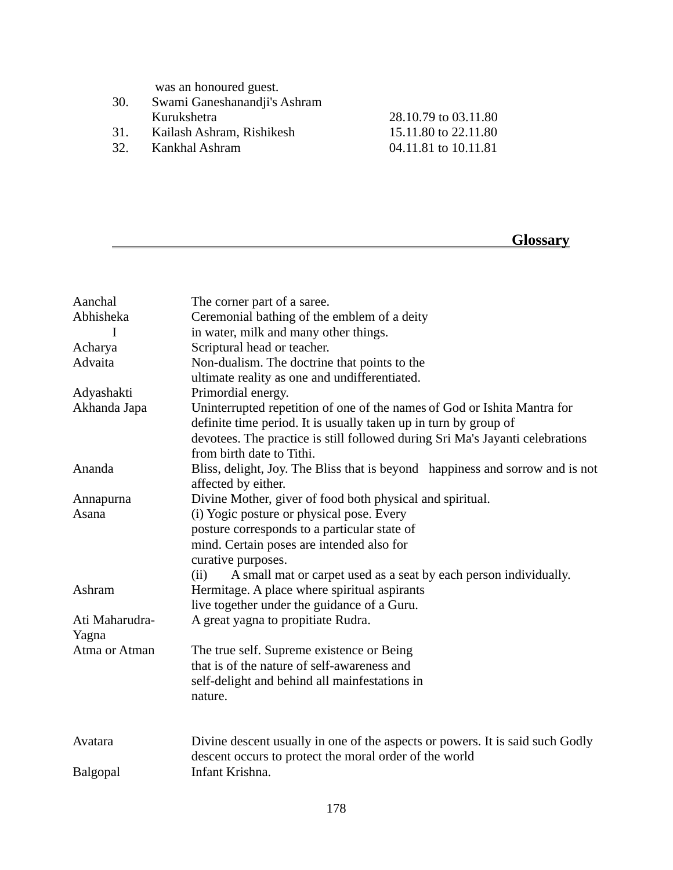was an honoured guest.

| Kurukshetra | 28.10.79 to 03.11.80                                                        |
|-------------|-----------------------------------------------------------------------------|
|             | 15.11.80 to 22.11.80                                                        |
|             | 04.11.81 to 10.11.81                                                        |
|             | Swami Ganeshanandji's Ashram<br>Kailash Ashram, Rishikesh<br>Kankhal Ashram |

# **Glossary**

| Aanchal         | The corner part of a saree.                                                   |
|-----------------|-------------------------------------------------------------------------------|
| Abhisheka       | Ceremonial bathing of the emblem of a deity                                   |
| I               | in water, milk and many other things.                                         |
| Acharya         | Scriptural head or teacher.                                                   |
| Advaita         | Non-dualism. The doctrine that points to the                                  |
|                 | ultimate reality as one and undifferentiated.                                 |
| Adyashakti      | Primordial energy.                                                            |
| Akhanda Japa    | Uninterrupted repetition of one of the names of God or Ishita Mantra for      |
|                 | definite time period. It is usually taken up in turn by group of              |
|                 | devotees. The practice is still followed during Sri Ma's Jayanti celebrations |
|                 | from birth date to Tithi.                                                     |
| Ananda          | Bliss, delight, Joy. The Bliss that is beyond happiness and sorrow and is not |
|                 | affected by either.                                                           |
| Annapurna       | Divine Mother, giver of food both physical and spiritual.                     |
| Asana           | (i) Yogic posture or physical pose. Every                                     |
|                 | posture corresponds to a particular state of                                  |
|                 | mind. Certain poses are intended also for                                     |
|                 | curative purposes.                                                            |
|                 | (ii)<br>A small mat or carpet used as a seat by each person individually.     |
| Ashram          | Hermitage. A place where spiritual aspirants                                  |
|                 | live together under the guidance of a Guru.                                   |
| Ati Maharudra-  | A great yagna to propitiate Rudra.                                            |
| Yagna           |                                                                               |
| Atma or Atman   | The true self. Supreme existence or Being                                     |
|                 | that is of the nature of self-awareness and                                   |
|                 | self-delight and behind all mainfestations in                                 |
|                 | nature.                                                                       |
|                 |                                                                               |
|                 |                                                                               |
| Avatara         | Divine descent usually in one of the aspects or powers. It is said such Godly |
|                 | descent occurs to protect the moral order of the world                        |
| <b>Balgopal</b> | Infant Krishna.                                                               |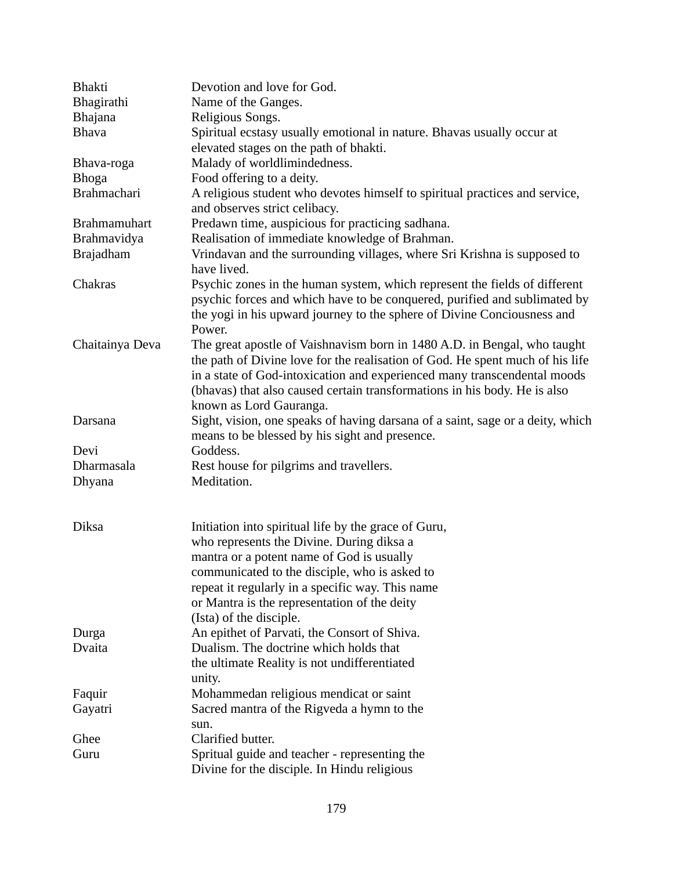| <b>Bhakti</b>       | Devotion and love for God.                                                     |
|---------------------|--------------------------------------------------------------------------------|
| Bhagirathi          | Name of the Ganges.                                                            |
| <b>Bhajana</b>      | Religious Songs.                                                               |
| <b>Bhava</b>        | Spiritual ecstasy usually emotional in nature. Bhavas usually occur at         |
|                     | elevated stages on the path of bhakti.                                         |
| Bhava-roga          | Malady of worldlimindedness.                                                   |
| <b>Bhoga</b>        | Food offering to a deity.                                                      |
| <b>Brahmachari</b>  | A religious student who devotes himself to spiritual practices and service,    |
|                     | and observes strict celibacy.                                                  |
| <b>Brahmamuhart</b> | Predawn time, auspicious for practicing sadhana.                               |
| Brahmavidya         | Realisation of immediate knowledge of Brahman.                                 |
| <b>Brajadham</b>    | Vrindavan and the surrounding villages, where Sri Krishna is supposed to       |
|                     | have lived.                                                                    |
| Chakras             |                                                                                |
|                     | Psychic zones in the human system, which represent the fields of different     |
|                     | psychic forces and which have to be conquered, purified and sublimated by      |
|                     | the yogi in his upward journey to the sphere of Divine Conciousness and        |
|                     | Power.                                                                         |
| Chaitainya Deva     | The great apostle of Vaishnavism born in 1480 A.D. in Bengal, who taught       |
|                     | the path of Divine love for the realisation of God. He spent much of his life  |
|                     | in a state of God-intoxication and experienced many transcendental moods       |
|                     | (bhavas) that also caused certain transformations in his body. He is also      |
|                     | known as Lord Gauranga.                                                        |
| Darsana             | Sight, vision, one speaks of having darsana of a saint, sage or a deity, which |
|                     | means to be blessed by his sight and presence.                                 |
| Devi                | Goddess.                                                                       |
| Dharmasala          | Rest house for pilgrims and travellers.                                        |
| Dhyana              | Meditation.                                                                    |
|                     |                                                                                |
|                     |                                                                                |
| <b>Diksa</b>        | Initiation into spiritual life by the grace of Guru,                           |
|                     | who represents the Divine. During diksa a                                      |
|                     | mantra or a potent name of God is usually                                      |
|                     | communicated to the disciple, who is asked to                                  |
|                     | repeat it regularly in a specific way. This name                               |
|                     | or Mantra is the representation of the deity                                   |
|                     | (Ista) of the disciple.                                                        |
| Durga               | An epithet of Parvati, the Consort of Shiva.                                   |
| Dvaita              | Dualism. The doctrine which holds that                                         |
|                     | the ultimate Reality is not undifferentiated                                   |
|                     | unity.                                                                         |
| Faquir              | Mohammedan religious mendicat or saint                                         |
|                     |                                                                                |
| Gayatri             | Sacred mantra of the Rigveda a hymn to the                                     |
|                     | sun.                                                                           |
| Ghee                | Clarified butter.                                                              |
| Guru                | Spritual guide and teacher - representing the                                  |
|                     | Divine for the disciple. In Hindu religious                                    |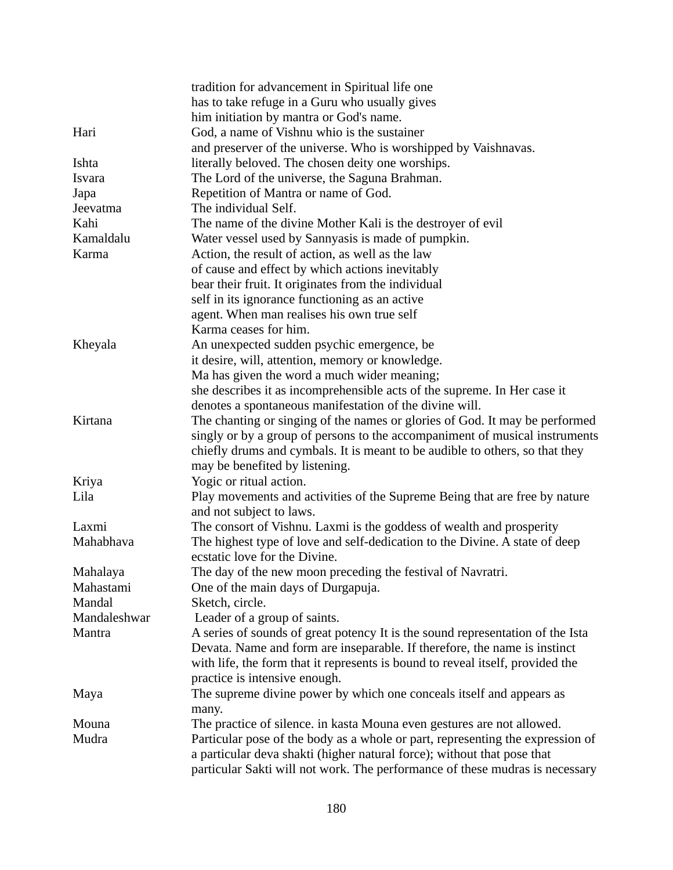|              | tradition for advancement in Spiritual life one                                |
|--------------|--------------------------------------------------------------------------------|
|              | has to take refuge in a Guru who usually gives                                 |
|              | him initiation by mantra or God's name.                                        |
| Hari         | God, a name of Vishnu whio is the sustainer                                    |
|              | and preserver of the universe. Who is worshipped by Vaishnavas.                |
| Ishta        | literally beloved. The chosen deity one worships.                              |
| Isvara       | The Lord of the universe, the Saguna Brahman.                                  |
| Japa         | Repetition of Mantra or name of God.                                           |
| Jeevatma     | The individual Self.                                                           |
| Kahi         | The name of the divine Mother Kali is the destroyer of evil                    |
| Kamaldalu    | Water vessel used by Sannyasis is made of pumpkin.                             |
| Karma        | Action, the result of action, as well as the law                               |
|              | of cause and effect by which actions inevitably                                |
|              | bear their fruit. It originates from the individual                            |
|              | self in its ignorance functioning as an active                                 |
|              | agent. When man realises his own true self                                     |
|              | Karma ceases for him.                                                          |
| Kheyala      | An unexpected sudden psychic emergence, be                                     |
|              | it desire, will, attention, memory or knowledge.                               |
|              | Ma has given the word a much wider meaning;                                    |
|              | she describes it as incomprehensible acts of the supreme. In Her case it       |
|              | denotes a spontaneous manifestation of the divine will.                        |
| Kirtana      |                                                                                |
|              | The chanting or singing of the names or glories of God. It may be performed    |
|              | singly or by a group of persons to the accompaniment of musical instruments    |
|              | chiefly drums and cymbals. It is meant to be audible to others, so that they   |
|              | may be benefited by listening.                                                 |
| Kriya        | Yogic or ritual action.                                                        |
| Lila         | Play movements and activities of the Supreme Being that are free by nature     |
|              | and not subject to laws.                                                       |
| Laxmi        | The consort of Vishnu. Laxmi is the goddess of wealth and prosperity           |
| Mahabhava    | The highest type of love and self-dedication to the Divine. A state of deep    |
|              | ecstatic love for the Divine.                                                  |
| Mahalaya     | The day of the new moon preceding the festival of Navratri.                    |
| Mahastami    | One of the main days of Durgapuja.                                             |
| Mandal       | Sketch, circle.                                                                |
| Mandaleshwar | Leader of a group of saints.                                                   |
| Mantra       | A series of sounds of great potency It is the sound representation of the Ista |
|              | Devata. Name and form are inseparable. If therefore, the name is instinct      |
|              | with life, the form that it represents is bound to reveal itself, provided the |
|              | practice is intensive enough.                                                  |
| Maya         | The supreme divine power by which one conceals itself and appears as           |
|              | many.                                                                          |
| Mouna        | The practice of silence. in kasta Mouna even gestures are not allowed.         |
| Mudra        | Particular pose of the body as a whole or part, representing the expression of |
|              | a particular deva shakti (higher natural force); without that pose that        |
|              | particular Sakti will not work. The performance of these mudras is necessary   |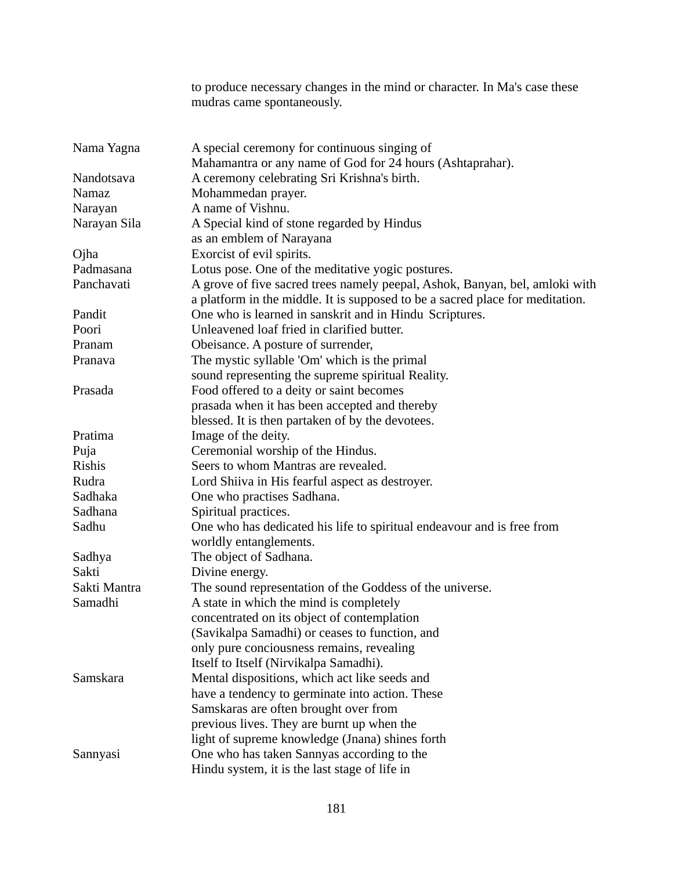|                  | to produce necessary changes in the mind or character. In Ma's case these<br>mudras came spontaneously.                                                      |  |
|------------------|--------------------------------------------------------------------------------------------------------------------------------------------------------------|--|
| Nama Yagna       | A special ceremony for continuous singing of                                                                                                                 |  |
| Nandotsava       | Mahamantra or any name of God for 24 hours (Ashtaprahar).<br>A ceremony celebrating Sri Krishna's birth.                                                     |  |
| Namaz            | Mohammedan prayer.                                                                                                                                           |  |
| Narayan          | A name of Vishnu.                                                                                                                                            |  |
| Narayan Sila     | A Special kind of stone regarded by Hindus                                                                                                                   |  |
|                  | as an emblem of Narayana                                                                                                                                     |  |
| Ojha             | Exorcist of evil spirits.                                                                                                                                    |  |
| Padmasana        | Lotus pose. One of the meditative yogic postures.                                                                                                            |  |
| Panchavati       | A grove of five sacred trees namely peepal, Ashok, Banyan, bel, amloki with<br>a platform in the middle. It is supposed to be a sacred place for meditation. |  |
| Pandit           | One who is learned in sanskrit and in Hindu Scriptures.                                                                                                      |  |
| Poori            | Unleavened loaf fried in clarified butter.                                                                                                                   |  |
| Pranam           | Obeisance. A posture of surrender,                                                                                                                           |  |
| Pranava          | The mystic syllable 'Om' which is the primal                                                                                                                 |  |
|                  | sound representing the supreme spiritual Reality.                                                                                                            |  |
| Prasada          | Food offered to a deity or saint becomes                                                                                                                     |  |
|                  | prasada when it has been accepted and thereby                                                                                                                |  |
|                  | blessed. It is then partaken of by the devotees.                                                                                                             |  |
| Pratima          | Image of the deity.                                                                                                                                          |  |
| Puja             | Ceremonial worship of the Hindus.                                                                                                                            |  |
| Rishis           | Seers to whom Mantras are revealed.                                                                                                                          |  |
| Rudra<br>Sadhaka | Lord Shiiva in His fearful aspect as destroyer.                                                                                                              |  |
| Sadhana          | One who practises Sadhana.                                                                                                                                   |  |
| Sadhu            | Spiritual practices.<br>One who has dedicated his life to spiritual endeavour and is free from                                                               |  |
|                  | worldly entanglements.                                                                                                                                       |  |
| Sadhya           | The object of Sadhana.                                                                                                                                       |  |
| Sakti            | Divine energy.                                                                                                                                               |  |
| Sakti Mantra     | The sound representation of the Goddess of the universe.                                                                                                     |  |
| Samadhi          | A state in which the mind is completely                                                                                                                      |  |
|                  | concentrated on its object of contemplation                                                                                                                  |  |
|                  | (Savikalpa Samadhi) or ceases to function, and                                                                                                               |  |
|                  | only pure conciousness remains, revealing                                                                                                                    |  |
|                  | Itself to Itself (Nirvikalpa Samadhi).                                                                                                                       |  |
| Samskara         | Mental dispositions, which act like seeds and                                                                                                                |  |
|                  | have a tendency to germinate into action. These                                                                                                              |  |
|                  | Samskaras are often brought over from                                                                                                                        |  |
|                  | previous lives. They are burnt up when the                                                                                                                   |  |
|                  | light of supreme knowledge (Jnana) shines forth                                                                                                              |  |
| Sannyasi         | One who has taken Sannyas according to the                                                                                                                   |  |
|                  | Hindu system, it is the last stage of life in                                                                                                                |  |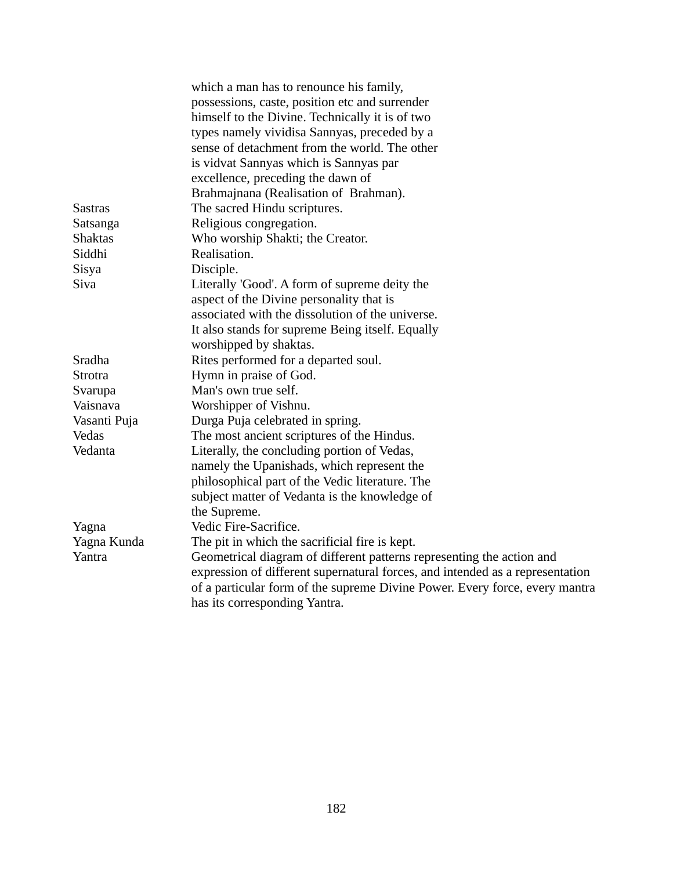| which a man has to renounce his family,                |                                                                               |  |  |
|--------------------------------------------------------|-------------------------------------------------------------------------------|--|--|
|                                                        | possessions, caste, position etc and surrender                                |  |  |
|                                                        | himself to the Divine. Technically it is of two                               |  |  |
|                                                        | types namely vividisa Sannyas, preceded by a                                  |  |  |
|                                                        | sense of detachment from the world. The other                                 |  |  |
|                                                        | is vidvat Sannyas which is Sannyas par                                        |  |  |
|                                                        | excellence, preceding the dawn of                                             |  |  |
|                                                        | Brahmajnana (Realisation of Brahman).                                         |  |  |
| <b>Sastras</b>                                         | The sacred Hindu scriptures.                                                  |  |  |
| Satsanga                                               | Religious congregation.                                                       |  |  |
| <b>Shaktas</b>                                         | Who worship Shakti; the Creator.                                              |  |  |
| Siddhi                                                 | Realisation.                                                                  |  |  |
| <b>Sisya</b>                                           | Disciple.                                                                     |  |  |
| <b>Siva</b>                                            | Literally 'Good'. A form of supreme deity the                                 |  |  |
|                                                        | aspect of the Divine personality that is                                      |  |  |
|                                                        | associated with the dissolution of the universe.                              |  |  |
|                                                        | It also stands for supreme Being itself. Equally                              |  |  |
|                                                        | worshipped by shaktas.                                                        |  |  |
| Sradha                                                 | Rites performed for a departed soul.                                          |  |  |
| <b>Strotra</b>                                         | Hymn in praise of God.                                                        |  |  |
| Svarupa                                                | Man's own true self.                                                          |  |  |
| Vaisnava                                               | Worshipper of Vishnu.                                                         |  |  |
| Vasanti Puja                                           | Durga Puja celebrated in spring.                                              |  |  |
| Vedas                                                  | The most ancient scriptures of the Hindus.                                    |  |  |
| Vedanta<br>Literally, the concluding portion of Vedas, |                                                                               |  |  |
|                                                        | namely the Upanishads, which represent the                                    |  |  |
|                                                        | philosophical part of the Vedic literature. The                               |  |  |
|                                                        | subject matter of Vedanta is the knowledge of                                 |  |  |
|                                                        | the Supreme.                                                                  |  |  |
| Yagna                                                  | Vedic Fire-Sacrifice.                                                         |  |  |
| Yagna Kunda                                            | The pit in which the sacrificial fire is kept.                                |  |  |
| Yantra                                                 | Geometrical diagram of different patterns representing the action and         |  |  |
|                                                        | expression of different supernatural forces, and intended as a representation |  |  |
|                                                        | of a particular form of the supreme Divine Power. Every force, every mantra   |  |  |
|                                                        | has its corresponding Yantra.                                                 |  |  |